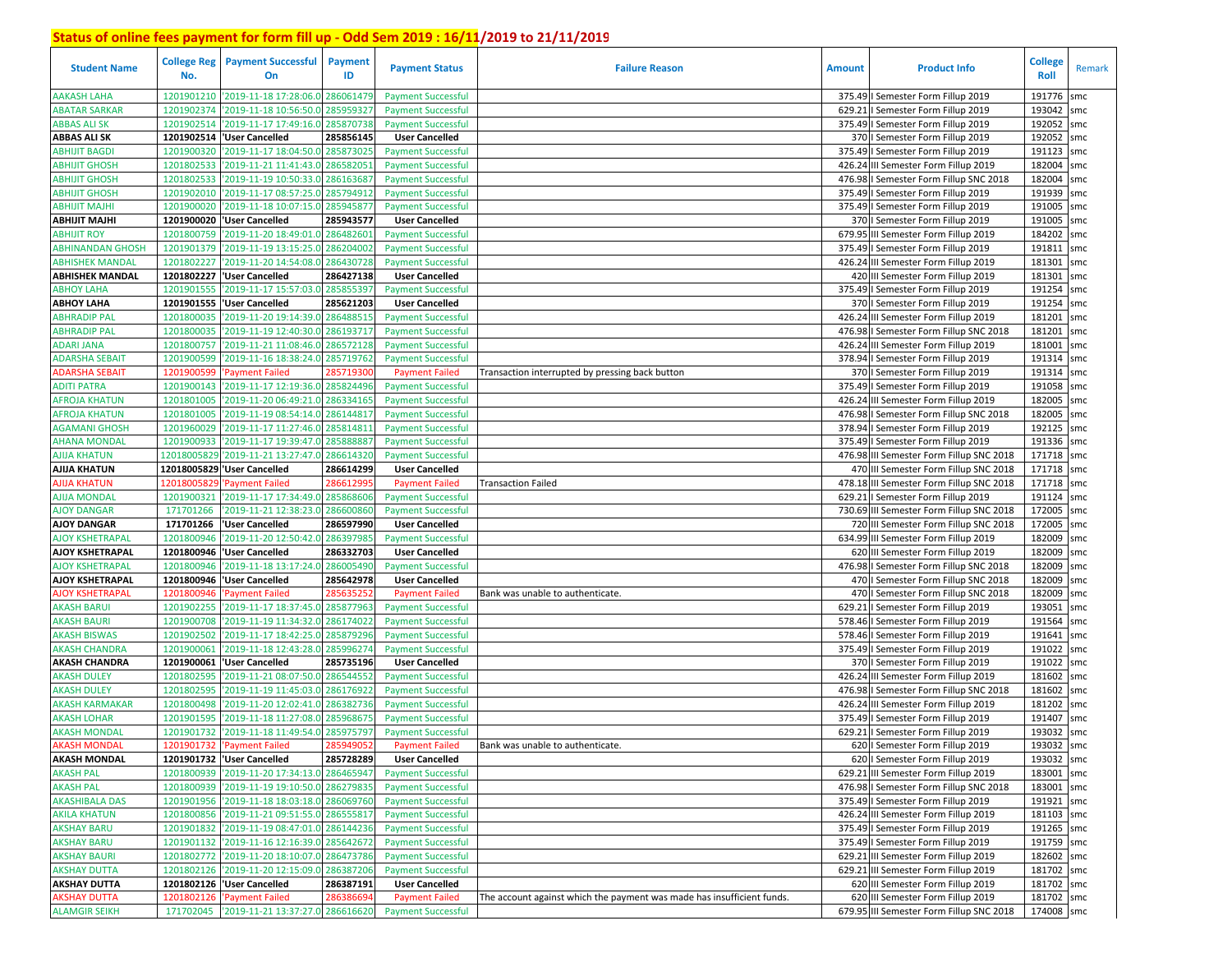| <b>Student Name</b>     | <b>College Reg</b><br>No. | <b>Payment Successful</b><br>On             | <b>Payment</b><br>ID | <b>Payment Status</b>     | <b>Failure Reason</b>                                                  | <b>Amount</b> | <b>Product Info</b>                      | <b>College</b><br>Roll | Remark |
|-------------------------|---------------------------|---------------------------------------------|----------------------|---------------------------|------------------------------------------------------------------------|---------------|------------------------------------------|------------------------|--------|
| <b>AAKASH LAHA</b>      | 1201901210                | '2019-11-18 17:28:06.0                      | 286061479            | <b>Payment Successful</b> |                                                                        |               | 375.49   Semester Form Fillup 2019       | 191776                 | smc    |
| <b>ABATAR SARKAR</b>    | 1201902374                | '2019-11-18 10:56:50.0                      | 285959327            | <b>Payment Successful</b> |                                                                        |               | 629.21   Semester Form Fillup 2019       | 193042                 | smc    |
| <b>ABBAS ALI SK</b>     | 1201902514                | '2019-11-17 17:49:16.0                      | 285870738            | <b>Payment Successful</b> |                                                                        |               | 375.49   Semester Form Fillup 2019       | 192052                 | smc    |
| <b>ABBAS ALI SK</b>     | 1201902514                | 'User Cancelled                             | 285856145            | <b>User Cancelled</b>     |                                                                        |               | 370   Semester Form Fillup 2019          | 192052                 | smc    |
| <b>ABHIJIT BAGDI</b>    | 1201900320                | '2019-11-17 18:04:50.0                      | 285873025            | <b>Payment Successful</b> |                                                                        |               | 375.49   Semester Form Fillup 2019       | 191123                 | smc    |
| <b>ABHIJIT GHOSH</b>    | 1201802533                | '2019-11-21 11:41:43.0                      | 28658205             | <b>Payment Successful</b> |                                                                        |               | 426.24 III Semester Form Fillup 2019     | 182004                 | smc    |
| <b>ABHIJIT GHOSH</b>    | 1201802533                | '2019-11-19 10:50:33.0                      | 28616368             | <b>Payment Successful</b> |                                                                        |               | 476.98   Semester Form Fillup SNC 2018   | 182004                 | smc    |
| <b>ABHIJIT GHOSH</b>    | 1201902010                | '2019-11-17 08:57:25.0                      | 285794912            | <b>Payment Successful</b> |                                                                        |               | 375.49   Semester Form Fillup 2019       | 191939 smc             |        |
| <b>ABHIJIT MAJHI</b>    |                           | 1201900020 2019-11-18 10:07:15.0            | 285945877            | <b>Payment Successful</b> |                                                                        |               | 375.49   Semester Form Fillup 2019       | 191005 smc             |        |
| ABHIJIT MAJHI           |                           | 1201900020 User Cancelled                   | 285943577            | <b>User Cancelled</b>     |                                                                        |               | 370   Semester Form Fillup 2019          | 191005                 | smc    |
| ABHIJIT ROY             | 1201800759                | '2019-11-20 18:49:01.0                      | 286482601            | <b>Payment Successful</b> |                                                                        |               | 679.95 III Semester Form Fillup 2019     | 184202 smc             |        |
| <b>ABHINANDAN GHOSH</b> | 1201901379                | '2019-11-19 13:15:25.0                      | 286204002            | <b>Payment Successful</b> |                                                                        |               | 375.49   Semester Form Fillup 2019       | 191811                 | smc    |
| <b>ABHISHEK MANDAL</b>  | 1201802227                | '2019-11-20 14:54:08.0                      | 286430728            | <b>Payment Successful</b> |                                                                        |               | 426.24 III Semester Form Fillup 2019     | 181301                 | smc    |
| <b>ABHISHEK MANDAL</b>  |                           | 1201802227  'User Cancelled                 | 286427138            | <b>User Cancelled</b>     |                                                                        |               | 420 III Semester Form Fillup 2019        | 181301                 | smc    |
| <b>ABHOY LAHA</b>       | 1201901555                | '2019-11-17 15:57:03.0                      | 285855397            | <b>Payment Successful</b> |                                                                        |               | 375.49   Semester Form Fillup 2019       | 191254                 | smc    |
| <b>ABHOY LAHA</b>       | 1201901555                | 'User Cancelled                             | 285621203            | <b>User Cancelled</b>     |                                                                        |               | 370   Semester Form Fillup 2019          | 191254                 | smc    |
| <b>ABHRADIP PAL</b>     | 1201800035                | '2019-11-20 19:14:39.                       | 286488515            | <b>Payment Successful</b> |                                                                        |               | 426.24 III Semester Form Fillup 2019     | 181201                 | smc    |
| <b>ABHRADIP PAL</b>     | 1201800035                | 2019-11-19 12:40:30.                        | 286193717            | <b>Payment Successful</b> |                                                                        |               | 476.98   Semester Form Fillup SNC 2018   | 181201                 | smc    |
| ADARI JANA              | 1201800757                | '2019-11-21 11:08:46.0                      | 286572128            | <b>Payment Successful</b> |                                                                        |               | 426.24 III Semester Form Fillup 2019     | 181001                 | smc    |
| <b>ADARSHA SEBAIT</b>   | 1201900599                | '2019-11-16 18:38:24.                       | 285719762            | <b>Payment Successful</b> |                                                                        |               | 378.94   Semester Form Fillup 2019       | 191314                 | smc    |
| <b>ADARSHA SEBAIT</b>   | 1201900599                | <b>Payment Failed</b>                       | 28571930             | <b>Payment Failed</b>     | Transaction interrupted by pressing back button                        |               | 370   Semester Form Fillup 2019          | 191314 smc             |        |
| <b>ADITI PATRA</b>      | 1201900143                | '2019-11-17 12:19:36.0                      | 285824496            | <b>Payment Successful</b> |                                                                        |               | 375.49   Semester Form Fillup 2019       | 191058                 | smc    |
| <b>AFROJA KHATUN</b>    | 1201801005                | '2019-11-20 06:49:21.                       | 286334165            | <b>Payment Successful</b> |                                                                        |               | 426.24 III Semester Form Fillup 2019     | 182005 smc             |        |
| <b>AFROJA KHATUN</b>    | 1201801005                | '2019-11-19 08:54:14.0                      | 28614481             | <b>Payment Successful</b> |                                                                        | 476.98        | I Semester Form Fillup SNC 2018          | 182005                 | smc    |
| <b>AGAMANI GHOSH</b>    | 1201960029                | '2019-11-17 11:27:46.0                      | 28581481             | <b>Payment Successful</b> |                                                                        |               | 378.94   Semester Form Fillup 2019       | 192125 smc             |        |
| <b>AHANA MONDAL</b>     | 1201900933                | '2019-11-17 19:39:47.0                      | 28588888             | <b>Payment Successful</b> |                                                                        |               | 375.49   Semester Form Fillup 2019       | 191336 smc             |        |
| <b>AJIJA KHATUN</b>     | 12018005829               | '2019-11-21 13:27:47.0                      | 286614320            | <b>Payment Successful</b> |                                                                        |               | 476.98 III Semester Form Fillup SNC 2018 | 171718 smc             |        |
| <b>AJIJA KHATUN</b>     | 12018005829               | 'User Cancelled                             | 286614299            | <b>User Cancelled</b>     |                                                                        |               | 470 III Semester Form Fillup SNC 2018    | 171718 smc             |        |
| <b>AJIJA KHATUN</b>     | 1201800582                | <b>Payment Failed</b>                       | 28661299             | <b>Payment Failed</b>     | <b>Transaction Failed</b>                                              |               | 478.18 III Semester Form Fillup SNC 2018 | 171718 smc             |        |
| AJIJA MONDAL            | 1201900321                | '2019-11-17 17:34:49.0                      | 285868606            | <b>Payment Successful</b> |                                                                        |               | 629.21   Semester Form Fillup 2019       | 191124                 | smc    |
| <b>AJOY DANGAR</b>      | 171701266                 | '2019-11-21 12:38:23.0                      | 286600860            | <b>Payment Successful</b> |                                                                        |               | 730.69 III Semester Form Fillup SNC 2018 | 172005                 | smc    |
| <b>AJOY DANGAR</b>      | 171701266                 | 'User Cancelled                             | 286597990            | <b>User Cancelled</b>     |                                                                        |               | 720 III Semester Form Fillup SNC 2018    | 172005                 | smc    |
| <b>AJOY KSHETRAPAL</b>  | 1201800946                | '2019-11-20 12:50:42.0                      | 286397985            | <b>Payment Successful</b> |                                                                        |               | 634.99 III Semester Form Fillup 2019     | 182009                 | smc    |
| AJOY KSHETRAPAL         |                           | 1201800946 User Cancelled                   | 286332703            | <b>User Cancelled</b>     |                                                                        |               | 620 III Semester Form Fillup 2019        | 182009 smc             |        |
| <b>AJOY KSHETRAPAL</b>  | 1201800946                | '2019-11-18 13:17:24.0                      | 286005490            | <b>Payment Successful</b> |                                                                        |               | 476.98   Semester Form Fillup SNC 2018   | 182009 smc             |        |
| AJOY KSHETRAPAL         |                           | 1201800946  'User Cancelled                 | 285642978            | <b>User Cancelled</b>     |                                                                        |               | 470   Semester Form Fillup SNC 2018      | 182009 smc             |        |
| <b>AJOY KSHETRAPAL</b>  | 1201800946                | 'Payment Failed                             | 285635252            | <b>Payment Failed</b>     | Bank was unable to authenticate.                                       |               | 470   Semester Form Fillup SNC 2018      | 182009 smc             |        |
| AKASH BARUI             | 1201902255                | '2019-11-17 18:37:45.0                      | 285877963            | <b>Payment Successful</b> |                                                                        |               | 629.21   Semester Form Fillup 2019       | 193051                 | smc    |
| <b>AKASH BAURI</b>      | 1201900708                | '2019-11-19 11:34:32.0                      | 286174022            | <b>Payment Successful</b> |                                                                        |               | 578.46   Semester Form Fillup 2019       | 191564                 | smc    |
| <b>AKASH BISWAS</b>     | 1201902502                | '2019-11-17 18:42:25.                       | 285879296            | <b>Payment Successful</b> |                                                                        |               | 578.46   Semester Form Fillup 2019       | 191641                 | smc    |
| <b>AKASH CHANDRA</b>    | 1201900061                | '2019-11-18 12:43:28.                       | 285996274            | <b>Payment Successful</b> |                                                                        |               | 375.49   Semester Form Fillup 2019       | 191022                 | smc    |
| <b>AKASH CHANDRA</b>    | 1201900061                | 'User Cancelled                             | 285735196            | <b>User Cancelled</b>     |                                                                        |               | 370   Semester Form Fillup 2019          | 191022                 | smc    |
| <b>AKASH DULEY</b>      | 1201802595                | 2019-11-21 08:07:50.0                       | 28654455             | <b>Payment Successful</b> |                                                                        |               | 426.24 III Semester Form Fillup 2019     | 181602                 | smc    |
| <b>AKASH DULEY</b>      | 1201802595                | '2019-11-19 11:45:03.                       | 28617692             | <b>Payment Successful</b> |                                                                        |               | 476.98   Semester Form Fillup SNC 2018   | 181602                 | smc    |
| <b>AKASH KARMAKAR</b>   | 1201800498                | '2019-11-20 12:02:41.                       | 28638273             | <b>Payment Successful</b> |                                                                        |               | 426.24 III Semester Form Fillup 2019     | 181202                 | smc    |
| <b>AKASH LOHAR</b>      | 1201901595                | '2019-11-18 11:27:08.                       | 28596867             | <b>Payment Successful</b> |                                                                        |               | 375.49   Semester Form Fillup 2019       | 191407                 | smc    |
| <b>AKASH MONDAL</b>     |                           | 1201901732 2019-11-18 11:49:54.0            | 285975797            | <b>Payment Successful</b> |                                                                        |               | 629.21   Semester Form Fillup 2019       | 193032                 | smc    |
| <b>AKASH MONDAL</b>     |                           | 1201901732 'Payment Failed                  | 285949052            | <b>Payment Failed</b>     | Bank was unable to authenticate.                                       |               | 620   Semester Form Fillup 2019          | 193032 smc             |        |
| <b>AKASH MONDAL</b>     |                           | 1201901732 User Cancelled                   | 285728289            | <b>User Cancelled</b>     |                                                                        |               | 620   Semester Form Fillup 2019          | 193032 smc             |        |
| <b>AKASH PAL</b>        |                           | 1201800939 '2019-11-20 17:34:13.0           | 286465947            | <b>Payment Successful</b> |                                                                        |               | 629.21 III Semester Form Fillup 2019     | 183001 smc             |        |
| <b>AKASH PAL</b>        |                           | 1201800939 2019-11-19 19:10:50.0            | 286279835            | <b>Payment Successful</b> |                                                                        |               | 476.98   Semester Form Fillup SNC 2018   | 183001 smc             |        |
| <b>AKASHIBALA DAS</b>   |                           | 1201901956 2019-11-18 18:03:18.0 286069760  |                      | <b>Payment Successful</b> |                                                                        |               | 375.49   Semester Form Fillup 2019       | 191921 smc             |        |
| <b>AKILA KHATUN</b>     |                           | 1201800856 '2019-11-21 09:51:55.0 286555817 |                      | <b>Payment Successful</b> |                                                                        |               | 426.24 III Semester Form Fillup 2019     | 181103 smc             |        |
| <b>AKSHAY BARU</b>      |                           | 1201901832 2019-11-19 08:47:01.0            | 286144236            | <b>Payment Successful</b> |                                                                        |               | 375.49   Semester Form Fillup 2019       | 191265 smc             |        |
| <b>AKSHAY BARU</b>      |                           | 1201901132 '2019-11-16 12:16:39.0 285642672 |                      | <b>Payment Successful</b> |                                                                        |               | 375.49   Semester Form Fillup 2019       | 191759 smc             |        |
| <b>AKSHAY BAURI</b>     |                           | 1201802772 '2019-11-20 18:10:07.0 286473786 |                      | <b>Payment Successful</b> |                                                                        |               | 629.21 III Semester Form Fillup 2019     | 182602 smc             |        |
| <b>AKSHAY DUTTA</b>     |                           | 1201802126 2019-11-20 12:15:09.0 286387206  |                      | <b>Payment Successful</b> |                                                                        |               | 629.21 III Semester Form Fillup 2019     | 181702 smc             |        |
| <b>AKSHAY DUTTA</b>     |                           | 1201802126 User Cancelled                   | 286387191            | <b>User Cancelled</b>     |                                                                        |               | 620 III Semester Form Fillup 2019        | 181702 smc             |        |
| <b>AKSHAY DUTTA</b>     |                           | 1201802126 'Payment Failed                  | 286386694            | <b>Payment Failed</b>     | The account against which the payment was made has insufficient funds. |               | 620 III Semester Form Fillup 2019        | 181702 smc             |        |
| <b>ALAMGIR SEIKH</b>    |                           | 171702045 2019-11-21 13:37:27.0 286616620   |                      | <b>Payment Successful</b> |                                                                        |               | 679.95 III Semester Form Fillup SNC 2018 | 174008 smc             |        |
|                         |                           |                                             |                      |                           |                                                                        |               |                                          |                        |        |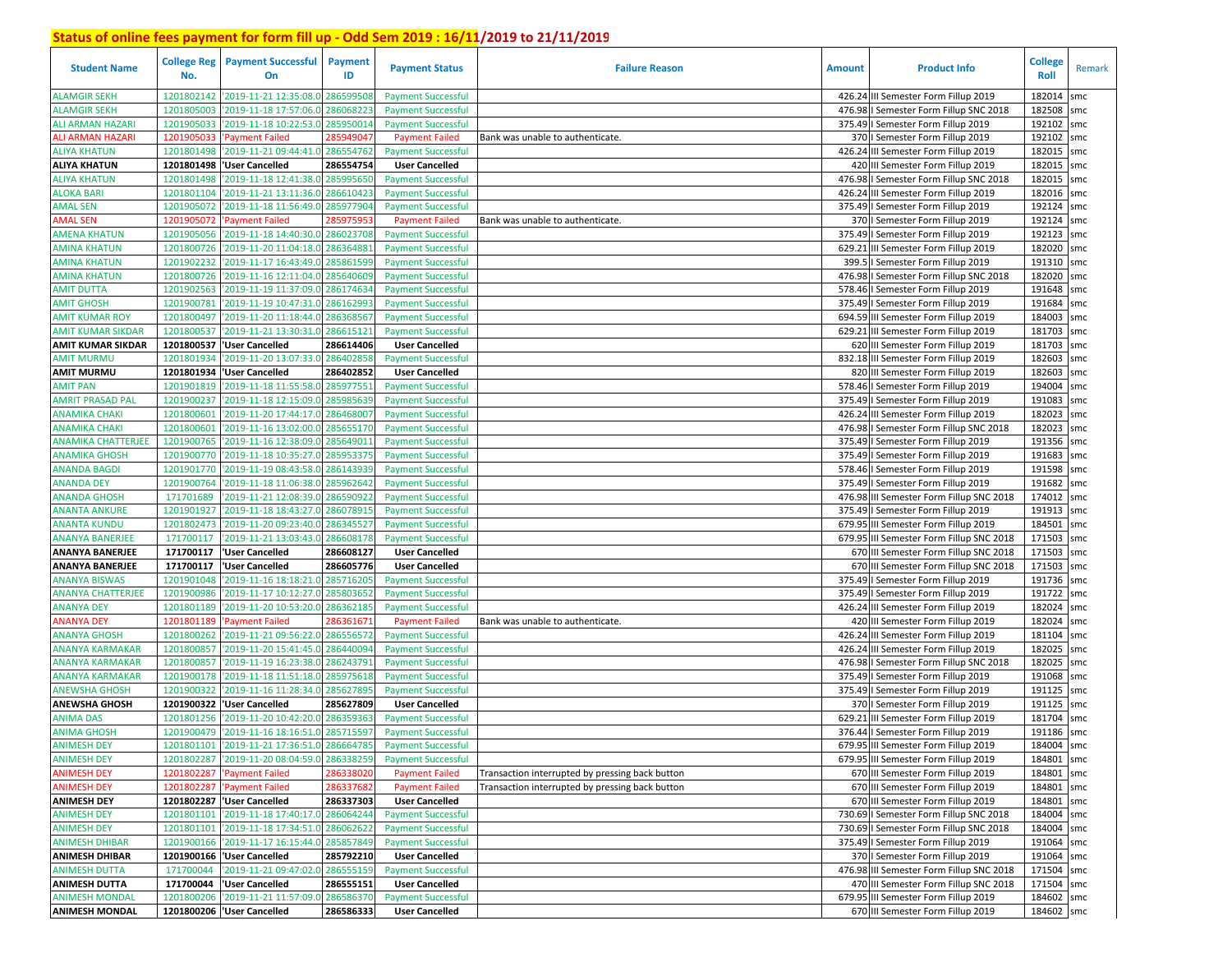| <b>Student Name</b>       | <b>College Reg</b><br>No. | <b>Payment Successful</b><br>On            | <b>Payment</b><br>ID | <b>Payment Status</b>     | <b>Failure Reason</b>                           | <b>Amount</b> | <b>Product Info</b>                      | <b>College</b><br>Roll | Remark |
|---------------------------|---------------------------|--------------------------------------------|----------------------|---------------------------|-------------------------------------------------|---------------|------------------------------------------|------------------------|--------|
| <b>ALAMGIR SEKH</b>       | 1201802142                | '2019-11-21 12:35:08.0                     | 28659950             | <b>Payment Successful</b> |                                                 |               | 426.24 III Semester Form Fillup 2019     | 182014                 | smc    |
| <b>ALAMGIR SEKH</b>       | 1201805003                | '2019-11-18 17:57:06.0                     | 286068223            | <b>Payment Successful</b> |                                                 |               | 476.98   Semester Form Fillup SNC 2018   | 182508                 | smc    |
| <b>ALI ARMAN HAZARI</b>   | 1201905033                | '2019-11-18 10:22:53.0                     | 28595001             | <b>Payment Successful</b> |                                                 |               | 375.49   Semester Form Fillup 2019       | 192102                 | smc    |
| <b>ALI ARMAN HAZARI</b>   | 1201905033                | 'Payment Failed                            | 285949041            | <b>Payment Failed</b>     | Bank was unable to authenticate.                |               | 370   Semester Form Fillup 2019          | 192102                 | smc    |
| <b>ALIYA KHATUN</b>       | 1201801498                | '2019-11-21 09:44:41.0                     | 286554762            | <b>Payment Successful</b> |                                                 |               | 426.24 III Semester Form Fillup 2019     | 182015                 | smc    |
| <b>ALIYA KHATUN</b>       |                           | 1201801498  'User Cancelled                | 286554754            | <b>User Cancelled</b>     |                                                 |               | 420 III Semester Form Fillup 2019        | 182015                 | smc    |
| ALIYA KHATUN              | 1201801498                | '2019-11-18 12:41:38.0                     | 285995650            | <b>Payment Successful</b> |                                                 |               | 476.98   Semester Form Fillup SNC 2018   | 182015                 | smc    |
| <b>ALOKA BARI</b>         | 1201801104                | '2019-11-21 13:11:36.0                     | 286610423            | <b>Payment Successful</b> |                                                 |               | 426.24 III Semester Form Fillup 2019     | 182016 smc             |        |
| <b>AMAL SEN</b>           | 1201905072                | '2019-11-18 11:56:49.0                     | 285977904            | <b>Payment Successful</b> |                                                 |               | 375.49   Semester Form Fillup 2019       | 192124 smc             |        |
| <b>AMAL SEN</b>           | 1201905072                | 'Payment Failed                            | 285975953            | <b>Payment Failed</b>     | Bank was unable to authenticate.                |               | 370   Semester Form Fillup 2019          | 192124 smc             |        |
| <b>AMENA KHATUN</b>       | 1201905056                | '2019-11-18 14:40:30.0                     | 28602370             | <b>Payment Successful</b> |                                                 |               | 375.49   Semester Form Fillup 2019       | 192123 smc             |        |
| <b>AMINA KHATUN</b>       | 1201800726                | '2019-11-20 11:04:18.0                     | 28636488             | <b>Payment Successful</b> |                                                 |               | 629.21 III Semester Form Fillup 2019     | 182020 smc             |        |
| <b>AMINA KHATUN</b>       | 1201902232                | '2019-11-17 16:43:49.                      | 28586159             | <b>Payment Successful</b> |                                                 |               | 399.5   Semester Form Fillup 2019        | 191310 smc             |        |
| <b>AMINA KHATUN</b>       | 1201800726                | '2019-11-16 12:11:04.0                     | 285640609            | <b>Payment Successful</b> |                                                 |               | 476.98   Semester Form Fillup SNC 2018   | 182020 smc             |        |
| AMIT DUTTA                | 1201902563                | '2019-11-19 11:37:09.                      | 28617463             | <b>Payment Successful</b> |                                                 |               | 578.46   Semester Form Fillup 2019       | 191648 smc             |        |
| <b>AMIT GHOSH</b>         | 1201900781                | '2019-11-19 10:47:31.0                     | 28616299             | <b>Payment Successful</b> |                                                 |               | 375.49   Semester Form Fillup 2019       | 191684                 | smc    |
| <b>AMIT KUMAR ROY</b>     | 1201800497                | '2019-11-20 11:18:44.0                     | 28636856             | <b>Payment Successful</b> |                                                 |               | 694.59 III Semester Form Fillup 2019     | 184003 smc             |        |
| <b>AMIT KUMAR SIKDAR</b>  | 1201800537                | '2019-11-21 13:30:31.                      | 286615121            | <b>Payment Successful</b> |                                                 |               | 629.21 III Semester Form Fillup 2019     | 181703                 | smc    |
| <b>AMIT KUMAR SIKDAR</b>  | 1201800537                | 'User Cancelled                            | 286614406            | <b>User Cancelled</b>     |                                                 |               | 620 III Semester Form Fillup 2019        | 181703 smc             |        |
| <b>AMIT MURMU</b>         | 1201801934                | '2019-11-20 13:07:33.0                     | 28640285             | <b>Payment Successful</b> |                                                 |               | 832.18 III Semester Form Fillup 2019     | 182603                 | smc    |
| <b>AMIT MURMU</b>         |                           | 1201801934 'User Cancelled                 | 286402852            | <b>User Cancelled</b>     |                                                 |               | 820 III Semester Form Fillup 2019        | 182603 smc             |        |
| <b>AMIT PAN</b>           | 1201901819                | '2019-11-18 11:55:58.0                     | 285977551            | <b>Payment Successful</b> |                                                 |               | 578.46   Semester Form Fillup 2019       | 194004                 | smc    |
| <b>AMRIT PRASAD PAL</b>   | 1201900237                | '2019-11-18 12:15:09.                      | 285985639            | <b>Payment Successful</b> |                                                 |               | 375.49   Semester Form Fillup 2019       | 191083                 | smc    |
| <b>ANAMIKA CHAKI</b>      | 1201800601                | '2019-11-20 17:44:17.                      | 28646800             | <b>Payment Successful</b> |                                                 |               | 426.24 III Semester Form Fillup 2019     | 182023                 | smc    |
| <b>ANAMIKA CHAKI</b>      | 1201800601                | '2019-11-16 13:02:00.0                     | 285655170            | <b>Payment Successful</b> |                                                 |               | 476.98   Semester Form Fillup SNC 2018   | 182023                 | smc    |
| <b>ANAMIKA CHATTERJEE</b> | 1201900765                | '2019-11-16 12:38:09.0                     | 28564901             | <b>Payment Successful</b> |                                                 |               | 375.49   Semester Form Fillup 2019       | 191356 smc             |        |
| <b>ANAMIKA GHOSH</b>      | 1201900770                | '2019-11-18 10:35:27.0                     | 285953375            | <b>Payment Successful</b> |                                                 |               | 375.49   Semester Form Fillup 2019       | 191683                 | smc    |
| ANANDA BAGDI              | 1201901770                | '2019-11-19 08:43:58.0                     | 286143939            | <b>Payment Successful</b> |                                                 |               | 578.46   Semester Form Fillup 2019       | 191598                 | smc    |
| <b>ANANDA DEY</b>         | 1201900764                | '2019-11-18 11:06:38.0                     | 285962642            | <b>Payment Successful</b> |                                                 |               | 375.49   Semester Form Fillup 2019       | 191682                 | smc    |
| ANANDA GHOSH              | 171701689                 | '2019-11-21 12:08:39.0                     | 286590922            | <b>Payment Successful</b> |                                                 |               | 476.98 III Semester Form Fillup SNC 2018 | 174012                 | smc    |
| <b>ANANTA ANKURE</b>      | 1201901927                | '2019-11-18 18:43:27.0                     | 28607891             | <b>Payment Successful</b> |                                                 |               | 375.49   Semester Form Fillup 2019       | 191913                 | smc    |
| ANANTA KUNDU              | 1201802473                | '2019-11-20 09:23:40.0                     | 28634552             | <b>Payment Successful</b> |                                                 |               | 679.95 III Semester Form Fillup 2019     | 184501                 | smc    |
| <b>ANANYA BANERJEE</b>    | 171700117                 | '2019-11-21 13:03:43.0                     | 286608178            | <b>Payment Successful</b> |                                                 |               | 679.95 III Semester Form Fillup SNC 2018 | 171503                 | smc    |
| <b>ANANYA BANERJEE</b>    | 171700117                 | 'User Cancelled                            | 286608127            | <b>User Cancelled</b>     |                                                 |               | 670 III Semester Form Fillup SNC 2018    | 171503 smc             |        |
| <b>ANANYA BANERJEE</b>    | 171700117                 | 'User Cancelled                            | 286605776            | <b>User Cancelled</b>     |                                                 |               | 670 III Semester Form Fillup SNC 2018    | 171503 smc             |        |
| <b>ANANYA BISWAS</b>      | 1201901048                | '2019-11-16 18:18:21.0                     | 285716205            | <b>Payment Successful</b> |                                                 |               | 375.49   Semester Form Fillup 2019       | 191736 smc             |        |
| <b>ANANYA CHATTERJEE</b>  | 1201900986                | '2019-11-17 10:12:27.0                     | 285803652            | <b>Payment Successful</b> |                                                 |               | 375.49   Semester Form Fillup 2019       | 191722                 | smc    |
| <b>ANANYA DEY</b>         | 1201801189                | '2019-11-20 10:53:20.0                     | 286362185            | <b>Payment Successful</b> |                                                 |               | 426.24 III Semester Form Fillup 2019     | 182024 smc             |        |
| <b>ANANYA DEY</b>         | 1201801189                | <b>Payment Failed</b>                      | 28636167             | <b>Payment Failed</b>     | Bank was unable to authenticate.                |               | 420 III Semester Form Fillup 2019        | 182024                 | smc    |
| ANANYA GHOSH              | 1201800262                | '2019-11-21 09:56:22.                      | 286556572            | <b>Payment Successful</b> |                                                 |               | 426.24 III Semester Form Fillup 2019     | 181104 smc             |        |
| <b>ANANYA KARMAKAR</b>    | 1201800857                | '2019-11-20 15:41:45.                      | 28644009             | <b>Payment Successful</b> |                                                 |               | 426.24 III Semester Form Fillup 2019     | 182025                 | smc    |
| ANANYA KARMAKAR           | 1201800857                | '2019-11-19 16:23:38.                      | 28624379             | <b>Payment Successful</b> |                                                 |               | 476.98 I Semester Form Fillup SNC 2018   | 182025 smc             |        |
| <b>ANANYA KARMAKAR</b>    | 1201900178                | '2019-11-18 11:51:18.                      | 285975618            | <b>Payment Successful</b> |                                                 |               | 375.49   Semester Form Fillup 2019       | 191068 smc             |        |
| ANEWSHA GHOSH             | 1201900322                | '2019-11-16 11:28:34.0                     | 28562789             | <b>Payment Successful</b> |                                                 |               | 375.49   Semester Form Fillup 2019       | 191125                 | smc    |
| <b>ANEWSHA GHOSH</b>      | 1201900322                | 'User Cancelled                            | 285627809            | <b>User Cancelled</b>     |                                                 |               | 370   Semester Form Fillup 2019          | 191125                 | smc    |
| <b>ANIMA DAS</b>          | 1201801256                | '2019-11-20 10:42:20.0                     | 286359363            | <b>Payment Successful</b> |                                                 |               | 629.21 III Semester Form Fillup 2019     | 181704                 | smc    |
| <b>ANIMA GHOSH</b>        |                           | 1201900479 2019-11-16 18:16:51.0           | 285715597            | <b>Payment Successful</b> |                                                 |               | 376.44   Semester Form Fillup 2019       | 191186 smc             |        |
| <b>ANIMESH DEY</b>        |                           | 1201801101 2019-11-21 17:36:51.0 286664785 |                      | <b>Payment Successful</b> |                                                 |               | 679.95 III Semester Form Fillup 2019     | 184004 smc             |        |
| <b>ANIMESH DEY</b>        |                           | 1201802287 2019-11-20 08:04:59.0           | 286338259            | <b>Payment Successful</b> |                                                 |               | 679.95 III Semester Form Fillup 2019     | 184801 smc             |        |
| <b>ANIMESH DEY</b>        |                           | 1201802287 'Payment Failed                 | 286338020            | <b>Payment Failed</b>     | Transaction interrupted by pressing back button |               | 670 III Semester Form Fillup 2019        | 184801 smc             |        |
| <b>ANIMESH DEY</b>        |                           | 1201802287 'Payment Failed                 | 286337682            | <b>Payment Failed</b>     | Transaction interrupted by pressing back button |               | 670 III Semester Form Fillup 2019        | 184801 smc             |        |
| <b>ANIMESH DEY</b>        |                           | 1201802287 User Cancelled                  | 286337303            | <b>User Cancelled</b>     |                                                 |               | 670 III Semester Form Fillup 2019        | 184801 smc             |        |
| <b>ANIMESH DEY</b>        |                           | 1201801101 2019-11-18 17:40:17.0           | 286064244            | <b>Payment Successful</b> |                                                 |               | 730.69   Semester Form Fillup SNC 2018   | 184004 smc             |        |
| <b>ANIMESH DEY</b>        |                           | 1201801101 2019-11-18 17:34:51.0           | 286062622            | <b>Payment Successful</b> |                                                 |               | 730.69   Semester Form Fillup SNC 2018   | 184004 smc             |        |
| <b>ANIMESH DHIBAR</b>     |                           | 1201900166 2019-11-17 16:15:44.0           | 285857849            | <b>Payment Successful</b> |                                                 |               | 375.49   Semester Form Fillup 2019       | 191064 smc             |        |
| <b>ANIMESH DHIBAR</b>     |                           | 1201900166  'User Cancelled                | 285792210            | <b>User Cancelled</b>     |                                                 |               | 370   Semester Form Fillup 2019          | 191064 smc             |        |
| <b>ANIMESH DUTTA</b>      |                           | 171700044 2019-11-21 09:47:02.0            | 286555159            | <b>Payment Successful</b> |                                                 |               | 476.98 III Semester Form Fillup SNC 2018 | 171504 smc             |        |
| <b>ANIMESH DUTTA</b>      |                           | 171700044  'User Cancelled                 | 286555151            | <b>User Cancelled</b>     |                                                 |               | 470 III Semester Form Fillup SNC 2018    | 171504 smc             |        |
| <b>ANIMESH MONDAL</b>     |                           | 1201800206 2019-11-21 11:57:09.0           | 286586370            | <b>Payment Successful</b> |                                                 |               | 679.95 III Semester Form Fillup 2019     | 184602 smc             |        |
| <b>ANIMESH MONDAL</b>     |                           | 1201800206 VJser Cancelled                 | 286586333            | <b>User Cancelled</b>     |                                                 |               | 670 III Semester Form Fillup 2019        | 184602 smc             |        |
|                           |                           |                                            |                      |                           |                                                 |               |                                          |                        |        |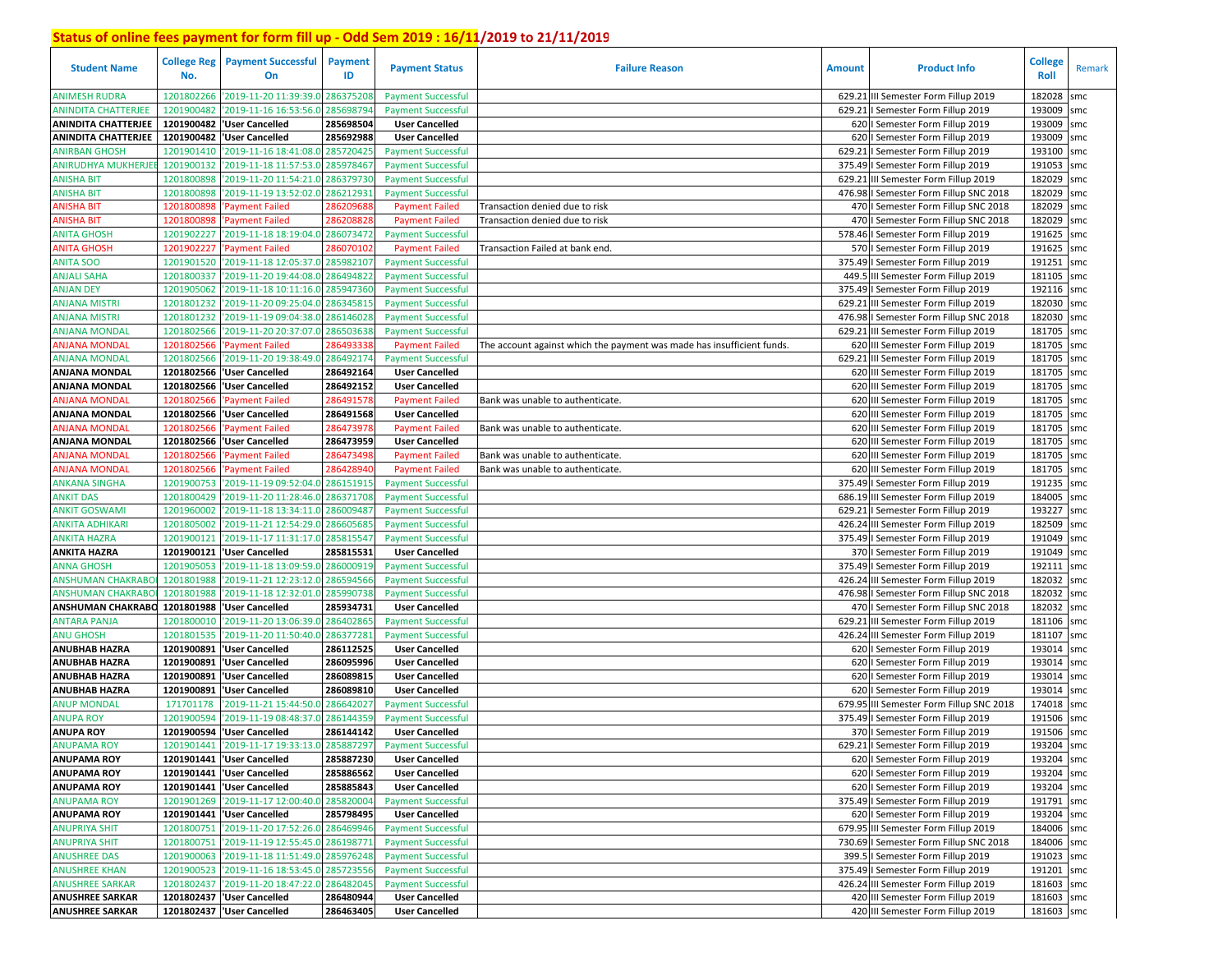| <b>Student Name</b>          | College Reg<br>No. | <b>Payment Successful</b><br><b>On</b>      | Payment<br>ID | <b>Payment Status</b>     | <b>Failure Reason</b>                                                 | Amount | <b>Product Info</b>                                                            | <b>College</b><br>Roll | Remark |
|------------------------------|--------------------|---------------------------------------------|---------------|---------------------------|-----------------------------------------------------------------------|--------|--------------------------------------------------------------------------------|------------------------|--------|
| <b>ANIMESH RUDRA</b>         | 1201802266         | '2019-11-20 11:39:39.0 286375208            |               | <b>Payment Successful</b> |                                                                       |        | 629.21 III Semester Form Fillup 2019                                           | 182028                 | smc    |
| <b>ANINDITA CHATTERJEE</b>   | 1201900482         | '2019-11-16 16:53:56.0                      | 285698794     | <b>Payment Successful</b> |                                                                       |        | 629.21   Semester Form Fillup 2019                                             | 193009                 | smc    |
| <b>ANINDITA CHATTERJEE</b>   |                    | 1201900482 User Cancelled                   | 285698504     | <b>User Cancelled</b>     |                                                                       |        | 620   Semester Form Fillup 2019                                                | 193009                 | smc    |
| <b>ANINDITA CHATTERJEE</b>   | 1201900482         | 'User Cancelled                             | 285692988     | <b>User Cancelled</b>     |                                                                       |        | 620   Semester Form Fillup 2019                                                | 193009                 | smc    |
| <b>ANIRBAN GHOSH</b>         | 1201901410         | '2019-11-16 18:41:08.0 285720425            |               | <b>Payment Successful</b> |                                                                       |        | 629.21   Semester Form Fillup 2019                                             | 193100 smc             |        |
| ANIRUDHYA MUKHERJEI          | 1201900132         | '2019-11-18 11:57:53.0 285978467            |               | <b>Payment Successful</b> |                                                                       |        | 375.49   Semester Form Fillup 2019                                             | 191053                 | smc    |
| ANISHA BIT                   | 1201800898         | '2019-11-20 11:54:21.0 286379730            |               | <b>Payment Successful</b> |                                                                       |        | 629.21 III Semester Form Fillup 2019                                           | 182029 smc             |        |
| <b>ANISHA BIT</b>            | 1201800898         | '2019-11-19 13:52:02.0                      | 286212931     | <b>Payment Successful</b> |                                                                       |        | 476.98   Semester Form Fillup SNC 2018                                         | 182029 smc             |        |
| ANISHA BIT                   | 1201800898         | <b>Payment Failed</b>                       | 28620968      | <b>Payment Failed</b>     | Transaction denied due to risk                                        |        | 470   Semester Form Fillup SNC 2018                                            | 182029 smc             |        |
| ANISHA BIT                   | 1201800898         | Payment Failed                              | 286208828     | <b>Payment Failed</b>     | Transaction denied due to risk                                        |        | 470   Semester Form Fillup SNC 2018                                            | 182029 smc             |        |
| <b>ANITA GHOSH</b>           | 1201902227         | '2019-11-18 18:19:04.0                      | 286073472     | <b>Payment Successful</b> |                                                                       |        | 578.46   Semester Form Fillup 2019                                             | 191625 smc             |        |
| <b>ANITA GHOSH</b>           | 1201902227         | 'Payment Failed                             | 286070102     | <b>Payment Failed</b>     | Transaction Failed at bank end.                                       |        | 570   Semester Form Fillup 2019                                                | 191625 smc             |        |
| <b>ANITA SOO</b>             | 1201901520         |                                             | 285982107     |                           |                                                                       |        |                                                                                | 191251                 |        |
|                              |                    | '2019-11-18 12:05:37.0                      |               | <b>Payment Successful</b> |                                                                       |        | 375.49 I Semester Form Fillup 2019                                             |                        | smc    |
| <b>ANJALI SAHA</b>           | 1201800337         | '2019-11-20 19:44:08.                       | 286494822     | <b>Payment Successful</b> |                                                                       |        | 449.5 III Semester Form Fillup 2019                                            | 181105                 | smc    |
| ANJAN DEY                    | 1201905062         | '2019-11-18 10:11:16.0                      | 285947360     | <b>Payment Successful</b> |                                                                       |        | 375.49   Semester Form Fillup 2019                                             | 192116 smc             |        |
| <b>ANJANA MISTRI</b>         | 1201801232         | '2019-11-20 09:25:04.                       | 286345815     | <b>Payment Successful</b> |                                                                       |        | 629.21 III Semester Form Fillup 2019                                           | 182030 smc             |        |
| <b>ANJANA MISTRI</b>         | 1201801232         | '2019-11-19 09:04:38.0                      | 286146028     | <b>Payment Successful</b> |                                                                       |        | 476.98   Semester Form Fillup SNC 2018                                         | 182030 smc             |        |
| <b>ANJANA MONDAL</b>         | 1201802566         | '2019-11-20 20:37:07.                       | 286503638     | <b>Payment Successful</b> |                                                                       |        | 629.21 III Semester Form Fillup 2019                                           | 181705 smc             |        |
| ANJANA MONDAL                | 1201802566         | Payment Failed                              | 28649333      | <b>Payment Failed</b>     | The account against which the payment was made has insufficient funds |        | 620 III Semester Form Fillup 2019                                              | 181705 smc             |        |
| <b>ANJANA MONDAL</b>         | 1201802566         | '2019-11-20 19:38:49.0                      | 286492174     | <b>Payment Successful</b> |                                                                       |        | 629.21 III Semester Form Fillup 2019                                           | 181705 smc             |        |
| ANJANA MONDAL                |                    | 1201802566 User Cancelled                   | 286492164     | <b>User Cancelled</b>     |                                                                       |        | 620 III Semester Form Fillup 2019                                              | 181705 smc             |        |
| ANJANA MONDAL                | 1201802566         | 'User Cancelled                             | 286492152     | <b>User Cancelled</b>     |                                                                       |        | 620 III Semester Form Fillup 2019                                              | 181705 smc             |        |
| <b>ANJANA MONDAL</b>         | 1201802566         | <b>Payment Failed</b>                       | 286491578     | <b>Payment Failed</b>     | Bank was unable to authenticate.                                      |        | 620 III Semester Form Fillup 2019                                              | 181705 smc             |        |
| <b>ANJANA MONDAL</b>         | 1201802566         | 'User Cancelled                             | 286491568     | <b>User Cancelled</b>     |                                                                       |        | 620 III Semester Form Fillup 2019                                              | 181705 smc             |        |
| <b>ANJANA MONDAL</b>         | 1201802566         | 'Payment Failed                             | 286473978     | <b>Payment Failed</b>     | Bank was unable to authenticate.                                      |        | 620 III Semester Form Fillup 2019                                              | 181705 smc             |        |
| ANJANA MONDAL                | 1201802566         | 'User Cancelled                             | 286473959     | <b>User Cancelled</b>     |                                                                       |        | 620 III Semester Form Fillup 2019                                              | 181705 smc             |        |
| ANJANA MONDAL                | 1201802566         | <b>Payment Failed</b>                       | 286473498     | <b>Payment Failed</b>     | Bank was unable to authenticate.                                      |        | 620 III Semester Form Fillup 2019                                              | 181705 smc             |        |
| ANJANA MONDAL                | 1201802566         | Payment Failed                              | 286428940     | <b>Payment Failed</b>     | Bank was unable to authenticate.                                      |        | 620 III Semester Form Fillup 2019                                              | 181705 smc             |        |
| <b>ANKANA SINGHA</b>         | 1201900753         | '2019-11-19 09:52:04.0 286151915            |               | <b>Payment Successful</b> |                                                                       |        | 375.49   Semester Form Fillup 2019                                             | 191235                 | smc    |
| <b>ANKIT DAS</b>             | 1201800429         | '2019-11-20 11:28:46.0                      | 286371708     | <b>Payment Successful</b> |                                                                       |        | 686.19 III Semester Form Fillup 2019                                           | 184005 smc             |        |
| <b>ANKIT GOSWAMI</b>         | 1201960002         | '2019-11-18 13:34:11.0 286009487            |               | <b>Payment Successful</b> |                                                                       |        | 629.21   Semester Form Fillup 2019                                             | 193227                 | smc    |
| ANKITA ADHIKARI              | 1201805002         | '2019-11-21 12:54:29.0 286605685            |               | <b>Payment Successful</b> |                                                                       |        | 426.24 III Semester Form Fillup 2019                                           | 182509 smc             |        |
| <b>ANKITA HAZRA</b>          | 1201900121         | '2019-11-17 11:31:17.0                      | 285815547     | <b>Payment Successful</b> |                                                                       |        | 375.49   Semester Form Fillup 2019                                             | 191049 smc             |        |
| <b>ANKITA HAZRA</b>          | 1201900121         | 'User Cancelled                             | 285815531     | <b>User Cancelled</b>     |                                                                       |        | 370   Semester Form Fillup 2019                                                | 191049 smc             |        |
| <b>ANNA GHOSH</b>            | 1201905053         | '2019-11-18 13:09:59.0                      | 286000919     | <b>Payment Successful</b> |                                                                       |        | 375.49   Semester Form Fillup 2019                                             | 192111                 | smc    |
| <b>ANSHUMAN CHAKRABO</b>     | 1201801988         | '2019-11-21 12:23:12.0                      | 286594566     | <b>Payment Successful</b> |                                                                       |        |                                                                                | 182032                 |        |
| <b>ANSHUMAN CHAKRABO</b>     | 1201801988         | '2019-11-18 12:32:01.0                      | 285990738     |                           |                                                                       |        | 426.24 III Semester Form Fillup 2019<br>476.98   Semester Form Fillup SNC 2018 | 182032                 | smc    |
|                              |                    |                                             |               | <b>Payment Successful</b> |                                                                       |        |                                                                                |                        | smc    |
| ANSHUMAN CHAKRABO 1201801988 |                    | 'User Cancelled                             | 285934731     | <b>User Cancelled</b>     |                                                                       |        | 470   Semester Form Fillup SNC 2018                                            | 182032 smc             |        |
| <b>ANTARA PANJA</b>          | 1201800010         | '2019-11-20 13:06:39.0                      | 286402865     | <b>Payment Successful</b> |                                                                       |        | 629.21 III Semester Form Fillup 2019                                           | 181106 smc             |        |
| <b>ANU GHOSH</b>             | 1201801535         | '2019-11-20 11:50:40.0                      | 286377281     | <b>Payment Successful</b> |                                                                       |        | 426.24 III Semester Form Fillup 2019                                           | 181107 smc             |        |
| <b>ANUBHAB HAZRA</b>         | 1201900891         | 'User Cancelled                             | 286112525     | <b>User Cancelled</b>     |                                                                       |        | 620   Semester Form Fillup 2019                                                | 193014                 | smc    |
| <b>ANUBHAB HAZRA</b>         | 1201900891         | 'User Cancelled                             | 286095996     | <b>User Cancelled</b>     |                                                                       |        | 620   Semester Form Fillup 2019                                                | 193014 smc             |        |
| <b>ANUBHAB HAZRA</b>         | 1201900891         | 'User Cancelled                             | 286089815     | <b>User Cancelled</b>     |                                                                       |        | 620   Semester Form Fillup 2019                                                | 193014 smc             |        |
| <b>ANUBHAB HAZRA</b>         | 1201900891         | 'User Cancelled                             | 286089810     | <b>User Cancelled</b>     |                                                                       |        | 620   Semester Form Fillup 2019                                                | 193014                 | smc    |
| <b>ANUP MONDAL</b>           | 171701178          | 2019-11-21 15:44:50.0                       | 286642027     | <b>Payment Successful</b> |                                                                       |        | 679.95 III Semester Form Fillup SNC 2018                                       | 174018                 | smc    |
| <b>ANUPA ROY</b>             | 1201900594         | '2019-11-19 08:48:37.                       | 286144359     | <b>Payment Successful</b> |                                                                       |        | 375.49   Semester Form Fillup 2019                                             | 191506                 | smc    |
| <b>ANUPA ROY</b>             | 1201900594         | <b>User Cancelled</b>                       | 286144142     | <b>User Cancelled</b>     |                                                                       |        | 370   Semester Form Fillup 2019                                                | 191506 smc             |        |
| <b>ANUPAMA ROY</b>           |                    | 1201901441 '2019-11-17 19:33:13.0 285887297 |               | <b>Payment Successful</b> |                                                                       |        | 629.21   Semester Form Fillup 2019                                             | 193204                 | smc    |
| <b>ANUPAMA ROY</b>           |                    | 1201901441  'User Cancelled                 | 285887230     | <b>User Cancelled</b>     |                                                                       |        | 620   Semester Form Fillup 2019                                                | 193204 smc             |        |
| <b>ANUPAMA ROY</b>           |                    | 1201901441  'User Cancelled                 | 285886562     | <b>User Cancelled</b>     |                                                                       |        | 620   Semester Form Fillup 2019                                                | 193204 smc             |        |
| <b>ANUPAMA ROY</b>           |                    | 1201901441  'User Cancelled                 | 285885843     | <b>User Cancelled</b>     |                                                                       |        | 620   Semester Form Fillup 2019                                                | 193204 smc             |        |
| <b>ANUPAMA ROY</b>           |                    | 1201901269 2019-11-17 12:00:40.0 285820004  |               | <b>Payment Successful</b> |                                                                       |        | 375.49   Semester Form Fillup 2019                                             | 191791 smc             |        |
| <b>ANUPAMA ROY</b>           |                    | 1201901441   'User Cancelled                | 285798495     | <b>User Cancelled</b>     |                                                                       |        | 620   Semester Form Fillup 2019                                                | 193204 smc             |        |
| <b>ANUPRIYA SHIT</b>         |                    | 1201800751 2019-11-20 17:52:26.0 286469946  |               | <b>Payment Successful</b> |                                                                       |        | 679.95 III Semester Form Fillup 2019                                           | 184006 smc             |        |
| <b>ANUPRIYA SHIT</b>         |                    | 1201800751 2019-11-19 12:55:45.0 286198771  |               | <b>Payment Successful</b> |                                                                       |        | 730.69   Semester Form Fillup SNC 2018                                         | 184006 smc             |        |
| <b>ANUSHREE DAS</b>          |                    | 1201900063 2019-11-18 11:51:49.0 285976248  |               | <b>Payment Successful</b> |                                                                       |        | 399.5   Semester Form Fillup 2019                                              | 191023 smc             |        |
| <b>ANUSHREE KHAN</b>         |                    | 1201900523 2019-11-16 18:53:45.0 285723556  |               | <b>Payment Successful</b> |                                                                       |        | 375.49   Semester Form Fillup 2019                                             | 191201 smc             |        |
| <b>ANUSHREE SARKAR</b>       |                    | 1201802437 2019-11-20 18:47:22.0 286482045  |               | <b>Payment Successful</b> |                                                                       |        | 426.24 III Semester Form Fillup 2019                                           | 181603 smc             |        |
| <b>ANUSHREE SARKAR</b>       |                    | 1201802437   'User Cancelled                | 286480944     | <b>User Cancelled</b>     |                                                                       |        | 420 III Semester Form Fillup 2019                                              | 181603 smc             |        |
| <b>ANUSHREE SARKAR</b>       |                    | 1201802437 'User Cancelled                  | 286463405     | <b>User Cancelled</b>     |                                                                       |        | 420 III Semester Form Fillup 2019                                              | 181603 smc             |        |
|                              |                    |                                             |               |                           |                                                                       |        |                                                                                |                        |        |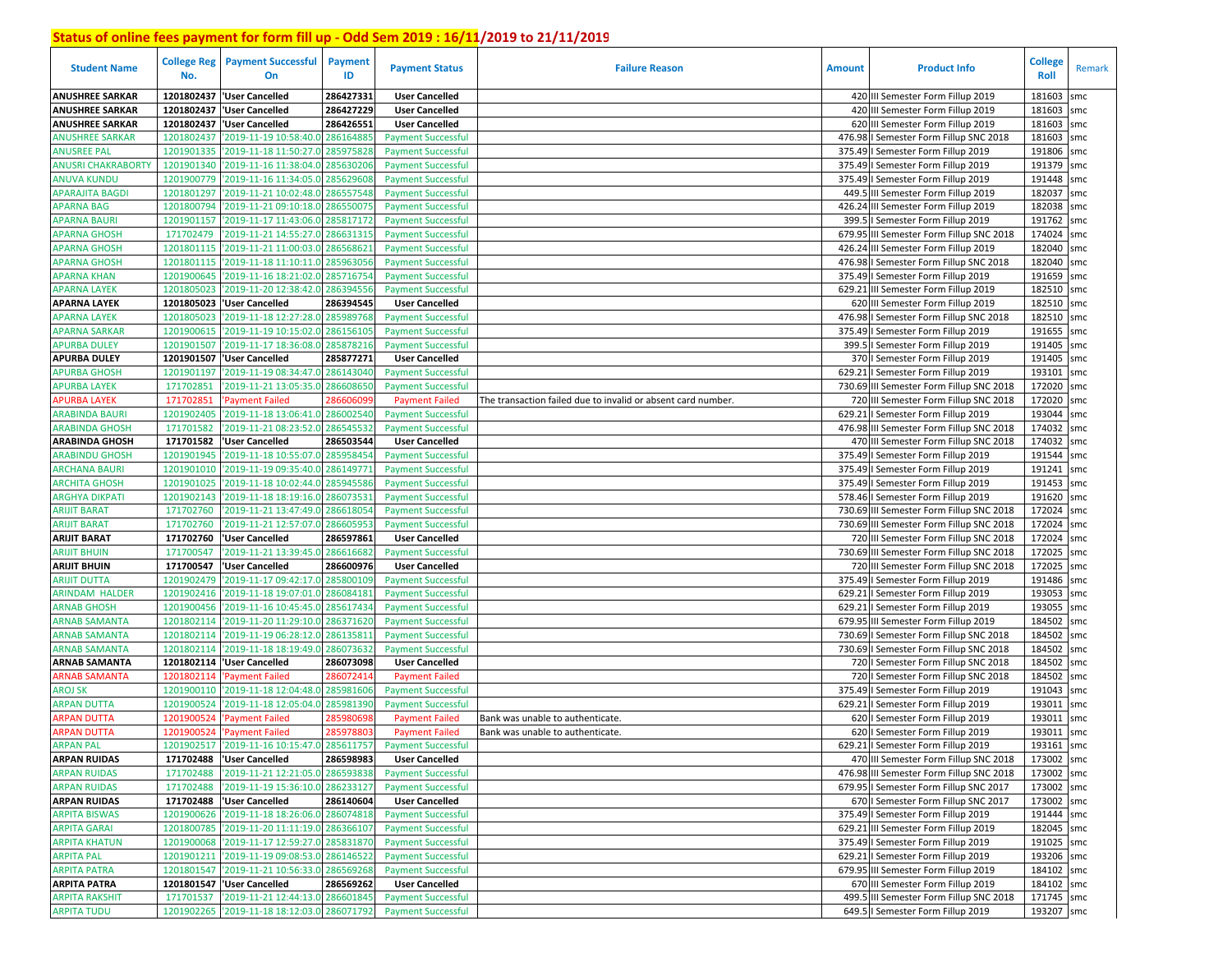| <b>Student Name</b>                 | No.                    | <b>College Reg   Payment Successful</b><br>On                 | Payment<br>ID          | <b>Payment Status</b>                              | <b>Failure Reason</b>                                        | <b>Amount</b> | <b>Product Info</b>                                                               | <b>College</b><br>Roll   | Remark |
|-------------------------------------|------------------------|---------------------------------------------------------------|------------------------|----------------------------------------------------|--------------------------------------------------------------|---------------|-----------------------------------------------------------------------------------|--------------------------|--------|
| <b>ANUSHREE SARKAR</b>              | 1201802437             | <b>User Cancelled</b>                                         | 286427331              | <b>User Cancelled</b>                              |                                                              |               | 420 III Semester Form Fillup 2019                                                 | 181603                   | smc    |
| <b>ANUSHREE SARKAR</b>              | 1201802437             | 'User Cancelled                                               | 286427229              | <b>User Cancelled</b>                              |                                                              |               | 420 III Semester Form Fillup 2019                                                 | 181603                   | smc    |
| <b>ANUSHREE SARKAR</b>              | 1201802437             | 'User Cancelled                                               | 286426551              | <b>User Cancelled</b>                              |                                                              |               | 620 III Semester Form Fillup 2019                                                 | 181603                   | smc    |
| ANUSHREE SARKAR                     | 1201802437             | '2019-11-19 10:58:40.0 286164885                              |                        | <b>Payment Successful</b>                          |                                                              |               | 476.98 I Semester Form Fillup SNC 2018                                            | 181603                   | smc    |
| <b>ANUSREE PAL</b>                  | 1201901335             | '2019-11-18 11:50:27.0                                        | 285975828              | <b>Payment Successful</b>                          |                                                              |               | 375.49   Semester Form Fillup 2019                                                | 191806                   | smc    |
| <b>ANUSRI CHAKRABORTY</b>           | 1201901340             | '2019-11-16 11:38:04.0 285630206                              |                        | <b>Payment Successful</b>                          |                                                              |               | 375.49   Semester Form Fillup 2019                                                | 191379                   | smc    |
| ANUVA KUNDU                         | 1201900779             | '2019-11-16 11:34:05.0                                        | 285629608              | <b>Payment Successful</b>                          |                                                              |               | 375.49   Semester Form Fillup 2019                                                | 191448                   | smc    |
| <b>APARAJITA BAGDI</b>              | 1201801297             | '2019-11-21 10:02:48.0 286557548                              |                        | <b>Payment Successful</b>                          |                                                              |               | 449.5 III Semester Form Fillup 2019                                               | 182037                   | smc    |
| <b>APARNA BAG</b>                   | 1201800794             | '2019-11-21 09:10:18.0 286550075                              |                        | <b>Payment Successful</b>                          |                                                              |               | 426.24 III Semester Form Fillup 2019                                              | 182038 smc               |        |
| APARNA BAURI                        | 1201901157             | '2019-11-17 11:43:06.0 285817172                              |                        | <b>Payment Successful</b>                          |                                                              |               | 399.5   Semester Form Fillup 2019                                                 | 191762                   | smc    |
| <b>APARNA GHOSH</b>                 | 171702479              | '2019-11-21 14:55:27.0                                        | 286631315              | <b>Payment Successful</b>                          |                                                              |               | 679.95 III Semester Form Fillup SNC 2018                                          | 174024 smc               |        |
| <b>APARNA GHOSH</b>                 | 1201801115             | '2019-11-21 11:00:03.0                                        | 286568621              | <b>Payment Successful</b>                          |                                                              |               | 426.24 III Semester Form Fillup 2019                                              | 182040 smc               |        |
| <b>APARNA GHOSH</b>                 | 1201801115             | '2019-11-18 11:10:11.0 285963056                              |                        | <b>Payment Successful</b>                          |                                                              |               | 476.98   Semester Form Fillup SNC 2018                                            | 182040 smc               |        |
| <b>APARNA KHAN</b>                  | 1201900645             | '2019-11-16 18:21:02.0                                        | 285716754              | <b>Payment Successful</b>                          |                                                              |               | 375.49   Semester Form Fillup 2019                                                | 191659 smc               |        |
| <b>APARNA LAYEK</b>                 | 1201805023             | '2019-11-20 12:38:42.0                                        | 286394556              | <b>Payment Successful</b>                          |                                                              |               | 629.21 III Semester Form Fillup 2019                                              | 182510 smc               |        |
| <b>APARNA LAYEK</b>                 | 1201805023             | 'User Cancelled                                               | 286394545              | <b>User Cancelled</b>                              |                                                              |               | 620 III Semester Form Fillup 2019                                                 | 182510 smc               |        |
| <b>APARNA LAYEK</b>                 | 1201805023             | '2019-11-18 12:27:28.0                                        | 285989768              | <b>Payment Successful</b>                          |                                                              |               | 476.98   Semester Form Fillup SNC 2018                                            | 182510 smc               |        |
| <b>APARNA SARKAR</b>                | 1201900615             | '2019-11-19 10:15:02.0                                        | 286156105              | <b>Payment Successful</b>                          |                                                              |               | 375.49   Semester Form Fillup 2019                                                | 191655                   | smc    |
| APURBA DULEY                        | 1201901507             | '2019-11-17 18:36:08.0                                        | 285878216              | <b>Payment Successful</b>                          |                                                              |               | 399.5   Semester Form Fillup 2019                                                 | 191405 smc               |        |
| <b>APURBA DULEY</b>                 | 1201901507             | 'User Cancelled                                               | 285877271              | <b>User Cancelled</b>                              |                                                              |               | 370   Semester Form Fillup 2019                                                   | 191405                   | smc    |
| <b>APURBA GHOSH</b>                 | 1201901197             | '2019-11-19 08:34:47.                                         | 286143040              | <b>Payment Successful</b>                          |                                                              |               | 629.21   Semester Form Fillup 2019                                                | 193101 smc               |        |
| <b>APURBA LAYEK</b>                 | 171702851              | '2019-11-21 13:05:35.0                                        | 286608650              | <b>Payment Successful</b>                          |                                                              |               | 730.69 III Semester Form Fillup SNC 2018                                          | 172020                   | smc    |
| <b>APURBA LAYEK</b>                 | 171702851              | Payment Failed                                                | 28660609               | <b>Payment Failed</b>                              | The transaction failed due to invalid or absent card number. |               | 720 III Semester Form Fillup SNC 2018                                             | 172020 smc               |        |
| ARABINDA BAURI                      | 1201902405             | '2019-11-18 13:06:41.0                                        | 286002540              | <b>Payment Successful</b>                          |                                                              |               | 629.21   Semester Form Fillup 2019                                                | 193044                   | smc    |
| <b>ARABINDA GHOSH</b>               | 171701582              | 2019-11-21 08:23:52.0                                         | 286545532              | <b>Payment Successful</b>                          |                                                              |               | 476.98 III Semester Form Fillup SNC 2018                                          | 174032                   | smc    |
| <b>ARABINDA GHOSH</b>               | 171701582              | 'User Cancelled                                               | 286503544              | <b>User Cancelled</b>                              |                                                              |               | 470 III Semester Form Fillup SNC 2018                                             | 174032                   | smc    |
| <b>ARABINDU GHOSH</b>               | 1201901945             | '2019-11-18 10:55:07.0                                        | 285958454              | <b>Payment Successful</b>                          |                                                              |               | 375.49   Semester Form Fillup 2019                                                | 191544                   | smc    |
| <b>ARCHANA BAURI</b>                | 1201901010             | '2019-11-19 09:35:40.0                                        | 286149771              | <b>Payment Successful</b>                          |                                                              |               | 375.49   Semester Form Fillup 2019                                                | 191241                   | smc    |
| <b>ARCHITA GHOSH</b>                | 1201901025             | '2019-11-18 10:02:44.0 285945586                              |                        | <b>Payment Successful</b>                          |                                                              |               | 375.49   Semester Form Fillup 2019                                                | 191453                   | smc    |
| ARGHYA DIKPATI                      | 1201902143             | '2019-11-18 18:19:16.0 286073531                              |                        | <b>Payment Successful</b>                          |                                                              |               | 578.46   Semester Form Fillup 2019                                                | 191620 smc               |        |
| ARIJIT BARAT                        | 171702760              | '2019-11-21 13:47:49.0 286618054                              |                        | <b>Payment Successful</b>                          |                                                              |               | 730.69 III Semester Form Fillup SNC 2018                                          | 172024                   | smc    |
| ARIJIT BARAT                        | 171702760              | '2019-11-21 12:57:07.0                                        | 286605953              | <b>Payment Successful</b>                          |                                                              |               | 730.69 III Semester Form Fillup SNC 2018                                          | 172024                   | smc    |
| <b>ARIJIT BARAT</b>                 | 171702760<br>171700547 | 'User Cancelled<br>'2019-11-21 13:39:45.0                     | 286597861<br>286616682 | <b>User Cancelled</b>                              |                                                              |               | 720 III Semester Form Fillup SNC 2018<br>730.69 III Semester Form Fillup SNC 2018 | 172024 smc<br>172025 smc |        |
| ARIJIT BHUIN<br><b>ARIJIT BHUIN</b> | 171700547              | 'User Cancelled                                               | 286600976              | <b>Payment Successful</b><br><b>User Cancelled</b> |                                                              |               | 720 III Semester Form Fillup SNC 2018                                             | 172025                   | smc    |
| ARIJIT DUTTA                        | 1201902479             | '2019-11-17 09:42:17.0                                        | 285800109              | <b>Payment Successful</b>                          |                                                              |               | 375.49   Semester Form Fillup 2019                                                | 191486 smc               |        |
| <b>ARINDAM HALDER</b>               | 1201902416             | '2019-11-18 19:07:01.0                                        | 286084181              | <b>Payment Successful</b>                          |                                                              |               | 629.21   Semester Form Fillup 2019                                                | 193053                   | smc    |
| ARNAB GHOSH                         | 1201900456             | '2019-11-16 10:45:45.0                                        | 285617434              | <b>Payment Successful</b>                          |                                                              |               | 629.21   Semester Form Fillup 2019                                                | 193055 smc               |        |
| <b>ARNAB SAMANTA</b>                | 1201802114             | '2019-11-20 11:29:10.0                                        | 286371620              | <b>Payment Successful</b>                          |                                                              |               | 679.95 III Semester Form Fillup 2019                                              | 184502                   | smc    |
| ARNAB SAMANTA                       | 1201802114             | '2019-11-19 06:28:12.0                                        | 286135811              | <b>Payment Successful</b>                          |                                                              |               | 730.69   Semester Form Fillup SNC 2018                                            | 184502 smc               |        |
| <b>ARNAB SAMANTA</b>                | 1201802114             | '2019-11-18 18:19:49.0                                        | 286073632              | <b>Payment Successful</b>                          |                                                              |               | 730.69   Semester Form Fillup SNC 2018                                            | 184502                   | smc    |
| ARNAB SAMANTA                       | 1201802114             | 'User Cancelled                                               | 286073098              | <b>User Cancelled</b>                              |                                                              |               | 720   Semester Form Fillup SNC 2018                                               | 184502                   | smc    |
| <b>ARNAB SAMANTA</b>                | 1201802114             | <b>Payment Failed</b>                                         | 286072414              | <b>Payment Failed</b>                              |                                                              |               | 720   Semester Form Fillup SNC 2018                                               | 184502                   | smc    |
| AROJ SK                             | 1201900110             | '2019-11-18 12:04:48.0                                        | 285981606              | <b>Payment Successful</b>                          |                                                              |               | 375.49   Semester Form Fillup 2019                                                | 191043                   | smc    |
| <b>ARPAN DUTTA</b>                  | 1201900524             | '2019-11-18 12:05:04.                                         | 285981390              | <b>Payment Successful</b>                          |                                                              |               | 629.21   Semester Form Fillup 2019                                                | 193011                   | smc    |
| <b>ARPAN DUTTA</b>                  | 1201900524             | <b>Payment Failed</b>                                         | 28598069               | <b>Payment Failed</b>                              | Bank was unable to authenticate.                             |               | 620   Semester Form Fillup 2019                                                   | 193011                   | smc    |
| <b>ARPAN DUTTA</b>                  | 1201900524             | 'Payment Failed                                               | 285978803              | <b>Payment Failed</b>                              | Bank was unable to authenticate.                             |               | 620   Semester Form Fillup 2019                                                   | 193011                   | smc    |
| ARPAN PAL                           |                        | 1201902517 2019-11-16 10:15:47.0 285611757 Payment Successful |                        |                                                    |                                                              |               | 629.21   Semester Form Fillup 2019                                                | 193161 smc               |        |
| <b>ARPAN RUIDAS</b>                 |                        | 171702488 Vuser Cancelled                                     | 286598983              | <b>User Cancelled</b>                              |                                                              |               | 470 III Semester Form Fillup SNC 2018                                             | 173002 smc               |        |
| <b>ARPAN RUIDAS</b>                 | 171702488              | '2019-11-21 12:21:05.0 286593838                              |                        | <b>Payment Successful</b>                          |                                                              |               | 476.98 III Semester Form Fillup SNC 2018                                          | 173002 smc               |        |
| <b>ARPAN RUIDAS</b>                 |                        | 171702488 2019-11-19 15:36:10.0 286233127                     |                        | <b>Payment Successful</b>                          |                                                              |               | 679.95   Semester Form Fillup SNC 2017                                            | 173002 smc               |        |
| <b>ARPAN RUIDAS</b>                 |                        | 171702488 User Cancelled                                      | 286140604              | <b>User Cancelled</b>                              |                                                              |               | 670   Semester Form Fillup SNC 2017                                               | 173002 smc               |        |
| <b>ARPITA BISWAS</b>                |                        | 1201900626 2019-11-18 18:26:06.0 286074818                    |                        | <b>Payment Successful</b>                          |                                                              |               | 375.49   Semester Form Fillup 2019                                                | 191444 smc               |        |
| <b>ARPITA GARAI</b>                 |                        | 1201800785 2019-11-20 11:11:19.0 286366107                    |                        | <b>Payment Successful</b>                          |                                                              |               | 629.21 III Semester Form Fillup 2019                                              | 182045 smc               |        |
| <b>ARPITA KHATUN</b>                |                        | 1201900068 2019-11-17 12:59:27.0 285831870                    |                        | <b>Payment Successful</b>                          |                                                              |               | 375.49   Semester Form Fillup 2019                                                | 191025 smc               |        |
| <b>ARPITA PAL</b>                   |                        | 1201901211 2019-11-19 09:08:53.0 286146522                    |                        | <b>Payment Successful</b>                          |                                                              |               | 629.21   Semester Form Fillup 2019                                                | 193206 smc               |        |
| <b>ARPITA PATRA</b>                 |                        | 1201801547 2019-11-21 10:56:33.0 286569268                    |                        | <b>Payment Successful</b>                          |                                                              |               | 679.95 III Semester Form Fillup 2019                                              | 184102 smc               |        |
| <b>ARPITA PATRA</b>                 |                        | 1201801547 User Cancelled                                     | 286569262              | <b>User Cancelled</b>                              |                                                              |               | 670 III Semester Form Fillup 2019                                                 | 184102 smc               |        |
| <b>ARPITA RAKSHIT</b>               |                        | 171701537 2019-11-21 12:44:13.0 286601845                     |                        | <b>Payment Successful</b>                          |                                                              |               | 499.5 III Semester Form Fillup SNC 2018                                           | 171745 smc               |        |
| <b>ARPITA TUDU</b>                  |                        | 1201902265 2019-11-18 18:12:03.0 286071792                    |                        | <b>Payment Successful</b>                          |                                                              |               | 649.5   Semester Form Fillup 2019                                                 | 193207 smc               |        |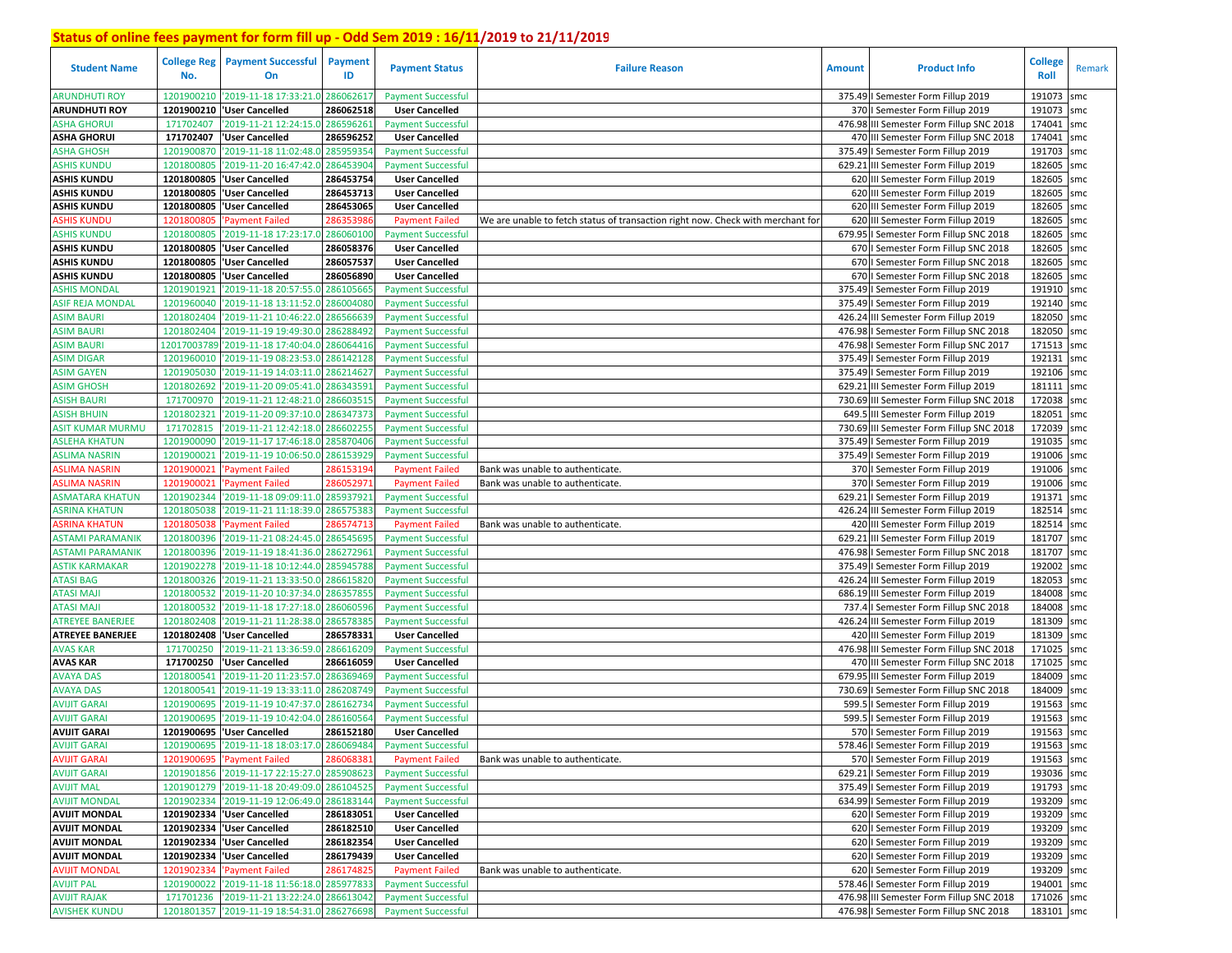| <b>Student Name</b>     | <b>College Reg</b><br>No. | <b>Payment Successful</b><br>On             | <b>Payment</b><br>ID | <b>Payment Status</b>     | <b>Failure Reason</b>                                                           | <b>Amount</b> | <b>Product Info</b>                      | College<br>Roll | Remark |
|-------------------------|---------------------------|---------------------------------------------|----------------------|---------------------------|---------------------------------------------------------------------------------|---------------|------------------------------------------|-----------------|--------|
| <b>ARUNDHUTI ROY</b>    | 1201900210                | '2019-11-18 17:33:21.0                      | 28606261             | <b>Payment Successful</b> |                                                                                 |               | 375.49   Semester Form Fillup 2019       | 191073          | smc    |
| <b>ARUNDHUTI ROY</b>    | 1201900210                | 'User Cancelled                             | 286062518            | <b>User Cancelled</b>     |                                                                                 |               | 370   Semester Form Fillup 2019          | 191073          | smc    |
| ASHA GHORUI             | 171702407                 | '2019-11-21 12:24:15.0                      | 286596261            | <b>Payment Successful</b> |                                                                                 |               | 476.98 III Semester Form Fillup SNC 2018 | 174041          | smc    |
| <b>ASHA GHORUI</b>      | 171702407                 | 'User Cancelled                             | 286596252            | <b>User Cancelled</b>     |                                                                                 |               | 470 III Semester Form Fillup SNC 2018    | 174041          | smc    |
| ASHA GHOSH              | 1201900870                | '2019-11-18 11:02:48.0                      | 28595935             | <b>Payment Successful</b> |                                                                                 |               | 375.49   Semester Form Fillup 2019       | 191703          | smc    |
| <b>ASHIS KUNDU</b>      | 1201800805                | '2019-11-20 16:47:42.0                      | 28645390             | <b>Payment Successful</b> |                                                                                 |               | 629.21 III Semester Form Fillup 2019     | 182605          | smc    |
| <b>ASHIS KUNDU</b>      |                           | 1201800805  'User Cancelled                 | 286453754            | <b>User Cancelled</b>     |                                                                                 |               | 620 III Semester Form Fillup 2019        | 182605          | smc    |
| <b>ASHIS KUNDU</b>      |                           | 1201800805  'User Cancelled                 | 286453713            | <b>User Cancelled</b>     |                                                                                 |               | 620 III Semester Form Fillup 2019        | 182605          | smc    |
| <b>ASHIS KUNDU</b>      |                           | 1201800805  'User Cancelled                 | 286453065            | <b>User Cancelled</b>     |                                                                                 |               | 620 III Semester Form Fillup 2019        | 182605          | smc    |
| <b>ASHIS KUNDU</b>      | 1201800805                | Payment Failed                              | 286353986            | <b>Payment Failed</b>     | We are unable to fetch status of transaction right now. Check with merchant for |               | 620 III Semester Form Fillup 2019        | 182605          | smc    |
| <b>ASHIS KUNDU</b>      | 1201800805                | '2019-11-18 17:23:17.0                      | 28606010             | <b>Payment Successful</b> |                                                                                 |               | 679.95   Semester Form Fillup SNC 2018   | 182605          | smc    |
| <b>ASHIS KUNDU</b>      |                           | 1201800805  'User Cancelled                 | 286058376            | <b>User Cancelled</b>     |                                                                                 |               | 670   Semester Form Fillup SNC 2018      | 182605          | smc    |
| <b>ASHIS KUNDU</b>      | 1201800805                | <b>User Cancelled</b>                       | 286057537            | <b>User Cancelled</b>     |                                                                                 |               | 670   Semester Form Fillup SNC 2018      | 182605          | smc    |
| <b>ASHIS KUNDU</b>      | 1201800805                | <b>User Cancelled</b>                       | 286056890            | <b>User Cancelled</b>     |                                                                                 |               | 670   Semester Form Fillup SNC 2018      | 182605          | smc    |
| ASHIS MONDAL            | 1201901921                | '2019-11-18 20:57:55.0                      | 286105665            | <b>Payment Successful</b> |                                                                                 |               | 375.49   Semester Form Fillup 2019       | 191910 smc      |        |
| <b>ASIF REJA MONDAL</b> | 1201960040                | '2019-11-18 13:11:52.0                      | 28600408             | <b>Payment Successful</b> |                                                                                 |               | 375.49   Semester Form Fillup 2019       | 192140          | smc    |
| <b>ASIM BAURI</b>       | 1201802404                | 2019-11-21 10:46:22.0                       | 28656663             | <b>Payment Successful</b> |                                                                                 |               | 426.24 III Semester Form Fillup 2019     | 182050          | smc    |
| <b>ASIM BAURI</b>       | 1201802404                | '2019-11-19 19:49:30.0                      | 28628849             | <b>Payment Successful</b> |                                                                                 |               | 476.98   Semester Form Fillup SNC 2018   | 182050          | smc    |
| <b>ASIM BAURI</b>       | 12017003789               | '2019-11-18 17:40:04.0                      | 286064416            | <b>Payment Successful</b> |                                                                                 |               | 476.98 I Semester Form Fillup SNC 2017   | 171513          | smc    |
| <b>ASIM DIGAR</b>       | 1201960010                | 2019-11-19 08:23:53.0                       | 28614212             | <b>Payment Successful</b> |                                                                                 |               | 375.49   Semester Form Fillup 2019       | 192131          | smc    |
| <b>ASIM GAYEN</b>       | 1201905030                | '2019-11-19 14:03:11.0                      | 286214627            | <b>Payment Successful</b> |                                                                                 |               | 375.49   Semester Form Fillup 2019       | 192106          | smc    |
| <b>ASIM GHOSH</b>       | 1201802692                | '2019-11-20 09:05:41.0                      | 28634359             | <b>Payment Successful</b> |                                                                                 |               | 629.21 III Semester Form Fillup 2019     | 181111          | smc    |
| <b>ASISH BAURI</b>      | 171700970                 | '2019-11-21 12:48:21.0                      | 28660351             | <b>Payment Successful</b> |                                                                                 |               | 730.69 III Semester Form Fillup SNC 2018 | 172038          | smc    |
| <b>ASISH BHUIN</b>      | 1201802321                | '2019-11-20 09:37:10.0                      | 28634737             | <b>Payment Successful</b> |                                                                                 |               | 649.5 III Semester Form Fillup 2019      | 182051          | smc    |
| <b>ASIT KUMAR MURMU</b> | 171702815                 | '2019-11-21 12:42:18.0                      | 28660225             | <b>Payment Successful</b> |                                                                                 |               | 730.69 III Semester Form Fillup SNC 2018 | 172039          | smc    |
| <b>ASLEHA KHATUN</b>    | 1201900090                | 2019-11-17 17:46:18.0                       | 28587040             | <b>Payment Successful</b> |                                                                                 |               | 375.49   Semester Form Fillup 2019       | 191035          | smc    |
| <b>ASLIMA NASRIN</b>    | 1201900021                | '2019-11-19 10:06:50.0                      | 286153929            | <b>Payment Successful</b> |                                                                                 |               | 375.49   Semester Form Fillup 2019       | 191006          | smc    |
| <b>ASLIMA NASRIN</b>    | 1201900021                | 'Payment Failed                             | 28615319             | <b>Payment Failed</b>     | Bank was unable to authenticate.                                                |               | 370   Semester Form Fillup 2019          | 191006          | smc    |
| <b>ASLIMA NASRIN</b>    | 1201900021                | Payment Failed                              | 28605297:            | <b>Payment Failed</b>     | Bank was unable to authenticate.                                                |               | 370   Semester Form Fillup 2019          | 191006          | smc    |
| ASMATARA KHATUN         | 1201902344                | '2019-11-18 09:09:11.0                      | 28593792             | <b>Payment Successful</b> |                                                                                 |               | 629.21   Semester Form Fillup 2019       | 191371          | smc    |
| <b>ASRINA KHATUN</b>    | 1201805038                | '2019-11-21 11:18:39.0                      | 286575383            | <b>Payment Successful</b> |                                                                                 |               | 426.24 III Semester Form Fillup 2019     | 182514          | smc    |
| <b>ASRINA KHATUN</b>    | 1201805038                | Payment Failed                              | 28657471             | <b>Payment Failed</b>     | Bank was unable to authenticate.                                                |               | 420 III Semester Form Fillup 2019        | 182514          | smc    |
| <b>ASTAMI PARAMANIK</b> | 1201800396                | '2019-11-21 08:24:45.0                      | 286545695            | <b>Payment Successful</b> |                                                                                 |               | 629.21 III Semester Form Fillup 2019     | 181707          | smc    |
| ASTAMI PARAMANIK        | 1201800396                | '2019-11-19 18:41:36.0                      | 286272961            | <b>Payment Successful</b> |                                                                                 |               | 476.98   Semester Form Fillup SNC 2018   | 181707          | smc    |
| <b>ASTIK KARMAKAR</b>   | 1201902278                | '2019-11-18 10:12:44.0 285945788            |                      | <b>Payment Successful</b> |                                                                                 |               | 375.49   Semester Form Fillup 2019       | 192002          | smc    |
| ATASI BAG               | 1201800326                | '2019-11-21 13:33:50.0                      | 28661582             | <b>Payment Successful</b> |                                                                                 |               | 426.24 III Semester Form Fillup 2019     | 182053          | smc    |
| <b>ATASI MAJI</b>       | 1201800532                | '2019-11-20 10:37:34.0 28635785!            |                      | <b>Payment Successful</b> |                                                                                 |               | 686.19 III Semester Form Fillup 2019     | 184008          | smc    |
| <b>ATASI MAJI</b>       | 1201800532                | '2019-11-18 17:27:18.0 28606059             |                      | <b>Payment Successful</b> |                                                                                 |               | 737.4 I Semester Form Fillup SNC 2018    | 184008 smc      |        |
| <b>ATREYEE BANERJEE</b> | 1201802408                | '2019-11-21 11:28:38.0                      | 28657838             | <b>Payment Successful</b> |                                                                                 |               | 426.24 III Semester Form Fillup 2019     | 181309          | smc    |
| <b>ATREYEE BANERJEE</b> | 1201802408                | 'User Cancelled                             | 286578331            | <b>User Cancelled</b>     |                                                                                 |               | 420 III Semester Form Fillup 2019        | 181309          | smc    |
| <b>AVAS KAR</b>         | 171700250                 | '2019-11-21 13:36:59.0                      | 286616209            | <b>Payment Successful</b> |                                                                                 |               | 476.98 III Semester Form Fillup SNC 2018 | 171025          | smc    |
| <b>AVAS KAR</b>         | 171700250                 | 'User Cancelled                             | 286616059            | <b>User Cancelled</b>     |                                                                                 |               | 470 III Semester Form Fillup SNC 2018    | 171025          | smc    |
| <b>AVAYA DAS</b>        | 1201800541                | '2019-11-20 11:23:57.0                      | 28636946             | <b>Payment Successful</b> |                                                                                 |               | 679.95 III Semester Form Fillup 2019     | 184009          | smc    |
| <b>AVAYA DAS</b>        | 1201800541                | '2019-11-19 13:33:11.0                      | 28620874             | <b>Payment Successful</b> |                                                                                 |               | 730.69   Semester Form Fillup SNC 2018   | 184009          | smc    |
| <b>AVIJIT GARAI</b>     | 1201900695                | 2019-11-19 10:47:37.0                       | 28616273             | <b>Payment Successful</b> |                                                                                 |               | 599.5   Semester Form Fillup 2019        | 191563          | smc    |
| <b>AVIJIT GARAI</b>     | 1201900695                | '2019-11-19 10:42:04.0                      | 28616056             | <b>Payment Successful</b> |                                                                                 |               | 599.5   Semester Form Fillup 2019        | 191563          | smc    |
| <b>AVIJIT GARAI</b>     |                           | 1201900695  'User Cancelled                 | 286152180            | <b>User Cancelled</b>     |                                                                                 |               | 570   Semester Form Fillup 2019          | 191563          | smc    |
| <b>AVIJIT GARAI</b>     |                           | 1201900695 2019-11-18 18:03:17.0 286069484  |                      | <b>Payment Successful</b> |                                                                                 |               | 578.46   Semester Form Fillup 2019       | 191563 smc      |        |
| <b>AVIJIT GARAI</b>     |                           | 1201900695 'Payment Failed                  | 28606838             | <b>Payment Failed</b>     | Bank was unable to authenticate.                                                |               | 570   Semester Form Fillup 2019          | 191563 smc      |        |
| <b>AVIJIT GARAI</b>     |                           | 1201901856 '2019-11-17 22:15:27.0           | 285908623            | <b>Payment Successful</b> |                                                                                 |               | 629.21   Semester Form Fillup 2019       | 193036 smc      |        |
| <b>AVIJIT MAL</b>       |                           | 1201901279 2019-11-18 20:49:09.0 286104525  |                      | <b>Payment Successful</b> |                                                                                 |               | 375.49   Semester Form Fillup 2019       | 191793 smc      |        |
| <b>AVIJIT MONDAL</b>    |                           | 1201902334 '2019-11-19 12:06:49.0 286183144 |                      | <b>Payment Successful</b> |                                                                                 |               | 634.99   Semester Form Fillup 2019       | 193209 smc      |        |
| <b>AVIJIT MONDAL</b>    |                           | 1201902334 'User Cancelled                  | 286183051            | <b>User Cancelled</b>     |                                                                                 |               | 620   Semester Form Fillup 2019          | 193209 smc      |        |
| <b>AVIJIT MONDAL</b>    |                           | 1201902334 User Cancelled                   | 286182510            | <b>User Cancelled</b>     |                                                                                 |               | 620   Semester Form Fillup 2019          | 193209 smc      |        |
| <b>AVIJIT MONDAL</b>    |                           | 1201902334 User Cancelled                   | 286182354            | <b>User Cancelled</b>     |                                                                                 |               | 620   Semester Form Fillup 2019          | 193209 smc      |        |
| <b>AVIJIT MONDAL</b>    |                           | 1201902334 'User Cancelled                  | 286179439            | <b>User Cancelled</b>     |                                                                                 |               | 620   Semester Form Fillup 2019          | 193209 smc      |        |
| <b>AVIJIT MONDAL</b>    |                           | 1201902334 'Payment Failed                  | 286174825            | <b>Payment Failed</b>     | Bank was unable to authenticate.                                                |               | 620   Semester Form Fillup 2019          | 193209 smc      |        |
| <b>AVIJIT PAL</b>       |                           | 1201900022 2019-11-18 11:56:18.0 285977833  |                      | <b>Payment Successful</b> |                                                                                 |               | 578.46   Semester Form Fillup 2019       | 194001 smc      |        |
| <b>AVIJIT RAJAK</b>     |                           | 171701236 2019-11-21 13:22:24.0 286613042   |                      | <b>Payment Successful</b> |                                                                                 |               | 476.98 III Semester Form Fillup SNC 2018 | 171026 smc      |        |
| <b>AVISHEK KUNDU</b>    |                           | 1201801357 2019-11-19 18:54:31.0 286276698  |                      | <b>Payment Successful</b> |                                                                                 |               | 476.98   Semester Form Fillup SNC 2018   | 183101 smc      |        |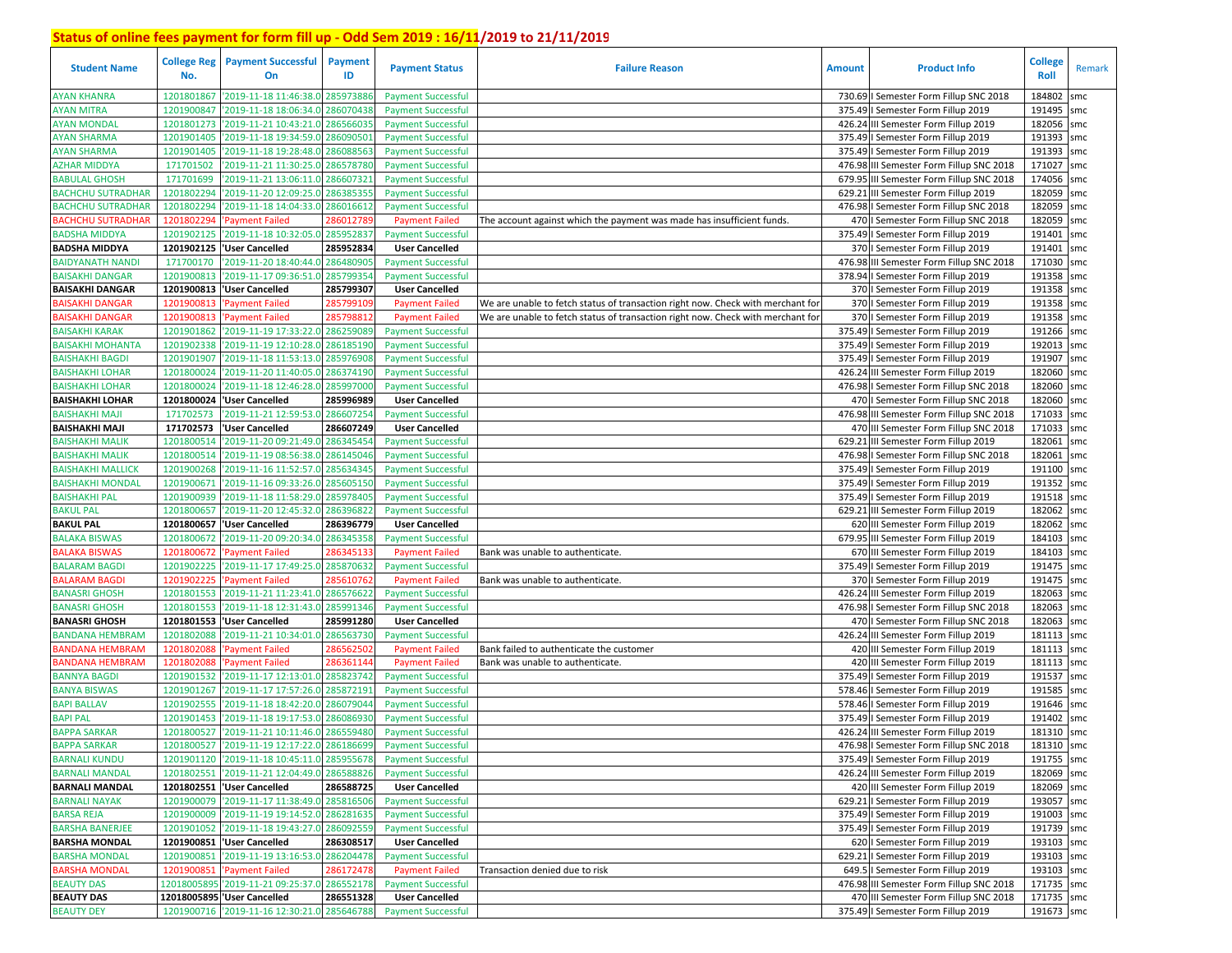| <b>Student Name</b>                              | <b>College Reg</b><br>No. | <b>Payment Successful</b><br><b>On</b>                | <b>Payment</b><br>ID  | <b>Payment Status</b>                              | <b>Failure Reason</b>                                                           | <b>Amount</b> | <b>Product Info</b>                                                         | <b>College</b><br>Roll   | Remark |
|--------------------------------------------------|---------------------------|-------------------------------------------------------|-----------------------|----------------------------------------------------|---------------------------------------------------------------------------------|---------------|-----------------------------------------------------------------------------|--------------------------|--------|
| <b>AYAN KHANRA</b>                               | 1201801867                | '2019-11-18 11:46:38.0 285973886                      |                       | <b>Payment Successful</b>                          |                                                                                 |               | 730.69   Semester Form Fillup SNC 2018                                      | 184802                   | smc    |
| <b>AYAN MITRA</b>                                | 1201900847                | '2019-11-18 18:06:34.0                                | 286070438             | <b>Payment Successful</b>                          |                                                                                 |               | 375.49   Semester Form Fillup 2019                                          | 191495                   | smc    |
| <b>AYAN MONDAL</b>                               | 1201801273                | '2019-11-21 10:43:21.0 286566035                      |                       | <b>Payment Successful</b>                          |                                                                                 |               | 426.24 III Semester Form Fillup 2019                                        | 182056 smc               |        |
| <b>AYAN SHARMA</b>                               | 1201901405                | '2019-11-18 19:34:59.0 286090501                      |                       | <b>Payment Successful</b>                          |                                                                                 |               | 375.49   Semester Form Fillup 2019                                          | 191393                   | smc    |
| <b>AYAN SHARMA</b>                               | 1201901405                | '2019-11-18 19:28:48.0 286088563                      |                       | <b>Payment Successful</b>                          |                                                                                 |               | 375.49   Semester Form Fillup 2019                                          | 191393 smc               |        |
| <b>AZHAR MIDDYA</b>                              | 171701502                 | '2019-11-21 11:30:25.0                                | 286578780             | <b>Payment Successful</b>                          |                                                                                 |               | 476.98 III Semester Form Fillup SNC 2018                                    | 171027                   | smc    |
| <b>BABULAL GHOSH</b>                             | 171701699                 | '2019-11-21 13:06:11.0 286607321                      |                       | <b>Payment Successful</b>                          |                                                                                 |               | 679.95 III Semester Form Fillup SNC 2018                                    | 174056 smc               |        |
| <b>BACHCHU SUTRADHAR</b>                         | 1201802294                | '2019-11-20 12:09:25.0                                | 286385355             | <b>Payment Successful</b>                          |                                                                                 | 629.21        | III Semester Form Fillup 2019                                               | 182059 smc               |        |
| <b>BACHCHU SUTRADHAR</b>                         | 1201802294                | '2019-11-18 14:04:33.0                                | 286016612             | <b>Payment Successful</b>                          |                                                                                 |               | 476.98   Semester Form Fillup SNC 2018                                      | 182059 smc               |        |
| <b>BACHCHU SUTRADHAR</b>                         | 1201802294                | Payment Failed                                        | 28601278              | <b>Payment Failed</b>                              | The account against which the payment was made has insufficient funds.          |               | 470   Semester Form Fillup SNC 2018                                         | 182059                   | smc    |
| <b>BADSHA MIDDYA</b>                             | 1201902125                | '2019-11-18 10:32:05.0                                | 28595283              | <b>Payment Successful</b>                          |                                                                                 |               | 375.49   Semester Form Fillup 2019                                          | 191401 smc               |        |
| <b>BADSHA MIDDYA</b>                             | 1201902125                | <b>User Cancelled</b>                                 | 285952834             | <b>User Cancelled</b>                              |                                                                                 |               | 370   Semester Form Fillup 2019                                             | 191401                   | smc    |
| <b>BAIDYANATH NAND</b>                           | 171700170                 | '2019-11-20 18:40:44.0                                | 286480905             | <b>Payment Successful</b>                          |                                                                                 |               | 476.98 III Semester Form Fillup SNC 2018                                    | 171030 smc               |        |
| <b>BAISAKHI DANGAR</b>                           | 1201900813                | '2019-11-17 09:36:51.0                                | 28579935              | <b>Payment Successful</b>                          |                                                                                 |               | 378.94   Semester Form Fillup 2019                                          | 191358                   | smc    |
| <b>BAISAKHI DANGAR</b>                           | 1201900813                | <b>User Cancelled</b>                                 | 285799307             | <b>User Cancelled</b>                              |                                                                                 |               | 370   Semester Form Fillup 2019                                             | 191358 smc               |        |
| <b>BAISAKHI DANGAR</b>                           | 1201900813                | <b>Payment Failed</b>                                 | 28579910              | <b>Payment Failed</b>                              | We are unable to fetch status of transaction right now. Check with merchant for |               | 370   Semester Form Fillup 2019                                             | 191358                   | smc    |
| <b>BAISAKHI DANGAR</b>                           | 1201900813                | 'Payment Failed                                       | 28579881              | <b>Payment Failed</b>                              | We are unable to fetch status of transaction right now. Check with merchant for |               | 370   Semester Form Fillup 2019                                             | 191358 smc               |        |
| <b>BAISAKHI KARAK</b>                            | 1201901862                | '2019-11-19 17:33:22.0                                | 28625908              | <b>Payment Successful</b>                          |                                                                                 |               | 375.49   Semester Form Fillup 2019                                          | 191266 smc               |        |
| <b>BAISAKHI MOHANTA</b>                          | 1201902338                | '2019-11-19 12:10:28.0                                | 28618519              | <b>Payment Successful</b>                          |                                                                                 |               | 375.49   Semester Form Fillup 2019                                          | 192013 smc               |        |
| <b>BAISHAKHI BAGDI</b>                           | 1201901907                | '2019-11-18 11:53:13.0                                | 28597690              | <b>Payment Successful</b>                          |                                                                                 | 375.49        | I Semester Form Fillup 2019                                                 | 191907                   | smc    |
| <b>BAISHAKHI LOHAR</b>                           | 1201800024                | '2019-11-20 11:40:05.0                                | 28637419              | <b>Payment Successful</b>                          |                                                                                 | 426.24        | III Semester Form Fillup 2019                                               | 182060 smc               |        |
| <b>BAISHAKHI LOHAR</b>                           | 1201800024                | '2019-11-18 12:46:28.0                                | 28599700              | <b>Payment Successful</b>                          |                                                                                 |               | 476.98   Semester Form Fillup SNC 2018                                      | 182060 smc               |        |
| <b>BAISHAKHI LOHAR</b>                           | 1201800024                | <b>User Cancelled</b>                                 | 285996989             | <b>User Cancelled</b>                              |                                                                                 |               | 470   Semester Form Fillup SNC 2018                                         | 182060 smc               |        |
| <b>BAISHAKHI MAJI</b>                            | 171702573                 | '2019-11-21 12:59:53.0                                | 286607254             | <b>Payment Successful</b>                          |                                                                                 |               | 476.98 III Semester Form Fillup SNC 2018                                    | 171033                   | smc    |
| <b>BAISHAKHI MAJI</b>                            | 171702573                 | 'User Cancelled                                       | 286607249             | <b>User Cancelled</b>                              |                                                                                 |               | 470 III Semester Form Fillup SNC 2018                                       | 171033                   | smc    |
| <b>BAISHAKHI MALIK</b>                           | 1201800514                | '2019-11-20 09:21:49.0 286345454                      |                       | <b>Payment Successful</b>                          |                                                                                 |               | 629.21 III Semester Form Fillup 2019                                        | 182061                   | smc    |
| <b>BAISHAKHI MALIK</b>                           | 1201800514                | '2019-11-19 08:56:38.0 286145046                      |                       | <b>Payment Successful</b>                          |                                                                                 |               | 476.98   Semester Form Fillup SNC 2018                                      | 182061                   | smc    |
| <b>BAISHAKHI MALLICK</b>                         | 1201900268                | '2019-11-16 11:52:57.0 285634345                      |                       | <b>Payment Successful</b>                          |                                                                                 |               | 375.49   Semester Form Fillup 2019                                          | 191100 smc               |        |
|                                                  | 1201900671                |                                                       |                       |                                                    |                                                                                 |               | 375.49   Semester Form Fillup 2019                                          | 191352 smc               |        |
| <b>BAISHAKHI MONDAL</b>                          |                           | '2019-11-16 09:33:26.0 285605150                      |                       | <b>Payment Successful</b>                          |                                                                                 |               |                                                                             |                          |        |
| <b>BAISHAKHI PAL</b><br><b>BAKUL PAL</b>         | 1201900939                | '2019-11-18 11:58:29.0                                | 285978405             | <b>Payment Successful</b>                          |                                                                                 |               | 375.49   Semester Form Fillup 2019<br>629.21 III Semester Form Fillup 2019  | 191518 smc<br>182062     |        |
|                                                  | 1201800657                | '2019-11-20 12:45:32.0<br>1201800657  'User Cancelled | 286396822             | <b>Payment Successful</b><br><b>User Cancelled</b> |                                                                                 |               |                                                                             | 182062 smc               | smc    |
| <b>BAKUL PAL</b><br><b>BALAKA BISWAS</b>         | 1201800672                | '2019-11-20 09:20:34.0                                | 286396779<br>28634535 | <b>Payment Successful</b>                          |                                                                                 |               | 620 III Semester Form Fillup 2019<br>679.95 III Semester Form Fillup 2019   | 184103                   |        |
| <b>BALAKA BISWAS</b>                             | 1201800672                | 'Payment Failed                                       | 28634513              | <b>Payment Failed</b>                              | Bank was unable to authenticate.                                                |               | 670 III Semester Form Fillup 2019                                           | 184103 smc               | smc    |
| <b>BALARAM BAGDI</b>                             | 1201902225                | '2019-11-17 17:49:25.0                                | 285870632             | <b>Payment Successful</b>                          |                                                                                 |               | 375.49   Semester Form Fillup 2019                                          | 191475 smc               |        |
| <b>BALARAM BAGDI</b>                             | 1201902225                | <b>Payment Failed</b>                                 | 28561076              | <b>Payment Failed</b>                              |                                                                                 |               | 370   Semester Form Fillup 2019                                             | 191475 smc               |        |
| <b>BANASRI GHOSH</b>                             | 1201801553                | '2019-11-21 11:23:41.0                                | 286576622             | <b>Payment Successful</b>                          | Bank was unable to authenticate.                                                |               | 426.24 III Semester Form Fillup 2019                                        | 182063                   | smc    |
| <b>BANASRI GHOSH</b>                             | 1201801553                | '2019-11-18 12:31:43.0                                | 285991346             |                                                    |                                                                                 |               |                                                                             | 182063 smc               |        |
|                                                  | 1201801553                | 'User Cancelled                                       | 285991280             | <b>Payment Successful</b>                          |                                                                                 |               | 476.98   Semester Form Fillup SNC 2018                                      |                          |        |
| <b>BANASRI GHOSH</b>                             | 1201802088                | '2019-11-21 10:34:01.0                                | 28656373              | <b>User Cancelled</b>                              |                                                                                 |               | 470   Semester Form Fillup SNC 2018<br>426.24 III Semester Form Fillup 2019 | 182063<br>181113 smc     | smc    |
| BANDANA HEMBRAM                                  |                           |                                                       |                       | <b>Payment Successful</b>                          |                                                                                 |               |                                                                             |                          |        |
| <b>BANDANA HEMBRAM</b><br><b>BANDANA HEMBRAM</b> | 120180208<br>1201802088   | <b>Payment Failed</b>                                 | 28656250<br>28636114  | <b>Payment Failed</b>                              | Bank failed to authenticate the customer                                        |               | 420 III Semester Form Fillup 2019<br>420 III Semester Form Fillup 2019      | 181113 smc<br>181113 smc |        |
| <b>BANNYA BAGDI</b>                              | 1201901532                | 'Payment Failed<br>'2019-11-17 12:13:01.0 285823742   |                       | <b>Payment Failed</b><br><b>Payment Successful</b> | Bank was unable to authenticate.                                                |               | 375.49   Semester Form Fillup 2019                                          | 191537 smc               |        |
| <b>BANYA BISWAS</b>                              | 1201901267                | '2019-11-17 17:57:26.0                                | 285872191             |                                                    |                                                                                 |               | 578.46   Semester Form Fillup 2019                                          | 191585 smc               |        |
|                                                  |                           | '2019-11-18 18:42:20.0                                |                       | <b>Payment Successful</b>                          |                                                                                 | 578.46        | I Semester Form Fillup 2019                                                 |                          |        |
| <b>BAPI BALLAV</b><br><b>BAPI PAL</b>            | 1201902555<br>1201901453  | '2019-11-18 19:17:53.0                                | 28607904<br>28608693  | <b>Payment Successful</b>                          |                                                                                 | 375.49        |                                                                             | 191646 smc<br>191402     |        |
| <b>BAPPA SARKAR</b>                              | 1201800527                | '2019-11-21 10:11:46.0 286559480                      |                       | <b>Payment Successful</b>                          |                                                                                 |               | Semester Form Fillup 2019<br>426.24 III Semester Form Fillup 2019           | 181310 smc               | smc    |
|                                                  |                           |                                                       |                       | <b>Payment Successful</b>                          |                                                                                 |               |                                                                             |                          |        |
| <b>BAPPA SARKAR</b>                              |                           | 1201800527 2019-11-19 12:17:22.0 286186699            |                       | <b>Payment Successful</b>                          |                                                                                 |               | 476.98   Semester Form Fillup SNC 2018                                      | 181310 smc               |        |
| <b>BARNALI KUNDU</b>                             |                           | 1201901120 2019-11-18 10:45:11.0 285955678            |                       | <b>Payment Successful</b>                          |                                                                                 |               | 375.49   Semester Form Fillup 2019                                          | 191755 smc               |        |
| <b>BARNALI MANDAL</b>                            |                           | 1201802551 2019-11-21 12:04:49.0 286588826            |                       | <b>Payment Successful</b>                          |                                                                                 |               | 426.24 III Semester Form Fillup 2019                                        | 182069 smc               |        |
| <b>BARNALI MANDAL</b>                            |                           | 1201802551 'User Cancelled                            | 286588725             | <b>User Cancelled</b>                              |                                                                                 |               | 420 III Semester Form Fillup 2019                                           | 182069 smc               |        |
| <b>BARNALI NAYAK</b>                             |                           | 1201900079 2019-11-17 11:38:49.0 285816506            |                       | <b>Payment Successful</b>                          |                                                                                 |               | 629.21   Semester Form Fillup 2019                                          | 193057 smc               |        |
| <b>BARSA REJA</b>                                |                           | 1201900009 2019-11-19 19:14:52.0 286281635            |                       | <b>Payment Successful</b>                          |                                                                                 |               | 375.49   Semester Form Fillup 2019                                          | 191003 smc               |        |
| <b>BARSHA BANERJEE</b>                           |                           | 1201901052 2019-11-18 19:43:27.0 286092559            |                       | <b>Payment Successful</b>                          |                                                                                 |               | 375.49   Semester Form Fillup 2019                                          | 191739 smc               |        |
| <b>BARSHA MONDAL</b>                             |                           | 1201900851 User Cancelled                             | 286308517             | <b>User Cancelled</b>                              |                                                                                 |               | 620   Semester Form Fillup 2019                                             | 193103 smc               |        |
| <b>BARSHA MONDAL</b>                             |                           | 1201900851 2019-11-19 13:16:53.0 286204478            |                       | <b>Payment Successful</b>                          |                                                                                 |               | 629.21   Semester Form Fillup 2019                                          | 193103 smc               |        |
| <b>BARSHA MONDAL</b>                             |                           | 1201900851 'Payment Failed                            | 286172478             | <b>Payment Failed</b>                              | Transaction denied due to risk                                                  |               | 649.5   Semester Form Fillup 2019                                           | 193103 smc               |        |
| <b>BEAUTY DAS</b>                                |                           | 12018005895 '2019-11-21 09:25:37.0 286552178          |                       | <b>Payment Successful</b>                          |                                                                                 |               | 476.98 III Semester Form Fillup SNC 2018                                    | 171735 smc               |        |
| <b>BEAUTY DAS</b>                                |                           | 12018005895 'User Cancelled                           | 286551328             | <b>User Cancelled</b>                              |                                                                                 |               | 470 III Semester Form Fillup SNC 2018                                       | 171735 smc               |        |
| <b>BEAUTY DEY</b>                                |                           | 1201900716 2019-11-16 12:30:21.0 285646788            |                       | <b>Payment Successful</b>                          |                                                                                 |               | 375.49   Semester Form Fillup 2019                                          | 191673 smc               |        |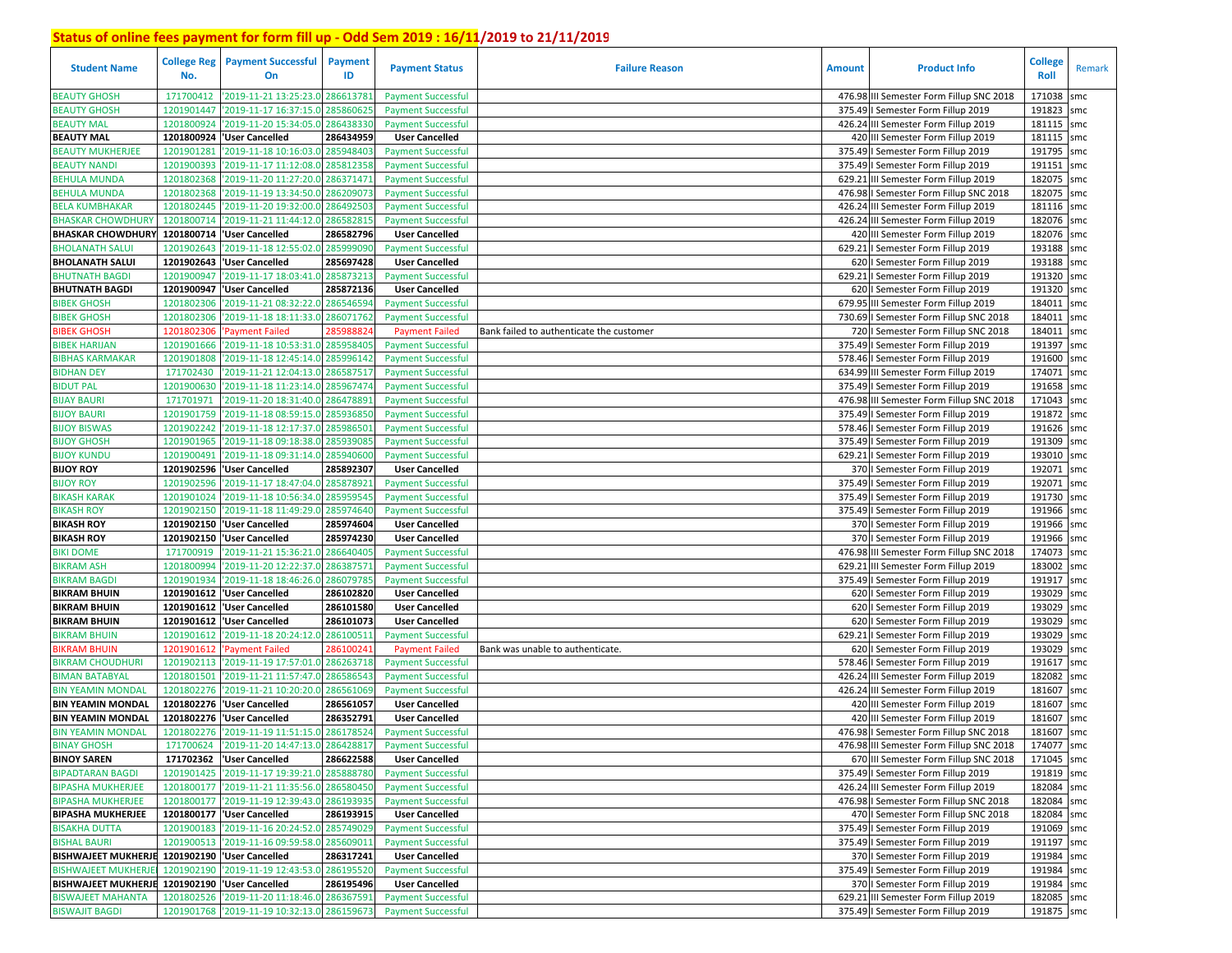| <b>Student Name</b>                            | <b>College Reg</b><br>No. | <b>Payment Successful</b><br>On                              | Payment<br>ID | <b>Payment Status</b>     | <b>Failure Reason</b>                    | <b>Amount</b> | <b>Product Info</b>                      | <b>College</b><br>Roll | Remark |
|------------------------------------------------|---------------------------|--------------------------------------------------------------|---------------|---------------------------|------------------------------------------|---------------|------------------------------------------|------------------------|--------|
| <b>BEAUTY GHOSH</b>                            | 171700412                 | '2019-11-21 13:25:23.0                                       | 28661378      | <b>Payment Successful</b> |                                          |               | 476.98 III Semester Form Fillup SNC 2018 | 171038                 | smc    |
| <b>BEAUTY GHOSH</b>                            | 1201901447                | '2019-11-17 16:37:15.0                                       | 28586062      | <b>Payment Successful</b> |                                          |               | 375.49   Semester Form Fillup 2019       | 191823                 | smc    |
| <b>BEAUTY MAL</b>                              | 1201800924                | '2019-11-20 15:34:05.0                                       | 286438330     | <b>Payment Successful</b> |                                          |               | 426.24 III Semester Form Fillup 2019     | 181115 smc             |        |
| <b>BEAUTY MAL</b>                              | 1201800924                | 'User Cancelled                                              | 286434959     | <b>User Cancelled</b>     |                                          |               | 420 III Semester Form Fillup 2019        | 181115 smc             |        |
| BEAUTY MUKHERJEE                               | 120190128                 | 2019-11-18 10:16:03.0                                        | 285948403     | <b>Payment Successful</b> |                                          | 375.49        | I Semester Form Fillup 2019              | 191795                 | smc    |
| <b>BEAUTY NANDI</b>                            | 1201900393                | '2019-11-17 11:12:08.0                                       | 285812358     | <b>Payment Successful</b> |                                          |               | 375.49   Semester Form Fillup 2019       | 191151                 | smc    |
| BEHULA MUNDA                                   | 1201802368                | '2019-11-20 11:27:20.0                                       | 28637147      | <b>Payment Successful</b> |                                          | 629.21        | III Semester Form Fillup 2019            | 182075                 | smc    |
| <b>BEHULA MUNDA</b>                            | 1201802368                | '2019-11-19 13:34:50.0                                       | 286209073     | <b>Payment Successful</b> |                                          |               | 476.98   Semester Form Fillup SNC 2018   | 182075                 | smc    |
| <b>BELA KUMBHAKAR</b>                          | 1201802445                | '2019-11-20 19:32:00.0                                       | 28649250      | <b>Payment Successful</b> |                                          |               | 426.24 III Semester Form Fillup 2019     | 181116 smc             |        |
| <b>BHASKAR CHOWDHURY</b>                       | 1201800714                | '2019-11-21 11:44:12.0                                       | 286582815     | <b>Payment Successful</b> |                                          |               | 426.24 III Semester Form Fillup 2019     | 182076 smc             |        |
| <b>BHASKAR CHOWDHURY</b>                       | 1201800714                | 'User Cancelled                                              | 286582796     | <b>User Cancelled</b>     |                                          |               | 420 III Semester Form Fillup 2019        | 182076 smc             |        |
| <b>BHOLANATH SALUI</b>                         | 1201902643                | '2019-11-18 12:55:02.0                                       | 285999090     | <b>Payment Successful</b> |                                          | 629.21        | I Semester Form Fillup 2019              | 193188 smc             |        |
| <b>BHOLANATH SALUI</b>                         | 1201902643                | 'User Cancelled                                              | 285697428     | <b>User Cancelled</b>     |                                          |               | 620   Semester Form Fillup 2019          | 193188 smc             |        |
| <b>BHUTNATH BAGDI</b>                          | 1201900947                | '2019-11-17 18:03:41.0                                       | 285873213     | <b>Payment Successful</b> |                                          | 629.21        | I Semester Form Fillup 2019              | 191320 smc             |        |
| <b>BHUTNATH BAGDI</b>                          | 1201900947                | 'User Cancelled                                              | 285872136     | <b>User Cancelled</b>     |                                          |               | 620   Semester Form Fillup 2019          | 191320 smc             |        |
| <b>BIBEK GHOSH</b>                             | 1201802306                | 2019-11-21 08:32:22.0                                        | 28654659      | <b>Payment Successful</b> |                                          |               | 679.95 III Semester Form Fillup 2019     | 184011                 | smc    |
| <b>BIBEK GHOSH</b>                             | 1201802306                | 2019-11-18 18:11:33.0                                        | 286071762     | <b>Payment Successful</b> |                                          |               | 730.69   Semester Form Fillup SNC 2018   | 184011                 | smc    |
| <b>BIBEK GHOSH</b>                             | 120180230                 | <b>Payment Failed</b>                                        | 28598882      | <b>Payment Failed</b>     | Bank failed to authenticate the customer |               | 720   Semester Form Fillup SNC 2018      | 184011                 | smc    |
| <b>BIBEK HARIJAN</b>                           | 1201901666                | '2019-11-18 10:53:31.0                                       | 28595840      | <b>Payment Successful</b> |                                          |               | 375.49   Semester Form Fillup 2019       | 191397 smc             |        |
| <b>BIBHAS KARMAKAR</b>                         | 1201901808                | '2019-11-18 12:45:14.0                                       | 285996142     | <b>Payment Successful</b> |                                          | 578.46        | I Semester Form Fillup 2019              | 191600                 | smc    |
| <b>BIDHAN DEY</b>                              | 171702430                 | '2019-11-21 12:04:13.0                                       | 28658751      | <b>Payment Successful</b> |                                          |               | 634.99 III Semester Form Fillup 2019     | 174071                 | smc    |
| <b>BIDUT PAL</b>                               | 1201900630                | '2019-11-18 11:23:14.0                                       | 28596747      | <b>Payment Successful</b> |                                          |               | 375.49   Semester Form Fillup 2019       | 191658                 | smc    |
| <b>BIJAY BAURI</b>                             | 171701971                 | '2019-11-20 18:31:40.0                                       | 28647889      | <b>Payment Successful</b> |                                          |               | 476.98 III Semester Form Fillup SNC 2018 | 171043                 | smc    |
| <b>BIJOY BAURI</b>                             | 1201901759                | '2019-11-18 08:59:15.0                                       | 28593685      | <b>Payment Successful</b> |                                          | 375.49        | I Semester Form Fillup 2019              | 191872                 | smc    |
| <b>BIJOY BISWAS</b>                            | 1201902242                | '2019-11-18 12:17:37.0                                       | 28598650      | <b>Payment Successful</b> |                                          |               | 578.46   Semester Form Fillup 2019       | 191626 smc             |        |
| <b>BIJOY GHOSH</b>                             | 1201901965                | '2019-11-18 09:18:38.0                                       | 28593908      | <b>Payment Successful</b> |                                          |               | 375.49   Semester Form Fillup 2019       | 191309 smc             |        |
| <b>BIJOY KUNDU</b>                             | 1201900491                | '2019-11-18 09:31:14.0                                       | 28594060      | <b>Payment Successful</b> |                                          | 629.21        | I Semester Form Fillup 2019              | 193010 smc             |        |
| <b>BIJOY ROY</b>                               | 1201902596                | 'User Cancelled                                              | 285892307     | <b>User Cancelled</b>     |                                          |               | 370   Semester Form Fillup 2019          | 192071                 | smc    |
| <b>BIJOY ROY</b>                               | 1201902596                | '2019-11-17 18:47:04.0                                       | 285878921     | <b>Payment Successful</b> |                                          |               | 375.49   Semester Form Fillup 2019       | 192071                 | smc    |
| <b>BIKASH KARAK</b>                            | 1201901024                | '2019-11-18 10:56:34.0                                       | 28595954      | <b>Payment Successful</b> |                                          |               | 375.49   Semester Form Fillup 2019       | 191730 smc             |        |
| <b>BIKASH ROY</b>                              | 1201902150                | '2019-11-18 11:49:29.0                                       | 285974640     | <b>Payment Successful</b> |                                          |               | 375.49   Semester Form Fillup 2019       | 191966 smc             |        |
| <b>BIKASH ROY</b>                              |                           | 1201902150 User Cancelled                                    | 285974604     | <b>User Cancelled</b>     |                                          |               | 370   Semester Form Fillup 2019          | 191966 smc             |        |
| <b>BIKASH ROY</b>                              |                           | 1201902150 'User Cancelled                                   | 285974230     | <b>User Cancelled</b>     |                                          |               | 370   Semester Form Fillup 2019          | 191966 smc             |        |
| BIKI DOME                                      | 171700919                 | '2019-11-21 15:36:21.0                                       | 286640405     | <b>Payment Successful</b> |                                          |               | 476.98 III Semester Form Fillup SNC 2018 | 174073 smc             |        |
| <b>BIKRAM ASH</b>                              | 1201800994                | '2019-11-20 12:22:37.0                                       | 28638757      | <b>Payment Successful</b> |                                          | 629.21        | III Semester Form Fillup 2019            | 183002                 | smc    |
| <b>BIKRAM BAGDI</b>                            | 1201901934                | '2019-11-18 18:46:26.0                                       | 28607978      | <b>Payment Successful</b> |                                          |               | 375.49   Semester Form Fillup 2019       | 191917 smc             |        |
| <b>BIKRAM BHUIN</b>                            | 1201901612                | 'User Cancelled                                              | 286102820     | <b>User Cancelled</b>     |                                          |               | 620   Semester Form Fillup 2019          | 193029                 | smc    |
| <b>BIKRAM BHUIN</b>                            |                           | 1201901612 'User Cancelled                                   | 286101580     | <b>User Cancelled</b>     |                                          |               | 620   Semester Form Fillup 2019          | 193029 smc             |        |
| <b>BIKRAM BHUIN</b>                            | 1201901612                | 'User Cancelled                                              | 286101073     | <b>User Cancelled</b>     |                                          |               | 620   Semester Form Fillup 2019          | 193029                 | smc    |
| <b>BIKRAM BHUIN</b>                            | 1201901612                | '2019-11-18 20:24:12.0                                       | 286100511     | <b>Payment Successful</b> |                                          |               | 629.21   Semester Form Fillup 2019       | 193029 smc             |        |
| <b>BIKRAM BHUIN</b>                            | 1201901612                | 'Payment Failed                                              | 28610024      | <b>Payment Failed</b>     | Bank was unable to authenticate.         |               | 620   Semester Form Fillup 2019          | 193029                 | smc    |
| BIKRAM CHOUDHURI                               | 1201902113                | '2019-11-19 17:57:01.0                                       | 28626371      | <b>Payment Successful</b> |                                          |               | 578.46   Semester Form Fillup 2019       | 191617 smc             |        |
| <b>BIMAN BATABYAL</b>                          | 1201801501                | '2019-11-21 11:57:47.0                                       | 28658654      | <b>Payment Successful</b> |                                          |               | 426.24 III Semester Form Fillup 2019     | 182082                 | smc    |
| <b>BIN YEAMIN MONDAI</b>                       | 1201802276                | '2019-11-21 10:20:20.0                                       | 28656106      | <b>Payment Successful</b> |                                          |               | 426.24 III Semester Form Fillup 2019     | 181607                 | smc    |
| <b>BIN YEAMIN MONDAL</b>                       | 1201802276                | 'User Cancelled                                              | 286561057     | <b>User Cancelled</b>     |                                          |               | 420 III Semester Form Fillup 2019        | 181607                 | smc    |
| <b>BIN YEAMIN MONDAL</b>                       |                           | 1201802276 User Cancelled                                    | 286352791     | <b>User Cancelled</b>     |                                          |               | 420 III Semester Form Fillup 2019        | 181607                 | smc    |
| <b>BIN YEAMIN MONDAL</b>                       | 1201802276                | '2019-11-19 11:51:15.0                                       | 286178524     | <b>Payment Successful</b> |                                          |               | 476.98 I Semester Form Fillup SNC 2018   | 181607                 | smc    |
| <b>BINAY GHOSH</b>                             |                           | 171700624 2019-11-20 14:47:13.0 286428817 Payment Successful |               |                           |                                          |               | 476.98 III Semester Form Fillup SNC 2018 | 174077 smc             |        |
| <b>BINOY SAREN</b>                             |                           | 171702362 User Cancelled                                     | 286622588     | <b>User Cancelled</b>     |                                          |               | 670 III Semester Form Fillup SNC 2018    | 171045 smc             |        |
| <b>BIPADTARAN BAGDI</b>                        |                           | 1201901425 2019-11-17 19:39:21.0                             | 285888780     | <b>Payment Successful</b> |                                          |               | 375.49   Semester Form Fillup 2019       | 191819 smc             |        |
| <b>BIPASHA MUKHERJEE</b>                       |                           | 1201800177 2019-11-21 11:35:56.0 286580450                   |               | <b>Payment Successful</b> |                                          |               | 426.24 III Semester Form Fillup 2019     | 182084 smc             |        |
| <b>BIPASHA MUKHERJEE</b>                       |                           | 1201800177 '2019-11-19 12:39:43.0 286193935                  |               | <b>Payment Successful</b> |                                          |               | 476.98   Semester Form Fillup SNC 2018   | 182084 smc             |        |
| <b>BIPASHA MUKHERJEE</b>                       |                           | 1201800177 User Cancelled                                    | 286193915     | <b>User Cancelled</b>     |                                          |               | 470   Semester Form Fillup SNC 2018      | 182084 smc             |        |
| <b>BISAKHA DUTTA</b>                           |                           | 1201900183 2019-11-16 20:24:52.0 285749029                   |               | <b>Payment Successful</b> |                                          |               | 375.49   Semester Form Fillup 2019       | 191069 smc             |        |
| <b>BISHAL BAURI</b>                            |                           | 1201900513 2019-11-16 09:59:58.0 285609011                   |               | <b>Payment Successful</b> |                                          |               | 375.49   Semester Form Fillup 2019       | 191197 smc             |        |
| BISHWAJEET MUKHERJE 1201902190 'User Cancelled |                           |                                                              | 286317241     | <b>User Cancelled</b>     |                                          |               | 370   Semester Form Fillup 2019          | 191984 smc             |        |
| <b>BISHWAJEET MUKHERJE</b>                     |                           | 1201902190 2019-11-19 12:43:53.0 286195520                   |               | <b>Payment Successful</b> |                                          |               | 375.49   Semester Form Fillup 2019       | 191984 smc             |        |
| BISHWAJEET MUKHERJE 1201902190 'User Cancelled |                           |                                                              | 286195496     | <b>User Cancelled</b>     |                                          |               | 370   Semester Form Fillup 2019          | 191984 smc             |        |
| <b>BISWAJEET MAHANTA</b>                       |                           | 1201802526 2019-11-20 11:18:46.0 286367591                   |               | <b>Payment Successful</b> |                                          |               | 629.21 III Semester Form Fillup 2019     | 182085 smc             |        |
| <b>BISWAJIT BAGDI</b>                          |                           | 1201901768 2019-11-19 10:32:13.0 286159673                   |               | <b>Payment Successful</b> |                                          |               | 375.49   Semester Form Fillup 2019       | 191875 smc             |        |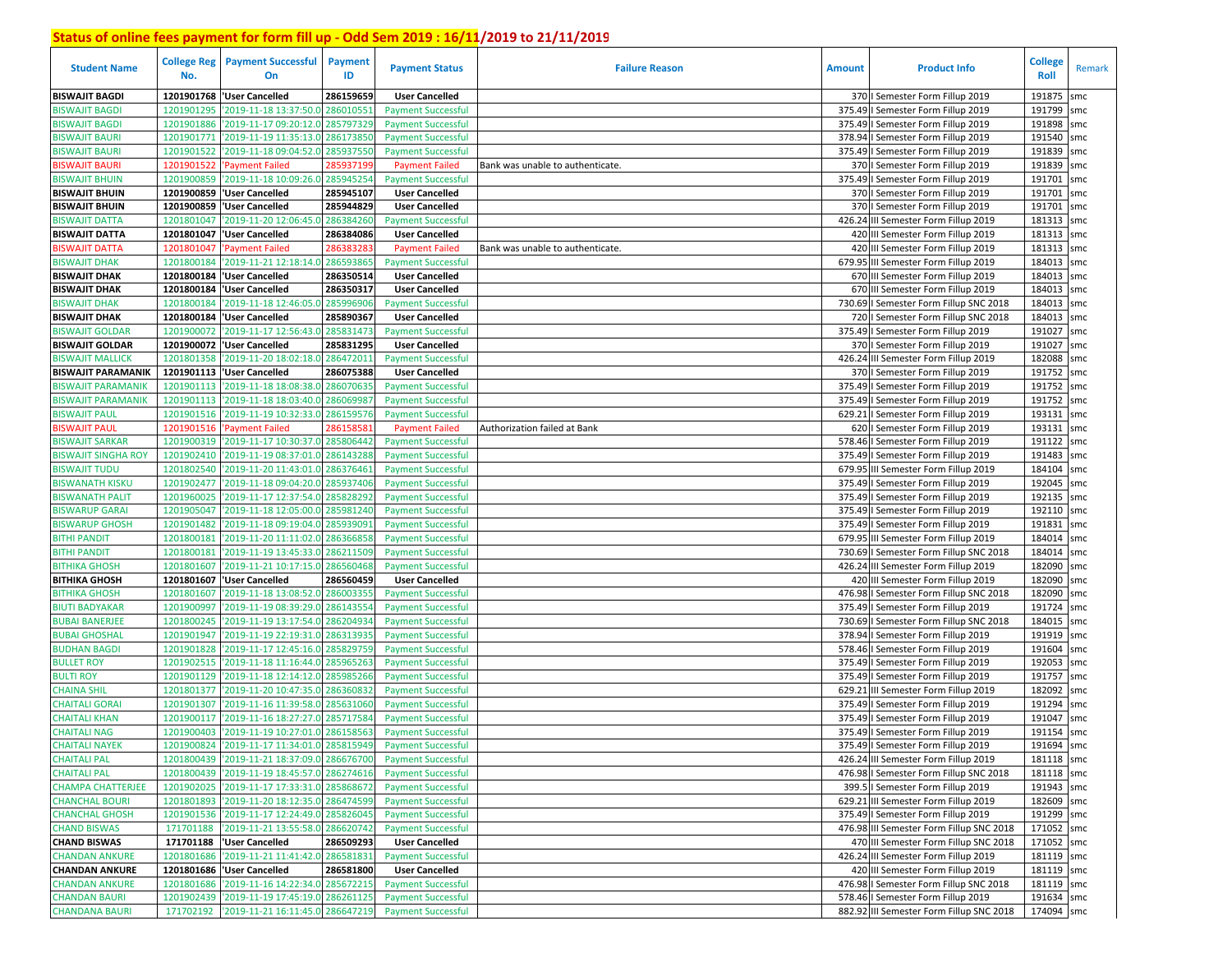| <b>Student Name</b>                          | <b>College Reg</b><br>No. | <b>Payment Successful</b><br>On                  | <b>Payment</b><br>ID  | <b>Payment Status</b>                                  | <b>Failure Reason</b>            | <b>Amount</b> | <b>Product Info</b>                                                            | <b>College</b><br>Roll | Remark |
|----------------------------------------------|---------------------------|--------------------------------------------------|-----------------------|--------------------------------------------------------|----------------------------------|---------------|--------------------------------------------------------------------------------|------------------------|--------|
| <b>BISWAJIT BAGDI</b>                        | 1201901768                | 'User Cancelled                                  | 286159659             | <b>User Cancelled</b>                                  |                                  |               | 370   Semester Form Fillup 2019                                                | 191875                 | smc    |
| <b>BISWAJIT BAGDI</b>                        | 1201901295                | '2019-11-18 13:37:50.0                           | 28601055              | <b>Payment Successful</b>                              |                                  |               | 375.49   Semester Form Fillup 2019                                             | 191799                 | smc    |
| <b>BISWAJIT BAGDI</b>                        | 1201901886                | '2019-11-17 09:20:12.0                           | 285797329             | <b>Payment Successful</b>                              |                                  |               | 375.49   Semester Form Fillup 2019                                             | 191898                 | smc    |
| <b>BISWAJIT BAURI</b>                        | 1201901771                | '2019-11-19 11:35:13.0                           | 286173850             | <b>Payment Successful</b>                              |                                  |               | 378.94   Semester Form Fillup 2019                                             | 191540                 | smc    |
| <b>BISWAJIT BAURI</b>                        | 1201901522                | '2019-11-18 09:04:52.0                           | 28593755              | <b>Payment Successful</b>                              |                                  |               | 375.49   Semester Form Fillup 2019                                             | 191839                 | smc    |
| <b>BISWAJIT BAURI</b>                        | 1201901522                | 'Payment Failed                                  | 28593719              | <b>Payment Failed</b>                                  | Bank was unable to authenticate. |               | 370   Semester Form Fillup 2019                                                | 191839                 | smc    |
| <b>BISWAJIT BHUIN</b>                        | 1201900859                | '2019-11-18 10:09:26.0                           | 285945254             | <b>Payment Successful</b>                              |                                  |               | 375.49   Semester Form Fillup 2019                                             | 191701                 | smc    |
| <b>BISWAJIT BHUIN</b>                        |                           | 1201900859 'User Cancelled                       | 285945107             | <b>User Cancelled</b>                                  |                                  |               | 370   Semester Form Fillup 2019                                                | 191701                 | smc    |
| <b>BISWAJIT BHUIN</b>                        |                           | 1201900859 VJser Cancelled                       | 285944829             | <b>User Cancelled</b>                                  |                                  |               | 370   Semester Form Fillup 2019                                                | 191701                 | smc    |
| <b>BISWAJIT DATTA</b>                        | 1201801047                | '2019-11-20 12:06:45.0                           | 286384260             | <b>Payment Successful</b>                              |                                  |               | 426.24 III Semester Form Fillup 2019                                           | 181313                 | smc    |
| <b>BISWAJIT DATTA</b>                        | 1201801047                | 'User Cancelled                                  | 286384086             | <b>User Cancelled</b>                                  |                                  |               | 420 III Semester Form Fillup 2019                                              | 181313 smc             |        |
| <b>BISWAJIT DATTA</b>                        | 1201801047                | 'Payment Failed                                  | 286383283             | <b>Payment Failed</b>                                  | Bank was unable to authenticate. |               | 420 III Semester Form Fillup 2019                                              | 181313                 | smc    |
| <b>BISWAJIT DHAK</b>                         | 1201800184                | '2019-11-21 12:18:14.0                           | 286593865             | <b>Payment Successful</b>                              |                                  |               | 679.95 III Semester Form Fillup 2019                                           | 184013                 | smc    |
| <b>BISWAJIT DHAK</b>                         |                           | 1201800184 'User Cancelled                       | 286350514             | <b>User Cancelled</b>                                  |                                  |               | 670 III Semester Form Fillup 2019                                              | 184013                 | smc    |
| <b>BISWAJIT DHAK</b>                         | 1201800184                | 'User Cancelled                                  | 286350317             | <b>User Cancelled</b>                                  |                                  |               | 670 III Semester Form Fillup 2019                                              | 184013 smc             |        |
| <b>BISWAJIT DHAK</b>                         | 1201800184                | '2019-11-18 12:46:05.                            | 28599690              | <b>Payment Successful</b>                              |                                  |               | 730.69   Semester Form Fillup SNC 2018                                         | 184013                 | smc    |
| <b>BISWAJIT DHAK</b>                         | 1201800184                | 'User Cancelled                                  | 285890367             | <b>User Cancelled</b>                                  |                                  |               | 720   Semester Form Fillup SNC 2018                                            | 184013 smc             |        |
| <b>BISWAJIT GOLDAR</b>                       | 1201900072                | '2019-11-17 12:56:43.                            | 285831473             | <b>Payment Successful</b>                              |                                  |               | 375.49   Semester Form Fillup 2019                                             | 191027                 | smc    |
| <b>BISWAJIT GOLDAR</b>                       |                           | 1201900072 User Cancelled                        | 285831295             | <b>User Cancelled</b>                                  |                                  |               | 370   Semester Form Fillup 2019                                                | 191027 smc             |        |
| <b>BISWAJIT MALLICK</b>                      | 1201801358                | '2019-11-20 18:02:18.                            | 286472011             | <b>Payment Successful</b>                              |                                  |               | 426.24 III Semester Form Fillup 2019                                           | 182088                 | smc    |
| <b>BISWAJIT PARAMANIK</b>                    |                           | 1201901113 User Cancelled                        | 286075388             | <b>User Cancelled</b>                                  |                                  |               | 370   Semester Form Fillup 2019                                                | 191752 smc             |        |
| <b>BISWAJIT PARAMANIK</b>                    | 1201901113                | '2019-11-18 18:08:38.0                           | 286070635             | <b>Payment Successful</b>                              |                                  |               | 375.49   Semester Form Fillup 2019                                             | 191752                 | smc    |
| <b>BISWAJIT PARAMANIK</b>                    | 1201901113                | '2019-11-18 18:03:40.                            | 28606998              | <b>Payment Successful</b>                              |                                  |               | 375.49   Semester Form Fillup 2019                                             | 191752                 | smc    |
| <b>BISWAJIT PAUL</b>                         | 1201901516                | '2019-11-19 10:32:33.                            | 28615957              | <b>Payment Successful</b>                              |                                  | 629.21        | I Semester Form Fillup 2019                                                    | 193131                 | smc    |
| <b>BISWAJIT PAUL</b>                         | 1201901516                | 'Payment Failed                                  | 28615858              | <b>Payment Failed</b>                                  | Authorization failed at Bank     |               | 620   Semester Form Fillup 2019                                                | 193131                 | smc    |
| <b>BISWAJIT SARKAR</b>                       | 1201900319                | '2019-11-17 10:30:37.0                           | 285806442             | <b>Payment Successful</b>                              |                                  |               | 578.46   Semester Form Fillup 2019                                             | 191122                 | smc    |
| <b>BISWAJIT SINGHA ROY</b>                   | 1201902410                | '2019-11-19 08:37:01.0                           | 286143288             | <b>Payment Successful</b>                              |                                  |               | 375.49   Semester Form Fillup 2019                                             | 191483                 | smc    |
| <b>BISWAJIT TUDU</b>                         | 1201802540                | '2019-11-20 11:43:01.0                           | 286376461             | <b>Payment Successful</b>                              |                                  |               | 679.95 III Semester Form Fillup 2019                                           | 184104                 | smc    |
| <b>BISWANATH KISKU</b>                       | 1201902477                | '2019-11-18 09:04:20.0                           | 285937406             | <b>Payment Successful</b>                              |                                  |               | 375.49   Semester Form Fillup 2019                                             | 192045                 | smc    |
| <b>BISWANATH PALIT</b>                       | 1201960025                | '2019-11-17 12:37:54.0                           | 28582829<br>285981240 | <b>Payment Successful</b>                              |                                  |               | 375.49   Semester Form Fillup 2019                                             | 192135 smc<br>192110   |        |
| <b>BISWARUP GARAI</b>                        | 1201905047                | '2019-11-18 12:05:00.0<br>'2019-11-18 09:19:04.0 | 28593909              | <b>Payment Successful</b>                              |                                  |               | 375.49   Semester Form Fillup 2019<br>375.49   Semester Form Fillup 2019       | 191831                 | smc    |
| <b>BISWARUP GHOSH</b><br><b>BITHI PANDIT</b> | 1201901482                | '2019-11-20 11:11:02.0                           | 286366858             | <b>Payment Successful</b>                              |                                  |               |                                                                                | 184014                 | smc    |
| <b>BITHI PANDIT</b>                          | 1201800181<br>1201800181  | '2019-11-19 13:45:33.0                           | 286211509             | <b>Payment Successful</b><br><b>Payment Successful</b> |                                  |               | 679.95 III Semester Form Fillup 2019<br>730.69   Semester Form Fillup SNC 2018 | 184014 smc             | smc    |
| <b>BITHIKA GHOSH</b>                         | 1201801607                | '2019-11-21 10:17:15.0                           | 286560468             | <b>Payment Successful</b>                              |                                  |               | 426.24 III Semester Form Fillup 2019                                           | 182090 smc             |        |
| <b>BITHIKA GHOSH</b>                         | 1201801607                | 'User Cancelled                                  | 286560459             | <b>User Cancelled</b>                                  |                                  |               | 420 III Semester Form Fillup 2019                                              | 182090 smc             |        |
| <b>BITHIKA GHOSH</b>                         | 1201801607                | '2019-11-18 13:08:52.0                           | 28600335              | <b>Payment Successful</b>                              |                                  |               | 476.98   Semester Form Fillup SNC 2018                                         | 182090 smc             |        |
| <b>BIUTI BADYAKAR</b>                        | 1201900997                | '2019-11-19 08:39:29.0                           | 28614355              | <b>Payment Successful</b>                              |                                  |               | 375.49   Semester Form Fillup 2019                                             | 191724 smc             |        |
| <b>BUBAI BANERJEE</b>                        | 1201800245                | '2019-11-19 13:17:54.0                           | 286204934             | <b>Payment Successful</b>                              |                                  |               | 730.69   Semester Form Fillup SNC 2018                                         | 184015 smc             |        |
| BUBAI GHOSHAL                                | 1201901947                | '2019-11-19 22:19:31.                            | 286313935             | <b>Payment Successful</b>                              |                                  |               | 378.94   Semester Form Fillup 2019                                             | 191919 smc             |        |
| <b>BUDHAN BAGDI</b>                          | 1201901828                | '2019-11-17 12:45:16.0                           | 285829759             | <b>Payment Successful</b>                              |                                  |               | 578.46   Semester Form Fillup 2019                                             | 191604                 | smc    |
| <b>BULLET ROY</b>                            | 1201902515                | '2019-11-18 11:16:44.                            | 285965263             | <b>Payment Successful</b>                              |                                  | 375.49        | I Semester Form Fillup 2019                                                    | 192053                 | smc    |
| <b>BULTI ROY</b>                             | 1201901129                | '2019-11-18 12:14:12.                            | 28598526              | <b>Payment Successful</b>                              |                                  | 375.49        | I Semester Form Fillup 2019                                                    | 191757                 | smc    |
| <b>CHAINA SHIL</b>                           | 1201801377                | '2019-11-20 10:47:35.                            | 28636083              | <b>Payment Successful</b>                              |                                  |               | 629.21 III Semester Form Fillup 2019                                           | 182092                 | smc    |
| <b>CHAITALI GORAI</b>                        | 1201901307                | '2019-11-16 11:39:58.                            | 28563106              | <b>Payment Successful</b>                              |                                  |               | 375.49   Semester Form Fillup 2019                                             | 191294                 | smc    |
| <b>CHAITALI KHAN</b>                         | 1201900117                | '2019-11-16 18:27:27.0                           | 28571758              | <b>Payment Successful</b>                              |                                  |               | 375.49   Semester Form Fillup 2019                                             | 191047                 | smc    |
| <b>CHAITALI NAG</b>                          | 1201900403                | '2019-11-19 10:27:01.0 286158563                 |                       | <b>Payment Successful</b>                              |                                  |               | 375.49   Semester Form Fillup 2019                                             | 191154                 | smc    |
| <b>CHAITALI NAYEK</b>                        |                           | 1201900824 2019-11-17 11:34:01.0 285815949       |                       | <b>Payment Successful</b>                              |                                  |               | 375.49   Semester Form Fillup 2019                                             | 191694 smc             |        |
| <b>CHAITALI PAL</b>                          |                           | 1201800439 2019-11-21 18:37:09.0 286676700       |                       | <b>Payment Successful</b>                              |                                  |               | 426.24 III Semester Form Fillup 2019                                           | 181118 smc             |        |
| <b>CHAITALI PAL</b>                          |                           | 1201800439 2019-11-19 18:45:57.0 286274616       |                       | <b>Payment Successful</b>                              |                                  |               | 476.98   Semester Form Fillup SNC 2018                                         | 181118 smc             |        |
| <b>CHAMPA CHATTERJEE</b>                     |                           | 1201902025 2019-11-17 17:33:31.0 285868672       |                       | <b>Payment Successful</b>                              |                                  |               | 399.5   Semester Form Fillup 2019                                              | 191943 smc             |        |
| <b>CHANCHAL BOURI</b>                        |                           | 1201801893 '2019-11-20 18:12:35.0 286474599      |                       | <b>Payment Successful</b>                              |                                  |               | 629.21 III Semester Form Fillup 2019                                           | 182609 smc             |        |
| <b>CHANCHAL GHOSH</b>                        |                           | 1201901536 2019-11-17 12:24:49.0 285826045       |                       | <b>Payment Successful</b>                              |                                  |               | 375.49   Semester Form Fillup 2019                                             | 191299 smc             |        |
| <b>CHAND BISWAS</b>                          |                           | 171701188 2019-11-21 13:55:58.0 286620742        |                       | <b>Payment Successful</b>                              |                                  |               | 476.98 III Semester Form Fillup SNC 2018                                       | 171052 smc             |        |
| <b>CHAND BISWAS</b>                          |                           | 171701188  'User Cancelled                       | 286509293             | <b>User Cancelled</b>                                  |                                  |               | 470 III Semester Form Fillup SNC 2018                                          | 171052 smc             |        |
| <b>CHANDAN ANKURE</b>                        |                           | 1201801686 2019-11-21 11:41:42.0 286581831       |                       | <b>Payment Successful</b>                              |                                  |               | 426.24 III Semester Form Fillup 2019                                           | 181119 smc             |        |
| <b>CHANDAN ANKURE</b>                        |                           | 1201801686 User Cancelled                        | 286581800             | <b>User Cancelled</b>                                  |                                  |               | 420 III Semester Form Fillup 2019                                              | 181119 smc             |        |
| <b>CHANDAN ANKURE</b>                        |                           | 1201801686 2019-11-16 14:22:34.0 285672215       |                       | <b>Payment Successful</b>                              |                                  |               | 476.98   Semester Form Fillup SNC 2018                                         | 181119 smc             |        |
| <b>CHANDAN BAURI</b>                         |                           | 1201902439 2019-11-19 17:45:19.0 286261125       |                       | <b>Payment Successful</b>                              |                                  |               | 578.46   Semester Form Fillup 2019                                             | 191634 smc             |        |
| <b>CHANDANA BAURI</b>                        |                           | 171702192 2019-11-21 16:11:45.0 286647219        |                       | <b>Payment Successful</b>                              |                                  |               | 882.92 III Semester Form Fillup SNC 2018                                       | 174094 smc             |        |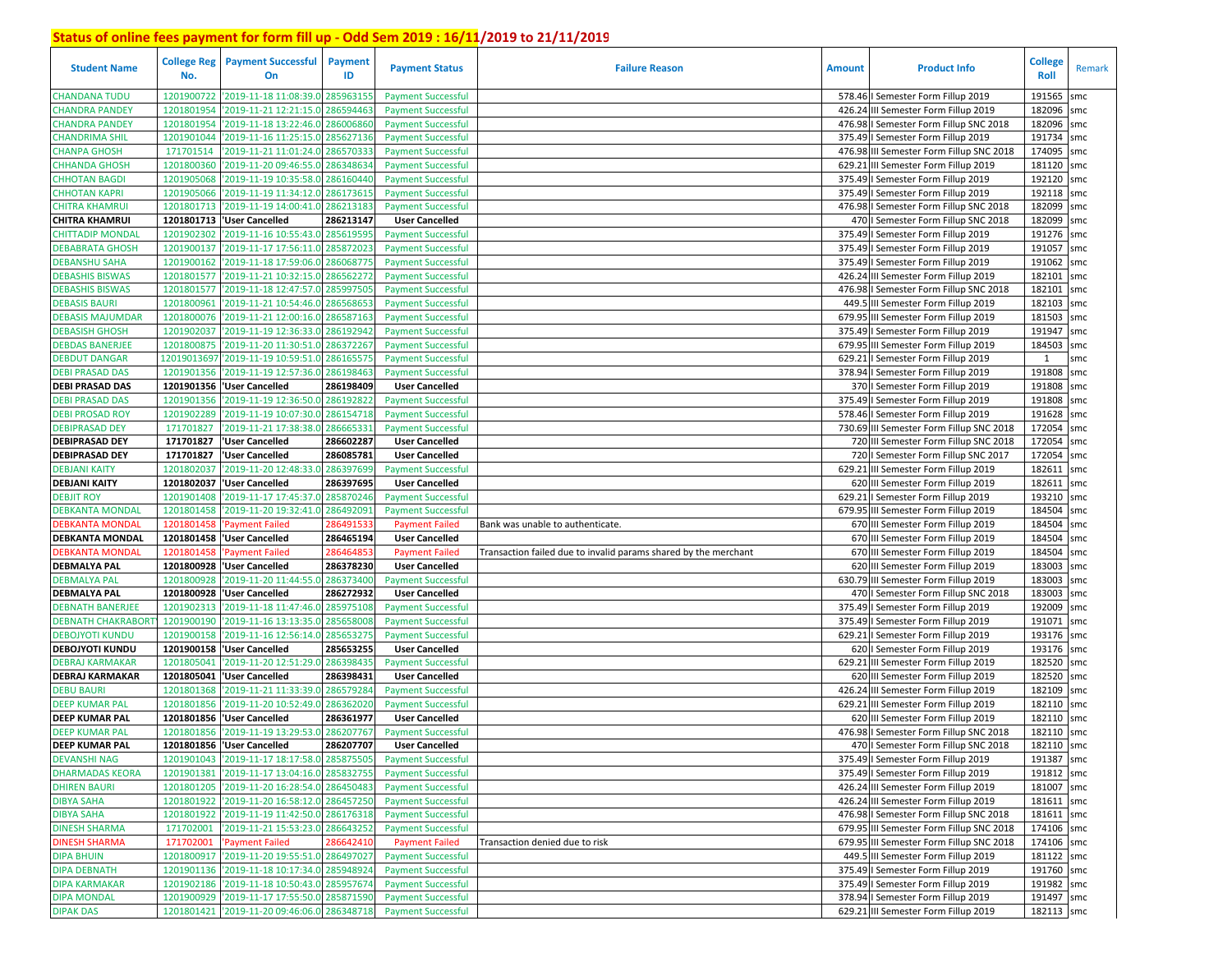| <b>Student Name</b>       | No.         | <b>College Reg   Payment Successful</b><br>On | Payment<br>ID | <b>Payment Status</b>     | <b>Failure Reason</b>                                           | <b>Amount</b> | <b>Product Info</b>                      | <b>College</b><br>Roll | Remark |
|---------------------------|-------------|-----------------------------------------------|---------------|---------------------------|-----------------------------------------------------------------|---------------|------------------------------------------|------------------------|--------|
| <b>CHANDANA TUDU</b>      | 1201900722  | '2019-11-18 11:08:39.0 285963155              |               | <b>Payment Successful</b> |                                                                 |               | 578.46   Semester Form Fillup 2019       | 191565                 | smc    |
| <b>CHANDRA PANDEY</b>     | 1201801954  | '2019-11-21 12:21:15.0 286594463              |               | <b>Payment Successful</b> |                                                                 |               | 426.24 III Semester Form Fillup 2019     | 182096 smc             |        |
| <b>CHANDRA PANDEY</b>     | 1201801954  | '2019-11-18 13:22:46.0 286006860              |               | <b>Payment Successful</b> |                                                                 |               | 476.98   Semester Form Fillup SNC 2018   | 182096 smc             |        |
| <b>CHANDRIMA SHIL</b>     | 1201901044  | '2019-11-16 11:25:15.0 285627136              |               | <b>Payment Successful</b> |                                                                 |               | 375.49   Semester Form Fillup 2019       | 191734 smc             |        |
| <b>CHANPA GHOSH</b>       | 171701514   | 2019-11-21 11:01:24.0 286570333               |               | <b>Payment Successful</b> |                                                                 |               | 476.98 III Semester Form Fillup SNC 2018 | 174095 smc             |        |
| CHHANDA GHOSH             | 1201800360  | '2019-11-20 09:46:55.0 286348634              |               | <b>Payment Successful</b> |                                                                 |               | 629.21 III Semester Form Fillup 2019     | 181120 smc             |        |
| <b>CHHOTAN BAGDI</b>      | 1201905068  | '2019-11-19 10:35:58.0 286160440              |               | <b>Payment Successful</b> |                                                                 |               | 375.49   Semester Form Fillup 2019       | 192120 smc             |        |
| <b>CHHOTAN KAPRI</b>      | 1201905066  | '2019-11-19 11:34:12.0 286173615              |               | <b>Payment Successful</b> |                                                                 |               | 375.49   Semester Form Fillup 2019       | 192118 smc             |        |
| <b>CHITRA KHAMRUI</b>     |             | 1201801713 2019-11-19 14:00:41.0 286213183    |               | <b>Payment Successful</b> |                                                                 |               | 476.98   Semester Form Fillup SNC 2018   | 182099 smc             |        |
| <b>CHITRA KHAMRUI</b>     |             | 1201801713 User Cancelled                     | 286213147     | <b>User Cancelled</b>     |                                                                 |               | 470   Semester Form Fillup SNC 2018      | 182099 smc             |        |
| CHITTADIP MONDAL          | 1201902302  | '2019-11-16 10:55:43.0 285619595              |               | <b>Payment Successful</b> |                                                                 |               | 375.49   Semester Form Fillup 2019       | 191276 smc             |        |
| <b>DEBABRATA GHOSH</b>    | 1201900137  | '2019-11-17 17:56:11.0 285872023              |               | <b>Payment Successful</b> |                                                                 |               | 375.49   Semester Form Fillup 2019       | 191057 smc             |        |
| <b>DEBANSHU SAHA</b>      | 1201900162  | '2019-11-18 17:59:06.0 286068775              |               | <b>Payment Successful</b> |                                                                 |               | 375.49   Semester Form Fillup 2019       | 191062 smc             |        |
| <b>DEBASHIS BISWAS</b>    | 1201801577  | '2019-11-21 10:32:15.0                        | 286562272     | <b>Payment Successful</b> |                                                                 |               | 426.24 III Semester Form Fillup 2019     | 182101                 | smc    |
| <b>DEBASHIS BISWAS</b>    | 1201801577  | '2019-11-18 12:47:57.0                        | 285997505     | <b>Payment Successful</b> |                                                                 |               | 476.98 I Semester Form Fillup SNC 2018   | 182101 smc             |        |
| <b>DEBASIS BAURI</b>      | 1201800961  | '2019-11-21 10:54:46.0                        | 286568653     | <b>Payment Successful</b> |                                                                 |               | 449.5 III Semester Form Fillup 2019      | 182103 smc             |        |
| DEBASIS MAJUMDAR          | 1201800076  | '2019-11-21 12:00:16.0                        | 286587163     | <b>Payment Successful</b> |                                                                 |               | 679.95 III Semester Form Fillup 2019     | 181503 smc             |        |
| <b>DEBASISH GHOSH</b>     | 1201902037  | '2019-11-19 12:36:33.0                        | 286192942     | <b>Payment Successful</b> |                                                                 |               | 375.49   Semester Form Fillup 2019       | 191947                 | smc    |
| <b>DEBDAS BANERJEE</b>    | 1201800875  | '2019-11-20 11:30:51.0 286372267              |               | <b>Payment Successful</b> |                                                                 |               | 679.95 III Semester Form Fillup 2019     | 184503 smc             |        |
| <b>DEBDUT DANGAR</b>      | 12019013697 | '2019-11-19 10:59:51.0                        | 286165575     | <b>Payment Successful</b> |                                                                 |               | 629.21   Semester Form Fillup 2019       | 1                      | smc    |
| <b>DEBI PRASAD DAS</b>    | 1201901356  | '2019-11-19 12:57:36.0 286198463              |               | <b>Payment Successful</b> |                                                                 |               | 378.94   Semester Form Fillup 2019       | 191808 smc             |        |
| <b>DEBI PRASAD DAS</b>    | 1201901356  | 'User Cancelled                               | 286198409     | <b>User Cancelled</b>     |                                                                 |               | 370   Semester Form Fillup 2019          | 191808                 | smc    |
| <b>DEBI PRASAD DAS</b>    | 1201901356  | '2019-11-19 12:36:50.0 286192822              |               | <b>Payment Successful</b> |                                                                 |               | 375.49   Semester Form Fillup 2019       | 191808 smc             |        |
| <b>DEBI PROSAD ROY</b>    | 1201902289  | '2019-11-19 10:07:30.0                        | 286154718     | <b>Payment Successful</b> |                                                                 |               | 578.46   Semester Form Fillup 2019       | 191628                 | smc    |
| <b>DEBIPRASAD DEY</b>     | 171701827   | '2019-11-21 17:38:38.0                        | 286665331     | <b>Payment Successful</b> |                                                                 |               | 730.69 III Semester Form Fillup SNC 2018 | 172054                 | smc    |
| <b>DEBIPRASAD DEY</b>     | 171701827   | 'User Cancelled                               | 286602287     | <b>User Cancelled</b>     |                                                                 |               | 720 III Semester Form Fillup SNC 2018    | 172054                 | smc    |
| <b>DEBIPRASAD DEY</b>     | 171701827   | 'User Cancelled                               | 286085781     | <b>User Cancelled</b>     |                                                                 |               | 720   Semester Form Fillup SNC 2017      | 172054                 | smc    |
| <b>DEBJANI KAITY</b>      | 1201802037  | '2019-11-20 12:48:33.0 286397699              |               | <b>Payment Successful</b> |                                                                 |               | 629.21 III Semester Form Fillup 2019     | 182611                 | smc    |
| <b>DEBJANI KAITY</b>      | 1201802037  | 'User Cancelled                               | 286397695     | <b>User Cancelled</b>     |                                                                 |               | 620 III Semester Form Fillup 2019        | 182611                 | smc    |
| <b>DEBJIT ROY</b>         | 1201901408  | 2019-11-17 17:45:37.0 285870246               |               | <b>Payment Successful</b> |                                                                 |               | 629.21   Semester Form Fillup 2019       | 193210 smc             |        |
| <b>DEBKANTA MONDAL</b>    | 1201801458  | '2019-11-20 19:32:41.0 286492091              |               | <b>Payment Successful</b> |                                                                 |               | 679.95 III Semester Form Fillup 2019     | 184504 smc             |        |
| <b>DEBKANTA MONDAL</b>    | 1201801458  | <b>Payment Failed</b>                         | 28649153      | <b>Payment Failed</b>     | Bank was unable to authenticate.                                |               | 670 III Semester Form Fillup 2019        | 184504 smc             |        |
| <b>DEBKANTA MONDAL</b>    | 1201801458  | 'User Cancelled                               | 286465194     | <b>User Cancelled</b>     |                                                                 |               | 670 III Semester Form Fillup 2019        | 184504 smc             |        |
| <b>DEBKANTA MONDAL</b>    | 1201801458  | 'Payment Failed                               | 286464853     | <b>Payment Failed</b>     | Transaction failed due to invalid params shared by the merchant |               | 670 III Semester Form Fillup 2019        | 184504 smc             |        |
| <b>DEBMALYA PAL</b>       |             | 1201800928 'User Cancelled                    | 286378230     | <b>User Cancelled</b>     |                                                                 |               | 620 III Semester Form Fillup 2019        | 183003                 | smc    |
| <b>DEBMALYA PAL</b>       | 1201800928  | '2019-11-20 11:44:55.0                        | 286373400     | <b>Payment Successful</b> |                                                                 |               | 630.79 III Semester Form Fillup 2019     | 183003 smc             |        |
| <b>DEBMALYA PAL</b>       |             | 1201800928 'User Cancelled                    | 286272932     | <b>User Cancelled</b>     |                                                                 |               | 470   Semester Form Fillup SNC 2018      | 183003 smc             |        |
| <b>DEBNATH BANERJEE</b>   | 1201902313  | '2019-11-18 11:47:46.0                        | 285975108     | <b>Payment Successful</b> |                                                                 |               | 375.49   Semester Form Fillup 2019       | 192009 smc             |        |
| <b>DEBNATH CHAKRABORT</b> | 1201900190  | '2019-11-16 13:13:35.0 285658008              |               | <b>Payment Successful</b> |                                                                 |               | 375.49   Semester Form Fillup 2019       | 191071                 | smc    |
| DEBOJYOTI KUNDU           | 1201900158  | '2019-11-16 12:56:14.0 285653275              |               | <b>Payment Successful</b> |                                                                 |               | 629.21   Semester Form Fillup 2019       | 193176 smc             |        |
| <b>DEBOJYOTI KUNDU</b>    | 1201900158  | 'User Cancelled                               | 285653255     | <b>User Cancelled</b>     |                                                                 |               | 620   Semester Form Fillup 2019          | 193176 smc             |        |
| DEBRAJ KARMAKAR           | 1201805041  | '2019-11-20 12:51:29.0                        | 286398435     | <b>Payment Successful</b> |                                                                 |               | 629.21 III Semester Form Fillup 2019     | 182520 smc             |        |
| <b>DEBRAJ KARMAKAR</b>    | 1201805041  | 'User Cancelled                               | 286398431     | <b>User Cancelled</b>     |                                                                 |               | 620 III Semester Form Fillup 2019        | 182520 smc             |        |
| <b>DEBU BAURI</b>         | 1201801368  | '2019-11-21 11:33:39.0                        | 286579284     | <b>Payment Successful</b> |                                                                 |               | 426.24 III Semester Form Fillup 2019     | 182109 smc             |        |
| <b>DEEP KUMAR PAL</b>     | 1201801856  | '2019-11-20 10:52:49.0                        | 286362020     | <b>Payment Successful</b> |                                                                 |               | 629.21 III Semester Form Fillup 2019     | 182110 smc             |        |
| <b>DEEP KUMAR PAL</b>     |             | 1201801856 User Cancelled                     | 286361977     | <b>User Cancelled</b>     |                                                                 |               | 620 III Semester Form Fillup 2019        | 182110 smc             |        |
| <b>DEEP KUMAR PAL</b>     |             | 1201801856 2019-11-19 13:29:53.0 286207767    |               | <b>Payment Successful</b> |                                                                 |               | 476.98   Semester Form Fillup SNC 2018   | 182110 smc             |        |
| <b>DEEP KUMAR PAL</b>     |             | 1201801856 User Cancelled                     | 286207707     | <b>User Cancelled</b>     |                                                                 |               | 470   Semester Form Fillup SNC 2018      | 182110 smc             |        |
| <b>DEVANSHI NAG</b>       |             | 1201901043 2019-11-17 18:17:58.0 285875505    |               | <b>Payment Successful</b> |                                                                 |               | 375.49   Semester Form Fillup 2019       | 191387 smc             |        |
| <b>DHARMADAS KEORA</b>    |             | 1201901381 2019-11-17 13:04:16.0 285832755    |               | <b>Payment Successful</b> |                                                                 |               | 375.49   Semester Form Fillup 2019       | 191812 smc             |        |
| <b>DHIREN BAURI</b>       |             | 1201801205 2019-11-20 16:28:54.0 286450483    |               | <b>Payment Successful</b> |                                                                 |               | 426.24 III Semester Form Fillup 2019     | 181007 smc             |        |
| <b>DIBYA SAHA</b>         |             | 1201801922 '2019-11-20 16:58:12.0 286457250   |               | <b>Payment Successful</b> |                                                                 |               | 426.24 III Semester Form Fillup 2019     | 181611 smc             |        |
| <b>DIBYA SAHA</b>         |             | 1201801922 2019-11-19 11:42:50.0 286176318    |               | <b>Payment Successful</b> |                                                                 |               | 476.98   Semester Form Fillup SNC 2018   | 181611 smc             |        |
| <b>DINESH SHARMA</b>      |             | 171702001 2019-11-21 15:53:23.0 286643252     |               | <b>Payment Successful</b> |                                                                 |               | 679.95 III Semester Form Fillup SNC 2018 | 174106 smc             |        |
| <b>DINESH SHARMA</b>      |             | 171702001 'Payment Failed                     | 286642410     | <b>Payment Failed</b>     | Transaction denied due to risk                                  |               | 679.95 III Semester Form Fillup SNC 2018 | 174106 smc             |        |
| <b>DIPA BHUIN</b>         |             | 1201800917 2019-11-20 19:55:51.0 286497027    |               | <b>Payment Successful</b> |                                                                 |               | 449.5 III Semester Form Fillup 2019      | 181122 smc             |        |
| <b>DIPA DEBNATH</b>       |             | 1201901136 2019-11-18 10:17:34.0 285948924    |               | <b>Payment Successful</b> |                                                                 |               | 375.49   Semester Form Fillup 2019       | 191760 smc             |        |
| <b>DIPA KARMAKAR</b>      |             | 1201902186 2019-11-18 10:50:43.0 285957674    |               | <b>Payment Successful</b> |                                                                 |               | 375.49   Semester Form Fillup 2019       | 191982 smc             |        |
| <b>DIPA MONDAL</b>        |             | 1201900929 2019-11-17 17:55:50.0 285871590    |               | <b>Payment Successful</b> |                                                                 |               | 378.94   Semester Form Fillup 2019       | 191497 smc             |        |
| <b>DIPAK DAS</b>          |             | 1201801421 2019-11-20 09:46:06.0 286348718    |               | <b>Payment Successful</b> |                                                                 |               | 629.21 III Semester Form Fillup 2019     | 182113 smc             |        |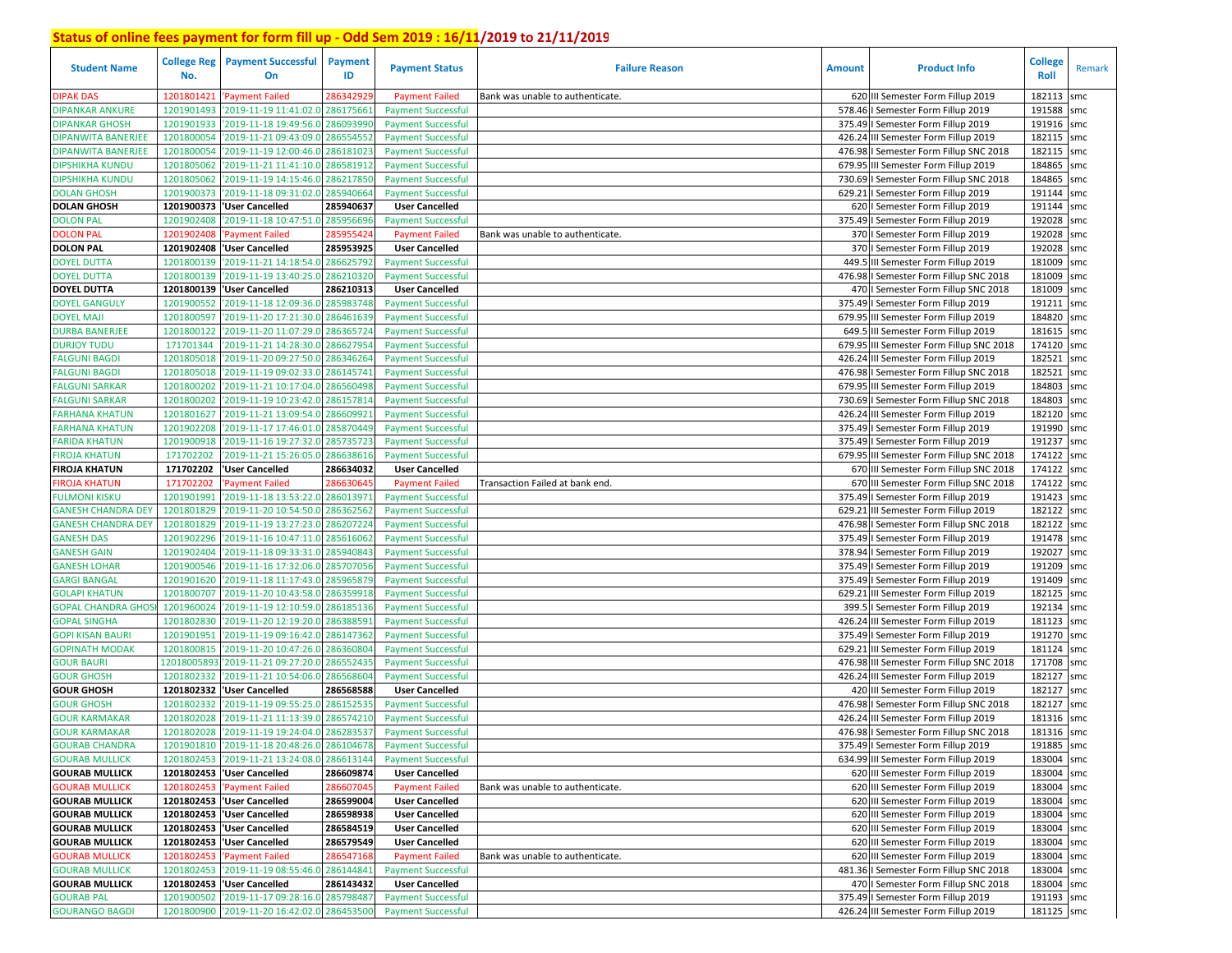| <b>Student Name</b>       | <b>College Reg</b><br>No. | <b>Payment Successful</b><br>On            | Payment<br>ID | <b>Payment Status</b>     | <b>Failure Reason</b>            | <b>Amount</b> | <b>Product Info</b>                      | <b>College</b><br><b>Roll</b> | Remark |
|---------------------------|---------------------------|--------------------------------------------|---------------|---------------------------|----------------------------------|---------------|------------------------------------------|-------------------------------|--------|
| <b>DIPAK DAS</b>          | 1201801421                | <b>Payment Failed</b>                      | 28634292      | <b>Payment Failed</b>     | Bank was unable to authenticate. |               | 620 III Semester Form Fillup 2019        | 182113                        | smc    |
| <b>DIPANKAR ANKURE</b>    | 1201901493                | 2019-11-19 11:41:02.0                      | 286175661     | <b>Payment Successful</b> |                                  |               | 578.46   Semester Form Fillup 2019       | 191588                        | smc    |
| <b>DIPANKAR GHOSH</b>     | 1201901933                | '2019-11-18 19:49:56.0                     | 28609399      | <b>Payment Successful</b> |                                  |               | 375.49   Semester Form Fillup 2019       | 191916 smc                    |        |
| <b>DIPANWITA BANERJEE</b> | 1201800054                | 2019-11-21 09:43:09.0                      | 286554552     | <b>Payment Successful</b> |                                  |               | 426.24 III Semester Form Fillup 2019     | 182115 smc                    |        |
| <b>DIPANWITA BANERJEE</b> | 1201800054                | '2019-11-19 12:00:46.0                     | 286181023     | <b>Payment Successful</b> |                                  |               | 476.98 I Semester Form Fillup SNC 2018   | 182115 smc                    |        |
| <b>DIPSHIKHA KUNDU</b>    | 1201805062                | '2019-11-21 11:41:10.0                     | 286581912     | <b>Payment Successful</b> |                                  |               | 679.95 III Semester Form Fillup 2019     | 184865 smc                    |        |
| <b>DIPSHIKHA KUNDU</b>    | 1201805062                | '2019-11-19 14:15:46.0                     | 286217850     | <b>Payment Successful</b> |                                  |               | 730.69   Semester Form Fillup SNC 2018   | 184865 smc                    |        |
| <b>DOLAN GHOSH</b>        | 1201900373                | '2019-11-18 09:31:02.0                     | 285940664     | <b>Payment Successful</b> |                                  |               | 629.21   Semester Form Fillup 2019       | 191144 smc                    |        |
| <b>DOLAN GHOSH</b>        | 1201900373                | 'User Cancelled                            | 285940637     | <b>User Cancelled</b>     |                                  |               | 620   Semester Form Fillup 2019          | 191144 smc                    |        |
| <b>DOLON PAL</b>          | 1201902408                | 2019-11-18 10:47:51.0                      | 285956696     | <b>Payment Successful</b> |                                  |               | 375.49   Semester Form Fillup 2019       | 192028 smc                    |        |
| <b>DOLON PAL</b>          | 1201902408                | 'Payment Failed                            | 28595542      | <b>Payment Failed</b>     | Bank was unable to authenticate. |               | 370   Semester Form Fillup 2019          | 192028 smc                    |        |
| <b>DOLON PAL</b>          | 1201902408                | 'User Cancelled                            | 285953925     | <b>User Cancelled</b>     |                                  |               | 370   Semester Form Fillup 2019          | 192028 smc                    |        |
| <b>DOYEL DUTTA</b>        | 1201800139                | 2019-11-21 14:18:54.0                      | 286625792     | <b>Payment Successful</b> |                                  |               | 449.5 III Semester Form Fillup 2019      | 181009 smc                    |        |
| <b>DOYEL DUTTA</b>        | 1201800139                | 2019-11-19 13:40:25.0                      | 286210320     | <b>Payment Successful</b> |                                  |               | 476.98   Semester Form Fillup SNC 2018   | 181009                        | smc    |
| <b>DOYEL DUTTA</b>        | 1201800139                | 'User Cancelled                            | 286210313     | <b>User Cancelled</b>     |                                  |               | 470   Semester Form Fillup SNC 2018      | 181009 smc                    |        |
| <b>DOYEL GANGULY</b>      | 1201900552                | '2019-11-18 12:09:36.0                     | 285983748     | <b>Payment Successful</b> |                                  |               | 375.49   Semester Form Fillup 2019       | 191211                        | smc    |
| <b>DOYEL MAJI</b>         | 1201800597                | '2019-11-20 17:21:30.0                     | 286461639     | <b>Payment Successful</b> |                                  |               | 679.95 III Semester Form Fillup 2019     | 184820                        | smc    |
| <b>DURBA BANERJEE</b>     | 1201800122                | '2019-11-20 11:07:29.                      | 286365724     | <b>Payment Successful</b> |                                  |               | 649.5 III Semester Form Fillup 2019      | 181615 smc                    |        |
| <b>DURJOY TUDU</b>        | 171701344                 | 2019-11-21 14:28:30.0                      | 28662795      | <b>Payment Successful</b> |                                  |               | 679.95 III Semester Form Fillup SNC 2018 | 174120 smc                    |        |
| <b>FALGUNI BAGDI</b>      | 1201805018                | '2019-11-20 09:27:50.0                     | 28634626      | <b>Payment Successful</b> |                                  |               | 426.24 III Semester Form Fillup 2019     | 182521                        | smc    |
| <b>FALGUNI BAGDI</b>      | 1201805018                | '2019-11-19 09:02:33.                      | 286145741     | <b>Payment Successful</b> |                                  |               | 476.98   Semester Form Fillup SNC 2018   | 182521                        | smc    |
| <b>FALGUNI SARKAR</b>     | 1201800202                | '2019-11-21 10:17:04.0                     | 286560498     | <b>Payment Successful</b> |                                  |               | 679.95 III Semester Form Fillup 2019     | 184803                        | smc    |
| <b>FALGUNI SARKAR</b>     | 1201800202                | '2019-11-19 10:23:42.0                     | 286157814     | <b>Payment Successful</b> |                                  |               | 730.69   Semester Form Fillup SNC 2018   | 184803                        | smc    |
| <b>FARHANA KHATUN</b>     | 1201801627                | '2019-11-21 13:09:54.0                     | 28660992      | <b>Payment Successful</b> |                                  |               | 426.24 III Semester Form Fillup 2019     | 182120                        | smc    |
| <b>FARHANA KHATUN</b>     | 1201902208                | 2019-11-17 17:46:01.0                      | 285870449     | <b>Payment Successful</b> |                                  |               | 375.49   Semester Form Fillup 2019       | 191990 smc                    |        |
| <b>FARIDA KHATUN</b>      | 1201900918                | '2019-11-16 19:27:32.0                     | 285735723     | <b>Payment Successful</b> |                                  |               | 375.49   Semester Form Fillup 2019       | 191237 smc                    |        |
| <b>FIROJA KHATUN</b>      | 171702202                 | 2019-11-21 15:26:05.0                      | 286638616     | <b>Payment Successful</b> |                                  |               | 679.95 III Semester Form Fillup SNC 2018 | 174122 smc                    |        |
| <b>FIROJA KHATUN</b>      | 171702202                 | <b>User Cancelled</b>                      | 286634032     | <b>User Cancelled</b>     |                                  |               | 670 III Semester Form Fillup SNC 2018    | 174122 smc                    |        |
| <b>FIROJA KHATUN</b>      | 171702202                 | <b>Payment Failed</b>                      | 28663064      | <b>Payment Failed</b>     | Transaction Failed at bank end.  |               | 670 III Semester Form Fillup SNC 2018    | 174122                        | smc    |
| <b>FULMONI KISKU</b>      | 1201901991                | '2019-11-18 13:53:22.0                     | 286013971     | <b>Payment Successful</b> |                                  |               | 375.49   Semester Form Fillup 2019       | 191423 smc                    |        |
| <b>GANESH CHANDRA DEY</b> | 1201801829                | '2019-11-20 10:54:50.0                     | 286362562     | <b>Payment Successful</b> |                                  |               | 629.21 III Semester Form Fillup 2019     | 182122 smc                    |        |
| <b>GANESH CHANDRA DEY</b> | 1201801829                | '2019-11-19 13:27:23.0                     | 286207224     | <b>Payment Successful</b> |                                  |               | 476.98 I Semester Form Fillup SNC 2018   | 182122 smc                    |        |
| <b>GANESH DAS</b>         | 1201902296                | '2019-11-16 10:47:11.0                     | 285616062     | <b>Payment Successful</b> |                                  |               | 375.49   Semester Form Fillup 2019       | 191478                        | smc    |
| <b>GANESH GAIN</b>        | 1201902404                | '2019-11-18 09:33:31.0                     | 285940843     | <b>Payment Successful</b> |                                  |               | 378.94   Semester Form Fillup 2019       | 192027 smc                    |        |
| <b>GANESH LOHAR</b>       | 1201900546                | 2019-11-16 17:32:06.0                      | 285707056     | <b>Payment Successful</b> |                                  |               | 375.49   Semester Form Fillup 2019       | 191209                        | smc    |
| <b>GARGI BANGAL</b>       | 1201901620                | 2019-11-18 11:17:43.0                      | 285965879     | <b>Payment Successful</b> |                                  |               | 375.49   Semester Form Fillup 2019       | 191409 smc                    |        |
| <b>GOLAPI KHATUN</b>      | 1201800707                | '2019-11-20 10:43:58.0                     | 286359918     | <b>Payment Successful</b> |                                  |               | 629.21 III Semester Form Fillup 2019     | 182125 smc                    |        |
| <b>GOPAL CHANDRA GHOS</b> | 1201960024                | '2019-11-19 12:10:59.0                     | 286185136     | <b>Payment Successful</b> |                                  |               | 399.5   Semester Form Fillup 2019        | 192134 smc                    |        |
| <b>GOPAL SINGHA</b>       | 1201802830                | 2019-11-20 12:19:20.0                      | 28638859      | <b>Payment Successful</b> |                                  |               | 426.24 III Semester Form Fillup 2019     | 181123 smc                    |        |
| <b>GOPI KISAN BAURI</b>   | 1201901951                | '2019-11-19 09:16:42.0                     | 286147362     | <b>Payment Successful</b> |                                  |               | 375.49   Semester Form Fillup 2019       | 191270 smc                    |        |
| <b>GOPINATH MODAK</b>     | 1201800815                | '2019-11-20 10:47:26.0                     | 28636080      | <b>Payment Successful</b> |                                  |               | 629.21 III Semester Form Fillup 2019     | 181124 smc                    |        |
| <b>GOUR BAURI</b>         | 1201800589                | 2019-11-21 09:27:20.0                      | 28655243      | <b>Payment Successful</b> |                                  |               | 476.98 III Semester Form Fillup SNC 2018 | 171708 smc                    |        |
| <b>GOUR GHOSH</b>         | 1201802332                | '2019-11-21 10:54:06.0                     | 28656860      | <b>Payment Successful</b> |                                  |               | 426.24 III Semester Form Fillup 2019     | 182127 smc                    |        |
| <b>GOUR GHOSH</b>         | 1201802332                | <b>User Cancelled</b>                      | 286568588     | <b>User Cancelled</b>     |                                  |               | 420 III Semester Form Fillup 2019        | 182127 smc                    |        |
| <b>GOUR GHOSH</b>         | 1201802332                | '2019-11-19 09:55:25.0                     | 28615253      | <b>Payment Successful</b> |                                  |               | 476.98   Semester Form Fillup SNC 2018   | 182127                        | smc    |
| <b>GOUR KARMAKAR</b>      | 1201802028                | '2019-11-21 11:13:39.0                     | 286574210     | <b>Payment Successful</b> |                                  |               | 426.24 III Semester Form Fillup 2019     | 181316                        | smc    |
| <b>GOUR KARMAKAR</b>      | 1201802028                | '2019-11-19 19:24:04.0 286283537           |               | <b>Payment Successful</b> |                                  |               | 476.98   Semester Form Fillup SNC 2018   | 181316 smc                    |        |
| <b>GOURAB CHANDRA</b>     |                           | 1201901810 2019-11-18 20:48:26.0 286104678 |               |                           |                                  |               | 375.49   Semester Form Fillup 2019       |                               |        |
| <b>GOURAB MULLICK</b>     |                           |                                            |               | <b>Payment Successful</b> |                                  |               |                                          | 191885 smc<br>183004 smc      |        |
|                           |                           | 1201802453 2019-11-21 13:24:08.0 286613144 |               | <b>Payment Successful</b> |                                  |               | 634.99 III Semester Form Fillup 2019     |                               |        |
| <b>GOURAB MULLICK</b>     |                           | 1201802453  'User Cancelled                | 286609874     | <b>User Cancelled</b>     |                                  |               | 620 III Semester Form Fillup 2019        | 183004 smc                    |        |
| <b>GOURAB MULLICK</b>     |                           | 1201802453 'Payment Failed                 | 286607045     | <b>Payment Failed</b>     | Bank was unable to authenticate. |               | 620 III Semester Form Fillup 2019        | 183004 smc                    |        |
| <b>GOURAB MULLICK</b>     |                           | 1201802453 'User Cancelled                 | 286599004     | <b>User Cancelled</b>     |                                  |               | 620 III Semester Form Fillup 2019        | 183004 smc                    |        |
| <b>GOURAB MULLICK</b>     |                           | 1201802453 User Cancelled                  | 286598938     | <b>User Cancelled</b>     |                                  |               | 620 III Semester Form Fillup 2019        | 183004 smc                    |        |
| <b>GOURAB MULLICK</b>     |                           | 1201802453 VJser Cancelled                 | 286584519     | <b>User Cancelled</b>     |                                  |               | 620 III Semester Form Fillup 2019        | 183004 smc                    |        |
| <b>GOURAB MULLICK</b>     |                           | 1201802453 User Cancelled                  | 286579549     | <b>User Cancelled</b>     |                                  |               | 620 III Semester Form Fillup 2019        | 183004 smc                    |        |
| <b>GOURAB MULLICK</b>     |                           | 1201802453 'Payment Failed                 | 286547168     | <b>Payment Failed</b>     | Bank was unable to authenticate. |               | 620 III Semester Form Fillup 2019        | 183004 smc                    |        |
| <b>GOURAB MULLICK</b>     |                           | 1201802453 2019-11-19 08:55:46.0 286144841 |               | <b>Payment Successful</b> |                                  |               | 481.36   Semester Form Fillup SNC 2018   | 183004 smc                    |        |
| <b>GOURAB MULLICK</b>     |                           | 1201802453 User Cancelled                  | 286143432     | <b>User Cancelled</b>     |                                  |               | 470   Semester Form Fillup SNC 2018      | 183004 smc                    |        |
| <b>GOURAB PAL</b>         |                           | 1201900502 2019-11-17 09:28:16.0 285798487 |               | <b>Payment Successful</b> |                                  |               | 375.49   Semester Form Fillup 2019       | 191193 smc                    |        |
| <b>GOURANGO BAGDI</b>     |                           | 1201800900 2019-11-20 16:42:02.0 286453500 |               | <b>Payment Successful</b> |                                  |               | 426.24 III Semester Form Fillup 2019     | 181125 smc                    |        |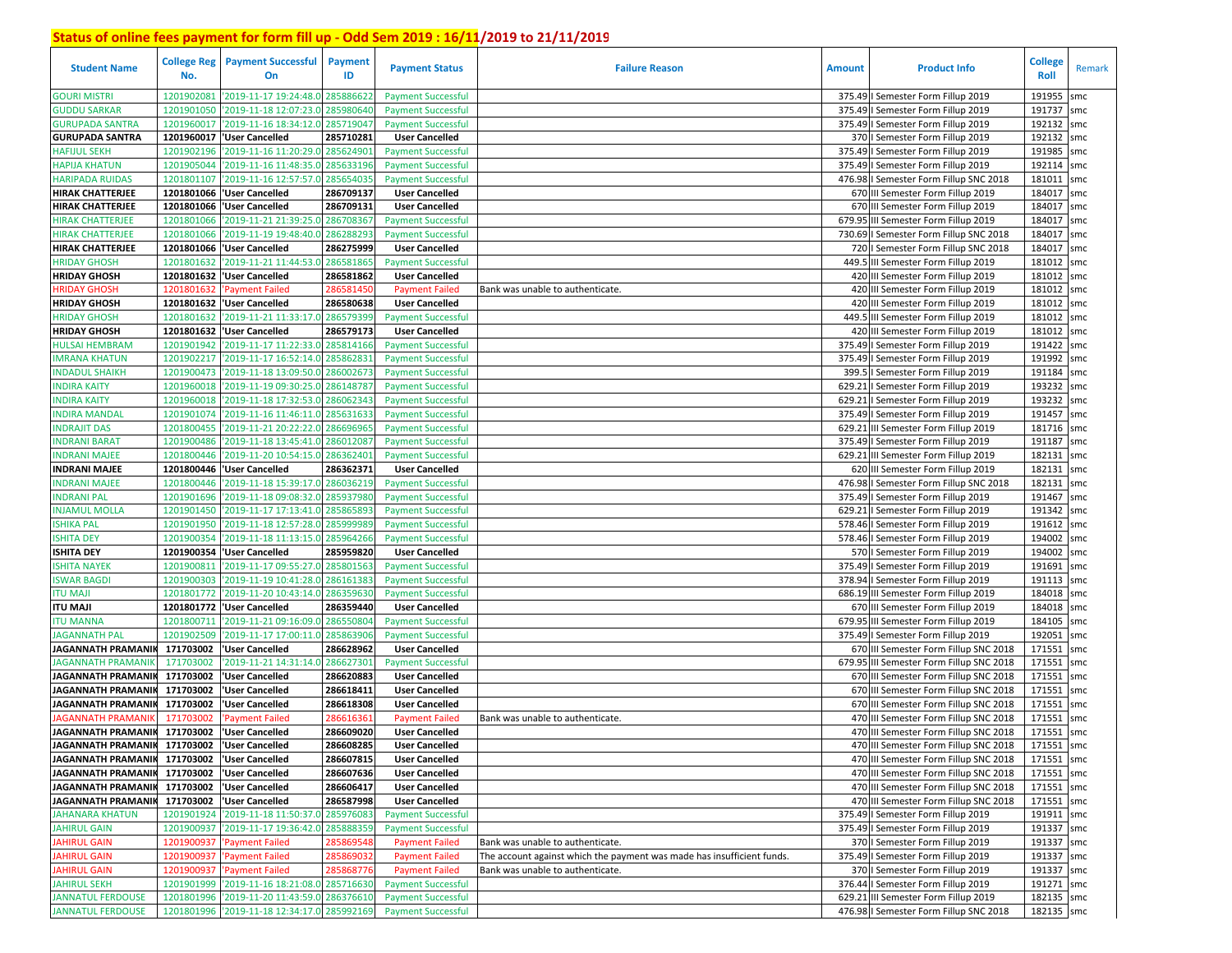| <b>Student Name</b>                                  | No.                      | <b>College Reg</b> Payment Successful<br>On                   | <b>Payment</b><br>ID   | <b>Payment Status</b>                                  | <b>Failure Reason</b>                                                  | <b>Amount</b> | <b>Product Info</b>                                                               | <b>College</b><br><b>Roll</b> | Remark |
|------------------------------------------------------|--------------------------|---------------------------------------------------------------|------------------------|--------------------------------------------------------|------------------------------------------------------------------------|---------------|-----------------------------------------------------------------------------------|-------------------------------|--------|
| <b>GOURI MISTRI</b>                                  | 1201902081               | '2019-11-17 19:24:48.0                                        | 285886622              | <b>Payment Successful</b>                              |                                                                        |               | 375.49   Semester Form Fillup 2019                                                | 191955                        | smc    |
| <b>GUDDU SARKAR</b>                                  | 1201901050               | '2019-11-18 12:07:23.0                                        | 285980640              | <b>Payment Successful</b>                              |                                                                        |               | 375.49   Semester Form Fillup 2019                                                | 191737                        | smc    |
| <b>GURUPADA SANTRA</b>                               | 1201960017               | '2019-11-16 18:34:12.0                                        | 285719047              | <b>Payment Successful</b>                              |                                                                        |               | 375.49   Semester Form Fillup 2019                                                | 192132                        | smc    |
| <b>GURUPADA SANTRA</b>                               | 1201960017               | 'User Cancelled                                               | 285710281              | <b>User Cancelled</b>                                  |                                                                        |               | 370   Semester Form Fillup 2019                                                   | 192132                        | smc    |
| <b>HAFIJUL SEKH</b>                                  | 1201902196               | '2019-11-16 11:20:29.0                                        | 28562490               | <b>Payment Successful</b>                              |                                                                        |               | 375.49   Semester Form Fillup 2019                                                | 191985                        | smc    |
| <b>HAPIJA KHATUN</b>                                 | 1201905044               | '2019-11-16 11:48:35.0                                        | 285633196              | <b>Payment Successful</b>                              |                                                                        |               | 375.49   Semester Form Fillup 2019                                                | 192114                        | smc    |
| <b>HARIPADA RUIDAS</b>                               | 1201801107               | '2019-11-16 12:57:57.0                                        | 285654035              | <b>Payment Successful</b>                              |                                                                        |               | 476.98   Semester Form Fillup SNC 2018                                            | 181011                        | smc    |
| <b>HIRAK CHATTERJEE</b>                              |                          | 1201801066   User Cancelled                                   | 286709137              | <b>User Cancelled</b>                                  |                                                                        |               | 670 III Semester Form Fillup 2019                                                 | 184017                        | smc    |
| <b>HIRAK CHATTERJEE</b>                              |                          | 1201801066   User Cancelled                                   | 286709131              | <b>User Cancelled</b>                                  |                                                                        |               | 670 III Semester Form Fillup 2019                                                 | 184017                        | smc    |
| <b>HIRAK CHATTERJEE</b>                              | 1201801066               | '2019-11-21 21:39:25.0                                        | 286708367              | <b>Payment Successful</b>                              |                                                                        |               | 679.95 III Semester Form Fillup 2019                                              | 184017                        | smc    |
| HIRAK CHATTERJEE                                     | 1201801066               | '2019-11-19 19:48:40.0                                        | 28628829               | <b>Payment Successful</b>                              |                                                                        |               | 730.69   Semester Form Fillup SNC 2018                                            | 184017 smc                    |        |
| <b>HIRAK CHATTERJEE</b>                              |                          | 1201801066 User Cancelled                                     | 286275999              | <b>User Cancelled</b>                                  |                                                                        |               | 720   Semester Form Fillup SNC 2018                                               | 184017                        | smc    |
| HRIDAY GHOSH                                         | 1201801632               | '2019-11-21 11:44:53.                                         | 286581865              | <b>Payment Successful</b>                              |                                                                        |               | 449.5 III Semester Form Fillup 2019                                               | 181012 smc                    |        |
| <b>HRIDAY GHOSH</b>                                  | 1201801632               | 'User Cancelled                                               | 286581862              | <b>User Cancelled</b>                                  |                                                                        |               | 420 III Semester Form Fillup 2019                                                 | 181012                        | smc    |
| HRIDAY GHOSH                                         | 1201801632               | Payment Failed                                                | 28658145               | <b>Payment Failed</b>                                  | Bank was unable to authenticate.                                       |               | 420 III Semester Form Fillup 2019                                                 | 181012 smc                    |        |
| <b>HRIDAY GHOSH</b>                                  | 1201801632               | 'User Cancelled                                               | 286580638              | <b>User Cancelled</b>                                  |                                                                        |               | 420 III Semester Form Fillup 2019                                                 | 181012                        | smc    |
| <b>HRIDAY GHOSH</b>                                  | 1201801632               | '2019-11-21 11:33:17.(                                        | 286579399              | <b>Payment Successful</b>                              |                                                                        |               | 449.5 III Semester Form Fillup 2019                                               | 181012 smc                    |        |
| <b>HRIDAY GHOSH</b>                                  | 1201801632               | 'User Cancelled                                               | 286579173              | <b>User Cancelled</b>                                  |                                                                        |               | 420 III Semester Form Fillup 2019                                                 | 181012                        | smc    |
| <b>HULSAI HEMBRAM</b>                                | 1201901942               | '2019-11-17 11:22:33.0                                        | 285814166              | <b>Payment Successful</b>                              |                                                                        |               | 375.49   Semester Form Fillup 2019                                                | 191422 smc                    |        |
| <b>IMRANA KHATUN</b>                                 | 1201902217               | '2019-11-17 16:52:14.0                                        | 28586283               | <b>Payment Successful</b>                              |                                                                        |               | 375.49   Semester Form Fillup 2019                                                | 191992                        | smc    |
| <b>INDADUL SHAIKH</b>                                | 1201900473               | '2019-11-18 13:09:50.                                         | 286002673              | <b>Payment Successful</b>                              |                                                                        |               | 399.5   Semester Form Fillup 2019                                                 | 191184 smc                    |        |
| <b>INDIRA KAITY</b>                                  | 1201960018               | '2019-11-19 09:30:25.0                                        | 286148787              | <b>Payment Successful</b>                              |                                                                        | 629.21        | I Semester Form Fillup 2019                                                       | 193232                        | smc    |
| <b>INDIRA KAITY</b>                                  | 1201960018               | '2019-11-18 17:32:53.0                                        | 286062343              | <b>Payment Successful</b>                              |                                                                        | 629.21        | I Semester Form Fillup 2019                                                       | 193232                        | smc    |
| <b>INDIRA MANDAL</b>                                 | 120190107                | '2019-11-16 11:46:11.                                         | 28563163               |                                                        |                                                                        | 375.49        | I Semester Form Fillup 2019                                                       | 191457                        |        |
| <b>INDRAJIT DAS</b>                                  | 1201800455               | '2019-11-21 20:22:22.0                                        | 286696965              | <b>Payment Successful</b><br><b>Payment Successful</b> |                                                                        | 629.21        | III Semester Form Fillup 2019                                                     | 181716 smc                    | smc    |
| <b>INDRANI BARAT</b>                                 | 1201900486               | '2019-11-18 13:45:41.0                                        | 28601208               |                                                        |                                                                        |               | 375.49   Semester Form Fillup 2019                                                | 191187 smc                    |        |
| <b>INDRANI MAJEE</b>                                 |                          | '2019-11-20 10:54:15.0                                        | 286362401              | <b>Payment Successful</b>                              |                                                                        |               | 629.21 III Semester Form Fillup 2019                                              | 182131                        |        |
| <b>INDRANI MAJEE</b>                                 | 1201800446<br>1201800446 | 'User Cancelled                                               | 286362371              | <b>Payment Successful</b><br><b>User Cancelled</b>     |                                                                        |               | 620 III Semester Form Fillup 2019                                                 | 182131                        | smc    |
|                                                      | 1201800446               | '2019-11-18 15:39:17.0                                        |                        |                                                        |                                                                        |               |                                                                                   |                               | smc    |
| <b>INDRANI MAJEE</b>                                 |                          |                                                               | 286036219              | <b>Payment Successful</b>                              |                                                                        |               | 476.98 I Semester Form Fillup SNC 2018                                            | 182131<br>191467 smc          | smc    |
| <b>INDRANI PAL</b>                                   | 1201901696               | '2019-11-18 09:08:32.0                                        | 28593798               | <b>Payment Successful</b>                              |                                                                        |               | 375.49   Semester Form Fillup 2019                                                | 191342                        |        |
| <b>INJAMUL MOLLA</b>                                 | 1201901450               | '2019-11-17 17:13:41.0                                        | 28586589               | <b>Payment Successful</b>                              |                                                                        |               | 629.21   Semester Form Fillup 2019                                                |                               | smc    |
| <b>ISHIKA PAL</b>                                    | 1201901950               | '2019-11-18 12:57:28.0                                        | 28599998               | <b>Payment Successful</b>                              |                                                                        |               | 578.46   Semester Form Fillup 2019                                                | 191612                        | smc    |
| <b>ISHITA DEY</b><br><b>ISHITA DEY</b>               |                          | 1201900354 2019-11-18 11:13:15.0<br>1201900354 User Cancelled | 285964266<br>285959820 | <b>Payment Successful</b><br><b>User Cancelled</b>     |                                                                        |               | 578.46   Semester Form Fillup 2019                                                | 194002<br>194002 smc          | smc    |
|                                                      |                          |                                                               |                        |                                                        |                                                                        |               | 570   Semester Form Fillup 2019                                                   |                               |        |
| <b>ISHITA NAYEK</b>                                  |                          | 1201900811 2019-11-17 09:55:27.0                              | 285801563              | <b>Payment Successful</b>                              |                                                                        |               | 375.49   Semester Form Fillup 2019                                                | 191691                        | smc    |
| <b>ISWAR BAGDI</b>                                   | 1201900303               | '2019-11-19 10:41:28.0                                        | 286161383              | <b>Payment Successful</b>                              |                                                                        |               | 378.94 I Semester Form Fillup 2019                                                | 191113 smc                    |        |
| <b>ITU MAJI</b>                                      | 1201801772               | '2019-11-20 10:43:14.0                                        | 286359630              | <b>Payment Successful</b>                              |                                                                        |               | 686.19 III Semester Form Fillup 2019                                              | 184018 smc                    |        |
| ITU MAJI                                             |                          | 1201801772 User Cancelled                                     | 286359440              | <b>User Cancelled</b>                                  |                                                                        |               | 670 III Semester Form Fillup 2019                                                 | 184018 smc                    |        |
| <b>ITU MANNA</b>                                     | 1201800711               | '2019-11-21 09:16:09.0                                        | 286550804              | <b>Payment Successful</b>                              |                                                                        |               | 679.95 III Semester Form Fillup 2019                                              | 184105 smc                    |        |
| <b>JAGANNATH PAL</b>                                 | 1201902509               | '2019-11-17 17:00:11.0                                        | 28586390               | <b>Payment Successful</b>                              |                                                                        |               | 375.49   Semester Form Fillup 2019                                                | 192051                        | smc    |
| <b>JAGANNATH PRAMANIK</b>                            | 171703002                | 'User Cancelled                                               | 286628962              | <b>User Cancelled</b>                                  |                                                                        |               | 670 III Semester Form Fillup SNC 2018                                             | 171551<br>171551              | smc    |
| <b>JAGANNATH PRAMANI</b>                             | 171703002<br>171703002   | 2019-11-21 14:31:14.0                                         | 286627301              | <b>Payment Successful</b>                              |                                                                        |               | 679.95 III Semester Form Fillup SNC 2018<br>670 III Semester Form Fillup SNC 2018 |                               | smc    |
| <b>JAGANNATH PRAMANI</b><br><b>JAGANNATH PRAMANI</b> | 171703002                | User Cancelled                                                | 286620883<br>286618411 | <b>User Cancelled</b><br><b>User Cancelled</b>         |                                                                        |               | 670 III Semester Form Fillup SNC 2018                                             | 171551<br>171551              | smc    |
|                                                      |                          | User Cancelled                                                |                        |                                                        |                                                                        |               |                                                                                   |                               | smc    |
| <b>JAGANNATH PRAMANI</b>                             | 171703002                | User Cancelled                                                | 286618308              | <b>User Cancelled</b>                                  |                                                                        |               | 670 III Semester Form Fillup SNC 2018                                             | 171551                        | smc    |
| <b>JAGANNATH PRAMANI</b>                             | 171703002                | <b>Payment Failed</b>                                         | 28661636               | <b>Payment Failed</b>                                  | Bank was unable to authenticate.                                       |               | 470 III Semester Form Fillup SNC 2018                                             | 171551                        | smc    |
| JAGANNATH PRAMANIK 171703002                         |                          | <b>User Cancelled</b>                                         | 286609020              | <b>User Cancelled</b>                                  |                                                                        |               | 470 III Semester Form Fillup SNC 2018                                             | 171551                        | smc    |
| JAGANNATH PRAMANIK 171703002 VJser Cancelled         |                          |                                                               | 286608285              | <b>User Cancelled</b>                                  |                                                                        |               | 470 III Semester Form Fillup SNC 2018                                             | 171551 smc                    |        |
| JAGANNATH PRAMANIK 171703002 VJser Cancelled         |                          |                                                               | 286607815              | <b>User Cancelled</b>                                  |                                                                        |               | 470 III Semester Form Fillup SNC 2018                                             | 171551 smc                    |        |
| JAGANNATH PRAMANIK 171703002                         |                          | 'User Cancelled                                               | 286607636              | <b>User Cancelled</b>                                  |                                                                        |               | 470 III Semester Form Fillup SNC 2018                                             | 171551 smc                    |        |
| <b>JAGANNATH PRAMANIK</b>                            | 171703002                | 'User Cancelled                                               | 286606417              | <b>User Cancelled</b>                                  |                                                                        |               | 470 III Semester Form Fillup SNC 2018                                             | 171551 smc                    |        |
| <b>JAGANNATH PRAMANIK</b>                            |                          | 171703002 Vuser Cancelled                                     | 286587998              | <b>User Cancelled</b>                                  |                                                                        |               | 470 III Semester Form Fillup SNC 2018                                             | 171551 smc                    |        |
| <b>JAHANARA KHATUN</b>                               |                          | 1201901924 2019-11-18 11:50:37.0                              | 285976083              | <b>Payment Successful</b>                              |                                                                        |               | 375.49   Semester Form Fillup 2019                                                | 191911 smc                    |        |
| <b>JAHIRUL GAIN</b>                                  |                          | 1201900937 2019-11-17 19:36:42.0                              | 285888359              | <b>Payment Successful</b>                              |                                                                        |               | 375.49   Semester Form Fillup 2019                                                | 191337 smc                    |        |
| <b>JAHIRUL GAIN</b>                                  | 1201900937               | 'Payment Failed                                               | 285869548              | <b>Payment Failed</b>                                  | Bank was unable to authenticate.                                       |               | 370   Semester Form Fillup 2019                                                   | 191337 smc                    |        |
| <b>JAHIRUL GAIN</b>                                  |                          | 1201900937 'Payment Failed                                    | 285869032              | <b>Payment Failed</b>                                  | The account against which the payment was made has insufficient funds. |               | 375.49   Semester Form Fillup 2019                                                | 191337 smc                    |        |
| <b>JAHIRUL GAIN</b>                                  |                          | 1201900937 'Payment Failed                                    | 285868776              | <b>Payment Failed</b>                                  | Bank was unable to authenticate.                                       |               | 370   Semester Form Fillup 2019                                                   | 191337 smc                    |        |
| <b>JAHIRUL SEKH</b>                                  |                          | 1201901999 '2019-11-16 18:21:08.0 285716630                   |                        | <b>Payment Successful</b>                              |                                                                        |               | 376.44   Semester Form Fillup 2019                                                | 191271 smc                    |        |
| <b>JANNATUL FERDOUSE</b>                             |                          | 1201801996 '2019-11-20 11:43:59.0 286376610                   |                        | <b>Payment Successful</b>                              |                                                                        |               | 629.21 III Semester Form Fillup 2019                                              | 182135 smc                    |        |
| <b>JANNATUL FERDOUSE</b>                             |                          | 1201801996 2019-11-18 12:34:17.0 285992169                    |                        | <b>Payment Successful</b>                              |                                                                        |               | 476.98   Semester Form Fillup SNC 2018                                            | 182135 smc                    |        |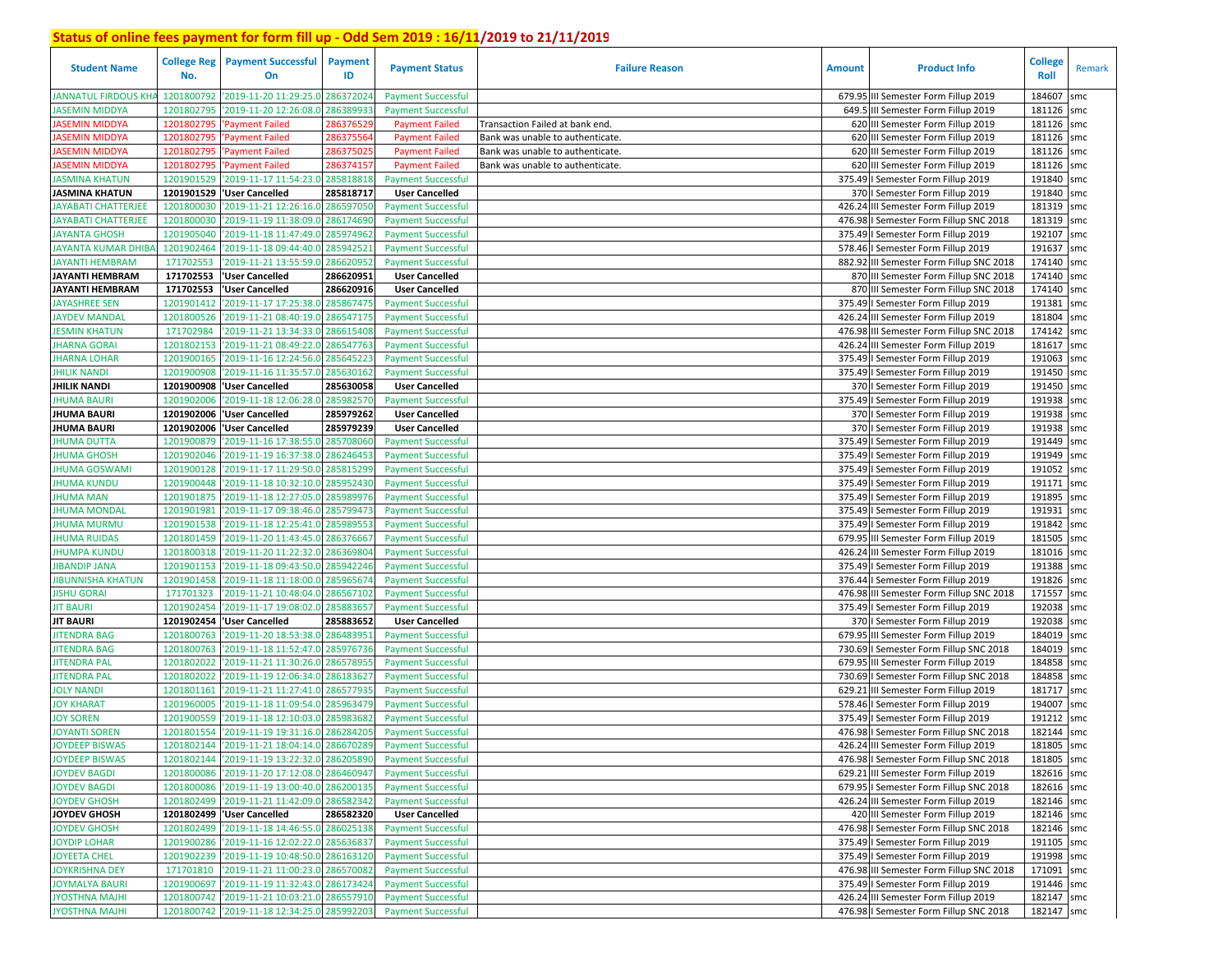| <b>Student Name</b>       | <b>College Reg</b><br>No. | <b>Payment Successful</b><br><b>On</b>     | Payment<br>ID | <b>Payment Status</b>     | <b>Failure Reason</b>            | <b>Amount</b> | <b>Product Info</b>                      | <b>College</b><br><b>Roll</b> | Remark |
|---------------------------|---------------------------|--------------------------------------------|---------------|---------------------------|----------------------------------|---------------|------------------------------------------|-------------------------------|--------|
| JANNATUL FIRDOUS KH.      | 1201800792                | '2019-11-20 11:29:25.0 28637202            |               | <b>Payment Successful</b> |                                  |               | 679.95 III Semester Form Fillup 2019     | 184607                        | smc    |
| <b>ASEMIN MIDDYA</b>      | 1201802795                | '2019-11-20 12:26:08.0                     | 28638993      | <b>Payment Successful</b> |                                  |               | 649.5 III Semester Form Fillup 2019      | 181126 smc                    |        |
| ASEMIN MIDDYA             | 120180279                 | Payment Failed                             | 28637652      | <b>Payment Failed</b>     | Transaction Failed at bank end.  |               | 620 III Semester Form Fillup 2019        | 181126 smc                    |        |
| <b>IASEMIN MIDDYA</b>     | 1201802795                | 'Payment Failed                            | 28637556      | <b>Payment Failed</b>     | Bank was unable to authenticate. |               | 620 III Semester Form Fillup 2019        | 181126 smc                    |        |
| ASEMIN MIDDYA             | 1201802795                | 'Payment Failed                            | 28637502      | <b>Payment Failed</b>     | Bank was unable to authenticate. |               | 620 III Semester Form Fillup 2019        | 181126 smc                    |        |
| <b>ASEMIN MIDDYA</b>      | 1201802795                | 'Payment Failed                            | 286374157     | <b>Payment Failed</b>     | Bank was unable to authenticate. |               | 620 III Semester Form Fillup 2019        | 181126 smc                    |        |
| ASMINA KHATUN             | 1201901529                | '2019-11-17 11:54:23.0                     | 285818818     | <b>Payment Successful</b> |                                  |               | 375.49   Semester Form Fillup 2019       | 191840 smc                    |        |
| <b>JASMINA KHATUN</b>     |                           | 1201901529 User Cancelled                  | 285818717     | <b>User Cancelled</b>     |                                  |               | 370   Semester Form Fillup 2019          | 191840 smc                    |        |
| <b>AYABATI CHATTERJEE</b> | 1201800030                | '2019-11-21 12:26:16.0                     | 28659705      | <b>Payment Successful</b> |                                  |               | 426.24 III Semester Form Fillup 2019     | 181319 smc                    |        |
| JAYABATI CHATTERJEE       | 1201800030                | '2019-11-19 11:38:09.0                     | 28617469      | <b>Payment Successful</b> |                                  |               | 476.98   Semester Form Fillup SNC 2018   | 181319 smc                    |        |
| JAYANTA GHOSH             | 1201905040                | '2019-11-18 11:47:49.0                     | 28597496      | <b>Payment Successful</b> |                                  |               | 375.49   Semester Form Fillup 2019       | 192107 smc                    |        |
| <b>JAYANTA KUMAR DHIB</b> | 1201902464                | '2019-11-18 09:44:40.0                     | 285942521     | <b>Payment Successful</b> |                                  |               | 578.46   Semester Form Fillup 2019       | 191637                        | smc    |
| JAYANTI HEMBRAM           | 171702553                 | '2019-11-21 13:55:59.0                     | 28662095      | <b>Payment Successful</b> |                                  |               | 882.92 III Semester Form Fillup SNC 2018 | 174140 smc                    |        |
| <b>JAYANTI HEMBRAM</b>    | 171702553                 | 'User Cancelled                            | 286620951     | <b>User Cancelled</b>     |                                  |               | 870 III Semester Form Fillup SNC 2018    | 174140 smc                    |        |
| <b>JAYANTI HEMBRAM</b>    | 171702553                 | 'User Cancelled                            | 286620916     | <b>User Cancelled</b>     |                                  |               | 870 III Semester Form Fillup SNC 2018    | 174140 smc                    |        |
| <b>JAYASHREE SEN</b>      | 1201901412                | '2019-11-17 17:25:38.0                     | 285867475     | <b>Payment Successful</b> |                                  |               | 375.49   Semester Form Fillup 2019       | 191381                        | smc    |
| <b>AYDEV MANDAL</b>       | 1201800526                | '2019-11-21 08:40:19.0                     | 28654717      | <b>Payment Successful</b> |                                  |               | 426.24 III Semester Form Fillup 2019     | 181804 smc                    |        |
| <b>JESMIN KHATUN</b>      | 171702984                 | '2019-11-21 13:34:33.0                     | 28661540      | <b>Payment Successful</b> |                                  |               | 476.98 III Semester Form Fillup SNC 2018 | 174142 smc                    |        |
| <b>JHARNA GORAI</b>       | 1201802153                | '2019-11-21 08:49:22.0                     | 286547763     | <b>Payment Successful</b> |                                  |               | 426.24 III Semester Form Fillup 2019     | 181617 smc                    |        |
| <b>JHARNA LOHAR</b>       | 1201900165                | '2019-11-16 12:24:56.0                     | 28564522      | <b>Payment Successful</b> |                                  |               | 375.49   Semester Form Fillup 2019       | 191063                        | smc    |
| <b>JHILIK NANDI</b>       | 1201900908                | '2019-11-16 11:35:57.0                     | 285630162     | <b>Payment Successful</b> |                                  |               | 375.49   Semester Form Fillup 2019       | 191450 smc                    |        |
| <b>JHILIK NANDI</b>       | 1201900908                | 'User Cancelled                            | 285630058     | <b>User Cancelled</b>     |                                  |               | 370   Semester Form Fillup 2019          | 191450 smc                    |        |
| <b>IHUMA BAURI</b>        | 1201902006                | '2019-11-18 12:06:28.0                     | 285982570     | <b>Payment Successful</b> |                                  |               | 375.49   Semester Form Fillup 2019       | 191938 smc                    |        |
| <b>JHUMA BAURI</b>        | 1201902006                | <b>User Cancelled</b>                      | 285979262     | <b>User Cancelled</b>     |                                  |               | 370   Semester Form Fillup 2019          | 191938                        | smc    |
| <b>JHUMA BAURI</b>        | 1201902006                | 'User Cancelled                            | 285979239     | <b>User Cancelled</b>     |                                  |               | 370   Semester Form Fillup 2019          | 191938 smc                    |        |
| <b>JHUMA DUTTA</b>        | 1201900879                | '2019-11-16 17:38:55.0 285708060           |               | <b>Payment Successful</b> |                                  |               | 375.49   Semester Form Fillup 2019       | 191449 smc                    |        |
| <b>HUMA GHOSH</b>         | 1201902046                | '2019-11-19 16:37:38.0                     | 286246453     | <b>Payment Successful</b> |                                  |               | 375.49   Semester Form Fillup 2019       | 191949                        | smc    |
| <b>JHUMA GOSWAMI</b>      | 1201900128                | '2019-11-17 11:29:50.0 285815299           |               | <b>Payment Successful</b> |                                  |               | 375.49   Semester Form Fillup 2019       | 191052                        | smc    |
| <b>JHUMA KUNDU</b>        | 1201900448                | '2019-11-18 10:32:10.0 285952430           |               | <b>Payment Successful</b> |                                  |               | 375.49   Semester Form Fillup 2019       | 191171                        | smc    |
| JHUMA MAN                 | 1201901875                | '2019-11-18 12:27:05.0                     | 285989976     | <b>Payment Successful</b> |                                  |               | 375.49   Semester Form Fillup 2019       | 191895 smc                    |        |
| <b>JHUMA MONDAL</b>       | 1201901981                | '2019-11-17 09:38:46.0                     | 285799473     | <b>Payment Successful</b> |                                  |               | 375.49   Semester Form Fillup 2019       | 191931                        | smc    |
| <b>JHUMA MURMU</b>        | 1201901538                | '2019-11-18 12:25:41.0 28598955            |               | <b>Payment Successful</b> |                                  |               | 375.49   Semester Form Fillup 2019       | 191842 smc                    |        |
| <b>JHUMA RUIDAS</b>       | 1201801459                | '2019-11-20 11:43:45.0                     | 28637666      | <b>Payment Successful</b> |                                  |               | 679.95 III Semester Form Fillup 2019     | 181505                        | smc    |
| <b>JHUMPA KUNDU</b>       | 1201800318                | '2019-11-20 11:22:32.0                     | 28636980      | <b>Payment Successful</b> |                                  |               | 426.24 III Semester Form Fillup 2019     | 181016 smc                    |        |
| <b>JIBANDIP JANA</b>      | 1201901153                | '2019-11-18 09:43:50.0 285942246           |               | <b>Payment Successful</b> |                                  |               | 375.49   Semester Form Fillup 2019       | 191388 smc                    |        |
| <b>IBUNNISHA KHATUN</b>   | 1201901458                | 2019-11-18 11:18:00.0                      | 285965674     | <b>Payment Successful</b> |                                  |               | 376.44   Semester Form Fillup 2019       | 191826 smc                    |        |
| <b>JISHU GORAI</b>        | 171701323                 | 2019-11-21 10:48:04.0 286567102            |               | <b>Payment Successful</b> |                                  | 476.98        | III Semester Form Fillup SNC 2018        | 171557                        | smc    |
| <b>JIT BAURI</b>          | 1201902454                | '2019-11-17 19:08:02.0                     | 285883657     | <b>Payment Successful</b> |                                  |               | 375.49   Semester Form Fillup 2019       | 192038 smc                    |        |
| <b>JIT BAURI</b>          | 1201902454                | 'User Cancelled                            | 285883652     | <b>User Cancelled</b>     |                                  |               | 370   Semester Form Fillup 2019          | 192038                        | smc    |
| <b>IITENDRA BAG</b>       | 1201800763                | '2019-11-20 18:53:38.0                     | 28648395      | <b>Payment Successful</b> |                                  |               | 679.95 III Semester Form Fillup 2019     | 184019 smc                    |        |
| <b>JITENDRA BAG</b>       | 1201800763                | '2019-11-18 11:52:47.0                     | 285976736     | <b>Payment Successful</b> |                                  |               | 730.69   Semester Form Fillup SNC 2018   | 184019                        | smc    |
| <b>JITENDRA PAL</b>       | 1201802022                | '2019-11-21 11:30:26.0                     | 28657895      | <b>Payment Successful</b> |                                  |               | 679.95 III Semester Form Fillup 2019     | 184858 smc                    |        |
| <b>JITENDRA PAL</b>       | 1201802022                | '2019-11-19 12:06:34.0                     | 28618362      | <b>Payment Successful</b> |                                  |               | 730.69   Semester Form Fillup SNC 2018   | 184858 smc                    |        |
| <b>JOLY NANDI</b>         | 1201801161                | '2019-11-21 11:27:41.0                     | 28657793      | <b>Payment Successful</b> |                                  | 629.21        | III Semester Form Fillup 2019            | 181717 smc                    |        |
| <b>JOY KHARAT</b>         | 1201960005                | '2019-11-18 11:09:54.0                     | 28596347      | <b>Payment Successful</b> |                                  |               | 578.46   Semester Form Fillup 2019       | 194007                        | smc    |
| <b>JOY SOREN</b>          | 1201900559                | '2019-11-18 12:10:03.0                     | 28598368      | <b>Payment Successful</b> |                                  | 375.49        | I Semester Form Fillup 2019              | 191212                        | smc    |
| <b>JOYANTI SOREN</b>      | 1201801554                | '2019-11-19 19:31:16.0 286284205           |               | <b>Payment Successful</b> |                                  |               | 476.98   Semester Form Fillup SNC 2018   | 182144                        | smc    |
| <b>JOYDEEP BISWAS</b>     |                           | 1201802144 2019-11-21 18:04:14.0 286670289 |               | <b>Payment Successful</b> |                                  |               | 426.24 III Semester Form Fillup 2019     | 181805 smc                    |        |
| <b>JOYDEEP BISWAS</b>     |                           | 1201802144 2019-11-19 13:22:32.0 286205890 |               | <b>Payment Successful</b> |                                  |               | 476.98   Semester Form Fillup SNC 2018   | 181805 smc                    |        |
| <b>JOYDEV BAGDI</b>       |                           | 1201800086 2019-11-20 17:12:08.0 286460947 |               | <b>Payment Successful</b> |                                  |               | 629.21 III Semester Form Fillup 2019     | 182616 smc                    |        |
| <b>JOYDEV BAGDI</b>       |                           | 1201800086 2019-11-19 13:00:40.0 286200135 |               | <b>Payment Successful</b> |                                  |               | 679.95   Semester Form Fillup SNC 2018   | 182616 smc                    |        |
| <b>JOYDEV GHOSH</b>       |                           | 1201802499 2019-11-21 11:42:09.0 286582342 |               | <b>Payment Successful</b> |                                  |               | 426.24 III Semester Form Fillup 2019     | 182146 smc                    |        |
| JOYDEV GHOSH              |                           | 1201802499 'User Cancelled                 | 286582320     | <b>User Cancelled</b>     |                                  |               | 420 III Semester Form Fillup 2019        | 182146 smc                    |        |
| <b>JOYDEV GHOSH</b>       |                           | 1201802499 2019-11-18 14:46:55.0 286025138 |               | <b>Payment Successful</b> |                                  |               | 476.98   Semester Form Fillup SNC 2018   | 182146 smc                    |        |
| <b>JOYDIP LOHAR</b>       |                           | 1201900286 2019-11-16 12:02:22.0 285636837 |               | <b>Payment Successful</b> |                                  |               | 375.49   Semester Form Fillup 2019       | 191105 smc                    |        |
| <b>JOYEETA CHEL</b>       |                           | 1201902239 2019-11-19 10:48:50.0 286163120 |               | <b>Payment Successful</b> |                                  |               | 375.49   Semester Form Fillup 2019       | 191998 smc                    |        |
| <b>JOYKRISHNA DEY</b>     |                           | 171701810 2019-11-21 11:00:23.0 286570082  |               | <b>Payment Successful</b> |                                  |               | 476.98 III Semester Form Fillup SNC 2018 | 171091 smc                    |        |
| <b>JOYMALYA BAURI</b>     |                           | 1201900697 2019-11-19 11:32:43.0 286173424 |               | <b>Payment Successful</b> |                                  |               | 375.49   Semester Form Fillup 2019       | 191446 smc                    |        |
| <b>JYOSTHNA MAJHI</b>     |                           | 1201800742 2019-11-21 10:03:21.0 286557910 |               | <b>Payment Successful</b> |                                  |               | 426.24 III Semester Form Fillup 2019     | 182147 smc                    |        |
| <b>JYOSTHNA MAJHI</b>     |                           | 1201800742 2019-11-18 12:34:25.0 285992203 |               | <b>Payment Successful</b> |                                  |               | 476.98   Semester Form Fillup SNC 2018   | 182147 smc                    |        |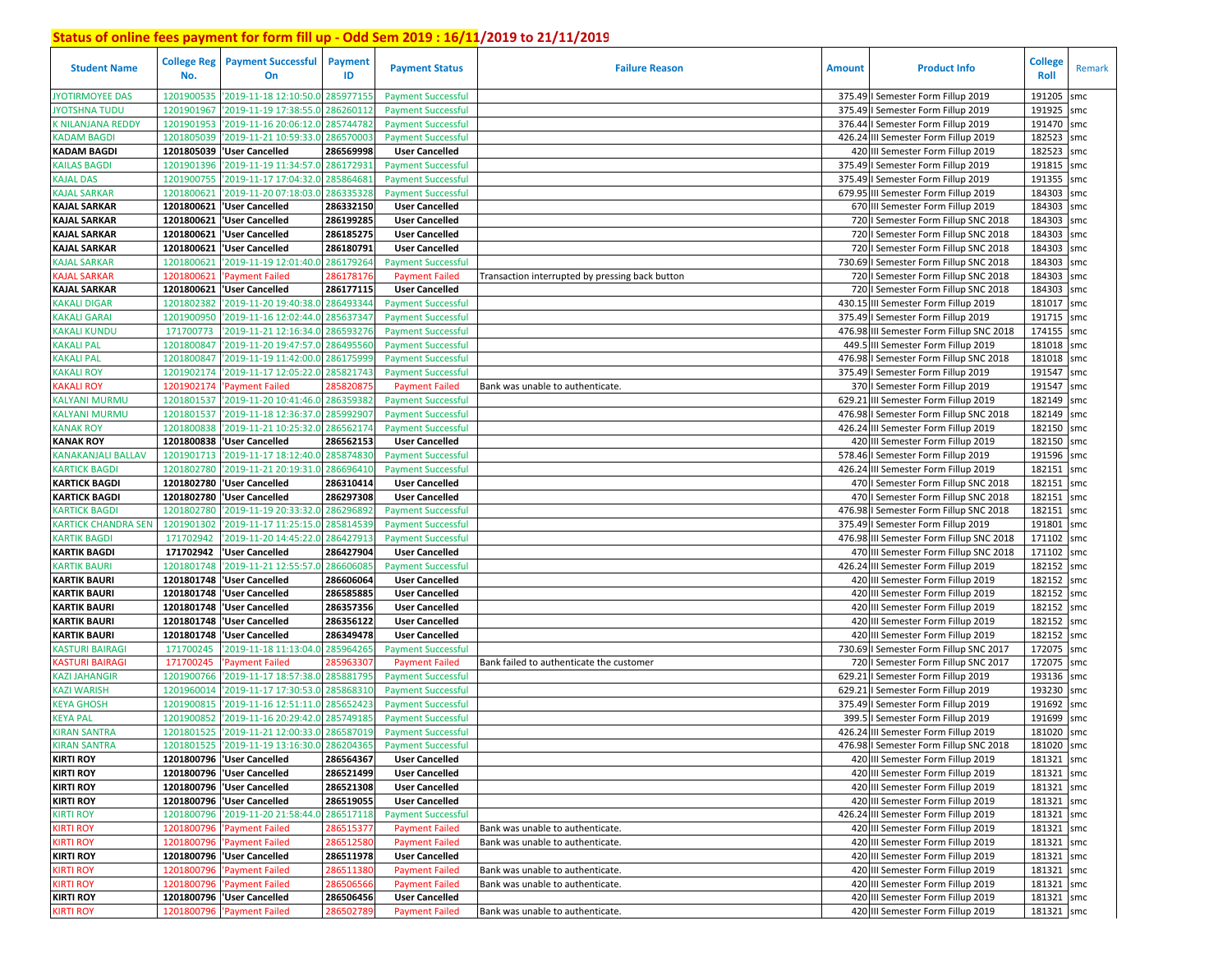| <b>Student Name</b>        | <b>College Reg</b><br>No. | <b>Payment Successful</b><br>On            | <b>Payment</b><br>ID | <b>Payment Status</b>     | <b>Failure Reason</b>                           | <b>Amount</b> | <b>Product Info</b>                      | <b>College</b><br><b>Roll</b> | Remark |
|----------------------------|---------------------------|--------------------------------------------|----------------------|---------------------------|-------------------------------------------------|---------------|------------------------------------------|-------------------------------|--------|
| <b>JYOTIRMOYEE DAS</b>     | 1201900535                | '2019-11-18 12:10:50.0                     | 285977155            | <b>Payment Successful</b> |                                                 |               | 375.49   Semester Form Fillup 2019       | 191205                        | smc    |
| <b>JYOTSHNA TUDU</b>       | 1201901967                | '2019-11-19 17:38:55.0                     | 286260112            | <b>Payment Successful</b> |                                                 |               | 375.49   Semester Form Fillup 2019       | 191925                        | smc    |
| K NILANJANA REDDY          | 1201901953                | '2019-11-16 20:06:12.0                     | 285744782            | <b>Payment Successful</b> |                                                 |               | 376.44   Semester Form Fillup 2019       | 191470                        | smc    |
| KADAM BAGDI                | 1201805039                | '2019-11-21 10:59:33.0                     | 286570003            | <b>Payment Successful</b> |                                                 |               | 426.24 III Semester Form Fillup 2019     | 182523                        | smc    |
| <b>KADAM BAGDI</b>         | 1201805039                | 'User Cancelled                            | 286569998            | <b>User Cancelled</b>     |                                                 |               | 420 III Semester Form Fillup 2019        | 182523                        | smc    |
| <b>KAILAS BAGDI</b>        | 1201901396                | '2019-11-19 11:34:57.0                     | 28617293             | <b>Payment Successful</b> |                                                 |               | 375.49   Semester Form Fillup 2019       | 191815                        | smc    |
| KAJAL DAS                  | 1201900755                | '2019-11-17 17:04:32.0                     | 28586468             | <b>Payment Successful</b> |                                                 |               | 375.49   Semester Form Fillup 2019       | 191355                        | smc    |
| <b>KAJAL SARKAR</b>        |                           | 1201800621 2019-11-20 07:18:03.0           | 286335328            | <b>Payment Successful</b> |                                                 |               | 679.95 III Semester Form Fillup 2019     | 184303                        | smc    |
| <b>KAJAL SARKAR</b>        |                           | 1201800621 User Cancelled                  | 286332150            | <b>User Cancelled</b>     |                                                 |               | 670 III Semester Form Fillup 2019        | 184303                        | smc    |
| <b>KAJAL SARKAR</b>        |                           | 1201800621 User Cancelled                  | 286199285            | <b>User Cancelled</b>     |                                                 |               | 720   Semester Form Fillup SNC 2018      | 184303                        | smc    |
| KAJAL SARKAR               |                           | 1201800621 User Cancelled                  | 286185275            | <b>User Cancelled</b>     |                                                 |               | 720   Semester Form Fillup SNC 2018      | 184303                        | smc    |
| KAJAL SARKAR               | 1201800621                | 'User Cancelled                            | 286180791            | <b>User Cancelled</b>     |                                                 |               | 720   Semester Form Fillup SNC 2018      | 184303                        | smc    |
| KAJAL SARKAR               | 1201800621                | '2019-11-19 12:01:40.                      | 286179264            | <b>Payment Successful</b> |                                                 |               | 730.69   Semester Form Fillup SNC 2018   | 184303                        | smc    |
| KAJAL SARKAR               | 1201800621                | 'Payment Failed                            | 286178176            | <b>Payment Failed</b>     | Transaction interrupted by pressing back button |               | 720   Semester Form Fillup SNC 2018      | 184303                        | smc    |
| KAJAL SARKAR               | 1201800621                | 'User Cancelled                            | 286177115            | <b>User Cancelled</b>     |                                                 |               | 720   Semester Form Fillup SNC 2018      | 184303                        | smc    |
| <b>KAKALI DIGAR</b>        | 1201802382                | '2019-11-20 19:40:38.                      | 286493344            | <b>Payment Successful</b> |                                                 |               | 430.15 III Semester Form Fillup 2019     | 181017                        | smc    |
| KAKALI GARAI               | 1201900950                | '2019-11-16 12:02:44.                      | 285637347            | <b>Payment Successful</b> |                                                 |               | 375.49   Semester Form Fillup 2019       | 191715 smc                    |        |
| <b>KAKALI KUNDU</b>        | 171700773                 | 2019-11-21 12:16:34.                       | 286593276            | <b>Payment Successful</b> |                                                 | 476.98        | III Semester Form Fillup SNC 2018        | 174155                        | smc    |
| KAKALI PAL                 | 1201800847                | '2019-11-20 19:47:57.                      | 28649556             | <b>Payment Successful</b> |                                                 | 449.          | III Semester Form Fillup 2019            | 181018 smc                    |        |
| <b>KAKALI PAL</b>          | 1201800847                | '2019-11-19 11:42:00.                      | 28617599             | <b>Payment Successful</b> |                                                 | 476.98        | I Semester Form Fillup SNC 2018          | 181018                        | smc    |
| <b>KAKALI ROY</b>          | 1201902174                | '2019-11-17 12:05:22.                      | 285821743            | <b>Payment Successful</b> |                                                 |               | 375.49   Semester Form Fillup 2019       | 191547 smc                    |        |
| <b>KAKALI ROY</b>          | 1201902174                | <b>Payment Failed</b>                      | 28582087             | <b>Payment Failed</b>     | Bank was unable to authenticate.                |               | 370   Semester Form Fillup 2019          | 191547                        | smc    |
| <b>KALYANI MURMU</b>       | 1201801537                | '2019-11-20 10:41:46.0                     | 28635938             | <b>Payment Successful</b> |                                                 | 629.21        | III Semester Form Fillup 2019            | 182149 smc                    |        |
| <b>KALYANI MURMU</b>       | 1201801537                | '2019-11-18 12:36:37.                      | 28599290             | <b>Payment Successful</b> |                                                 | 476.98        | I Semester Form Fillup SNC 2018          | 182149                        | smc    |
| <b>KANAK ROY</b>           | 1201800838                | '2019-11-21 10:25:32.0                     | 286562174            | <b>Payment Successful</b> |                                                 |               | 426.24 III Semester Form Fillup 2019     | 182150 smc                    |        |
| <b>KANAK ROY</b>           | 1201800838                | 'User Cancelled                            | 286562153            | <b>User Cancelled</b>     |                                                 |               | 420 III Semester Form Fillup 2019        | 182150 smc                    |        |
| <b>KANAKANJALI BALLAV</b>  | 1201901713                | '2019-11-17 18:12:40.0                     | 285874830            | <b>Payment Successful</b> |                                                 |               | 578.46   Semester Form Fillup 2019       | 191596 smc                    |        |
| <b>KARTICK BAGDI</b>       | 1201802780                | '2019-11-21 20:19:31.0                     | 286696410            | <b>Payment Successful</b> |                                                 |               | 426.24 III Semester Form Fillup 2019     | 182151                        | smc    |
| <b>KARTICK BAGDI</b>       | 1201802780                | 'User Cancelled                            | 286310414            | <b>User Cancelled</b>     |                                                 |               | 470   Semester Form Fillup SNC 2018      | 182151                        | smc    |
| <b>KARTICK BAGDI</b>       | 1201802780                | 'User Cancelled                            | 286297308            | <b>User Cancelled</b>     |                                                 |               | 470   Semester Form Fillup SNC 2018      | 182151                        | smc    |
| <b>KARTICK BAGDI</b>       | 1201802780                | '2019-11-19 20:33:32.0                     | 28629689             | <b>Payment Successful</b> |                                                 |               | 476.98   Semester Form Fillup SNC 2018   | 182151                        | smc    |
| <b>KARTICK CHANDRA SEN</b> | 1201901302                | '2019-11-17 11:25:15.0                     | 285814539            | <b>Payment Successful</b> |                                                 |               | 375.49   Semester Form Fillup 2019       | 191801                        | smc    |
| <b>KARTIK BAGDI</b>        | 171702942                 | '2019-11-20 14:45:22.0                     | 286427913            | <b>Payment Successful</b> |                                                 |               | 476.98 III Semester Form Fillup SNC 2018 | 171102                        | smc    |
| <b>KARTIK BAGDI</b>        | 171702942                 | 'User Cancelled                            | 286427904            | <b>User Cancelled</b>     |                                                 |               | 470 III Semester Form Fillup SNC 2018    | 171102 smc                    |        |
| <b>KARTIK BAURI</b>        | 1201801748                | '2019-11-21 12:55:57.0                     | 286606085            | <b>Payment Successful</b> |                                                 |               | 426.24 III Semester Form Fillup 2019     | 182152                        | smc    |
| <b>KARTIK BAURI</b>        |                           | 1201801748 User Cancelled                  | 286606064            | <b>User Cancelled</b>     |                                                 |               | 420 III Semester Form Fillup 2019        | 182152 smc                    |        |
| <b>KARTIK BAURI</b>        |                           | 1201801748 User Cancelled                  | 286585885            | <b>User Cancelled</b>     |                                                 |               | 420 III Semester Form Fillup 2019        | 182152                        | smc    |
| <b>KARTIK BAURI</b>        |                           | 1201801748  'User Cancelled                | 286357356            | <b>User Cancelled</b>     |                                                 |               | 420 III Semester Form Fillup 2019        | 182152 smc                    |        |
| <b>KARTIK BAURI</b>        |                           | 1201801748  'User Cancelled                | 286356122            | <b>User Cancelled</b>     |                                                 |               | 420 III Semester Form Fillup 2019        | 182152                        | smc    |
| KARTIK BAURI               | 1201801748                | 'User Cancelled                            | 286349478            | <b>User Cancelled</b>     |                                                 |               | 420 III Semester Form Fillup 2019        | 182152 smc                    |        |
| KASTURI BAIRAGI            | 171700245                 | 2019-11-18 11:13:04.                       | 285964265            | <b>Payment Successful</b> |                                                 |               | 730.69   Semester Form Fillup SNC 2017   | 172075                        | smc    |
| <b>KASTURI BAIRAGI</b>     | 171700245                 | <b>Payment Failed</b>                      | 28596330             | <b>Payment Failed</b>     | Bank failed to authenticate the customer        |               | 720   Semester Form Fillup SNC 2017      | 172075 smc                    |        |
| <b>KAZI JAHANGIR</b>       | 1201900766                | '2019-11-17 18:57:38.                      | 28588179             | <b>Payment Successful</b> |                                                 | 629.2         | I Semester Form Fillup 2019              | 193136                        | smc    |
| <b>KAZI WARISH</b>         | 1201960014                | '2019-11-17 17:30:53.                      | 28586831             | <b>Payment Successful</b> |                                                 | 629.21        | I Semester Form Fillup 2019              | 193230                        | smc    |
| <b>KEYA GHOSH</b>          | 1201900815                | '2019-11-16 12:51:11.                      | 28565242             | <b>Payment Successful</b> |                                                 | 375.49        | I Semester Form Fillup 2019              | 191692                        | smc    |
| <b>KEYA PAL</b>            | 1201900852                | '2019-11-16 20:29:42.0                     | 28574918             | <b>Payment Successful</b> |                                                 | 399.          | I Semester Form Fillup 2019              | 191699                        | smc    |
| <b>KIRAN SANTRA</b>        |                           | 1201801525 '2019-11-21 12:00:33.0          | 286587019            | <b>Payment Successful</b> |                                                 |               | 426.24 III Semester Form Fillup 2019     | 181020                        | smc    |
| <b>KIRAN SANTRA</b>        |                           | 1201801525 2019-11-19 13:16:30.0 286204365 |                      | <b>Payment Successful</b> |                                                 |               | 476.98   Semester Form Fillup SNC 2018   | 181020 smc                    |        |
| <b>KIRTI ROY</b>           |                           | 1201800796 User Cancelled                  | 286564367            | <b>User Cancelled</b>     |                                                 |               | 420 III Semester Form Fillup 2019        | 181321 smc                    |        |
| <b>KIRTI ROY</b>           |                           | 1201800796 User Cancelled                  | 286521499            | <b>User Cancelled</b>     |                                                 |               | 420 III Semester Form Fillup 2019        | 181321 smc                    |        |
| <b>KIRTI ROY</b>           |                           | 1201800796 User Cancelled                  | 286521308            | <b>User Cancelled</b>     |                                                 |               | 420 III Semester Form Fillup 2019        | 181321 smc                    |        |
| <b>KIRTI ROY</b>           |                           | 1201800796 User Cancelled                  | 286519055            | <b>User Cancelled</b>     |                                                 |               | 420 III Semester Form Fillup 2019        | 181321 smc                    |        |
| <b>KIRTI ROY</b>           |                           | 1201800796 2019-11-20 21:58:44.0           | 286517118            | <b>Payment Successful</b> |                                                 |               | 426.24 III Semester Form Fillup 2019     | 181321 smc                    |        |
| <b>KIRTI ROY</b>           |                           | 1201800796 'Payment Failed                 | 286515377            | <b>Payment Failed</b>     | Bank was unable to authenticate.                |               | 420 III Semester Form Fillup 2019        | 181321 smc                    |        |
| <b>KIRTI ROY</b>           |                           | 1201800796 'Payment Failed                 | 286512580            | <b>Payment Failed</b>     | Bank was unable to authenticate.                |               | 420 III Semester Form Fillup 2019        | 181321 smc                    |        |
| <b>KIRTI ROY</b>           |                           | 1201800796  'User Cancelled                | 286511978            | <b>User Cancelled</b>     |                                                 |               | 420 III Semester Form Fillup 2019        | 181321 smc                    |        |
| <b>KIRTI ROY</b>           |                           | 1201800796 'Payment Failed                 | 286511380            | <b>Payment Failed</b>     | Bank was unable to authenticate.                |               | 420 III Semester Form Fillup 2019        | 181321 smc                    |        |
| <b>KIRTI ROY</b>           |                           | 1201800796 'Payment Failed                 | 286506566            | <b>Payment Failed</b>     | Bank was unable to authenticate.                |               | 420 III Semester Form Fillup 2019        | 181321 smc                    |        |
| <b>KIRTI ROY</b>           |                           | 1201800796 User Cancelled                  | 286506456            | <b>User Cancelled</b>     |                                                 |               | 420 III Semester Form Fillup 2019        | 181321 smc                    |        |
| <b>KIRTI ROY</b>           |                           | 1201800796 'Payment Failed                 | 286502789            | <b>Payment Failed</b>     | Bank was unable to authenticate.                |               | 420 III Semester Form Fillup 2019        | 181321 smc                    |        |
|                            |                           |                                            |                      |                           |                                                 |               |                                          |                               |        |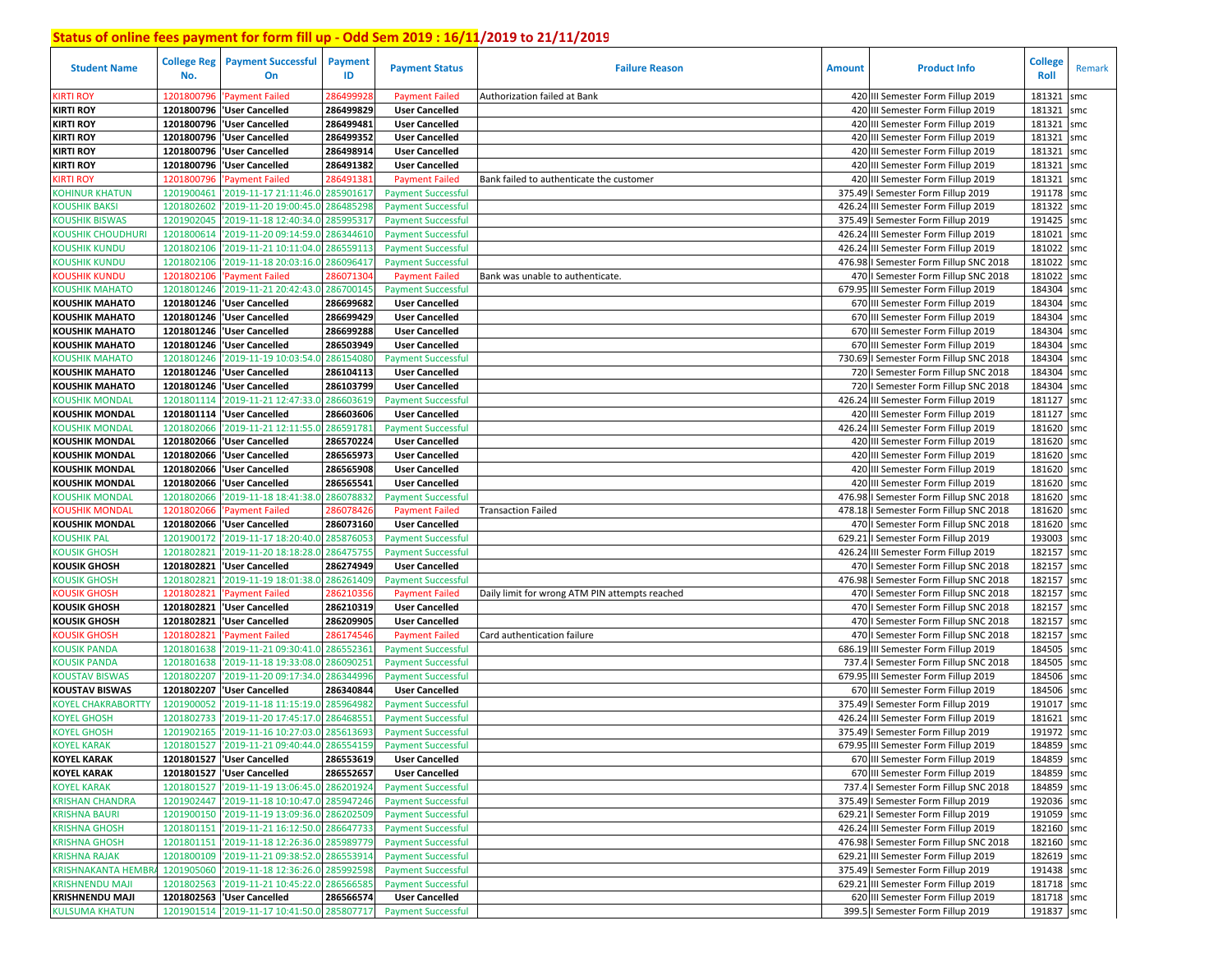| <b>Student Name</b>       | <b>College Reg</b><br>No. | <b>Payment Successful</b><br>On            | <b>Payment</b><br>ID | <b>Payment Status</b>     | <b>Failure Reason</b>                          | <b>Amount</b> | <b>Product Info</b>                    | <b>College</b><br>Roll | Remark |
|---------------------------|---------------------------|--------------------------------------------|----------------------|---------------------------|------------------------------------------------|---------------|----------------------------------------|------------------------|--------|
| <b>KIRTI ROY</b>          | 1201800796                | 'Payment Failed                            | 28649992             | <b>Payment Failed</b>     | Authorization failed at Bank                   |               | 420 III Semester Form Fillup 2019      | 181321<br>smc          |        |
| <b>KIRTI ROY</b>          |                           | 1201800796  'User Cancelled                | 286499829            | <b>User Cancelled</b>     |                                                |               | 420 III Semester Form Fillup 2019      | 181321<br>smc          |        |
| <b>KIRTI ROY</b>          |                           | 1201800796   User Cancelled                | 286499481            | <b>User Cancelled</b>     |                                                |               | 420 III Semester Form Fillup 2019      | 181321<br>smc          |        |
| <b>KIRTI ROY</b>          | 1201800796                | 'User Cancelled                            | 286499352            | <b>User Cancelled</b>     |                                                |               | 420 III Semester Form Fillup 2019      | 181321<br>smc          |        |
| <b>KIRTI ROY</b>          | 1201800796                | 'User Cancelled                            | 286498914            | <b>User Cancelled</b>     |                                                |               | 420 III Semester Form Fillup 2019      | 181321<br>smc          |        |
| <b>KIRTI ROY</b>          | 1201800796                | 'User Cancelled                            | 286491382            | <b>User Cancelled</b>     |                                                |               | 420 III Semester Form Fillup 2019      | 181321<br>smc          |        |
| <b>CIRTI ROY</b>          | 1201800796                | 'Payment Failed                            | 28649138             | <b>Payment Failed</b>     | Bank failed to authenticate the customer       |               | 420 III Semester Form Fillup 2019      | 181321<br>smc          |        |
| <b>KOHINUR KHATUN</b>     | 1201900461                | '2019-11-17 21:11:46.0 285901617           |                      | <b>Payment Successful</b> |                                                |               | 375.49   Semester Form Fillup 2019     | 191178<br>smc          |        |
| <b>COUSHIK BAKSI</b>      | 1201802602                | '2019-11-20 19:00:45.0                     | 286485298            | <b>Payment Successful</b> |                                                |               | 426.24 III Semester Form Fillup 2019   | 181322<br>smc          |        |
| <b>KOUSHIK BISWAS</b>     | 1201902045                | '2019-11-18 12:40:34.0                     | 285995317            | <b>Payment Successful</b> |                                                |               | 375.49   Semester Form Fillup 2019     | 191425<br>smc          |        |
| <b>COUSHIK CHOUDHURI</b>  | 1201800614                | '2019-11-20 09:14:59.0                     | 286344610            | <b>Payment Successful</b> |                                                |               | 426.24 III Semester Form Fillup 2019   | 181021<br>smc          |        |
| KOUSHIK KUNDU             | 1201802106                | '2019-11-21 10:11:04.0                     | 286559113            | <b>Payment Successful</b> |                                                |               | 426.24 III Semester Form Fillup 2019   | 181022<br>smc          |        |
| (OUSHIK KUNDU             | 1201802106                | '2019-11-18 20:03:16.0                     | 286096417            | <b>Payment Successful</b> |                                                |               | 476.98   Semester Form Fillup SNC 2018 | 181022<br>smc          |        |
| <b>COUSHIK KUNDU</b>      | 1201802106                | 'Payment Failed                            | 28607130             | <b>Payment Failed</b>     | Bank was unable to authenticate.               |               | 470   Semester Form Fillup SNC 2018    | 181022<br>smc          |        |
| KOUSHIK MAHATO            | 1201801246                | '2019-11-21 20:42:43.0                     | 286700145            | <b>Payment Successful</b> |                                                |               | 679.95 III Semester Form Fillup 2019   | 184304<br>smc          |        |
| <b>KOUSHIK MAHATO</b>     | 1201801246                | <b>User Cancelled</b>                      | 286699682            | <b>User Cancelled</b>     |                                                |               | 670 III Semester Form Fillup 2019      | 184304<br>smc          |        |
| <b>KOUSHIK MAHATO</b>     | 1201801246                | 'User Cancelled                            | 286699429            | <b>User Cancelled</b>     |                                                |               | 670 III Semester Form Fillup 2019      | 184304<br>smc          |        |
| <b>KOUSHIK MAHATO</b>     | 1201801246                | 'User Cancelled                            | 286699288            | <b>User Cancelled</b>     |                                                |               | 670 III Semester Form Fillup 2019      | 184304<br>smc          |        |
| <b>KOUSHIK MAHATO</b>     | 1201801246                | <b>User Cancelled</b>                      | 286503949            | <b>User Cancelled</b>     |                                                |               | 670 III Semester Form Fillup 2019      | 184304<br>smc          |        |
| <b>COUSHIK MAHATO</b>     | 1201801246                | '2019-11-19 10:03:54.0                     | 28615408             | <b>Payment Successful</b> |                                                | 730.69        | I Semester Form Fillup SNC 2018        | 184304<br>smc          |        |
| <b>KOUSHIK MAHATO</b>     |                           | 1201801246   User Cancelled                | 286104113            | <b>User Cancelled</b>     |                                                |               | 720   Semester Form Fillup SNC 2018    | 184304<br>smc          |        |
| <b>KOUSHIK MAHATO</b>     |                           | 1201801246   User Cancelled                | 286103799            | <b>User Cancelled</b>     |                                                |               | 720   Semester Form Fillup SNC 2018    | 184304<br>smc          |        |
| <b>OUSHIK MONDAL</b>      | 1201801114                | '2019-11-21 12:47:33.0                     | 286603619            | <b>Payment Successful</b> |                                                |               | 426.24 III Semester Form Fillup 2019   | 181127 smc             |        |
| <b>KOUSHIK MONDAL</b>     | 1201801114                | <b>User Cancelled</b>                      | 286603606            | <b>User Cancelled</b>     |                                                |               | 420 III Semester Form Fillup 2019      | 181127<br>smc          |        |
| KOUSHIK MONDAL            | 1201802066                | '2019-11-21 12:11:55.0                     | 286591781            | <b>Payment Successful</b> |                                                |               | 426.24 III Semester Form Fillup 2019   | 181620 smc             |        |
| <b>KOUSHIK MONDAL</b>     | 1201802066                | <b>User Cancelled</b>                      | 286570224            | <b>User Cancelled</b>     |                                                |               | 420 III Semester Form Fillup 2019      | 181620 smc             |        |
| <b>KOUSHIK MONDAL</b>     | 1201802066                | <b>User Cancelled</b>                      | 286565973            | <b>User Cancelled</b>     |                                                |               | 420 III Semester Form Fillup 2019      | 181620 smc             |        |
| <b>KOUSHIK MONDAL</b>     | 1201802066                | 'User Cancelled                            | 286565908            | <b>User Cancelled</b>     |                                                |               | 420 III Semester Form Fillup 2019      | 181620 smc             |        |
| <b>KOUSHIK MONDAL</b>     | 1201802066                | 'User Cancelled                            | 286565541            | <b>User Cancelled</b>     |                                                |               | 420 III Semester Form Fillup 2019      | 181620 smc             |        |
| KOUSHIK MONDAL            | 1201802066                | '2019-11-18 18:41:38.0                     | 28607883             | <b>Payment Successful</b> |                                                | 476.98        | I Semester Form Fillup SNC 2018        | 181620<br>smc          |        |
| (OUSHIK MONDAL            | 1201802066                | 'Payment Failed                            | 286078426            | <b>Payment Failed</b>     | <b>Transaction Failed</b>                      |               | 478.18   Semester Form Fillup SNC 2018 | 181620<br>smc          |        |
| <b>KOUSHIK MONDAL</b>     |                           | 1201802066   User Cancelled                | 286073160            | <b>User Cancelled</b>     |                                                |               | 470   Semester Form Fillup SNC 2018    | 181620<br>smc          |        |
| <b>KOUSHIK PAL</b>        | 1201900172                | '2019-11-17 18:20:40.0 285876053           |                      | <b>Payment Successful</b> |                                                | 629.21        | I Semester Form Fillup 2019            | 193003<br>smc          |        |
| (OUSIK GHOSH              | 1201802821                | '2019-11-20 18:18:28.0                     | 286475755            | <b>Payment Successful</b> |                                                |               | 426.24 III Semester Form Fillup 2019   | 182157 smc             |        |
| <b>KOUSIK GHOSH</b>       |                           | 1201802821 User Cancelled                  | 286274949            | <b>User Cancelled</b>     |                                                |               | 470   Semester Form Fillup SNC 2018    | 182157<br>smc          |        |
| <b>OUSIK GHOSH</b>        | 1201802821                | '2019-11-19 18:01:38.0                     | 286261409            | <b>Payment Successful</b> |                                                |               | 476.98 I Semester Form Fillup SNC 2018 | 182157<br>smc          |        |
| <b>COUSIK GHOSH</b>       | 1201802821                | 'Payment Failed                            | 28621035             | <b>Payment Failed</b>     | Daily limit for wrong ATM PIN attempts reached |               | 470   Semester Form Fillup SNC 2018    | 182157<br>smc          |        |
| <b>KOUSIK GHOSH</b>       |                           | 1201802821   User Cancelled                | 286210319            | <b>User Cancelled</b>     |                                                |               | 470   Semester Form Fillup SNC 2018    | 182157<br>smc          |        |
| <b>KOUSIK GHOSH</b>       | 1201802821                | 'User Cancelled                            | 286209905            | <b>User Cancelled</b>     |                                                |               | 470   Semester Form Fillup SNC 2018    | 182157<br>smc          |        |
| (OUSIK GHOSH              | 1201802821                | <b>Payment Failed</b>                      | 286174546            | <b>Payment Failed</b>     | Card authentication failure                    |               | 470   Semester Form Fillup SNC 2018    | 182157<br>smc          |        |
| <b>KOUSIK PANDA</b>       | 1201801638                | '2019-11-21 09:30:41.0                     | 286552361            | <b>Payment Successful</b> |                                                | 686.19        | III Semester Form Fillup 2019          | 184505<br>smc          |        |
| <b>COUSIK PANDA</b>       | 1201801638                | '2019-11-18 19:33:08.0                     | 28609025             | <b>Payment Successful</b> |                                                | 737.4         | I Semester Form Fillup SNC 2018        | 184505<br>smc          |        |
| <b>KOUSTAV BISWAS</b>     | 1201802207                | '2019-11-20 09:17:34.0                     | 28634499             | <b>Payment Successful</b> |                                                | 679.95        | III Semester Form Fillup 2019          | 184506<br>smc          |        |
| <b>KOUSTAV BISWAS</b>     | 1201802207                | <b>User Cancelled</b>                      | 286340844            | <b>User Cancelled</b>     |                                                |               | 670 III Semester Form Fillup 2019      | 184506<br>smc          |        |
| <b>COYEL CHAKRABORTTY</b> | 1201900052                | '2019-11-18 11:15:19.0                     | 28596498             | <b>Payment Successful</b> |                                                | 375.49        | I Semester Form Fillup 2019            | 191017<br>smc          |        |
| <b>OYEL GHOSH</b>         | 1201802733                | '2019-11-20 17:45:17.0                     | 28646855             | <b>Payment Successful</b> |                                                |               | 426.24 III Semester Form Fillup 2019   | 181621<br>smc          |        |
| <b>KOYEL GHOSH</b>        | 1201902165                | '2019-11-16 10:27:03.0 28561369            |                      | <b>Payment Successful</b> |                                                |               | 375.49   Semester Form Fillup 2019     | 191972<br>smc          |        |
| <b>KOYEL KARAK</b>        |                           | 1201801527 2019-11-21 09:40:44.0 286554159 |                      | <b>Payment Successful</b> |                                                |               | 679.95 III Semester Form Fillup 2019   | 184859 smc             |        |
| <b>KOYEL KARAK</b>        |                           | 1201801527 User Cancelled                  | 286553619            | <b>User Cancelled</b>     |                                                |               | 670 III Semester Form Fillup 2019      | 184859 smc             |        |
| <b>KOYEL KARAK</b>        |                           | 1201801527 'User Cancelled                 | 286552657            | <b>User Cancelled</b>     |                                                |               | 670 III Semester Form Fillup 2019      | 184859 smc             |        |
| <b>KOYEL KARAK</b>        |                           | 1201801527 2019-11-19 13:06:45.0 286201924 |                      | <b>Payment Successful</b> |                                                |               | 737.4   Semester Form Fillup SNC 2018  | 184859 smc             |        |
| <b>KRISHAN CHANDRA</b>    |                           | 1201902447 2019-11-18 10:10:47.0 285947246 |                      | <b>Payment Successful</b> |                                                |               | 375.49   Semester Form Fillup 2019     | 192036 smc             |        |
| <b>KRISHNA BAURI</b>      |                           | 1201900150 2019-11-19 13:09:36.0 286202509 |                      | <b>Payment Successful</b> |                                                |               | 629.21   Semester Form Fillup 2019     | 191059 smc             |        |
| <b>KRISHNA GHOSH</b>      |                           | 1201801151 2019-11-21 16:12:50.0 286647733 |                      | <b>Payment Successful</b> |                                                |               | 426.24 III Semester Form Fillup 2019   | 182160 smc             |        |
| <b>KRISHNA GHOSH</b>      |                           | 1201801151 2019-11-18 12:26:36.0 285989779 |                      | <b>Payment Successful</b> |                                                |               | 476.98   Semester Form Fillup SNC 2018 | 182160 smc             |        |
| <b>KRISHNA RAJAK</b>      |                           | 1201800109 2019-11-21 09:38:52.0 286553914 |                      | <b>Payment Successful</b> |                                                |               | 629.21 III Semester Form Fillup 2019   | 182619 smc             |        |
| <b>KRISHNAKANTA HEMBF</b> |                           | 1201905060 2019-11-18 12:36:26.0 285992598 |                      | <b>Payment Successful</b> |                                                |               | 375.49   Semester Form Fillup 2019     | 191438 smc             |        |
| <b>KRISHNENDU MAJI</b>    |                           | 1201802563 2019-11-21 10:45:22.0 286566585 |                      | <b>Payment Successful</b> |                                                |               | 629.21 III Semester Form Fillup 2019   | 181718 smc             |        |
| <b>KRISHNENDU MAJI</b>    |                           | 1201802563 'User Cancelled                 | 286566574            | <b>User Cancelled</b>     |                                                |               | 620 III Semester Form Fillup 2019      | 181718 smc             |        |
| <b>KULSUMA KHATUN</b>     |                           | 1201901514 2019-11-17 10:41:50.0 285807717 |                      | <b>Payment Successful</b> |                                                |               | 399.5   Semester Form Fillup 2019      | 191837 smc             |        |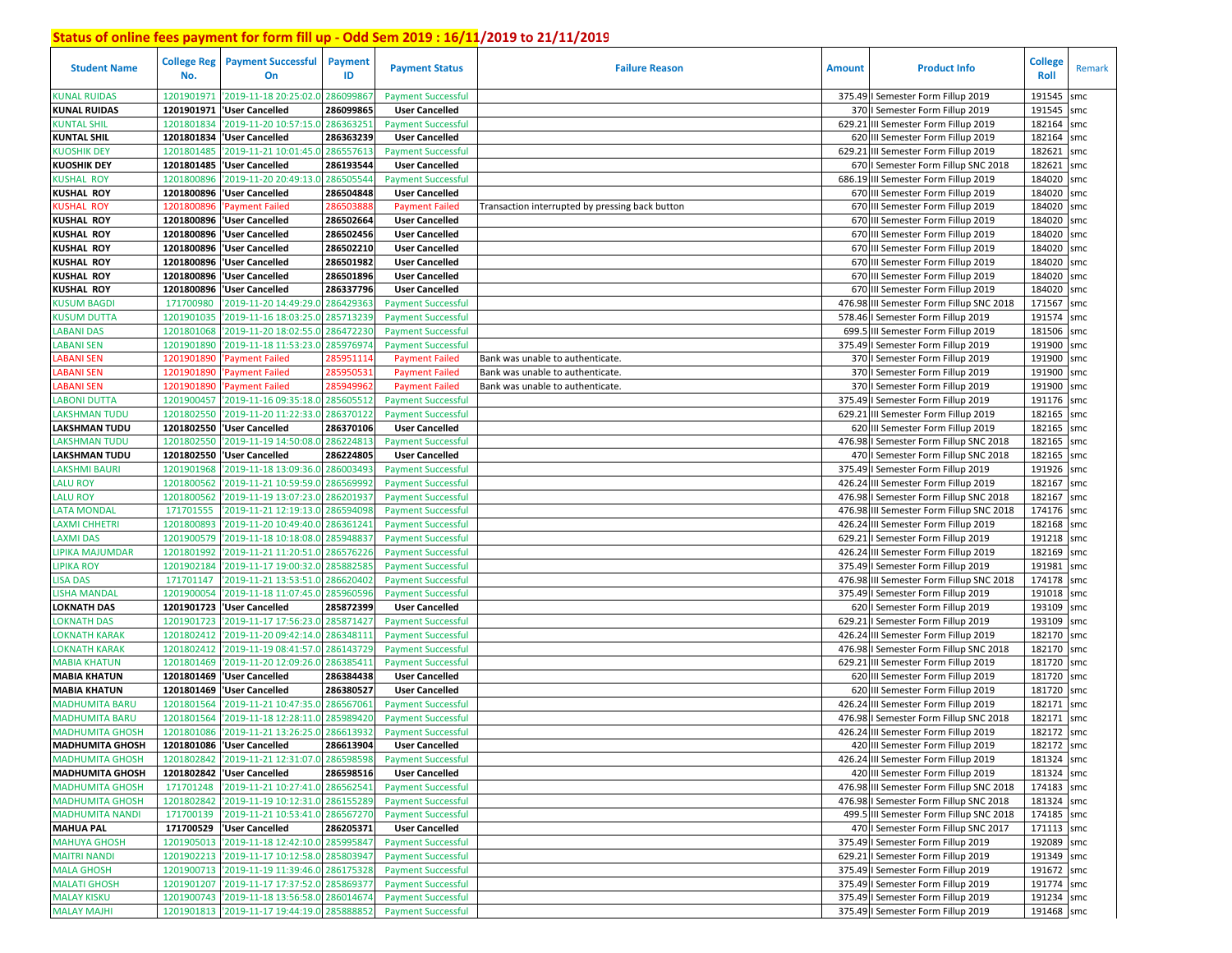| <b>Student Name</b>    | <b>College Reg</b><br>No. | <b>Payment Successful</b><br>On             | Payment<br>ID | <b>Payment Status</b>     | <b>Failure Reason</b>                           | <b>Amount</b> | <b>Product Info</b>                      | College<br>Roll | Remark |
|------------------------|---------------------------|---------------------------------------------|---------------|---------------------------|-------------------------------------------------|---------------|------------------------------------------|-----------------|--------|
| <b>KUNAL RUIDAS</b>    | 1201901971                | '2019-11-18 20:25:02.0                      | 28609986      | <b>Payment Successful</b> |                                                 |               | 375.49   Semester Form Fillup 2019       | 191545          | smc    |
| <b>KUNAL RUIDAS</b>    | 1201901971                | 'User Cancelled                             | 286099865     | <b>User Cancelled</b>     |                                                 |               | 370   Semester Form Fillup 2019          | 191545          | smc    |
| <b>KUNTAL SHIL</b>     | 1201801834                | '2019-11-20 10:57:15.0                      | 286363251     | <b>Payment Successful</b> |                                                 | 629.21        | III Semester Form Fillup 2019            | 182164          | smc    |
| <b>KUNTAL SHIL</b>     | 1201801834                | 'User Cancelled                             | 286363239     | <b>User Cancelled</b>     |                                                 |               | 620 III Semester Form Fillup 2019        | 182164          | smc    |
| <b>KUOSHIK DEY</b>     | 1201801485                | '2019-11-21 10:01:45.0                      | 286557613     | <b>Payment Successful</b> |                                                 |               | 629.21 III Semester Form Fillup 2019     | 182621          | smc    |
| <b>KUOSHIK DEY</b>     | 1201801485                | 'User Cancelled                             | 286193544     | <b>User Cancelled</b>     |                                                 |               | 670   Semester Form Fillup SNC 2018      | 182621          | smc    |
| <b>KUSHAL ROY</b>      | 1201800896                | '2019-11-20 20:49:13.0                      | 286505544     | <b>Payment Successful</b> |                                                 |               | 686.19 III Semester Form Fillup 2019     | 184020 smc      |        |
| <b>KUSHAL ROY</b>      | 1201800896                | 'User Cancelled                             | 286504848     | <b>User Cancelled</b>     |                                                 |               | 670 III Semester Form Fillup 2019        | 184020 smc      |        |
| <b>KUSHAL ROY</b>      | 1201800896                | <b>Payment Failed</b>                       | 28650388      | <b>Payment Failed</b>     | Transaction interrupted by pressing back button |               | 670 III Semester Form Fillup 2019        | 184020 smc      |        |
| <b>KUSHAL ROY</b>      | 1201800896                | 'User Cancelled                             | 286502664     | <b>User Cancelled</b>     |                                                 |               | 670 III Semester Form Fillup 2019        | 184020 smc      |        |
| <b>KUSHAL ROY</b>      | 1201800896                | 'User Cancelled                             | 286502456     | <b>User Cancelled</b>     |                                                 |               | 670 III Semester Form Fillup 2019        | 184020 smc      |        |
| <b>KUSHAL ROY</b>      | 1201800896                | 'User Cancelled                             | 286502210     | <b>User Cancelled</b>     |                                                 |               | 670 III Semester Form Fillup 2019        | 184020 smc      |        |
| <b>KUSHAL ROY</b>      | 1201800896                | 'User Cancelled                             | 286501982     | <b>User Cancelled</b>     |                                                 |               | 670 III Semester Form Fillup 2019        | 184020 smc      |        |
| <b>KUSHAL ROY</b>      | 1201800896                | 'User Cancelled                             | 286501896     | <b>User Cancelled</b>     |                                                 |               | 670 III Semester Form Fillup 2019        | 184020 smc      |        |
| <b>KUSHAL ROY</b>      | 1201800896                | 'User Cancelled                             | 286337796     | <b>User Cancelled</b>     |                                                 |               | 670 III Semester Form Fillup 2019        | 184020 smc      |        |
| <b>KUSUM BAGDI</b>     | 171700980                 | '2019-11-20 14:49:29.                       | 286429363     | <b>Payment Successful</b> |                                                 | 476.98        | III Semester Form Fillup SNC 2018        | 171567 smc      |        |
| <b>KUSUM DUTTA</b>     | 1201901035                | '2019-11-16 18:03:25.0                      | 285713239     | <b>Payment Successful</b> |                                                 |               | 578.46   Semester Form Fillup 2019       | 191574 smc      |        |
| <b>LABANI DAS</b>      | 1201801068                | '2019-11-20 18:02:55.0                      | 28647223      | <b>Payment Successful</b> |                                                 |               | 699.5 III Semester Form Fillup 2019      | 181506 smc      |        |
| <b>LABANI SEN</b>      | 1201901890                | '2019-11-18 11:53:23.0                      | 28597697      | <b>Payment Successful</b> |                                                 |               | 375.49   Semester Form Fillup 2019       | 191900 smc      |        |
| <b>LABANI SEN</b>      | 120190189                 | Payment Failed                              | 28595111      | <b>Payment Failed</b>     | Bank was unable to authenticate.                |               | 370   Semester Form Fillup 2019          | 191900 smc      |        |
| <b>LABANI SEN</b>      | 120190189                 | Payment Failed                              | 28595053      | <b>Payment Failed</b>     | Bank was unable to authenticate.                |               | 370   Semester Form Fillup 2019          | 191900 smc      |        |
| <b>LABANI SEN</b>      | 1201901890                | <b>Payment Failed</b>                       | 28594996      | <b>Payment Failed</b>     | Bank was unable to authenticate.                |               | 370   Semester Form Fillup 2019          | 191900 smc      |        |
| <b>LABONI DUTTA</b>    | 1201900457                | '2019-11-16 09:35:18.0                      | 285605512     | <b>Payment Successful</b> |                                                 | 375.49        | I Semester Form Fillup 2019              | 191176 smc      |        |
| <b>LAKSHMAN TUDU</b>   | 1201802550                | '2019-11-20 11:22:33.0                      | 28637012      | <b>Payment Successful</b> |                                                 | 629.21        | III Semester Form Fillup 2019            | 182165 smc      |        |
| <b>LAKSHMAN TUDU</b>   | 1201802550                | 'User Cancelled                             | 286370106     | <b>User Cancelled</b>     |                                                 |               | 620 III Semester Form Fillup 2019        | 182165 smc      |        |
| <b>LAKSHMAN TUDU</b>   | 1201802550                | '2019-11-19 14:50:08.0                      | 286224813     | <b>Payment Successful</b> |                                                 |               | 476.98   Semester Form Fillup SNC 2018   | 182165 smc      |        |
| <b>LAKSHMAN TUDU</b>   | 1201802550                | 'User Cancelled                             | 286224805     | <b>User Cancelled</b>     |                                                 |               | 470   Semester Form Fillup SNC 2018      | 182165 smc      |        |
| LAKSHMI BAURI          | 1201901968                | '2019-11-18 13:09:36.0                      | 286003493     | <b>Payment Successful</b> |                                                 |               | 375.49   Semester Form Fillup 2019       | 191926 smc      |        |
| <b>LALU ROY</b>        | 1201800562                | '2019-11-21 10:59:59.0                      | 286569992     | <b>Payment Successful</b> |                                                 |               | 426.24 III Semester Form Fillup 2019     | 182167 smc      |        |
| <b>LALU ROY</b>        | 1201800562                | '2019-11-19 13:07:23.0                      | 286201937     | <b>Payment Successful</b> |                                                 |               | 476.98 I Semester Form Fillup SNC 2018   | 182167 smc      |        |
| <b>LATA MONDAL</b>     | 171701555                 | '2019-11-21 12:19:13.0 286594098            |               | <b>Payment Successful</b> |                                                 |               | 476.98 III Semester Form Fillup SNC 2018 | 174176 smc      |        |
| <b>LAXMI CHHETRI</b>   | 1201800893                | '2019-11-20 10:49:40.0                      | 286361241     | <b>Payment Successful</b> |                                                 |               | 426.24 III Semester Form Fillup 2019     | 182168 smc      |        |
| <b>LAXMI DAS</b>       | 1201900579                | 2019-11-18 10:18:08.0                       | 28594883      | <b>Payment Successful</b> |                                                 | 629.21        | I Semester Form Fillup 2019              | 191218 smc      |        |
| <b>LIPIKA MAJUMDAR</b> | 1201801992                | '2019-11-21 11:20:51.0                      | 286576226     | <b>Payment Successful</b> |                                                 |               | 426.24 III Semester Form Fillup 2019     | 182169 smc      |        |
| <b>LIPIKA ROY</b>      | 1201902184                | '2019-11-17 19:00:32.0                      | 285882585     | <b>Payment Successful</b> |                                                 |               | 375.49   Semester Form Fillup 2019       | 191981          | smc    |
| <b>LISA DAS</b>        | 171701147                 | '2019-11-21 13:53:51.0 286620402            |               | <b>Payment Successful</b> |                                                 |               | 476.98 III Semester Form Fillup SNC 2018 | 174178 smc      |        |
| <b>LISHA MANDAL</b>    | 1201900054                | '2019-11-18 11:07:45.0                      | 285960596     | <b>Payment Successful</b> |                                                 |               | 375.49   Semester Form Fillup 2019       | 191018 smc      |        |
| <b>LOKNATH DAS</b>     | 1201901723                | 'User Cancelled                             | 285872399     | <b>User Cancelled</b>     |                                                 |               | 620   Semester Form Fillup 2019          | 193109 smc      |        |
| <b>LOKNATH DAS</b>     | 1201901723                | '2019-11-17 17:56:23.0                      | 285871427     | <b>Payment Successful</b> |                                                 | 629.21        | I Semester Form Fillup 2019              | 193109 smc      |        |
| <b>LOKNATH KARAK</b>   | 1201802412                | '2019-11-20 09:42:14.0                      | 286348111     | <b>Payment Successful</b> |                                                 |               | 426.24 III Semester Form Fillup 2019     | 182170 smc      |        |
| <b>LOKNATH KARAK</b>   | 1201802412                | '2019-11-19 08:41:57.0                      | 286143729     | <b>Payment Successful</b> |                                                 |               | 476.98 I Semester Form Fillup SNC 2018   | 182170 smc      |        |
| <b>MABIA KHATUN</b>    | 1201801469                | '2019-11-20 12:09:26.0                      | 286385411     | <b>Payment Successful</b> |                                                 | 629.21        | III Semester Form Fillup 2019            | 181720 smc      |        |
| <b>MABIA KHATUN</b>    | 1201801469                | 'User Cancelled                             | 286384438     | <b>User Cancelled</b>     |                                                 |               | 620 III Semester Form Fillup 2019        | 181720 smc      |        |
| <b>MABIA KHATUN</b>    | 1201801469                | 'User Cancelled                             | 286380527     | <b>User Cancelled</b>     |                                                 |               | 620 III Semester Form Fillup 2019        | 181720 smc      |        |
| <b>MADHUMITA BARU</b>  | 1201801564                | '2019-11-21 10:47:35.0                      | 286567061     | <b>Payment Successful</b> |                                                 | 426.24        | III Semester Form Fillup 2019            | 182171 smc      |        |
| <b>MADHUMITA BARU</b>  | 1201801564                | '2019-11-18 12:28:11.0                      | 28598942      | <b>Payment Successful</b> |                                                 | 476.98        | I Semester Form Fillup SNC 2018          | 182171          | smc    |
| <b>MADHUMITA GHOSH</b> |                           | 1201801086 2019-11-21 13:26:25.0            | 286613932     | <b>Payment Successful</b> |                                                 |               | 426.24 III Semester Form Fillup 2019     | 182172 smc      |        |
| <b>MADHUMITA GHOSH</b> |                           | 1201801086 User Cancelled                   | 286613904     | <b>User Cancelled</b>     |                                                 |               | 420 III Semester Form Fillup 2019        | 182172 smc      |        |
| <b>MADHUMITA GHOSH</b> |                           | 1201802842 2019-11-21 12:31:07.0 286598598  |               | <b>Payment Successful</b> |                                                 |               | 426.24 III Semester Form Fillup 2019     | 181324 smc      |        |
| <b>MADHUMITA GHOSH</b> |                           | 1201802842  'User Cancelled                 | 286598516     | <b>User Cancelled</b>     |                                                 |               | 420 III Semester Form Fillup 2019        | 181324 smc      |        |
| <b>MADHUMITA GHOSH</b> | 171701248                 | '2019-11-21 10:27:41.0 286562541            |               | <b>Payment Successful</b> |                                                 |               | 476.98 III Semester Form Fillup SNC 2018 | 174183 smc      |        |
| <b>MADHUMITA GHOSH</b> |                           | 1201802842 '2019-11-19 10:12:31.0 286155289 |               | <b>Payment Successful</b> |                                                 |               | 476.98   Semester Form Fillup SNC 2018   | 181324 smc      |        |
| <b>MADHUMITA NANDI</b> |                           | 171700139 2019-11-21 10:53:41.0 286567270   |               | <b>Payment Successful</b> |                                                 |               | 499.5 III Semester Form Fillup SNC 2018  | 174185 smc      |        |
| <b>MAHUA PAL</b>       |                           | 171700529  'User Cancelled                  | 286205371     | <b>User Cancelled</b>     |                                                 |               | 470   Semester Form Fillup SNC 2017      | 171113 smc      |        |
| <b>MAHUYA GHOSH</b>    |                           | 1201905013 2019-11-18 12:42:10.0 285995847  |               | <b>Payment Successful</b> |                                                 |               | 375.49   Semester Form Fillup 2019       | 192089 smc      |        |
| <b>MAITRI NANDI</b>    |                           | 1201902213 2019-11-17 10:12:58.0 285803947  |               | <b>Payment Successful</b> |                                                 |               | 629.21   Semester Form Fillup 2019       | 191349 smc      |        |
| <b>MALA GHOSH</b>      |                           | 1201900713 2019-11-19 11:39:46.0 286175328  |               | <b>Payment Successful</b> |                                                 |               | 375.49   Semester Form Fillup 2019       | 191672 smc      |        |
| <b>MALATI GHOSH</b>    |                           | 1201901207 2019-11-17 17:37:52.0 285869377  |               | <b>Payment Successful</b> |                                                 |               | 375.49   Semester Form Fillup 2019       | 191774 smc      |        |
| <b>MALAY KISKU</b>     |                           | 1201900743 2019-11-18 13:56:58.0 286014674  |               | <b>Payment Successful</b> |                                                 |               | 375.49   Semester Form Fillup 2019       | 191234 smc      |        |
| <b>MALAY MAJHI</b>     |                           | 1201901813 2019-11-17 19:44:19.0 285888852  |               | <b>Payment Successful</b> |                                                 |               | 375.49   Semester Form Fillup 2019       | 191468 smc      |        |
|                        |                           |                                             |               |                           |                                                 |               |                                          |                 |        |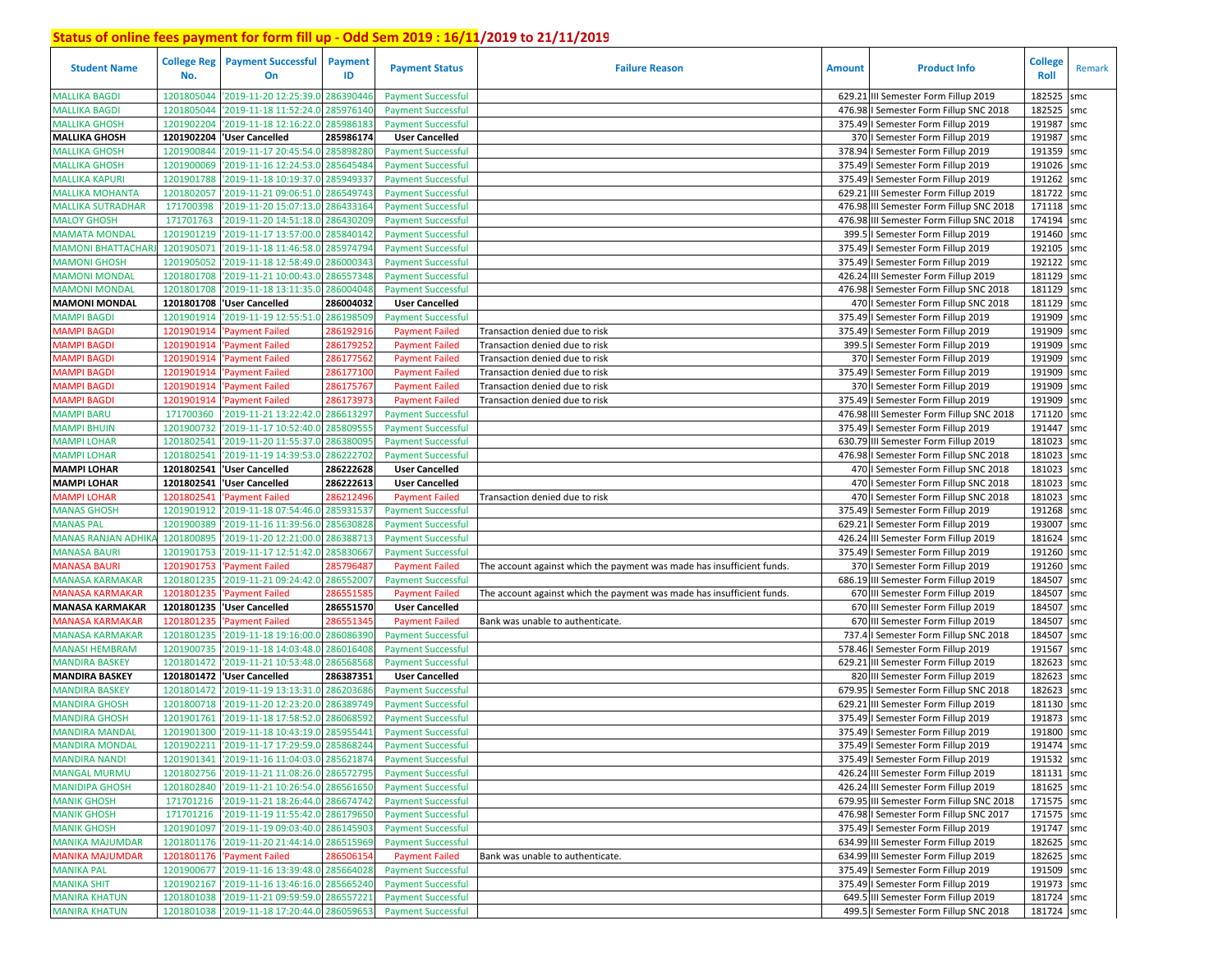| <b>Student Name</b>       | <b>College Reg</b><br>No. | <b>Payment Successful</b><br>On             | <b>Payment</b><br>ID | <b>Payment Status</b>     | <b>Failure Reason</b>                                                  | <b>Amount</b> | <b>Product Info</b>                      | <b>College</b><br>Roll | Remark |
|---------------------------|---------------------------|---------------------------------------------|----------------------|---------------------------|------------------------------------------------------------------------|---------------|------------------------------------------|------------------------|--------|
| <b>MALLIKA BAGDI</b>      | 1201805044                | '2019-11-20 12:25:39.0                      | 286390446            | <b>Payment Successful</b> |                                                                        |               | 629.21 III Semester Form Fillup 2019     | 182525                 | smc    |
| <b>MALLIKA BAGDI</b>      | 1201805044                | '2019-11-18 11:52:24.0                      | 285976140            | <b>Payment Successful</b> |                                                                        |               | 476.98   Semester Form Fillup SNC 2018   | 182525                 | smc    |
| <b>MALLIKA GHOSH</b>      | 1201902204                | '2019-11-18 12:16:22.0                      | 285986183            | <b>Payment Successful</b> |                                                                        |               | 375.49   Semester Form Fillup 2019       | 191987                 | smc    |
| <b>MALLIKA GHOSH</b>      | 1201902204                | 'User Cancelled                             | 285986174            | <b>User Cancelled</b>     |                                                                        |               | 370   Semester Form Fillup 2019          | 191987                 | smc    |
| MALLIKA GHOSH             | 1201900844                | '2019-11-17 20:45:54.0                      | 285898280            | <b>Payment Successful</b> |                                                                        |               | 378.94 I Semester Form Fillup 2019       | 191359                 | smc    |
| <b>MALLIKA GHOSH</b>      | 1201900069                | '2019-11-16 12:24:53.0                      | 285645484            | <b>Payment Successful</b> |                                                                        |               | 375.49   Semester Form Fillup 2019       | 191026                 | smc    |
| <b>MALLIKA KAPURI</b>     | 1201901788                | '2019-11-18 10:19:37.0                      | 28594933             | <b>Payment Successful</b> |                                                                        |               | 375.49   Semester Form Fillup 2019       | 191262 smc             |        |
| <b>MALLIKA MOHANTA</b>    | 1201802057                | '2019-11-21 09:06:51.0                      | 286549743            | <b>Payment Successful</b> |                                                                        |               | 629.21 III Semester Form Fillup 2019     | 181722 smc             |        |
| <b>MALLIKA SUTRADHAR</b>  | 171700398                 | '2019-11-20 15:07:13.0                      | 286433164            | <b>Payment Successful</b> |                                                                        |               | 476.98 III Semester Form Fillup SNC 2018 | 171118 smc             |        |
| <b>MALOY GHOSH</b>        | 171701763                 | '2019-11-20 14:51:18.0                      | 286430209            | <b>Payment Successful</b> |                                                                        |               | 476.98 III Semester Form Fillup SNC 2018 | 174194 smc             |        |
| MAMATA MONDAI             | 1201901219                | '2019-11-17 13:57:00.0                      | 285840142            | <b>Payment Successful</b> |                                                                        |               | 399.5   Semester Form Fillup 2019        | 191460 smc             |        |
| MAMONI BHATTACHAF         | 1201905071                | '2019-11-18 11:46:58.0                      | 285974794            | <b>Payment Successful</b> |                                                                        |               | 375.49   Semester Form Fillup 2019       | 192105 smc             |        |
| MAMONI GHOSH              | 1201905052                | '2019-11-18 12:58:49.0                      | 286000343            | <b>Payment Successful</b> |                                                                        |               | 375.49   Semester Form Fillup 2019       | 192122 smc             |        |
| <b>MAMONI MONDAL</b>      | 1201801708                | '2019-11-21 10:00:43.0                      | 286557348            | <b>Payment Successful</b> |                                                                        |               | 426.24 III Semester Form Fillup 2019     | 181129 smc             |        |
| MAMONI MONDAL             | 1201801708                | '2019-11-18 13:11:35.0                      | 286004048            | <b>Payment Successful</b> |                                                                        |               | 476.98 I Semester Form Fillup SNC 2018   | 181129 smc             |        |
| <b>MAMONI MONDAL</b>      | 1201801708                | 'User Cancelled                             | 286004032            | <b>User Cancelled</b>     |                                                                        |               | 470   Semester Form Fillup SNC 2018      | 181129 smc             |        |
| MAMPI BAGDI               | 1201901914                | 2019-11-19 12:55:51.0                       | 286198509            | <b>Payment Successful</b> |                                                                        |               | 375.49   Semester Form Fillup 2019       | 191909 smc             |        |
| <b>MAMPI BAGDI</b>        | 1201901914                | Payment Failed                              | 28619291             | <b>Payment Failed</b>     | Transaction denied due to risk                                         |               | 375.49   Semester Form Fillup 2019       | 191909                 | smc    |
| MAMPI BAGDI               | 1201901914                | <b>Payment Failed</b>                       | 28617925             | <b>Payment Failed</b>     | Transaction denied due to risk                                         |               | 399.5   Semester Form Fillup 2019        | 191909 smc             |        |
| <b>MAMPI BAGDI</b>        | 1201901914                | <b>Payment Failed</b>                       | 28617756             | <b>Payment Failed</b>     | Transaction denied due to risk                                         |               | 370   Semester Form Fillup 2019          | 191909                 | smc    |
| MAMPI BAGDI               | 1201901914                | <b>Payment Failed</b>                       | 28617710             | <b>Payment Failed</b>     | Transaction denied due to risk                                         |               | 375.49   Semester Form Fillup 2019       | 191909 smc             |        |
| <b>MAMPI BAGDI</b>        | 1201901914                | <b>Payment Failed</b>                       | 286175767            | <b>Payment Failed</b>     | Transaction denied due to risk                                         |               | 370   Semester Form Fillup 2019          | 191909                 | smc    |
| <b>MAMPI BAGDI</b>        | 1201901914                | <b>Payment Failed</b>                       | 28617397             | <b>Payment Failed</b>     | Transaction denied due to risk                                         |               | 375.49   Semester Form Fillup 2019       | 191909 smc             |        |
| <b>MAMPI BARU</b>         | 171700360                 | '2019-11-21 13:22:42.0                      | 28661329             | <b>Payment Successful</b> |                                                                        | 476.98        | III Semester Form Fillup SNC 2018        | 171120                 | smc    |
| <b>MAMPI BHUIN</b>        | 1201900732                | '2019-11-17 10:52:40.0                      | 28580955             | <b>Payment Successful</b> |                                                                        |               | 375.49   Semester Form Fillup 2019       | 191447 smc             |        |
| <b>MAMPI LOHAR</b>        | 1201802541                | '2019-11-20 11:55:37.0                      | 28638009             | <b>Payment Successful</b> |                                                                        |               | 630.79 III Semester Form Fillup 2019     | 181023                 | smc    |
| <b>MAMPI LOHAR</b>        | 1201802541                | '2019-11-19 14:39:53.0                      | 286222702            | <b>Payment Successful</b> |                                                                        |               | 476.98 I Semester Form Fillup SNC 2018   | 181023                 | smc    |
| <b>MAMPI LOHAR</b>        |                           | 1201802541  'User Cancelled                 | 286222628            | <b>User Cancelled</b>     |                                                                        |               | 470   Semester Form Fillup SNC 2018      | 181023                 | smc    |
| <b>MAMPI LOHAR</b>        | 1201802541                | 'User Cancelled                             | 286222613            | <b>User Cancelled</b>     |                                                                        |               | 470   Semester Form Fillup SNC 2018      | 181023                 | smc    |
| <b>MAMPI LOHAR</b>        | 1201802541                | <b>Payment Failed</b>                       | 28621249             | <b>Payment Failed</b>     | Transaction denied due to risk                                         |               | 470   Semester Form Fillup SNC 2018      | 181023                 | smc    |
| <b>MANAS GHOSH</b>        |                           | 1201901912 2019-11-18 07:54:46.0            | 285931537            | <b>Payment Successful</b> |                                                                        |               | 375.49   Semester Form Fillup 2019       | 191268                 | smc    |
| <b>MANAS PAL</b>          | 1201900389                | '2019-11-16 11:39:56.0                      | 285630828            | <b>Payment Successful</b> |                                                                        |               | 629.21   Semester Form Fillup 2019       | 193007                 | smc    |
| <b>MANAS RANJAN ADHIK</b> | 1201800895                | '2019-11-20 12:21:00.0                      | 286388713            | <b>Payment Successful</b> |                                                                        |               | 426.24 III Semester Form Fillup 2019     | 181624 smc             |        |
| <b>MANASA BAURI</b>       | 1201901753                | '2019-11-17 12:51:42.0                      | 285830667            | <b>Payment Successful</b> |                                                                        |               | 375.49   Semester Form Fillup 2019       | 191260 smc             |        |
| <b>MANASA BAURI</b>       | 1201901753                | 'Payment Failed                             | 285796487            | <b>Payment Failed</b>     | The account against which the payment was made has insufficient funds. |               | 370   Semester Form Fillup 2019          | 191260                 | smc    |
| MANASA KARMAKAR           | 1201801235                | '2019-11-21 09:24:42.0                      | 286552007            | <b>Payment Successful</b> |                                                                        |               | 686.19 III Semester Form Fillup 2019     | 184507 smc             |        |
| <b>MANASA KARMAKAR</b>    | 1201801235                | 'Payment Failed                             | 28655158             | <b>Payment Failed</b>     | The account against which the payment was made has insufficient funds. |               | 670 III Semester Form Fillup 2019        | 184507                 | smc    |
| MANASA KARMAKAR           |                           | 1201801235  'User Cancelled                 | 286551570            | <b>User Cancelled</b>     |                                                                        |               | 670 III Semester Form Fillup 2019        | 184507 smc             |        |
| <b>MANASA KARMAKAR</b>    | 1201801235                | <b>Payment Failed</b>                       | 28655134             | <b>Payment Failed</b>     | Bank was unable to authenticate.                                       |               | 670 III Semester Form Fillup 2019        | 184507                 | smc    |
| MANASA KARMAKAR           | 1201801235                | '2019-11-18 19:16:00.0                      | 286086390            | <b>Payment Successful</b> |                                                                        |               | 737.4   Semester Form Fillup SNC 2018    | 184507                 | smc    |
| MANASI HEMBRAM            | 1201900735                | '2019-11-18 14:03:48.0                      | 286016408            | <b>Payment Successful</b> |                                                                        |               | 578.46   Semester Form Fillup 2019       | 191567                 | smc    |
| MANDIRA BASKEY            | 1201801472                | '2019-11-21 10:53:48.0                      | 28656856             | <b>Payment Successful</b> |                                                                        |               | 629.21 III Semester Form Fillup 2019     | 182623                 | smc    |
| <b>MANDIRA BASKEY</b>     | 1201801472                | 'User Cancelled                             | 286387351            | <b>User Cancelled</b>     |                                                                        |               | 820 III Semester Form Fillup 2019        | 182623                 | smc    |
| MANDIRA BASKEY            | 1201801472                | '2019-11-19 13:13:31.                       | 28620368             | <b>Payment Successful</b> |                                                                        |               | 679.95   Semester Form Fillup SNC 2018   | 182623                 | smc    |
| <b>MANDIRA GHOSH</b>      | 1201800718                | '2019-11-20 12:23:20.                       | 28638974             | <b>Payment Successful</b> |                                                                        | 629.21        | III Semester Form Fillup 2019            | 181130                 | smc    |
| <b>MANDIRA GHOSH</b>      |                           | 1201901761 2019-11-18 17:58:52.             | 28606859             | <b>Payment Successful</b> |                                                                        |               | 375.49   Semester Form Fillup 2019       | 191873                 | smc    |
| <b>MANDIRA MANDAL</b>     | 1201901300                | '2019-11-18 10:43:19.0                      | 285955441            | <b>Payment Successful</b> |                                                                        |               | 375.49   Semester Form Fillup 2019       | 191800                 | smc    |
| <b>MANDIRA MONDAL</b>     |                           | 1201902211 2019-11-17 17:29:59.0 285868244  |                      | <b>Payment Successful</b> |                                                                        |               | 375.49   Semester Form Fillup 2019       | 191474 smc             |        |
| <b>MANDIRA NANDI</b>      |                           | 1201901341 2019-11-16 11:04:03.0 285621874  |                      | <b>Payment Successful</b> |                                                                        |               | 375.49   Semester Form Fillup 2019       | 191532 smc             |        |
| <b>MANGAL MURMU</b>       |                           | 1201802756 2019-11-21 11:08:26.0 286572795  |                      | <b>Payment Successful</b> |                                                                        |               | 426.24 III Semester Form Fillup 2019     | 181131 smc             |        |
| <b>MANIDIPA GHOSH</b>     |                           | 1201802840 '2019-11-21 10:26:54.0 286561650 |                      | <b>Payment Successful</b> |                                                                        |               | 426.24 III Semester Form Fillup 2019     | 181625 smc             |        |
| <b>MANIK GHOSH</b>        |                           | 171701216 2019-11-21 18:26:44.0 286674742   |                      | <b>Payment Successful</b> |                                                                        |               | 679.95 III Semester Form Fillup SNC 2018 | 171575 smc             |        |
| <b>MANIK GHOSH</b>        |                           | 171701216 2019-11-19 11:55:42.0 286179650   |                      | <b>Payment Successful</b> |                                                                        |               | 476.98   Semester Form Fillup SNC 2017   | 171575 smc             |        |
| <b>MANIK GHOSH</b>        |                           | 1201901097 2019-11-19 09:03:40.0            | 286145903            | <b>Payment Successful</b> |                                                                        |               | 375.49   Semester Form Fillup 2019       | 191747 smc             |        |
| <b>MANIKA MAJUMDAR</b>    |                           | 1201801176 '2019-11-20 21:44:14.0 286515969 |                      | <b>Payment Successful</b> |                                                                        |               | 634.99 III Semester Form Fillup 2019     | 182625 smc             |        |
| <b>MANIKA MAJUMDAR</b>    |                           | 1201801176 'Payment Failed                  | 286506154            | <b>Payment Failed</b>     | Bank was unable to authenticate.                                       |               | 634.99 III Semester Form Fillup 2019     | 182625 smc             |        |
| <b>MANIKA PAL</b>         |                           | 1201900677 '2019-11-16 13:39:48.0 285664028 |                      | <b>Payment Successful</b> |                                                                        |               | 375.49   Semester Form Fillup 2019       | 191509 smc             |        |
| <b>MANIKA SHIT</b>        |                           | 1201902167 '2019-11-16 13:46:16.0 285665240 |                      | <b>Payment Successful</b> |                                                                        |               | 375.49   Semester Form Fillup 2019       | 191973 smc             |        |
| <b>MANIRA KHATUN</b>      |                           | 1201801038 '2019-11-21 09:59:59.0 286557221 |                      | <b>Payment Successful</b> |                                                                        |               | 649.5 III Semester Form Fillup 2019      | 181724 smc             |        |
| <b>MANIRA KHATUN</b>      |                           | 1201801038 '2019-11-18 17:20:44.0 286059653 |                      | <b>Payment Successful</b> |                                                                        |               | 499.5   Semester Form Fillup SNC 2018    | 181724 smc             |        |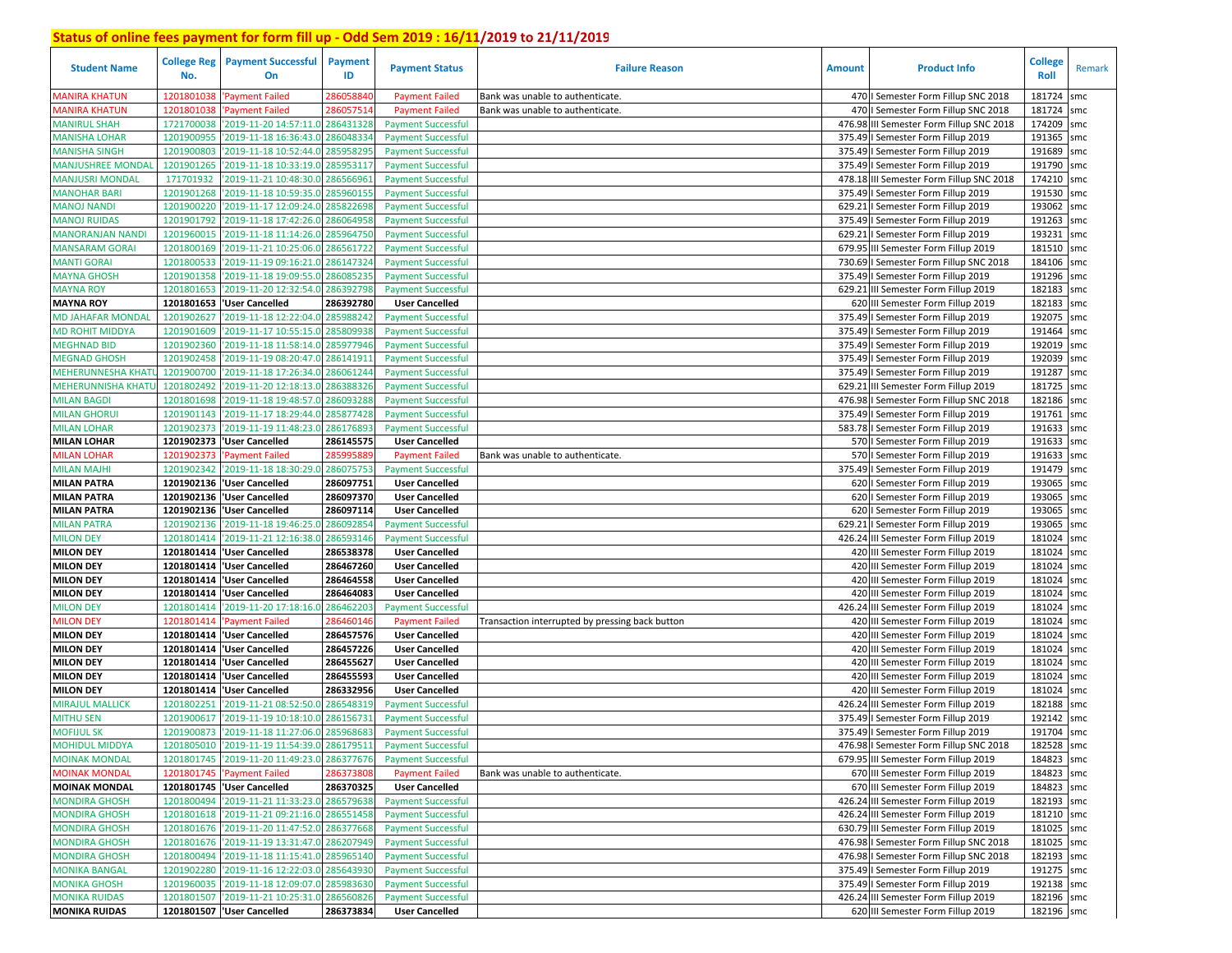| <b>Student Name</b>                  | No.                      | <b>College Reg</b>   Payment Successful<br>On                 | Payment<br>ID          | <b>Payment Status</b>                          | <b>Failure Reason</b>                           | <b>Amount</b> | <b>Product Info</b>                                                    | <b>College</b><br><b>Roll</b> | Remark     |
|--------------------------------------|--------------------------|---------------------------------------------------------------|------------------------|------------------------------------------------|-------------------------------------------------|---------------|------------------------------------------------------------------------|-------------------------------|------------|
| <b>MANIRA KHATUN</b>                 | 1201801038               | Payment Failed                                                | 286058840              | <b>Payment Failed</b>                          | Bank was unable to authenticate.                |               | 470   Semester Form Fillup SNC 2018                                    | 181724                        | smc        |
| <b>MANIRA KHATUN</b>                 | 1201801038               | Payment Failed                                                | 28605751               | <b>Payment Failed</b>                          | Bank was unable to authenticate.                |               | 470   Semester Form Fillup SNC 2018                                    | 181724                        | smc        |
| <b>MANIRUL SHAH</b>                  | 1721700038               | '2019-11-20 14:57:11.0 286431328                              |                        | <b>Payment Successful</b>                      |                                                 |               | 476.98 III Semester Form Fillup SNC 2018                               | 174209 smc                    |            |
| <b>MANISHA LOHAR</b>                 | 1201900955               | '2019-11-18 16:36:43.0 286048334                              |                        | <b>Payment Successful</b>                      |                                                 |               | 375.49   Semester Form Fillup 2019                                     | 191365 smc                    |            |
| <b>MANISHA SINGH</b>                 | 1201900803               | '2019-11-18 10:52:44.0                                        | 285958295              | <b>Payment Successful</b>                      |                                                 |               | 375.49   Semester Form Fillup 2019                                     | 191689                        | smc        |
| <b>MANJUSHREE MONDAI</b>             | 1201901265               | '2019-11-18 10:33:19.0 285953117                              |                        | <b>Payment Successful</b>                      |                                                 |               | 375.49   Semester Form Fillup 2019                                     | 191790                        | smc        |
| <b>MANJUSRI MONDAL</b>               | 171701932                | '2019-11-21 10:48:30.0                                        | 286566961              | <b>Payment Successful</b>                      |                                                 |               | 478.18 III Semester Form Fillup SNC 2018                               | 174210 smc                    |            |
| <b>MANOHAR BARI</b>                  | 1201901268               | '2019-11-18 10:59:35.0 285960155                              |                        | <b>Payment Successful</b>                      |                                                 |               | 375.49   Semester Form Fillup 2019                                     | 191530                        | smc        |
| <b>MANOJ NANDI</b>                   | 1201900220               | '2019-11-17 12:09:24.0 285822698                              |                        | <b>Payment Successful</b>                      |                                                 |               | 629.21   Semester Form Fillup 2019                                     | 193062                        | smc        |
| <b>MANOJ RUIDAS</b>                  | 1201901792               | '2019-11-18 17:42:26.0 286064958                              |                        | <b>Payment Successful</b>                      |                                                 |               | 375.49   Semester Form Fillup 2019                                     | 191263 smc                    |            |
| MANORANJAN NANDI                     | 1201960015               | '2019-11-18 11:14:26.0                                        | 285964750              | <b>Payment Successful</b>                      |                                                 |               | 629.21   Semester Form Fillup 2019                                     | 193231                        | smc        |
| <b>MANSARAM GORAI</b>                | 1201800169               | '2019-11-21 10:25:06.0 286561722                              |                        | <b>Payment Successful</b>                      |                                                 |               | 679.95 III Semester Form Fillup 2019                                   | 181510 smc                    |            |
| <b>MANTI GORAI</b>                   | 1201800533               | '2019-11-19 09:16:21.0                                        | 286147324              | <b>Payment Successful</b>                      |                                                 |               | 730.69   Semester Form Fillup SNC 2018                                 | 184106 smc                    |            |
| <b>MAYNA GHOSH</b>                   | 1201901358               | '2019-11-18 19:09:55.0                                        | 286085235              | <b>Payment Successful</b>                      |                                                 |               | 375.49   Semester Form Fillup 2019                                     | 191296 smc                    |            |
| <b>MAYNA ROY</b>                     | 1201801653               | '2019-11-20 12:32:54.0                                        | 286392798              | <b>Payment Successful</b>                      |                                                 |               | 629.21 III Semester Form Fillup 2019                                   | 182183 smc                    |            |
| <b>MAYNA ROY</b>                     | 1201801653               | 'User Cancelled                                               | 286392780              | <b>User Cancelled</b>                          |                                                 |               | 620 III Semester Form Fillup 2019                                      | 182183                        | smc        |
| MD JAHAFAR MONDAL                    | 1201902627               | '2019-11-18 12:22:04.0                                        | 285988242              | <b>Payment Successful</b>                      |                                                 |               | 375.49   Semester Form Fillup 2019                                     | 192075 smc                    |            |
| <b>MD ROHIT MIDDYA</b>               | 1201901609               | '2019-11-17 10:55:15.                                         | 285809938              | <b>Payment Successful</b>                      |                                                 |               | 375.49   Semester Form Fillup 2019                                     | 191464                        | smc        |
| <b>MEGHNAD BID</b>                   | 1201902360               | '2019-11-18 11:58:14.                                         | 285977946              | <b>Payment Successful</b>                      |                                                 |               | 375.49   Semester Form Fillup 2019                                     | 192019 smc                    |            |
| <b>MEGNAD GHOSH</b>                  | 1201902458               | '2019-11-19 08:20:47.                                         | 286141911              | <b>Payment Successful</b>                      |                                                 |               | 375.49   Semester Form Fillup 2019                                     | 192039                        | smc        |
| <b>MEHERUNNESHA KHAT</b>             | 1201900700               | '2019-11-18 17:26:34.                                         | 286061244              | <b>Payment Successful</b>                      |                                                 |               | 375.49   Semester Form Fillup 2019                                     | 191287                        | smc        |
| <b>MEHERUNNISHA KHATI</b>            | 1201802492               | '2019-11-20 12:18:13.                                         | 286388326              | <b>Payment Successful</b>                      |                                                 |               | 629.21 III Semester Form Fillup 2019                                   | 181725                        | smc        |
| <b>MILAN BAGDI</b>                   | 1201801698               | '2019-11-18 19:48:57.0                                        | 286093288              | <b>Payment Successful</b>                      |                                                 |               | 476.98   Semester Form Fillup SNC 2018                                 | 182186 smc                    |            |
| <b>MILAN GHORU</b>                   | 1201901143               | '2019-11-17 18:29:44.0                                        | 285877428              | <b>Payment Successful</b>                      |                                                 |               | 375.49   Semester Form Fillup 2019                                     | 191761                        | smc        |
| <b>MILAN LOHAR</b>                   | 1201902373               | '2019-11-19 11:48:23.0                                        | 286176893              | <b>Payment Successful</b>                      |                                                 |               | 583.78   Semester Form Fillup 2019                                     | 191633                        | smc        |
| <b>MILAN LOHAR</b>                   | 1201902373               | <b>User Cancelled</b>                                         | 286145575              | <b>User Cancelled</b>                          |                                                 |               | 570   Semester Form Fillup 2019                                        | 191633                        | smc        |
| <b>MILAN LOHAR</b>                   | 1201902373               | 'Payment Failed                                               | 285995889              | <b>Payment Failed</b>                          | Bank was unable to authenticate.                |               | 570   Semester Form Fillup 2019                                        | 191633                        | smc        |
| <b>MILAN MAJHI</b>                   | 1201902342               | '2019-11-18 18:30:29.0                                        | 286075753              | <b>Payment Successful</b>                      |                                                 |               | 375.49   Semester Form Fillup 2019                                     | 191479                        | smc        |
| <b>MILAN PATRA</b>                   |                          | 1201902136  'User Cancelled                                   | 286097751              | <b>User Cancelled</b>                          |                                                 |               | 620   Semester Form Fillup 2019                                        | 193065 smc                    |            |
| MILAN PATRA                          |                          | 1201902136   User Cancelled                                   | 286097370              | <b>User Cancelled</b>                          |                                                 |               | 620   Semester Form Fillup 2019                                        | 193065 smc                    |            |
| <b>MILAN PATRA</b>                   |                          | 1201902136   User Cancelled                                   | 286097114              | <b>User Cancelled</b>                          |                                                 |               | 620   Semester Form Fillup 2019                                        | 193065 smc                    |            |
| <b>MILAN PATRA</b>                   | 1201902136               | '2019-11-18 19:46:25.0                                        | 286092854              | <b>Payment Successful</b>                      |                                                 |               | 629.21   Semester Form Fillup 2019                                     | 193065 smc                    |            |
| <b>MILON DEY</b>                     | 1201801414               | '2019-11-21 12:16:38.0                                        | 286593146              | <b>Payment Successful</b>                      |                                                 |               | 426.24 III Semester Form Fillup 2019                                   | 181024                        | smc        |
| <b>MILON DEY</b>                     |                          | 1201801414 User Cancelled                                     | 286538378              | <b>User Cancelled</b>                          |                                                 |               | 420 III Semester Form Fillup 2019                                      | 181024 smc                    |            |
| <b>MILON DEY</b>                     |                          | 1201801414 User Cancelled                                     | 286467260              | <b>User Cancelled</b>                          |                                                 |               | 420 III Semester Form Fillup 2019                                      | 181024                        | smc        |
| <b>MILON DEY</b>                     |                          | 1201801414   User Cancelled                                   | 286464558              | <b>User Cancelled</b>                          |                                                 |               | 420 III Semester Form Fillup 2019                                      | 181024                        | smc        |
| <b>MILON DEY</b>                     | 1201801414               | 'User Cancelled                                               | 286464083              | <b>User Cancelled</b>                          |                                                 |               | 420 III Semester Form Fillup 2019                                      | 181024                        | smc        |
| <b>MILON DEY</b>                     | 1201801414               | '2019-11-20 17:18:16.                                         | 286462203              | <b>Payment Successful</b>                      |                                                 |               | 426.24 III Semester Form Fillup 2019                                   | 181024 smc                    |            |
| <b>MILON DEY</b>                     | 1201801414               | 'Payment Failed                                               | 286460146              | <b>Payment Failed</b>                          | Transaction interrupted by pressing back button |               | 420 III Semester Form Fillup 2019                                      | 181024                        | smc        |
| <b>MILON DEY</b>                     |                          | 1201801414  'User Cancelled                                   | 286457576              | <b>User Cancelled</b>                          |                                                 |               | 420 III Semester Form Fillup 2019                                      | 181024                        | smc        |
| <b>MILON DEY</b><br><b>MILON DEY</b> | 1201801414               | 'User Cancelled                                               | 286457226<br>286455627 | <b>User Cancelled</b>                          |                                                 |               | 420 III Semester Form Fillup 2019                                      | 181024                        | smc        |
| <b>MILON DEY</b>                     | 1201801414<br>1201801414 | 'User Cancelled<br>'User Cancelled                            | 286455593              | <b>User Cancelled</b><br><b>User Cancelled</b> |                                                 |               | 420 III Semester Form Fillup 2019<br>420 III Semester Form Fillup 2019 | 181024<br>181024              | smc<br>smc |
| <b>MILON DEY</b>                     | 1201801414               |                                                               | 286332956              | <b>User Cancelled</b>                          |                                                 |               | 420 III Semester Form Fillup 2019                                      | 181024                        | smc        |
| <b>MIRAJUL MALLICK</b>               | 1201802251               | <b>User Cancelled</b><br>'2019-11-21 08:52:50.                | 286548319              | <b>Payment Successful</b>                      |                                                 |               | 426.24 III Semester Form Fillup 2019                                   | 182188                        | smc        |
| <b>MITHU SEN</b>                     | 1201900617               | '2019-11-19 10:18:10.                                         | 286156731              | <b>Payment Successful</b>                      |                                                 |               | 375.49   Semester Form Fillup 2019                                     | 192142                        | smc        |
| <b>MOFIJUL SK</b>                    |                          | 1201900873 2019-11-18 11:27:06.0 285968683                    |                        | <b>Payment Successful</b>                      |                                                 |               | 375.49   Semester Form Fillup 2019                                     | 191704                        | smc        |
| <b>MOHIDUL MIDDYA</b>                |                          | 1201805010 2019-11-19 11:54:39.0 286179511 Payment Successful |                        |                                                |                                                 |               | 476.98   Semester Form Fillup SNC 2018                                 | 182528 smc                    |            |
| <b>MOINAK MONDAL</b>                 |                          | 1201801745 '2019-11-20 11:49:23.0 286377676                   |                        | <b>Payment Successful</b>                      |                                                 |               | 679.95 III Semester Form Fillup 2019                                   | 184823 smc                    |            |
| <b>MOINAK MONDAL</b>                 |                          | 1201801745 'Payment Failed                                    | 286373808              | <b>Payment Failed</b>                          | Bank was unable to authenticate.                |               | 670 III Semester Form Fillup 2019                                      | 184823 smc                    |            |
| <b>MOINAK MONDAL</b>                 |                          | 1201801745 User Cancelled                                     | 286370325              | <b>User Cancelled</b>                          |                                                 |               | 670 III Semester Form Fillup 2019                                      | 184823 smc                    |            |
| <b>MONDIRA GHOSH</b>                 |                          | 1201800494 '2019-11-21 11:33:23.0 286579638                   |                        | <b>Payment Successful</b>                      |                                                 |               | 426.24 III Semester Form Fillup 2019                                   | 182193 smc                    |            |
| <b>MONDIRA GHOSH</b>                 |                          | 1201801618 2019-11-21 09:21:16.0 286551458                    |                        | <b>Payment Successful</b>                      |                                                 |               | 426.24 III Semester Form Fillup 2019                                   | 181210 smc                    |            |
| <b>MONDIRA GHOSH</b>                 |                          | 1201801676 2019-11-20 11:47:52.0 286377668                    |                        | <b>Payment Successful</b>                      |                                                 |               | 630.79 III Semester Form Fillup 2019                                   | 181025 smc                    |            |
| <b>MONDIRA GHOSH</b>                 |                          | 1201801676 2019-11-19 13:31:47.0 286207949                    |                        | <b>Payment Successful</b>                      |                                                 |               | 476.98   Semester Form Fillup SNC 2018                                 | 181025 smc                    |            |
| <b>MONDIRA GHOSH</b>                 |                          | 1201800494 '2019-11-18 11:15:41.0 285965140                   |                        | <b>Payment Successful</b>                      |                                                 |               | 476.98   Semester Form Fillup SNC 2018                                 | 182193 smc                    |            |
| <b>MONIKA BANGAL</b>                 |                          | 1201902280 2019-11-16 12:22:03.0 285643930                    |                        | <b>Payment Successful</b>                      |                                                 |               | 375.49   Semester Form Fillup 2019                                     | 191275 smc                    |            |
| <b>MONIKA GHOSH</b>                  |                          | 1201960035 2019-11-18 12:09:07.0 285983630                    |                        | <b>Payment Successful</b>                      |                                                 |               | 375.49   Semester Form Fillup 2019                                     | 192138 smc                    |            |
| <b>MONIKA RUIDAS</b>                 |                          | 1201801507 2019-11-21 10:25:31.0 286560826                    |                        | <b>Payment Successful</b>                      |                                                 |               | 426.24 III Semester Form Fillup 2019                                   | 182196 smc                    |            |
| <b>MONIKA RUIDAS</b>                 |                          | 1201801507 User Cancelled                                     | 286373834              | <b>User Cancelled</b>                          |                                                 |               | 620 III Semester Form Fillup 2019                                      | 182196 smc                    |            |
|                                      |                          |                                                               |                        |                                                |                                                 |               |                                                                        |                               |            |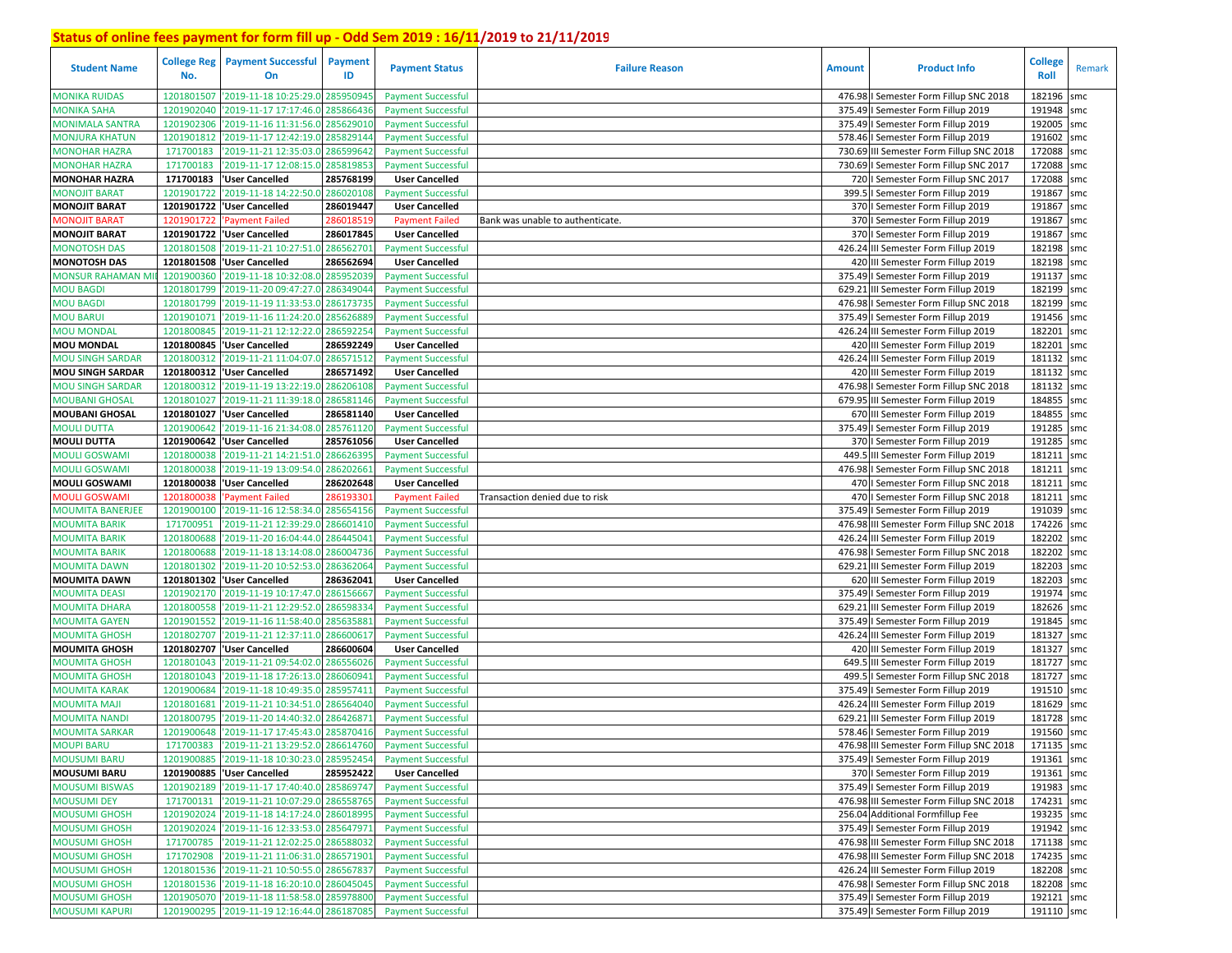| <b>Student Name</b>     | <b>College Reg</b><br>No. | <b>Payment Successful</b><br>On             | <b>Payment</b><br>ID | <b>Payment Status</b>     | <b>Failure Reason</b>            | <b>Amount</b> | <b>Product Info</b>                      | <b>College</b><br>Roll | Remark |
|-------------------------|---------------------------|---------------------------------------------|----------------------|---------------------------|----------------------------------|---------------|------------------------------------------|------------------------|--------|
| <b>MONIKA RUIDAS</b>    | 1201801507                | '2019-11-18 10:25:29.0                      | 285950945            | <b>Payment Successful</b> |                                  |               | 476.98   Semester Form Fillup SNC 2018   | 182196                 | smc    |
| <b>MONIKA SAHA</b>      | 1201902040                | '2019-11-17 17:17:46.0                      | 285866436            | <b>Payment Successful</b> |                                  |               | 375.49   Semester Form Fillup 2019       | 191948 smc             |        |
| <b>MONIMALA SANTRA</b>  | 1201902306                | '2019-11-16 11:31:56.0                      | 285629010            | <b>Payment Successful</b> |                                  |               | 375.49   Semester Form Fillup 2019       | 192005                 | smc    |
| MONJURA KHATUN          | 1201901812                | '2019-11-17 12:42:19.0                      | 285829144            | <b>Payment Successful</b> |                                  |               | 578.46   Semester Form Fillup 2019       | 191602                 | smc    |
| <b>MONOHAR HAZRA</b>    | 171700183                 | '2019-11-21 12:35:03.0                      | 286599642            | <b>Payment Successful</b> |                                  |               | 730.69 III Semester Form Fillup SNC 2018 | 172088                 | smc    |
| <b>MONOHAR HAZRA</b>    | 171700183                 | '2019-11-17 12:08:15.0                      | 285819853            | <b>Payment Successful</b> |                                  |               | 730.69   Semester Form Fillup SNC 2017   | 172088                 | smc    |
| <b>MONOHAR HAZRA</b>    | 171700183                 | 'User Cancelled                             | 285768199            | <b>User Cancelled</b>     |                                  |               | 720   Semester Form Fillup SNC 2017      | 172088                 | smc    |
| <b>MONOJIT BARAT</b>    | 1201901722                | '2019-11-18 14:22:50.0                      | 286020108            | <b>Payment Successful</b> |                                  |               | 399.5   Semester Form Fillup 2019        | 191867                 | smc    |
| <b>MONOJIT BARAT</b>    |                           | 1201901722 User Cancelled                   | 286019447            | <b>User Cancelled</b>     |                                  |               | 370   Semester Form Fillup 2019          | 191867                 | smc    |
| <b>MONOJIT BARAT</b>    | 1201901722                | 'Payment Failed                             | 286018519            | <b>Payment Failed</b>     | Bank was unable to authenticate. |               | 370   Semester Form Fillup 2019          | 191867                 | smc    |
| <b>MONOJIT BARAT</b>    |                           | 1201901722  'User Cancelled                 | 286017845            | <b>User Cancelled</b>     |                                  |               | 370   Semester Form Fillup 2019          | 191867                 | smc    |
| <b>MONOTOSH DAS</b>     | 1201801508                | '2019-11-21 10:27:51.0                      | 286562701            | <b>Payment Successful</b> |                                  |               | 426.24 III Semester Form Fillup 2019     | 182198 smc             |        |
| <b>MONOTOSH DAS</b>     |                           | 1201801508 User Cancelled                   | 286562694            | <b>User Cancelled</b>     |                                  |               | 420 III Semester Form Fillup 2019        | 182198 smc             |        |
| <b>MONSUR RAHAMAN M</b> | 1201900360                | '2019-11-18 10:32:08.0                      | 285952039            | <b>Payment Successful</b> |                                  |               | 375.49   Semester Form Fillup 2019       | 191137 smc             |        |
| MOU BAGDI               | 1201801799                | '2019-11-20 09:47:27.0                      | 286349044            | <b>Payment Successful</b> |                                  |               | 629.21 III Semester Form Fillup 2019     | 182199 smc             |        |
| <b>MOU BAGDI</b>        | 1201801799                | '2019-11-19 11:33:53.0                      | 286173735            | <b>Payment Successful</b> |                                  |               | 476.98   Semester Form Fillup SNC 2018   | 182199 smc             |        |
| <b>MOU BARUI</b>        | 1201901071                | '2019-11-16 11:24:20.                       | 28562688             | <b>Payment Successful</b> |                                  |               | 375.49   Semester Form Fillup 2019       | 191456 smc             |        |
| <b>MOU MONDAL</b>       | 1201800845                | '2019-11-21 12:12:22.                       | 28659225             | <b>Payment Successful</b> |                                  |               | 426.24 III Semester Form Fillup 2019     | 182201                 | smc    |
| <b>MOU MONDAL</b>       |                           | 1201800845  'User Cancelled                 | 286592249            | <b>User Cancelled</b>     |                                  |               | 420 III Semester Form Fillup 2019        | 182201 smc             |        |
| <b>MOU SINGH SARDAR</b> | 1201800312                | '2019-11-21 11:04:07.                       | 286571512            | <b>Payment Successful</b> |                                  |               | 426.24 III Semester Form Fillup 2019     | 181132                 | smc    |
| <b>MOU SINGH SARDAR</b> |                           | 1201800312 User Cancelled                   | 286571492            | <b>User Cancelled</b>     |                                  |               | 420 III Semester Form Fillup 2019        | 181132 smc             |        |
| <b>MOU SINGH SARDAR</b> | 1201800312                | '2019-11-19 13:22:19.0                      | 286206108            | <b>Payment Successful</b> |                                  |               | 476.98   Semester Form Fillup SNC 2018   | 181132                 | smc    |
| <b>MOUBANI GHOSAL</b>   | 1201801027                | '2019-11-21 11:39:18.0                      | 286581146            | <b>Payment Successful</b> |                                  |               | 679.95 III Semester Form Fillup 2019     | 184855                 | smc    |
| <b>MOUBANI GHOSAL</b>   | 1201801027                | 'User Cancelled                             | 286581140            | <b>User Cancelled</b>     |                                  |               | 670 III Semester Form Fillup 2019        | 184855                 | smc    |
| <b>MOULI DUTTA</b>      | 1201900642                | '2019-11-16 21:34:08.0                      | 285761120            | <b>Payment Successful</b> |                                  |               | 375.49   Semester Form Fillup 2019       | 191285 smc             |        |
| <b>MOULI DUTTA</b>      | 1201900642                | 'User Cancelled                             | 285761056            | <b>User Cancelled</b>     |                                  |               | 370   Semester Form Fillup 2019          | 191285 smc             |        |
| <b>MOULI GOSWAMI</b>    | 1201800038                | '2019-11-21 14:21:51.0                      | 286626395            | <b>Payment Successful</b> |                                  |               | 449.5 III Semester Form Fillup 2019      | 181211                 | smc    |
| <b>MOULI GOSWAMI</b>    | 1201800038                | '2019-11-19 13:09:54.0                      | 286202661            | <b>Payment Successful</b> |                                  |               | 476.98   Semester Form Fillup SNC 2018   | 181211                 | smc    |
| <b>MOULI GOSWAMI</b>    | 1201800038                | 'User Cancelled                             | 286202648            | <b>User Cancelled</b>     |                                  |               | 470   Semester Form Fillup SNC 2018      | 181211                 | smc    |
| MOULI GOSWAMI           | 120180003                 | <b>Payment Failed</b>                       | 28619330:            | <b>Payment Failed</b>     | Transaction denied due to risk   |               | 470   Semester Form Fillup SNC 2018      | 181211                 | smc    |
| <b>MOUMITA BANERJEE</b> | 1201900100                | '2019-11-16 12:58:34.0                      | 285654156            | <b>Payment Successful</b> |                                  |               | 375.49   Semester Form Fillup 2019       | 191039                 | smc    |
| <b>MOUMITA BARIK</b>    | 171700951                 | '2019-11-21 12:39:29.0                      | 286601410            | <b>Payment Successful</b> |                                  |               | 476.98 III Semester Form Fillup SNC 2018 | 174226 smc             |        |
| <b>MOUMITA BARIK</b>    | 1201800688                | '2019-11-20 16:04:44.0                      | 286445041            | <b>Payment Successful</b> |                                  |               | 426.24 III Semester Form Fillup 2019     | 182202 smc             |        |
| MOUMITA BARIK           | 1201800688                | '2019-11-18 13:14:08.0                      | 286004736            | <b>Payment Successful</b> |                                  |               | 476.98   Semester Form Fillup SNC 2018   | 182202 smc             |        |
| <b>MOUMITA DAWN</b>     |                           | 1201801302 2019-11-20 10:52:53.0            | 286362064            | <b>Payment Successful</b> |                                  |               | 629.21 III Semester Form Fillup 2019     | 182203 smc             |        |
| <b>MOUMITA DAWN</b>     |                           | 1201801302 User Cancelled                   | 286362041            | <b>User Cancelled</b>     |                                  |               | 620 III Semester Form Fillup 2019        | 182203 smc             |        |
| <b>MOUMITA DEASI</b>    | 1201902170                | '2019-11-19 10:17:47.0                      | 286156667            | <b>Payment Successful</b> |                                  |               | 375.49   Semester Form Fillup 2019       | 191974 smc             |        |
| MOUMITA DHARA           | 1201800558                | '2019-11-21 12:29:52.0                      | 28659833             | <b>Payment Successful</b> |                                  |               | 629.21 III Semester Form Fillup 2019     | 182626 smc             |        |
| MOUMITA GAYEN           | 1201901552                | '2019-11-16 11:58:40.0                      | 28563588             | <b>Payment Successful</b> |                                  |               | 375.49   Semester Form Fillup 2019       | 191845 smc             |        |
| MOUMITA GHOSH           | 1201802707                | '2019-11-21 12:37:11.0                      | 286600617            | <b>Payment Successful</b> |                                  |               | 426.24 III Semester Form Fillup 2019     | 181327 smc             |        |
| <b>MOUMITA GHOSH</b>    | 1201802707                | 'User Cancelled                             | 286600604            | <b>User Cancelled</b>     |                                  |               | 420 III Semester Form Fillup 2019        | 181327                 | smc    |
| <b>MOUMITA GHOSH</b>    | 1201801043                | '2019-11-21 09:54:02.                       | 286556026            | <b>Payment Successful</b> |                                  |               | 649.5 III Semester Form Fillup 2019      | 181727 smc             |        |
| <b>MOUMITA GHOSH</b>    | 1201801043                | '2019-11-18 17:26:13.                       | 28606094             | <b>Payment Successful</b> |                                  | 499.          | I Semester Form Fillup SNC 2018          | 181727 smc             |        |
| <b>MOUMITA KARAK</b>    | 1201900684                | '2019-11-18 10:49:35.                       | 285957411            | <b>Payment Successful</b> |                                  |               | 375.49   Semester Form Fillup 2019       | 191510 smc             |        |
| <b>MOUMITA MAJI</b>     | 1201801681                | '2019-11-21 10:34:51.                       | 28656404             | <b>Payment Successful</b> |                                  |               | 426.24 III Semester Form Fillup 2019     | 181629                 | smc    |
| <b>MOUMITA NANDI</b>    | 1201800795                | '2019-11-20 14:40:32.0                      | 28642687             | <b>Payment Successful</b> |                                  | 629.21        | III Semester Form Fillup 2019            | 181728 smc             |        |
| <b>MOUMITA SARKAR</b>   | 1201900648                | '2019-11-17 17:45:43.0 285870416            |                      | <b>Payment Successful</b> |                                  |               | 578.46   Semester Form Fillup 2019       | 191560                 | smc    |
| <b>MOUPI BARU</b>       |                           | 171700383 2019-11-21 13:29:52.0 286614760   |                      | <b>Payment Successful</b> |                                  |               | 476.98 III Semester Form Fillup SNC 2018 | 171135 smc             |        |
| <b>MOUSUMI BARU</b>     |                           | 1201900885 2019-11-18 10:30:23.0 285952454  |                      | <b>Payment Successful</b> |                                  |               | 375.49   Semester Form Fillup 2019       | 191361 smc             |        |
| <b>MOUSUMI BARU</b>     |                           | 1201900885  'User Cancelled                 | 285952422            | <b>User Cancelled</b>     |                                  |               | 370   Semester Form Fillup 2019          | 191361 smc             |        |
| <b>MOUSUMI BISWAS</b>   | 1201902189                | '2019-11-17 17:40:40.0 285869747            |                      | <b>Payment Successful</b> |                                  |               | 375.49   Semester Form Fillup 2019       | 191983 smc             |        |
| <b>MOUSUMI DEY</b>      |                           | 171700131 2019-11-21 10:07:29.0 286558765   |                      | <b>Payment Successful</b> |                                  |               | 476.98 III Semester Form Fillup SNC 2018 | 174231 smc             |        |
| <b>MOUSUMI GHOSH</b>    |                           | 1201902024 '2019-11-18 14:17:24.0 286018995 |                      | <b>Payment Successful</b> |                                  |               | 256.04 Additional Formfillup Fee         | 193235 smc             |        |
| <b>MOUSUMI GHOSH</b>    |                           | 1201902024 2019-11-16 12:33:53.0 285647971  |                      | <b>Payment Successful</b> |                                  |               | 375.49   Semester Form Fillup 2019       | 191942 smc             |        |
| <b>MOUSUMI GHOSH</b>    |                           | 171700785 2019-11-21 12:02:25.0 286588032   |                      | <b>Payment Successful</b> |                                  |               | 476.98 III Semester Form Fillup SNC 2018 | 171138 smc             |        |
| <b>MOUSUMI GHOSH</b>    |                           | 171702908 2019-11-21 11:06:31.0 286571901   |                      | <b>Payment Successful</b> |                                  |               | 476.98 III Semester Form Fillup SNC 2018 | 174235 smc             |        |
| <b>MOUSUMI GHOSH</b>    |                           | 1201801536 2019-11-21 10:50:55.0 286567837  |                      | <b>Payment Successful</b> |                                  |               | 426.24 III Semester Form Fillup 2019     | 182208 smc             |        |
| <b>MOUSUMI GHOSH</b>    |                           | 1201801536 2019-11-18 16:20:10.0 286045045  |                      | <b>Payment Successful</b> |                                  |               | 476.98   Semester Form Fillup SNC 2018   | 182208 smc             |        |
| <b>MOUSUMI GHOSH</b>    |                           | 1201905070 '2019-11-18 11:58:58.0 285978800 |                      | <b>Payment Successful</b> |                                  |               | 375.49   Semester Form Fillup 2019       | 192121 smc             |        |
| <b>MOUSUMI KAPURI</b>   |                           | 1201900295 '2019-11-19 12:16:44.0 286187085 |                      | <b>Payment Successful</b> |                                  |               | 375.49   Semester Form Fillup 2019       | 191110 smc             |        |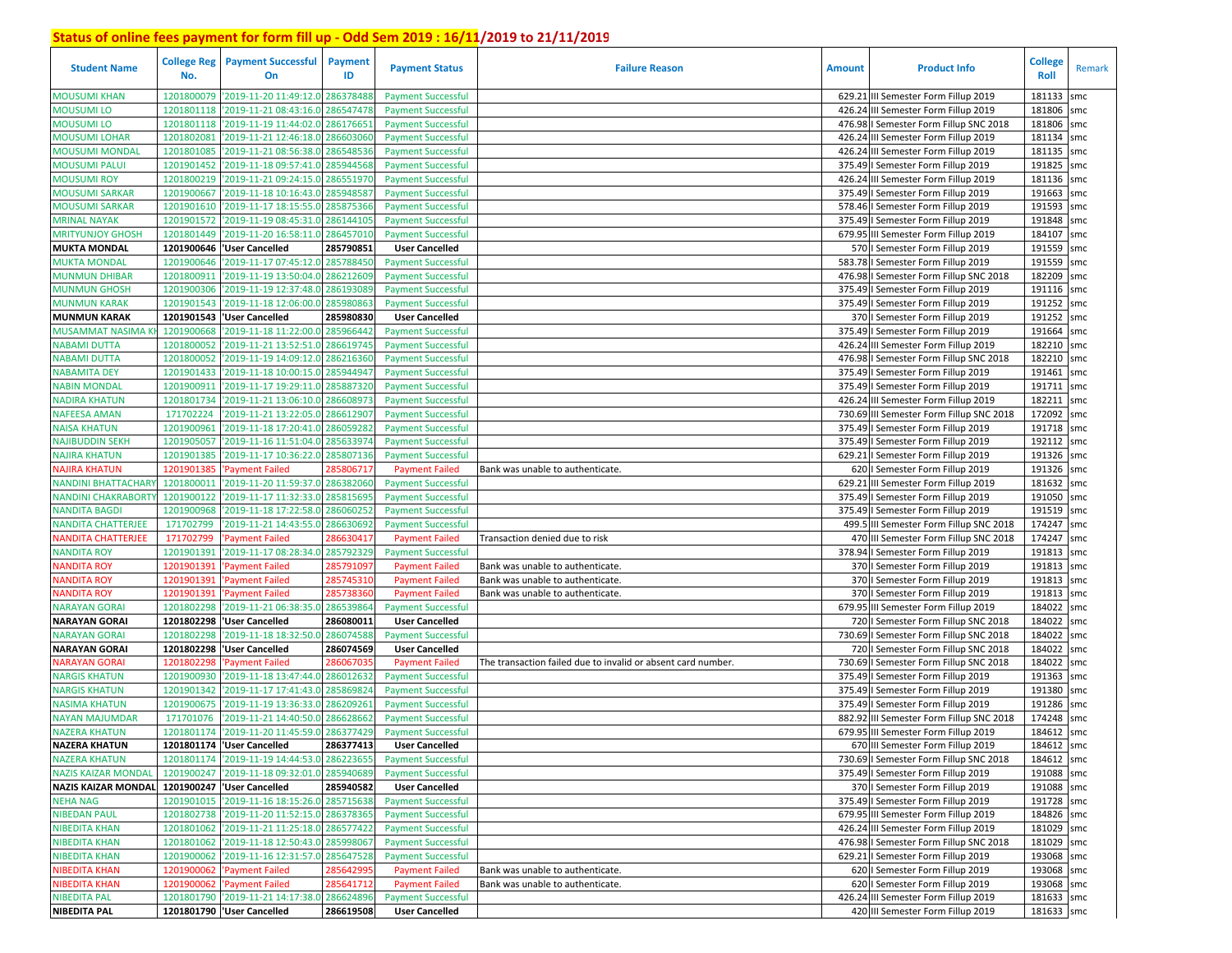| <b>Student Name</b>        | No.        | <b>College Reg</b> Payment Successful<br>On | Payment<br>ID | <b>Payment Status</b>     | <b>Failure Reason</b>                                        | <b>Amount</b> | <b>Product Info</b>                      | <b>College</b><br>Roll | Remark |
|----------------------------|------------|---------------------------------------------|---------------|---------------------------|--------------------------------------------------------------|---------------|------------------------------------------|------------------------|--------|
| <b>MOUSUMI KHAN</b>        | 1201800079 | '2019-11-20 11:49:12.0                      | 286378488     | <b>Payment Successful</b> |                                                              |               | 629.21 III Semester Form Fillup 2019     | 181133                 | smc    |
| <b>MOUSUMI LO</b>          | 1201801118 | '2019-11-21 08:43:16.0                      | 286547478     | <b>Payment Successful</b> |                                                              |               | 426.24 III Semester Form Fillup 2019     | 181806 smc             |        |
| <b>MOUSUMI LO</b>          | 1201801118 | '2019-11-19 11:44:02.0                      | 286176651     | <b>Payment Successful</b> |                                                              |               | 476.98   Semester Form Fillup SNC 2018   | 181806 smc             |        |
| <b>MOUSUMI LOHAR</b>       | 1201802081 | '2019-11-21 12:46:18.0                      | 286603060     | <b>Payment Successful</b> |                                                              |               | 426.24 III Semester Form Fillup 2019     | 181134 smc             |        |
| <b>MOUSUMI MONDAL</b>      | 1201801085 | '2019-11-21 08:56:38.0                      | 28654853      | <b>Payment Successful</b> |                                                              |               | 426.24 III Semester Form Fillup 2019     | 181135 smc             |        |
| <b>MOUSUMI PALUI</b>       | 1201901452 | '2019-11-18 09:57:41.0                      | 285944568     | <b>Payment Successful</b> |                                                              |               | 375.49   Semester Form Fillup 2019       | 191825                 | smc    |
| <b>MOUSUMI ROY</b>         | 1201800219 | '2019-11-21 09:24:15.0                      | 286551970     | <b>Payment Successful</b> |                                                              |               | 426.24 III Semester Form Fillup 2019     | 181136 smc             |        |
| <b>MOUSUMI SARKAR</b>      | 1201900667 | '2019-11-18 10:16:43.0                      | 285948587     | <b>Payment Successful</b> |                                                              |               | 375.49   Semester Form Fillup 2019       | 191663                 | smc    |
| <b>MOUSUMI SARKAR</b>      | 1201901610 | '2019-11-17 18:15:55.0 285875366            |               | <b>Payment Successful</b> |                                                              |               | 578.46   Semester Form Fillup 2019       | 191593 smc             |        |
| <b>MRINAL NAYAK</b>        |            | 1201901572 2019-11-19 08:45:31.0 286144105  |               | <b>Payment Successful</b> |                                                              |               | 375.49   Semester Form Fillup 2019       | 191848 smc             |        |
| <b>MRITYUNJOY GHOSH</b>    | 1201801449 | '2019-11-20 16:58:11.0 286457010            |               | <b>Payment Successful</b> |                                                              |               | 679.95 III Semester Form Fillup 2019     | 184107 smc             |        |
| <b>MUKTA MONDAL</b>        |            | 1201900646  'User Cancelled                 | 285790851     | <b>User Cancelled</b>     |                                                              |               | 570   Semester Form Fillup 2019          | 191559 smc             |        |
| <b>MUKTA MONDAL</b>        | 1201900646 | '2019-11-17 07:45:12.0                      | 285788450     | <b>Payment Successful</b> |                                                              |               | 583.78   Semester Form Fillup 2019       | 191559 smc             |        |
| <b>MUNMUN DHIBAR</b>       | 1201800911 | '2019-11-19 13:50:04.0                      | 286212609     | <b>Payment Successful</b> |                                                              |               | 476.98   Semester Form Fillup SNC 2018   | 182209 smc             |        |
| <b>MUNMUN GHOSH</b>        | 1201900306 | '2019-11-19 12:37:48.0                      | 28619308      | <b>Payment Successful</b> |                                                              |               | 375.49   Semester Form Fillup 2019       | 191116 smc             |        |
| <b>MUNMUN KARAK</b>        | 1201901543 | '2019-11-18 12:06:00.0                      | 285980863     | <b>Payment Successful</b> |                                                              |               | 375.49   Semester Form Fillup 2019       | 191252                 | smc    |
| <b>MUNMUN KARAK</b>        | 1201901543 | 'User Cancelled                             | 285980830     | <b>User Cancelled</b>     |                                                              |               | 370   Semester Form Fillup 2019          | 191252 smc             |        |
| <b>MUSAMMAT NASIMA I</b>   | 1201900668 | '2019-11-18 11:22:00.                       | 285966442     | <b>Payment Successful</b> |                                                              |               | 375.49   Semester Form Fillup 2019       | 191664                 | smc    |
| <b>NABAMI DUTTA</b>        | 1201800052 | '2019-11-21 13:52:51.0                      | 286619745     | <b>Payment Successful</b> |                                                              |               | 426.24 III Semester Form Fillup 2019     | 182210 smc             |        |
| <b>NABAMI DUTTA</b>        | 1201800052 | '2019-11-19 14:09:12.0                      | 28621636      | <b>Payment Successful</b> |                                                              |               | 476.98   Semester Form Fillup SNC 2018   | 182210 smc             |        |
| <b>NABAMITA DEY</b>        | 1201901433 | '2019-11-18 10:00:15.0                      | 285944947     | <b>Payment Successful</b> |                                                              |               | 375.49   Semester Form Fillup 2019       | 191461 smc             |        |
| <b>NABIN MONDAL</b>        | 1201900911 | '2019-11-17 19:29:11.0                      | 285887320     | <b>Payment Successful</b> |                                                              |               | 375.49   Semester Form Fillup 2019       | 191711                 | smc    |
| <b>NADIRA KHATUN</b>       | 1201801734 | '2019-11-21 13:06:10.0                      | 28660897      | <b>Payment Successful</b> |                                                              |               | 426.24 III Semester Form Fillup 2019     | 182211                 | smc    |
| <b>NAFEESA AMAN</b>        | 171702224  | '2019-11-21 13:22:05.0                      | 286612907     | <b>Payment Successful</b> |                                                              |               | 730.69 III Semester Form Fillup SNC 2018 | 172092                 | smc    |
| <b>NAISA KHATUN</b>        | 1201900961 | '2019-11-18 17:20:41.0                      | 286059282     | <b>Payment Successful</b> |                                                              |               | 375.49   Semester Form Fillup 2019       | 191718 smc             |        |
| <b>NAJIBUDDIN SEKH</b>     | 1201905057 | '2019-11-16 11:51:04.0                      | 285633974     | <b>Payment Successful</b> |                                                              |               | 375.49   Semester Form Fillup 2019       | 192112 smc             |        |
| <b>NAJIRA KHATUN</b>       | 1201901385 | '2019-11-17 10:36:22.0                      | 285807136     | <b>Payment Successful</b> |                                                              |               | 629.21   Semester Form Fillup 2019       | 191326 smc             |        |
| <b>NAJIRA KHATUN</b>       | 1201901385 | 'Payment Failed                             | 285806717     | <b>Payment Failed</b>     | Bank was unable to authenticate.                             |               | 620   Semester Form Fillup 2019          | 191326 smc             |        |
| <b>NANDINI BHATTACHAR</b>  | 1201800011 | '2019-11-20 11:59:37.0                      | 286382060     | <b>Payment Successful</b> |                                                              |               | 629.21 III Semester Form Fillup 2019     | 181632 smc             |        |
| <b>NANDINI CHAKRABORTY</b> | 1201900122 | '2019-11-17 11:32:33.0                      | 28581569      | <b>Payment Successful</b> |                                                              |               | 375.49   Semester Form Fillup 2019       | 191050 smc             |        |
| <b>NANDITA BAGDI</b>       | 1201900968 | '2019-11-18 17:22:58.0                      | 286060252     | <b>Payment Successful</b> |                                                              |               | 375.49   Semester Form Fillup 2019       | 191519                 | smc    |
| <b>NANDITA CHATTERJEE</b>  | 171702799  | '2019-11-21 14:43:55.0                      | 286630692     | <b>Payment Successful</b> |                                                              |               | 499.5 III Semester Form Fillup SNC 2018  | 174247                 | smc    |
| <b>NANDITA CHATTERJEE</b>  | 171702799  | 'Payment Failed                             | 286630417     | <b>Payment Failed</b>     | Transaction denied due to risk                               |               | 470 III Semester Form Fillup SNC 2018    | 174247 smc             |        |
| <b>NANDITA ROY</b>         | 1201901391 | '2019-11-17 08:28:34.0 285792329            |               | <b>Payment Successful</b> |                                                              |               | 378.94   Semester Form Fillup 2019       | 191813 smc             |        |
| <b>NANDITA ROY</b>         | 1201901391 | 'Payment Failed                             | 285791097     | <b>Payment Failed</b>     | Bank was unable to authenticate.                             |               | 370   Semester Form Fillup 2019          | 191813                 | smc    |
| <b>NANDITA ROY</b>         | 1201901391 | 'Payment Failed                             | 28574531      | <b>Payment Failed</b>     | Bank was unable to authenticate.                             |               | 370   Semester Form Fillup 2019          | 191813 smc             |        |
| <b>NANDITA ROY</b>         | 1201901391 | 'Payment Failed                             | 28573836      | <b>Payment Failed</b>     | Bank was unable to authenticate.                             |               | 370   Semester Form Fillup 2019          | 191813 smc             |        |
| <b>NARAYAN GORAI</b>       | 1201802298 | '2019-11-21 06:38:35.0                      | 28653986      | <b>Payment Successful</b> |                                                              |               | 679.95 III Semester Form Fillup 2019     | 184022 smc             |        |
| <b>NARAYAN GORAI</b>       |            | 1201802298  'User Cancelled                 | 286080011     | <b>User Cancelled</b>     |                                                              |               | 720   Semester Form Fillup SNC 2018      | 184022                 | smc    |
| <b>NARAYAN GORAI</b>       | 1201802298 | '2019-11-18 18:32:50.0                      | 286074588     | <b>Payment Successful</b> |                                                              |               | 730.69   Semester Form Fillup SNC 2018   | 184022 smc             |        |
| <b>NARAYAN GORAI</b>       | 1201802298 | 'User Cancelled                             | 286074569     | <b>User Cancelled</b>     |                                                              |               | 720   Semester Form Fillup SNC 2018      | 184022                 | smc    |
| <b>NARAYAN GORAI</b>       | 1201802298 | <b>Payment Failed</b>                       | 28606703      | <b>Payment Failed</b>     | The transaction failed due to invalid or absent card number. |               | 730.69 I Semester Form Fillup SNC 2018   | 184022                 | smc    |
| <b>NARGIS KHATUN</b>       | 1201900930 | '2019-11-18 13:47:44.0                      | 286012632     | <b>Payment Successful</b> |                                                              |               | 375.49   Semester Form Fillup 2019       | 191363                 | smc    |
| <b>NARGIS KHATUN</b>       | 1201901342 | '2019-11-17 17:41:43.0                      | 285869824     | <b>Payment Successful</b> |                                                              |               | 375.49   Semester Form Fillup 2019       | 191380 smc             |        |
| <b>NASIMA KHATUN</b>       | 1201900675 | '2019-11-19 13:36:33.                       | 286209261     | <b>Payment Successful</b> |                                                              |               | 375.49   Semester Form Fillup 2019       | 191286                 | smc    |
| <b>NAYAN MAJUMDAR</b>      | 171701076  | '2019-11-21 14:40:50.0                      | 286628662     | <b>Payment Successful</b> |                                                              |               | 882.92 III Semester Form Fillup SNC 2018 | 174248                 | smc    |
| <b>NAZERA KHATUN</b>       |            | 1201801174 2019-11-20 11:45:59.0 286377429  |               | <b>Payment Successful</b> |                                                              |               | 679.95 III Semester Form Fillup 2019     | 184612                 | smc    |
| <b>NAZERA KHATUN</b>       |            | 1201801174 User Cancelled                   | 286377413     | <b>User Cancelled</b>     |                                                              |               | 670 III Semester Form Fillup 2019        | 184612 smc             |        |
| <b>NAZERA KHATUN</b>       |            | 1201801174 2019-11-19 14:44:53.0 286223655  |               | <b>Payment Successful</b> |                                                              |               | 730.69   Semester Form Fillup SNC 2018   | 184612 smc             |        |
| <b>NAZIS KAIZAR MONDAL</b> |            | 1201900247 2019-11-18 09:32:01.0 285940689  |               | <b>Payment Successful</b> |                                                              |               | 375.49   Semester Form Fillup 2019       | 191088 smc             |        |
| <b>NAZIS KAIZAR MONDAL</b> |            | 1201900247 'User Cancelled                  | 285940582     | <b>User Cancelled</b>     |                                                              |               | 370   Semester Form Fillup 2019          | 191088 smc             |        |
| <b>NEHA NAG</b>            |            | 1201901015 2019-11-16 18:15:26.0 285715638  |               | <b>Payment Successful</b> |                                                              |               | 375.49   Semester Form Fillup 2019       | 191728 smc             |        |
| <b>NIBEDAN PAUL</b>        |            | 1201802738 2019-11-20 11:52:15.0 286378365  |               | <b>Payment Successful</b> |                                                              |               | 679.95 III Semester Form Fillup 2019     | 184826 smc             |        |
| <b>NIBEDITA KHAN</b>       |            | 1201801062 2019-11-21 11:25:18.0 286577422  |               | <b>Payment Successful</b> |                                                              |               | 426.24 III Semester Form Fillup 2019     | 181029 smc             |        |
| <b>NIBEDITA KHAN</b>       |            | 1201801062 2019-11-18 12:50:43.0 285998067  |               | <b>Payment Successful</b> |                                                              |               | 476.98   Semester Form Fillup SNC 2018   | 181029 smc             |        |
| <b>NIBEDITA KHAN</b>       |            | 1201900062 2019-11-16 12:31:57.0 285647528  |               | <b>Payment Successful</b> |                                                              |               | 629.21   Semester Form Fillup 2019       | 193068 smc             |        |
| <b>NIBEDITA KHAN</b>       |            | 1201900062 'Payment Failed                  | 285642995     | <b>Payment Failed</b>     | Bank was unable to authenticate.                             |               | 620   Semester Form Fillup 2019          | 193068 smc             |        |
| <b>NIBEDITA KHAN</b>       |            | 1201900062 'Payment Failed                  | 285641712     | <b>Payment Failed</b>     | Bank was unable to authenticate.                             |               | 620   Semester Form Fillup 2019          | 193068 smc             |        |
| <b>NIBEDITA PAL</b>        |            | 1201801790 2019-11-21 14:17:38.0 286624896  |               | <b>Payment Successful</b> |                                                              |               | 426.24 III Semester Form Fillup 2019     | 181633 smc             |        |
| <b>NIBEDITA PAL</b>        |            | 1201801790 User Cancelled                   | 286619508     | <b>User Cancelled</b>     |                                                              |               | 420 III Semester Form Fillup 2019        | 181633 smc             |        |
|                            |            |                                             |               |                           |                                                              |               |                                          |                        |        |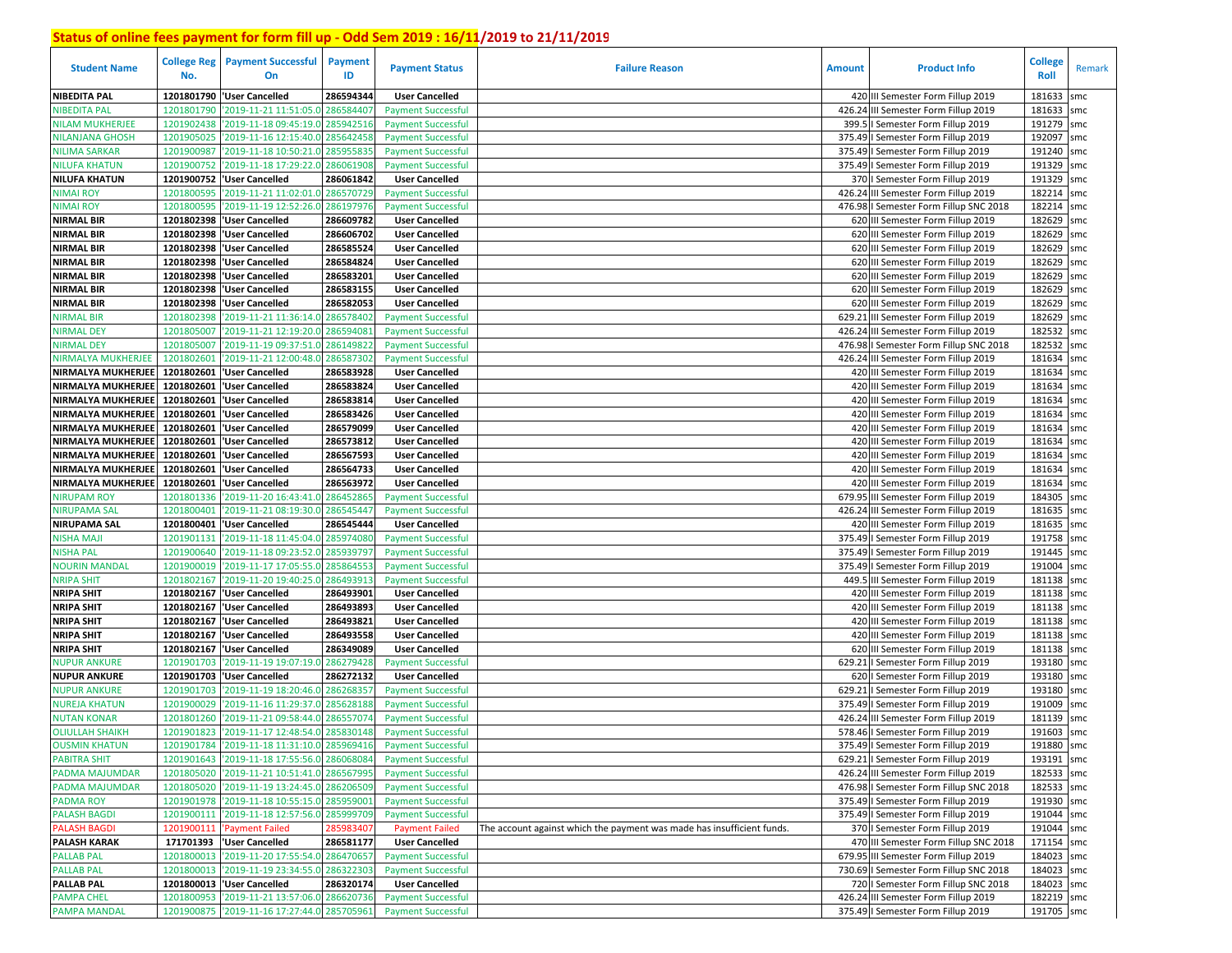| <b>Student Name</b>       | <b>College Reg</b><br>No. | <b>Payment Successful</b><br>On             | <b>Payment</b><br>ID | <b>Payment Status</b>     | <b>Failure Reason</b>                                                  | <b>Amount</b> | <b>Product Info</b>                    | <b>College</b><br>Roll | Remark |
|---------------------------|---------------------------|---------------------------------------------|----------------------|---------------------------|------------------------------------------------------------------------|---------------|----------------------------------------|------------------------|--------|
| <b>NIBEDITA PAL</b>       | 1201801790                | <b>User Cancelled</b>                       | 286594344            | <b>User Cancelled</b>     |                                                                        |               | 420 III Semester Form Fillup 2019      | 181633                 | smc    |
| NIBEDITA PAL              | 1201801790                | '2019-11-21 11:51:05.0 286584407            |                      | <b>Payment Successful</b> |                                                                        |               | 426.24 III Semester Form Fillup 2019   | 181633                 | smc    |
| <b>NILAM MUKHERJEE</b>    | 1201902438                | '2019-11-18 09:45:19.0 285942516            |                      | <b>Payment Successful</b> |                                                                        |               | 399.5   Semester Form Fillup 2019      | 191279                 | smc    |
| <b>NILANJANA GHOSH</b>    | 1201905025                | '2019-11-16 12:15:40.0                      | 285642458            | <b>Payment Successful</b> |                                                                        | 375.49        | I Semester Form Fillup 2019            | 192097                 | smc    |
| <b>NILIMA SARKAR</b>      | 1201900987                | '2019-11-18 10:50:21.0                      | 28595583             | <b>Payment Successful</b> |                                                                        | 375.49        | I Semester Form Fillup 2019            | 191240                 | smc    |
| <b>NILUFA KHATUN</b>      | 1201900752                | '2019-11-18 17:29:22.0                      | 286061908            | <b>Payment Successful</b> |                                                                        |               | 375.49   Semester Form Fillup 2019     | 191329                 | smc    |
| <b>NILUFA KHATUN</b>      | 1201900752                | <b>User Cancelled</b>                       | 286061842            | <b>User Cancelled</b>     |                                                                        |               | 370   Semester Form Fillup 2019        | 191329                 | smc    |
| <b>NIMAI ROY</b>          | 1201800595                | '2019-11-21 11:02:01.0 286570729            |                      | <b>Payment Successful</b> |                                                                        |               | 426.24 III Semester Form Fillup 2019   | 182214                 | smc    |
| <b>NIMAI ROY</b>          | 1201800595                | '2019-11-19 12:52:26.0                      | 286197976            | <b>Payment Successful</b> |                                                                        |               | 476.98   Semester Form Fillup SNC 2018 | 182214                 | smc    |
| <b>NIRMAL BIR</b>         |                           | 1201802398 User Cancelled                   | 286609782            | <b>User Cancelled</b>     |                                                                        |               | 620 III Semester Form Fillup 2019      | 182629                 | smc    |
| <b>NIRMAL BIR</b>         | 1201802398                | <b>User Cancelled</b>                       | 286606702            | <b>User Cancelled</b>     |                                                                        |               | 620 III Semester Form Fillup 2019      | 182629 smc             |        |
| <b>NIRMAL BIR</b>         | 1201802398                | 'User Cancelled                             | 286585524            | <b>User Cancelled</b>     |                                                                        |               | 620 III Semester Form Fillup 2019      | 182629 smc             |        |
| <b>NIRMAL BIR</b>         |                           | 1201802398 User Cancelled                   | 286584824            | <b>User Cancelled</b>     |                                                                        |               | 620 III Semester Form Fillup 2019      | 182629 smc             |        |
| <b>NIRMAL BIR</b>         | 1201802398                | 'User Cancelled                             | 286583201            | <b>User Cancelled</b>     |                                                                        |               | 620 III Semester Form Fillup 2019      | 182629 smc             |        |
| <b>NIRMAL BIR</b>         | 1201802398                | 'User Cancelled                             | 286583155            | <b>User Cancelled</b>     |                                                                        |               | 620 III Semester Form Fillup 2019      | 182629 smc             |        |
| <b>NIRMAL BIR</b>         | 1201802398                | 'User Cancelled                             | 286582053            | <b>User Cancelled</b>     |                                                                        |               | 620 III Semester Form Fillup 2019      | 182629                 | smc    |
| NIRMAL BIR                | 1201802398                | '2019-11-21 11:36:14.0                      | 286578402            | <b>Payment Successful</b> |                                                                        |               | 629.21 III Semester Form Fillup 2019   | 182629 smc             |        |
| <b>NIRMAL DEY</b>         | 1201805007                | '2019-11-21 12:19:20.                       | 28659408             | <b>Payment Successful</b> |                                                                        |               | 426.24 III Semester Form Fillup 2019   | 182532                 | smc    |
| <b>NIRMAL DEY</b>         | 1201805007                | '2019-11-19 09:37:51.0                      | 28614982             | <b>Payment Successful</b> |                                                                        |               | 476.98   Semester Form Fillup SNC 2018 | 182532                 | smc    |
| <b>NIRMALYA MUKHERJEE</b> | 1201802601                | 2019-11-21 12:00:48.0                       | 28658730             | <b>Payment Successful</b> |                                                                        |               | 426.24 III Semester Form Fillup 2019   | 181634                 | smc    |
| NIRMALYA MUKHERJEE        |                           | 1201802601 User Cancelled                   | 286583928            | <b>User Cancelled</b>     |                                                                        |               | 420 III Semester Form Fillup 2019      | 181634 smc             |        |
| NIRMALYA MUKHERJEE        | 1201802601                | <b>User Cancelled</b>                       | 286583824            | <b>User Cancelled</b>     |                                                                        |               | 420 III Semester Form Fillup 2019      | 181634                 | smc    |
| NIRMALYA MUKHERJEE        |                           | 1201802601 User Cancelled                   | 286583814            | <b>User Cancelled</b>     |                                                                        |               | 420 III Semester Form Fillup 2019      | 181634                 | smc    |
| NIRMALYA MUKHERJEE        | 1201802601                | <b>User Cancelled</b>                       | 286583426            | <b>User Cancelled</b>     |                                                                        |               | 420 III Semester Form Fillup 2019      | 181634                 | smc    |
| NIRMALYA MUKHERJEE        |                           | 1201802601 User Cancelled                   | 286579099            | <b>User Cancelled</b>     |                                                                        |               | 420 III Semester Form Fillup 2019      | 181634                 | smc    |
| NIRMALYA MUKHERJEE        | 1201802601                | <b>User Cancelled</b>                       | 286573812            | <b>User Cancelled</b>     |                                                                        |               | 420 III Semester Form Fillup 2019      | 181634                 | smc    |
| NIRMALYA MUKHERJEE        | 1201802601                | <b>User Cancelled</b>                       | 286567593            | <b>User Cancelled</b>     |                                                                        |               | 420 III Semester Form Fillup 2019      | 181634                 | smc    |
| <b>NIRMALYA MUKHERJEE</b> | 1201802601                | <b>User Cancelled</b>                       | 286564733            | <b>User Cancelled</b>     |                                                                        |               | 420 III Semester Form Fillup 2019      | 181634                 | smc    |
| NIRMALYA MUKHERJEE        | 1201802601                | <b>User Cancelled</b>                       | 286563972            | <b>User Cancelled</b>     |                                                                        |               | 420 III Semester Form Fillup 2019      | 181634                 | smc    |
| <b>NIRUPAM ROY</b>        | 1201801336                | '2019-11-20 16:43:41.0                      | 28645286             | <b>Payment Successful</b> |                                                                        |               | 679.95 III Semester Form Fillup 2019   | 184305                 | smc    |
| <b>NIRUPAMA SAL</b>       | 1201800401                | '2019-11-21 08:19:30.0                      | 286545447            | <b>Payment Successful</b> |                                                                        |               | 426.24 III Semester Form Fillup 2019   | 181635                 | smc    |
| <b>NIRUPAMA SAL</b>       |                           | 1201800401   User Cancelled                 | 286545444            | <b>User Cancelled</b>     |                                                                        |               | 420 III Semester Form Fillup 2019      | 181635                 | smc    |
| <b>NISHA MAJI</b>         | 1201901131                | '2019-11-18 11:45:04.0                      | 28597408             | <b>Payment Successful</b> |                                                                        |               | 375.49   Semester Form Fillup 2019     | 191758                 | smc    |
| <b>NISHA PAL</b>          | 1201900640                | '2019-11-18 09:23:52.0                      | 28593979             | <b>Payment Successful</b> |                                                                        |               | 375.49   Semester Form Fillup 2019     | 191445 smc             |        |
| <b>NOURIN MANDAL</b>      | 1201900019                | '2019-11-17 17:05:55.0                      | 285864553            | <b>Payment Successful</b> |                                                                        |               | 375.49   Semester Form Fillup 2019     | 191004                 | smc    |
| NRIPA SHIT                | 1201802167                | '2019-11-20 19:40:25.0                      | 286493913            | <b>Payment Successful</b> |                                                                        |               | 449.5 III Semester Form Fillup 2019    | 181138 smc             |        |
| <b>NRIPA SHIT</b>         | 1201802167                | <b>User Cancelled</b>                       | 286493901            | <b>User Cancelled</b>     |                                                                        |               | 420 III Semester Form Fillup 2019      | 181138 smc             |        |
| <b>NRIPA SHIT</b>         |                           | 1201802167  'User Cancelled                 | 286493893            | <b>User Cancelled</b>     |                                                                        |               | 420 III Semester Form Fillup 2019      | 181138 smc             |        |
| <b>NRIPA SHIT</b>         | 1201802167                | 'User Cancelled                             | 286493821            | <b>User Cancelled</b>     |                                                                        |               | 420 III Semester Form Fillup 2019      | 181138 smc             |        |
| <b>NRIPA SHIT</b>         | 1201802167                | 'User Cancelled                             | 286493558            | <b>User Cancelled</b>     |                                                                        |               | 420 III Semester Form Fillup 2019      | 181138 smc             |        |
| <b>NRIPA SHIT</b>         | 1201802167                | 'User Cancelled                             | 286349089            | <b>User Cancelled</b>     |                                                                        |               | 620 III Semester Form Fillup 2019      | 181138                 | smc    |
| NUPUR ANKURE              | 1201901703                | '2019-11-19 19:07:19.0                      | 286279428            | <b>Payment Successful</b> |                                                                        | 629.21        | I Semester Form Fillup 2019            | 193180 smc             |        |
| <b>NUPUR ANKURE</b>       | 1201901703                | 'User Cancelled                             | 286272132            | <b>User Cancelled</b>     |                                                                        |               | 620   Semester Form Fillup 2019        | 193180                 | smc    |
| NUPUR ANKURE              | 1201901703                | '2019-11-19 18:20:46.0                      | 28626835             | <b>Payment Successful</b> |                                                                        | 629.21        | I Semester Form Fillup 2019            | 193180                 | smc    |
| <b>NUREJA KHATUN</b>      | 1201900029                | 2019-11-16 11:29:37.                        | 28562818             | <b>Payment Successful</b> |                                                                        |               | 375.49   Semester Form Fillup 2019     | 191009                 | smc    |
| <b>NUTAN KONAR</b>        | 1201801260                | '2019-11-21 09:58:44.0                      | 28655707             | <b>Payment Successful</b> |                                                                        |               | 426.24 III Semester Form Fillup 2019   | 181139                 | smc    |
| <b>OLIULLAH SHAIKH</b>    | 1201901823                | '2019-11-17 12:48:54.0 285830148            |                      | <b>Payment Successful</b> |                                                                        |               | 578.46   Semester Form Fillup 2019     | 191603                 | smc    |
| <b>OUSMIN KHATUN</b>      |                           | 1201901784 2019-11-18 11:31:10.0 285969416  |                      | <b>Payment Successful</b> |                                                                        |               | 375.49   Semester Form Fillup 2019     | 191880 smc             |        |
| <b>PABITRA SHIT</b>       |                           | 1201901643 2019-11-18 17:55:56.0 286068084  |                      | <b>Payment Successful</b> |                                                                        |               | 629.21   Semester Form Fillup 2019     | 193191 smc             |        |
| <b>PADMA MAJUMDAR</b>     |                           | 1201805020 2019-11-21 10:51:41.0 286567995  |                      | <b>Payment Successful</b> |                                                                        |               | 426.24 III Semester Form Fillup 2019   | 182533 smc             |        |
| <b>PADMA MAJUMDAR</b>     |                           | 1201805020 2019-11-19 13:24:45.0 286206509  |                      | <b>Payment Successful</b> |                                                                        |               | 476.98   Semester Form Fillup SNC 2018 | 182533 smc             |        |
| <b>PADMA ROY</b>          |                           | 1201901978 2019-11-18 10:55:15.0 285959001  |                      | <b>Payment Successful</b> |                                                                        |               | 375.49   Semester Form Fillup 2019     | 191930 smc             |        |
| <b>PALASH BAGDI</b>       |                           | 1201900111 '2019-11-18 12:57:56.0 285999709 |                      | <b>Payment Successful</b> |                                                                        |               | 375.49   Semester Form Fillup 2019     | 191044 smc             |        |
| <b>PALASH BAGDI</b>       |                           | 1201900111 'Payment Failed                  | 285983407            | <b>Payment Failed</b>     | The account against which the payment was made has insufficient funds. |               | 370   Semester Form Fillup 2019        | 191044 smc             |        |
| <b>PALASH KARAK</b>       |                           | 171701393  'User Cancelled                  | 286581177            | <b>User Cancelled</b>     |                                                                        |               | 470 III Semester Form Fillup SNC 2018  | 171154 smc             |        |
| <b>PALLAB PAL</b>         |                           | 1201800013 2019-11-20 17:55:54.0 286470657  |                      | <b>Payment Successful</b> |                                                                        |               | 679.95 III Semester Form Fillup 2019   | 184023 smc             |        |
| <b>PALLAB PAL</b>         |                           | 1201800013 2019-11-19 23:34:55.0 286322303  |                      | <b>Payment Successful</b> |                                                                        |               | 730.69   Semester Form Fillup SNC 2018 | 184023 smc             |        |
| <b>PALLAB PAL</b>         |                           | 1201800013 'User Cancelled                  | 286320174            | <b>User Cancelled</b>     |                                                                        |               | 720   Semester Form Fillup SNC 2018    | 184023 smc             |        |
| <b>PAMPA CHEL</b>         |                           | 1201800953 2019-11-21 13:57:06.0 286620736  |                      | <b>Payment Successful</b> |                                                                        |               | 426.24 III Semester Form Fillup 2019   | 182219 smc             |        |
| <b>PAMPA MANDAL</b>       |                           | 1201900875 2019-11-16 17:27:44.0 285705961  |                      | <b>Payment Successful</b> |                                                                        |               | 375.49   Semester Form Fillup 2019     | 191705 smc             |        |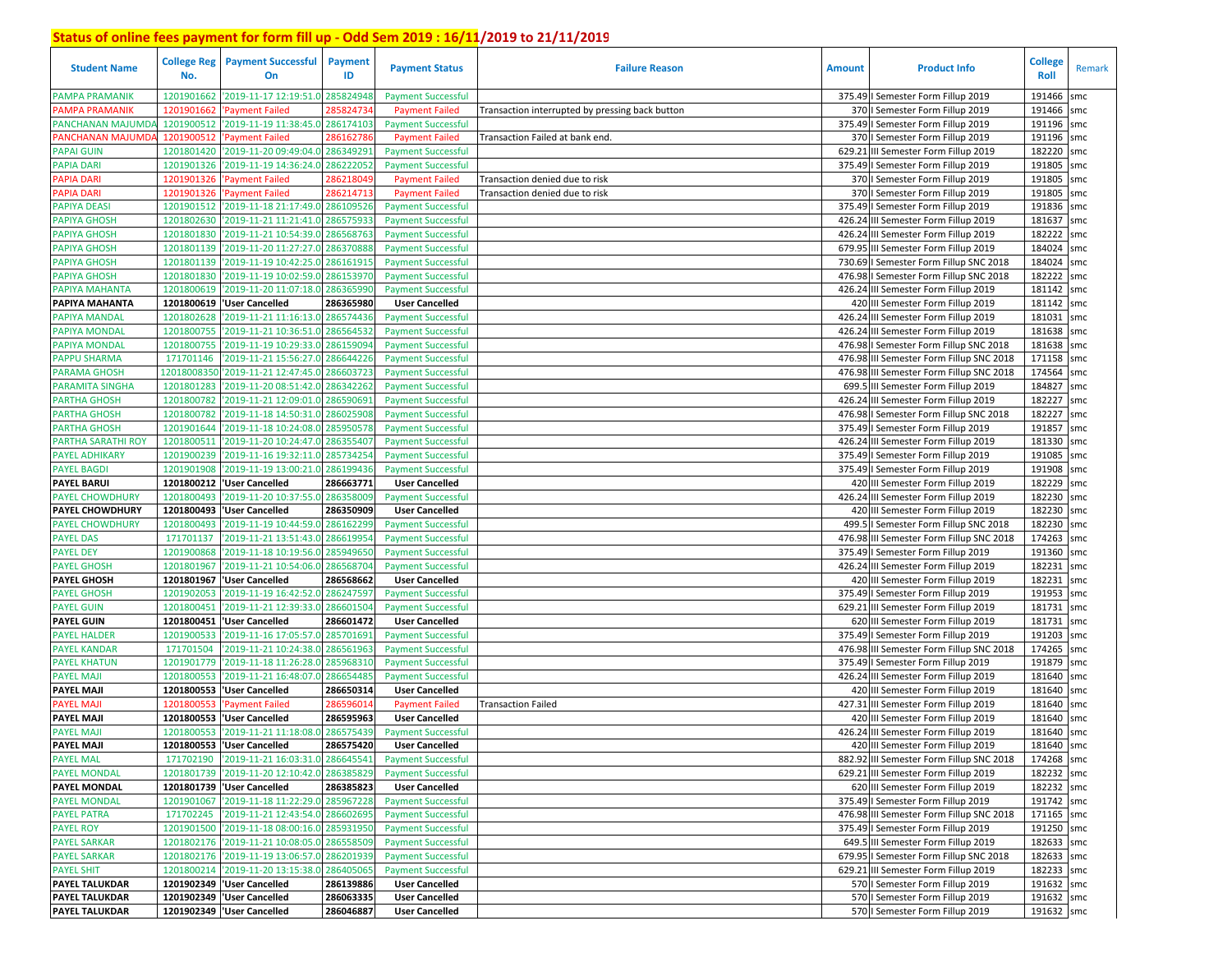| <b>Student Name</b>                    | No.                      | <b>College Reg   Payment Successful</b><br>On | <b>Payment</b><br>ID  | <b>Payment Status</b>                          | <b>Failure Reason</b>                           | <b>Amount</b> | <b>Product Info</b>                                                       | <b>College</b><br>Roll   | Remark |
|----------------------------------------|--------------------------|-----------------------------------------------|-----------------------|------------------------------------------------|-------------------------------------------------|---------------|---------------------------------------------------------------------------|--------------------------|--------|
| <b>PAMPA PRAMANIK</b>                  | 1201901662               | '2019-11-17 12:19:51.0                        | 285824948             | <b>Payment Successful</b>                      |                                                 |               | 375.49   Semester Form Fillup 2019                                        | 191466                   | smc    |
| <b>PAMPA PRAMANIK</b>                  | 1201901662               | <b>Payment Failed</b>                         | 28582473              | <b>Payment Failed</b>                          | Transaction interrupted by pressing back button |               | 370   Semester Form Fillup 2019                                           | 191466 smc               |        |
| PANCHANAN MAJUMD                       | 1201900512               | '2019-11-19 11:38:45.0                        | 286174103             | <b>Payment Successful</b>                      |                                                 |               | 375.49   Semester Form Fillup 2019                                        | 191196 smc               |        |
| PANCHANAN MAJUMD                       | 1201900512               | 'Payment Failed                               | 28616278              | <b>Payment Failed</b>                          | Transaction Failed at bank end.                 |               | 370   Semester Form Fillup 2019                                           | 191196 smc               |        |
| <b>PAPAI GUIN</b>                      | 1201801420               | '2019-11-20 09:49:04.0                        | 28634929              | <b>Payment Successful</b>                      |                                                 |               | 629.21 III Semester Form Fillup 2019                                      | 182220 smc               |        |
| <b>PAPIA DARI</b>                      | 1201901326               | '2019-11-19 14:36:24.0                        | 286222052             | <b>Payment Successful</b>                      |                                                 |               | 375.49   Semester Form Fillup 2019                                        | 191805                   | smc    |
| PAPIA DARI                             | 1201901326               | 'Payment Failed                               | 28621804              | <b>Payment Failed</b>                          | Transaction denied due to risk                  |               | 370   Semester Form Fillup 2019                                           | 191805 smc               |        |
| <b>PAPIA DARI</b>                      | 1201901326               | 'Payment Failed                               | 286214713             | <b>Payment Failed</b>                          | Transaction denied due to risk                  |               | 370   Semester Form Fillup 2019                                           | 191805                   | smc    |
| <b>PAPIYA DEASI</b>                    |                          | 1201901512 2019-11-18 21:17:49.0              | 286109526             | <b>Payment Successful</b>                      |                                                 |               | 375.49   Semester Form Fillup 2019                                        | 191836 smc               |        |
| <b>PAPIYA GHOSH</b>                    |                          | 1201802630 2019-11-21 11:21:41.0              | 286575933             | <b>Payment Successful</b>                      |                                                 |               | 426.24 III Semester Form Fillup 2019                                      | 181637 smc               |        |
| <b>PAPIYA GHOSH</b>                    | 1201801830               | '2019-11-21 10:54:39.0                        | 286568763             | <b>Payment Successful</b>                      |                                                 |               | 426.24 III Semester Form Fillup 2019                                      | 182222 smc               |        |
| <b>PAPIYA GHOSH</b>                    | 1201801139               | '2019-11-20 11:27:27.0                        | 286370888             | <b>Payment Successful</b>                      |                                                 |               | 679.95 III Semester Form Fillup 2019                                      | 184024 smc               |        |
| <b>PAPIYA GHOSH</b>                    | 1201801139               | '2019-11-19 10:42:25.0                        | 286161915             | <b>Payment Successful</b>                      |                                                 |               | 730.69   Semester Form Fillup SNC 2018                                    | 184024 smc               |        |
| <b>PAPIYA GHOSH</b>                    | 1201801830               | '2019-11-19 10:02:59.0                        | 286153970             | <b>Payment Successful</b>                      |                                                 |               | 476.98   Semester Form Fillup SNC 2018                                    | 182222 smc               |        |
| PAPIYA MAHANTA                         | 1201800619               | '2019-11-20 11:07:18.0                        | 286365990             | <b>Payment Successful</b>                      |                                                 |               | 426.24 III Semester Form Fillup 2019                                      | 181142 smc               |        |
| PAPIYA MAHANTA                         | 1201800619               | 'User Cancelled                               | 286365980             | <b>User Cancelled</b>                          |                                                 |               | 420 III Semester Form Fillup 2019                                         | 181142 smc               |        |
| PAPIYA MANDAL                          | 1201802628               | '2019-11-21 11:16:13.0                        | 286574436             | <b>Payment Successful</b>                      |                                                 |               | 426.24 III Semester Form Fillup 2019                                      | 181031 smc               |        |
| PAPIYA MONDAL                          | 1201800755               | '2019-11-21 10:36:51.0                        | 28656453              | <b>Payment Successful</b>                      |                                                 |               | 426.24 III Semester Form Fillup 2019                                      | 181638 smc               |        |
| PAPIYA MONDAL                          | 1201800755               | '2019-11-19 10:29:33.                         | 28615909              | <b>Payment Successful</b>                      |                                                 |               | 476.98 I Semester Form Fillup SNC 2018                                    | 181638 smc               |        |
| <b>PAPPU SHARMA</b>                    | 171701146                | '2019-11-21 15:56:27.                         | 28664422              | <b>Payment Successful</b>                      |                                                 |               | 476.98 III Semester Form Fillup SNC 2018                                  | 171158                   | smc    |
| <b>PARAMA GHOSH</b>                    | 12018008350              | '2019-11-21 12:47:45.                         | 286603723             | <b>Payment Successful</b>                      |                                                 |               | 476.98 III Semester Form Fillup SNC 2018                                  | 174564 smc               |        |
| <b>PARAMITA SINGHA</b>                 | 1201801283               | '2019-11-20 08:51:42.0                        | 286342262             | <b>Payment Successful</b>                      |                                                 |               | 699.5 III Semester Form Fillup 2019                                       | 184827 smc               |        |
| <b>PARTHA GHOSH</b>                    | 1201800782               | '2019-11-21 12:09:01.0                        | 28659069              | <b>Payment Successful</b>                      |                                                 |               | 426.24 III Semester Form Fillup 2019                                      | 182227 smc               |        |
| <b>PARTHA GHOSH</b>                    | 1201800782               | '2019-11-18 14:50:31.                         | 28602590              | <b>Payment Successful</b>                      |                                                 |               | 476.98   Semester Form Fillup SNC 2018                                    | 182227                   | smc    |
| <b>PARTHA GHOSH</b>                    | 1201901644               | '2019-11-18 10:24:08.0                        | 285950578             | <b>Payment Successful</b>                      |                                                 |               | 375.49   Semester Form Fillup 2019                                        | 191857 smc               |        |
| PARTHA SARATHI ROY                     | 1201800511               | '2019-11-20 10:24:47.0                        | 286355407             | <b>Payment Successful</b>                      |                                                 |               | 426.24 III Semester Form Fillup 2019                                      | 181330 smc               |        |
| <b>PAYEL ADHIKARY</b>                  | 1201900239               | '2019-11-16 19:32:11.0                        | 285734254             | <b>Payment Successful</b>                      |                                                 |               | 375.49   Semester Form Fillup 2019                                        | 191085 smc               |        |
| <b>PAYEL BAGDI</b>                     | 1201901908               | '2019-11-19 13:00:21.0                        | 286199436             | <b>Payment Successful</b>                      |                                                 |               | 375.49   Semester Form Fillup 2019                                        | 191908 smc               |        |
| <b>PAYEL BARUI</b>                     | 1201800212               | 'User Cancelled                               | 286663771             | <b>User Cancelled</b>                          |                                                 |               | 420 III Semester Form Fillup 2019                                         | 182229 smc               |        |
| <b>PAYEL CHOWDHURY</b>                 | 1201800493               | '2019-11-20 10:37:55.0                        | 286358009             | <b>Payment Successful</b>                      |                                                 |               | 426.24 III Semester Form Fillup 2019                                      | 182230 smc               |        |
| PAYEL CHOWDHURY                        |                          | 1201800493  'User Cancelled                   | 286350909             | <b>User Cancelled</b>                          |                                                 |               | 420 III Semester Form Fillup 2019                                         | 182230 smc               |        |
| <b>PAYEL CHOWDHURY</b>                 | 1201800493               | '2019-11-19 10:44:59.0                        | 286162299             | <b>Payment Successful</b>                      |                                                 |               | 499.5   Semester Form Fillup SNC 2018                                     | 182230 smc               |        |
| <b>PAYEL DAS</b>                       | 171701137                | '2019-11-21 13:51:43.0                        | 286619954             | <b>Payment Successful</b>                      |                                                 |               | 476.98 III Semester Form Fillup SNC 2018                                  | 174263 smc               |        |
| <b>PAYEL DEY</b>                       | 1201900868               | '2019-11-18 10:19:56.0                        | 285949650             | <b>Payment Successful</b>                      |                                                 |               | 375.49   Semester Form Fillup 2019                                        | 191360 smc               |        |
| <b>PAYEL GHOSH</b>                     | 1201801967               | '2019-11-21 10:54:06.0                        | 286568704             | <b>Payment Successful</b>                      |                                                 |               | 426.24 III Semester Form Fillup 2019                                      | 182231 smc               |        |
| <b>PAYEL GHOSH</b>                     |                          | 1201801967  'User Cancelled                   | 286568662             | <b>User Cancelled</b>                          |                                                 |               | 420 III Semester Form Fillup 2019                                         | 182231 smc               |        |
| <b>PAYEL GHOSH</b>                     | 1201902053               | '2019-11-19 16:42:52.0                        | 286247597             | <b>Payment Successful</b>                      |                                                 |               | 375.49   Semester Form Fillup 2019                                        | 191953 smc               |        |
| <b>PAYEL GUIN</b>                      |                          | 1201800451 2019-11-21 12:39:33.0              | 286601504             | <b>Payment Successful</b>                      |                                                 |               | 629.21 III Semester Form Fillup 2019                                      | 181731 smc               |        |
| <b>PAYEL GUIN</b>                      |                          | 1201800451 User Cancelled                     | 286601472             | <b>User Cancelled</b>                          |                                                 |               | 620 III Semester Form Fillup 2019                                         | 181731                   | smc    |
| <b>PAYEL HALDER</b>                    | 1201900533               | '2019-11-16 17:05:57.                         | 285701691             | <b>Payment Successful</b>                      |                                                 |               | 375.49   Semester Form Fillup 2019                                        | 191203 smc               |        |
| <b>PAYEL KANDAR</b>                    | 171701504                | '2019-11-21 10:24:38.0                        | 286561963             | <b>Payment Successful</b>                      |                                                 |               | 476.98 III Semester Form Fillup SNC 2018                                  | 174265 smc               |        |
| <b>PAYEL KHATUN</b>                    | 1201901779               | '2019-11-18 11:26:28.                         | 285968310             | <b>Payment Successful</b>                      |                                                 |               | 375.49 I Semester Form Fillup 2019                                        | 191879 smc<br>181640 smc |        |
| <b>PAYEL MAJI</b><br><b>PAYEL MAJI</b> | 1201800553<br>1201800553 | '2019-11-21 16:48:07.                         | 28665448<br>286650314 | <b>Payment Successful</b>                      |                                                 |               | 426.24 III Semester Form Fillup 2019<br>420 III Semester Form Fillup 2019 | 181640 smc               |        |
| <b>PAYEL MAJI</b>                      | 1201800553               | 'User Cancelled<br><b>Payment Failed</b>      | 28659601              | <b>User Cancelled</b><br><b>Payment Failed</b> |                                                 |               | 427.31 III Semester Form Fillup 2019                                      | 181640 smc               |        |
| <b>PAYEL MAJI</b>                      |                          | 1201800553 VJser Cancelled                    | 286595963             | <b>User Cancelled</b>                          | <b>Transaction Failed</b>                       |               | 420 III Semester Form Fillup 2019                                         | 181640 smc               |        |
| <b>PAYEL MAJI</b>                      |                          | 1201800553 2019-11-21 11:18:08.0              | 286575439             | <b>Payment Successful</b>                      |                                                 |               | 426.24 III Semester Form Fillup 2019                                      | 181640                   | smc    |
| PAYEL MAJI                             |                          | 1201800553 User Cancelled                     | 286575420             | <b>User Cancelled</b>                          |                                                 |               | 420 III Semester Form Fillup 2019                                         | 181640 smc               |        |
| <b>PAYEL MAL</b>                       |                          | 171702190 2019-11-21 16:03:31.0 286645541     |                       | <b>Payment Successful</b>                      |                                                 |               | 882.92 III Semester Form Fillup SNC 2018                                  | 174268 smc               |        |
| <b>PAYEL MONDAL</b>                    |                          | 1201801739 2019-11-20 12:10:42.0 286385829    |                       | <b>Payment Successful</b>                      |                                                 |               | 629.21 III Semester Form Fillup 2019                                      | 182232 smc               |        |
| <b>PAYEL MONDAL</b>                    |                          | 1201801739  'User Cancelled                   | 286385823             | <b>User Cancelled</b>                          |                                                 |               | 620 III Semester Form Fillup 2019                                         | 182232 smc               |        |
| <b>PAYEL MONDAL</b>                    |                          | 1201901067 2019-11-18 11:22:29.0 285967228    |                       | <b>Payment Successful</b>                      |                                                 |               | 375.49   Semester Form Fillup 2019                                        | 191742 smc               |        |
| <b>PAYEL PATRA</b>                     |                          | 171702245 2019-11-21 12:43:54.0 286602695     |                       | <b>Payment Successful</b>                      |                                                 |               | 476.98 III Semester Form Fillup SNC 2018                                  | 171165 smc               |        |
| <b>PAYEL ROY</b>                       |                          | 1201901500 2019-11-18 08:00:16.0 285931950    |                       | <b>Payment Successful</b>                      |                                                 |               | 375.49   Semester Form Fillup 2019                                        | 191250 smc               |        |
| <b>PAYEL SARKAR</b>                    |                          | 1201802176 2019-11-21 10:08:05.0 286558509    |                       | <b>Payment Successful</b>                      |                                                 |               | 649.5 III Semester Form Fillup 2019                                       | 182633 smc               |        |
| <b>PAYEL SARKAR</b>                    |                          | 1201802176 2019-11-19 13:06:57.0 286201939    |                       | <b>Payment Successful</b>                      |                                                 |               | 679.95   Semester Form Fillup SNC 2018                                    | 182633 smc               |        |
| <b>PAYEL SHIT</b>                      |                          | 1201800214 '2019-11-20 13:15:38.0 286405065   |                       | <b>Payment Successful</b>                      |                                                 |               | 629.21 III Semester Form Fillup 2019                                      | 182233 smc               |        |
| PAYEL TALUKDAR                         |                          | 1201902349   User Cancelled                   | 286139886             | <b>User Cancelled</b>                          |                                                 |               | 570   Semester Form Fillup 2019                                           | 191632 smc               |        |
| <b>PAYEL TALUKDAR</b>                  |                          | 1201902349   User Cancelled                   | 286063335             | <b>User Cancelled</b>                          |                                                 |               | 570   Semester Form Fillup 2019                                           | 191632 smc               |        |
| <b>PAYEL TALUKDAR</b>                  |                          | 1201902349  'User Cancelled                   | 286046887             | <b>User Cancelled</b>                          |                                                 |               | 570   Semester Form Fillup 2019                                           | 191632 smc               |        |
|                                        |                          |                                               |                       |                                                |                                                 |               |                                                                           |                          |        |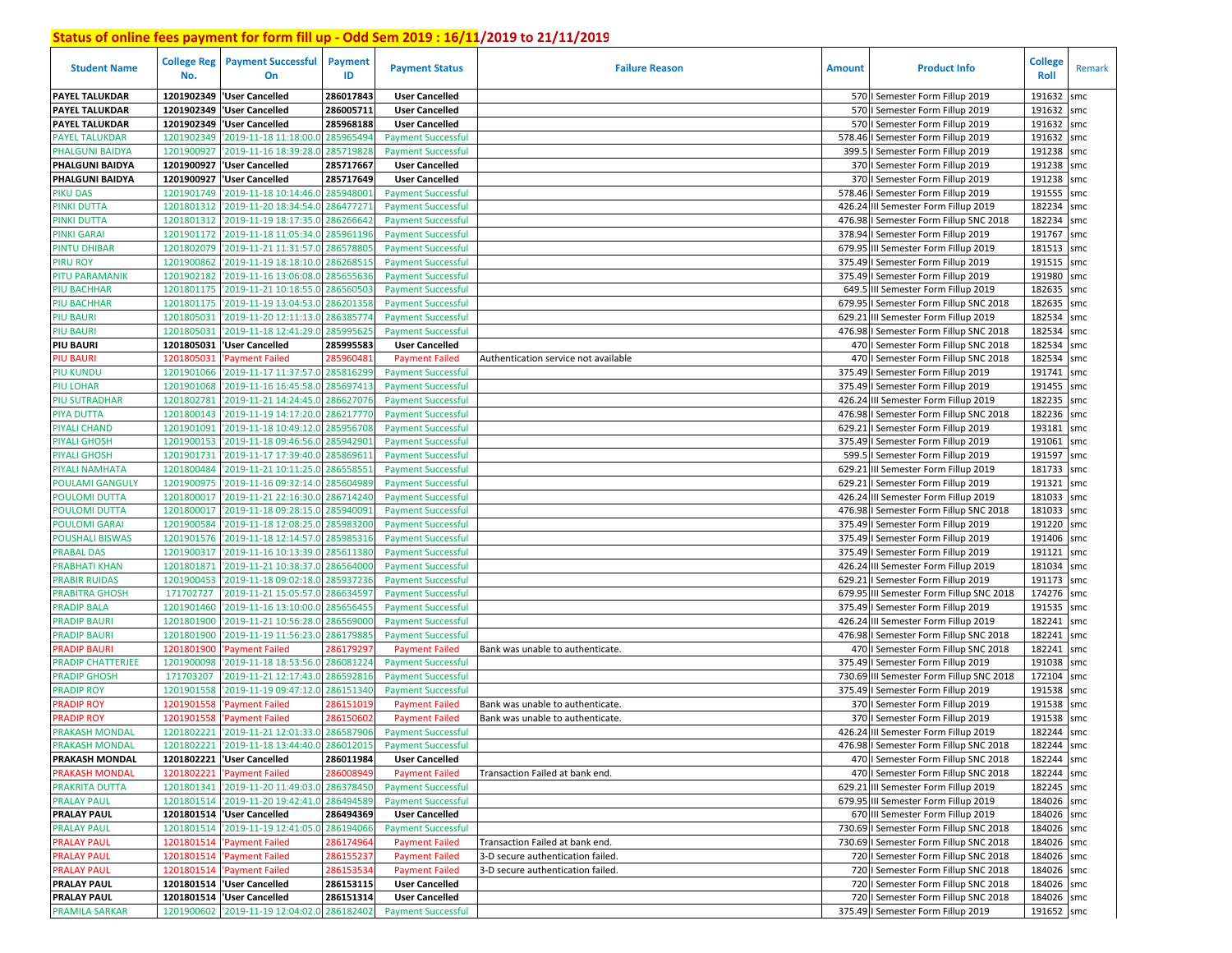| <b>Student Name</b>                   | No.                      | <b>College Reg</b> Payment Successful<br>On      | <b>Payment</b><br>ID  | <b>Payment Status</b>                                  | <b>Failure Reason</b>                | <b>Amount</b> | <b>Product Info</b>                                                        | <b>College</b><br>Roll | Remark     |
|---------------------------------------|--------------------------|--------------------------------------------------|-----------------------|--------------------------------------------------------|--------------------------------------|---------------|----------------------------------------------------------------------------|------------------------|------------|
| <b>PAYEL TALUKDAR</b>                 |                          | 1201902349 'User Cancelled                       | 286017843             | <b>User Cancelled</b>                                  |                                      |               | 570   Semester Form Fillup 2019                                            | 191632                 | smc        |
| <b>PAYEL TALUKDAR</b>                 | 1201902349               | 'User Cancelled                                  | 286005711             | <b>User Cancelled</b>                                  |                                      |               | 570   Semester Form Fillup 2019                                            | 191632                 | smc        |
| PAYEL TALUKDAR                        | 1201902349               | 'User Cancelled                                  | 285968188             | <b>User Cancelled</b>                                  |                                      |               | 570   Semester Form Fillup 2019                                            | 191632                 | smc        |
| <b>PAYEL TALUKDAR</b>                 | 1201902349               | '2019-11-18 11:18:00.0                           | 285965494             | <b>Payment Successful</b>                              |                                      |               | 578.46   Semester Form Fillup 2019                                         | 191632                 | smc        |
| PHALGUNI BAIDYA                       | 1201900927               | '2019-11-16 18:39:28.0                           | 285719828             | <b>Payment Successful</b>                              |                                      |               | 399.5   Semester Form Fillup 2019                                          | 191238                 | smc        |
| PHALGUNI BAIDYA                       | 1201900927               | 'User Cancelled                                  | 285717667             | <b>User Cancelled</b>                                  |                                      |               | 370   Semester Form Fillup 2019                                            | 191238                 | smc        |
| PHALGUNI BAIDYA                       | 1201900927               | 'User Cancelled                                  | 285717649             | <b>User Cancelled</b>                                  |                                      |               | 370   Semester Form Fillup 2019                                            | 191238                 | smc        |
| <b>PIKU DAS</b>                       | 1201901749               | '2019-11-18 10:14:46.0                           | 285948001             | <b>Payment Successful</b>                              |                                      |               | 578.46   Semester Form Fillup 2019                                         | 191555                 | smc        |
| PINKI DUTTA                           |                          | 1201801312 '2019-11-20 18:34:54.0                | 286477271             | <b>Payment Successful</b>                              |                                      |               | 426.24 III Semester Form Fillup 2019                                       | 182234                 | smc        |
| PINKI DUTTA                           |                          | 1201801312 '2019-11-19 18:17:35.0                | 286266642             | <b>Payment Successful</b>                              |                                      |               | 476.98   Semester Form Fillup SNC 2018                                     | 182234                 | smc        |
| <b>PINKI GARAI</b>                    | 1201901172               | '2019-11-18 11:05:34.0                           | 285961196             | <b>Payment Successful</b>                              |                                      |               | 378.94   Semester Form Fillup 2019                                         | 191767 smc             |            |
| <b>PINTU DHIBAR</b>                   | 1201802079               | '2019-11-21 11:31:57.0                           | 286578805             | <b>Payment Successful</b>                              |                                      |               | 679.95 III Semester Form Fillup 2019                                       | 181513                 | smc        |
| PIRU ROY                              | 1201900862               | '2019-11-19 18:18:10.0                           | 28626851              | <b>Payment Successful</b>                              |                                      |               | 375.49   Semester Form Fillup 2019                                         | 191515 smc             |            |
| PITU PARAMANIK                        | 1201902182               | '2019-11-16 13:06:08.0                           | 285655636             | <b>Payment Successful</b>                              |                                      |               | 375.49   Semester Form Fillup 2019                                         | 191980 smc             |            |
| PIU BACHHAR                           | 1201801175               | '2019-11-21 10:18:55.0                           | 28656050              | <b>Payment Successful</b>                              |                                      |               | 649.5 III Semester Form Fillup 2019                                        | 182635 smc             |            |
| <b>PIU BACHHAR</b>                    | 1201801175               | '2019-11-19 13:04:53.0                           | 286201358             | <b>Payment Successful</b>                              |                                      | 679.95        | I Semester Form Fillup SNC 2018                                            | 182635                 | smc        |
| PIU BAURI                             | 1201805031               | '2019-11-20 12:11:13.0                           | 28638577              | <b>Payment Successful</b>                              |                                      |               | 629.21 III Semester Form Fillup 2019                                       | 182534                 | smc        |
| <b>PIU BAURI</b>                      | 1201805031               | '2019-11-18 12:41:29.                            | 28599562              | <b>Payment Successful</b>                              |                                      |               | 476.98   Semester Form Fillup SNC 2018                                     | 182534                 | smc        |
| <b>PIU BAURI</b>                      |                          | 1201805031 'User Cancelled                       | 285995583             | <b>User Cancelled</b>                                  |                                      |               | 470   Semester Form Fillup SNC 2018                                        | 182534 smc             |            |
| <b>PIU BAURI</b>                      | 1201805031               | <b>Payment Failed</b>                            | 28596048              | <b>Payment Failed</b>                                  | Authentication service not available |               | 470   Semester Form Fillup SNC 2018                                        | 182534                 | smc        |
| <b>PIU KUNDU</b>                      | 1201901066               | '2019-11-17 11:37:57.0                           | 285816299             | <b>Payment Successful</b>                              |                                      |               | 375.49   Semester Form Fillup 2019                                         | 191741 smc             |            |
| PIU LOHAR                             | 1201901068               | '2019-11-16 16:45:58.0                           | 285697413             | <b>Payment Successful</b>                              |                                      |               | 375.49   Semester Form Fillup 2019                                         | 191455                 | smc        |
| <b>PIU SUTRADHAR</b>                  | 1201802781               | '2019-11-21 14:24:45.                            | 286627076             | <b>Payment Successful</b>                              |                                      |               | 426.24 III Semester Form Fillup 2019                                       | 182235                 | smc        |
| <b>PIYA DUTTA</b>                     | 1201800143               | '2019-11-19 14:17:20.                            | 28621777              | <b>Payment Successful</b>                              |                                      | 476.98        | I Semester Form Fillup SNC 2018                                            | 182236                 | smc        |
| <b>PIYALI CHAND</b>                   | 1201901091               | '2019-11-18 10:49:12.0                           | 28595670              | <b>Payment Successful</b>                              |                                      | 629.21        | I Semester Form Fillup 2019                                                | 193181                 | smc        |
| <b>PIYALI GHOSH</b>                   | 1201900153               | '2019-11-18 09:46:56.0                           | 28594290              | <b>Payment Successful</b>                              |                                      |               | 375.49   Semester Form Fillup 2019                                         | 191061                 | smc        |
| PIYALI GHOSH                          | 1201901731               | '2019-11-17 17:39:40.0                           | 285869611             | <b>Payment Successful</b>                              |                                      | 599.          | I Semester Form Fillup 2019                                                | 191597                 | smc        |
| PIYALI NAMHATA                        | 1201800484               | '2019-11-21 10:11:25.0<br>'2019-11-16 09:32:14.0 | 28655855              | <b>Payment Successful</b>                              |                                      |               | 629.21 III Semester Form Fillup 2019                                       | 181733                 | smc        |
| <b>POULAMI GANGULY</b>                | 1201900975               |                                                  | 285604989             | <b>Payment Successful</b>                              |                                      |               | 629.21   Semester Form Fillup 2019<br>426.24 III Semester Form Fillup 2019 | 191321<br>181033       | smc        |
| POULOMI DUTTA<br><b>POULOMI DUTTA</b> | 1201800017<br>1201800017 | '2019-11-21 22:16:30.0<br>'2019-11-18 09:28:15.0 | 286714240<br>28594009 | <b>Payment Successful</b><br><b>Payment Successful</b> |                                      |               | 476.98   Semester Form Fillup SNC 2018                                     | 181033                 | smc<br>smc |
| POULOMI GARAI                         | 1201900584               | '2019-11-18 12:08:25.0                           | 28598320              | <b>Payment Successful</b>                              |                                      |               | 375.49   Semester Form Fillup 2019                                         | 191220 smc             |            |
| <b>POUSHALI BISWAS</b>                | 1201901576               | '2019-11-18 12:14:57.0                           | 285985316             | <b>Payment Successful</b>                              |                                      |               | 375.49   Semester Form Fillup 2019                                         | 191406 smc             |            |
| <b>PRABAL DAS</b>                     | 1201900317               | '2019-11-16 10:13:39.0                           | 285611380             | <b>Payment Successful</b>                              |                                      |               | 375.49   Semester Form Fillup 2019                                         | 191121 smc             |            |
| <b>PRABHATI KHAN</b>                  | 1201801871               | '2019-11-21 10:38:37.0                           | 286564000             | <b>Payment Successful</b>                              |                                      |               | 426.24 III Semester Form Fillup 2019                                       | 181034                 | smc        |
| <b>PRABIR RUIDAS</b>                  | 1201900453               | '2019-11-18 09:02:18.0                           | 285937236             | <b>Payment Successful</b>                              |                                      |               | 629.21   Semester Form Fillup 2019                                         | 191173 smc             |            |
| <b>PRABITRA GHOSH</b>                 | 171702727                | '2019-11-21 15:05:57.0                           | 286634597             | <b>Payment Successful</b>                              |                                      |               | 679.95 III Semester Form Fillup SNC 2018                                   | 174276 smc             |            |
| <b>PRADIP BALA</b>                    | 1201901460               | '2019-11-16 13:10:00.0                           | 28565645              | <b>Payment Successful</b>                              |                                      |               | 375.49   Semester Form Fillup 2019                                         | 191535 smc             |            |
| <b>PRADIP BAURI</b>                   | 1201801900               | '2019-11-21 10:56:28.0                           | 28656900              | <b>Payment Successful</b>                              |                                      |               | 426.24 III Semester Form Fillup 2019                                       | 182241                 | smc        |
| <b>PRADIP BAURI</b>                   | 1201801900               | '2019-11-19 11:56:23.0                           | 28617988              | <b>Payment Successful</b>                              |                                      |               | 476.98   Semester Form Fillup SNC 2018                                     | 182241                 | smc        |
| <b>PRADIP BAURI</b>                   | 1201801900               | <b>Payment Failed</b>                            | 28617929              | <b>Payment Failed</b>                                  | Bank was unable to authenticate.     |               | 470   Semester Form Fillup SNC 2018                                        | 182241                 | smc        |
| PRADIP CHATTERJEE                     | 1201900098               | '2019-11-18 18:53:56.                            | 286081224             | <b>Payment Successful</b>                              |                                      |               | 375.49   Semester Form Fillup 2019                                         | 191038 smc             |            |
| <b>PRADIP GHOSH</b>                   | 171703207                | 2019-11-21 12:17:43.0                            | 286592816             | <b>Payment Successful</b>                              |                                      |               | 730.69 III Semester Form Fillup SNC 2018                                   | 172104                 | smc        |
| <b>PRADIP ROY</b>                     | 1201901558               | '2019-11-19 09:47:12.0                           | 286151340             | <b>Payment Successful</b>                              |                                      |               | 375.49   Semester Form Fillup 2019                                         | 191538                 | smc        |
| <b>PRADIP ROY</b>                     | 1201901558               | Payment Failed                                   | 28615101              | <b>Payment Failed</b>                                  | Bank was unable to authenticate.     |               | 370   Semester Form Fillup 2019                                            | 191538                 | smc        |
| <b>PRADIP ROY</b>                     | 1201901558               | <b>Payment Failed</b>                            | 28615060              | <b>Payment Failed</b>                                  | Bank was unable to authenticate.     |               | 370   Semester Form Fillup 2019                                            | 191538                 | smc        |
| <b>PRAKASH MONDAL</b>                 |                          | 1201802221 2019-11-21 12:01:33.0                 | 286587906             | <b>Payment Successful</b>                              |                                      |               | 426.24 III Semester Form Fillup 2019                                       | 182244                 | smc        |
| <b>PRAKASH MONDAL</b>                 |                          | 1201802221 2019-11-18 13:44:40.0 286012015       |                       | <b>Payment Successful</b>                              |                                      |               | 476.98   Semester Form Fillup SNC 2018                                     | 182244 smc             |            |
| <b>PRAKASH MONDAL</b>                 |                          | 1201802221 User Cancelled                        | 286011984             | <b>User Cancelled</b>                                  |                                      |               | 470   Semester Form Fillup SNC 2018                                        | 182244 smc             |            |
| <b>PRAKASH MONDAL</b>                 |                          | 1201802221 'Payment Failed                       | 286008949             | <b>Payment Failed</b>                                  | Transaction Failed at bank end.      |               | 470   Semester Form Fillup SNC 2018                                        | 182244 smc             |            |
| PRAKRITA DUTTA                        |                          | 1201801341 2019-11-20 11:49:03.0 286378450       |                       | <b>Payment Successful</b>                              |                                      |               | 629.21 III Semester Form Fillup 2019                                       | 182245 smc             |            |
| <b>PRALAY PAUL</b>                    |                          | 1201801514 2019-11-20 19:42:41.0                 | 286494589             | <b>Payment Successful</b>                              |                                      |               | 679.95 III Semester Form Fillup 2019                                       | 184026 smc             |            |
| <b>PRALAY PAUL</b>                    |                          | 1201801514 User Cancelled                        | 286494369             | <b>User Cancelled</b>                                  |                                      |               | 670 III Semester Form Fillup 2019                                          | 184026 smc             |            |
| <b>PRALAY PAUL</b>                    |                          | 1201801514 2019-11-19 12:41:05.0                 | 286194066             | <b>Payment Successful</b>                              |                                      |               | 730.69   Semester Form Fillup SNC 2018                                     | 184026 smc             |            |
| <b>PRALAY PAUL</b>                    |                          | 1201801514 'Payment Failed                       | 286174964             | <b>Payment Failed</b>                                  | Transaction Failed at bank end.      |               | 730.69   Semester Form Fillup SNC 2018                                     | 184026 smc             |            |
| <b>PRALAY PAUL</b>                    |                          | 1201801514 'Payment Failed                       | 286155237             | <b>Payment Failed</b>                                  | 3-D secure authentication failed.    |               | 720   Semester Form Fillup SNC 2018                                        | 184026 smc             |            |
| <b>PRALAY PAUL</b>                    |                          | 1201801514 'Payment Failed                       | 286153534             | <b>Payment Failed</b>                                  | 3-D secure authentication failed.    |               | 720   Semester Form Fillup SNC 2018                                        | 184026 smc             |            |
| <b>PRALAY PAUL</b>                    |                          | 1201801514 User Cancelled                        | 286153115             | <b>User Cancelled</b>                                  |                                      |               | 720   Semester Form Fillup SNC 2018                                        | 184026 smc             |            |
| <b>PRALAY PAUL</b>                    |                          | 1201801514 User Cancelled                        | 286151314             | <b>User Cancelled</b>                                  |                                      |               | 720   Semester Form Fillup SNC 2018                                        | 184026 smc             |            |
| <b>PRAMILA SARKAR</b>                 |                          | 1201900602 2019-11-19 12:04:02.0 286182402       |                       | <b>Payment Successful</b>                              |                                      |               | 375.49   Semester Form Fillup 2019                                         | 191652 smc             |            |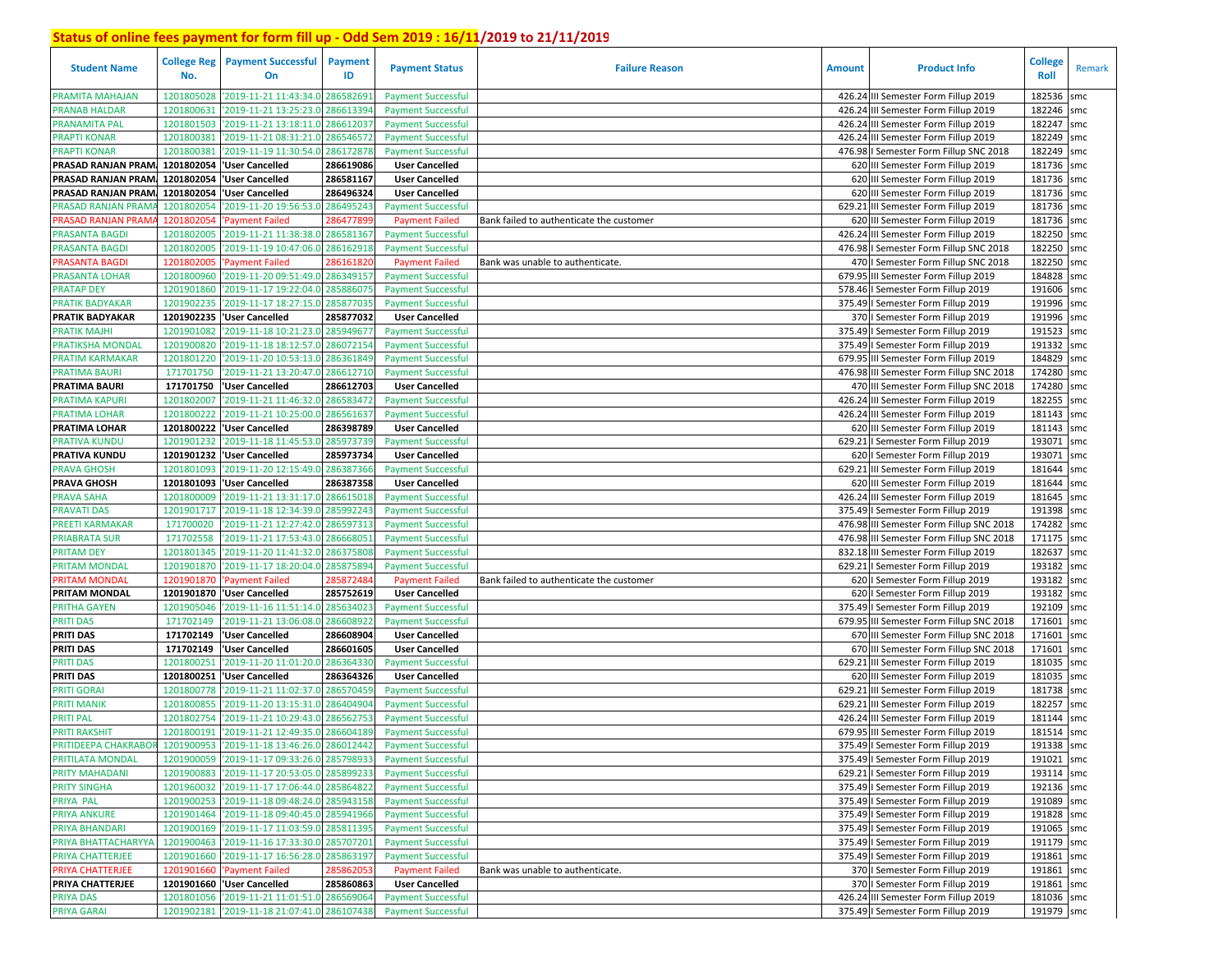| <b>Student Name</b>                                             | <b>College Reg</b><br>No. | <b>Payment Successful</b><br>On                                                          | Payment<br>ID         | <b>Payment Status</b>                                  | <b>Failure Reason</b>                    | <b>Amount</b> | <b>Product Info</b>                                                            | <b>College</b><br>Roll | Remark     |
|-----------------------------------------------------------------|---------------------------|------------------------------------------------------------------------------------------|-----------------------|--------------------------------------------------------|------------------------------------------|---------------|--------------------------------------------------------------------------------|------------------------|------------|
|                                                                 |                           |                                                                                          |                       |                                                        |                                          |               |                                                                                |                        |            |
| PRAMITA MAHAJAN                                                 | 1201805028                | '2019-11-21 11:43:34.0                                                                   | 28658269              | <b>Payment Successful</b>                              |                                          |               | 426.24 III Semester Form Fillup 2019                                           | 182536                 | smc        |
| <b>PRANAB HALDAR</b>                                            | 1201800631                | '2019-11-21 13:25:23.0                                                                   | 28661339              | <b>Payment Successful</b>                              |                                          |               | 426.24 III Semester Form Fillup 2019                                           | 182246                 | smc        |
| PRANAMITA PAL                                                   | 1201801503                | '2019-11-21 13:18:11.0                                                                   | 28661203              | <b>Payment Successful</b>                              |                                          | 426.24        | III Semester Form Fillup 2019                                                  | 182247                 | smc        |
| <b>PRAPTI KONAR</b>                                             | 1201800381                | '2019-11-21 08:31:21.0                                                                   | 286546572             | <b>Payment Successful</b>                              |                                          | 426.24        | III Semester Form Fillup 2019                                                  | 182249                 | smc        |
| <b>PRAPTI KONAR</b>                                             | 1201800381                | '2019-11-19 11:30:54.0                                                                   | 286172878             | <b>Payment Successful</b>                              |                                          |               | 476.98 I Semester Form Fillup SNC 2018                                         | 182249                 | smc        |
| PRASAD RANJAN PRAM.                                             | 1201802054                | 'User Cancelled                                                                          | 286619086             | <b>User Cancelled</b>                                  |                                          |               | 620 III Semester Form Fillup 2019                                              | 181736                 | smc        |
| PRASAD RANJAN PRAM.                                             | 1201802054                | 'User Cancelled                                                                          | 286581167             | <b>User Cancelled</b>                                  |                                          |               | 620 III Semester Form Fillup 2019                                              | 181736 smc             |            |
| PRASAD RANJAN PRAM                                              | 1201802054                | 'User Cancelled                                                                          | 286496324             | <b>User Cancelled</b>                                  |                                          |               | 620 III Semester Form Fillup 2019                                              | 181736                 | smc        |
| PRASAD RANJAN PRAM                                              | 1201802054                | '2019-11-20 19:56:53.                                                                    | 286495243             | <b>Payment Successful</b>                              |                                          |               | 629.21 III Semester Form Fillup 2019                                           | 181736                 | smc        |
| PRASAD RANJAN PRAM                                              | 1201802054                | 'Payment Failed                                                                          | 28647789              | <b>Payment Failed</b>                                  | Bank failed to authenticate the customer |               | 620 III Semester Form Fillup 2019                                              | 181736                 | smc        |
| PRASANTA BAGDI                                                  | 1201802005                | '2019-11-21 11:38:38.0                                                                   | 286581367             | <b>Payment Successful</b>                              |                                          | 426.24        | III Semester Form Fillup 2019                                                  | 182250                 | smc        |
| <b>PRASANTA BAGDI</b>                                           | 1201802005                | '2019-11-19 10:47:06.0                                                                   | 286162918             | <b>Payment Successful</b>                              |                                          |               | 476.98 I Semester Form Fillup SNC 2018                                         | 182250                 | smc        |
| PRASANTA BAGDI                                                  | 1201802005                | <b>Payment Failed</b>                                                                    | 28616182              | <b>Payment Failed</b>                                  | Bank was unable to authenticate.         |               | 470   Semester Form Fillup SNC 2018                                            | 182250                 | smc        |
| <b>PRASANTA LOHAR</b>                                           | 1201800960                | '2019-11-20 09:51:49.                                                                    | 28634915              | <b>Payment Successful</b>                              |                                          | 679.95        | III Semester Form Fillup 2019                                                  | 184828                 | smc        |
| <b>PRATAP DEY</b>                                               | 1201901860                | '2019-11-17 19:22:04.0                                                                   | 28588607              | <b>Payment Successful</b>                              |                                          |               | 578.46   Semester Form Fillup 2019                                             | 191606                 | smc        |
| <b>PRATIK BADYAKAR</b>                                          | 1201902235                | '2019-11-17 18:27:15.                                                                    | 28587703              | <b>Payment Successful</b>                              |                                          | 375.49        | I Semester Form Fillup 2019                                                    | 191996                 | smc        |
| <b>PRATIK BADYAKAR</b>                                          | 1201902235                | 'User Cancelled                                                                          | 285877032             | <b>User Cancelled</b>                                  |                                          |               | 370   Semester Form Fillup 2019                                                | 191996                 | smc        |
| <b>PRATIK MAJHI</b>                                             | 1201901082                | '2019-11-18 10:21:23.0                                                                   | 28594967              | <b>Payment Successful</b>                              |                                          |               | 375.49   Semester Form Fillup 2019                                             | 191523                 | smc        |
| PRATIKSHA MONDAI                                                | 1201900820                | '2019-11-18 18:12:57.0                                                                   | 28607215              | <b>Payment Successful</b>                              |                                          |               | 375.49   Semester Form Fillup 2019                                             | 191332                 | smc        |
| <b>PRATIM KARMAKAR</b>                                          | 1201801220                | '2019-11-20 10:53:13.0                                                                   | 28636184              | <b>Payment Successful</b>                              |                                          |               | 679.95 III Semester Form Fillup 2019                                           | 184829                 | smc        |
| <b>PRATIMA BAURI</b>                                            | 171701750                 | '2019-11-21 13:20:47.                                                                    | 286612710             | <b>Payment Successful</b>                              |                                          |               | 476.98 III Semester Form Fillup SNC 2018                                       | 174280                 | smc        |
| PRATIMA BAURI                                                   | 171701750                 | 'User Cancelled                                                                          | 286612703             | <b>User Cancelled</b>                                  |                                          |               | 470 III Semester Form Fillup SNC 2018                                          | 174280                 | smc        |
| PRATIMA KAPURI                                                  | 1201802007                | '2019-11-21 11:46:32.0                                                                   | 286583472             | <b>Payment Successful</b>                              |                                          | 426.24        | III Semester Form Fillup 2019                                                  | 182255                 | smc        |
| PRATIMA LOHAR                                                   | 1201800222                | '2019-11-21 10:25:00.0                                                                   | 286561637             | <b>Payment Successful</b>                              |                                          | 426.24        | III Semester Form Fillup 2019                                                  | 181143                 | smc        |
| PRATIMA LOHAR                                                   | 1201800222                | 'User Cancelled                                                                          | 286398789             | <b>User Cancelled</b>                                  |                                          |               | 620 III Semester Form Fillup 2019                                              | 181143                 | smc        |
| PRATIVA KUNDU                                                   | 1201901232                | '2019-11-18 11:45:53.0                                                                   | 285973739             | <b>Payment Successful</b>                              |                                          |               | 629.21   Semester Form Fillup 2019                                             | 193071                 | smc        |
| PRATIVA KUNDU                                                   | 1201901232                | 'User Cancelled                                                                          | 285973734             | <b>User Cancelled</b>                                  |                                          |               | 620   Semester Form Fillup 2019                                                | 193071                 | smc        |
| <b>PRAVA GHOSH</b>                                              | 1201801093                | '2019-11-20 12:15:49.0                                                                   | 286387366             | <b>Payment Successful</b>                              |                                          | 629.21        | III Semester Form Fillup 2019                                                  | 181644                 | smc        |
| <b>PRAVA GHOSH</b>                                              |                           | 1201801093  'User Cancelled                                                              | 286387358             | <b>User Cancelled</b>                                  |                                          |               | 620 III Semester Form Fillup 2019                                              | 181644                 | smc        |
| PRAVA SAHA                                                      | 1201800009                | '2019-11-21 13:31:17.0                                                                   | 286615018             | <b>Payment Successful</b>                              |                                          | 426.24        | III Semester Form Fillup 2019                                                  | 181645                 | smc        |
| <b>PRAVATI DAS</b>                                              | 1201901717                | '2019-11-18 12:34:39.0                                                                   | 285992243             | <b>Payment Successful</b>                              |                                          |               | 375.49   Semester Form Fillup 2019                                             | 191398                 | smc        |
| PREETI KARMAKAR                                                 | 171700020                 | '2019-11-21 12:27:42.0                                                                   | 286597313             | <b>Payment Successful</b>                              |                                          |               | 476.98 III Semester Form Fillup SNC 2018                                       | 174282                 | smc        |
| <b>PRIABRATA SUR</b>                                            | 171702558                 | '2019-11-21 17:53:43.0                                                                   | 28666805              | <b>Payment Successful</b>                              |                                          |               | 476.98 III Semester Form Fillup SNC 2018                                       | 171175                 | smc        |
| PRITAM DEY                                                      | 1201801345                | '2019-11-20 11:41:32.0                                                                   | 28637580              | <b>Payment Successful</b>                              |                                          |               | 832.18 III Semester Form Fillup 2019                                           | 182637                 | smc        |
| <b>PRITAM MONDAL</b>                                            | 1201901870                | '2019-11-17 18:20:04.0                                                                   | 28587589              | <b>Payment Successful</b>                              |                                          | 629.21        | I Semester Form Fillup 2019                                                    | 193182                 | smc        |
| <b>PRITAM MONDAI</b>                                            | 1201901870                | <b>Payment Failed</b>                                                                    | 28587248              | <b>Payment Failed</b>                                  | Bank failed to authenticate the customer |               | 620   Semester Form Fillup 2019                                                | 193182                 | smc        |
| PRITAM MONDAL                                                   | 1201901870                | 'User Cancelled                                                                          | 285752619             | <b>User Cancelled</b>                                  |                                          |               | 620   Semester Form Fillup 2019                                                | 193182                 | smc        |
| PRITHA GAYEN                                                    | 1201905046                | '2019-11-16 11:51:14.0                                                                   | 285634023             | <b>Payment Successful</b>                              |                                          |               | 375.49   Semester Form Fillup 2019                                             | 192109                 | smc        |
| <b>PRITI DAS</b><br>PRITI DAS                                   | 171702149                 | '2019-11-21 13:06:08.0                                                                   | 28660892<br>286608904 | <b>Payment Successful</b>                              |                                          |               | 679.95 III Semester Form Fillup SNC 2018                                       | 171601<br>171601       | smc        |
| <b>PRITI DAS</b>                                                | 171702149<br>171702149    | 'User Cancelled<br>'User Cancelled                                                       | 286601605             | <b>User Cancelled</b><br><b>User Cancelled</b>         |                                          |               | 670 III Semester Form Fillup SNC 2018<br>670 III Semester Form Fillup SNC 2018 | 171601                 | smc<br>smc |
|                                                                 | 1201800251                |                                                                                          | 28636433              | <b>Payment Successful</b>                              |                                          | 629.21        | III Semester Form Fillup 2019                                                  | 181035                 |            |
| PRITI DAS<br><b>PRITI DAS</b>                                   |                           | '2019-11-20 11:01:20.0<br>1201800251 User Cancelled                                      | 286364326             | <b>User Cancelled</b>                                  |                                          |               | 620 III Semester Form Fillup 2019                                              | 181035                 | smc<br>smc |
| <b>PRITI GORAI</b>                                              | 1201800778                | '2019-11-21 11:02:37.0                                                                   | 286570459             | <b>Payment Successful</b>                              |                                          |               | 629.21 III Semester Form Fillup 2019                                           | 181738                 | smc        |
| <b>PRITI MANIK</b>                                              | 1201800855                | '2019-11-20 13:15:31.0                                                                   | 28640490              | <b>Payment Successful</b>                              |                                          | 629.21        | III Semester Form Fillup 2019                                                  | 182257                 | smc        |
| <b>PRITI PAL</b>                                                | 1201802754                | '2019-11-21 10:29:43.0                                                                   | 28656275              | <b>Payment Successful</b>                              |                                          | 426.24        | III Semester Form Fillup 2019                                                  | 181144                 | smc        |
| <b>PRITI RAKSHIT</b>                                            |                           | 1201800191 2019-11-21 12:49:35.0 286604189                                               |                       | <b>Payment Successful</b>                              |                                          |               | 679.95 III Semester Form Fillup 2019                                           | 181514                 | smc        |
| PRITIDEEPA CHAKRABOR 1201900953 2019-11-18 13:46:26.0 286012442 |                           |                                                                                          |                       | <b>Payment Successful</b>                              |                                          |               | 375.49   Semester Form Fillup 2019                                             | 191338 smc             |            |
| PRITILATA MONDAL                                                |                           | 1201900059 2019-11-17 09:33:26.0 285798933                                               |                       | <b>Payment Successful</b>                              |                                          |               | 375.49   Semester Form Fillup 2019                                             | 191021 smc             |            |
| <b>PRITY MAHADANI</b>                                           |                           | 1201900883 2019-11-17 20:53:05.0 285899233                                               |                       | <b>Payment Successful</b>                              |                                          |               | 629.21   Semester Form Fillup 2019                                             | 193114 smc             |            |
| <b>PRITY SINGHA</b>                                             |                           | 1201960032 2019-11-17 17:06:44.0 285864822                                               |                       | <b>Payment Successful</b>                              |                                          |               | 375.49   Semester Form Fillup 2019                                             | 192136 smc             |            |
|                                                                 |                           |                                                                                          |                       |                                                        |                                          |               |                                                                                | 191089 smc             |            |
| PRIYA PAL<br>PRIYA ANKURE                                       |                           | 1201900253 2019-11-18 09:48:24.0 285943158<br>1201901464 2019-11-18 09:40:45.0 285941966 |                       | <b>Payment Successful</b><br><b>Payment Successful</b> |                                          |               | 375.49   Semester Form Fillup 2019<br>375.49   Semester Form Fillup 2019       | 191828 smc             |            |
| PRIYA BHANDARI                                                  |                           | 1201900169 2019-11-17 11:03:59.0 285811395                                               |                       | <b>Payment Successful</b>                              |                                          |               | 375.49   Semester Form Fillup 2019                                             | 191065 smc             |            |
| PRIYA BHATTACHARYYA                                             |                           | 1201900463 '2019-11-16 17:33:30.0 285707201                                              |                       | <b>Payment Successful</b>                              |                                          |               | 375.49   Semester Form Fillup 2019                                             | 191179 smc             |            |
| PRIYA CHATTERJEE                                                |                           | 1201901660 2019-11-17 16:56:28.0 285863197                                               |                       | <b>Payment Successful</b>                              |                                          |               | 375.49   Semester Form Fillup 2019                                             | 191861 smc             |            |
| PRIYA CHATTERJEE                                                |                           | 1201901660 'Payment Failed                                                               | 285862053             | <b>Payment Failed</b>                                  | Bank was unable to authenticate.         |               | 370   Semester Form Fillup 2019                                                | 191861 smc             |            |
| PRIYA CHATTERJEE                                                |                           | 1201901660 'User Cancelled                                                               | 285860863             | <b>User Cancelled</b>                                  |                                          |               | 370   Semester Form Fillup 2019                                                | 191861 smc             |            |
| PRIYA DAS                                                       |                           | 1201801056 2019-11-21 11:01:51.0 286569064                                               |                       | <b>Payment Successful</b>                              |                                          |               | 426.24 III Semester Form Fillup 2019                                           | 181036 smc             |            |
| PRIYA GARAI                                                     |                           | 1201902181 2019-11-18 21:07:41.0 286107438                                               |                       | <b>Payment Successful</b>                              |                                          |               | 375.49   Semester Form Fillup 2019                                             | 191979 smc             |            |
|                                                                 |                           |                                                                                          |                       |                                                        |                                          |               |                                                                                |                        |            |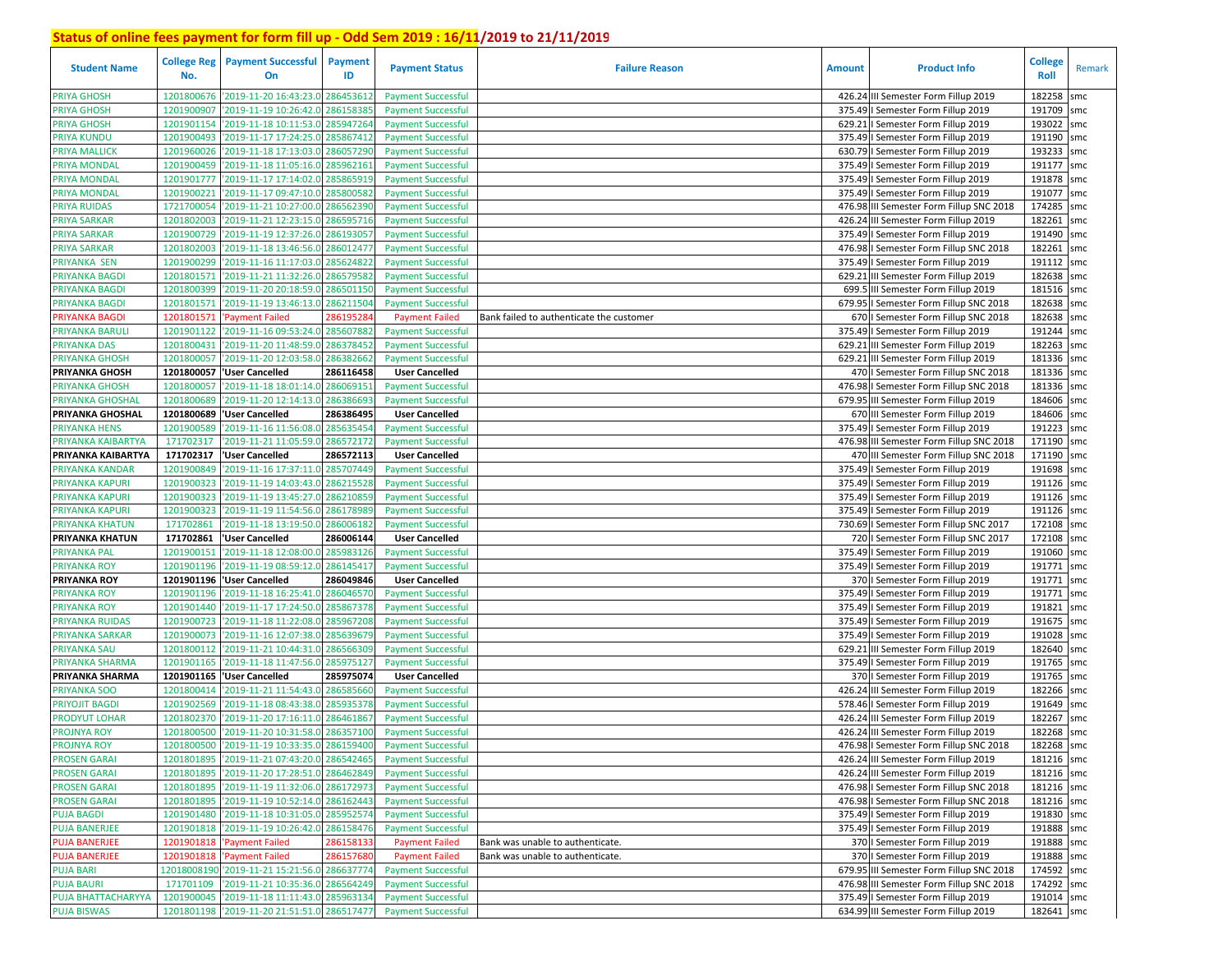| <b>Student Name</b>                | <b>College Reg</b><br>No. | <b>Payment Successful</b><br>On                  | <b>Payment</b><br>ID  | <b>Payment Status</b>                                  | <b>Failure Reason</b>                    | <b>Amount</b> | <b>Product Info</b>                                                      | <b>College</b><br>Roll   | Remark |
|------------------------------------|---------------------------|--------------------------------------------------|-----------------------|--------------------------------------------------------|------------------------------------------|---------------|--------------------------------------------------------------------------|--------------------------|--------|
| <b>PRIYA GHOSH</b>                 | 1201800676                | '2019-11-20 16:43:23.0                           | 286453612             | <b>Payment Successful</b>                              |                                          |               | 426.24 III Semester Form Fillup 2019                                     | 182258                   | smc    |
| <b>PRIYA GHOSH</b>                 | 1201900907                | '2019-11-19 10:26:42.0                           | 28615838              | <b>Payment Successful</b>                              |                                          |               | 375.49   Semester Form Fillup 2019                                       | 191709 smc               |        |
| <b>PRIYA GHOSH</b>                 | 1201901154                | '2019-11-18 10:11:53.0                           | 285947264             | <b>Payment Successful</b>                              |                                          |               | 629.21   Semester Form Fillup 2019                                       | 193022                   | smc    |
| PRIYA KUNDU                        | 1201900493                | '2019-11-17 17:24:25.0                           | 285867412             | <b>Payment Successful</b>                              |                                          |               | 375.49   Semester Form Fillup 2019                                       | 191190                   | smc    |
| PRIYA MALLICK                      | 1201960026                | '2019-11-18 17:13:03.0                           | 286057290             | <b>Payment Successful</b>                              |                                          |               | 630.79   Semester Form Fillup 2019                                       | 193233                   | smc    |
| PRIYA MONDAL                       | 1201900459                | '2019-11-18 11:05:16.0                           | 28596216              | <b>Payment Successful</b>                              |                                          |               | 375.49   Semester Form Fillup 2019                                       | 191177                   | smc    |
| PRIYA MONDAL                       | 1201901777                | '2019-11-17 17:14:02.0                           | 285865919             | <b>Payment Successful</b>                              |                                          |               | 375.49   Semester Form Fillup 2019                                       | 191878 smc               |        |
| PRIYA MONDAL                       | 1201900221                | '2019-11-17 09:47:10.0                           | 285800582             | <b>Payment Successful</b>                              |                                          |               | 375.49   Semester Form Fillup 2019                                       | 191077                   | smc    |
| PRIYA RUIDAS                       | 1721700054                | '2019-11-21 10:27:00.0                           | 286562390             | <b>Payment Successful</b>                              |                                          |               | 476.98 III Semester Form Fillup SNC 2018                                 | 174285 smc               |        |
| <b>PRIYA SARKAR</b>                | 1201802003                | '2019-11-21 12:23:15.0                           | 286595716             | <b>Payment Successful</b>                              |                                          |               | 426.24 III Semester Form Fillup 2019                                     | 182261                   | smc    |
| <b>PRIYA SARKAR</b>                | 1201900729                | '2019-11-19 12:37:26.0                           | 28619305              | <b>Payment Successful</b>                              |                                          |               | 375.49   Semester Form Fillup 2019                                       | 191490 smc               |        |
| <b>PRIYA SARKAR</b>                | 1201802003                | '2019-11-18 13:46:56.0                           | 286012477             | <b>Payment Successful</b>                              |                                          |               | 476.98   Semester Form Fillup SNC 2018                                   | 182261                   | smc    |
| PRIYANKA SEN                       | 1201900299                | '2019-11-16 11:17:03.0                           | 285624822             | <b>Payment Successful</b>                              |                                          |               | 375.49   Semester Form Fillup 2019                                       | 191112 smc               |        |
| PRIYANKA BAGDI                     | 1201801571                | '2019-11-21 11:32:26.0                           | 286579582             | <b>Payment Successful</b>                              |                                          |               | 629.21 III Semester Form Fillup 2019                                     | 182638 smc               |        |
| PRIYANKA BAGDI                     | 1201800399                | '2019-11-20 20:18:59.0                           | 286501150             | <b>Payment Successful</b>                              |                                          |               | 699.5 III Semester Form Fillup 2019                                      | 181516 smc               |        |
| PRIYANKA BAGDI                     | 1201801571                | '2019-11-19 13:46:13.0                           | 28621150              | <b>Payment Successful</b>                              |                                          | 679.95        | I Semester Form Fillup SNC 2018                                          | 182638 smc               |        |
| <b>PRIYANKA BAGDI</b>              | 1201801571                | <b>Payment Failed</b>                            | 28619528              | <b>Payment Failed</b>                                  | Bank failed to authenticate the customer |               | 670   Semester Form Fillup SNC 2018                                      | 182638 smc               |        |
| PRIYANKA BARULI                    | 1201901122                | '2019-11-16 09:53:24.                            | 28560788              | <b>Payment Successful</b>                              |                                          | 375.49        | I Semester Form Fillup 2019                                              | 191244 smc               |        |
| <b>PRIYANKA DAS</b>                | 1201800431                | '2019-11-20 11:48:59.                            | 28637845              | <b>Payment Successful</b>                              |                                          |               | 629.21 III Semester Form Fillup 2019                                     | 182263 smc               |        |
| <b>PRIYANKA GHOSH</b>              | 1201800057                | '2019-11-20 12:03:58.                            | 28638266              | <b>Payment Successful</b>                              |                                          |               | 629.21 III Semester Form Fillup 2019                                     | 181336 smc               |        |
| PRIYANKA GHOSH                     |                           | 1201800057 User Cancelled                        | 286116458             | <b>User Cancelled</b>                                  |                                          |               | 470   Semester Form Fillup SNC 2018                                      | 181336 smc               |        |
| <b>PRIYANKA GHOSH</b>              | 1201800057                | '2019-11-18 18:01:14.0                           | 286069151             | <b>Payment Successful</b>                              |                                          |               | 476.98   Semester Form Fillup SNC 2018                                   | 181336 smc               |        |
| PRIYANKA GHOSHAI                   | 1201800689                | '2019-11-20 12:14:13.0                           | 286386693             | <b>Payment Successful</b>                              |                                          |               | 679.95 III Semester Form Fillup 2019                                     | 184606 smc               |        |
| PRIYANKA GHOSHAL                   | 1201800689                | 'User Cancelled                                  | 286386495             | <b>User Cancelled</b>                                  |                                          |               | 670 III Semester Form Fillup 2019                                        | 184606                   | smc    |
| PRIYANKA HENS                      | 1201900589                | '2019-11-16 11:56:08.0                           | 285635454             | <b>Payment Successful</b>                              |                                          |               | 375.49   Semester Form Fillup 2019                                       | 191223 smc               |        |
| PRIYANKA KAIBARTYA                 | 171702317                 | '2019-11-21 11:05:59.0                           | 286572172             | <b>Payment Successful</b>                              |                                          |               | 476.98 III Semester Form Fillup SNC 2018                                 | 171190 smc               |        |
| PRIYANKA KAIBARTYA                 | 171702317                 | 'User Cancelled                                  | 286572113             | <b>User Cancelled</b>                                  |                                          |               | 470 III Semester Form Fillup SNC 2018                                    | 171190 smc               |        |
| PRIYANKA KANDAR                    | 1201900849                | '2019-11-16 17:37:11.0<br>'2019-11-19 14:03:43.0 | 285707449             | <b>Payment Successful</b><br><b>Payment Successful</b> |                                          |               | 375.49   Semester Form Fillup 2019                                       | 191698 smc<br>191126 smc |        |
| PRIYANKA KAPURI                    | 1201900323<br>1201900323  | '2019-11-19 13:45:27.                            | 286215528<br>28621085 | <b>Payment Successful</b>                              |                                          |               | 375.49   Semester Form Fillup 2019<br>375.49   Semester Form Fillup 2019 | 191126 smc               |        |
| PRIYANKA KAPURI<br>PRIYANKA KAPURI | 1201900323                | '2019-11-19 11:54:56.0                           | 28617898              | <b>Payment Successful</b>                              |                                          |               | 375.49   Semester Form Fillup 2019                                       | 191126 smc               |        |
| PRIYANKA KHATUN                    | 171702861                 | '2019-11-18 13:19:50.0                           | 286006182             | <b>Payment Successful</b>                              |                                          |               | 730.69   Semester Form Fillup SNC 2017                                   | 172108                   | smc    |
| PRIYANKA KHATUN                    | 171702861                 | 'User Cancelled                                  | 286006144             | <b>User Cancelled</b>                                  |                                          |               | 720   Semester Form Fillup SNC 2017                                      | 172108 smc               |        |
| PRIYANKA PAL                       | 1201900151                | '2019-11-18 12:08:00.0                           | 285983126             | <b>Payment Successful</b>                              |                                          |               | 375.49   Semester Form Fillup 2019                                       | 191060 smc               |        |
| PRIYANKA ROY                       |                           | 1201901196 2019-11-19 08:59:12.0                 | 286145417             | <b>Payment Successful</b>                              |                                          |               | 375.49   Semester Form Fillup 2019                                       | 191771 smc               |        |
| <b>PRIYANKA ROY</b>                |                           | 1201901196 'User Cancelled                       | 286049846             | <b>User Cancelled</b>                                  |                                          |               | 370   Semester Form Fillup 2019                                          | 191771 smc               |        |
| PRIYANKA ROY                       | 1201901196                | '2019-11-18 16:25:41.0                           | 286046570             | <b>Payment Successful</b>                              |                                          |               | 375.49   Semester Form Fillup 2019                                       | 191771                   | smc    |
| <b>PRIYANKA ROY</b>                | 1201901440                | '2019-11-17 17:24:50.0                           | 285867378             | <b>Payment Successful</b>                              |                                          |               | 375.49   Semester Form Fillup 2019                                       | 191821                   | smc    |
| PRIYANKA RUIDAS                    | 1201900723                | '2019-11-18 11:22:08.0                           | 285967208             | <b>Payment Successful</b>                              |                                          |               | 375.49   Semester Form Fillup 2019                                       | 191675 smc               |        |
| PRIYANKA SARKAR                    | 1201900073                | '2019-11-16 12:07:38.                            | 285639679             | <b>Payment Successful</b>                              |                                          |               | 375.49   Semester Form Fillup 2019                                       | 191028 smc               |        |
| <b>PRIYANKA SAU</b>                | 1201800112                | '2019-11-21 10:44:31.0                           | 286566309             | <b>Payment Successful</b>                              |                                          |               | 629.21 III Semester Form Fillup 2019                                     | 182640 smc               |        |
| PRIYANKA SHARMA                    | 1201901165                | '2019-11-18 11:47:56.0                           | 285975127             | <b>Payment Successful</b>                              |                                          |               | 375.49   Semester Form Fillup 2019                                       | 191765 smc               |        |
| PRIYANKA SHARMA                    | 1201901165                | 'User Cancelled                                  | 285975074             | <b>User Cancelled</b>                                  |                                          |               | 370   Semester Form Fillup 2019                                          | 191765                   | smc    |
| PRIYANKA SOO                       | 1201800414                | '2019-11-21 11:54:43.                            | 28658566              | <b>Payment Successful</b>                              |                                          |               | 426.24 III Semester Form Fillup 2019                                     | 182266 smc               |        |
| <b>PRIYOJIT BAGDI</b>              | 1201902569                | '2019-11-18 08:43:38.                            | 285935378             | <b>Payment Successful</b>                              |                                          |               | 578.46   Semester Form Fillup 2019                                       | 191649                   | smc    |
| <b>PRODYUT LOHAR</b>               | 1201802370                | '2019-11-20 17:16:11.                            | 286461867             | <b>Payment Successful</b>                              |                                          |               | 426.24 III Semester Form Fillup 2019                                     | 182267                   | smc    |
| <b>PROJNYA ROY</b>                 | 1201800500                | '2019-11-20 10:31:58.0 286357100                 |                       | <b>Payment Successful</b>                              |                                          |               | 426.24 III Semester Form Fillup 2019                                     | 182268                   | smc    |
| PROJNYA ROY                        |                           | 1201800500 2019-11-19 10:33:35.0 286159400       |                       | <b>Payment Successful</b>                              |                                          |               | 476.98   Semester Form Fillup SNC 2018                                   | 182268 smc               |        |
| <b>PROSEN GARAI</b>                |                           | 1201801895 2019-11-21 07:43:20.0 286542465       |                       | <b>Payment Successful</b>                              |                                          |               | 426.24 III Semester Form Fillup 2019                                     | 181216 smc               |        |
| <b>PROSEN GARAI</b>                |                           | 1201801895 2019-11-20 17:28:51.0 286462849       |                       | <b>Payment Successful</b>                              |                                          |               | 426.24 III Semester Form Fillup 2019                                     | 181216 smc               |        |
| <b>PROSEN GARAI</b>                |                           | 1201801895 2019-11-19 11:32:06.0 286172973       |                       | <b>Payment Successful</b>                              |                                          |               | 476.98   Semester Form Fillup SNC 2018                                   | 181216 smc               |        |
| <b>PROSEN GARAI</b>                |                           | 1201801895 2019-11-19 10:52:14.0 286162443       |                       | <b>Payment Successful</b>                              |                                          |               | 476.98   Semester Form Fillup SNC 2018                                   | 181216 smc               |        |
| <b>PUJA BAGDI</b>                  |                           | 1201901480 '2019-11-18 10:31:05.0 285952574      |                       | <b>Payment Successful</b>                              |                                          |               | 375.49   Semester Form Fillup 2019                                       | 191830 smc               |        |
| <b>PUJA BANERJEE</b>               |                           | 1201901818 2019-11-19 10:26:42.0                 | 286158476             | <b>Payment Successful</b>                              |                                          |               | 375.49   Semester Form Fillup 2019                                       | 191888 smc               |        |
| <b>PUJA BANERJEE</b>               |                           | 1201901818 'Payment Failed                       | 286158133             | <b>Payment Failed</b>                                  | Bank was unable to authenticate.         |               | 370   Semester Form Fillup 2019                                          | 191888 smc               |        |
| <b>PUJA BANERJEE</b>               |                           | 1201901818 'Payment Failed                       | 286157680             | <b>Payment Failed</b>                                  | Bank was unable to authenticate.         |               | 370   Semester Form Fillup 2019                                          | 191888 smc               |        |
| <b>PUJA BARI</b>                   |                           | 12018008190 '2019-11-21 15:21:56.0 286637774     |                       | <b>Payment Successful</b>                              |                                          |               | 679.95 III Semester Form Fillup SNC 2018                                 | 174592 smc               |        |
| <b>PUJA BAURI</b>                  |                           | 171701109 2019-11-21 10:35:36.0 286564249        |                       | <b>Payment Successful</b>                              |                                          |               | 476.98 III Semester Form Fillup SNC 2018                                 | 174292 smc               |        |
| PUJA BHATTACHARYYA                 |                           | 1201900045 2019-11-18 11:11:43.0 285963134       |                       | <b>Payment Successful</b>                              |                                          |               | 375.49   Semester Form Fillup 2019                                       | 191014 smc               |        |
| <b>PUJA BISWAS</b>                 |                           | 1201801198 '2019-11-20 21:51:51.0 286517477      |                       | <b>Payment Successful</b>                              |                                          |               | 634.99 III Semester Form Fillup 2019                                     | 182641 smc               |        |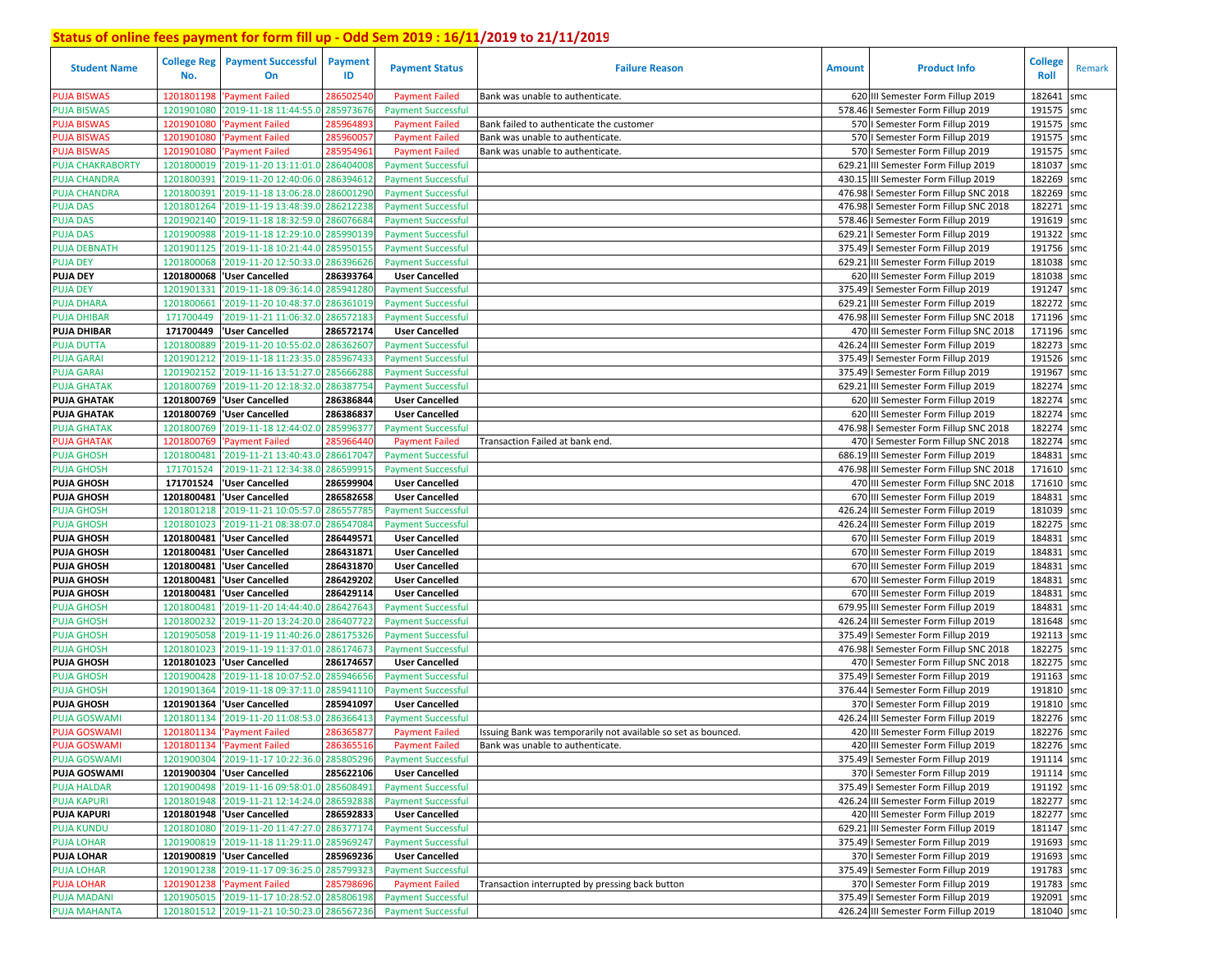| <b>Student Name</b>                      | <b>College Reg</b><br>No. | <b>Payment Successful</b><br>On                                                          | <b>Payment</b><br>ID   | <b>Payment Status</b>                                  | <b>Failure Reason</b>                                         | <b>Amount</b> | <b>Product Info</b>                                                        | <b>College</b><br>Roll   | Remark |
|------------------------------------------|---------------------------|------------------------------------------------------------------------------------------|------------------------|--------------------------------------------------------|---------------------------------------------------------------|---------------|----------------------------------------------------------------------------|--------------------------|--------|
| <b>PUJA BISWAS</b>                       | 1201801198                | 'Payment Failed                                                                          | 286502540              | <b>Payment Failed</b>                                  | Bank was unable to authenticate.                              |               | 620 III Semester Form Fillup 2019                                          | 182641                   | smc    |
| <b>PUJA BISWAS</b>                       | 1201901080                | '2019-11-18 11:44:55.0                                                                   | 285973676              | <b>Payment Successful</b>                              |                                                               |               | 578.46   Semester Form Fillup 2019                                         | 191575 smc               |        |
| <b>PUJA BISWAS</b>                       | 1201901080                | 'Payment Failed                                                                          | 28596489               | <b>Payment Failed</b>                                  | Bank failed to authenticate the customer                      |               | 570   Semester Form Fillup 2019                                            | 191575 smc               |        |
| <b>PUJA BISWAS</b>                       | 1201901080                | 'Payment Failed                                                                          | 28596005               | <b>Payment Failed</b>                                  | Bank was unable to authenticate.                              |               | 570   Semester Form Fillup 2019                                            | 191575 smc               |        |
| <b>PUJA BISWAS</b>                       | 1201901080                | 'Payment Failed                                                                          | 28595496:              | <b>Payment Failed</b>                                  | Bank was unable to authenticate.                              |               | 570   Semester Form Fillup 2019                                            | 191575 smc               |        |
| <b>PUJA CHAKRABORTY</b>                  | 1201800019                | '2019-11-20 13:11:01.0 286404008                                                         |                        | <b>Payment Successful</b>                              |                                                               | 629.21        | III Semester Form Fillup 2019                                              | 181037                   | smc    |
| <b>PUJA CHANDRA</b>                      | 1201800391                | '2019-11-20 12:40:06.0                                                                   | 286394612              | <b>Payment Successful</b>                              |                                                               |               | 430.15 III Semester Form Fillup 2019                                       | 182269 smc               |        |
| <b>PUJA CHANDRA</b>                      | 1201800391                | '2019-11-18 13:06:28.0                                                                   | 286001290              | <b>Payment Successful</b>                              |                                                               |               | 476.98   Semester Form Fillup SNC 2018                                     | 182269 smc               |        |
| <b>PUJA DAS</b>                          | 1201801264                | '2019-11-19 13:48:39.0                                                                   | 286212238              | <b>Payment Successful</b>                              |                                                               |               | 476.98   Semester Form Fillup SNC 2018                                     | 182271 smc               |        |
| <b>PUJA DAS</b>                          | 1201902140                | '2019-11-18 18:32:59.0                                                                   | 286076684              | <b>Payment Successful</b>                              |                                                               |               | 578.46   Semester Form Fillup 2019                                         | 191619 smc               |        |
| <b>PUJA DAS</b>                          | 1201900988                | '2019-11-18 12:29:10.0                                                                   | 285990139              | <b>Payment Successful</b>                              |                                                               | 629.21        | I Semester Form Fillup 2019                                                | 191322 smc               |        |
| <b>PUJA DEBNATH</b>                      | 1201901125                | '2019-11-18 10:21:44.0 285950155                                                         |                        | <b>Payment Successful</b>                              |                                                               |               | 375.49   Semester Form Fillup 2019                                         | 191756 smc               |        |
| <b>PUJA DEY</b>                          | 1201800068                | '2019-11-20 12:50:33.0                                                                   | 286396626              | <b>Payment Successful</b>                              |                                                               |               | 629.21 III Semester Form Fillup 2019                                       | 181038 smc               |        |
| <b>PUJA DEY</b>                          | 1201800068                | <b>User Cancelled</b>                                                                    | 286393764              | <b>User Cancelled</b>                                  |                                                               |               | 620 III Semester Form Fillup 2019                                          | 181038 smc               |        |
| <b>PUJA DEY</b>                          | 1201901331                | '2019-11-18 09:36:14.0 285941280                                                         |                        | <b>Payment Successful</b>                              |                                                               |               | 375.49   Semester Form Fillup 2019                                         | 191247 smc               |        |
| <b>PUJA DHARA</b>                        | 1201800661                | '2019-11-20 10:48:37.0                                                                   | 286361019              | <b>Payment Successful</b>                              |                                                               | 629.21        | III Semester Form Fillup 2019                                              | 182272 smc               |        |
| <b>PUJA DHIBAR</b>                       | 171700449                 | '2019-11-21 11:06:32.0                                                                   | 286572183              | <b>Payment Successful</b>                              |                                                               |               | 476.98 III Semester Form Fillup SNC 2018                                   | 171196 smc               |        |
| <b>PUJA DHIBAR</b>                       | 171700449                 | 'User Cancelled                                                                          | 286572174              | <b>User Cancelled</b>                                  |                                                               |               | 470 III Semester Form Fillup SNC 2018                                      | 171196 smc               |        |
| <b>PUJA DUTTA</b>                        | 1201800889                | '2019-11-20 10:55:02.0 28636260                                                          |                        | <b>Payment Successful</b>                              |                                                               |               | 426.24 III Semester Form Fillup 2019                                       | 182273 smc               |        |
| <b>PUJA GARAI</b>                        | 1201901212                | '2019-11-18 11:23:35.0                                                                   | 28596743               | <b>Payment Successful</b>                              |                                                               |               | 375.49   Semester Form Fillup 2019                                         | 191526 smc               |        |
| <b>PUJA GARAI</b>                        | 1201902152                | '2019-11-16 13:51:27.0                                                                   | 28566628               | <b>Payment Successful</b>                              |                                                               |               | 375.49   Semester Form Fillup 2019                                         | 191967 smc               |        |
| <b>PUJA GHATAK</b>                       | 1201800769                | '2019-11-20 12:18:32.0                                                                   | 28638775               | <b>Payment Successful</b>                              |                                                               |               | 629.21 III Semester Form Fillup 2019                                       | 182274 smc               |        |
| <b>PUJA GHATAK</b>                       |                           | 1201800769  'User Cancelled                                                              | 286386844              | <b>User Cancelled</b>                                  |                                                               |               | 620 III Semester Form Fillup 2019                                          | 182274 smc               |        |
| <b>PUJA GHATAK</b>                       | 1201800769                | <b>User Cancelled</b>                                                                    | 286386837              | <b>User Cancelled</b>                                  |                                                               |               | 620 III Semester Form Fillup 2019                                          | 182274                   | smc    |
| <b>PUJA GHATAK</b>                       | 1201800769                | '2019-11-18 12:44:02.0                                                                   | 285996377              | <b>Payment Successful</b>                              |                                                               |               | 476.98   Semester Form Fillup SNC 2018                                     | 182274 smc               |        |
| <b>PUJA GHATAK</b>                       | 1201800769                | 'Payment Failed                                                                          | 285966440              | <b>Payment Failed</b>                                  | Transaction Failed at bank end.                               |               | 470   Semester Form Fillup SNC 2018                                        | 182274                   | smc    |
| <b>PUJA GHOSH</b>                        | 1201800481                | '2019-11-21 13:40:43.0                                                                   | 286617047              | <b>Payment Successful</b>                              |                                                               |               | 686.19 III Semester Form Fillup 2019                                       | 184831                   | smc    |
| <b>PUJA GHOSH</b>                        | 171701524                 | '2019-11-21 12:34:38.0                                                                   | 286599915              | <b>Payment Successful</b>                              |                                                               |               | 476.98 III Semester Form Fillup SNC 2018                                   | 171610 smc               |        |
| <b>PUJA GHOSH</b>                        | 171701524                 | <b>User Cancelled</b>                                                                    | 286599904              | <b>User Cancelled</b>                                  |                                                               |               | 470 III Semester Form Fillup SNC 2018                                      | 171610 smc               |        |
| <b>PUJA GHOSH</b>                        |                           | 1201800481 User Cancelled                                                                | 286582658              | <b>User Cancelled</b>                                  |                                                               |               | 670 III Semester Form Fillup 2019                                          | 184831                   | smc    |
| <b>PUJA GHOSH</b>                        | 1201801218                | '2019-11-21 10:05:57.0 286557785                                                         |                        | <b>Payment Successful</b>                              |                                                               |               | 426.24 III Semester Form Fillup 2019                                       | 181039                   | smc    |
| <b>PUJA GHOSH</b>                        | 1201801023                | '2019-11-21 08:38:07.0                                                                   | 286547084              | <b>Payment Successful</b>                              |                                                               |               | 426.24 III Semester Form Fillup 2019                                       | 182275                   | smc    |
| <b>PUJA GHOSH</b>                        |                           | 1201800481 User Cancelled                                                                | 286449571              | <b>User Cancelled</b>                                  |                                                               |               | 670 III Semester Form Fillup 2019                                          | 184831                   | smc    |
| <b>PUJA GHOSH</b>                        |                           | 1201800481 User Cancelled                                                                | 286431871              | <b>User Cancelled</b>                                  |                                                               |               | 670 III Semester Form Fillup 2019                                          | 184831                   | smc    |
| <b>PUJA GHOSH</b>                        |                           | 1201800481 User Cancelled                                                                | 286431870              | <b>User Cancelled</b>                                  |                                                               |               | 670 III Semester Form Fillup 2019                                          | 184831                   | smc    |
| <b>PUJA GHOSH</b>                        |                           | 1201800481 User Cancelled                                                                | 286429202              | <b>User Cancelled</b>                                  |                                                               |               | 670 III Semester Form Fillup 2019                                          | 184831                   | smc    |
| <b>PUJA GHOSH</b>                        |                           | 1201800481 'User Cancelled                                                               | 286429114              | <b>User Cancelled</b>                                  |                                                               |               | 670 III Semester Form Fillup 2019                                          | 184831                   | smc    |
| <b>PUJA GHOSH</b>                        | 1201800481                | '2019-11-20 14:44:40.0                                                                   | 286427643              | <b>Payment Successful</b>                              |                                                               |               | 679.95 III Semester Form Fillup 2019                                       | 184831 smc               |        |
| <b>PUJA GHOSH</b>                        | 1201800232                | '2019-11-20 13:24:20.0                                                                   | 286407722              | <b>Payment Successful</b>                              |                                                               |               | 426.24 III Semester Form Fillup 2019                                       | 181648 smc               |        |
| <b>PUJA GHOSH</b>                        | 1201905058                | '2019-11-19 11:40:26.0 286175326                                                         |                        | <b>Payment Successful</b>                              |                                                               |               | 375.49   Semester Form Fillup 2019                                         | 192113 smc               |        |
| <b>PUJA GHOSH</b>                        | 1201801023                | '2019-11-19 11:37:01.0                                                                   | 286174673<br>286174657 | <b>Payment Successful</b>                              |                                                               |               | 476.98   Semester Form Fillup SNC 2018                                     | 182275 smc               |        |
| <b>PUJA GHOSH</b>                        | 1201801023                | <b>User Cancelled</b>                                                                    |                        | <b>User Cancelled</b>                                  |                                                               | 470           | I Semester Form Fillup SNC 2018                                            | 182275 smc<br>191163 smc |        |
| <b>PUJA GHOSH</b>                        | 1201900428<br>1201901364  | '2019-11-18 10:07:52.0 285946656<br>'2019-11-18 09:37:11.0 28594111(                     |                        | <b>Payment Successful</b>                              |                                                               | 375.49        | I Semester Form Fillup 2019<br>376.44   Semester Form Fillup 2019          | 191810 smc               |        |
| <b>PUJA GHOSH</b>                        | 1201901364                | <b>User Cancelled</b>                                                                    | 285941097              | <b>Payment Successful</b>                              |                                                               |               | 370   Semester Form Fillup 2019                                            | 191810 smc               |        |
| <b>PUJA GHOSH</b><br><b>PUJA GOSWAMI</b> | 1201801134                | '2019-11-20 11:08:53.0 286366413                                                         |                        | <b>User Cancelled</b><br><b>Payment Successful</b>     |                                                               |               | 426.24 III Semester Form Fillup 2019                                       | 182276 smc               |        |
| <b>PUJA GOSWAMI</b>                      | 1201801134                | 'Payment Failed                                                                          | 28636587               | <b>Payment Failed</b>                                  | Issuing Bank was temporarily not available so set as bounced. |               | 420 III Semester Form Fillup 2019                                          | 182276 smc               |        |
| <b>PUJA GOSWAMI</b>                      |                           |                                                                                          |                        |                                                        |                                                               |               | 420 III Semester Form Fillup 2019                                          | 182276 smc               |        |
| <b>PUJA GOSWAMI</b>                      |                           | 1201801134 'Payment Failed<br>1201900304 2019-11-17 10:22:36.0 285805296                 | 286365516              | <b>Payment Failed</b><br><b>Payment Successful</b>     | Bank was unable to authenticate.                              |               | 375.49   Semester Form Fillup 2019                                         | 191114 smc               |        |
| <b>PUJA GOSWAMI</b>                      |                           | 1201900304 User Cancelled                                                                | 285622106              | <b>User Cancelled</b>                                  |                                                               |               | 370   Semester Form Fillup 2019                                            | 191114 smc               |        |
|                                          |                           |                                                                                          |                        |                                                        |                                                               |               |                                                                            |                          |        |
| <b>PUJA HALDAR</b><br><b>PUJA KAPURI</b> |                           | 1201900498 2019-11-16 09:58:01.0 285608491<br>1201801948 2019-11-21 12:14:24.0 286592838 |                        | <b>Payment Successful</b><br><b>Payment Successful</b> |                                                               |               | 375.49   Semester Form Fillup 2019<br>426.24 III Semester Form Fillup 2019 | 191192 smc<br>182277 smc |        |
| <b>PUJA KAPURI</b>                       |                           | 1201801948  'User Cancelled                                                              | 286592833              |                                                        |                                                               |               | 420 III Semester Form Fillup 2019                                          | 182277 smc               |        |
| <b>PUJA KUNDU</b>                        |                           | 1201801080 2019-11-20 11:47:27.0 286377174                                               |                        | <b>User Cancelled</b>                                  |                                                               |               | 629.21 III Semester Form Fillup 2019                                       | 181147 smc               |        |
| <b>PUJA LOHAR</b>                        |                           | 1201900819 2019-11-18 11:29:11.0 285969247                                               |                        | <b>Payment Successful</b><br><b>Payment Successful</b> |                                                               |               | 375.49   Semester Form Fillup 2019                                         | 191693 smc               |        |
| <b>PUJA LOHAR</b>                        |                           | 1201900819 'User Cancelled                                                               | 285969236              | <b>User Cancelled</b>                                  |                                                               |               | 370   Semester Form Fillup 2019                                            | 191693 smc               |        |
| <b>PUJA LOHAR</b>                        |                           | 1201901238 2019-11-17 09:36:25.0 285799323                                               |                        | <b>Payment Successful</b>                              |                                                               |               | 375.49   Semester Form Fillup 2019                                         | 191783 smc               |        |
| <b>PUJA LOHAR</b>                        |                           | 1201901238 'Payment Failed                                                               | 285798696              | <b>Payment Failed</b>                                  | Transaction interrupted by pressing back button               |               | 370   Semester Form Fillup 2019                                            | 191783 smc               |        |
| <b>PUJA MADANI</b>                       |                           | 1201905015 2019-11-17 10:28:52.0 285806198                                               |                        | <b>Payment Successful</b>                              |                                                               |               | 375.49   Semester Form Fillup 2019                                         | 192091 smc               |        |
| <b>PUJA MAHANTA</b>                      |                           | 1201801512 2019-11-21 10:50:23.0 286567236                                               |                        | <b>Payment Successful</b>                              |                                                               |               | 426.24 III Semester Form Fillup 2019                                       | 181040 smc               |        |
|                                          |                           |                                                                                          |                        |                                                        |                                                               |               |                                                                            |                          |        |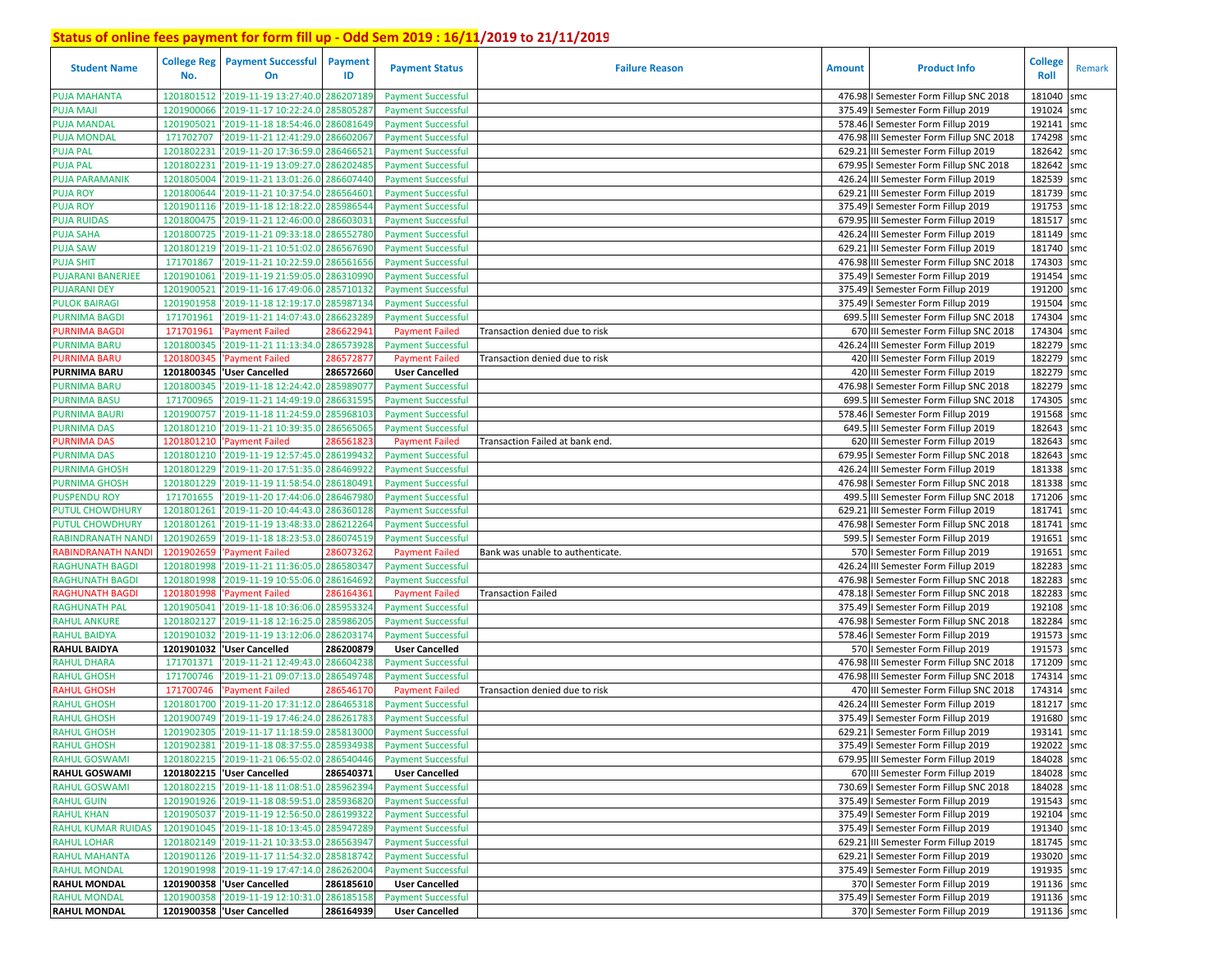| <b>Student Name</b>       | <b>College Reg</b><br>No. | <b>Payment Successful</b><br>On             | <b>Payment</b><br>ID | <b>Payment Status</b>     | <b>Failure Reason</b>            | <b>Amount</b> | <b>Product Info</b>                      | <b>College</b><br>Roll | Remark |
|---------------------------|---------------------------|---------------------------------------------|----------------------|---------------------------|----------------------------------|---------------|------------------------------------------|------------------------|--------|
| <b>PUJA MAHANTA</b>       | 1201801512                | '2019-11-19 13:27:40.0 286207189            |                      | <b>Payment Successful</b> |                                  |               | 476.98   Semester Form Fillup SNC 2018   | 181040                 | smc    |
| <b>PUJA MAJI</b>          | 1201900066                | '2019-11-17 10:22:24.0                      | 28580528             | <b>Payment Successful</b> |                                  |               | 375.49   Semester Form Fillup 2019       | 191024                 | smc    |
| <b>PUJA MANDAL</b>        | 1201905021                | '2019-11-18 18:54:46.0                      | 286081649            | <b>Payment Successful</b> |                                  |               | 578.46   Semester Form Fillup 2019       | 192141                 | smc    |
| <b>PUJA MONDAL</b>        | 171702707                 | '2019-11-21 12:41:29.0 286602067            |                      | <b>Payment Successful</b> |                                  |               | 476.98 III Semester Form Fillup SNC 2018 | 174298                 | smc    |
| <b>PUJA PAL</b>           | 1201802231                | '2019-11-20 17:36:59.0                      | 286466521            | <b>Payment Successful</b> |                                  | 629.21        | III Semester Form Fillup 2019            | 182642                 | smc    |
| <b>PUJA PAL</b>           | 1201802231                | '2019-11-19 13:09:27.0 286202485            |                      | <b>Payment Successful</b> |                                  |               | 679.95   Semester Form Fillup SNC 2018   | 182642                 | smc    |
| <b>PUJA PARAMANIK</b>     | 1201805004                | '2019-11-21 13:01:26.0                      | 286607440            | <b>Payment Successful</b> |                                  |               | 426.24 III Semester Form Fillup 2019     | 182539 smc             |        |
| <b>PUJA ROY</b>           | 1201800644                | '2019-11-21 10:37:54.0                      | 286564601            | <b>Payment Successful</b> |                                  | 629.21        | III Semester Form Fillup 2019            | 181739 smc             |        |
| <b>PUJA ROY</b>           | 1201901116                | '2019-11-18 12:18:22.0                      | 285986544            | <b>Payment Successful</b> |                                  |               | 375.49   Semester Form Fillup 2019       | 191753 smc             |        |
| <b>PUJA RUIDAS</b>        | 1201800475                | '2019-11-21 12:46:00.0                      | 286603031            | <b>Payment Successful</b> |                                  |               | 679.95 III Semester Form Fillup 2019     | 181517 smc             |        |
| <b>PUJA SAHA</b>          | 1201800725                | '2019-11-21 09:33:18.0                      | 28655278             | <b>Payment Successful</b> |                                  |               | 426.24 III Semester Form Fillup 2019     | 181149 smc             |        |
| <b>PUJA SAW</b>           | 1201801219                | '2019-11-21 10:51:02.0                      | 28656769             | <b>Payment Successful</b> |                                  | 629.21        | III Semester Form Fillup 2019            | 181740 smc             |        |
| <b>PUJA SHIT</b>          | 171701867                 | '2019-11-21 10:22:59.0                      | 28656165             | <b>Payment Successful</b> |                                  |               | 476.98 III Semester Form Fillup SNC 2018 | 174303 smc             |        |
| <b>PUJARANI BANERJEE</b>  | 1201901061                | '2019-11-19 21:59:05.0                      | 28631099             | <b>Payment Successful</b> |                                  |               | 375.49   Semester Form Fillup 2019       | 191454                 | smc    |
| <b>PUJARANI DEY</b>       | 1201900521                | '2019-11-16 17:49:06.0 285710132            |                      | <b>Payment Successful</b> |                                  |               | 375.49   Semester Form Fillup 2019       | 191200 smc             |        |
| <b>PULOK BAIRAGI</b>      | 1201901958                | '2019-11-18 12:19:17.0                      | 285987134            | <b>Payment Successful</b> |                                  |               | 375.49   Semester Form Fillup 2019       | 191504                 | smc    |
| <b>PURNIMA BAGDI</b>      | 171701961                 | 2019-11-21 14:07:43.0                       | 28662328             | <b>Payment Successful</b> |                                  |               | 699.5 III Semester Form Fillup SNC 2018  | 174304                 | smc    |
| <b>PURNIMA BAGD</b>       | 171701961                 | <b>Payment Failed</b>                       | 28662294             | <b>Payment Failed</b>     | Transaction denied due to risk   |               | 670 III Semester Form Fillup SNC 2018    | 174304                 | smc    |
| <b>PURNIMA BARU</b>       | 1201800345                | '2019-11-21 11:13:34.0 286573928            |                      | <b>Payment Successful</b> |                                  |               | 426.24 III Semester Form Fillup 2019     | 182279 smc             |        |
| <b>PURNIMA BARU</b>       | 120180034                 | <b>Payment Failed</b>                       | 28657287             | <b>Payment Failed</b>     | Transaction denied due to risk   |               | 420 III Semester Form Fillup 2019        | 182279                 | smc    |
| <b>PURNIMA BARU</b>       |                           | 1201800345  'User Cancelled                 | 286572660            | <b>User Cancelled</b>     |                                  |               | 420 III Semester Form Fillup 2019        | 182279 smc             |        |
| <b>PURNIMA BARU</b>       | 1201800345                | '2019-11-18 12:24:42.0                      | 28598907             | <b>Payment Successful</b> |                                  |               | 476.98   Semester Form Fillup SNC 2018   | 182279 smc             |        |
| <b>PURNIMA BASU</b>       | 171700965                 | '2019-11-21 14:49:19.0                      | 28663159             | <b>Payment Successful</b> |                                  |               | 699.5 III Semester Form Fillup SNC 2018  | 174305 smc             |        |
| <b>PURNIMA BAURI</b>      | 1201900757                | '2019-11-18 11:24:59.0                      | 28596810             | <b>Payment Successful</b> |                                  | 578.46        | I Semester Form Fillup 2019              | 191568                 | smc    |
| <b>PURNIMA DAS</b>        | 1201801210                | '2019-11-21 10:39:35.0                      | 286565065            | <b>Payment Successful</b> |                                  |               | 649.5 III Semester Form Fillup 2019      | 182643                 | smc    |
| <b>PURNIMA DAS</b>        | 1201801210                | Payment Failed                              | 28656182             | <b>Payment Failed</b>     | Transaction Failed at bank end.  |               | 620 III Semester Form Fillup 2019        | 182643                 | smc    |
| <b>PURNIMA DAS</b>        | 1201801210                | '2019-11-19 12:57:45.0 286199432            |                      | <b>Payment Successful</b> |                                  |               | 679.95   Semester Form Fillup SNC 2018   | 182643                 | smc    |
| <b>PURNIMA GHOSH</b>      | 1201801229                | '2019-11-20 17:51:35.0 286469922            |                      | <b>Payment Successful</b> |                                  |               | 426.24 III Semester Form Fillup 2019     | 181338 smc             |        |
| <b>PURNIMA GHOSH</b>      | 1201801229                | '2019-11-19 11:58:54.0 286180491            |                      | <b>Payment Successful</b> |                                  |               | 476.98 I Semester Form Fillup SNC 2018   | 181338 smc             |        |
| <b>PUSPENDU ROY</b>       | 171701655                 | '2019-11-20 17:44:06.0                      | 28646798             | <b>Payment Successful</b> |                                  | 499.5         | III Semester Form Fillup SNC 2018        | 171206 smc             |        |
| <b>PUTUL CHOWDHURY</b>    | 1201801261                | '2019-11-20 10:44:43.0 286360128            |                      | <b>Payment Successful</b> |                                  | 629.21        | III Semester Form Fillup 2019            | 181741                 | smc    |
| <b>PUTUL CHOWDHURY</b>    | 1201801261                | '2019-11-19 13:48:33.0                      | 28621226             | <b>Payment Successful</b> |                                  |               | 476.98   Semester Form Fillup SNC 2018   | 181741                 | smc    |
| <b>RABINDRANATH NAND</b>  | 1201902659                | '2019-11-18 18:23:53.0                      | 286074519            | <b>Payment Successful</b> |                                  | 599.5         | I Semester Form Fillup 2019              | 191651                 | smc    |
| <b>RABINDRANATH NAND</b>  | 1201902659                | 'Payment Failed                             | 28607326.            | <b>Payment Failed</b>     | Bank was unable to authenticate. |               | 570   Semester Form Fillup 2019          | 191651 smc             |        |
| <b>RAGHUNATH BAGDI</b>    | 1201801998                | '2019-11-21 11:36:05.0 286580347            |                      | <b>Payment Successful</b> |                                  |               | 426.24 III Semester Form Fillup 2019     | 182283                 | smc    |
| <b>RAGHUNATH BAGDI</b>    | 1201801998                | '2019-11-19 10:55:06.0                      | 286164692            | <b>Payment Successful</b> |                                  |               | 476.98 I Semester Form Fillup SNC 2018   | 182283 smc             |        |
| <b>RAGHUNATH BAGD</b>     | 1201801998                | Payment Failed                              | 28616436             | <b>Payment Failed</b>     | <b>Transaction Failed</b>        |               | 478.18   Semester Form Fillup SNC 2018   | 182283                 | smc    |
| <b>RAGHUNATH PAL</b>      | 1201905041                | '2019-11-18 10:36:06.0                      | 28595332             | <b>Payment Successful</b> |                                  |               | 375.49   Semester Form Fillup 2019       | 192108 smc             |        |
| <b>RAHUL ANKURE</b>       | 1201802127                | '2019-11-18 12:16:25.0                      | 28598620             | <b>Payment Successful</b> |                                  |               | 476.98   Semester Form Fillup SNC 2018   | 182284                 | smc    |
| <b>RAHUL BAIDYA</b>       | 1201901032                | '2019-11-19 13:12:06.0                      | 286203174            | <b>Payment Successful</b> |                                  |               | 578.46   Semester Form Fillup 2019       | 191573 smc             |        |
| <b>RAHUL BAIDYA</b>       | 1201901032                | 'User Cancelled                             | 286200879            | <b>User Cancelled</b>     |                                  |               | 570   Semester Form Fillup 2019          | 191573 smc             |        |
| RAHUL DHARA               | 171701371                 | '2019-11-21 12:49:43.0                      | 286604238            | <b>Payment Successful</b> |                                  |               | 476.98 III Semester Form Fillup SNC 2018 | 171209 smc             |        |
| <b>RAHUL GHOSH</b>        | 171700746                 | 2019-11-21 09:07:13.0                       | 286549748            | <b>Payment Successful</b> |                                  |               | 476.98 III Semester Form Fillup SNC 2018 | 174314 smc             |        |
| RAHUL GHOSH               | 171700746                 | <b>Payment Failed</b>                       | 28654617             | <b>Payment Failed</b>     | Transaction denied due to risk   |               | 470 III Semester Form Fillup SNC 2018    | 174314 smc             |        |
| <b>RAHUL GHOSH</b>        | 1201801700                | '2019-11-20 17:31:12.0                      | 28646531             | <b>Payment Successful</b> |                                  |               | 426.24 III Semester Form Fillup 2019     | 181217                 | smc    |
| <b>RAHUL GHOSH</b>        | 1201900749                | '2019-11-19 17:46:24.0                      | 28626178             | <b>Payment Successful</b> |                                  |               | 375.49   Semester Form Fillup 2019       | 191680                 | smc    |
| <b>RAHUL GHOSH</b>        | 1201902305                | '2019-11-17 11:18:59.0 28581300             |                      | <b>Payment Successful</b> |                                  |               | 629.21   Semester Form Fillup 2019       | 193141                 | smc    |
| <b>RAHUL GHOSH</b>        |                           | 1201902381 2019-11-18 08:37:55.0 285934938  |                      | <b>Payment Successful</b> |                                  |               | 375.49   Semester Form Fillup 2019       | 192022 smc             |        |
| <b>RAHUL GOSWAMI</b>      |                           | 1201802215 '2019-11-21 06:55:02.0 286540446 |                      | <b>Payment Successful</b> |                                  |               | 679.95 III Semester Form Fillup 2019     | 184028 smc             |        |
| <b>RAHUL GOSWAMI</b>      |                           | 1201802215  'User Cancelled                 | 286540371            | <b>User Cancelled</b>     |                                  |               | 670 III Semester Form Fillup 2019        | 184028 smc             |        |
| <b>RAHUL GOSWAMI</b>      |                           | 1201802215 2019-11-18 11:08:51.0 285962394  |                      | <b>Payment Successful</b> |                                  |               | 730.69   Semester Form Fillup SNC 2018   | 184028 smc             |        |
| <b>RAHUL GUIN</b>         |                           | 1201901926 2019-11-18 08:59:51.0 285936820  |                      | <b>Payment Successful</b> |                                  |               | 375.49   Semester Form Fillup 2019       | 191543 smc             |        |
| <b>RAHUL KHAN</b>         |                           | 1201905037 2019-11-19 12:56:50.0 286199322  |                      | <b>Payment Successful</b> |                                  |               | 375.49   Semester Form Fillup 2019       | 192104 smc             |        |
| <b>RAHUL KUMAR RUIDAS</b> |                           | 1201901045 2019-11-18 10:13:45.0 285947289  |                      | <b>Payment Successful</b> |                                  |               | 375.49   Semester Form Fillup 2019       | 191340 smc             |        |
| <b>RAHUL LOHAR</b>        |                           | 1201802149 2019-11-21 10:33:53.0 286563947  |                      | <b>Payment Successful</b> |                                  |               | 629.21 III Semester Form Fillup 2019     | 181745 smc             |        |
| <b>RAHUL MAHANTA</b>      |                           | 1201901126 2019-11-17 11:54:32.0 285818742  |                      | <b>Payment Successful</b> |                                  |               | 629.21   Semester Form Fillup 2019       | 193020 smc             |        |
| <b>RAHUL MONDAL</b>       |                           | 1201901998 2019-11-19 17:47:14.0 286262004  |                      | <b>Payment Successful</b> |                                  |               | 375.49   Semester Form Fillup 2019       | 191935 smc             |        |
| <b>RAHUL MONDAL</b>       |                           | 1201900358 'User Cancelled                  | 286185610            | <b>User Cancelled</b>     |                                  |               | 370   Semester Form Fillup 2019          | 191136 smc             |        |
| <b>RAHUL MONDAL</b>       |                           | 1201900358 2019-11-19 12:10:31.0 286185158  |                      | <b>Payment Successful</b> |                                  |               | 375.49   Semester Form Fillup 2019       | 191136 smc             |        |
| <b>RAHUL MONDAL</b>       |                           | 1201900358 User Cancelled                   | 286164939            | <b>User Cancelled</b>     |                                  |               | 370   Semester Form Fillup 2019          | 191136 smc             |        |
|                           |                           |                                             |                      |                           |                                  |               |                                          |                        |        |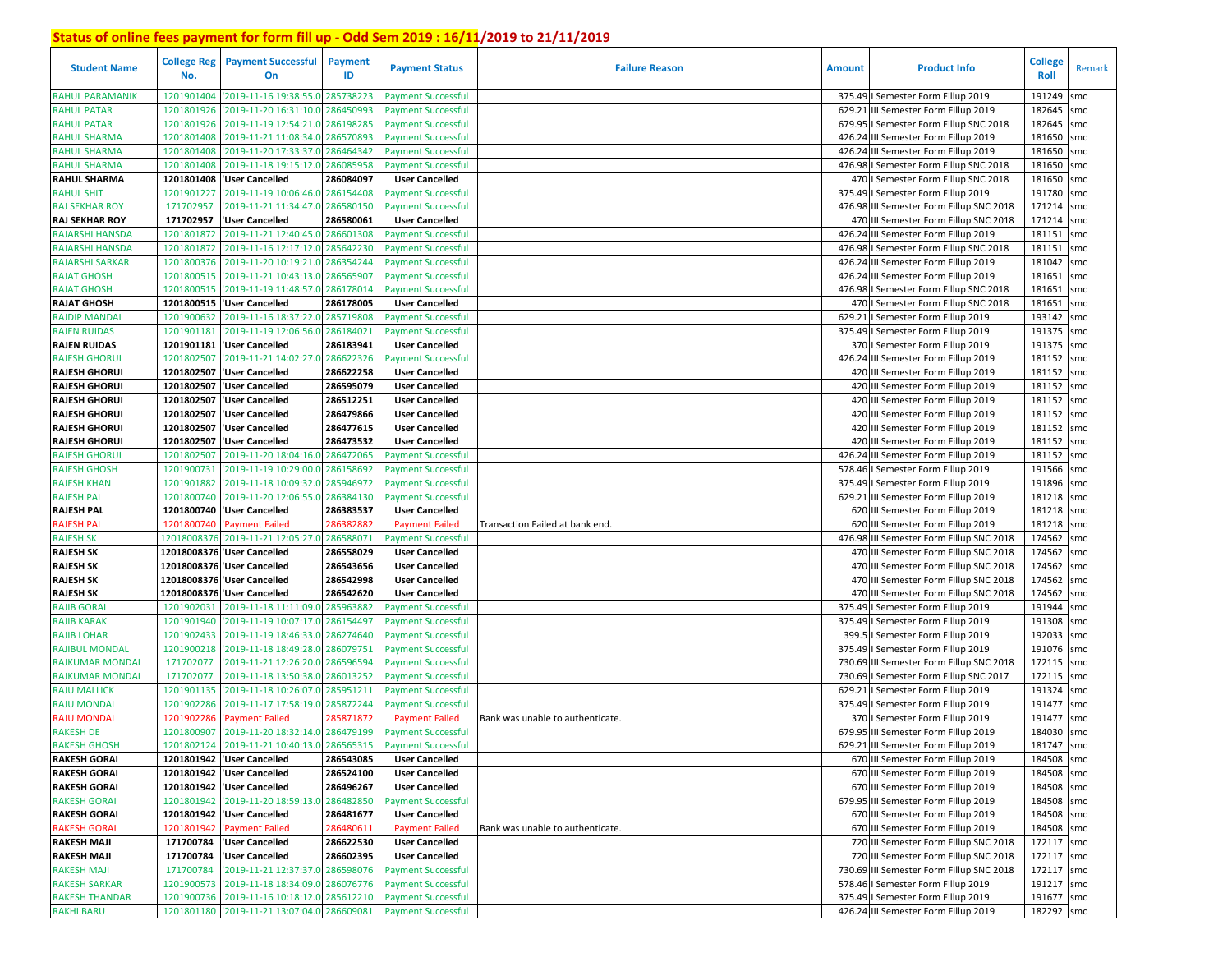| <b>Student Name</b>                    | <b>College Reg</b><br>No. | <b>Payment Successful</b><br>On                      | <b>Payment</b><br>ID  | <b>Payment Status</b>                              | <b>Failure Reason</b>            | <b>Amount</b> | <b>Product Info</b>                                                           | <b>College</b><br>Roll | Remark |
|----------------------------------------|---------------------------|------------------------------------------------------|-----------------------|----------------------------------------------------|----------------------------------|---------------|-------------------------------------------------------------------------------|------------------------|--------|
| <b>RAHUL PARAMANIK</b>                 | 1201901404                | '2019-11-16 19:38:55.0 28573822                      |                       | <b>Payment Successful</b>                          |                                  |               | 375.49   Semester Form Fillup 2019                                            | 191249                 | smc    |
| <b>RAHUL PATAR</b>                     | 1201801926                | '2019-11-20 16:31:10.0                               | 28645099              | <b>Payment Successful</b>                          |                                  | 629.21        | III Semester Form Fillup 2019                                                 | 182645                 | smc    |
| <b>RAHUL PATAR</b>                     | 1201801926                | '2019-11-19 12:54:21.0 286198285                     |                       | <b>Payment Successful</b>                          |                                  |               | 679.95   Semester Form Fillup SNC 2018                                        | 182645                 | smc    |
| <b>RAHUL SHARMA</b>                    | 1201801408                | '2019-11-21 11:08:34.0 286570893                     |                       | <b>Payment Successful</b>                          |                                  |               | 426.24 III Semester Form Fillup 2019                                          | 181650                 | smc    |
| <b>RAHUL SHARMA</b>                    | 1201801408                | '2019-11-20 17:33:37.0 286464342                     |                       | <b>Payment Successful</b>                          |                                  |               | 426.24 III Semester Form Fillup 2019                                          | 181650                 | smc    |
| <b>RAHUL SHARMA</b>                    | 1201801408                | '2019-11-18 19:15:12.0                               | 286085958             | <b>Payment Successful</b>                          |                                  |               | 476.98   Semester Form Fillup SNC 2018                                        | 181650                 | smc    |
| <b>RAHUL SHARMA</b>                    | 1201801408                | <b>User Cancelled</b>                                | 286084097             | <b>User Cancelled</b>                              |                                  |               | 470   Semester Form Fillup SNC 2018                                           | 181650                 | smc    |
| <b>RAHUL SHIT</b>                      | 1201901227                | '2019-11-19 10:06:46.0 286154408                     |                       | <b>Payment Successful</b>                          |                                  |               | 375.49   Semester Form Fillup 2019                                            | 191780                 | smc    |
| <b>RAJ SEKHAR ROY</b>                  | 171702957                 | '2019-11-21 11:34:47.0                               | 286580150             | <b>Payment Successful</b>                          |                                  |               | 476.98 III Semester Form Fillup SNC 2018                                      | 171214 smc             |        |
| <b>RAJ SEKHAR ROY</b>                  | 171702957                 | 'User Cancelled                                      | 286580061             | <b>User Cancelled</b>                              |                                  |               | 470 III Semester Form Fillup SNC 2018                                         | 171214                 | smc    |
| RAJARSHI HANSDA                        | 1201801872                | '2019-11-21 12:40:45.0                               | 28660130              | <b>Payment Successful</b>                          |                                  |               | 426.24 III Semester Form Fillup 2019                                          | 181151                 | smc    |
| <b>RAJARSHI HANSDA</b>                 | 1201801872                | '2019-11-16 12:17:12.0                               | 28564223              | <b>Payment Successful</b>                          |                                  |               | 476.98   Semester Form Fillup SNC 2018                                        | 181151                 | smc    |
| <b>RAJARSHI SARKAR</b>                 | 1201800376                | '2019-11-20 10:19:21.0                               | 286354244             | <b>Payment Successful</b>                          |                                  |               | 426.24 III Semester Form Fillup 2019                                          | 181042                 | smc    |
| <b>RAJAT GHOSH</b>                     | 1201800515                | '2019-11-21 10:43:13.0                               | 28656590              | <b>Payment Successful</b>                          |                                  |               | 426.24 III Semester Form Fillup 2019                                          | 181651                 | smc    |
| <b>RAJAT GHOSH</b>                     | 1201800515                | '2019-11-19 11:48:57.0                               | 286178014             | <b>Payment Successful</b>                          |                                  |               | 476.98 I Semester Form Fillup SNC 2018                                        | 181651                 | smc    |
| <b>RAJAT GHOSH</b>                     | 1201800515                | 'User Cancelled                                      | 286178005             | <b>User Cancelled</b>                              |                                  |               | 470   Semester Form Fillup SNC 2018                                           | 181651                 | smc    |
| <b>RAJDIP MANDAL</b>                   | 1201900632                | '2019-11-16 18:37:22.0                               | 28571980              | <b>Payment Successful</b>                          |                                  | 629.21        | I Semester Form Fillup 2019                                                   | 193142 smc             |        |
| <b>RAJEN RUIDAS</b>                    | 1201901181                | '2019-11-19 12:06:56.0                               | 28618402              | <b>Payment Successful</b>                          |                                  |               | 375.49   Semester Form Fillup 2019                                            | 191375                 | smc    |
| <b>RAJEN RUIDAS</b>                    |                           | 1201901181 Vser Cancelled                            | 286183941             | <b>User Cancelled</b>                              |                                  |               | 370   Semester Form Fillup 2019                                               | 191375 smc             |        |
| <b>RAJESH GHORUI</b>                   | 1201802507                | '2019-11-21 14:02:27.0                               | 28662232              | <b>Payment Successful</b>                          |                                  |               | 426.24 III Semester Form Fillup 2019                                          | 181152                 | smc    |
| <b>RAJESH GHORUI</b>                   |                           | 1201802507 User Cancelled                            | 286622258             | <b>User Cancelled</b>                              |                                  |               | 420 III Semester Form Fillup 2019                                             | 181152 smc             |        |
| <b>RAJESH GHORUI</b>                   | 1201802507                | <b>User Cancelled</b>                                | 286595079             | <b>User Cancelled</b>                              |                                  |               | 420 III Semester Form Fillup 2019                                             | 181152                 | smc    |
| <b>RAJESH GHORUI</b>                   |                           | 1201802507 User Cancelled                            | 286512251             | <b>User Cancelled</b>                              |                                  |               | 420 III Semester Form Fillup 2019                                             | 181152 smc             |        |
| <b>RAJESH GHORUI</b>                   | 1201802507                | <b>User Cancelled</b>                                | 286479866             | <b>User Cancelled</b>                              |                                  |               | 420 III Semester Form Fillup 2019                                             | 181152                 | smc    |
| <b>RAJESH GHORUI</b>                   | 1201802507                | <b>User Cancelled</b>                                | 286477615             | <b>User Cancelled</b>                              |                                  |               | 420 III Semester Form Fillup 2019                                             | 181152 smc             |        |
| <b>RAJESH GHORUI</b>                   | 1201802507                | 'User Cancelled                                      | 286473532             | <b>User Cancelled</b>                              |                                  |               | 420 III Semester Form Fillup 2019                                             | 181152 smc             |        |
| <b>RAJESH GHORUI</b>                   | 1201802507                | '2019-11-20 18:04:16.0 286472065                     |                       | <b>Payment Successful</b>                          |                                  |               | 426.24 III Semester Form Fillup 2019                                          | 181152                 | smc    |
| <b>RAJESH GHOSH</b>                    | 1201900731                | '2019-11-19 10:29:00.0 286158692                     |                       | <b>Payment Successful</b>                          |                                  |               | 578.46   Semester Form Fillup 2019                                            | 191566 smc             |        |
| <b>RAJESH KHAN</b>                     | 1201901882                | '2019-11-18 10:09:32.0 285946972                     |                       | <b>Payment Successful</b>                          |                                  |               | 375.49   Semester Form Fillup 2019                                            | 191896 smc             |        |
| <b>RAJESH PAL</b><br><b>RAJESH PAL</b> | 1201800740                | '2019-11-20 12:06:55.0                               | 28638413              | <b>Payment Successful</b>                          |                                  | 629.21        | III Semester Form Fillup 2019                                                 | 181218 smc<br>181218   |        |
| <b>RAJESH PAL</b>                      | 1201800740                | 1201800740   User Cancelled                          | 286383537<br>28638288 | <b>User Cancelled</b>                              |                                  |               | 620 III Semester Form Fillup 2019                                             | 181218                 | smc    |
| <b>RAJESH SK</b>                       |                           | 'Payment Failed<br>12018008376 2019-11-21 12:05:27.0 | 286588071             | <b>Payment Failed</b>                              | Transaction Failed at bank end   |               | 620 III Semester Form Fillup 2019<br>476.98 III Semester Form Fillup SNC 2018 | 174562                 | smc    |
| <b>RAJESH SK</b>                       |                           | 12018008376 'User Cancelled                          | 286558029             | <b>Payment Successful</b><br><b>User Cancelled</b> |                                  |               | 470 III Semester Form Fillup SNC 2018                                         | 174562 smc             | smc    |
| <b>RAJESH SK</b>                       |                           | 12018008376 'User Cancelled                          | 286543656             | <b>User Cancelled</b>                              |                                  |               | 470 III Semester Form Fillup SNC 2018                                         | 174562                 | smc    |
| <b>RAJESH SK</b>                       |                           | 12018008376 'User Cancelled                          | 286542998             | <b>User Cancelled</b>                              |                                  |               | 470 III Semester Form Fillup SNC 2018                                         | 174562 smc             |        |
| <b>RAJESH SK</b>                       |                           | 12018008376 'User Cancelled                          | 286542620             | <b>User Cancelled</b>                              |                                  |               | 470 III Semester Form Fillup SNC 2018                                         | 174562                 | smc    |
| <b>RAJIB GORAI</b>                     | 1201902031                | '2019-11-18 11:11:09.0                               | 285963882             | <b>Payment Successful</b>                          |                                  |               | 375.49   Semester Form Fillup 2019                                            | 191944 smc             |        |
| <b>RAJIB KARAK</b>                     | 1201901940                | '2019-11-19 10:07:17.0                               | 28615449              | <b>Payment Successful</b>                          |                                  |               | 375.49   Semester Form Fillup 2019                                            | 191308                 | smc    |
| <b>RAJIB LOHAR</b>                     | 1201902433                | '2019-11-19 18:46:33.0 286274640                     |                       | <b>Payment Successful</b>                          |                                  | 399.5         | I Semester Form Fillup 2019                                                   | 192033 smc             |        |
| <b>RAJIBUL MONDAL</b>                  | 1201900218                | '2019-11-18 18:49:28.0                               | 286079751             | <b>Payment Successful</b>                          |                                  | 375.49        | I Semester Form Fillup 2019                                                   | 191076 smc             |        |
| <b>RAJKUMAR MONDAI</b>                 | 171702077                 | '2019-11-21 12:26:20.0                               | 28659659              | <b>Payment Successful</b>                          |                                  | 730.69        | III Semester Form Fillup SNC 2018                                             | 172115 smc             |        |
| <b>RAJKUMAR MONDAL</b>                 | 17170207                  | '2019-11-18 13:50:38.0                               | 28601325              | <b>Payment Successful</b>                          |                                  | 730.69        | I Semester Form Fillup SNC 2017                                               | 172115                 | smc    |
| <b>RAJU MALLICK</b>                    | 1201901135                | '2019-11-18 10:26:07.0                               | 285951211             | <b>Payment Successful</b>                          |                                  | 629.2         | I Semester Form Fillup 2019                                                   | 191324 smc             |        |
| <b>RAJU MONDAL</b>                     | 1201902286                | '2019-11-17 17:58:19.0                               | 28587224              | <b>Payment Successful</b>                          |                                  | 375.49        | I Semester Form Fillup 2019                                                   | 191477                 | smc    |
| <b>RAJU MONDAL</b>                     | 1201902286                | Payment Failed                                       | 28587187              | <b>Payment Failed</b>                              | Bank was unable to authenticate. |               | 370   Semester Form Fillup 2019                                               | 191477                 | smc    |
| <b>RAKESH DE</b>                       | 1201800907                | '2019-11-20 18:32:14.0 286479199                     |                       | <b>Payment Successful</b>                          |                                  |               | 679.95 III Semester Form Fillup 2019                                          | 184030                 | smc    |
| <b>RAKESH GHOSH</b>                    |                           | 1201802124 2019-11-21 10:40:13.0 286565315           |                       | <b>Payment Successful</b>                          |                                  |               | 629.21 III Semester Form Fillup 2019                                          | 181747 smc             |        |
| <b>RAKESH GORAI</b>                    |                           | 1201801942 User Cancelled                            | 286543085             | <b>User Cancelled</b>                              |                                  |               | 670 III Semester Form Fillup 2019                                             | 184508 smc             |        |
| <b>RAKESH GORAI</b>                    |                           | 1201801942 User Cancelled                            | 286524100             | <b>User Cancelled</b>                              |                                  |               | 670 III Semester Form Fillup 2019                                             | 184508 smc             |        |
| <b>RAKESH GORAI</b>                    |                           | 1201801942 User Cancelled                            | 286496267             | <b>User Cancelled</b>                              |                                  |               | 670 III Semester Form Fillup 2019                                             | 184508 smc             |        |
| <b>RAKESH GORAI</b>                    |                           | 1201801942 2019-11-20 18:59:13.0 286482850           |                       | <b>Payment Successful</b>                          |                                  |               | 679.95 III Semester Form Fillup 2019                                          | 184508 smc             |        |
| <b>RAKESH GORAI</b>                    |                           | 1201801942 User Cancelled                            | 286481677             | <b>User Cancelled</b>                              |                                  |               | 670 III Semester Form Fillup 2019                                             | 184508 smc             |        |
| <b>RAKESH GORAI</b>                    |                           | 1201801942 'Payment Failed                           | 286480611             | <b>Payment Failed</b>                              | Bank was unable to authenticate. |               | 670 III Semester Form Fillup 2019                                             | 184508 smc             |        |
| <b>RAKESH MAJI</b>                     |                           | 171700784  'User Cancelled                           | 286622530             | <b>User Cancelled</b>                              |                                  |               | 720 III Semester Form Fillup SNC 2018                                         | 172117 smc             |        |
| <b>RAKESH MAJI</b>                     |                           | 171700784 Vser Cancelled                             | 286602395             | <b>User Cancelled</b>                              |                                  |               | 720 III Semester Form Fillup SNC 2018                                         | 172117 smc             |        |
| <b>RAKESH MAJI</b>                     |                           | 171700784 2019-11-21 12:37:37.0 286598076            |                       | <b>Payment Successful</b>                          |                                  |               | 730.69 III Semester Form Fillup SNC 2018                                      | 172117 smc             |        |
| <b>RAKESH SARKAR</b>                   |                           | 1201900573 2019-11-18 18:34:09.0 286076776           |                       | <b>Payment Successful</b>                          |                                  |               | 578.46   Semester Form Fillup 2019                                            | 191217 smc             |        |
| <b>RAKESH THANDAR</b>                  |                           | 1201900736 2019-11-16 10:18:12.0 285612210           |                       | <b>Payment Successful</b>                          |                                  |               | 375.49   Semester Form Fillup 2019                                            | 191677 smc             |        |
| <b>RAKHI BARU</b>                      |                           | 1201801180 2019-11-21 13:07:04.0 286609081           |                       | <b>Payment Successful</b>                          |                                  |               | 426.24 III Semester Form Fillup 2019                                          | 182292 smc             |        |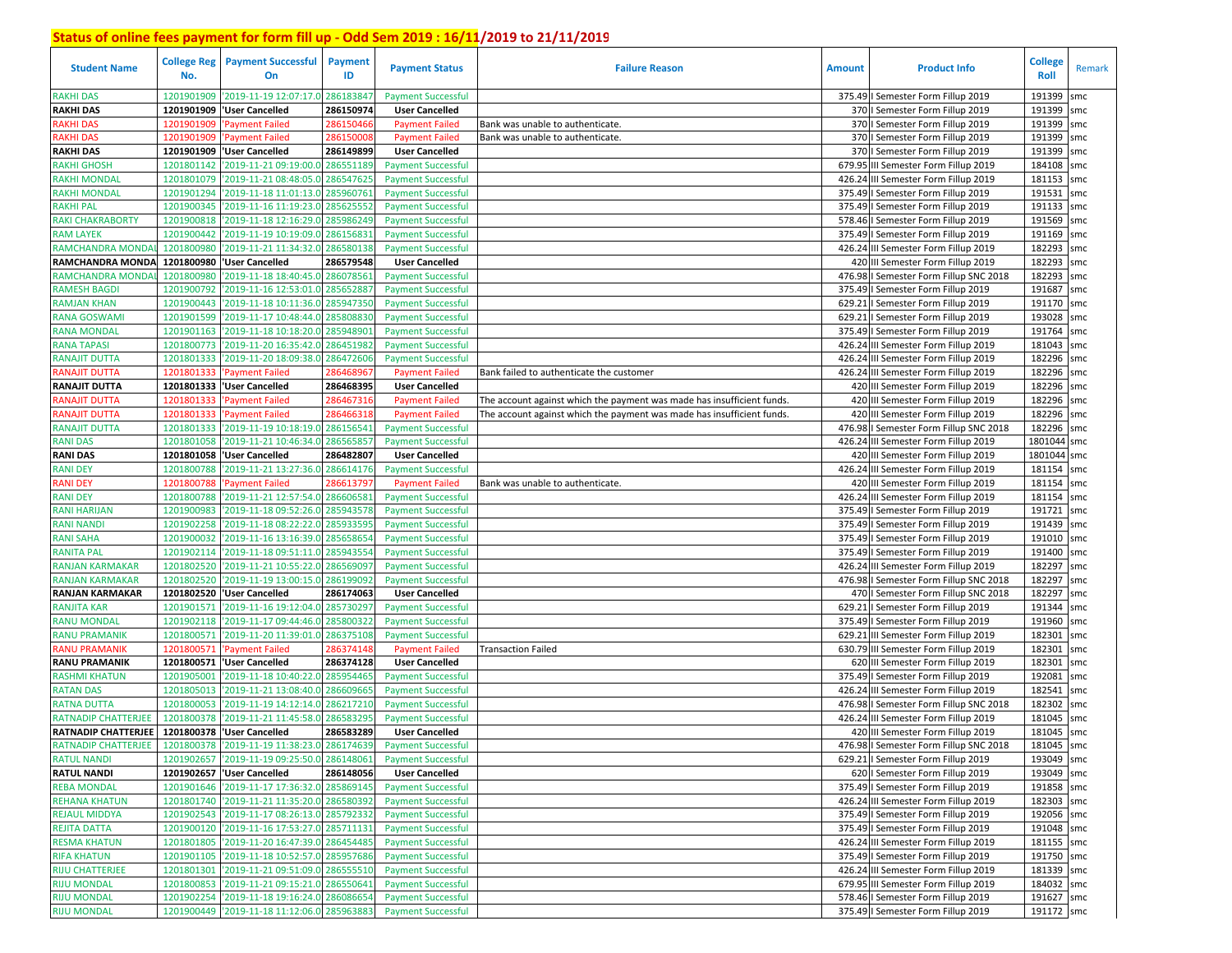| <b>Student Name</b>                        | <b>College Reg</b><br>No. | <b>Payment Successful</b><br>On                                                          | <b>Payment</b><br>ID   | <b>Payment Status</b>                                  | <b>Failure Reason</b>                                                  | <b>Amount</b> | <b>Product Info</b>                                                          | <b>College</b><br>Roll | Remark     |
|--------------------------------------------|---------------------------|------------------------------------------------------------------------------------------|------------------------|--------------------------------------------------------|------------------------------------------------------------------------|---------------|------------------------------------------------------------------------------|------------------------|------------|
| <b>RAKHI DAS</b>                           | 1201901909                | '2019-11-19 12:07:17.0                                                                   | 28618384               | <b>Payment Successful</b>                              |                                                                        |               | 375.49   Semester Form Fillup 2019                                           | 191399                 | smc        |
| <b>RAKHI DAS</b>                           | 1201901909                | 'User Cancelled                                                                          | 286150974              | <b>User Cancelled</b>                                  |                                                                        |               | 370   Semester Form Fillup 2019                                              | 191399                 | smc        |
| <b>RAKHI DAS</b>                           | 1201901909                | 'Payment Failed                                                                          | 286150466              | <b>Payment Failed</b>                                  | Bank was unable to authenticate.                                       |               | 370   Semester Form Fillup 2019                                              | 191399                 | smc        |
| <b>RAKHI DAS</b>                           | 1201901909                | 'Payment Failed                                                                          | 286150008              | <b>Payment Failed</b>                                  | Bank was unable to authenticate.                                       |               | 370   Semester Form Fillup 2019                                              | 191399                 | smc        |
| <b>RAKHI DAS</b>                           |                           | 1201901909  'User Cancelled                                                              | 286149899              | <b>User Cancelled</b>                                  |                                                                        |               | 370   Semester Form Fillup 2019                                              | 191399                 | smc        |
| <b>RAKHI GHOSH</b>                         | 1201801142                | '2019-11-21 09:19:00.0 286551189                                                         |                        | <b>Payment Successful</b>                              |                                                                        | 679.95        | III Semester Form Fillup 2019                                                | 184108                 | smc        |
| <b>RAKHI MONDAL</b>                        | 1201801079                | '2019-11-21 08:48:05.0                                                                   | 286547625              | <b>Payment Successful</b>                              |                                                                        |               | 426.24 III Semester Form Fillup 2019                                         | 181153                 | smc        |
| <b>RAKHI MONDAL</b>                        | 1201901294                | '2019-11-18 11:01:13.0                                                                   | 285960761              | <b>Payment Successful</b>                              |                                                                        |               | 375.49   Semester Form Fillup 2019                                           | 191531                 | smc        |
| <b>RAKHI PAL</b>                           | 1201900345                | '2019-11-16 11:19:23.0                                                                   | 28562555               | <b>Payment Successful</b>                              |                                                                        |               | 375.49   Semester Form Fillup 2019                                           | 191133 smc             |            |
| <b>RAKI CHAKRABORTY</b>                    | 1201900818                | '2019-11-18 12:16:29.0                                                                   | 285986249              | <b>Payment Successful</b>                              |                                                                        |               | 578.46   Semester Form Fillup 2019                                           | 191569 smc             |            |
| <b>RAM LAYEK</b>                           | 1201900442                | '2019-11-19 10:19:09.0                                                                   | 28615683               | <b>Payment Successful</b>                              |                                                                        |               | 375.49   Semester Form Fillup 2019                                           | 191169 smc             |            |
| RAMCHANDRA MONDA                           | 1201800980                | '2019-11-21 11:34:32.0                                                                   | 286580138              | <b>Payment Successful</b>                              |                                                                        |               | 426.24 III Semester Form Fillup 2019                                         | 182293                 | smc        |
| RAMCHANDRA MONDA                           | 1201800980                | <b>User Cancelled</b>                                                                    | 286579548              | <b>User Cancelled</b>                                  |                                                                        |               | 420 III Semester Form Fillup 2019                                            | 182293                 | smc        |
| RAMCHANDRA MONDA                           | 1201800980                | '2019-11-18 18:40:45.0                                                                   | 286078561              | <b>Payment Successful</b>                              |                                                                        |               | 476.98   Semester Form Fillup SNC 2018                                       | 182293                 | smc        |
| <b>RAMESH BAGDI</b>                        | 1201900792                | '2019-11-16 12:53:01.0 28565288                                                          |                        | <b>Payment Successful</b>                              |                                                                        |               | 375.49   Semester Form Fillup 2019                                           | 191687 smc             |            |
| <b>RAMJAN KHAN</b>                         | 1201900443                | '2019-11-18 10:11:36.0                                                                   | 285947350              | <b>Payment Successful</b>                              |                                                                        | 629.21        | I Semester Form Fillup 2019                                                  | 191170 smc             |            |
| <b>RANA GOSWAM</b>                         | 1201901599                | 2019-11-17 10:48:44.0                                                                    | 28580883               | <b>Payment Successful</b>                              |                                                                        | 629.21        | I Semester Form Fillup 2019                                                  | 193028 smc             |            |
| <b>RANA MONDAL</b>                         | 1201901163                | 2019-11-18 10:18:20.0                                                                    | 28594890               | <b>Payment Successful</b>                              |                                                                        |               | 375.49   Semester Form Fillup 2019                                           | 191764                 | smc        |
| <b>RANA TAPASI</b>                         | 1201800773                | '2019-11-20 16:35:42.0                                                                   | 28645198               | <b>Payment Successful</b>                              |                                                                        |               | 426.24 III Semester Form Fillup 2019                                         | 181043                 | smc        |
| <b>RANAJIT DUTTA</b>                       | 1201801333                | '2019-11-20 18:09:38.0                                                                   | 28647260               | <b>Payment Successful</b>                              |                                                                        |               | 426.24 III Semester Form Fillup 2019                                         | 182296 smc             |            |
| RANAJIT DUTTA                              | 1201801333                | 'Payment Failed                                                                          | 28646896               | <b>Payment Failed</b>                                  | Bank failed to authenticate the customer                               |               | 426.24 III Semester Form Fillup 2019                                         | 182296 smc             |            |
| <b>RANAJIT DUTTA</b>                       | 1201801333                | <b>User Cancelled</b>                                                                    | 286468395              | <b>User Cancelled</b>                                  |                                                                        |               | 420 III Semester Form Fillup 2019                                            | 182296 smc             |            |
| RANAJIT DUTTA                              | 1201801333                | 'Payment Failed                                                                          | 28646731               | <b>Payment Failed</b>                                  | The account against which the payment was made has insufficient funds. |               | 420 III Semester Form Fillup 2019                                            | 182296 smc             |            |
| RANAJIT DUTTA                              | 1201801333                | Payment Failed                                                                           | 28646631               | <b>Payment Failed</b>                                  | The account against which the payment was made has insufficient funds  |               | 420 III Semester Form Fillup 2019                                            | 182296                 | smc        |
| <b>RANAJIT DUTTA</b>                       | 1201801333                | '2019-11-19 10:18:19.0                                                                   | 286156541              | <b>Payment Successful</b>                              |                                                                        |               | 476.98   Semester Form Fillup SNC 2018                                       | 182296 smc             |            |
| <b>RANI DAS</b>                            | 1201801058                | '2019-11-21 10:46:34.0                                                                   | 28656585               | <b>Payment Successful</b>                              |                                                                        |               | 426.24 III Semester Form Fillup 2019                                         | 1801044 smc            |            |
| <b>RANI DAS</b>                            |                           | 1201801058  'User Cancelled                                                              | 286482807              | <b>User Cancelled</b>                                  |                                                                        |               | 420 III Semester Form Fillup 2019                                            | 1801044 smc            |            |
| <b>RANI DEY</b>                            | 1201800788                | '2019-11-21 13:27:36.0                                                                   | 286614176              | <b>Payment Successful</b>                              |                                                                        |               | 426.24 III Semester Form Fillup 2019                                         | 181154                 | smc        |
| <b>RANI DEY</b>                            | 1201800788                | 'Payment Failed                                                                          | 28661379               | <b>Payment Failed</b>                                  | Bank was unable to authenticate.                                       |               | 420 III Semester Form Fillup 2019                                            | 181154                 | smc        |
| <b>RANI DEY</b>                            | 1201800788                | '2019-11-21 12:57:54.0                                                                   | 286606581              | <b>Payment Successful</b>                              |                                                                        |               | 426.24 III Semester Form Fillup 2019                                         | 181154                 | smc        |
| <b>RANI HARIJAN</b>                        | 1201900983                | '2019-11-18 09:52:26.0 285943578                                                         |                        | <b>Payment Successful</b>                              |                                                                        |               | 375.49   Semester Form Fillup 2019                                           | 191721                 | smc        |
| <b>RANI NANDI</b>                          | 1201902258                | '2019-11-18 08:22:22.0                                                                   | 285933595              | <b>Payment Successful</b>                              |                                                                        |               | 375.49   Semester Form Fillup 2019                                           | 191439 smc             |            |
| <b>RANI SAHA</b>                           | 1201900032                | '2019-11-16 13:16:39.0                                                                   | 285658654              | <b>Payment Successful</b>                              |                                                                        |               | 375.49   Semester Form Fillup 2019                                           | 191010 smc             |            |
| <b>RANITA PAL</b>                          | 1201902114                | '2019-11-18 09:51:11.0 285943554                                                         |                        | <b>Payment Successful</b>                              |                                                                        |               | 375.49   Semester Form Fillup 2019                                           | 191400 smc             |            |
| <b>RANJAN KARMAKAR</b>                     | 1201802520                | '2019-11-21 10:55:22.0                                                                   | 286569097              | <b>Payment Successful</b>                              |                                                                        |               | 426.24 III Semester Form Fillup 2019                                         | 182297                 | smc        |
| <b>RANJAN KARMAKAR</b>                     | 1201802520                | '2019-11-19 13:00:15.0                                                                   | 28619909               |                                                        |                                                                        |               | 476.98   Semester Form Fillup SNC 2018                                       | 182297                 |            |
| <b>RANJAN KARMAKAR</b>                     | 1201802520                | <b>User Cancelled</b>                                                                    | 286174063              | <b>Payment Successful</b><br><b>User Cancelled</b>     |                                                                        |               | 470   Semester Form Fillup SNC 2018                                          | 182297                 | smc<br>smc |
| <b>RANJITA KAR</b>                         | 1201901571                | '2019-11-16 19:12:04.0                                                                   | 285730297              |                                                        |                                                                        |               | 629.21   Semester Form Fillup 2019                                           | 191344 smc             |            |
|                                            | 1201902118                | '2019-11-17 09:44:46.0                                                                   |                        | <b>Payment Successful</b>                              |                                                                        |               |                                                                              |                        |            |
| <b>RANU MONDAL</b><br><b>RANU PRAMANIK</b> | 1201800571                | '2019-11-20 11:39:01.0                                                                   | 285800322<br>286375108 | <b>Payment Successful</b><br><b>Payment Successful</b> |                                                                        |               | 375.49   Semester Form Fillup 2019<br>629.21 III Semester Form Fillup 2019   | 191960 smc<br>182301   | smc        |
| <b>RANU PRAMANIK</b>                       | 1201800571                | <b>Payment Failed</b>                                                                    | 286374148              | <b>Payment Failed</b>                                  |                                                                        |               | 630.79 III Semester Form Fillup 2019                                         | 182301                 |            |
| <b>RANU PRAMANIK</b>                       | 1201800571                | <b>User Cancelled</b>                                                                    | 286374128              | <b>User Cancelled</b>                                  | <b>Transaction Failed</b>                                              |               | 620 III Semester Form Fillup 2019                                            | 182301                 | smc<br>smc |
| <b>RASHMI KHATUN</b>                       | 1201905001                | '2019-11-18 10:40:22.0                                                                   | 285954465              | <b>Payment Successful</b>                              |                                                                        |               | 375.49   Semester Form Fillup 2019                                           | 192081                 | smc        |
| <b>RATAN DAS</b>                           | 1201805013                | '2019-11-21 13:08:40.0                                                                   | 28660966               | <b>Payment Successful</b>                              |                                                                        |               | 426.24 III Semester Form Fillup 2019                                         | 182541                 | smc        |
| <b>RATNA DUTTA</b>                         | 1201800053                | '2019-11-19 14:12:14.0                                                                   | 28621721               | <b>Payment Successful</b>                              |                                                                        |               | 476.98   Semester Form Fillup SNC 2018                                       | 182302                 |            |
| <b>RATNADIP CHATTERJEE</b>                 | 1201800378                | '2019-11-21 11:45:58.0                                                                   | 28658329               | <b>Payment Successful</b>                              |                                                                        |               | 426.24 III Semester Form Fillup 2019                                         | 181045                 | smc<br>smc |
| <b>RATNADIP CHATTERJEE</b>                 |                           | 1201800378 User Cancelled                                                                | 286583289              | <b>User Cancelled</b>                                  |                                                                        |               | 420 III Semester Form Fillup 2019                                            | 181045                 | smc        |
| <b>RATNADIP CHATTERJEE</b>                 |                           | 1201800378 2019-11-19 11:38:23.0 286174639                                               |                        |                                                        |                                                                        |               |                                                                              | 181045 smc             |            |
|                                            |                           | 1201902657 '2019-11-19 09:25:50.0 286148061                                              |                        | <b>Payment Successful</b>                              |                                                                        |               | 476.98 I Semester Form Fillup SNC 2018<br>629.21   Semester Form Fillup 2019 |                        |            |
| <b>RATUL NANDI</b><br><b>RATUL NANDI</b>   |                           |                                                                                          |                        | <b>Payment Successful</b>                              |                                                                        |               |                                                                              | 193049 smc             |            |
|                                            |                           | 1201902657 'User Cancelled                                                               | 286148056              | <b>User Cancelled</b>                                  |                                                                        |               | 620   Semester Form Fillup 2019                                              | 193049 smc             |            |
| <b>REBA MONDAL</b>                         |                           | 1201901646 2019-11-17 17:36:32.0 285869145<br>1201801740 2019-11-21 11:35:20.0 286580392 |                        | <b>Payment Successful</b>                              |                                                                        |               | 375.49   Semester Form Fillup 2019                                           | 191858 smc             |            |
| <b>REHANA KHATUN</b>                       |                           |                                                                                          |                        | <b>Payment Successful</b>                              |                                                                        |               | 426.24 III Semester Form Fillup 2019                                         | 182303 smc             |            |
| <b>REJAUL MIDDYA</b>                       |                           | 1201902543 2019-11-17 08:26:13.0 285792332                                               |                        | <b>Payment Successful</b>                              |                                                                        |               | 375.49   Semester Form Fillup 2019                                           | 192056 smc             |            |
| <b>REJITA DATTA</b>                        |                           | 1201900120 2019-11-16 17:53:27.0 285711131                                               |                        | <b>Payment Successful</b>                              |                                                                        |               | 375.49   Semester Form Fillup 2019                                           | 191048 smc             |            |
| <b>RESMA KHATUN</b>                        |                           | 1201801805 2019-11-20 16:47:39.0 286454485                                               |                        | <b>Payment Successful</b>                              |                                                                        |               | 426.24 III Semester Form Fillup 2019                                         | 181155 smc             |            |
| <b>RIFA KHATUN</b>                         |                           | 1201901105 2019-11-18 10:52:57.0 285957686                                               |                        | <b>Payment Successful</b>                              |                                                                        |               | 375.49   Semester Form Fillup 2019                                           | 191750 smc             |            |
| <b>RIJU CHATTERJEE</b>                     |                           | 1201801301 2019-11-21 09:51:09.0 286555510                                               |                        | <b>Payment Successful</b>                              |                                                                        |               | 426.24 III Semester Form Fillup 2019                                         | 181339 smc             |            |
| <b>RIJU MONDAL</b>                         |                           | 1201800853 2019-11-21 09:15:21.0 286550641                                               |                        | <b>Payment Successful</b>                              |                                                                        |               | 679.95 III Semester Form Fillup 2019                                         | 184032 smc             |            |
| <b>RIJU MONDAL</b>                         |                           | 1201902254 2019-11-18 19:16:24.0 286086654                                               |                        | <b>Payment Successful</b>                              |                                                                        |               | 578.46   Semester Form Fillup 2019                                           | 191627 smc             |            |
| <b>RIJU MONDAL</b>                         |                           | 1201900449 2019-11-18 11:12:06.0 285963883                                               |                        | <b>Payment Successful</b>                              |                                                                        |               | 375.49   Semester Form Fillup 2019                                           | 191172 smc             |            |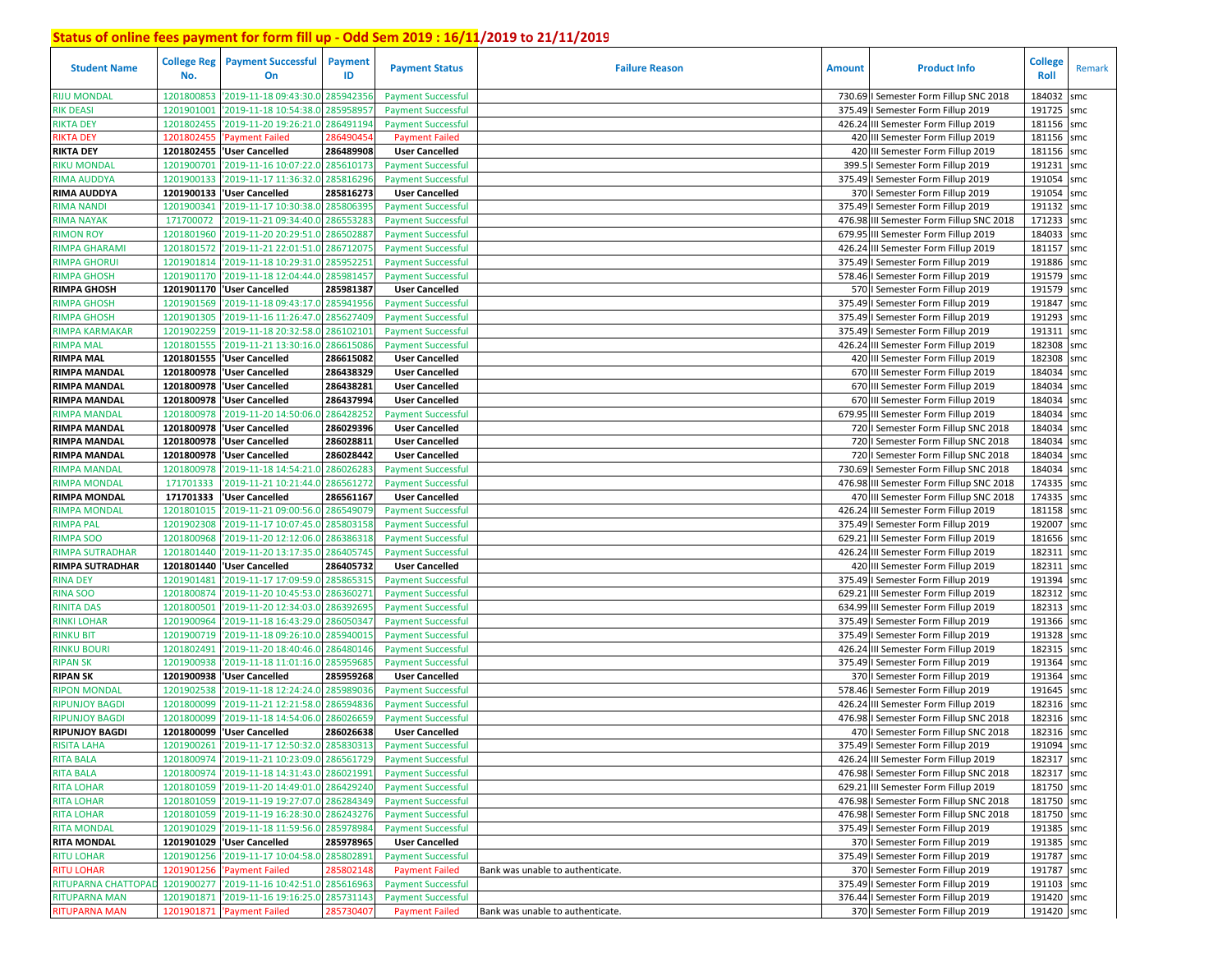| <b>Student Name</b>            | No.        | <b>College Reg</b> Payment Successful<br>On                   | Payment<br>ID | <b>Payment Status</b>                                  | <b>Failure Reason</b>            | <b>Amount</b> | <b>Product Info</b>                      | <b>College</b><br>Roll | Remark     |
|--------------------------------|------------|---------------------------------------------------------------|---------------|--------------------------------------------------------|----------------------------------|---------------|------------------------------------------|------------------------|------------|
| <b>RIJU MONDAL</b>             | 1201800853 | '2019-11-18 09:43:30.0                                        | 28594235      | <b>Payment Successful</b>                              |                                  |               | 730.69   Semester Form Fillup SNC 2018   | 184032                 | smc        |
| <b>RIK DEASI</b>               | 120190100  | '2019-11-18 10:54:38.0                                        | 28595895      | <b>Payment Successful</b>                              |                                  |               | 375.49   Semester Form Fillup 2019       | 191725 smc             |            |
| RIKTA DEY                      | 1201802455 | '2019-11-20 19:26:21.0                                        | 28649119      | <b>Payment Successful</b>                              |                                  |               | 426.24 III Semester Form Fillup 2019     | 181156 smc             |            |
| RIKTA DEY                      | 1201802455 | 'Payment Failed                                               | 28649045      | <b>Payment Failed</b>                                  |                                  |               | 420 III Semester Form Fillup 2019        | 181156 smc             |            |
| <b>RIKTA DEY</b>               | 1201802455 | 'User Cancelled                                               | 286489908     | <b>User Cancelled</b>                                  |                                  |               | 420 III Semester Form Fillup 2019        | 181156 smc             |            |
| <b>RIKU MONDAL</b>             | 1201900701 | '2019-11-16 10:07:22.0 285610173                              |               | <b>Payment Successful</b>                              |                                  | 399.          | I Semester Form Fillup 2019              | 191231                 | smc        |
| <b>RIMA AUDDYA</b>             | 1201900133 | '2019-11-17 11:36:32.0                                        | 28581629      | <b>Payment Successful</b>                              |                                  |               | 375.49   Semester Form Fillup 2019       | 191054                 | smc        |
| <b>RIMA AUDDYA</b>             | 1201900133 | 'User Cancelled                                               | 285816273     | <b>User Cancelled</b>                                  |                                  |               | 370   Semester Form Fillup 2019          | 191054                 | smc        |
| RIMA NANDI                     | 1201900341 | '2019-11-17 10:30:38.0                                        | 285806395     | <b>Payment Successful</b>                              |                                  |               | 375.49   Semester Form Fillup 2019       | 191132 smc             |            |
| <b>RIMA NAYAK</b>              | 171700072  | '2019-11-21 09:34:40.0                                        | 286553283     | <b>Payment Successful</b>                              |                                  |               | 476.98 III Semester Form Fillup SNC 2018 | 171233                 | smc        |
| <b>RIMON ROY</b>               | 1201801960 | '2019-11-20 20:29:51.0                                        | 28650288      | <b>Payment Successful</b>                              |                                  |               | 679.95 III Semester Form Fillup 2019     | 184033                 | smc        |
| RIMPA GHARAMI                  | 1201801572 | '2019-11-21 22:01:51.0                                        | 28671207      | <b>Payment Successful</b>                              |                                  |               | 426.24 III Semester Form Fillup 2019     | 181157                 | smc        |
| RIMPA GHORU                    | 1201901814 | '2019-11-18 10:29:31.0                                        | 28595225      | <b>Payment Successful</b>                              |                                  |               | 375.49   Semester Form Fillup 2019       | 191886 smc             |            |
| RIMPA GHOSH                    | 1201901170 | '2019-11-18 12:04:44.0                                        | 285981457     | <b>Payment Successful</b>                              |                                  |               | 578.46   Semester Form Fillup 2019       | 191579 smc             |            |
| <b>RIMPA GHOSH</b>             | 1201901170 | 'User Cancelled                                               | 285981387     | <b>User Cancelled</b>                                  |                                  |               | 570   Semester Form Fillup 2019          | 191579 smc             |            |
| RIMPA GHOSH                    | 1201901569 | 2019-11-18 09:43:17.0                                         | 285941956     | <b>Payment Successful</b>                              |                                  | 375.49        | I Semester Form Fillup 2019              | 191847                 | smc        |
| <b>RIMPA GHOSH</b>             | 1201901305 | '2019-11-16 11:26:47.0                                        | 28562740      | <b>Payment Successful</b>                              |                                  |               | 375.49   Semester Form Fillup 2019       | 191293                 | smc        |
| RIMPA KARMAKAR                 | 1201902259 | 2019-11-18 20:32:58.0                                         | 28610210      | <b>Payment Successful</b>                              |                                  |               | 375.49   Semester Form Fillup 2019       | 191311                 | smc        |
| <b>RIMPA MAL</b>               | 1201801555 | '2019-11-21 13:30:16.0                                        | 28661508      | <b>Payment Successful</b>                              |                                  |               | 426.24 III Semester Form Fillup 2019     | 182308 smc             |            |
| <b>RIMPA MAL</b>               | 1201801555 | 'User Cancelled                                               | 286615082     | <b>User Cancelled</b>                                  |                                  |               | 420 III Semester Form Fillup 2019        | 182308                 | smc        |
| <b>RIMPA MANDAL</b>            | 1201800978 | 'User Cancelled                                               | 286438329     | <b>User Cancelled</b>                                  |                                  |               | 670 III Semester Form Fillup 2019        | 184034 smc             |            |
| <b>RIMPA MANDAL</b>            | 1201800978 | 'User Cancelled                                               | 286438281     | <b>User Cancelled</b>                                  |                                  |               | 670 III Semester Form Fillup 2019        | 184034                 | smc        |
| <b>RIMPA MANDAL</b>            | 1201800978 | 'User Cancelled                                               | 286437994     | <b>User Cancelled</b>                                  |                                  |               | 670 III Semester Form Fillup 2019        | 184034                 | smc        |
| RIMPA MANDAI                   | 1201800978 | '2019-11-20 14:50:06.0                                        | 286428252     | <b>Payment Successful</b>                              |                                  | 679.95        | III Semester Form Fillup 2019            | 184034                 | smc        |
| <b>RIMPA MANDAL</b>            | 1201800978 | 'User Cancelled                                               | 286029396     | <b>User Cancelled</b>                                  |                                  |               | 720   Semester Form Fillup SNC 2018      | 184034                 | smc        |
| <b>RIMPA MANDAL</b>            | 1201800978 | 'User Cancelled                                               | 286028811     | <b>User Cancelled</b>                                  |                                  |               | 720   Semester Form Fillup SNC 2018      | 184034                 | smc        |
| <b>RIMPA MANDAL</b>            | 1201800978 | 'User Cancelled                                               | 286028442     | <b>User Cancelled</b>                                  |                                  |               | 720   Semester Form Fillup SNC 2018      | 184034                 | smc        |
| RIMPA MANDAL                   | 1201800978 | '2019-11-18 14:54:21.0                                        | 286026283     | <b>Payment Successful</b>                              |                                  |               | 730.69   Semester Form Fillup SNC 2018   | 184034                 | smc        |
| RIMPA MONDAL                   | 171701333  | '2019-11-21 10:21:44.0                                        | 286561272     | <b>Payment Successful</b>                              |                                  |               | 476.98 III Semester Form Fillup SNC 2018 | 174335                 | smc        |
| RIMPA MONDAL                   | 171701333  | 'User Cancelled                                               | 286561167     | <b>User Cancelled</b>                                  |                                  |               | 470 III Semester Form Fillup SNC 2018    | 174335                 | smc        |
| RIMPA MONDAL                   | 1201801015 | '2019-11-21 09:00:56.0                                        | 286549079     | <b>Payment Successful</b>                              |                                  |               | 426.24 III Semester Form Fillup 2019     | 181158                 | smc        |
| RIMPA PAL                      | 1201902308 | '2019-11-17 10:07:45.0                                        | 285803158     | <b>Payment Successful</b>                              |                                  |               | 375.49   Semester Form Fillup 2019       | 192007                 | smc        |
| <b>RIMPA SOO</b>               | 1201800968 | '2019-11-20 12:12:06.0                                        | 286386318     | <b>Payment Successful</b>                              |                                  | 629.21        | III Semester Form Fillup 2019            | 181656 smc             |            |
| RIMPA SUTRADHAR                | 1201801440 | '2019-11-20 13:17:35.0                                        | 286405745     | <b>Payment Successful</b>                              |                                  |               | 426.24 III Semester Form Fillup 2019     | 182311 smc             |            |
| <b>RIMPA SUTRADHAR</b>         |            | 1201801440  'User Cancelled                                   | 286405732     | <b>User Cancelled</b>                                  |                                  |               | 420 III Semester Form Fillup 2019        | 182311 smc             |            |
| <b>RINA DEY</b>                | 1201901481 | '2019-11-17 17:09:59.0                                        | 285865315     | <b>Payment Successful</b>                              |                                  |               | 375.49   Semester Form Fillup 2019       | 191394 smc             |            |
| <b>RINA SOO</b>                | 1201800874 | '2019-11-20 10:45:53.0                                        | 28636027      | <b>Payment Successful</b>                              |                                  | 629.21        | III Semester Form Fillup 2019            | 182312                 | smc        |
| <b>RINITA DAS</b>              | 1201800501 | '2019-11-20 12:34:03.0                                        | 28639269      | <b>Payment Successful</b>                              |                                  |               | 634.99 III Semester Form Fillup 2019     | 182313 smc             |            |
| <b>RINKI LOHAR</b>             | 1201900964 | '2019-11-18 16:43:29.0                                        | 286050347     | <b>Payment Successful</b>                              |                                  |               | 375.49   Semester Form Fillup 2019       | 191366 smc             |            |
| <b>RINKU BIT</b>               | 1201900719 | '2019-11-18 09:26:10.0                                        | 285940015     | <b>Payment Successful</b>                              |                                  |               | 375.49   Semester Form Fillup 2019       | 191328 smc             |            |
|                                | 1201802491 |                                                               | 286480146     |                                                        |                                  |               | 426.24 III Semester Form Fillup 2019     | 182315                 |            |
| RINKU BOURI<br><b>RIPAN SK</b> | 1201900938 | 2019-11-20 18:40:46.0<br>'2019-11-18 11:01:16.0               | 28595968      | <b>Payment Successful</b><br><b>Payment Successful</b> |                                  | 375.49        | I Semester Form Fillup 2019              | 191364                 | smc<br>smc |
| <b>RIPAN SK</b>                | 1201900938 | 'User Cancelled                                               | 285959268     | <b>User Cancelled</b>                                  |                                  |               | 370   Semester Form Fillup 2019          | 191364                 | smc        |
| <b>RIPON MONDAL</b>            | 1201902538 | '2019-11-18 12:24:24.0                                        | 28598903      | <b>Payment Successful</b>                              |                                  |               | 578.46   Semester Form Fillup 2019       | 191645 smc             |            |
| RIPUNJOY BAGDI                 | 120180009  | '2019-11-21 12:21:58.0                                        | 28659483      |                                                        |                                  |               | 426.24 III Semester Form Fillup 2019     | 182316 smc             |            |
| RIPUNJOY BAGDI                 | 120180009  | '2019-11-18 14:54:06.0                                        | 28602665      | <b>Payment Successful</b><br><b>Payment Successful</b> |                                  |               | 476.98   Semester Form Fillup SNC 2018   | 182316 smc             |            |
| <b>RIPUNJOY BAGDI</b>          |            | 1201800099 User Cancelled                                     | 286026638     | <b>User Cancelled</b>                                  |                                  |               | 470   Semester Form Fillup SNC 2018      | 182316 smc             |            |
|                                |            |                                                               |               |                                                        |                                  |               |                                          |                        |            |
| RISITA LAHA                    |            | 1201900261 2019-11-17 12:50:32.0 285830313 Payment Successful |               |                                                        |                                  |               | 375.49   Semester Form Fillup 2019       | 191094 smc             |            |
| <b>RITA BALA</b>               |            | 1201800974 2019-11-21 10:23:09.0 286561729                    |               | <b>Payment Successful</b>                              |                                  |               | 426.24 III Semester Form Fillup 2019     | 182317 smc             |            |
| <b>RITA BALA</b>               |            | 1201800974 2019-11-18 14:31:43.0 286021991                    |               | <b>Payment Successful</b>                              |                                  |               | 476.98   Semester Form Fillup SNC 2018   | 182317 smc             |            |
| <b>RITA LOHAR</b>              |            | 1201801059 2019-11-20 14:49:01.0 286429240                    |               | <b>Payment Successful</b>                              |                                  |               | 629.21 III Semester Form Fillup 2019     | 181750 smc             |            |
| <b>RITA LOHAR</b>              |            | 1201801059 2019-11-19 19:27:07.0 286284349                    |               | <b>Payment Successful</b>                              |                                  |               | 476.98   Semester Form Fillup SNC 2018   | 181750 smc             |            |
| <b>RITA LOHAR</b>              |            | 1201801059 2019-11-19 16:28:30.0 286243276                    |               | <b>Payment Successful</b>                              |                                  |               | 476.98   Semester Form Fillup SNC 2018   | 181750 smc             |            |
| <b>RITA MONDAL</b>             |            | 1201901029 2019-11-18 11:59:56.0 285978984                    |               | <b>Payment Successful</b>                              |                                  |               | 375.49   Semester Form Fillup 2019       | 191385 smc             |            |
| <b>RITA MONDAL</b>             |            | 1201901029 User Cancelled                                     | 285978965     | <b>User Cancelled</b>                                  |                                  |               | 370   Semester Form Fillup 2019          | 191385 smc             |            |
| <b>RITU LOHAR</b>              |            | 1201901256 2019-11-17 10:04:58.0 285802891                    |               | <b>Payment Successful</b>                              |                                  |               | 375.49   Semester Form Fillup 2019       | 191787 smc             |            |
| <b>RITU LOHAR</b>              |            | 1201901256 'Payment Failed                                    | 285802148     | <b>Payment Failed</b>                                  | Bank was unable to authenticate. |               | 370   Semester Form Fillup 2019          | 191787 smc             |            |
| RITUPARNA CHATTOPAD            |            | 1201900277 '2019-11-16 10:42:51.0 285616963                   |               | <b>Payment Successful</b>                              |                                  |               | 375.49   Semester Form Fillup 2019       | 191103 smc             |            |
| RITUPARNA MAN                  |            | 1201901871 2019-11-16 19:16:25.0 285731143                    |               | <b>Payment Successful</b>                              |                                  |               | 376.44   Semester Form Fillup 2019       | 191420 smc             |            |
| <b>RITUPARNA MAN</b>           |            | 1201901871 'Payment Failed                                    | 285730407     | <b>Payment Failed</b>                                  | Bank was unable to authenticate. |               | 370   Semester Form Fillup 2019          | 191420 smc             |            |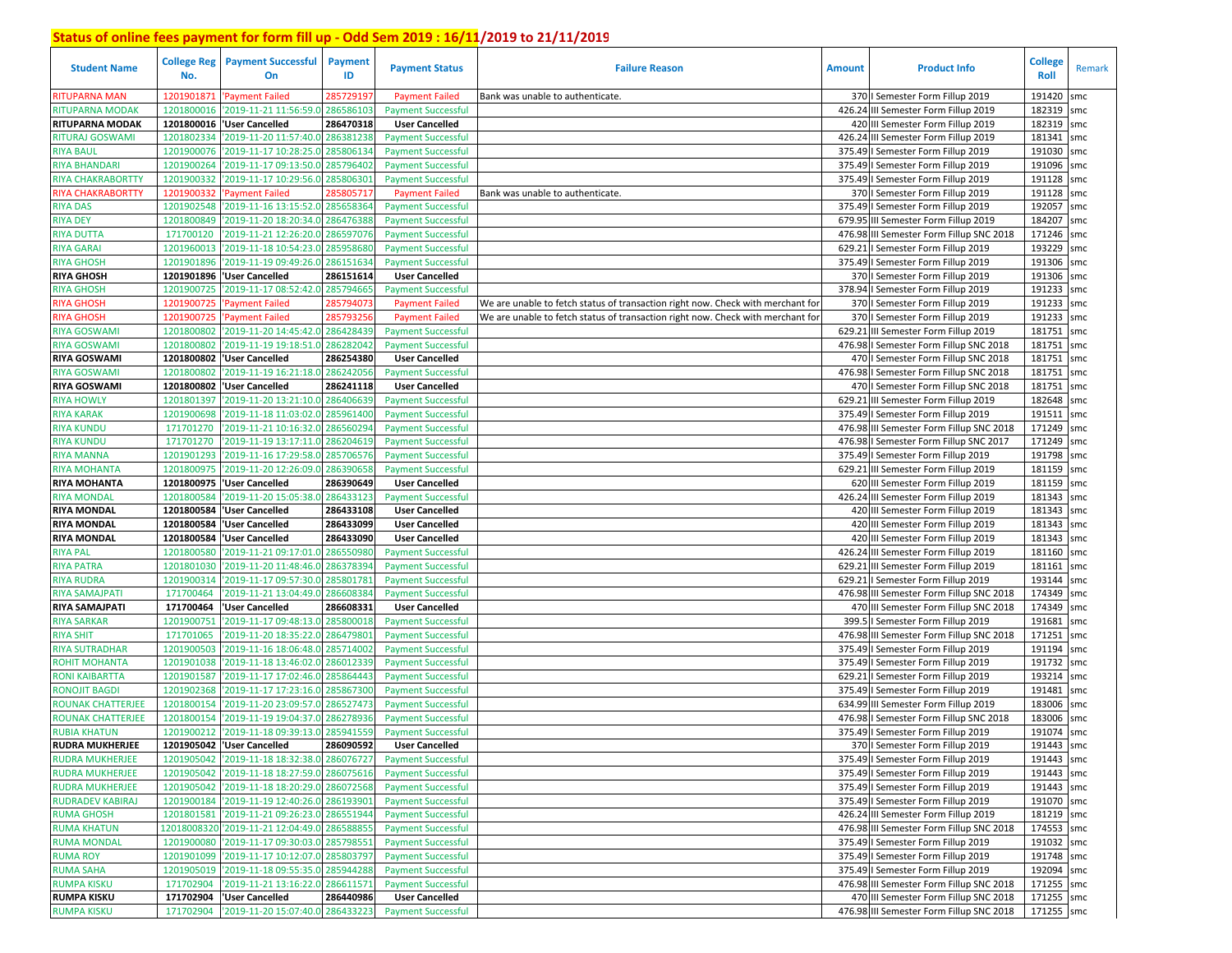| <b>Student Name</b>                       | <b>College Reg</b><br>No. | <b>Payment Successful</b><br>On                | <b>Payment</b><br>ID | <b>Payment Status</b>                                  | <b>Failure Reason</b>                                                           | <b>Amount</b> | <b>Product Info</b>                                                      | College<br>Roll      | Remark |
|-------------------------------------------|---------------------------|------------------------------------------------|----------------------|--------------------------------------------------------|---------------------------------------------------------------------------------|---------------|--------------------------------------------------------------------------|----------------------|--------|
| <b>RITUPARNA MAN</b>                      | 1201901871                | 'Payment Failed                                | 285729197            | <b>Payment Failed</b>                                  | Bank was unable to authenticate.                                                |               | 370   Semester Form Fillup 2019                                          | 191420               | smc    |
| <b>RITUPARNA MODAK</b>                    | 1201800016                | '2019-11-21 11:56:59.0 28658610                |                      | <b>Payment Successful</b>                              |                                                                                 |               | 426.24 III Semester Form Fillup 2019                                     | 182319               | smc    |
| <b>RITUPARNA MODAK</b>                    |                           | 1201800016   User Cancelled                    | 286470318            | <b>User Cancelled</b>                                  |                                                                                 |               | 420 III Semester Form Fillup 2019                                        | 182319 smc           |        |
| <b>RITURAJ GOSWAMI</b>                    | 1201802334                | '2019-11-20 11:57:40.0 286381238               |                      | <b>Payment Successful</b>                              |                                                                                 |               | 426.24 III Semester Form Fillup 2019                                     | 181341               | smc    |
| <b>RIYA BAUL</b>                          | 1201900076                | '2019-11-17 10:28:25.0 285806134               |                      | <b>Payment Successful</b>                              |                                                                                 |               | 375.49   Semester Form Fillup 2019                                       | 191030               | smc    |
| <b>RIYA BHANDARI</b>                      | 1201900264                | '2019-11-17 09:13:50.0 285796402               |                      | <b>Payment Successful</b>                              |                                                                                 |               | 375.49   Semester Form Fillup 2019                                       | 191096               | smc    |
| <b>RIYA CHAKRABORTTY</b>                  | 1201900332                | '2019-11-17 10:29:56.0                         | 28580630             | <b>Payment Successful</b>                              |                                                                                 |               | 375.49   Semester Form Fillup 2019                                       | 191128 smc           |        |
| <b>RIYA CHAKRABORTTY</b>                  | 1201900332                | 'Payment Failed                                | 285805717            | <b>Payment Failed</b>                                  | Bank was unable to authenticate.                                                |               | 370   Semester Form Fillup 2019                                          | 191128               | smc    |
| <b>RIYA DAS</b>                           | 1201902548                | '2019-11-16 13:15:52.0 285658364               |                      | <b>Payment Successful</b>                              |                                                                                 |               | 375.49   Semester Form Fillup 2019                                       | 192057               | smc    |
| <b>RIYA DEY</b>                           | 1201800849                | '2019-11-20 18:20:34.0 286476388               |                      | <b>Payment Successful</b>                              |                                                                                 |               | 679.95 III Semester Form Fillup 2019                                     | 184207               | smc    |
| <b>RIYA DUTTA</b>                         | 171700120                 | '2019-11-21 12:26:20.0                         | 28659707             | <b>Payment Successful</b>                              |                                                                                 |               | 476.98 III Semester Form Fillup SNC 2018                                 | 171246               | smc    |
| <b>RIYA GARAI</b>                         | 1201960013                | '2019-11-18 10:54:23.0 28595868                |                      | <b>Payment Successful</b>                              |                                                                                 |               | 629.21   Semester Form Fillup 2019                                       | 193229               | smc    |
| <b>RIYA GHOSH</b>                         | 1201901896                | '2019-11-19 09:49:26.0                         | 286151634            | <b>Payment Successful</b>                              |                                                                                 |               | 375.49   Semester Form Fillup 2019                                       | 191306 smc           |        |
| <b>RIYA GHOSH</b>                         | 1201901896                | 'User Cancelled                                | 286151614            | <b>User Cancelled</b>                                  |                                                                                 |               | 370   Semester Form Fillup 2019                                          | 191306               | smc    |
| <b>RIYA GHOSH</b>                         | 1201900725                | '2019-11-17 08:52:42.0                         | 285794665            | <b>Payment Successful</b>                              |                                                                                 |               | 378.94   Semester Form Fillup 2019                                       | 191233 smc           |        |
| <b>RIYA GHOSH</b>                         | 1201900725                | <b>Payment Failed</b>                          | 28579407             | <b>Payment Failed</b>                                  | We are unable to fetch status of transaction right now. Check with merchant for |               | 370   Semester Form Fillup 2019                                          | 191233               | smc    |
| <b>RIYA GHOSH</b>                         | 1201900725                | <b>Payment Failed</b>                          | 28579325             | <b>Payment Failed</b>                                  | We are unable to fetch status of transaction right now. Check with merchant for |               | 370   Semester Form Fillup 2019                                          | 191233 smc           |        |
| <b>RIYA GOSWAMI</b>                       | 1201800802                | '2019-11-20 14:45:42.0                         | 28642843             | <b>Payment Successful</b>                              |                                                                                 |               | 629.21 III Semester Form Fillup 2019                                     | 181751               | smc    |
| <b>RIYA GOSWAMI</b>                       | 1201800802                | '2019-11-19 19:18:51.0                         | 28628204             | <b>Payment Successful</b>                              |                                                                                 |               | 476.98   Semester Form Fillup SNC 2018                                   | 181751               | smc    |
| <b>RIYA GOSWAMI</b>                       |                           | 1201800802 User Cancelled                      | 286254380            | <b>User Cancelled</b>                                  |                                                                                 |               | 470   Semester Form Fillup SNC 2018                                      | 181751               | smc    |
| <b>RIYA GOSWAMI</b>                       | 1201800802                | '2019-11-19 16:21:18.0                         | 286242056            | <b>Payment Successful</b>                              |                                                                                 |               | 476.98   Semester Form Fillup SNC 2018                                   | 181751               | smc    |
| <b>RIYA GOSWAMI</b>                       |                           | 1201800802 User Cancelled                      | 286241118            | <b>User Cancelled</b>                                  |                                                                                 |               | 470   Semester Form Fillup SNC 2018                                      | 181751               | smc    |
| <b>RIYA HOWLY</b>                         | 1201801397                | '2019-11-20 13:21:10.0                         | 286406639            | <b>Payment Successful</b>                              |                                                                                 |               | 629.21 III Semester Form Fillup 2019                                     | 182648               | smc    |
| <b>RIYA KARAK</b>                         | 1201900698                | '2019-11-18 11:03:02.0                         | 28596140             | <b>Payment Successful</b>                              |                                                                                 |               | 375.49   Semester Form Fillup 2019                                       | 191511               | smc    |
| <b>RIYA KUNDU</b>                         | 171701270                 | '2019-11-21 10:16:32.0 28656029                |                      | <b>Payment Successful</b>                              |                                                                                 |               | 476.98 III Semester Form Fillup SNC 2018                                 | 171249               | smc    |
| <b>RIYA KUNDU</b>                         | 171701270                 | '2019-11-19 13:17:11.0 28620461!               |                      | <b>Payment Successful</b>                              |                                                                                 |               | 476.98   Semester Form Fillup SNC 2017                                   | 171249 smc           |        |
| <b>RIYA MANNA</b>                         | 1201901293                | '2019-11-16 17:29:58.0                         | 285706576            | <b>Payment Successful</b>                              |                                                                                 |               | 375.49   Semester Form Fillup 2019                                       | 191798               | smc    |
| <b>RIYA MOHANTA</b>                       | 1201800975                | '2019-11-20 12:26:09.0                         | 286390658            | <b>Payment Successful</b>                              |                                                                                 |               | 629.21 III Semester Form Fillup 2019                                     | 181159 smc           |        |
| <b>RIYA MOHANTA</b>                       | 1201800975                | 'User Cancelled                                | 286390649            | <b>User Cancelled</b>                                  |                                                                                 |               | 620 III Semester Form Fillup 2019                                        | 181159               | smc    |
| <b>RIYA MONDAL</b>                        | 1201800584                | '2019-11-20 15:05:38.0                         | 286433123            | <b>Payment Successful</b>                              |                                                                                 |               | 426.24 III Semester Form Fillup 2019                                     | 181343 smc           |        |
| <b>RIYA MONDAL</b>                        |                           | 1201800584  'User Cancelled                    | 286433108            | <b>User Cancelled</b>                                  |                                                                                 |               | 420 III Semester Form Fillup 2019                                        | 181343               | smc    |
| <b>RIYA MONDAL</b>                        |                           | 1201800584 User Cancelled                      | 286433099            | <b>User Cancelled</b>                                  |                                                                                 |               | 420 III Semester Form Fillup 2019                                        | 181343 smc           |        |
| <b>RIYA MONDAL</b>                        |                           | 1201800584 User Cancelled                      | 286433090            | <b>User Cancelled</b>                                  |                                                                                 |               | 420 III Semester Form Fillup 2019                                        | 181343 smc           |        |
| <b>RIYA PAL</b>                           | 1201800580                | '2019-11-21 09:17:01.0                         | 286550980            | <b>Payment Successful</b>                              |                                                                                 |               | 426.24 III Semester Form Fillup 2019                                     | 181160 smc           |        |
| <b>RIYA PATRA</b>                         | 1201801030                | '2019-11-20 11:48:46.0 28637839                |                      | <b>Payment Successful</b>                              |                                                                                 |               | 629.21 III Semester Form Fillup 2019                                     | 181161               | smc    |
| <b>RIYA RUDRA</b>                         | 1201900314                | '2019-11-17 09:57:30.0                         | 28580178             | <b>Payment Successful</b>                              |                                                                                 |               | 629.21   Semester Form Fillup 2019                                       | 193144 smc           |        |
| <b>RIYA SAMAJPATI</b>                     | 171700464                 | '2019-11-21 13:04:49.0                         | 28660838             | <b>Payment Successful</b>                              |                                                                                 |               | 476.98 III Semester Form Fillup SNC 2018                                 | 174349               | smc    |
| RIYA SAMAJPATI                            | 171700464                 | 'User Cancelled                                | 286608331            | <b>User Cancelled</b>                                  |                                                                                 |               | 470 III Semester Form Fillup SNC 2018                                    | 174349 smc           |        |
| <b>RIYA SARKAR</b>                        | 1201900751                | '2019-11-17 09:48:13.0 28580001                |                      | <b>Payment Successful</b>                              |                                                                                 |               | 399.5   Semester Form Fillup 2019                                        | 191681<br>171251     | smc    |
| <b>RIYA SHIT</b><br><b>RIYA SUTRADHAR</b> | 171701065                 | '2019-11-20 18:35:22.0 28647980:               |                      | <b>Payment Successful</b>                              |                                                                                 |               | 476.98 III Semester Form Fillup SNC 2018                                 |                      | smc    |
|                                           | 1201900503<br>1201901038  | 2019-11-16 18:06:48.0                          | 28571400             | <b>Payment Successful</b>                              |                                                                                 |               | 375.49   Semester Form Fillup 2019                                       | 191194<br>191732 smc | smc    |
| ROHIT MOHANTA<br><b>RONI KAIBARTTA</b>    | 1201901587                | 2019-11-18 13:46:02.0<br>2019-11-17 17:02:46.0 | 28601233<br>28586444 | <b>Payment Successful</b><br><b>Payment Successful</b> |                                                                                 |               | 375.49   Semester Form Fillup 2019<br>629.21   Semester Form Fillup 2019 | 193214               | smc    |
| <b>RONOJIT BAGDI</b>                      | 1201902368                | '2019-11-17 17:23:16.0 28586730                |                      | <b>Payment Successful</b>                              |                                                                                 |               | 375.49   Semester Form Fillup 2019                                       | 191481               | smc    |
| <b>ROUNAK CHATTERJEE</b>                  | 1201800154                | '2019-11-20 23:09:57.0                         | 286527473            | <b>Payment Successful</b>                              |                                                                                 |               | 634.99 III Semester Form Fillup 2019                                     | 183006               | smc    |
| <b>ROUNAK CHATTERJEE</b>                  | 1201800154                | '2019-11-19 19:04:37.0 28627893                |                      | <b>Payment Successful</b>                              |                                                                                 |               | 476.98   Semester Form Fillup SNC 2018                                   | 183006               | smc    |
| <b>RUBIA KHATUN</b>                       |                           | 1201900212 2019-11-18 09:39:13.0 285941559     |                      | <b>Payment Successful</b>                              |                                                                                 |               | 375.49   Semester Form Fillup 2019                                       | 191074               | smc    |
| <b>RUDRA MUKHERJEE</b>                    |                           | 1201905042 'User Cancelled                     | 286090592            | <b>User Cancelled</b>                                  |                                                                                 |               | 370   Semester Form Fillup 2019                                          | 191443 smc           |        |
| <b>RUDRA MUKHERJEE</b>                    |                           | 1201905042 2019-11-18 18:32:38.0 286076727     |                      | <b>Payment Successful</b>                              |                                                                                 |               | 375.49   Semester Form Fillup 2019                                       | 191443 smc           |        |
| <b>RUDRA MUKHERJEE</b>                    | 1201905042                | '2019-11-18 18:27:59.0 286075616               |                      | <b>Payment Successful</b>                              |                                                                                 |               | 375.49   Semester Form Fillup 2019                                       | 191443 smc           |        |
| <b>RUDRA MUKHERJEE</b>                    |                           | 1201905042 '2019-11-18 18:20:29.0 286072568    |                      | <b>Payment Successful</b>                              |                                                                                 |               | 375.49   Semester Form Fillup 2019                                       | 191443 smc           |        |
| <b>RUDRADEV KABIRAJ</b>                   |                           | 1201900184 '2019-11-19 12:40:26.0 286193901    |                      | <b>Payment Successful</b>                              |                                                                                 |               | 375.49   Semester Form Fillup 2019                                       | 191070 smc           |        |
| <b>RUMA GHOSH</b>                         |                           | 1201801581 2019-11-21 09:26:23.0 286551944     |                      | <b>Payment Successful</b>                              |                                                                                 |               | 426.24 III Semester Form Fillup 2019                                     | 181219 smc           |        |
| <b>RUMA KHATUN</b>                        |                           | 12018008320 '2019-11-21 12:04:49.0 286588855   |                      | <b>Payment Successful</b>                              |                                                                                 |               | 476.98 III Semester Form Fillup SNC 2018                                 | 174553 smc           |        |
| <b>RUMA MONDAL</b>                        |                           | 1201900080 2019-11-17 09:30:03.0 285798551     |                      | <b>Payment Successful</b>                              |                                                                                 |               | 375.49   Semester Form Fillup 2019                                       | 191032 smc           |        |
| <b>RUMA ROY</b>                           |                           | 1201901099 2019-11-17 10:12:07.0 285803797     |                      | <b>Payment Successful</b>                              |                                                                                 |               | 375.49   Semester Form Fillup 2019                                       | 191748 smc           |        |
| <b>RUMA SAHA</b>                          |                           | 1201905019 2019-11-18 09:55:35.0 285944288     |                      | <b>Payment Successful</b>                              |                                                                                 |               | 375.49   Semester Form Fillup 2019                                       | 192094 smc           |        |
| <b>RUMPA KISKU</b>                        |                           | 171702904 2019-11-21 13:16:22.0 286611571      |                      | <b>Payment Successful</b>                              |                                                                                 |               | 476.98 III Semester Form Fillup SNC 2018                                 | 171255 smc           |        |
| <b>RUMPA KISKU</b>                        |                           | 171702904 VSer Cancelled                       | 286440986            | <b>User Cancelled</b>                                  |                                                                                 |               | 470 III Semester Form Fillup SNC 2018                                    | 171255 smc           |        |
| <b>RUMPA KISKU</b>                        |                           | 171702904 2019-11-20 15:07:40.0 286433223      |                      | <b>Payment Successful</b>                              |                                                                                 |               | 476.98 III Semester Form Fillup SNC 2018                                 | 171255 smc           |        |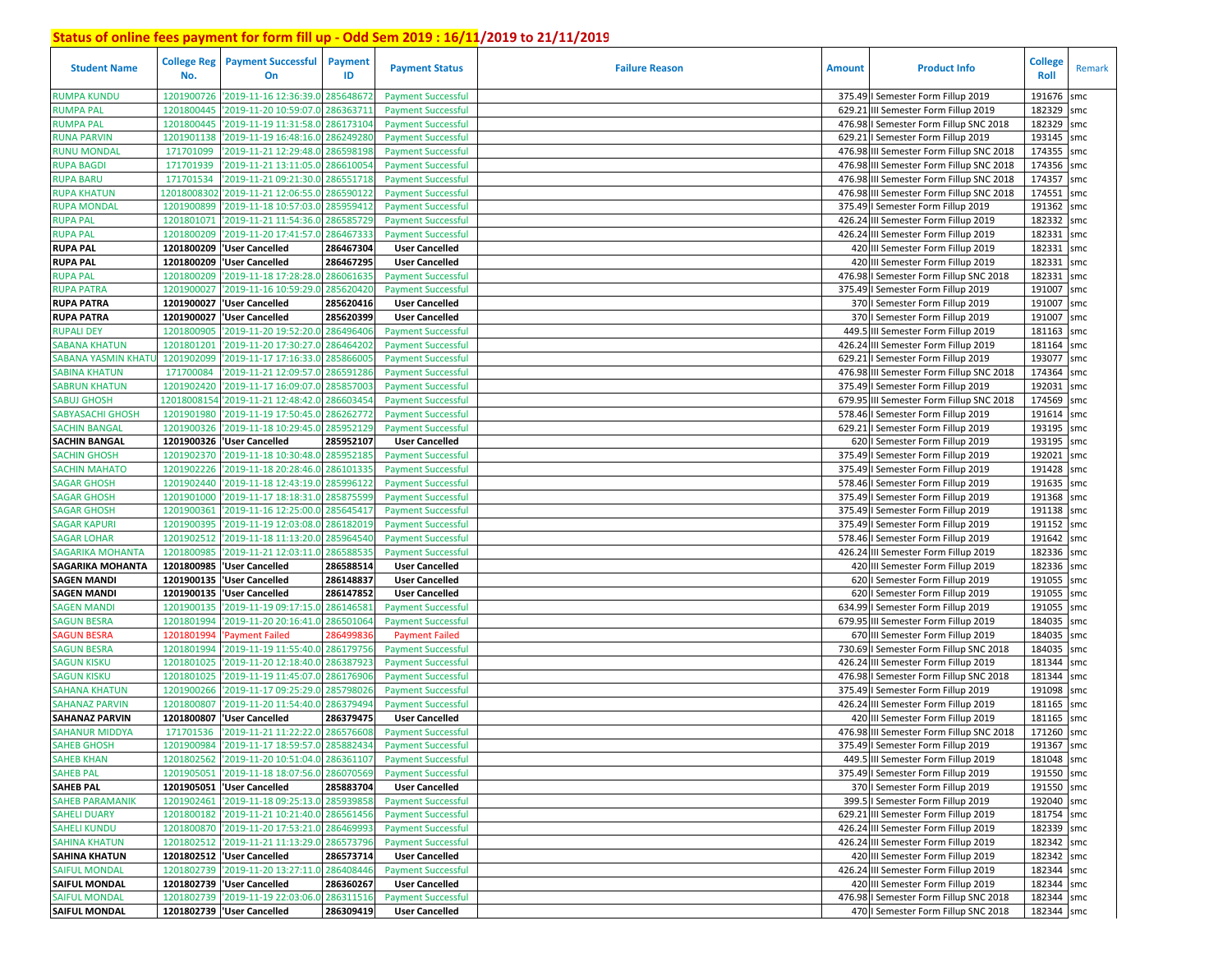| <b>Student Name</b>        | <b>College Reg</b><br>No. | <b>Payment Successful</b><br>On            | Payment<br>ID | <b>Payment Status</b>     | <b>Failure Reason</b> | <b>Amount</b> | <b>Product Info</b>                      | <b>College</b><br>Roll | Remark |
|----------------------------|---------------------------|--------------------------------------------|---------------|---------------------------|-----------------------|---------------|------------------------------------------|------------------------|--------|
| <b>RUMPA KUNDU</b>         | 1201900726                | '2019-11-16 12:36:39.0                     | 285648672     | <b>Payment Successful</b> |                       |               | 375.49   Semester Form Fillup 2019       | 191676                 | smc    |
| RUMPA PAL                  | 1201800445                | '2019-11-20 10:59:07.0                     | 28636371      | <b>Payment Successful</b> |                       | 629.21        | III Semester Form Fillup 2019            | 182329                 | smc    |
| RUMPA PAL                  | 1201800445                | '2019-11-19 11:31:58.0                     | 28617310      | <b>Payment Successful</b> |                       | 476.98        | I Semester Form Fillup SNC 2018          | 182329 smc             |        |
| <b>RUNA PARVIN</b>         | 1201901138                | '2019-11-19 16:48:16.0                     | 28624928      | <b>Payment Successful</b> |                       | 629.21        | I Semester Form Fillup 2019              | 193145                 | smc    |
| <b>RUNU MONDAL</b>         | 171701099                 | '2019-11-21 12:29:48.0                     | 286598198     | <b>Payment Successful</b> |                       |               | 476.98 III Semester Form Fillup SNC 2018 | 174355 smc             |        |
| <b>RUPA BAGDI</b>          | 171701939                 | '2019-11-21 13:11:05.0                     | 286610054     | <b>Payment Successful</b> |                       |               | 476.98 III Semester Form Fillup SNC 2018 | 174356 smc             |        |
| <b>RUPA BARU</b>           | 171701534                 | '2019-11-21 09:21:30.0                     | 286551718     | <b>Payment Successful</b> |                       |               | 476.98 III Semester Form Fillup SNC 2018 | 174357 smc             |        |
| <b>RUPA KHATUN</b>         | 12018008302               | '2019-11-21 12:06:55.0                     | 286590122     | <b>Payment Successful</b> |                       |               | 476.98 III Semester Form Fillup SNC 2018 | 174551                 | smc    |
| RUPA MONDAL                | 1201900899                | '2019-11-18 10:57:03.0                     | 28595941      | <b>Payment Successful</b> |                       |               | 375.49   Semester Form Fillup 2019       | 191362 smc             |        |
| <b>RUPA PAL</b>            | 1201801071                | '2019-11-21 11:54:36.0                     | 286585729     | <b>Payment Successful</b> |                       |               | 426.24 III Semester Form Fillup 2019     | 182332                 | smc    |
| <b>RUPA PAL</b>            | 1201800209                | '2019-11-20 17:41:57.0 286467333           |               | <b>Payment Successful</b> |                       |               | 426.24 III Semester Form Fillup 2019     | 182331 smc             |        |
| <b>RUPA PAL</b>            | 1201800209                | 'User Cancelled                            | 286467304     | <b>User Cancelled</b>     |                       |               | 420 III Semester Form Fillup 2019        | 182331                 | smc    |
| <b>RUPA PAL</b>            | 1201800209                | 'User Cancelled                            | 286467295     | <b>User Cancelled</b>     |                       |               | 420 III Semester Form Fillup 2019        | 182331                 | smc    |
| <b>NUPA PAL</b>            | 1201800209                | 2019-11-18 17:28:28.0                      | 286061635     | <b>Payment Successful</b> |                       | 476.98        | I Semester Form Fillup SNC 2018          | 182331                 | smc    |
| <b>NUPA PATRA</b>          | 1201900027                | '2019-11-16 10:59:29.0                     | 285620420     | <b>Payment Successful</b> |                       |               | 375.49   Semester Form Fillup 2019       | 191007 smc             |        |
| <b>RUPA PATRA</b>          | 1201900027                | 'User Cancelled                            | 285620416     | <b>User Cancelled</b>     |                       |               | 370   Semester Form Fillup 2019          | 191007                 | smc    |
| <b>RUPA PATRA</b>          | 1201900027                | 'User Cancelled                            | 285620399     | <b>User Cancelled</b>     |                       |               | 370   Semester Form Fillup 2019          | 191007 smc             |        |
| <b>RUPALI DEY</b>          | 1201800905                | '2019-11-20 19:52:20.0                     | 28649640      | <b>Payment Successful</b> |                       | 449.5         | III Semester Form Fillup 2019            | 181163 smc             |        |
| SABANA KHATUN              | 1201801201                | '2019-11-20 17:30:27.0                     | 28646420      | <b>Payment Successful</b> |                       |               | 426.24 III Semester Form Fillup 2019     | 181164 smc             |        |
| <b>SABANA YASMIN KHATI</b> | 1201902099                | '2019-11-17 17:16:33.0                     | 28586600      | <b>Payment Successful</b> |                       | 629.21        | I Semester Form Fillup 2019              | 193077                 | smc    |
| SABINA KHATUN              | 17170008                  | '2019-11-21 12:09:57.0                     | 28659128      | <b>Payment Successful</b> |                       |               | 476.98 III Semester Form Fillup SNC 2018 | 174364                 | smc    |
| <b>SABRUN KHATUN</b>       | 1201902420                | '2019-11-17 16:09:07.0                     | 28585700      | <b>Payment Successful</b> |                       |               | 375.49   Semester Form Fillup 2019       | 192031                 | smc    |
| <b>SABUJ GHOSH</b>         | 12018008154               | '2019-11-21 12:48:42.0                     | 28660345      | <b>Payment Successful</b> |                       | 679.95        | III Semester Form Fillup SNC 2018        | 174569 smc             |        |
| <b>SABYASACHI GHOSH</b>    | 1201901980                | '2019-11-19 17:50:45.0                     | 28626277      | <b>Payment Successful</b> |                       | 578.46        | I Semester Form Fillup 2019              | 191614                 | smc    |
| SACHIN BANGAL              | 1201900326                | '2019-11-18 10:29:45.0                     | 285952129     | <b>Payment Successful</b> |                       | 629.21        | I Semester Form Fillup 2019              | 193195 smc             |        |
| <b>SACHIN BANGAL</b>       | 1201900326                | 'User Cancelled                            | 285952107     | <b>User Cancelled</b>     |                       |               | 620   Semester Form Fillup 2019          | 193195 smc             |        |
| <b>SACHIN GHOSH</b>        | 1201902370                | '2019-11-18 10:30:48.0                     | 285952185     | <b>Payment Successful</b> |                       | 375.49        | I Semester Form Fillup 2019              | 192021                 | smc    |
| <b>SACHIN MAHATO</b>       | 1201902226                | '2019-11-18 20:28:46.0                     | 28610133      | <b>Payment Successful</b> |                       |               | 375.49   Semester Form Fillup 2019       | 191428                 | smc    |
| <b>SAGAR GHOSH</b>         | 1201902440                | '2019-11-18 12:43:19.0                     | 285996122     | <b>Payment Successful</b> |                       |               | 578.46   Semester Form Fillup 2019       | 191635                 | smc    |
| SAGAR GHOSH                | 1201901000                | '2019-11-17 18:18:31.0                     | 285875599     | <b>Payment Successful</b> |                       |               | 375.49   Semester Form Fillup 2019       | 191368 smc             |        |
| <b>SAGAR GHOSH</b>         | 1201900361                | '2019-11-16 12:25:00.0                     | 285645417     | <b>Payment Successful</b> |                       |               | 375.49   Semester Form Fillup 2019       | 191138 smc             |        |
| <b>SAGAR KAPURI</b>        | 1201900395                | '2019-11-19 12:03:08.0                     | 286182019     | <b>Payment Successful</b> |                       |               | 375.49   Semester Form Fillup 2019       | 191152 smc             |        |
| <b>SAGAR LOHAR</b>         | 1201902512                | '2019-11-18 11:13:20.0                     | 285964540     | <b>Payment Successful</b> |                       |               | 578.46   Semester Form Fillup 2019       | 191642                 | smc    |
| <b>SAGARIKA MOHANTA</b>    | 1201800985                | '2019-11-21 12:03:11.0                     | 286588535     | <b>Payment Successful</b> |                       |               | 426.24 III Semester Form Fillup 2019     | 182336 smc             |        |
| <b>SAGARIKA MOHANTA</b>    | 1201800985                | 'User Cancelled                            | 286588514     | <b>User Cancelled</b>     |                       |               | 420 III Semester Form Fillup 2019        | 182336 smc             |        |
| <b>SAGEN MANDI</b>         | 1201900135                | 'User Cancelled                            | 286148837     | <b>User Cancelled</b>     |                       |               | 620   Semester Form Fillup 2019          | 191055 smc             |        |
| <b>SAGEN MANDI</b>         | 1201900135                | 'User Cancelled                            | 286147852     | <b>User Cancelled</b>     |                       |               | 620   Semester Form Fillup 2019          | 191055                 | smc    |
| <b>SAGEN MANDI</b>         | 1201900135                | '2019-11-19 09:17:15.0                     | 28614658      | <b>Payment Successful</b> |                       |               | 634.99   Semester Form Fillup 2019       | 191055 smc             |        |
| <b>SAGUN BESRA</b>         | 1201801994                | 2019-11-20 20:16:41.0                      | 28650106      | <b>Payment Successful</b> |                       |               | 679.95 III Semester Form Fillup 2019     | 184035                 | smc    |
| <b>AGUN BESRA</b>          | 120180199                 | 'Payment Failed                            | 28649983      | <b>Payment Failed</b>     |                       |               | 670 III Semester Form Fillup 2019        | 184035                 | smc    |
| <b>SAGUN BESRA</b>         | 120180199                 | '2019-11-19 11:55:40.0                     | 286179756     | <b>Payment Successful</b> |                       |               | 730.69   Semester Form Fillup SNC 2018   | 184035                 | smc    |
| <b>SAGUN KISKU</b>         | 1201801025                | '2019-11-20 12:18:40.0                     | 28638792      | <b>Payment Successful</b> |                       |               | 426.24 III Semester Form Fillup 2019     | 181344 smc             |        |
| <b>SAGUN KISKU</b>         | 1201801025                | '2019-11-19 11:45:07.0                     | 28617690      | <b>Payment Successful</b> |                       |               | 476.98   Semester Form Fillup SNC 2018   | 181344 smc             |        |
| SAHANA KHATUN              | 1201900266                | '2019-11-17 09:25:29.0                     | 28579802      | <b>Payment Successful</b> |                       |               | 375.49   Semester Form Fillup 2019       | 191098 smc             |        |
| <b>SAHANAZ PARVIN</b>      | 1201800807                | '2019-11-20 11:54:40.0                     | 28637949      | <b>Payment Successful</b> |                       |               | 426.24 III Semester Form Fillup 2019     | 181165                 | smc    |
| <b>SAHANAZ PARVIN</b>      | 1201800807                | 'User Cancelled                            | 286379475     | <b>User Cancelled</b>     |                       |               | 420 III Semester Form Fillup 2019        | 181165                 | smc    |
| <b>SAHANUR MIDDYA</b>      | 171701536                 | '2019-11-21 11:22:22.0 286576608           |               | <b>Payment Successful</b> |                       |               | 476.98 III Semester Form Fillup SNC 2018 | 171260 smc             |        |
| <b>SAHEB GHOSH</b>         |                           | 1201900984 2019-11-17 18:59:57.0 285882434 |               | <b>Payment Successful</b> |                       |               | 375.49   Semester Form Fillup 2019       | 191367                 | smc    |
| <b>SAHEB KHAN</b>          |                           | 1201802562 2019-11-20 10:51:04.0 286361107 |               | <b>Payment Successful</b> |                       |               | 449.5 III Semester Form Fillup 2019      | 181048 smc             |        |
| <b>SAHEB PAL</b>           |                           | 1201905051 2019-11-18 18:07:56.0 286070569 |               | <b>Payment Successful</b> |                       |               | 375.49   Semester Form Fillup 2019       | 191550 smc             |        |
| <b>SAHEB PAL</b>           |                           | 1201905051 User Cancelled                  | 285883704     | <b>User Cancelled</b>     |                       |               | 370   Semester Form Fillup 2019          | 191550 smc             |        |
| <b>SAHEB PARAMANIK</b>     |                           | 1201902461 2019-11-18 09:25:13.0 285939858 |               | <b>Payment Successful</b> |                       |               | 399.5   Semester Form Fillup 2019        | 192040 smc             |        |
| <b>SAHELI DUARY</b>        |                           | 1201800182 2019-11-21 10:21:40.0 286561456 |               | <b>Payment Successful</b> |                       |               | 629.21 III Semester Form Fillup 2019     | 181754 smc             |        |
| <b>SAHELI KUNDU</b>        |                           | 1201800870 2019-11-20 17:53:21.0 286469993 |               | <b>Payment Successful</b> |                       |               | 426.24 III Semester Form Fillup 2019     | 182339 smc             |        |
| <b>SAHINA KHATUN</b>       |                           | 1201802512 2019-11-21 11:13:29.0 286573796 |               | <b>Payment Successful</b> |                       |               | 426.24 III Semester Form Fillup 2019     | 182342 smc             |        |
| <b>SAHINA KHATUN</b>       |                           | 1201802512 User Cancelled                  | 286573714     | <b>User Cancelled</b>     |                       |               | 420 III Semester Form Fillup 2019        | 182342 smc             |        |
| <b>SAIFUL MONDAL</b>       |                           | 1201802739 2019-11-20 13:27:11.0 286408446 |               | <b>Payment Successful</b> |                       |               | 426.24 III Semester Form Fillup 2019     | 182344 smc             |        |
| <b>SAIFUL MONDAL</b>       |                           | 1201802739 'User Cancelled                 | 286360267     | <b>User Cancelled</b>     |                       |               | 420 III Semester Form Fillup 2019        | 182344 smc             |        |
| <b>SAIFUL MONDAL</b>       |                           | 1201802739 2019-11-19 22:03:06.0 286311516 |               | <b>Payment Successful</b> |                       |               | 476.98   Semester Form Fillup SNC 2018   | 182344 smc             |        |
| <b>SAIFUL MONDAL</b>       |                           | 1201802739  'User Cancelled                | 286309419     | <b>User Cancelled</b>     |                       |               | 470   Semester Form Fillup SNC 2018      | 182344 smc             |        |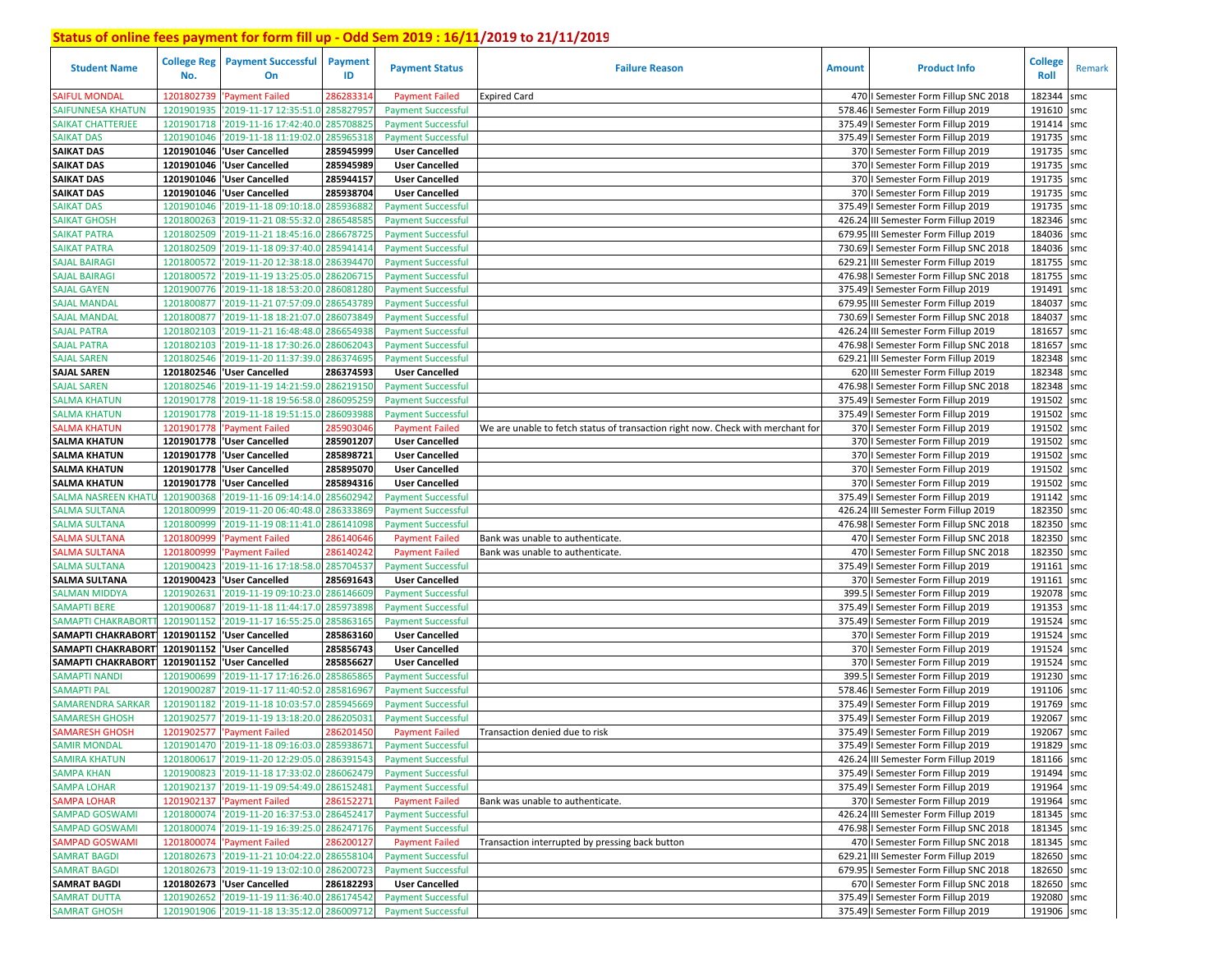| <b>Student Name</b>       | <b>College Reg</b><br>No. | <b>Payment Successful</b><br>On             | <b>Payment</b><br>ID | <b>Payment Status</b>     | <b>Failure Reason</b>                                                           | <b>Amount</b> | <b>Product Info</b>                    | <b>College</b><br>Roll | Remark |
|---------------------------|---------------------------|---------------------------------------------|----------------------|---------------------------|---------------------------------------------------------------------------------|---------------|----------------------------------------|------------------------|--------|
| <b>SAIFUL MONDAL</b>      | 1201802739                | 'Payment Failed                             | 28628331             | <b>Payment Failed</b>     | <b>Expired Card</b>                                                             |               | 470   Semester Form Fillup SNC 2018    | 182344                 | smc    |
| <b>SAIFUNNESA KHATUN</b>  | 1201901935                | '2019-11-17 12:35:51.0                      | 285827957            | <b>Payment Successful</b> |                                                                                 |               | 578.46   Semester Form Fillup 2019     | 191610                 | smc    |
| <b>SAIKAT CHATTERJEE</b>  | 1201901718                | '2019-11-16 17:42:40.0                      | 28570882             | <b>Payment Successful</b> |                                                                                 |               | 375.49   Semester Form Fillup 2019     | 191414 smc             |        |
| <b>SAIKAT DAS</b>         | 1201901046                | '2019-11-18 11:19:02.0                      | 285965318            | <b>Payment Successful</b> |                                                                                 |               | 375.49   Semester Form Fillup 2019     | 191735 smc             |        |
| <b>SAIKAT DAS</b>         |                           | 1201901046 VJser Cancelled                  | 285945999            | <b>User Cancelled</b>     |                                                                                 |               | 370   Semester Form Fillup 2019        | 191735 smc             |        |
| <b>SAIKAT DAS</b>         |                           | 1201901046 User Cancelled                   | 285945989            | <b>User Cancelled</b>     |                                                                                 |               | 370   Semester Form Fillup 2019        | 191735                 | smc    |
| <b>SAIKAT DAS</b>         |                           | 1201901046 User Cancelled                   | 285944157            | <b>User Cancelled</b>     |                                                                                 |               | 370   Semester Form Fillup 2019        | 191735 smc             |        |
| <b>SAIKAT DAS</b>         |                           | 1201901046 User Cancelled                   | 285938704            | <b>User Cancelled</b>     |                                                                                 |               | 370   Semester Form Fillup 2019        | 191735 smc             |        |
| <b>SAIKAT DAS</b>         | 1201901046                | '2019-11-18 09:10:18.0                      | 28593688             | <b>Payment Successful</b> |                                                                                 |               | 375.49   Semester Form Fillup 2019     | 191735 smc             |        |
| <b>SAIKAT GHOSH</b>       | 1201800263                | '2019-11-21 08:55:32.0                      | 28654858             | <b>Payment Successful</b> |                                                                                 |               | 426.24 III Semester Form Fillup 2019   | 182346 smc             |        |
| <b>SAIKAT PATRA</b>       | 1201802509                | '2019-11-21 18:45:16.0 286678725            |                      | <b>Payment Successful</b> |                                                                                 |               | 679.95 III Semester Form Fillup 2019   | 184036 smc             |        |
| <b>SAIKAT PATRA</b>       | 1201802509                | '2019-11-18 09:37:40.0 285941414            |                      | <b>Payment Successful</b> |                                                                                 | 730.69        | I Semester Form Fillup SNC 2018        | 184036 smc             |        |
| <b>SAJAL BAIRAGI</b>      | 1201800572                | '2019-11-20 12:38:18.0 286394470            |                      | <b>Payment Successful</b> |                                                                                 | 629.21        | III Semester Form Fillup 2019          | 181755 smc             |        |
| <b>SAJAL BAIRAGI</b>      | 1201800572                | '2019-11-19 13:25:05.0                      | 286206715            | <b>Payment Successful</b> |                                                                                 | 476.98        | I Semester Form Fillup SNC 2018        | 181755                 | smc    |
| <b>SAJAL GAYEN</b>        | 1201900776                | '2019-11-18 18:53:20.0 28608128             |                      | <b>Payment Successful</b> |                                                                                 |               | 375.49   Semester Form Fillup 2019     | 191491                 | smc    |
| <b>SAJAL MANDAL</b>       | 1201800877                | '2019-11-21 07:57:09.0                      | 28654378             | <b>Payment Successful</b> |                                                                                 | 679.95        | III Semester Form Fillup 2019          | 184037                 | smc    |
| SAJAL MANDAL              | 1201800877                | '2019-11-18 18:21:07.0                      | 28607384             | <b>Payment Successful</b> |                                                                                 |               | 730.69   Semester Form Fillup SNC 2018 | 184037 smc             |        |
| <b>SAJAL PATRA</b>        | 1201802103                | '2019-11-21 16:48:48.0                      | 28665493             | <b>Payment Successful</b> |                                                                                 |               | 426.24 III Semester Form Fillup 2019   | 181657                 | smc    |
| <b>SAJAL PATRA</b>        | 1201802103                | '2019-11-18 17:30:26.0                      | 28606204             | <b>Payment Successful</b> |                                                                                 |               | 476.98   Semester Form Fillup SNC 2018 | 181657 smc             |        |
| <b>SAJAL SAREN</b>        | 1201802546                | '2019-11-20 11:37:39.0                      | 28637469             | <b>Payment Successful</b> |                                                                                 | 629.21        | III Semester Form Fillup 2019          | 182348                 | smc    |
| <b>SAJAL SAREN</b>        | 1201802546                | <b>User Cancelled</b>                       | 286374593            | <b>User Cancelled</b>     |                                                                                 |               | 620 III Semester Form Fillup 2019      | 182348 smc             |        |
| <b>SAJAL SAREN</b>        | 1201802546                | '2019-11-19 14:21:59.0                      | 286219150            | <b>Payment Successful</b> |                                                                                 |               | 476.98 I Semester Form Fillup SNC 2018 | 182348 smc             |        |
| <b>SALMA KHATUN</b>       | 1201901778                | '2019-11-18 19:56:58.0                      | 286095259            | <b>Payment Successful</b> |                                                                                 |               | 375.49   Semester Form Fillup 2019     | 191502 smc             |        |
| <b>SALMA KHATUN</b>       | 1201901778                | '2019-11-18 19:51:15.0                      | 286093988            | <b>Payment Successful</b> |                                                                                 |               | 375.49   Semester Form Fillup 2019     | 191502                 | smc    |
| SALMA KHATUN              | 1201901778                | 'Payment Failed                             | 285903046            | <b>Payment Failed</b>     | We are unable to fetch status of transaction right now. Check with merchant for |               | 370   Semester Form Fillup 2019        | 191502                 | smc    |
| <b>SALMA KHATUN</b>       |                           | 1201901778  'User Cancelled                 | 285901207            | <b>User Cancelled</b>     |                                                                                 |               | 370   Semester Form Fillup 2019        | 191502 smc             |        |
| <b>SALMA KHATUN</b>       | 1201901778                | <b>User Cancelled</b>                       | 285898721            | <b>User Cancelled</b>     |                                                                                 |               | 370   Semester Form Fillup 2019        | 191502                 | smc    |
| <b>SALMA KHATUN</b>       | 1201901778                | <b>User Cancelled</b>                       | 285895070            | <b>User Cancelled</b>     |                                                                                 |               | 370   Semester Form Fillup 2019        | 191502                 | smc    |
| <b>SALMA KHATUN</b>       | 1201901778                | <b>User Cancelled</b>                       | 285894316            | <b>User Cancelled</b>     |                                                                                 |               | 370   Semester Form Fillup 2019        | 191502                 | smc    |
| SALMA NASREEN KHATU       | 1201900368                | '2019-11-16 09:14:14.0                      | 285602942            | <b>Payment Successful</b> |                                                                                 |               | 375.49   Semester Form Fillup 2019     | 191142 smc             |        |
| <b>SALMA SULTANA</b>      | 1201800999                | '2019-11-20 06:40:48.0                      | 286333869            | <b>Payment Successful</b> |                                                                                 |               | 426.24 III Semester Form Fillup 2019   | 182350 smc             |        |
| <b>SALMA SULTANA</b>      | 1201800999                | '2019-11-19 08:11:41.0 286141098            |                      | <b>Payment Successful</b> |                                                                                 |               | 476.98   Semester Form Fillup SNC 2018 | 182350 smc             |        |
| <b>ALMA SULTANA</b>       | 1201800999                | Payment Failed                              | 28614064             | <b>Payment Failed</b>     | Bank was unable to authenticate.                                                |               | 470   Semester Form Fillup SNC 2018    | 182350 smc             |        |
| SALMA SULTANA             | 1201800999                | 'Payment Failed                             | 28614024             | <b>Payment Failed</b>     | Bank was unable to authenticate.                                                |               | 470   Semester Form Fillup SNC 2018    | 182350 smc             |        |
| <b>SALMA SULTANA</b>      | 1201900423                | '2019-11-16 17:18:58.0                      | 28570453             | <b>Payment Successful</b> |                                                                                 |               | 375.49   Semester Form Fillup 2019     | 191161                 | smc    |
| <b>SALMA SULTANA</b>      |                           | 1201900423  'User Cancelled                 | 285691643            | <b>User Cancelled</b>     |                                                                                 |               | 370   Semester Form Fillup 2019        | 191161 smc             |        |
| <b>SALMAN MIDDYA</b>      | 1201902631                | '2019-11-19 09:10:23.0                      | 286146609            | <b>Payment Successful</b> |                                                                                 | 399.5         | I Semester Form Fillup 2019            | 192078 smc             |        |
| <b>SAMAPTI BERE</b>       | 1201900687                | '2019-11-18 11:44:17.0                      | 28597389             | <b>Payment Successful</b> |                                                                                 | 375.49        | I Semester Form Fillup 2019            | 191353 smc             |        |
| <b>SAMAPTI CHAKRABORT</b> | 1201901152                | '2019-11-17 16:55:25.0                      | 285863165            | <b>Payment Successful</b> |                                                                                 |               | 375.49   Semester Form Fillup 2019     | 191524                 | smc    |
| SAMAPTI CHAKRABORT        |                           | 1201901152 User Cancelled                   | 285863160            | <b>User Cancelled</b>     |                                                                                 |               | 370   Semester Form Fillup 2019        | 191524 smc             |        |
| <b>SAMAPTI CHAKRABORT</b> | 1201901152                | <b>User Cancelled</b>                       | 285856743            | <b>User Cancelled</b>     |                                                                                 |               | 370   Semester Form Fillup 2019        | 191524 smc             |        |
| SAMAPTI CHAKRABORT        | 1201901152                | <b>User Cancelled</b>                       | 285856627            | <b>User Cancelled</b>     |                                                                                 |               | 370   Semester Form Fillup 2019        | 191524 smc             |        |
| <b>SAMAPTI NANDI</b>      | 1201900699                | '2019-11-17 17:16:26.0                      | 285865865            | <b>Payment Successful</b> |                                                                                 | 399.          | I Semester Form Fillup 2019            | 191230 smc             |        |
| SAMAPTI PAL               | 1201900287                | '2019-11-17 11:40:52.0                      | 285816967            | <b>Payment Successful</b> |                                                                                 |               | 578.46   Semester Form Fillup 2019     | 191106 smc             |        |
| <b>SAMARENDRA SARKAR</b>  | 1201901182                | '2019-11-18 10:03:57.0                      | 28594566             | <b>Payment Successful</b> |                                                                                 | 375.49        | I Semester Form Fillup 2019            | 191769                 | smc    |
| <b>SAMARESH GHOSH</b>     | 1201902577                | '2019-11-19 13:18:20.0                      | 28620503             | <b>Payment Successful</b> |                                                                                 | 375.49        | l Semester Form Fillup 2019            | 192067                 | smc    |
| <b>SAMARESH GHOSH</b>     | 1201902577                | 'Payment Failed                             | 286201450            | <b>Payment Failed</b>     | Transaction denied due to risk                                                  |               | 375.49   Semester Form Fillup 2019     | 192067                 | smc    |
| <b>SAMIR MONDAL</b>       |                           | 1201901470 2019-11-18 09:16:03.0 285938671  |                      | <b>Payment Successful</b> |                                                                                 |               | 375.49   Semester Form Fillup 2019     | 191829 smc             |        |
| <b>SAMIRA KHATUN</b>      |                           | 1201800617 '2019-11-20 12:29:05.0 286391543 |                      | <b>Payment Successful</b> |                                                                                 |               | 426.24 III Semester Form Fillup 2019   | 181166 smc             |        |
| <b>SAMPA KHAN</b>         |                           | 1201900823 2019-11-18 17:33:02.0 286062479  |                      | <b>Payment Successful</b> |                                                                                 |               | 375.49   Semester Form Fillup 2019     | 191494 smc             |        |
| <b>SAMPA LOHAR</b>        |                           | 1201902137 2019-11-19 09:54:49.0 286152481  |                      | <b>Payment Successful</b> |                                                                                 |               | 375.49   Semester Form Fillup 2019     | 191964 smc             |        |
| <b>SAMPA LOHAR</b>        |                           | 1201902137 'Payment Failed                  | 286152271            | <b>Payment Failed</b>     | Bank was unable to authenticate.                                                |               | 370   Semester Form Fillup 2019        | 191964 smc             |        |
| <b>SAMPAD GOSWAMI</b>     |                           | 1201800074 '2019-11-20 16:37:53.0 286452417 |                      | <b>Payment Successful</b> |                                                                                 |               | 426.24 III Semester Form Fillup 2019   | 181345 smc             |        |
| <b>SAMPAD GOSWAMI</b>     |                           | 1201800074 2019-11-19 16:39:25.0 286247176  |                      | <b>Payment Successful</b> |                                                                                 |               | 476.98   Semester Form Fillup SNC 2018 | 181345 smc             |        |
| <b>SAMPAD GOSWAMI</b>     |                           | 1201800074 'Payment Failed                  | 286200127            | <b>Payment Failed</b>     | Transaction interrupted by pressing back button                                 |               | 470   Semester Form Fillup SNC 2018    | 181345 smc             |        |
| <b>SAMRAT BAGDI</b>       |                           | 1201802673 2019-11-21 10:04:22.0 286558104  |                      | <b>Payment Successful</b> |                                                                                 |               | 629.21 III Semester Form Fillup 2019   | 182650 smc             |        |
| <b>SAMRAT BAGDI</b>       |                           | 1201802673 2019-11-19 13:02:10.0 286200723  |                      | <b>Payment Successful</b> |                                                                                 |               | 679.95   Semester Form Fillup SNC 2018 | 182650 smc             |        |
| <b>SAMRAT BAGDI</b>       |                           | 1201802673 User Cancelled                   | 286182293            | <b>User Cancelled</b>     |                                                                                 |               | 670   Semester Form Fillup SNC 2018    | 182650 smc             |        |
| <b>SAMRAT DUTTA</b>       |                           | 1201902652 2019-11-19 11:36:40.0 286174542  |                      | <b>Payment Successful</b> |                                                                                 |               | 375.49   Semester Form Fillup 2019     | 192080 smc             |        |
| <b>SAMRAT GHOSH</b>       |                           | 1201901906 2019-11-18 13:35:12.0 286009712  |                      | <b>Payment Successful</b> |                                                                                 |               | 375.49   Semester Form Fillup 2019     | 191906 smc             |        |
|                           |                           |                                             |                      |                           |                                                                                 |               |                                        |                        |        |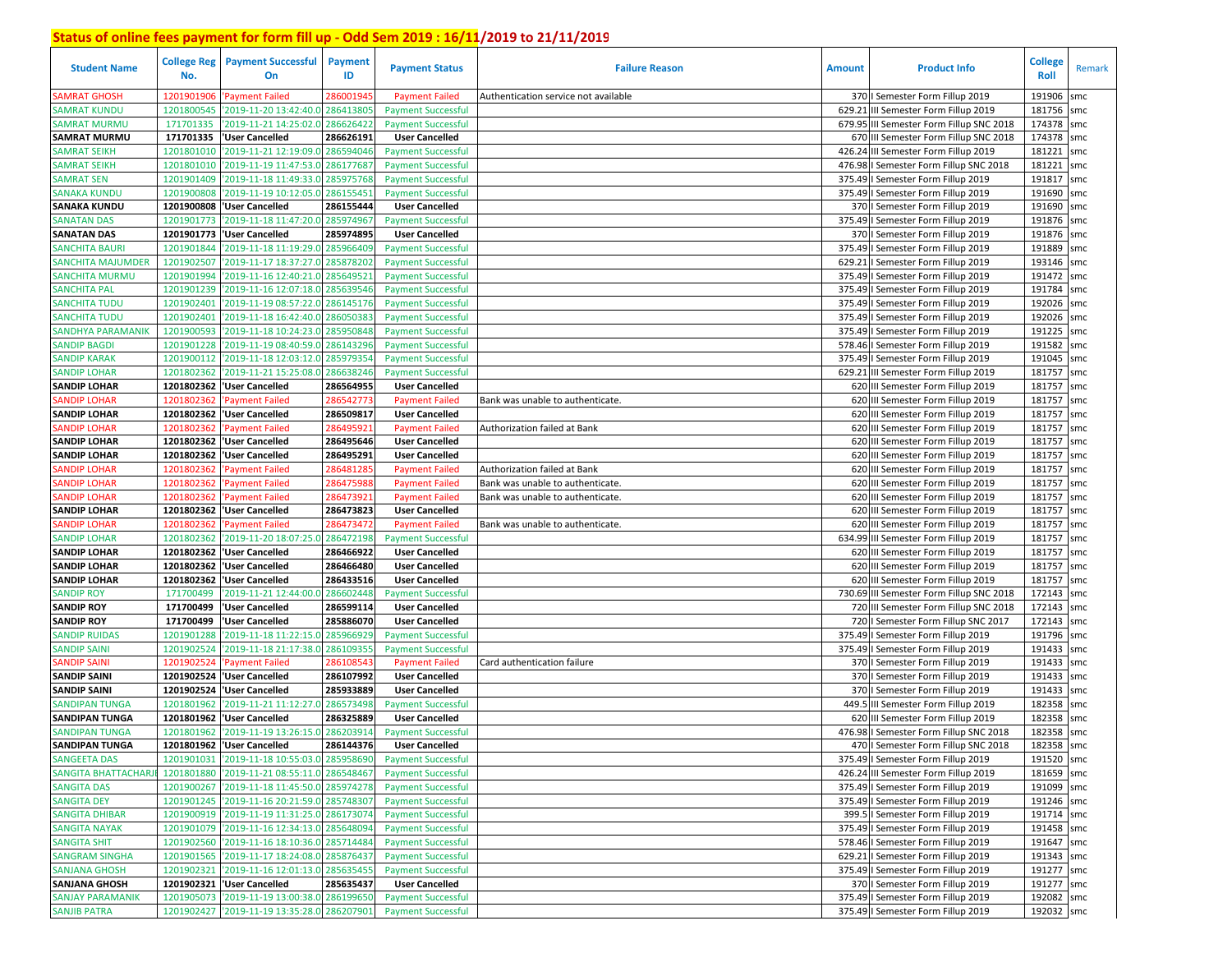| <b>Student Name</b>                          | <b>College Reg</b><br>No. | <b>Payment Successful</b><br>On                                                          | Payment<br>ID | <b>Payment Status</b>     | <b>Failure Reason</b>                | <b>Amount</b> | <b>Product Info</b>                                                   | <b>College</b><br>Roll | Remark |
|----------------------------------------------|---------------------------|------------------------------------------------------------------------------------------|---------------|---------------------------|--------------------------------------|---------------|-----------------------------------------------------------------------|------------------------|--------|
| SAMRAT GHOSH                                 | 1201901906                | 'Payment Failed                                                                          | 28600194!     | <b>Payment Failed</b>     | Authentication service not available |               | 370   Semester Form Fillup 2019                                       | 191906                 | smc    |
| <b>SAMRAT KUNDU</b>                          | 1201800545                | '2019-11-20 13:42:40.0 286413805                                                         |               | <b>Payment Successful</b> |                                      | 629.21        | III Semester Form Fillup 2019                                         | 181756 smc             |        |
| <b>SAMRAT MURMU</b>                          | 171701335                 | '2019-11-21 14:25:02.0                                                                   | 286626422     | <b>Payment Successful</b> |                                      |               | 679.95 III Semester Form Fillup SNC 2018                              | 174378 smc             |        |
| <b>SAMRAT MURMU</b>                          | 171701335                 | <b>User Cancelled</b>                                                                    | 286626191     | <b>User Cancelled</b>     |                                      |               | 670 III Semester Form Fillup SNC 2018                                 | 174378 smc             |        |
| SAMRAT SEIKH                                 | 1201801010                | '2019-11-21 12:19:09.0 286594046                                                         |               | <b>Payment Successful</b> |                                      |               | 426.24 III Semester Form Fillup 2019                                  | 181221                 | smc    |
| <b>SAMRAT SEIKH</b>                          | 1201801010                | '2019-11-19 11:47:53.0 286177687                                                         |               | <b>Payment Successful</b> |                                      |               | 476.98 I Semester Form Fillup SNC 2018                                | 181221                 | smc    |
| <b>SAMRAT SEN</b>                            | 1201901409                | '2019-11-18 11:49:33.0 285975768                                                         |               | <b>Payment Successful</b> |                                      |               | 375.49   Semester Form Fillup 2019                                    | 191817 smc             |        |
| <b>SANAKA KUNDU</b>                          | 1201900808                | '2019-11-19 10:12:05.0                                                                   | 286155451     | <b>Payment Successful</b> |                                      |               | 375.49   Semester Form Fillup 2019                                    | 191690 smc             |        |
| <b>SANAKA KUNDU</b>                          |                           | 1201900808 'User Cancelled                                                               | 286155444     | <b>User Cancelled</b>     |                                      |               | 370   Semester Form Fillup 2019                                       | 191690 smc             |        |
| <b>SANATAN DAS</b>                           | 1201901773                | '2019-11-18 11:47:20.0                                                                   | 285974967     | <b>Payment Successful</b> |                                      |               | 375.49   Semester Form Fillup 2019                                    | 191876 smc             |        |
| <b>SANATAN DAS</b>                           |                           | 1201901773 User Cancelled                                                                | 285974895     | <b>User Cancelled</b>     |                                      |               | 370   Semester Form Fillup 2019                                       | 191876 smc             |        |
| <b>SANCHITA BAURI</b>                        | 1201901844                | '2019-11-18 11:19:29.0 285966409                                                         |               | <b>Payment Successful</b> |                                      | 375.49        | I Semester Form Fillup 2019                                           | 191889 smc             |        |
| <b>SANCHITA MAJUMDER</b>                     | 1201902507                | '2019-11-17 18:37:27.0 285878202                                                         |               | <b>Payment Successful</b> |                                      | 629.21        | I Semester Form Fillup 2019                                           | 193146 smc             |        |
| <b>SANCHITA MURMU</b>                        | 1201901994                | '2019-11-16 12:40:21.0                                                                   | 285649521     | <b>Payment Successful</b> |                                      | 375.49        | I Semester Form Fillup 2019                                           | 191472                 | smc    |
| <b>SANCHITA PAL</b>                          | 1201901239                | '2019-11-16 12:07:18.0 285639546                                                         |               | <b>Payment Successful</b> |                                      |               | 375.49   Semester Form Fillup 2019                                    | 191784 smc             |        |
| <b>SANCHITA TUDU</b>                         | 1201902401                | '2019-11-19 08:57:22.0                                                                   | 286145176     | <b>Payment Successful</b> |                                      | 375.49        | I Semester Form Fillup 2019                                           | 192026 smc             |        |
| SANCHITA TUDU                                | 1201902401                | '2019-11-18 16:42:40.0                                                                   | 28605038      | <b>Payment Successful</b> |                                      | 375.49        | I Semester Form Fillup 2019                                           | 192026 smc             |        |
| <b>SANDHYA PARAMANIK</b>                     | 1201900593                | '2019-11-18 10:24:23.0                                                                   | 28595084      | <b>Payment Successful</b> |                                      |               | 375.49   Semester Form Fillup 2019                                    | 191225 smc             |        |
| <b>SANDIP BAGDI</b>                          | 1201901228                | '2019-11-19 08:40:59.0                                                                   | 28614329      | <b>Payment Successful</b> |                                      |               | 578.46   Semester Form Fillup 2019                                    | 191582 smc             |        |
| <b>SANDIP KARAK</b>                          | 1201900112                | '2019-11-18 12:03:12.0                                                                   | 28597935      | <b>Payment Successful</b> |                                      | 375.49        | I Semester Form Fillup 2019                                           | 191045                 | smc    |
| <b>SANDIP LOHAR</b>                          | 1201802362                | '2019-11-21 15:25:08.0                                                                   | 286638246     | <b>Payment Successful</b> |                                      | 629.21        | III Semester Form Fillup 2019                                         | 181757 smc             |        |
| <b>SANDIP LOHAR</b>                          | 1201802362                | <b>User Cancelled</b>                                                                    | 286564955     | <b>User Cancelled</b>     |                                      |               | 620 III Semester Form Fillup 2019                                     | 181757 smc             |        |
| <b>SANDIP LOHAR</b>                          | 1201802362                | Payment Failed                                                                           | 286542773     | <b>Payment Failed</b>     | Bank was unable to authenticate.     |               | 620 III Semester Form Fillup 2019                                     | 181757 smc             |        |
| <b>SANDIP LOHAR</b>                          |                           | 1201802362 User Cancelled                                                                | 286509817     | <b>User Cancelled</b>     |                                      |               | 620 III Semester Form Fillup 2019                                     | 181757 smc             |        |
| <b>SANDIP LOHAR</b>                          | 1201802362                | 'Payment Failed                                                                          | 286495921     | <b>Payment Failed</b>     | Authorization failed at Bank         |               | 620 III Semester Form Fillup 2019                                     | 181757 smc             |        |
| <b>SANDIP LOHAR</b>                          |                           | 1201802362 User Cancelled                                                                | 286495646     | <b>User Cancelled</b>     |                                      |               | 620 III Semester Form Fillup 2019                                     | 181757 smc             |        |
| <b>SANDIP LOHAR</b>                          | 1201802362                | <b>User Cancelled</b>                                                                    | 286495291     | <b>User Cancelled</b>     |                                      |               | 620 III Semester Form Fillup 2019                                     | 181757 smc             |        |
| <b>SANDIP LOHAR</b>                          | 1201802362                | 'Payment Failed                                                                          | 28648128      | <b>Payment Failed</b>     | Authorization failed at Bank         |               | 620 III Semester Form Fillup 2019                                     | 181757 smc             |        |
| <b>SANDIP LOHAR</b>                          | 1201802362                | 'Payment Failed                                                                          | 28647598      | <b>Payment Failed</b>     | Bank was unable to authenticate.     |               | 620 III Semester Form Fillup 2019                                     | 181757 smc             |        |
| <b>SANDIP LOHAR</b>                          | 1201802362                | 'Payment Failed                                                                          | 28647392      | <b>Payment Failed</b>     | Bank was unable to authenticate.     |               | 620 III Semester Form Fillup 2019                                     | 181757 smc             |        |
| <b>SANDIP LOHAR</b>                          |                           | 1201802362  'User Cancelled                                                              | 286473823     | <b>User Cancelled</b>     |                                      |               | 620 III Semester Form Fillup 2019                                     | 181757 smc             |        |
| <b>SANDIP LOHAR</b>                          | 1201802362                | 'Payment Failed                                                                          | 286473472     | <b>Payment Failed</b>     | Bank was unable to authenticate.     |               | 620 III Semester Form Fillup 2019                                     | 181757 smc             |        |
| <b>SANDIP LOHAR</b>                          | 1201802362                | '2019-11-20 18:07:25.0                                                                   | 286472198     | <b>Payment Successful</b> |                                      |               | 634.99 III Semester Form Fillup 2019                                  | 181757                 | smc    |
| <b>SANDIP LOHAR</b>                          |                           | 1201802362 User Cancelled                                                                | 286466922     | <b>User Cancelled</b>     |                                      |               | 620 III Semester Form Fillup 2019                                     | 181757 smc             |        |
| <b>SANDIP LOHAR</b>                          |                           | 1201802362 User Cancelled                                                                | 286466480     | <b>User Cancelled</b>     |                                      |               | 620 III Semester Form Fillup 2019                                     | 181757                 | smc    |
| <b>SANDIP LOHAR</b>                          |                           | 1201802362 'User Cancelled                                                               | 286433516     | <b>User Cancelled</b>     |                                      |               | 620 III Semester Form Fillup 2019                                     | 181757 smc             |        |
| <b>SANDIP ROY</b>                            | 171700499                 | '2019-11-21 12:44:00.0                                                                   | 286602448     | <b>Payment Successful</b> |                                      |               | 730.69 III Semester Form Fillup SNC 2018                              | 172143 smc             |        |
| <b>SANDIP ROY</b>                            | 171700499                 | 'User Cancelled                                                                          | 286599114     | <b>User Cancelled</b>     |                                      |               | 720 III Semester Form Fillup SNC 2018                                 | 172143 smc             |        |
| <b>SANDIP ROY</b>                            | 171700499                 | 'User Cancelled                                                                          | 285886070     | <b>User Cancelled</b>     |                                      |               | 720   Semester Form Fillup SNC 2017                                   | 172143 smc             |        |
| <b>SANDIP RUIDAS</b>                         | 1201901288                | '2019-11-18 11:22:15.0                                                                   | 28596692      | <b>Payment Successful</b> |                                      |               | 375.49   Semester Form Fillup 2019                                    | 191796 smc             |        |
| <b>SANDIP SAINI</b>                          | 1201902524                | '2019-11-18 21:17:38.0                                                                   | 28610935      | <b>Payment Successful</b> |                                      |               | 375.49   Semester Form Fillup 2019                                    | 191433                 | smc    |
| <b>SANDIP SAINI</b>                          | 1201902524                | 'Payment Failed                                                                          | 28610854      | <b>Payment Failed</b>     | Card authentication failure          |               | 370   Semester Form Fillup 2019                                       | 191433 smc             |        |
| <b>SANDIP SAINI</b>                          |                           | 1201902524 User Cancelled                                                                | 286107992     | <b>User Cancelled</b>     |                                      |               | 370   Semester Form Fillup 2019                                       | 191433 smc             |        |
| <b>SANDIP SAINI</b>                          |                           | 1201902524 User Cancelled                                                                | 285933889     | <b>User Cancelled</b>     |                                      |               | 370   Semester Form Fillup 2019                                       | 191433 smc             |        |
| <b>SANDIPAN TUNGA</b>                        | 1201801962                | '2019-11-21 11:12:27.0                                                                   | 286573498     | <b>Payment Successful</b> |                                      | 449.5         | III Semester Form Fillup 2019                                         | 182358                 | smc    |
| <b>SANDIPAN TUNGA</b>                        |                           | 1201801962 User Cancelled                                                                | 286325889     | <b>User Cancelled</b>     |                                      |               | 620 III Semester Form Fillup 2019                                     | 182358 smc             |        |
| <b>SANDIPAN TUNGA</b>                        |                           | 1201801962 2019-11-19 13:26:15.0                                                         | 286203914     | <b>Payment Successful</b> |                                      |               | 476.98   Semester Form Fillup SNC 2018                                | 182358 smc             |        |
| <b>SANDIPAN TUNGA</b>                        |                           | 1201801962 'User Cancelled                                                               | 286144376     | <b>User Cancelled</b>     |                                      |               | 470   Semester Form Fillup SNC 2018                                   | 182358 smc             |        |
| <b>SANGEETA DAS</b>                          |                           | 1201901031 2019-11-18 10:55:03.0 285958690                                               |               | <b>Payment Successful</b> |                                      |               | 375.49   Semester Form Fillup 2019                                    | 191520 smc             |        |
| <b>SANGITA BHATTACHAR</b>                    |                           | 1201801880 2019-11-21 08:55:11.0 286548467                                               |               | <b>Payment Successful</b> |                                      |               | 426.24 III Semester Form Fillup 2019                                  | 181659 smc             |        |
| <b>SANGITA DAS</b>                           |                           | 1201900267 2019-11-18 11:45:50.0 285974278                                               |               | <b>Payment Successful</b> |                                      |               | 375.49   Semester Form Fillup 2019                                    | 191099 smc             |        |
| <b>SANGITA DEY</b>                           |                           | 1201901245 2019-11-16 20:21:59.0 285748307                                               |               | <b>Payment Successful</b> |                                      |               | 375.49   Semester Form Fillup 2019                                    | 191246 smc             |        |
| <b>SANGITA DHIBAR</b>                        |                           | 1201900919 2019-11-19 11:31:25.0 286173074                                               |               | <b>Payment Successful</b> |                                      |               | 399.5   Semester Form Fillup 2019                                     | 191714 smc             |        |
| <b>SANGITA NAYAK</b>                         |                           | 1201901079 2019-11-16 12:34:13.0 285648094                                               |               | <b>Payment Successful</b> |                                      |               | 375.49   Semester Form Fillup 2019                                    | 191458 smc             |        |
|                                              |                           |                                                                                          |               |                           |                                      |               | 578.46   Semester Form Fillup 2019                                    | 191647 smc             |        |
| <b>SANGITA SHIT</b><br><b>SANGRAM SINGHA</b> |                           | 1201902560 2019-11-16 18:10:36.0 285714484<br>1201901565 2019-11-17 18:24:08.0 285876437 |               | <b>Payment Successful</b> |                                      |               | 629.21   Semester Form Fillup 2019                                    | 191343 smc             |        |
|                                              |                           |                                                                                          |               | <b>Payment Successful</b> |                                      |               |                                                                       |                        |        |
| <b>SANJANA GHOSH</b><br><b>SANJANA GHOSH</b> |                           | 1201902321 '2019-11-16 12:01:13.0 285635455<br>1201902321 User Cancelled                 |               | <b>Payment Successful</b> |                                      |               | 375.49   Semester Form Fillup 2019<br>370   Semester Form Fillup 2019 | 191277 smc             |        |
|                                              |                           |                                                                                          | 285635437     | <b>User Cancelled</b>     |                                      |               |                                                                       | 191277 smc             |        |
| <b>SANJAY PARAMANIK</b>                      |                           | 1201905073 2019-11-19 13:00:38.0 286199650                                               |               | <b>Payment Successful</b> |                                      |               | 375.49   Semester Form Fillup 2019                                    | 192082 smc             |        |
| <b>SANJIB PATRA</b>                          |                           | 1201902427 2019-11-19 13:35:28.0 286207901                                               |               | <b>Payment Successful</b> |                                      |               | 375.49   Semester Form Fillup 2019                                    | 192032 smc             |        |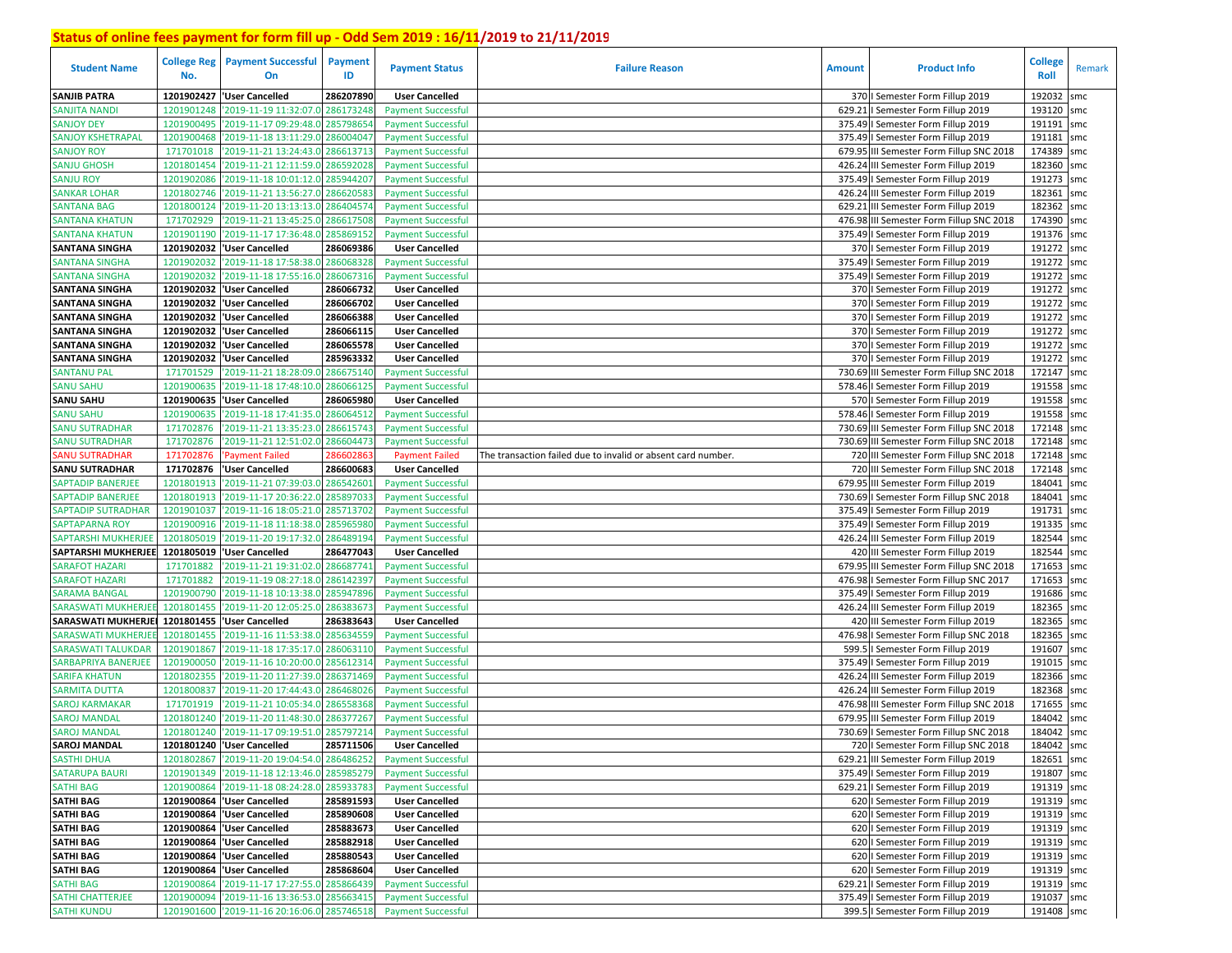| <b>Student Name</b>                                                          | <b>College Reg</b><br>No. | <b>Payment Successful</b><br>On            | Payment<br>ID | <b>Payment Status</b>                              | <b>Failure Reason</b>                                        | <b>Amount</b> | <b>Product Info</b>                                                           | <b>College</b><br>Roll | Remark |
|------------------------------------------------------------------------------|---------------------------|--------------------------------------------|---------------|----------------------------------------------------|--------------------------------------------------------------|---------------|-------------------------------------------------------------------------------|------------------------|--------|
| <b>SANJIB PATRA</b>                                                          | 1201902427                | <b>User Cancelled</b>                      | 286207890     | <b>User Cancelled</b>                              |                                                              |               | 370   Semester Form Fillup 2019                                               | 192032                 | smc    |
| <b>SANJITA NANDI</b>                                                         | 1201901248                | 2019-11-19 11:32:07.0                      | 286173248     | <b>Payment Successful</b>                          |                                                              | 629.21        | I Semester Form Fillup 2019                                                   | 193120                 | smc    |
| <b>SANJOY DEY</b>                                                            | 1201900495                | '2019-11-17 09:29:48.0                     | 285798654     | <b>Payment Successful</b>                          |                                                              |               | 375.49   Semester Form Fillup 2019                                            | 191191                 | smc    |
| <b>SANJOY KSHETRAPAL</b>                                                     | 1201900468                | '2019-11-18 13:11:29.0                     | 286004047     | <b>Payment Successful</b>                          |                                                              |               | 375.49   Semester Form Fillup 2019                                            | 191181                 | smc    |
| <b>SANJOY ROY</b>                                                            | 171701018                 | '2019-11-21 13:24:43.0                     | 286613713     | <b>Payment Successful</b>                          |                                                              |               | 679.95 III Semester Form Fillup SNC 2018                                      | 174389 smc             |        |
| <b>SANJU GHOSH</b>                                                           | 1201801454                | '2019-11-21 12:11:59.0                     | 286592028     | <b>Payment Successful</b>                          |                                                              |               | 426.24 III Semester Form Fillup 2019                                          | 182360 smc             |        |
| <b>SANJU ROY</b>                                                             | 1201902086                | '2019-11-18 10:01:12.0 285944207           |               | <b>Payment Successful</b>                          |                                                              |               | 375.49   Semester Form Fillup 2019                                            | 191273 smc             |        |
| <b>SANKAR LOHAR</b>                                                          | 1201802746                | '2019-11-21 13:56:27.0                     | 28662058      | <b>Payment Successful</b>                          |                                                              |               | 426.24 III Semester Form Fillup 2019                                          | 182361                 | smc    |
| <b>SANTANA BAG</b>                                                           | 1201800124                | '2019-11-20 13:13:13.0 28640457            |               | <b>Payment Successful</b>                          |                                                              |               | 629.21 III Semester Form Fillup 2019                                          | 182362 smc             |        |
| <b>SANTANA KHATUN</b>                                                        | 171702929                 | '2019-11-21 13:45:25.0                     | 28661750      | <b>Payment Successful</b>                          |                                                              |               | 476.98 III Semester Form Fillup SNC 2018                                      | 174390 smc             |        |
| <b>SANTANA KHATUN</b>                                                        | 1201901190                | '2019-11-17 17:36:48.0                     | 285869152     | <b>Payment Successful</b>                          |                                                              |               | 375.49   Semester Form Fillup 2019                                            | 191376 smc             |        |
| <b>SANTANA SINGHA</b>                                                        | 1201902032                | <b>User Cancelled</b>                      | 286069386     | <b>User Cancelled</b>                              |                                                              |               | 370   Semester Form Fillup 2019                                               | 191272 smc             |        |
| <b>SANTANA SINGHA</b>                                                        | 1201902032                | '2019-11-18 17:58:38.0                     | 286068328     | <b>Payment Successful</b>                          |                                                              |               | 375.49   Semester Form Fillup 2019                                            | 191272 smc             |        |
| <b>SANTANA SINGHA</b>                                                        | 1201902032                | '2019-11-18 17:55:16.0                     | 286067316     | <b>Payment Successful</b>                          |                                                              |               | 375.49   Semester Form Fillup 2019                                            | 191272                 | smc    |
| <b>SANTANA SINGHA</b>                                                        |                           | 1201902032 Vuser Cancelled                 | 286066732     | <b>User Cancelled</b>                              |                                                              |               | 370   Semester Form Fillup 2019                                               | 191272 smc             |        |
| <b>SANTANA SINGHA</b>                                                        | 1201902032                | <b>User Cancelled</b>                      | 286066702     | <b>User Cancelled</b>                              |                                                              |               | 370   Semester Form Fillup 2019                                               | 191272 smc             |        |
| <b>SANTANA SINGHA</b>                                                        | 1201902032                | <b>User Cancelled</b>                      | 286066388     | <b>User Cancelled</b>                              |                                                              |               | 370   Semester Form Fillup 2019                                               | 191272 smc             |        |
| <b>SANTANA SINGHA</b>                                                        | 1201902032                | <b>User Cancelled</b>                      | 286066115     | <b>User Cancelled</b>                              |                                                              |               | 370   Semester Form Fillup 2019                                               | 191272 smc             |        |
| <b>SANTANA SINGHA</b>                                                        |                           | 1201902032 User Cancelled                  | 286065578     | <b>User Cancelled</b>                              |                                                              |               | 370   Semester Form Fillup 2019                                               | 191272 smc             |        |
| <b>SANTANA SINGHA</b>                                                        | 1201902032                | <b>User Cancelled</b>                      | 285963332     | <b>User Cancelled</b>                              |                                                              |               | 370   Semester Form Fillup 2019                                               | 191272 smc             |        |
| <b>SANTANU PAL</b>                                                           | 171701529                 | '2019-11-21 18:28:09.0                     | 286675140     | <b>Payment Successful</b>                          |                                                              |               | 730.69 III Semester Form Fillup SNC 2018                                      | 172147 smc             |        |
| <b>SANU SAHU</b>                                                             | 1201900635                | '2019-11-18 17:48:10.0                     | 286066125     | <b>Payment Successful</b>                          |                                                              |               | 578.46   Semester Form Fillup 2019                                            | 191558 smc             |        |
| <b>SANU SAHU</b>                                                             |                           | 1201900635  'User Cancelled                | 286065980     | <b>User Cancelled</b>                              |                                                              |               | 570   Semester Form Fillup 2019                                               | 191558 smc             |        |
| <b>SANU SAHU</b>                                                             | 1201900635                | '2019-11-18 17:41:35.0                     | 286064512     | <b>Payment Successful</b>                          |                                                              |               | 578.46   Semester Form Fillup 2019                                            | 191558 smc             |        |
| <b>SANU SUTRADHAR</b>                                                        | 171702876                 | '2019-11-21 13:35:23.0 286615743           |               | <b>Payment Successful</b>                          |                                                              |               | 730.69 III Semester Form Fillup SNC 2018                                      | 172148 smc             |        |
| <b>SANU SUTRADHAR</b>                                                        | 171702876                 | 2019-11-21 12:51:02.0                      | 286604473     | <b>Payment Successful</b>                          |                                                              |               | 730.69 III Semester Form Fillup SNC 2018                                      | 172148 smc             |        |
| <b>ANU SUTRADHAR</b>                                                         | 171702876                 | <b>Payment Failed</b>                      | 28660286      | <b>Payment Failed</b>                              | The transaction failed due to invalid or absent card number. |               | 720 III Semester Form Fillup SNC 2018                                         | 172148 smc             |        |
| <b>SANU SUTRADHAR</b>                                                        | 171702876                 | 'User Cancelled                            | 286600683     | <b>User Cancelled</b>                              |                                                              |               | 720 III Semester Form Fillup SNC 2018                                         | 172148                 | smc    |
| <b>SAPTADIP BANERJEE</b>                                                     | 1201801913                | '2019-11-21 07:39:03.0 286542601           |               | <b>Payment Successful</b>                          |                                                              |               | 679.95 III Semester Form Fillup 2019                                          | 184041                 | smc    |
| SAPTADIP BANERJEE                                                            | 1201801913                | '2019-11-17 20:36:22.0                     | 285897033     | <b>Payment Successful</b>                          |                                                              |               | 730.69   Semester Form Fillup SNC 2018                                        | 184041 smc             |        |
| SAPTADIP SUTRADHAR                                                           | 1201901037                | '2019-11-16 18:05:21.0 285713702           |               | <b>Payment Successful</b>                          |                                                              |               | 375.49   Semester Form Fillup 2019                                            | 191731 smc             |        |
| <b>SAPTAPARNA ROY</b>                                                        | 1201900916                | '2019-11-18 11:18:38.0 28596598            |               | <b>Payment Successful</b>                          |                                                              |               | 375.49   Semester Form Fillup 2019                                            | 191335 smc             |        |
| <b>SAPTARSHI MUKHERJEE</b><br>SAPTARSHI MUKHERJEE 1201805019 'User Cancelled | 1201805019                | '2019-11-20 19:17:32.0                     | 286489194     | <b>Payment Successful</b>                          |                                                              |               | 426.24 III Semester Form Fillup 2019                                          | 182544<br>182544 smc   | smc    |
| <b>SARAFOT HAZARI</b>                                                        | 171701882                 | 2019-11-21 19:31:02.0 286687741            | 286477043     | <b>User Cancelled</b><br><b>Payment Successful</b> |                                                              |               | 420 III Semester Form Fillup 2019<br>679.95 III Semester Form Fillup SNC 2018 | 171653                 |        |
| <b>SARAFOT HAZARI</b>                                                        | 171701882                 | '2019-11-19 08:27:18.0 28614239'           |               | <b>Payment Successful</b>                          |                                                              |               | 476.98   Semester Form Fillup SNC 2017                                        | 171653 smc             | smc    |
| <b>SARAMA BANGAL</b>                                                         | 1201900790                | '2019-11-18 10:13:38.0 285947896           |               | <b>Payment Successful</b>                          |                                                              |               | 375.49   Semester Form Fillup 2019                                            | 191686 smc             |        |
| <b>SARASWATI MUKHERJE</b>                                                    | 1201801455                | '2019-11-20 12:05:25.0                     | 286383673     | <b>Payment Successful</b>                          |                                                              |               | 426.24 III Semester Form Fillup 2019                                          | 182365 smc             |        |
| <b>SARASWATI MUKHERJEI</b>                                                   | 1201801455                | 'User Cancelled                            | 286383643     | <b>User Cancelled</b>                              |                                                              |               | 420 III Semester Form Fillup 2019                                             | 182365                 | smc    |
| <b>SARASWATI MUKHERJE</b>                                                    | 1201801455                | '2019-11-16 11:53:38.0                     | 28563455      | <b>Payment Successful</b>                          |                                                              |               | 476.98   Semester Form Fillup SNC 2018                                        | 182365 smc             |        |
| <b>SARASWATI TALUKDAR</b>                                                    | 1201901867                | '2019-11-18 17:35:17.0                     | 286063110     | <b>Payment Successful</b>                          |                                                              |               | 599.5   Semester Form Fillup 2019                                             | 191607 smc             |        |
| SARBAPRIYA BANERJEE                                                          | 1201900050                | '2019-11-16 10:20:00.0                     | 28561231      | <b>Payment Successful</b>                          |                                                              |               | 375.49   Semester Form Fillup 2019                                            | 191015 smc             |        |
| <b>SARIFA KHATUN</b>                                                         | 1201802355                | '2019-11-20 11:27:39.0                     | 28637146      | <b>Payment Successful</b>                          |                                                              |               | 426.24 III Semester Form Fillup 2019                                          | 182366 smc             |        |
| <b>SARMITA DUTTA</b>                                                         | 1201800837                | '2019-11-20 17:44:43.0                     | 28646802      | <b>Payment Successful</b>                          |                                                              |               | 426.24 III Semester Form Fillup 2019                                          | 182368 smc             |        |
| <b>SAROJ KARMAKAR</b>                                                        | 171701919                 | '2019-11-21 10:05:34.0                     | 28655836      | <b>Payment Successful</b>                          |                                                              |               | 476.98 III Semester Form Fillup SNC 2018                                      | 171655                 | smc    |
| <b>SAROJ MANDAL</b>                                                          | 1201801240                | '2019-11-20 11:48:30.0                     | 286377267     | <b>Payment Successful</b>                          |                                                              | 679.95        | III Semester Form Fillup 2019                                                 | 184042                 | smc    |
| <b>SAROJ MANDAL</b>                                                          | 1201801240                | '2019-11-17 09:19:51.0 285797214           |               | <b>Payment Successful</b>                          |                                                              |               | 730.69   Semester Form Fillup SNC 2018                                        | 184042                 | smc    |
| <b>SAROJ MANDAL</b>                                                          |                           | 1201801240 User Cancelled                  | 285711506     | <b>User Cancelled</b>                              |                                                              |               | 720   Semester Form Fillup SNC 2018                                           | 184042 smc             |        |
| <b>SASTHI DHUA</b>                                                           |                           | 1201802867 2019-11-20 19:04:54.0 286486252 |               | <b>Payment Successful</b>                          |                                                              |               | 629.21 III Semester Form Fillup 2019                                          | 182651 smc             |        |
| <b>SATARUPA BAURI</b>                                                        |                           | 1201901349 2019-11-18 12:13:46.0 285985279 |               | <b>Payment Successful</b>                          |                                                              |               | 375.49   Semester Form Fillup 2019                                            | 191807 smc             |        |
| <b>SATHI BAG</b>                                                             |                           | 1201900864 2019-11-18 08:24:28.0 285933783 |               | <b>Payment Successful</b>                          |                                                              |               | 629.21   Semester Form Fillup 2019                                            | 191319 smc             |        |
| <b>SATHI BAG</b>                                                             |                           | 1201900864 User Cancelled                  | 285891593     | <b>User Cancelled</b>                              |                                                              |               | 620   Semester Form Fillup 2019                                               | 191319 smc             |        |
| <b>SATHI BAG</b>                                                             |                           | 1201900864 'User Cancelled                 | 285890608     | <b>User Cancelled</b>                              |                                                              |               | 620   Semester Form Fillup 2019                                               | 191319 smc             |        |
| <b>SATHI BAG</b>                                                             |                           | 1201900864 User Cancelled                  | 285883673     | <b>User Cancelled</b>                              |                                                              |               | 620   Semester Form Fillup 2019                                               | 191319 smc             |        |
| <b>SATHI BAG</b>                                                             |                           | 1201900864 User Cancelled                  | 285882918     | <b>User Cancelled</b>                              |                                                              |               | 620   Semester Form Fillup 2019                                               | 191319 smc             |        |
| <b>SATHI BAG</b>                                                             |                           | 1201900864 'User Cancelled                 | 285880543     | <b>User Cancelled</b>                              |                                                              |               | 620   Semester Form Fillup 2019                                               | 191319 smc             |        |
| <b>SATHI BAG</b>                                                             |                           | 1201900864 'User Cancelled                 | 285868604     | <b>User Cancelled</b>                              |                                                              |               | 620   Semester Form Fillup 2019                                               | 191319 smc             |        |
| <b>SATHI BAG</b>                                                             |                           | 1201900864 2019-11-17 17:27:55.0 285866439 |               | <b>Payment Successful</b>                          |                                                              |               | 629.21   Semester Form Fillup 2019                                            | 191319 smc             |        |
| <b>SATHI CHATTERJEE</b>                                                      |                           | 1201900094 2019-11-16 13:36:53.0 285663415 |               | <b>Payment Successful</b>                          |                                                              |               | 375.49   Semester Form Fillup 2019                                            | 191037 smc             |        |
| <b>SATHI KUNDU</b>                                                           |                           | 1201901600 2019-11-16 20:16:06.0 285746518 |               | <b>Payment Successful</b>                          |                                                              |               | 399.5   Semester Form Fillup 2019                                             | 191408 smc             |        |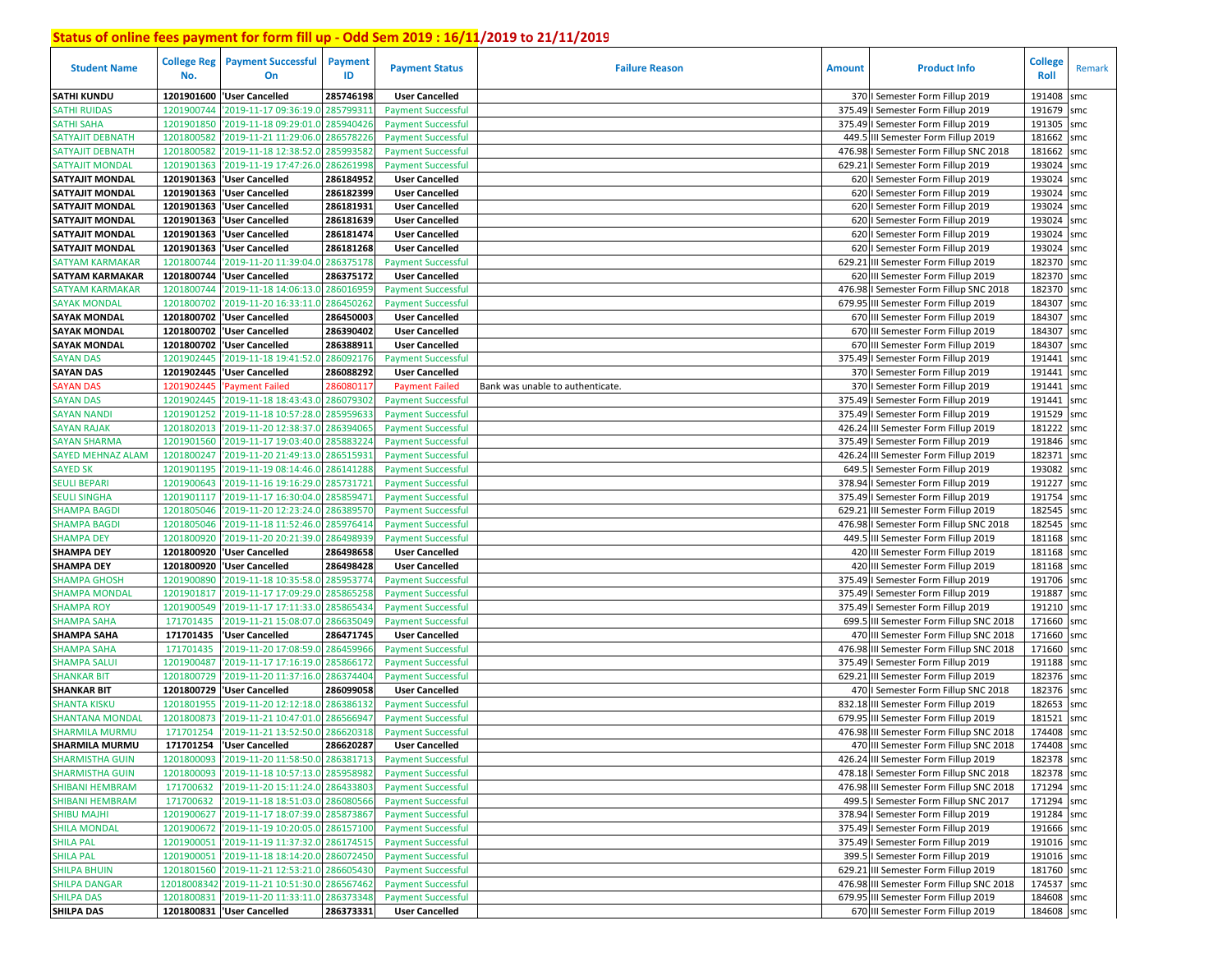| <b>Student Name</b>                         | <b>College Reg</b><br>No. | <b>Payment Successful</b><br>On                                                            | Payment<br>ID | <b>Payment Status</b>                                  | <b>Failure Reason</b>            | <b>Amount</b> | <b>Product Info</b>                                                              | <b>College</b><br>Roll   | Remark |
|---------------------------------------------|---------------------------|--------------------------------------------------------------------------------------------|---------------|--------------------------------------------------------|----------------------------------|---------------|----------------------------------------------------------------------------------|--------------------------|--------|
| <b>SATHI KUNDU</b>                          | 1201901600                | <b>User Cancelled</b>                                                                      | 285746198     | <b>User Cancelled</b>                                  |                                  |               | 370   Semester Form Fillup 2019                                                  | 191408                   | smc    |
| <b>SATHI RUIDAS</b>                         | 1201900744                | '2019-11-17 09:36:19.0 285799311                                                           |               | <b>Payment Successful</b>                              |                                  |               | 375.49   Semester Form Fillup 2019                                               | 191679 smc               |        |
| <b>SATHI SAHA</b>                           | 1201901850                | '2019-11-18 09:29:01.0 285940426                                                           |               | <b>Payment Successful</b>                              |                                  |               | 375.49   Semester Form Fillup 2019                                               | 191305                   | smc    |
| SATYAJIT DEBNATH                            | 1201800582                | '2019-11-21 11:29:06.0 286578226                                                           |               | <b>Payment Successful</b>                              |                                  |               | 449.5 III Semester Form Fillup 2019                                              | 181662                   | smc    |
| SATYAJIT DEBNATH                            | 1201800582                | '2019-11-18 12:38:52.0 28599358                                                            |               | <b>Payment Successful</b>                              |                                  | 476.98        | I Semester Form Fillup SNC 2018                                                  | 181662                   | smc    |
| SATYAJIT MONDAL                             | 1201901363                | '2019-11-19 17:47:26.0                                                                     | 286261998     | <b>Payment Successful</b>                              |                                  | 629.21        | I Semester Form Fillup 2019                                                      | 193024                   | smc    |
| <b>SATYAJIT MONDAL</b>                      |                           | 1201901363   User Cancelled                                                                | 286184952     | <b>User Cancelled</b>                                  |                                  |               | 620   Semester Form Fillup 2019                                                  | 193024 smc               |        |
| <b>SATYAJIT MONDAL</b>                      |                           | 1201901363  'User Cancelled                                                                | 286182399     | <b>User Cancelled</b>                                  |                                  |               | 620   Semester Form Fillup 2019                                                  | 193024 smc               |        |
| <b>SATYAJIT MONDAL</b>                      |                           | 1201901363  'User Cancelled                                                                | 286181931     | <b>User Cancelled</b>                                  |                                  |               | 620   Semester Form Fillup 2019                                                  | 193024 smc               |        |
| <b>SATYAJIT MONDAL</b>                      |                           | 1201901363 VJser Cancelled                                                                 | 286181639     | <b>User Cancelled</b>                                  |                                  |               | 620   Semester Form Fillup 2019                                                  | 193024                   | smc    |
| <b>SATYAJIT MONDAL</b>                      |                           | 1201901363  'User Cancelled                                                                | 286181474     | <b>User Cancelled</b>                                  |                                  |               | 620   Semester Form Fillup 2019                                                  | 193024 smc               |        |
| <b>SATYAJIT MONDAL</b>                      |                           | 1201901363  'User Cancelled                                                                | 286181268     | <b>User Cancelled</b>                                  |                                  |               | 620   Semester Form Fillup 2019                                                  | 193024 smc               |        |
| <b>SATYAM KARMAKAR</b>                      | 1201800744                | '2019-11-20 11:39:04.0                                                                     | 286375178     | <b>Payment Successful</b>                              |                                  |               | 629.21 III Semester Form Fillup 2019                                             | 182370 smc               |        |
| <b>SATYAM KARMAKAR</b>                      | 1201800744                | <b>User Cancelled</b>                                                                      | 286375172     | <b>User Cancelled</b>                                  |                                  |               | 620 III Semester Form Fillup 2019                                                | 182370 smc               |        |
| SATYAM KARMAKAR                             | 1201800744                | '2019-11-18 14:06:13.0                                                                     | 286016959     | <b>Payment Successful</b>                              |                                  |               | 476.98 I Semester Form Fillup SNC 2018                                           | 182370 smc               |        |
| <b>SAYAK MONDAL</b>                         | 1201800702                | '2019-11-20 16:33:11.0                                                                     | 28645026      | <b>Payment Successful</b>                              |                                  |               | 679.95 III Semester Form Fillup 2019                                             | 184307                   | smc    |
| <b>SAYAK MONDAL</b>                         | 1201800702                | <b>User Cancelled</b>                                                                      | 286450003     | <b>User Cancelled</b>                                  |                                  |               | 670 III Semester Form Fillup 2019                                                | 184307                   | smc    |
| <b>SAYAK MONDAL</b>                         | 1201800702                | 'User Cancelled                                                                            | 286390402     | <b>User Cancelled</b>                                  |                                  |               | 670 III Semester Form Fillup 2019                                                | 184307                   | smc    |
| <b>SAYAK MONDAL</b>                         | 1201800702                | <b>User Cancelled</b>                                                                      | 286388911     | <b>User Cancelled</b>                                  |                                  |               | 670 III Semester Form Fillup 2019                                                | 184307 smc               |        |
| <b>SAYAN DAS</b>                            | 1201902445                | 2019-11-18 19:41:52.0                                                                      | 286092176     | <b>Payment Successful</b>                              |                                  |               | 375.49   Semester Form Fillup 2019                                               | 191441                   | smc    |
| <b>SAYAN DAS</b>                            |                           | 1201902445 Vuser Cancelled                                                                 | 286088292     | <b>User Cancelled</b>                                  |                                  |               | 370   Semester Form Fillup 2019                                                  | 191441 smc               |        |
| <b>SAYAN DAS</b>                            | 1201902445                | 'Payment Failed                                                                            | 286080117     | <b>Payment Failed</b>                                  | Bank was unable to authenticate. |               | 370   Semester Form Fillup 2019                                                  | 191441                   | smc    |
| <b>SAYAN DAS</b>                            | 1201902445                | '2019-11-18 18:43:43.0                                                                     | 28607930      | <b>Payment Successful</b>                              |                                  |               | 375.49   Semester Form Fillup 2019                                               | 191441                   | smc    |
| <b>SAYAN NANDI</b>                          | 1201901252                | '2019-11-18 10:57:28.0                                                                     | 28595963      | <b>Payment Successful</b>                              |                                  | 375.49        | I Semester Form Fillup 2019                                                      | 191529                   | smc    |
| <b>SAYAN RAJAK</b>                          | 1201802013                | '2019-11-20 12:38:37.0                                                                     | 286394065     | <b>Payment Successful</b>                              |                                  |               | 426.24 III Semester Form Fillup 2019                                             | 181222 smc               |        |
| <b>SAYAN SHARMA</b>                         | 1201901560                | '2019-11-17 19:03:40.0                                                                     | 28588322      | <b>Payment Successful</b>                              |                                  |               | 375.49   Semester Form Fillup 2019                                               | 191846 smc               |        |
| <b>SAYED MEHNAZ ALAM</b>                    | 1201800247                | '2019-11-20 21:49:13.0 286515931                                                           |               | <b>Payment Successful</b>                              |                                  |               | 426.24 III Semester Form Fillup 2019                                             | 182371                   | smc    |
| <b>SAYED SK</b>                             | 1201901195                | '2019-11-19 08:14:46.0 286141288                                                           |               | <b>Payment Successful</b>                              |                                  | 649.5         | I Semester Form Fillup 2019                                                      | 193082                   | smc    |
| <b>SEULI BEPARI</b>                         | 1201900643                | '2019-11-16 19:16:29.0 285731721                                                           |               | <b>Payment Successful</b>                              |                                  |               | 378.94   Semester Form Fillup 2019                                               | 191227 smc               |        |
| SEULI SINGHA                                | 1201901117                | '2019-11-17 16:30:04.0                                                                     | 285859471     | <b>Payment Successful</b>                              |                                  |               | 375.49   Semester Form Fillup 2019                                               | 191754                   | smc    |
| <b>SHAMPA BAGDI</b>                         | 1201805046                | '2019-11-20 12:23:24.0 286389570                                                           |               | <b>Payment Successful</b>                              |                                  | 629.21        | III Semester Form Fillup 2019                                                    | 182545                   | smc    |
| <b>SHAMPA BAGDI</b>                         | 1201805046                | '2019-11-18 11:52:46.0 285976414                                                           |               | <b>Payment Successful</b>                              |                                  |               | 476.98   Semester Form Fillup SNC 2018                                           | 182545                   | smc    |
| <b>SHAMPA DEY</b>                           | 1201800920                | '2019-11-20 20:21:39.0                                                                     | 286498939     | <b>Payment Successful</b>                              |                                  |               | 449.5 III Semester Form Fillup 2019                                              | 181168 smc               |        |
| <b>SHAMPA DEY</b>                           |                           | 1201800920 User Cancelled                                                                  | 286498658     | <b>User Cancelled</b>                                  |                                  |               | 420 III Semester Form Fillup 2019                                                | 181168 smc               |        |
| <b>SHAMPA DEY</b>                           |                           | 1201800920 'User Cancelled                                                                 | 286498428     | <b>User Cancelled</b>                                  |                                  |               | 420 III Semester Form Fillup 2019                                                | 181168 smc               |        |
| <b>SHAMPA GHOSH</b>                         | 1201900890                | '2019-11-18 10:35:58.0                                                                     | 285953774     | <b>Payment Successful</b>                              |                                  |               | 375.49   Semester Form Fillup 2019                                               | 191706 smc               |        |
| <b>SHAMPA MONDAL</b>                        | 1201901817                | '2019-11-17 17:09:29.0                                                                     | 285865258     | <b>Payment Successful</b>                              |                                  |               | 375.49   Semester Form Fillup 2019                                               | 191887                   | smc    |
| <b>SHAMPA ROY</b>                           | 1201900549                | '2019-11-17 17:11:33.0 285865434                                                           |               | <b>Payment Successful</b>                              |                                  |               | 375.49   Semester Form Fillup 2019                                               | 191210 smc               |        |
| <b>SHAMPA SAHA</b>                          | 171701435                 | '2019-11-21 15:08:07.0                                                                     | 286635049     | <b>Payment Successful</b>                              |                                  |               | 699.5 III Semester Form Fillup SNC 2018                                          | 171660 smc               |        |
| <b>SHAMPA SAHA</b>                          | 171701435                 | 'User Cancelled                                                                            | 286471745     | <b>User Cancelled</b>                                  |                                  |               | 470 III Semester Form Fillup SNC 2018                                            | 171660 smc               |        |
| <b>SHAMPA SAHA</b>                          | 171701435                 | 2019-11-20 17:08:59.0                                                                      | 286459966     | <b>Payment Successful</b>                              |                                  | 476.98        | III Semester Form Fillup SNC 2018                                                | 171660 smc               |        |
| <b>SHAMPA SALUI</b>                         | 1201900487                | '2019-11-17 17:16:19.0 285866172                                                           |               | <b>Payment Successful</b>                              |                                  |               | 375.49   Semester Form Fillup 2019                                               | 191188 smc<br>182376 smc |        |
| <b>SHANKAR BIT</b>                          | 1201800729                | '2019-11-20 11:37:16.0                                                                     | 28637440      | <b>Payment Successful</b>                              |                                  | 629.21        | III Semester Form Fillup 2019                                                    |                          |        |
| <b>SHANKAR BIT</b>                          |                           | 1201800729  'User Cancelled<br>'2019-11-20 12:12:18.0                                      | 286099058     | <b>User Cancelled</b>                                  |                                  | 832.18        | 470   Semester Form Fillup SNC 2018                                              | 182376 smc               |        |
| <b>SHANTA KISKU</b>                         | 1201801955                |                                                                                            | 286386132     | <b>Payment Successful</b>                              |                                  |               | III Semester Form Fillup 2019                                                    | 182653                   | smc    |
| SHANTANA MONDAL<br><b>SHARMILA MURMU</b>    | 1201800873<br>171701254   | '2019-11-21 10:47:01.0 28656694'<br>'2019-11-21 13:52:50.0 286620318                       |               | <b>Payment Successful</b>                              |                                  |               | 679.95 III Semester Form Fillup 2019<br>476.98 III Semester Form Fillup SNC 2018 | 181521<br>174408         | smc    |
|                                             |                           |                                                                                            |               | <b>Payment Successful</b>                              |                                  |               |                                                                                  |                          | smc    |
| <b>SHARMILA MURMU</b>                       |                           | 171701254  'User Cancelled                                                                 | 286620287     | <b>User Cancelled</b>                                  |                                  |               | 470 III Semester Form Fillup SNC 2018                                            | 174408 smc               |        |
| <b>SHARMISTHA GUIN</b>                      |                           | 1201800093 2019-11-20 11:58:50.0 286381713                                                 |               | <b>Payment Successful</b>                              |                                  |               | 426.24 III Semester Form Fillup 2019                                             | 182378 smc               |        |
| <b>SHARMISTHA GUIN</b>                      |                           | 1201800093 2019-11-18 10:57:13.0 285958982                                                 |               | <b>Payment Successful</b>                              |                                  |               | 478.18   Semester Form Fillup SNC 2018                                           | 182378 smc               |        |
| <b>SHIBANI HEMBRAM</b>                      | 171700632                 | '2019-11-20 15:11:24.0 286433803                                                           |               | <b>Payment Successful</b>                              |                                  |               | 476.98 III Semester Form Fillup SNC 2018                                         | 171294 smc               |        |
| SHIBANI HEMBRAM                             |                           | 171700632 2019-11-18 18:51:03.0 286080566                                                  |               | <b>Payment Successful</b>                              |                                  |               | 499.5   Semester Form Fillup SNC 2017<br>378.94   Semester Form Fillup 2019      | 171294 smc               |        |
| <b>SHIBU MAJHI</b>                          |                           | 1201900627 2019-11-17 18:07:39.0 285873867                                                 |               | <b>Payment Successful</b>                              |                                  |               |                                                                                  | 191284 smc               |        |
| <b>SHILA MONDAL</b>                         |                           | 1201900672 2019-11-19 10:20:05.0 286157100                                                 |               | <b>Payment Successful</b>                              |                                  |               | 375.49   Semester Form Fillup 2019                                               | 191666 smc               |        |
| <b>SHILA PAL</b>                            |                           | 1201900051 2019-11-19 11:37:32.0 286174515<br>1201900051 2019-11-18 18:14:20.0 286072450   |               | <b>Payment Successful</b><br><b>Payment Successful</b> |                                  |               | 375.49   Semester Form Fillup 2019<br>399.5   Semester Form Fillup 2019          | 191016 smc<br>191016 smc |        |
| <b>SHILA PAL</b>                            |                           |                                                                                            |               |                                                        |                                  |               |                                                                                  | 181760 smc               |        |
| <b>SHILPA BHUIN</b><br><b>SHILPA DANGAR</b> |                           | 1201801560 2019-11-21 12:53:21.0 286605430<br>12018008342 '2019-11-21 10:51:30.0 286567462 |               | <b>Payment Successful</b>                              |                                  |               | 629.21 III Semester Form Fillup 2019                                             | 174537 smc               |        |
| <b>SHILPA DAS</b>                           |                           | 1201800831 2019-11-20 11:33:11.0 286373348                                                 |               | <b>Payment Successful</b><br><b>Payment Successful</b> |                                  |               | 476.98 III Semester Form Fillup SNC 2018<br>679.95 III Semester Form Fillup 2019 | 184608 smc               |        |
| <b>SHILPA DAS</b>                           |                           | 1201800831 User Cancelled                                                                  | 286373331     | <b>User Cancelled</b>                                  |                                  |               | 670 III Semester Form Fillup 2019                                                |                          |        |
|                                             |                           |                                                                                            |               |                                                        |                                  |               |                                                                                  | 184608 smc               |        |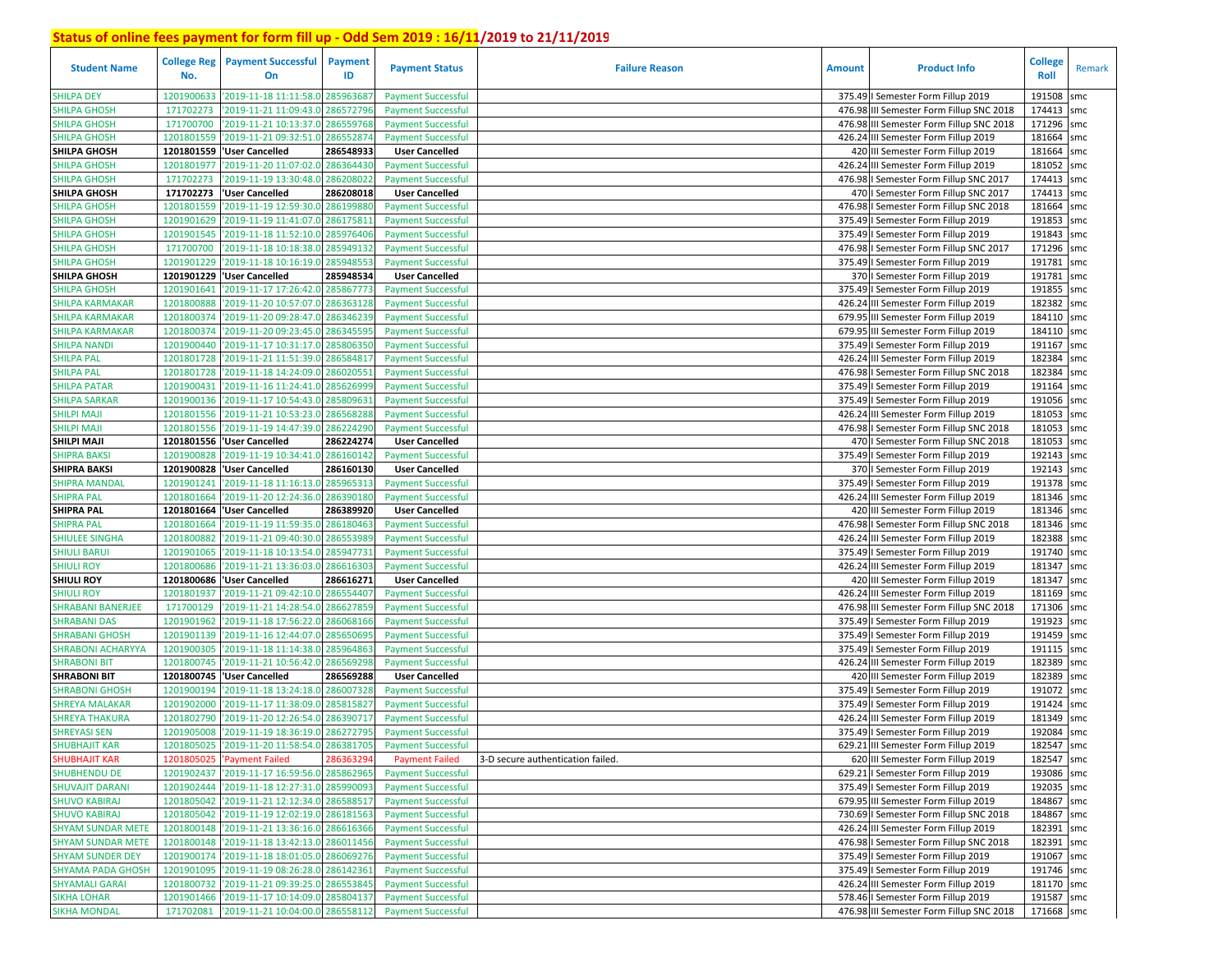| <b>Student Name</b>      | <b>College Reg</b><br>No. | <b>Payment Successful</b><br>On             | <b>Payment</b><br>ID | <b>Payment Status</b>     | <b>Failure Reason</b>             | <b>Amount</b> | <b>Product Info</b>                      | College<br>Roll | Remark |
|--------------------------|---------------------------|---------------------------------------------|----------------------|---------------------------|-----------------------------------|---------------|------------------------------------------|-----------------|--------|
| <b>SHILPA DEY</b>        | 1201900633                | '2019-11-18 11:11:58.0                      | 28596368             | <b>Payment Successful</b> |                                   |               | 375.49   Semester Form Fillup 2019       | 191508          | smc    |
| <b>SHILPA GHOSH</b>      | 171702273                 | '2019-11-21 11:09:43.0                      | 28657279             | <b>Payment Successful</b> |                                   |               | 476.98 III Semester Form Fillup SNC 2018 | 174413          | smc    |
| <b>SHILPA GHOSH</b>      | 171700700                 | '2019-11-21 10:13:37.0                      | 286559768            | <b>Payment Successful</b> |                                   |               | 476.98 III Semester Form Fillup SNC 2018 | 171296          | smc    |
| <b>SHILPA GHOSH</b>      | 1201801559                | '2019-11-21 09:32:51.0                      | 286552874            | <b>Payment Successful</b> |                                   |               | 426.24 III Semester Form Fillup 2019     | 181664          | smc    |
| <b>SHILPA GHOSH</b>      | 1201801559                | <b>User Cancelled</b>                       | 286548933            | <b>User Cancelled</b>     |                                   |               | 420 III Semester Form Fillup 2019        | 181664          | smc    |
| <b>SHILPA GHOSH</b>      | 1201801977                | '2019-11-20 11:07:02.0 286364430            |                      | <b>Payment Successful</b> |                                   |               | 426.24 III Semester Form Fillup 2019     | 181052          | smc    |
| <b>SHILPA GHOSH</b>      | 171702273                 | '2019-11-19 13:30:48.0                      | 28620802             | <b>Payment Successful</b> |                                   |               | 476.98   Semester Form Fillup SNC 2017   | 174413 smc      |        |
| <b>SHILPA GHOSH</b>      |                           | 171702273 Vuser Cancelled                   | 286208018            | <b>User Cancelled</b>     |                                   |               | 470   Semester Form Fillup SNC 2017      | 174413          | smc    |
| <b>SHILPA GHOSH</b>      | 1201801559                | '2019-11-19 12:59:30.0                      | 286199880            | <b>Payment Successful</b> |                                   |               | 476.98   Semester Form Fillup SNC 2018   | 181664          | smc    |
| <b>SHILPA GHOSH</b>      | 1201901629                | '2019-11-19 11:41:07.0                      | 286175811            | <b>Payment Successful</b> |                                   |               | 375.49   Semester Form Fillup 2019       | 191853          | smc    |
| <b>SHILPA GHOSH</b>      | 1201901545                | 2019-11-18 11:52:10.0                       | 28597640             | <b>Payment Successful</b> |                                   |               | 375.49   Semester Form Fillup 2019       | 191843          | smc    |
| <b>SHILPA GHOSH</b>      | 171700700                 | 2019-11-18 10:18:38.0                       | 285949132            | <b>Payment Successful</b> |                                   |               | 476.98   Semester Form Fillup SNC 2017   | 171296          | smc    |
| <b>SHILPA GHOSH</b>      | 1201901229                | '2019-11-18 10:16:19.0                      | 28594855             | <b>Payment Successful</b> |                                   |               | 375.49   Semester Form Fillup 2019       | 191781          | smc    |
| <b>SHILPA GHOSH</b>      | 1201901229                | 'User Cancelled                             | 285948534            | <b>User Cancelled</b>     |                                   |               | 370   Semester Form Fillup 2019          | 191781          | smc    |
| <b>SHILPA GHOSH</b>      | 1201901641                | '2019-11-17 17:26:42.0                      | 285867773            | <b>Payment Successful</b> |                                   |               | 375.49   Semester Form Fillup 2019       | 191855          | smc    |
| <b>SHILPA KARMAKAR</b>   | 1201800888                | 2019-11-20 10:57:07.0                       | 286363128            | <b>Payment Successful</b> |                                   |               | 426.24 III Semester Form Fillup 2019     | 182382          | smc    |
| <b>SHILPA KARMAKAR</b>   | 1201800374                | 2019-11-20 09:28:47.0                       | 28634623             | <b>Payment Successful</b> |                                   |               | 679.95 III Semester Form Fillup 2019     | 184110 smc      |        |
| SHILPA KARMAKAR          | 1201800374                | '2019-11-20 09:23:45.0                      | 28634559             | <b>Payment Successful</b> |                                   |               | 679.95 III Semester Form Fillup 2019     | 184110          | smc    |
| <b>SHILPA NANDI</b>      | 1201900440                | '2019-11-17 10:31:17.0                      | 28580635             | <b>Payment Successful</b> |                                   |               | 375.49   Semester Form Fillup 2019       | 191167          | smc    |
| <b>SHILPA PAL</b>        | 1201801728                | '2019-11-21 11:51:39.0                      | 28658481             | <b>Payment Successful</b> |                                   |               | 426.24 III Semester Form Fillup 2019     | 182384          | smc    |
| <b>SHILPA PAL</b>        | 1201801728                | '2019-11-18 14:24:09.0                      | 28602055             | <b>Payment Successful</b> |                                   |               | 476.98   Semester Form Fillup SNC 2018   | 182384          | smc    |
| <b>SHILPA PATAR</b>      | 1201900431                | '2019-11-16 11:24:41.0                      | 28562699             | <b>Payment Successful</b> |                                   |               | 375.49   Semester Form Fillup 2019       | 191164          | smc    |
| <b>SHILPA SARKAR</b>     | 1201900136                | '2019-11-17 10:54:43.0                      | 28580963             | <b>Payment Successful</b> |                                   |               | 375.49   Semester Form Fillup 2019       | 191056          | smc    |
| <b>SHILPI MAJI</b>       | 1201801556                | '2019-11-21 10:53:23.0                      | 28656828             | <b>Payment Successful</b> |                                   |               | 426.24 III Semester Form Fillup 2019     | 181053          | smc    |
| <b>SHILPI MAJI</b>       | 1201801556                | '2019-11-19 14:47:39.0                      | 286224290            | <b>Payment Successful</b> |                                   |               | 476.98   Semester Form Fillup SNC 2018   | 181053          | smc    |
| <b>SHILPI MAJI</b>       | 1201801556                | <b>User Cancelled</b>                       | 286224274            | <b>User Cancelled</b>     |                                   |               | 470   Semester Form Fillup SNC 2018      | 181053          | smc    |
| <b>SHIPRA BAKSI</b>      | 1201900828                | '2019-11-19 10:34:41.0                      | 286160142            | <b>Payment Successful</b> |                                   |               | 375.49   Semester Form Fillup 2019       | 192143          | smc    |
| <b>SHIPRA BAKSI</b>      | 1201900828                | <b>User Cancelled</b>                       | 286160130            | <b>User Cancelled</b>     |                                   |               | 370   Semester Form Fillup 2019          | 192143          | smc    |
| <b>SHIPRA MANDAL</b>     | 1201901241                | '2019-11-18 11:16:13.0                      | 285965313            | <b>Payment Successful</b> |                                   |               | 375.49   Semester Form Fillup 2019       | 191378          | smc    |
| <b>SHIPRA PAL</b>        | 1201801664                | '2019-11-20 12:24:36.0                      | 28639018             | <b>Payment Successful</b> |                                   |               | 426.24 III Semester Form Fillup 2019     | 181346          | smc    |
| <b>SHIPRA PAL</b>        |                           | 1201801664   User Cancelled                 | 286389920            | <b>User Cancelled</b>     |                                   |               | 420 III Semester Form Fillup 2019        | 181346          | smc    |
| <b>SHIPRA PAL</b>        | 1201801664                | '2019-11-19 11:59:35.0 286180463            |                      | <b>Payment Successful</b> |                                   |               | 476.98   Semester Form Fillup SNC 2018   | 181346 smc      |        |
| <b>SHIULEE SINGHA</b>    | 1201800882                | '2019-11-21 09:40:30.0                      | 286553989            | <b>Payment Successful</b> |                                   |               | 426.24 III Semester Form Fillup 2019     | 182388          | smc    |
| <b>SHIULI BARUI</b>      | 1201901065                | '2019-11-18 10:13:54.0                      | 285947731            | <b>Payment Successful</b> |                                   |               | 375.49   Semester Form Fillup 2019       | 191740 smc      |        |
| <b>SHIULI ROY</b>        |                           | 1201800686 2019-11-21 13:36:03.0            | 286616303            | <b>Payment Successful</b> |                                   |               | 426.24 III Semester Form Fillup 2019     | 181347          | smc    |
| <b>SHIULI ROY</b>        |                           | 1201800686 User Cancelled                   | 286616271            | <b>User Cancelled</b>     |                                   |               | 420 III Semester Form Fillup 2019        | 181347          | smc    |
| <b>SHIULI ROY</b>        | 1201801937                | '2019-11-21 09:42:10.0 28655440.            |                      | <b>Payment Successful</b> |                                   |               | 426.24 III Semester Form Fillup 2019     | 181169          | smc    |
| <b>SHRABANI BANERJEE</b> | 171700129                 | '2019-11-21 14:28:54.0                      | 286627859            | <b>Payment Successful</b> |                                   |               | 476.98 III Semester Form Fillup SNC 2018 | 171306 smc      |        |
| <b>SHRABANI DAS</b>      | 1201901962                | 2019-11-18 17:56:22.0                       | 286068166            | <b>Payment Successful</b> |                                   |               | 375.49   Semester Form Fillup 2019       | 191923          | smc    |
| <b>SHRABANI GHOSH</b>    | 1201901139                | 2019-11-16 12:44:07.0                       | 28565069             | <b>Payment Successful</b> |                                   |               | 375.49   Semester Form Fillup 2019       | 191459          | smc    |
| <b>SHRABONI ACHARYYA</b> | 1201900305                | 2019-11-18 11:14:38.0                       | 28596486             | <b>Payment Successful</b> |                                   |               | 375.49   Semester Form Fillup 2019       | 191115          | smc    |
| <b>SHRABONI BIT</b>      | 1201800745                | '2019-11-21 10:56:42.0                      | 28656929             | <b>Payment Successful</b> |                                   |               | 426.24 III Semester Form Fillup 2019     | 182389          | smc    |
| <b>SHRABONI BIT</b>      | 1201800745                | <b>User Cancelled</b>                       | 286569288            | <b>User Cancelled</b>     |                                   |               | 420 III Semester Form Fillup 2019        | 182389          | smc    |
| <b>SHRABONI GHOSH</b>    | 1201900194                | '2019-11-18 13:24:18.0                      | 28600732             | <b>Payment Successful</b> |                                   |               | 375.49   Semester Form Fillup 2019       | 191072          | smc    |
| <b>SHREYA MALAKAR</b>    | 1201902000                | 2019-11-17 11:38:09.                        | 28581582             | <b>Payment Successful</b> |                                   |               | 375.49   Semester Form Fillup 2019       | 191424          | smc    |
| <b>SHREYA THAKURA</b>    | 1201802790                | '2019-11-20 12:26:54.0                      | 286390717            | <b>Payment Successful</b> |                                   |               | 426.24 III Semester Form Fillup 2019     | 181349          | smc    |
| <b>SHREYASI SEN</b>      | 1201905008                | '2019-11-19 18:36:19.0 286272795            |                      | <b>Payment Successful</b> |                                   |               | 375.49   Semester Form Fillup 2019       | 192084          | smc    |
| <b>SHUBHAJIT KAR</b>     |                           | 1201805025 2019-11-20 11:58:54.0 286381705  |                      | <b>Payment Successful</b> |                                   |               | 629.21 III Semester Form Fillup 2019     | 182547 smc      |        |
| <b>SHUBHAJIT KAR</b>     |                           | 1201805025 'Payment Failed                  | 286363294            | <b>Payment Failed</b>     | 3-D secure authentication failed. |               | 620 III Semester Form Fillup 2019        | 182547 smc      |        |
| <b>SHUBHENDU DE</b>      |                           | 1201902437 2019-11-17 16:59:56.0 285862965  |                      | <b>Payment Successful</b> |                                   |               | 629.21   Semester Form Fillup 2019       | 193086 smc      |        |
| <b>SHUVAJIT DARANI</b>   |                           | 1201902444 2019-11-18 12:27:31.0 285990093  |                      | <b>Payment Successful</b> |                                   |               | 375.49   Semester Form Fillup 2019       | 192035 smc      |        |
| <b>SHUVO KABIRAJ</b>     |                           | 1201805042 2019-11-21 12:12:34.0 286588517  |                      | <b>Payment Successful</b> |                                   |               | 679.95 III Semester Form Fillup 2019     | 184867 smc      |        |
| <b>SHUVO KABIRAJ</b>     |                           | 1201805042 2019-11-19 12:02:19.0 286181563  |                      | <b>Payment Successful</b> |                                   |               | 730.69   Semester Form Fillup SNC 2018   | 184867 smc      |        |
| <b>SHYAM SUNDAR METE</b> |                           | 1201800148 '2019-11-21 13:36:16.0 286616366 |                      | <b>Payment Successful</b> |                                   |               | 426.24 III Semester Form Fillup 2019     | 182391 smc      |        |
| <b>SHYAM SUNDAR METE</b> |                           | 1201800148 2019-11-18 13:42:13.0 286011456  |                      | <b>Payment Successful</b> |                                   |               | 476.98   Semester Form Fillup SNC 2018   | 182391 smc      |        |
| <b>SHYAM SUNDER DEY</b>  |                           | 1201900174 '2019-11-18 18:01:05.0 286069276 |                      | <b>Payment Successful</b> |                                   |               | 375.49   Semester Form Fillup 2019       | 191067 smc      |        |
| <b>SHYAMA PADA GHOSH</b> |                           | 1201901095 2019-11-19 08:26:28.0 286142361  |                      | <b>Payment Successful</b> |                                   |               | 375.49   Semester Form Fillup 2019       | 191746 smc      |        |
| <b>SHYAMALI GARAI</b>    |                           | 1201800732 '2019-11-21 09:39:25.0 286553845 |                      | <b>Payment Successful</b> |                                   |               | 426.24 III Semester Form Fillup 2019     | 181170 smc      |        |
| <b>SIKHA LOHAR</b>       |                           | 1201901466 2019-11-17 10:14:09.0 285804137  |                      | <b>Payment Successful</b> |                                   |               | 578.46   Semester Form Fillup 2019       | 191587 smc      |        |
| <b>SIKHA MONDAL</b>      |                           | 171702081 2019-11-21 10:04:00.0 286558112   |                      | <b>Payment Successful</b> |                                   |               | 476.98 III Semester Form Fillup SNC 2018 | 171668 smc      |        |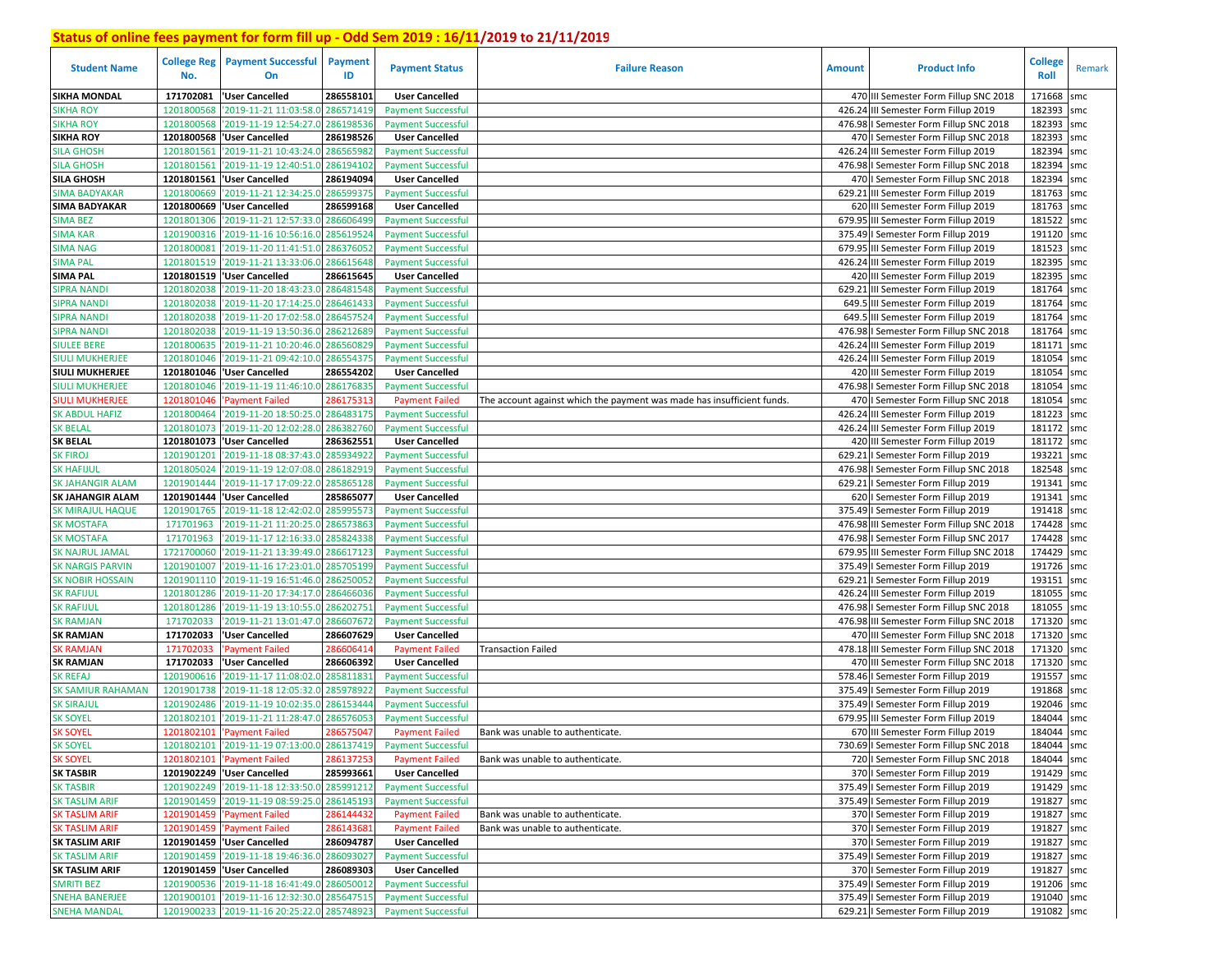| <b>Student Name</b>                                | <b>College Reg</b><br>No. | <b>Payment Successful</b><br>On            | <b>Payment</b><br>ID   | <b>Payment Status</b>                              | <b>Failure Reason</b>                                                  | <b>Amount</b> | <b>Product Info</b>                                                   | <b>College</b><br>Roll | Remark     |
|----------------------------------------------------|---------------------------|--------------------------------------------|------------------------|----------------------------------------------------|------------------------------------------------------------------------|---------------|-----------------------------------------------------------------------|------------------------|------------|
| <b>SIKHA MONDAL</b>                                | 171702081                 | 'User Cancelled                            | 286558101              | <b>User Cancelled</b>                              |                                                                        |               | 470 III Semester Form Fillup SNC 2018                                 | 171668                 | smc        |
| <b>SIKHA ROY</b>                                   | 1201800568                | '2019-11-21 11:03:58.0                     | 286571419              | <b>Payment Successful</b>                          |                                                                        |               | 426.24 III Semester Form Fillup 2019                                  | 182393                 | smc        |
| <b>SIKHA ROY</b>                                   | 1201800568                | '2019-11-19 12:54:27.0                     | 286198536              | <b>Payment Successful</b>                          |                                                                        |               | 476.98   Semester Form Fillup SNC 2018                                | 182393                 | smc        |
| <b>SIKHA ROY</b>                                   | 1201800568                | <b>User Cancelled</b>                      | 286198526              | <b>User Cancelled</b>                              |                                                                        |               | 470   Semester Form Fillup SNC 2018                                   | 182393                 | smc        |
| <b>SILA GHOSH</b>                                  | 1201801561                | '2019-11-21 10:43:24.0                     | 286565982              | <b>Payment Successful</b>                          |                                                                        |               | 426.24 III Semester Form Fillup 2019                                  | 182394                 | smc        |
| <b>SILA GHOSH</b>                                  | 1201801561                | '2019-11-19 12:40:51.0 286194102           |                        | <b>Payment Successful</b>                          |                                                                        |               | 476.98   Semester Form Fillup SNC 2018                                | 182394                 | smc        |
| <b>SILA GHOSH</b>                                  |                           | 1201801561 User Cancelled                  | 286194094              | <b>User Cancelled</b>                              |                                                                        |               | 470   Semester Form Fillup SNC 2018                                   | 182394 smc             |            |
| <b>SIMA BADYAKAR</b>                               | 1201800669                | '2019-11-21 12:34:25.0                     | 286599375              | <b>Payment Successful</b>                          |                                                                        |               | 629.21 III Semester Form Fillup 2019                                  | 181763 smc             |            |
| <b>SIMA BADYAKAR</b>                               |                           | 1201800669 VJser Cancelled                 | 286599168              | <b>User Cancelled</b>                              |                                                                        |               | 620 III Semester Form Fillup 2019                                     | 181763 smc             |            |
| <b>SIMA BEZ</b>                                    | 1201801306                | '2019-11-21 12:57:33.0 286606499           |                        | <b>Payment Successful</b>                          |                                                                        |               | 679.95 III Semester Form Fillup 2019                                  | 181522 smc             |            |
| <b>SIMA KAR</b>                                    | 1201900316                | '2019-11-16 10:56:16.0                     | 28561952               | <b>Payment Successful</b>                          |                                                                        |               | 375.49   Semester Form Fillup 2019                                    | 191120 smc             |            |
| <b>SIMA NAG</b>                                    | 1201800081                | '2019-11-20 11:41:51.0 286376052           |                        | <b>Payment Successful</b>                          |                                                                        |               | 679.95 III Semester Form Fillup 2019                                  | 181523 smc             |            |
| <b>SIMA PAL</b>                                    | 1201801519                | '2019-11-21 13:33:06.0                     | 286615648              | <b>Payment Successful</b>                          |                                                                        |               | 426.24 III Semester Form Fillup 2019                                  | 182395 smc             |            |
| <b>SIMA PAL</b>                                    | 1201801519                | <b>User Cancelled</b>                      | 286615645              | <b>User Cancelled</b>                              |                                                                        |               | 420 III Semester Form Fillup 2019                                     | 182395                 | smc        |
| <b>SIPRA NANDI</b>                                 | 1201802038                | '2019-11-20 18:43:23.0 286481548           |                        | <b>Payment Successful</b>                          |                                                                        |               | 629.21 III Semester Form Fillup 2019                                  | 181764                 | smc        |
| <b>SIPRA NANDI</b>                                 | 1201802038                | '2019-11-20 17:14:25.0                     | 286461433              | <b>Payment Successful</b>                          |                                                                        |               | 649.5 III Semester Form Fillup 2019                                   | 181764                 | smc        |
| <b>SIPRA NANDI</b>                                 | 1201802038                | '2019-11-20 17:02:58.0                     | 28645752               | <b>Payment Successful</b>                          |                                                                        |               | 649.5 III Semester Form Fillup 2019                                   | 181764                 | smc        |
| <b>SIPRA NANDI</b>                                 | 1201802038                | '2019-11-19 13:50:36.0                     | 28621268               | <b>Payment Successful</b>                          |                                                                        | 476.98        | I Semester Form Fillup SNC 2018                                       | 181764                 | smc        |
| <b>SIULEE BERE</b>                                 | 1201800635                | '2019-11-21 10:20:46.0 28656082            |                        | <b>Payment Successful</b>                          |                                                                        |               | 426.24 III Semester Form Fillup 2019                                  | 181171 smc             |            |
| <b>SIULI MUKHERJEE</b>                             | 1201801046                | '2019-11-21 09:42:10.0                     | 28655437               | <b>Payment Successful</b>                          |                                                                        |               | 426.24 III Semester Form Fillup 2019                                  | 181054                 | smc        |
| <b>SIULI MUKHERJEE</b>                             |                           | 1201801046 'User Cancelled                 | 286554202              | <b>User Cancelled</b>                              |                                                                        |               | 420 III Semester Form Fillup 2019                                     | 181054                 | smc        |
| <b>SIULI MUKHERJEE</b>                             | 1201801046                | '2019-11-19 11:46:10.0                     | 286176835              | <b>Payment Successful</b>                          |                                                                        |               | 476.98   Semester Form Fillup SNC 2018                                | 181054                 | smc        |
| <b>SIULI MUKHERJEE</b>                             | 1201801046                | 'Payment Failed                            | 28617531               | <b>Payment Failed</b>                              | The account against which the payment was made has insufficient funds. |               | 470   Semester Form Fillup SNC 2018                                   | 181054                 | smc        |
| <b>SK ABDUL HAFIZ</b>                              | 1201800464                | '2019-11-20 18:50:25.0                     | 28648317               | <b>Payment Successful</b>                          |                                                                        |               | 426.24 III Semester Form Fillup 2019                                  | 181223                 | smc        |
| <b>SK BELAL</b>                                    | 1201801073                | '2019-11-20 12:02:28.0                     | 286382760              | <b>Payment Successful</b>                          |                                                                        |               | 426.24 III Semester Form Fillup 2019                                  | 181172 smc             |            |
| <b>SK BELAL</b>                                    | 1201801073                | <b>User Cancelled</b>                      | 286362551              | <b>User Cancelled</b>                              |                                                                        |               | 420 III Semester Form Fillup 2019                                     | 181172 smc             |            |
| <b>SK FIROJ</b>                                    | 1201901201                | '2019-11-18 08:37:43.0 285934922           |                        | <b>Payment Successful</b>                          |                                                                        | 629.21        | I Semester Form Fillup 2019                                           | 193221                 | smc        |
| <b>SK HAFIJUL</b>                                  | 1201805024                | '2019-11-19 12:07:08.0 286182919           |                        | <b>Payment Successful</b>                          |                                                                        |               | 476.98   Semester Form Fillup SNC 2018                                | 182548                 | smc        |
| <b>SK JAHANGIR ALAM</b>                            | 1201901444                | '2019-11-17 17:09:22.0<br>'User Cancelled  | 285865128<br>285865077 | <b>Payment Successful</b>                          |                                                                        |               | 629.21   Semester Form Fillup 2019                                    | 191341<br>191341       | smc        |
| <b>SK JAHANGIR ALAM</b><br><b>SK MIRAJUL HAQUE</b> | 1201901444<br>1201901765  | '2019-11-18 12:42:02.0 285995573           |                        | <b>User Cancelled</b><br><b>Payment Successful</b> |                                                                        |               | 620   Semester Form Fillup 2019<br>375.49   Semester Form Fillup 2019 | 191418                 | smc<br>smc |
| <b>SK MOSTAFA</b>                                  | 171701963                 | '2019-11-21 11:20:25.0                     | 286573863              | <b>Payment Successful</b>                          |                                                                        |               | 476.98 III Semester Form Fillup SNC 2018                              | 174428                 | smc        |
| <b>SK MOSTAFA</b>                                  | 171701963                 | '2019-11-17 12:16:33.0                     | 285824338              | <b>Payment Successful</b>                          |                                                                        |               | 476.98   Semester Form Fillup SNC 2017                                | 174428 smc             |            |
| <b>SK NAJRUL JAMAL</b>                             | 1721700060                | '2019-11-21 13:39:49.0                     | 286617123              | <b>Payment Successful</b>                          |                                                                        |               | 679.95 III Semester Form Fillup SNC 2018                              | 174429 smc             |            |
| <b>SK NARGIS PARVIN</b>                            | 1201901007                | '2019-11-16 17:23:01.0                     | 285705199              | <b>Payment Successful</b>                          |                                                                        |               | 375.49   Semester Form Fillup 2019                                    | 191726 smc             |            |
| <b>SK NOBIR HOSSAIN</b>                            | 1201901110                | '2019-11-19 16:51:46.0                     | 28625005               | <b>Payment Successful</b>                          |                                                                        |               | 629.21   Semester Form Fillup 2019                                    | 193151 smc             |            |
| <b>SK RAFIJUL</b>                                  | 1201801286                | '2019-11-20 17:34:17.0                     | 28646603               | <b>Payment Successful</b>                          |                                                                        |               | 426.24 III Semester Form Fillup 2019                                  | 181055                 | smc        |
| <b>SK RAFIJUL</b>                                  | 1201801286                | '2019-11-19 13:10:55.0                     | 28620275               | <b>Payment Successful</b>                          |                                                                        |               | 476.98   Semester Form Fillup SNC 2018                                | 181055 smc             |            |
| <b>SK RAMJAN</b>                                   | 171702033                 | '2019-11-21 13:01:47.0                     | 286607672              | <b>Payment Successful</b>                          |                                                                        |               | 476.98 III Semester Form Fillup SNC 2018                              | 171320 smc             |            |
| <b>SK RAMJAN</b>                                   | 171702033                 | 'User Cancelled                            | 286607629              | <b>User Cancelled</b>                              |                                                                        |               | 470 III Semester Form Fillup SNC 2018                                 | 171320 smc             |            |
| <b>SK RAMJAN</b>                                   | 171702033                 | <b>Payment Failed</b>                      | 28660641               | <b>Payment Failed</b>                              | Transaction Failed                                                     |               | 478.18 III Semester Form Fillup SNC 2018                              | 171320 smc             |            |
| <b>SK RAMJAN</b>                                   | 171702033                 | 'User Cancelled                            | 286606392              | <b>User Cancelled</b>                              |                                                                        |               | 470 III Semester Form Fillup SNC 2018                                 | 171320 smc             |            |
| <b>SK REFAJ</b>                                    | 1201900616                | 2019-11-17 11:08:02.0                      | 28581183               | <b>Payment Successful</b>                          |                                                                        | 578.46        | I Semester Form Fillup 2019                                           | 191557                 | smc        |
| <b>SK SAMIUR RAHAMAN</b>                           | 1201901738                | '2019-11-18 12:05:32.0                     | 28597892               | <b>Payment Successful</b>                          |                                                                        |               | 375.49   Semester Form Fillup 2019                                    | 191868                 | smc        |
| <b>SK SIRAJUL</b>                                  | 1201902486                | '2019-11-19 10:02:35.0                     | 28615344               | <b>Payment Successful</b>                          |                                                                        |               | 375.49   Semester Form Fillup 2019                                    | 192046                 | smc        |
| <b>SK SOYEL</b>                                    | 1201802101                | '2019-11-21 11:28:47.0                     | 28657605               | <b>Payment Successful</b>                          |                                                                        | 679.95        | III Semester Form Fillup 2019                                         | 184044                 | smc        |
| <b>SK SOYEL</b>                                    | 1201802101                | 'Payment Failed                            | 28657504               | <b>Payment Failed</b>                              | Bank was unable to authenticate.                                       |               | 670 III Semester Form Fillup 2019                                     | 184044                 | smc        |
| <b>SK SOYEL</b>                                    |                           | 1201802101 2019-11-19 07:13:00.0 286137419 |                        | <b>Payment Successful</b>                          |                                                                        |               | 730.69   Semester Form Fillup SNC 2018                                | 184044 smc             |            |
| <b>SK SOYEL</b>                                    |                           | 1201802101 'Payment Failed                 | 286137253              | <b>Payment Failed</b>                              | Bank was unable to authenticate.                                       |               | 720   Semester Form Fillup SNC 2018                                   | 184044 smc             |            |
| <b>SK TASBIR</b>                                   |                           | 1201902249 'User Cancelled                 | 285993661              | <b>User Cancelled</b>                              |                                                                        |               | 370   Semester Form Fillup 2019                                       | 191429 smc             |            |
| <b>SK TASBIR</b>                                   |                           | 1201902249 2019-11-18 12:33:50.0 285991212 |                        | <b>Payment Successful</b>                          |                                                                        |               | 375.49   Semester Form Fillup 2019                                    | 191429 smc             |            |
| <b>SK TASLIM ARIF</b>                              |                           | 1201901459 2019-11-19 08:59:25.0 286145193 |                        | <b>Payment Successful</b>                          |                                                                        |               | 375.49   Semester Form Fillup 2019                                    | 191827 smc             |            |
| <b>SK TASLIM ARIF</b>                              |                           | 1201901459 'Payment Failed                 | 286144432              | <b>Payment Failed</b>                              | Bank was unable to authenticate.                                       |               | 370   Semester Form Fillup 2019                                       | 191827 smc             |            |
| <b>SK TASLIM ARIF</b>                              |                           | 1201901459 'Payment Failed                 | 286143681              | <b>Payment Failed</b>                              | Bank was unable to authenticate.                                       |               | 370   Semester Form Fillup 2019                                       | 191827 smc             |            |
| <b>SK TASLIM ARIF</b>                              |                           | 1201901459  'User Cancelled                | 286094787              | <b>User Cancelled</b>                              |                                                                        |               | 370   Semester Form Fillup 2019                                       | 191827 smc             |            |
| <b>SK TASLIM ARIF</b>                              |                           | 1201901459 2019-11-18 19:46:36.0 286093027 |                        | <b>Payment Successful</b>                          |                                                                        |               | 375.49   Semester Form Fillup 2019                                    | 191827 smc             |            |
| <b>SK TASLIM ARIF</b>                              |                           | 1201901459 'User Cancelled                 | 286089303              | <b>User Cancelled</b>                              |                                                                        |               | 370   Semester Form Fillup 2019                                       | 191827 smc             |            |
| <b>SMRITI BEZ</b>                                  |                           | 1201900536 2019-11-18 16:41:49.0 286050012 |                        | <b>Payment Successful</b>                          |                                                                        |               | 375.49   Semester Form Fillup 2019                                    | 191206 smc             |            |
| <b>SNEHA BANERJEE</b>                              |                           | 1201900101 2019-11-16 12:32:30.0 285647515 |                        | <b>Payment Successful</b>                          |                                                                        |               | 375.49   Semester Form Fillup 2019                                    | 191040 smc             |            |
| <b>SNEHA MANDAL</b>                                |                           | 1201900233 2019-11-16 20:25:22.0 285748923 |                        | <b>Payment Successful</b>                          |                                                                        |               | 629.21   Semester Form Fillup 2019                                    | 191082 smc             |            |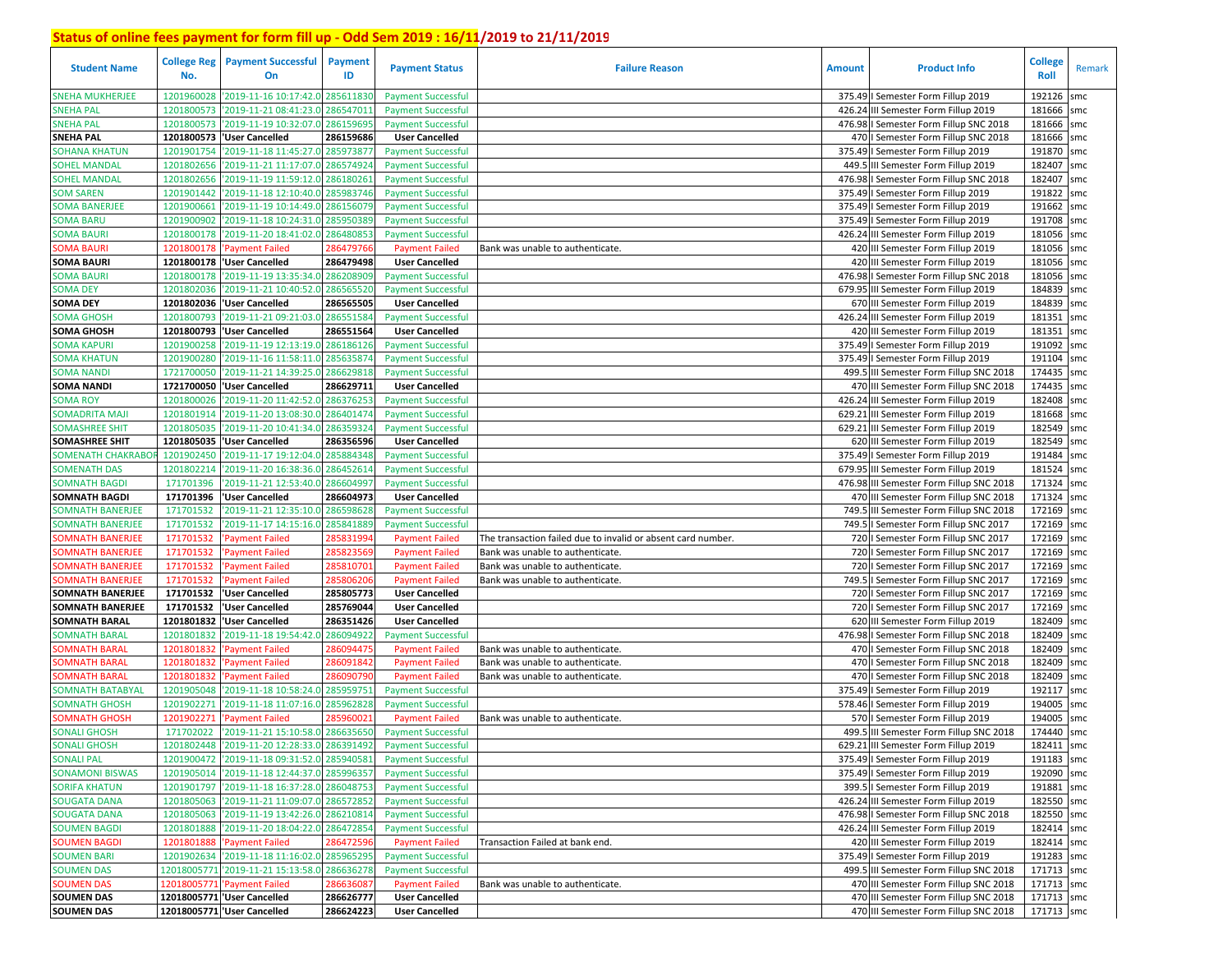| <b>Student Name</b>      | <b>College Reg</b><br>No. | <b>Payment Successful</b><br>On              | <b>Payment</b><br>ID | <b>Payment Status</b>     | <b>Failure Reason</b>                                        | <b>Amount</b> | <b>Product Info</b>                      | College<br>Roll | Remark |
|--------------------------|---------------------------|----------------------------------------------|----------------------|---------------------------|--------------------------------------------------------------|---------------|------------------------------------------|-----------------|--------|
| <b>SNEHA MUKHERJEE</b>   | 1201960028                | '2019-11-16 10:17:42.0                       | 28561183             | <b>Payment Successful</b> |                                                              |               | 375.49   Semester Form Fillup 2019       | 192126          | smc    |
| <b>SNEHA PAL</b>         | 1201800573                | '2019-11-21 08:41:23.0                       | 28654701             | <b>Payment Successful</b> |                                                              |               | 426.24 III Semester Form Fillup 2019     | 181666          | smc    |
| <b>SNEHA PAL</b>         | 1201800573                | '2019-11-19 10:32:07.0                       | 286159695            | <b>Payment Successful</b> |                                                              |               | 476.98   Semester Form Fillup SNC 2018   | 181666          | smc    |
| <b>SNEHA PAL</b>         | 1201800573                | 'User Cancelled                              | 286159686            | <b>User Cancelled</b>     |                                                              |               | 470   Semester Form Fillup SNC 2018      | 181666          | smc    |
| SOHANA KHATUN            | 1201901754                | 2019-11-18 11:45:27.0                        | 28597387             | <b>Payment Successful</b> |                                                              |               | 375.49   Semester Form Fillup 2019       | 191870          | smc    |
| <b>SOHEL MANDAL</b>      | 1201802656                | '2019-11-21 11:17:07.0                       | 286574924            | <b>Payment Successful</b> |                                                              |               | 449.5 III Semester Form Fillup 2019      | 182407          | smc    |
| <b>SOHEL MANDAL</b>      | 1201802656                | '2019-11-19 11:59:12.0                       | 28618026             | <b>Payment Successful</b> |                                                              |               | 476.98   Semester Form Fillup SNC 2018   | 182407          | smc    |
| <b>SOM SAREN</b>         | 1201901442                | '2019-11-18 12:10:40.0                       | 285983746            | <b>Payment Successful</b> |                                                              |               | 375.49   Semester Form Fillup 2019       | 191822          | smc    |
| <b>SOMA BANERJEE</b>     |                           | 1201900661 2019-11-19 10:14:49.0             | 286156079            | <b>Payment Successful</b> |                                                              |               | 375.49   Semester Form Fillup 2019       | 191662          | smc    |
| <b>SOMA BARU</b>         | 1201900902                | '2019-11-18 10:24:31.0                       | 285950389            | <b>Payment Successful</b> |                                                              |               | 375.49   Semester Form Fillup 2019       | 191708          | smc    |
| <b>SOMA BAURI</b>        | 1201800178                | '2019-11-20 18:41:02.0                       | 28648085             | <b>Payment Successful</b> |                                                              |               | 426.24 III Semester Form Fillup 2019     | 181056          | smc    |
| <b>SOMA BAURI</b>        | 1201800178                | 'Payment Failed                              | 28647976             | <b>Payment Failed</b>     | Bank was unable to authenticate.                             |               | 420 III Semester Form Fillup 2019        | 181056          | smc    |
| <b>SOMA BAURI</b>        |                           | 1201800178 User Cancelled                    | 286479498            | <b>User Cancelled</b>     |                                                              |               | 420 III Semester Form Fillup 2019        | 181056          | smc    |
| <b>SOMA BAURI</b>        | 1201800178                | '2019-11-19 13:35:34.0 28620890              |                      | <b>Payment Successful</b> |                                                              |               | 476.98 I Semester Form Fillup SNC 2018   | 181056          | smc    |
| <b>SOMA DEY</b>          | 1201802036                | '2019-11-21 10:40:52.0                       | 286565520            | <b>Payment Successful</b> |                                                              |               | 679.95 III Semester Form Fillup 2019     | 184839          | smc    |
| <b>SOMA DEY</b>          | 1201802036                | <b>User Cancelled</b>                        | 286565505            | <b>User Cancelled</b>     |                                                              |               | 670 III Semester Form Fillup 2019        | 184839          | smc    |
| <b>SOMA GHOSH</b>        | 1201800793                | '2019-11-21 09:21:03.0                       | 286551584            | <b>Payment Successful</b> |                                                              |               | 426.24 III Semester Form Fillup 2019     | 181351          | smc    |
| <b>SOMA GHOSH</b>        |                           | 1201800793 VJser Cancelled                   | 286551564            | <b>User Cancelled</b>     |                                                              |               | 420 III Semester Form Fillup 2019        | 181351          | smc    |
| <b>SOMA KAPURI</b>       | 1201900258                | '2019-11-19 12:13:19.0                       | 286186126            | <b>Payment Successful</b> |                                                              |               | 375.49   Semester Form Fillup 2019       | 191092          | smc    |
| <b>SOMA KHATUN</b>       | 1201900280                | '2019-11-16 11:58:11.0                       | 28563587             | <b>Payment Successful</b> |                                                              |               | 375.49   Semester Form Fillup 2019       | 191104          | smc    |
| <b>SOMA NANDI</b>        | 1721700050                | '2019-11-21 14:39:25.0                       | 286629818            | <b>Payment Successful</b> |                                                              |               | 499.5 III Semester Form Fillup SNC 2018  | 174435          | smc    |
| <b>SOMA NANDI</b>        | 1721700050                | <b>User Cancelled</b>                        | 286629711            | <b>User Cancelled</b>     |                                                              |               | 470 III Semester Form Fillup SNC 2018    | 174435          | smc    |
| <b>SOMA ROY</b>          | 1201800026                | '2019-11-20 11:42:52.0                       | 28637625             | <b>Payment Successful</b> |                                                              |               | 426.24 III Semester Form Fillup 2019     | 182408          | smc    |
| <b>SOMADRITA MAJI</b>    | 1201801914                | '2019-11-20 13:08:30.0                       | 28640147             | <b>Payment Successful</b> |                                                              |               | 629.21 III Semester Form Fillup 2019     | 181668          | smc    |
| <b>SOMASHREE SHIT</b>    | 1201805035                | '2019-11-20 10:41:34.0                       | 28635932             | <b>Payment Successful</b> |                                                              |               | 629.21 III Semester Form Fillup 2019     | 182549          | smc    |
| <b>SOMASHREE SHIT</b>    | 1201805035                | <b>User Cancelled</b>                        | 286356596            | <b>User Cancelled</b>     |                                                              |               | 620 III Semester Form Fillup 2019        | 182549          | smc    |
| <b>SOMENATH CHAKRABO</b> | 1201902450                | '2019-11-17 19:12:04.0 285884348             |                      | <b>Payment Successful</b> |                                                              |               | 375.49   Semester Form Fillup 2019       | 191484          | smc    |
| <b>SOMENATH DAS</b>      | 1201802214                | '2019-11-20 16:38:36.0 286452614             |                      | <b>Payment Successful</b> |                                                              |               | 679.95 III Semester Form Fillup 2019     | 181524          | smc    |
| <b>SOMNATH BAGDI</b>     | 171701396                 | 2019-11-21 12:53:40.0                        | 286604997            | <b>Payment Successful</b> |                                                              |               | 476.98 III Semester Form Fillup SNC 2018 | 171324          | smc    |
| <b>SOMNATH BAGDI</b>     | 171701396                 | 'User Cancelled                              | 286604973            | <b>User Cancelled</b>     |                                                              |               | 470 III Semester Form Fillup SNC 2018    | 171324          | smc    |
| SOMNATH BANERJEE         | 171701532                 | '2019-11-21 12:35:10.0 286598628             |                      | <b>Payment Successful</b> |                                                              |               | 749.5 III Semester Form Fillup SNC 2018  | 172169          | smc    |
| SOMNATH BANERJEE         | 171701532                 | 2019-11-17 14:15:16.0                        | 28584188             | <b>Payment Successful</b> |                                                              |               | 749.5 I Semester Form Fillup SNC 2017    | 172169          | smc    |
| <b>OMNATH BANERJEE</b>   | 171701532                 | <b>Payment Failed</b>                        | 28583199             | <b>Payment Failed</b>     | The transaction failed due to invalid or absent card number. |               | 720   Semester Form Fillup SNC 2017      | 172169          | smc    |
| <b>OMNATH BANERJEE</b>   | 171701532                 | <b>Payment Failed</b>                        | 28582356             | <b>Payment Failed</b>     | Bank was unable to authenticate.                             |               | 720   Semester Form Fillup SNC 2017      | 172169          | smc    |
| <b>SOMNATH BANERJEE</b>  | 171701532                 | Payment Failed                               | 28581070             | <b>Payment Failed</b>     | Bank was unable to authenticate.                             |               | 720   Semester Form Fillup SNC 2017      | 172169          | smc    |
| <b>OMNATH BANERJEE</b>   | 171701532                 | <b>Payment Failed</b>                        | 28580620             | <b>Payment Failed</b>     | Bank was unable to authenticate.                             |               | 749.5   Semester Form Fillup SNC 2017    | 172169          | smc    |
| <b>SOMNATH BANERJEE</b>  | 171701532                 | 'User Cancelled                              | 285805773            | <b>User Cancelled</b>     |                                                              |               | 720   Semester Form Fillup SNC 2017      | 172169          | smc    |
| <b>SOMNATH BANERJEE</b>  | 171701532                 | <b>User Cancelled</b>                        | 285769044            | <b>User Cancelled</b>     |                                                              |               | 720   Semester Form Fillup SNC 2017      | 172169          | smc    |
| <b>SOMNATH BARAL</b>     | 1201801832                | 'User Cancelled                              | 286351426            | <b>User Cancelled</b>     |                                                              |               | 620 III Semester Form Fillup 2019        | 182409          | smc    |
| SOMNATH BARAL            | 1201801832                | '2019-11-18 19:54:42.0                       | 286094922            | <b>Payment Successful</b> |                                                              |               | 476.98   Semester Form Fillup SNC 2018   | 182409          | smc    |
| <b>OMNATH BARAL</b>      | 1201801832                | <b>Payment Failed</b>                        | 28609447             | <b>Payment Failed</b>     | Bank was unable to authenticate.                             |               | 470   Semester Form Fillup SNC 2018      | 182409          | smc    |
| <b>OMNATH BARAL</b>      | 1201801832                | <b>Payment Failed</b>                        | 28609184             | <b>Payment Failed</b>     | Bank was unable to authenticate.                             |               | 470   Semester Form Fillup SNC 2018      | 182409          | smc    |
| <b>OMNATH BARAL</b>      | 1201801832                | <b>Payment Failed</b>                        | 28609079             | <b>Payment Failed</b>     | Bank was unable to authenticate.                             |               | 470   Semester Form Fillup SNC 2018      | 182409          | smc    |
| SOMNATH BATABYAI         | 1201905048                | '2019-11-18 10:58:24.0                       | 28595975             | <b>Payment Successful</b> |                                                              |               | 375.49   Semester Form Fillup 2019       | 192117          | smc    |
| <b>SOMNATH GHOSH</b>     | 1201902271                | 2019-11-18 11:07:16.0                        | 28596282             | <b>Payment Successful</b> |                                                              |               | 578.46   Semester Form Fillup 2019       | 194005          | smc    |
| <b>OMNATH GHOSH</b>      | 1201902271                | Payment Failed                               | 28596002             | <b>Payment Failed</b>     | Bank was unable to authenticate.                             |               | 570   Semester Form Fillup 2019          | 194005          | smc    |
| <b>SONALI GHOSH</b>      | 171702022                 | '2019-11-21 15:10:58.0                       | 286635650            | <b>Payment Successful</b> |                                                              |               | 499.5 III Semester Form Fillup SNC 2018  | 174440          | smc    |
| <b>SONALI GHOSH</b>      |                           | 1201802448 2019-11-20 12:28:33.0 286391492   |                      | <b>Payment Successful</b> |                                                              |               | 629.21 III Semester Form Fillup 2019     | 182411 smc      |        |
| <b>SONALI PAL</b>        |                           | 1201900472 2019-11-18 09:31:52.0 285940581   |                      | <b>Payment Successful</b> |                                                              |               | 375.49   Semester Form Fillup 2019       | 191183 smc      |        |
| <b>SONAMONI BISWAS</b>   |                           | 1201905014 '2019-11-18 12:44:37.0 285996357  |                      | <b>Payment Successful</b> |                                                              |               | 375.49   Semester Form Fillup 2019       | 192090 smc      |        |
| <b>SORIFA KHATUN</b>     |                           | 1201901797 2019-11-18 16:37:28.0 286048753   |                      | <b>Payment Successful</b> |                                                              |               | 399.5   Semester Form Fillup 2019        | 191881 smc      |        |
| <b>SOUGATA DANA</b>      |                           | 1201805063 2019-11-21 11:09:07.0 286572852   |                      | <b>Payment Successful</b> |                                                              |               | 426.24 III Semester Form Fillup 2019     | 182550 smc      |        |
| <b>SOUGATA DANA</b>      |                           | 1201805063 2019-11-19 13:42:26.0 286210814   |                      | <b>Payment Successful</b> |                                                              |               | 476.98 I Semester Form Fillup SNC 2018   | 182550 smc      |        |
| <b>SOUMEN BAGDI</b>      |                           | 1201801888 2019-11-20 18:04:22.0 286472854   |                      | <b>Payment Successful</b> |                                                              |               | 426.24 III Semester Form Fillup 2019     | 182414 smc      |        |
| <b>SOUMEN BAGDI</b>      | 1201801888                | 'Payment Failed                              | 286472596            | <b>Payment Failed</b>     | Transaction Failed at bank end.                              |               | 420 III Semester Form Fillup 2019        | 182414 smc      |        |
| <b>SOUMEN BARI</b>       |                           | 1201902634 2019-11-18 11:16:02.0 285965295   |                      | <b>Payment Successful</b> |                                                              |               | 375.49   Semester Form Fillup 2019       | 191283 smc      |        |
| <b>SOUMEN DAS</b>        |                           | 12018005771 '2019-11-21 15:13:58.0 286636278 |                      | <b>Payment Successful</b> |                                                              |               | 499.5 III Semester Form Fillup SNC 2018  | 171713 smc      |        |
| <b>SOUMEN DAS</b>        |                           | 12018005771 'Payment Failed                  | 286636087            | <b>Payment Failed</b>     | Bank was unable to authenticate.                             |               | 470 III Semester Form Fillup SNC 2018    | 171713 smc      |        |
| <b>SOUMEN DAS</b>        |                           | 12018005771 'User Cancelled                  | 286626777            | <b>User Cancelled</b>     |                                                              |               | 470 III Semester Form Fillup SNC 2018    | 171713 smc      |        |
| <b>SOUMEN DAS</b>        |                           | 12018005771 User Cancelled                   | 286624223            | <b>User Cancelled</b>     |                                                              |               | 470 III Semester Form Fillup SNC 2018    | 171713 smc      |        |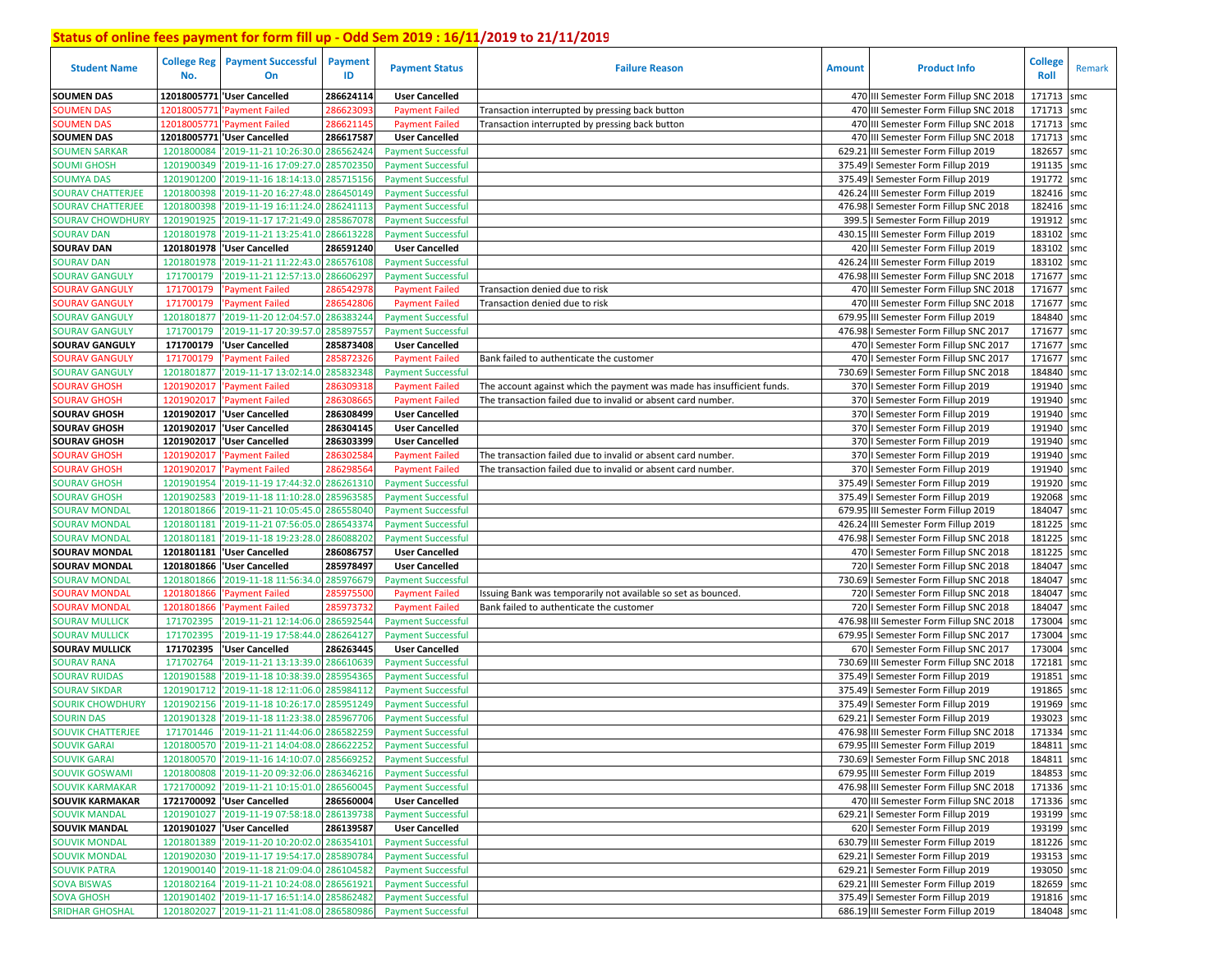| <b>Student Name</b>                     | <b>College Reg</b><br>No. | <b>Payment Successful</b><br>On                  | Payment<br>ID          | <b>Payment Status</b>                              | <b>Failure Reason</b>                                                  | <b>Amount</b> | <b>Product Info</b>                                                      | <b>College</b><br>Roll | Remark     |
|-----------------------------------------|---------------------------|--------------------------------------------------|------------------------|----------------------------------------------------|------------------------------------------------------------------------|---------------|--------------------------------------------------------------------------|------------------------|------------|
| <b>SOUMEN DAS</b>                       |                           | 12018005771 'User Cancelled                      | 286624114              | <b>User Cancelled</b>                              |                                                                        |               | 470 III Semester Form Fillup SNC 2018                                    | 171713                 | smc        |
| <b>SOUMEN DAS</b>                       | 1201800577                | <b>Payment Failed</b>                            | 28662309               | <b>Payment Failed</b>                              | Transaction interrupted by pressing back button                        |               | 470 III Semester Form Fillup SNC 2018                                    | 171713                 | smc        |
| <b>SOUMEN DAS</b>                       | 12018005771               | 'Payment Failed                                  | 286621145              | <b>Payment Failed</b>                              | Transaction interrupted by pressing back button                        |               | 470 III Semester Form Fillup SNC 2018                                    | 171713                 | smc        |
| <b>SOUMEN DAS</b>                       |                           | 12018005771 User Cancelled                       | 286617587              | <b>User Cancelled</b>                              |                                                                        | 470           | III Semester Form Fillup SNC 2018                                        | 171713                 | smc        |
| <b>SOUMEN SARKAR</b>                    | 1201800084                | '2019-11-21 10:26:30.0                           | 286562424              | <b>Payment Successful</b>                          |                                                                        | 629.21        | III Semester Form Fillup 2019                                            | 182657                 | smc        |
| <b>SOUMI GHOSH</b>                      | 1201900349                | '2019-11-16 17:09:27.0                           | 285702350              | <b>Payment Successful</b>                          |                                                                        | 375.49        | I Semester Form Fillup 2019                                              | 191135                 | smc        |
| <b>SOUMYA DAS</b>                       | 1201901200                | '2019-11-16 18:14:13.0                           | 285715156              | <b>Payment Successful</b>                          |                                                                        |               | 375.49   Semester Form Fillup 2019                                       | 191772                 | smc        |
| <b>SOURAV CHATTERJEE</b>                | 1201800398                | '2019-11-20 16:27:48.0                           | 286450149              | <b>Payment Successful</b>                          |                                                                        | 426.24        | III Semester Form Fillup 2019                                            | 182416                 | smc        |
| <b>SOURAV CHATTERJEE</b>                | 1201800398                | '2019-11-19 16:11:24.0 286241113                 |                        | <b>Payment Successful</b>                          |                                                                        |               | 476.98   Semester Form Fillup SNC 2018                                   | 182416                 | smc        |
| <b>SOURAV CHOWDHURY</b>                 | 1201901925                | '2019-11-17 17:21:49.0                           | 285867078              | <b>Payment Successful</b>                          |                                                                        |               | 399.5   Semester Form Fillup 2019                                        | 191912                 | smc        |
| <b>SOURAV DAN</b>                       | 1201801978                | '2019-11-21 13:25:41.0                           | 286613228              | <b>Payment Successful</b>                          |                                                                        |               | 430.15 III Semester Form Fillup 2019                                     | 183102                 | smc        |
| <b>SOURAV DAN</b>                       |                           | 1201801978 User Cancelled                        | 286591240              | <b>User Cancelled</b>                              |                                                                        |               | 420 III Semester Form Fillup 2019                                        | 183102                 | smc        |
| <b>SOURAV DAN</b>                       | 1201801978                | '2019-11-21 11:22:43.0                           | 286576108              | <b>Payment Successful</b>                          |                                                                        | 426.24        | III Semester Form Fillup 2019                                            | 183102                 | smc        |
| <b>SOURAV GANGULY</b>                   | 171700179                 | '2019-11-21 12:57:13.0                           | 286606297              | <b>Payment Successful</b>                          |                                                                        |               | 476.98 III Semester Form Fillup SNC 2018                                 | 171677                 | smc        |
| <b>OURAV GANGULY</b>                    | 171700179                 | <b>Payment Failed</b>                            | 28654297               | <b>Payment Failed</b>                              | Transaction denied due to risk                                         |               | 470 III Semester Form Fillup SNC 2018                                    | 171677                 | smc        |
| <b>OURAV GANGULY</b>                    | 171700179                 | 'Payment Failed                                  | 28654280               | <b>Payment Failed</b>                              | Transaction denied due to risk                                         | 470           | III Semester Form Fillup SNC 2018                                        | 171677                 | smc        |
| SOURAV GANGULY                          | 1201801877                | '2019-11-20 12:04:57.0                           | 28638324               | <b>Payment Successful</b>                          |                                                                        |               | 679.95 III Semester Form Fillup 2019                                     | 184840                 | smc        |
| <b>SOURAV GANGULY</b>                   | 171700179                 | '2019-11-17 20:39:57.0                           | 28589755               | <b>Payment Successful</b>                          |                                                                        |               | 476.98   Semester Form Fillup SNC 2017                                   | 171677                 | smc        |
| <b>SOURAV GANGULY</b>                   | 171700179                 | 'User Cancelled                                  | 285873408              | <b>User Cancelled</b>                              |                                                                        | 470           | I Semester Form Fillup SNC 2017                                          | 171677                 | smc        |
| <b>SOURAV GANGULY</b>                   | 171700179                 | <b>Payment Failed</b>                            | 28587232               | <b>Payment Failed</b>                              | Bank failed to authenticate the customer                               | 470           | I Semester Form Fillup SNC 2017                                          | 171677                 | smc        |
| <b>SOURAV GANGULY</b>                   | 1201801877                | '2019-11-17 13:02:14.0                           | 285832348              | <b>Payment Successful</b>                          |                                                                        |               | 730.69   Semester Form Fillup SNC 2018                                   | 184840                 | smc        |
| <b>SOURAV GHOSH</b>                     | 1201902017                | 'Payment Failed                                  | 28630931               | <b>Payment Failed</b>                              | The account against which the payment was made has insufficient funds. |               | 370   Semester Form Fillup 2019                                          | 191940                 | smc        |
| <b>SOURAV GHOSH</b>                     | 1201902017                | 'Payment Failed                                  | 28630866               | <b>Payment Failed</b>                              | The transaction failed due to invalid or absent card number.           |               | 370   Semester Form Fillup 2019                                          | 191940                 | smc        |
| <b>SOURAV GHOSH</b>                     |                           | 1201902017 Vser Cancelled                        | 286308499              | <b>User Cancelled</b>                              |                                                                        |               | 370   Semester Form Fillup 2019                                          | 191940                 | smc        |
| <b>SOURAV GHOSH</b>                     |                           | 1201902017 Vser Cancelled                        | 286304145              | <b>User Cancelled</b>                              |                                                                        |               | 370   Semester Form Fillup 2019                                          | 191940                 | smc        |
| <b>SOURAV GHOSH</b>                     | 1201902017                | 'User Cancelled                                  | 286303399              | <b>User Cancelled</b>                              |                                                                        |               | 370   Semester Form Fillup 2019                                          | 191940                 | smc        |
| <b>SOURAV GHOSH</b>                     | 1201902017                | 'Payment Failed                                  | 28630258               | <b>Payment Failed</b>                              | The transaction failed due to invalid or absent card number.           |               | 370   Semester Form Fillup 2019                                          | 191940                 | smc        |
| <b>SOURAV GHOSH</b>                     | 1201902017                | 'Payment Failed                                  | 286298564              | <b>Payment Failed</b>                              | The transaction failed due to invalid or absent card number.           |               | 370   Semester Form Fillup 2019                                          | 191940                 | smc        |
| <b>SOURAV GHOSH</b>                     | 1201901954                | '2019-11-19 17:44:32.0                           | 286261310              | <b>Payment Successful</b>                          |                                                                        |               | 375.49   Semester Form Fillup 2019                                       | 191920                 | smc        |
| <b>SOURAV GHOSH</b>                     | 1201902583                | '2019-11-18 11:10:28.0                           | 28596358               | <b>Payment Successful</b>                          |                                                                        |               | 375.49   Semester Form Fillup 2019                                       | 192068                 | smc        |
| <b>SOURAV MONDAL</b>                    | 1201801866                | '2019-11-21 10:05:45.0                           | 28655804               | <b>Payment Successful</b>                          |                                                                        | 679.95        | III Semester Form Fillup 2019                                            | 184047                 | smc        |
| <b>SOURAV MONDAL</b>                    | 1201801181                | '2019-11-21 07:56:05.0                           | 28654337               | <b>Payment Successful</b>                          |                                                                        | 426.24        | III Semester Form Fillup 2019                                            | 181225                 | smc        |
| <b>SOURAV MONDAL</b>                    | 1201801181                | '2019-11-18 19:23:28.0                           | 286088202              | <b>Payment Successful</b>                          |                                                                        |               | 476.98   Semester Form Fillup SNC 2018                                   | 181225                 | smc        |
| <b>SOURAV MONDAL</b>                    |                           | 1201801181  'User Cancelled                      | 286086757              | <b>User Cancelled</b>                              |                                                                        |               | 470   Semester Form Fillup SNC 2018                                      | 181225                 | smc        |
| <b>SOURAV MONDAL</b>                    | 1201801866                | <b>User Cancelled</b>                            | 285978497              | <b>User Cancelled</b>                              |                                                                        |               | 720   Semester Form Fillup SNC 2018                                      | 184047                 | smc        |
| SOURAV MONDAL                           | 1201801866                | '2019-11-18 11:56:34.0                           | 285976679              | <b>Payment Successful</b>                          |                                                                        |               | 730.69   Semester Form Fillup SNC 2018                                   | 184047                 | smc        |
| SOURAV MONDAL                           | 1201801866                | 'Payment Failed                                  | 28597550               | <b>Payment Failed</b>                              | Issuing Bank was temporarily not available so set as bounced.          |               | 720   Semester Form Fillup SNC 2018                                      | 184047                 | smc        |
| SOURAV MONDAL                           | 1201801866                | 'Payment Failed                                  | 28597373               | <b>Payment Failed</b>                              | Bank failed to authenticate the customer                               |               | 720   Semester Form Fillup SNC 2018                                      | 184047                 | smc        |
| <b>SOURAV MULLICK</b>                   | 171702395<br>171702395    | '2019-11-21 12:14:06.0<br>'2019-11-19 17:58:44.0 | 286592544<br>286264127 | <b>Payment Successful</b>                          |                                                                        |               | 476.98 III Semester Form Fillup SNC 2018                                 | 173004<br>173004       | smc<br>smc |
| SOURAV MULLICK<br><b>SOURAV MULLICK</b> | 171702395                 | 'User Cancelled                                  | 286263445              | <b>Payment Successful</b><br><b>User Cancelled</b> |                                                                        |               | 679.95   Semester Form Fillup SNC 2017                                   | 173004                 | smc        |
| SOURAV RANA                             | 171702764                 | '2019-11-21 13:13:39.0                           | 286610639              | <b>Payment Successful</b>                          |                                                                        | 730.69        | 670   Semester Form Fillup SNC 2017<br>III Semester Form Fillup SNC 2018 | 172181                 | smc        |
| <b>SOURAV RUIDAS</b>                    | 1201901588                | '2019-11-18 10:38:39.0                           | 28595436               | <b>Payment Successful</b>                          |                                                                        | 375.49        | I Semester Form Fillup 2019                                              | 191851                 | smc        |
| <b>SOURAV SIKDAR</b>                    | 1201901712                | '2019-11-18 12:11:06.0                           | 285984112              | <b>Payment Successful</b>                          |                                                                        | 375.49        | I Semester Form Fillup 2019                                              | 191865                 | smc        |
| SOURIK CHOWDHURY                        | 1201902156                | '2019-11-18 10:26:17.0                           | 28595124               | <b>Payment Successful</b>                          |                                                                        | 375.49        | I Semester Form Fillup 2019                                              | 191969                 | smc        |
| <b>SOURIN DAS</b>                       | 1201901328                | '2019-11-18 11:23:38.0                           | 28596770               | <b>Payment Successful</b>                          |                                                                        | 629.21        | I Semester Form Fillup 2019                                              | 193023                 | smc        |
| <b>SOUVIK CHATTERJEE</b>                | 171701446                 | '2019-11-21 11:44:06.0                           | 28658225               | <b>Payment Successful</b>                          |                                                                        |               | 476.98 III Semester Form Fillup SNC 2018                                 | 171334                 | smc        |
| <b>SOUVIK GARAI</b>                     |                           | 1201800570 2019-11-21 14:04:08.0 286622252       |                        | <b>Payment Successful</b>                          |                                                                        |               | 679.95 III Semester Form Fillup 2019                                     | 184811 smc             |            |
| <b>SOUVIK GARAI</b>                     |                           | 1201800570 2019-11-16 14:10:07.0 285669252       |                        | <b>Payment Successful</b>                          |                                                                        |               | 730.69   Semester Form Fillup SNC 2018                                   | 184811 smc             |            |
| <b>SOUVIK GOSWAMI</b>                   | 1201800808                | '2019-11-20 09:32:06.0 286346216                 |                        | <b>Payment Successful</b>                          |                                                                        |               | 679.95 III Semester Form Fillup 2019                                     | 184853 smc             |            |
| <b>SOUVIK KARMAKAR</b>                  |                           | 1721700092 2019-11-21 10:15:01.0 286560045       |                        | <b>Payment Successful</b>                          |                                                                        |               | 476.98 III Semester Form Fillup SNC 2018                                 | 171336 smc             |            |
| <b>SOUVIK KARMAKAR</b>                  |                           | 1721700092 User Cancelled                        | 286560004              | <b>User Cancelled</b>                              |                                                                        |               | 470 III Semester Form Fillup SNC 2018                                    | 171336 smc             |            |
| <b>SOUVIK MANDAL</b>                    |                           | 1201901027 2019-11-19 07:58:18.0 286139738       |                        | <b>Payment Successful</b>                          |                                                                        |               | 629.21   Semester Form Fillup 2019                                       | 193199 smc             |            |
| <b>SOUVIK MANDAL</b>                    |                           | 1201901027  'User Cancelled                      | 286139587              | <b>User Cancelled</b>                              |                                                                        |               | 620   Semester Form Fillup 2019                                          | 193199 smc             |            |
| <b>SOUVIK MONDAL</b>                    | 1201801389                | '2019-11-20 10:20:02.0 286354101                 |                        | <b>Payment Successful</b>                          |                                                                        |               | 630.79 III Semester Form Fillup 2019                                     | 181226 smc             |            |
| <b>SOUVIK MONDAL</b>                    |                           | 1201902030 2019-11-17 19:54:17.0 285890784       |                        | <b>Payment Successful</b>                          |                                                                        |               | 629.21   Semester Form Fillup 2019                                       | 193153 smc             |            |
| <b>SOUVIK PATRA</b>                     |                           | 1201900140 2019-11-18 21:09:04.0 286104582       |                        | <b>Payment Successful</b>                          |                                                                        |               | 629.21   Semester Form Fillup 2019                                       | 193050 smc             |            |
| <b>SOVA BISWAS</b>                      |                           | 1201802164 2019-11-21 10:24:08.0 286561921       |                        | <b>Payment Successful</b>                          |                                                                        |               | 629.21 III Semester Form Fillup 2019                                     | 182659 smc             |            |
| <b>SOVA GHOSH</b>                       |                           | 1201901402 2019-11-17 16:51:14.0 285862482       |                        | <b>Payment Successful</b>                          |                                                                        |               | 375.49   Semester Form Fillup 2019                                       | 191816 smc             |            |
| <b>SRIDHAR GHOSHAL</b>                  |                           | 1201802027 2019-11-21 11:41:08.0 286580986       |                        | <b>Payment Successful</b>                          |                                                                        |               | 686.19 III Semester Form Fillup 2019                                     | 184048 smc             |            |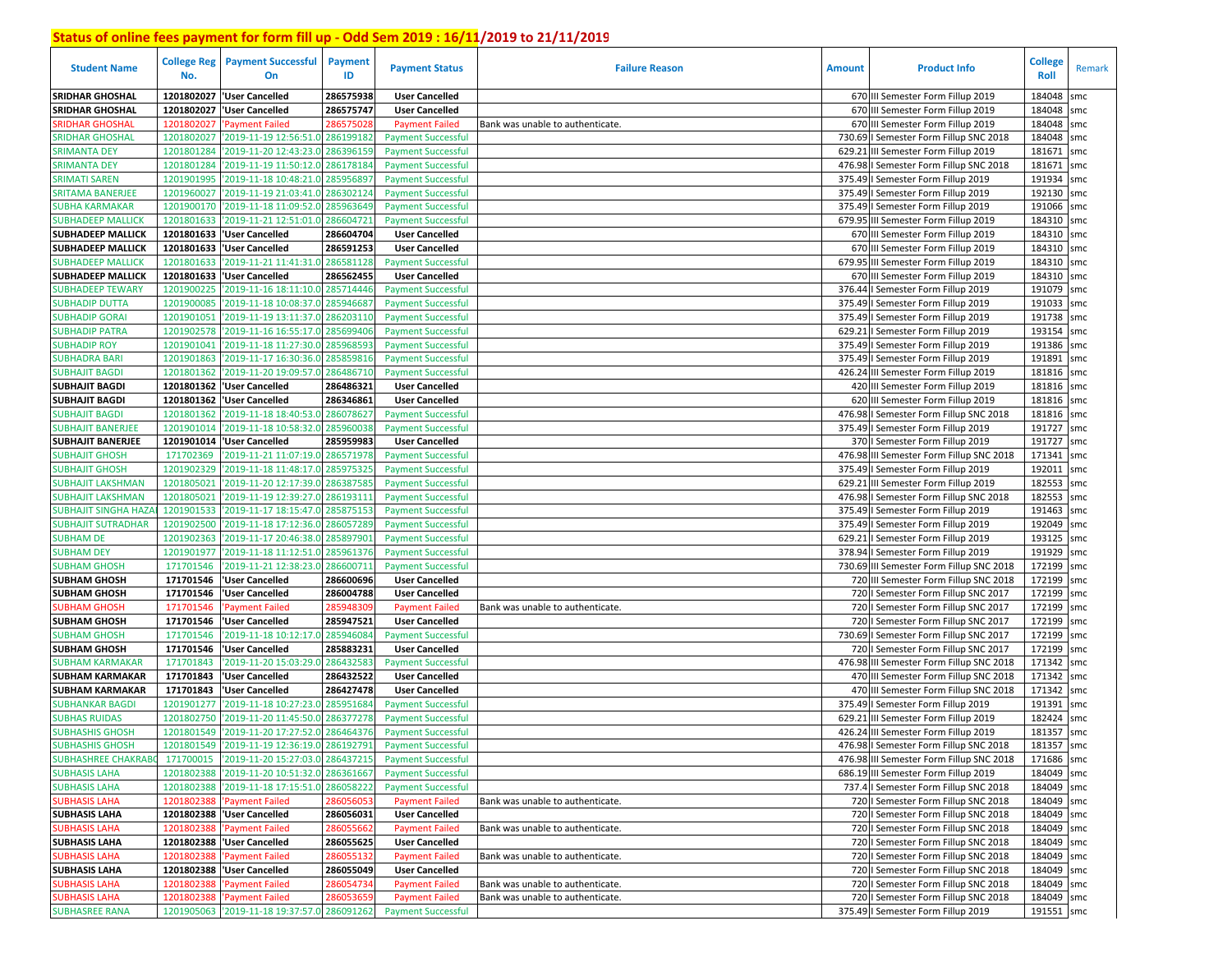| <b>Student Name</b>         | <b>College Reg</b><br>No. | <b>Payment Successful</b><br>On            | Payment<br>ID | <b>Payment Status</b>     | <b>Failure Reason</b>            | <b>Amount</b> | <b>Product Info</b>                      | <b>College</b><br>Roll | Remark |
|-----------------------------|---------------------------|--------------------------------------------|---------------|---------------------------|----------------------------------|---------------|------------------------------------------|------------------------|--------|
| <b>SRIDHAR GHOSHAL</b>      | 1201802027                | 'User Cancelled                            | 286575938     | <b>User Cancelled</b>     |                                  |               | 670 III Semester Form Fillup 2019        | 184048                 | smc    |
| <b>SRIDHAR GHOSHAL</b>      | 1201802027                | 'User Cancelled                            | 286575747     | <b>User Cancelled</b>     |                                  |               | 670 III Semester Form Fillup 2019        | 184048                 | smc    |
| SRIDHAR GHOSHAI             | 1201802027                | <b>Payment Failed</b>                      | 286575028     | <b>Payment Failed</b>     | Bank was unable to authenticate. |               | 670 III Semester Form Fillup 2019        | 184048                 | smc    |
| <b>SRIDHAR GHOSHAL</b>      | 1201802027                | '2019-11-19 12:56:51.0                     | 286199182     | <b>Payment Successful</b> |                                  |               | 730.69   Semester Form Fillup SNC 2018   | 184048                 | smc    |
| <b>SRIMANTA DEY</b>         | 1201801284                | '2019-11-20 12:43:23.0                     | 286396159     | <b>Payment Successful</b> |                                  |               | 629.21 III Semester Form Fillup 2019     | 181671                 | smc    |
| <b>SRIMANTA DEY</b>         | 1201801284                | '2019-11-19 11:50:12.0                     | 286178184     | <b>Payment Successful</b> |                                  |               | 476.98   Semester Form Fillup SNC 2018   | 181671                 | smc    |
| <b>SRIMATI SAREN</b>        | 1201901995                | '2019-11-18 10:48:21.0 28595689.           |               | <b>Payment Successful</b> |                                  |               | 375.49   Semester Form Fillup 2019       | 191934                 | smc    |
| <b>SRITAMA BANERJEE</b>     | 1201960027                | '2019-11-19 21:03:41.0                     | 286302124     | <b>Payment Successful</b> |                                  |               | 375.49   Semester Form Fillup 2019       | 192130                 | smc    |
| <b>SUBHA KARMAKAR</b>       | 1201900170                | '2019-11-18 11:09:52.0                     | 285963649     | <b>Payment Successful</b> |                                  |               | 375.49   Semester Form Fillup 2019       | 191066 smc             |        |
| <b>SUBHADEEP MALLICK</b>    | 1201801633                | '2019-11-21 12:51:01.0                     | 286604721     | <b>Payment Successful</b> |                                  |               | 679.95 III Semester Form Fillup 2019     | 184310 smc             |        |
| <b>SUBHADEEP MALLICK</b>    |                           | 1201801633  'User Cancelled                | 286604704     | <b>User Cancelled</b>     |                                  |               | 670 III Semester Form Fillup 2019        | 184310 smc             |        |
| <b>SUBHADEEP MALLICK</b>    | 1201801633                | 'User Cancelled                            | 286591253     | <b>User Cancelled</b>     |                                  |               | 670 III Semester Form Fillup 2019        | 184310 smc             |        |
| <b>SUBHADEEP MALLICK</b>    | 1201801633                | '2019-11-21 11:41:31.0                     | 286581128     | <b>Payment Successful</b> |                                  |               | 679.95 III Semester Form Fillup 2019     | 184310 smc             |        |
| <b>SUBHADEEP MALLICK</b>    | 1201801633                | 'User Cancelled                            | 286562455     | <b>User Cancelled</b>     |                                  |               | 670 III Semester Form Fillup 2019        | 184310 smc             |        |
| <b>SUBHADEEP TEWARY</b>     | 1201900225                | '2019-11-16 18:11:10.0                     | 285714446     | <b>Payment Successful</b> |                                  |               | 376.44   Semester Form Fillup 2019       | 191079 smc             |        |
| <b>SUBHADIP DUTTA</b>       | 1201900085                | '2019-11-18 10:08:37.                      | 285946687     | <b>Payment Successful</b> |                                  |               | 375.49   Semester Form Fillup 2019       | 191033                 | smc    |
| <b>SUBHADIP GORAI</b>       | 1201901051                | '2019-11-19 13:11:37.                      | 28620311      | <b>Payment Successful</b> |                                  |               | 375.49   Semester Form Fillup 2019       | 191738                 | smc    |
| <b>SUBHADIP PATRA</b>       | 1201902578                | '2019-11-16 16:55:17.0                     | 28569940      | <b>Payment Successful</b> |                                  |               | 629.21   Semester Form Fillup 2019       | 193154                 | smc    |
| <b>SUBHADIP ROY</b>         | 1201901041                | '2019-11-18 11:27:30.0                     | 28596859      | <b>Payment Successful</b> |                                  |               | 375.49   Semester Form Fillup 2019       | 191386                 | smc    |
| <b>SUBHADRA BARI</b>        | 1201901863                | '2019-11-17 16:30:36.0                     | 285859816     | <b>Payment Successful</b> |                                  |               | 375.49   Semester Form Fillup 2019       | 191891                 | smc    |
| <b>SUBHAJIT BAGDI</b>       | 1201801362                | '2019-11-20 19:09:57.0                     | 28648671      | <b>Payment Successful</b> |                                  |               | 426.24 III Semester Form Fillup 2019     | 181816                 | smc    |
| <b>SUBHAJIT BAGDI</b>       | 1201801362                | 'User Cancelled                            | 286486321     | <b>User Cancelled</b>     |                                  |               | 420 III Semester Form Fillup 2019        | 181816 smc             |        |
| <b>SUBHAJIT BAGDI</b>       | 1201801362                | 'User Cancelled                            | 286346861     | <b>User Cancelled</b>     |                                  |               | 620 III Semester Form Fillup 2019        | 181816 smc             |        |
| <b>SUBHAJIT BAGDI</b>       | 1201801362                | '2019-11-18 18:40:53.0                     | 286078627     | <b>Payment Successful</b> |                                  |               | 476.98   Semester Form Fillup SNC 2018   | 181816                 | smc    |
| <b>SUBHAJIT BANERJEE</b>    | 1201901014                | '2019-11-18 10:58:32.0                     | 285960038     | <b>Payment Successful</b> |                                  |               | 375.49   Semester Form Fillup 2019       | 191727                 | smc    |
| <b>SUBHAJIT BANERJEE</b>    | 1201901014                | 'User Cancelled                            | 285959983     | <b>User Cancelled</b>     |                                  |               | 370   Semester Form Fillup 2019          | 191727 smc             |        |
| <b>SUBHAJIT GHOSH</b>       | 171702369                 | '2019-11-21 11:07:19.0                     | 286571978     | <b>Payment Successful</b> |                                  |               | 476.98 III Semester Form Fillup SNC 2018 | 171341                 | smc    |
| <b>SUBHAJIT GHOSH</b>       | 1201902329                | '2019-11-18 11:48:17.0                     | 285975325     | <b>Payment Successful</b> |                                  |               | 375.49   Semester Form Fillup 2019       | 192011                 | smc    |
| <b>SUBHAJIT LAKSHMAN</b>    | 1201805021                | '2019-11-20 12:17:39.0                     | 286387585     | <b>Payment Successful</b> |                                  |               | 629.21 III Semester Form Fillup 2019     | 182553                 | smc    |
| <b>SUBHAJIT LAKSHMAN</b>    | 1201805021                | '2019-11-19 12:39:27.0                     | 286193111     | <b>Payment Successful</b> |                                  |               | 476.98   Semester Form Fillup SNC 2018   | 182553                 | smc    |
| <b>SUBHAJIT SINGHA HAZA</b> | 1201901533                | '2019-11-17 18:15:47.0                     | 285875153     | <b>Payment Successful</b> |                                  |               | 375.49   Semester Form Fillup 2019       | 191463                 | smc    |
| <b>SUBHAJIT SUTRADHAR</b>   | 1201902500                | '2019-11-18 17:12:36.0                     | 286057289     | <b>Payment Successful</b> |                                  |               | 375.49   Semester Form Fillup 2019       | 192049 smc             |        |
| <b>SUBHAM DE</b>            | 1201902363                | '2019-11-17 20:46:38.0                     | 285897901     | <b>Payment Successful</b> |                                  |               | 629.21   Semester Form Fillup 2019       | 193125 smc             |        |
| <b>SUBHAM DEY</b>           | 1201901977                | '2019-11-18 11:12:51.0 28596137            |               | <b>Payment Successful</b> |                                  |               | 378.94   Semester Form Fillup 2019       | 191929 smc             |        |
| <b>SUBHAM GHOSH</b>         | 171701546                 | '2019-11-21 12:38:23.0                     | 286600711     | <b>Payment Successful</b> |                                  |               | 730.69 III Semester Form Fillup SNC 2018 | 172199                 | smc    |
| <b>SUBHAM GHOSH</b>         | 171701546                 | 'User Cancelled                            | 286600696     | <b>User Cancelled</b>     |                                  |               | 720 III Semester Form Fillup SNC 2018    | 172199 smc             |        |
| <b>SUBHAM GHOSH</b>         | 171701546                 | User Cancelled                             | 286004788     | <b>User Cancelled</b>     |                                  |               | 720   Semester Form Fillup SNC 2017      | 172199                 | smc    |
| <b>SUBHAM GHOSH</b>         | 171701546                 | <b>Payment Failed</b>                      | 28594830      | <b>Payment Failed</b>     | Bank was unable to authenticate. |               | 720   Semester Form Fillup SNC 2017      | 172199 smc             |        |
| <b>SUBHAM GHOSH</b>         | 171701546                 | 'User Cancelled                            | 285947521     | <b>User Cancelled</b>     |                                  |               | 720   Semester Form Fillup SNC 2017      | 172199                 | smc    |
| <b>SUBHAM GHOSH</b>         | 171701546                 | '2019-11-18 10:12:17.0                     | 28594608      | <b>Payment Successful</b> |                                  |               | 730.69   Semester Form Fillup SNC 2017   | 172199                 | smc    |
| <b>SUBHAM GHOSH</b>         | 171701546                 | 'User Cancelled                            | 285883231     | <b>User Cancelled</b>     |                                  |               | 720   Semester Form Fillup SNC 2017      | 172199                 | smc    |
| <b>SUBHAM KARMAKAR</b>      | 171701843                 | '2019-11-20 15:03:29.                      | 286432583     | <b>Payment Successful</b> |                                  |               | 476.98 III Semester Form Fillup SNC 2018 | 171342                 | smc    |
| <b>SUBHAM KARMAKAR</b>      | 171701843                 | 'User Cancelled                            | 286432522     | <b>User Cancelled</b>     |                                  |               | 470 III Semester Form Fillup SNC 2018    | 171342                 | smc    |
| <b>SUBHAM KARMAKAR</b>      | 171701843                 | 'User Cancelled                            | 286427478     | <b>User Cancelled</b>     |                                  |               | 470 III Semester Form Fillup SNC 2018    | 171342                 | smc    |
| <b>SUBHANKAR BAGDI</b>      | 1201901277                | '2019-11-18 10:27:23.0                     | 285951684     | <b>Payment Successful</b> |                                  |               | 375.49   Semester Form Fillup 2019       | 191391                 | smc    |
| <b>SUBHAS RUIDAS</b>        | 1201802750                | '2019-11-20 11:45:50.0                     | 28637727      | <b>Payment Successful</b> |                                  |               | 629.21 III Semester Form Fillup 2019     | 182424                 | smc    |
| <b>SUBHASHIS GHOSH</b>      | 1201801549                | '2019-11-20 17:27:52.0 286464376           |               | <b>Payment Successful</b> |                                  |               | 426.24 III Semester Form Fillup 2019     | 181357                 | smc    |
| <b>SUBHASHIS GHOSH</b>      |                           | 1201801549 2019-11-19 12:36:19.0 286192791 |               | <b>Payment Successful</b> |                                  |               | 476.98   Semester Form Fillup SNC 2018   | 181357 smc             |        |
| <b>SUBHASHREE CHAKRABC</b>  |                           | 171700015 2019-11-20 15:27:03.0 286437215  |               | <b>Payment Successful</b> |                                  |               | 476.98 III Semester Form Fillup SNC 2018 | 171686 smc             |        |
| <b>SUBHASIS LAHA</b>        | 1201802388                | '2019-11-20 10:51:32.0 286361667           |               | <b>Payment Successful</b> |                                  |               | 686.19 III Semester Form Fillup 2019     | 184049 smc             |        |
| <b>SUBHASIS LAHA</b>        |                           | 1201802388 2019-11-18 17:15:51.0 286058222 |               | <b>Payment Successful</b> |                                  |               | 737.4   Semester Form Fillup SNC 2018    | 184049 smc             |        |
| <b>SUBHASIS LAHA</b>        |                           | 1201802388 'Payment Failed                 | 286056053     | <b>Payment Failed</b>     | Bank was unable to authenticate. |               | 720   Semester Form Fillup SNC 2018      | 184049 smc             |        |
| <b>SUBHASIS LAHA</b>        |                           | 1201802388 'User Cancelled                 | 286056031     | <b>User Cancelled</b>     |                                  |               | 720   Semester Form Fillup SNC 2018      | 184049 smc             |        |
| <b>SUBHASIS LAHA</b>        | 1201802388                | 'Payment Failed                            | 286055662     | <b>Payment Failed</b>     | Bank was unable to authenticate. |               | 720   Semester Form Fillup SNC 2018      | 184049 smc             |        |
| <b>SUBHASIS LAHA</b>        |                           | 1201802388 'User Cancelled                 | 286055625     | <b>User Cancelled</b>     |                                  |               | 720   Semester Form Fillup SNC 2018      | 184049 smc             |        |
| <b>SUBHASIS LAHA</b>        | 1201802388                | 'Payment Failed                            | 286055132     | <b>Payment Failed</b>     | Bank was unable to authenticate. |               | 720   Semester Form Fillup SNC 2018      | 184049 smc             |        |
| <b>SUBHASIS LAHA</b>        |                           | 1201802388 'User Cancelled                 | 286055049     | <b>User Cancelled</b>     |                                  |               | 720   Semester Form Fillup SNC 2018      | 184049 smc             |        |
| <b>SUBHASIS LAHA</b>        | 1201802388                | 'Payment Failed                            | 286054734     | <b>Payment Failed</b>     | Bank was unable to authenticate. |               | 720   Semester Form Fillup SNC 2018      | 184049 smc             |        |
| <b>SUBHASIS LAHA</b>        | 1201802388                | 'Payment Failed                            | 286053659     | <b>Payment Failed</b>     | Bank was unable to authenticate. |               | 720   Semester Form Fillup SNC 2018      | 184049 smc             |        |
| <b>SUBHASREE RANA</b>       |                           | 1201905063 2019-11-18 19:37:57.0 286091262 |               | <b>Payment Successful</b> |                                  |               | 375.49   Semester Form Fillup 2019       | 191551 smc             |        |
|                             |                           |                                            |               |                           |                                  |               |                                          |                        |        |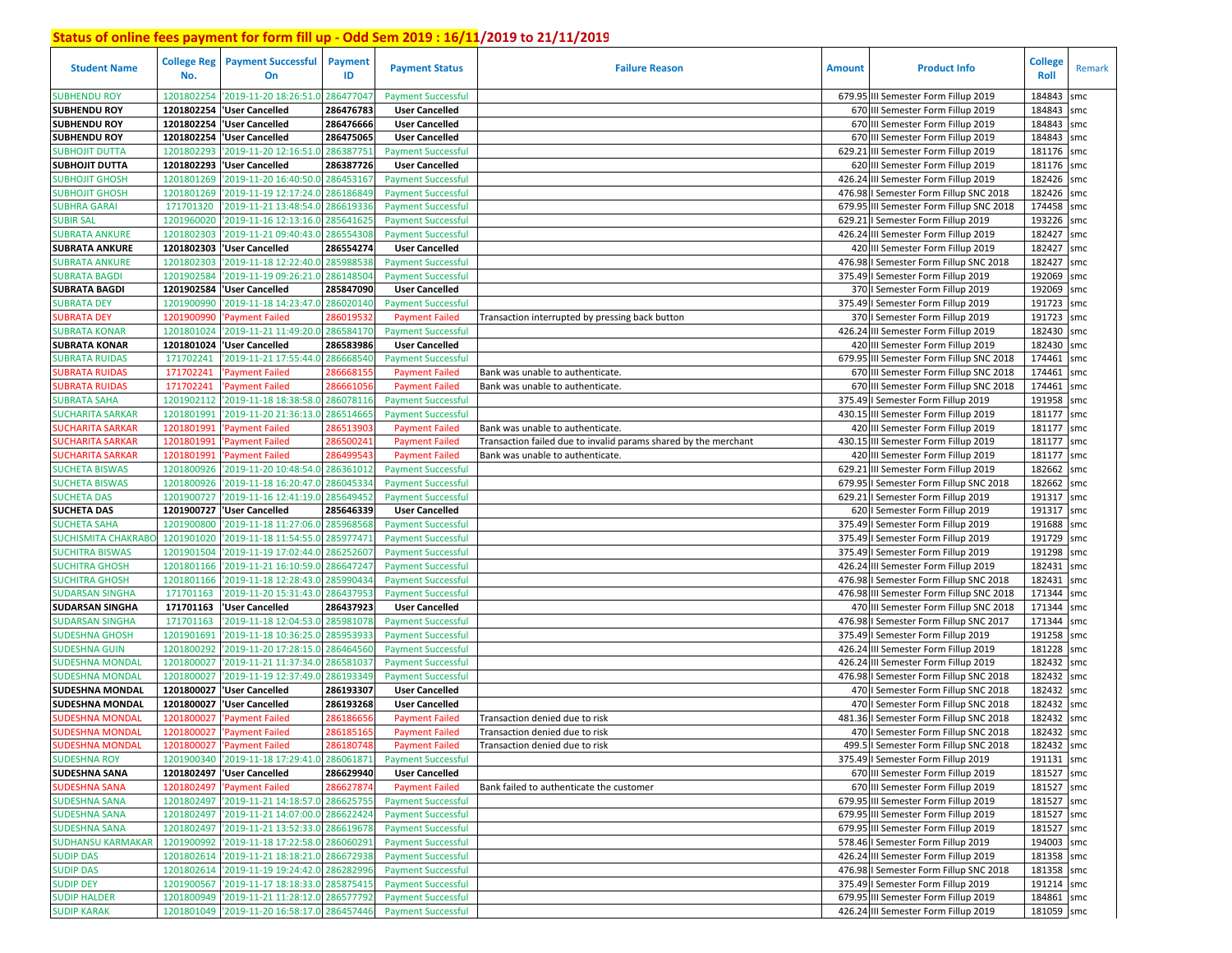| <b>Student Name</b>        | <b>College Reg</b><br>No. | <b>Payment Successful</b><br>On            | Payment<br>ID | <b>Payment Status</b>     | <b>Failure Reason</b>                                           | <b>Amount</b> | <b>Product Info</b>                      | <b>College</b><br>Roll | Remark |
|----------------------------|---------------------------|--------------------------------------------|---------------|---------------------------|-----------------------------------------------------------------|---------------|------------------------------------------|------------------------|--------|
| <b>SUBHENDU ROY</b>        | 1201802254                | '2019-11-20 18:26:51.0                     | 286477047     | <b>Payment Successful</b> |                                                                 |               | 679.95 III Semester Form Fillup 2019     | 184843                 | smc    |
| <b>SUBHENDU ROY</b>        | 1201802254                | 'User Cancelled                            | 286476783     | <b>User Cancelled</b>     |                                                                 |               | 670 III Semester Form Fillup 2019        | 184843                 | smc    |
| <b>SUBHENDU ROY</b>        | 1201802254                | 'User Cancelled                            | 286476666     | <b>User Cancelled</b>     |                                                                 |               | 670 III Semester Form Fillup 2019        | 184843                 | smc    |
| <b>SUBHENDU ROY</b>        | 1201802254                | 'User Cancelled                            | 286475065     | <b>User Cancelled</b>     |                                                                 |               | 670 III Semester Form Fillup 2019        | 184843                 | smc    |
| <b>SUBHOJIT DUTTA</b>      | 1201802293                | '2019-11-20 12:16:51.0                     | 286387751     | <b>Payment Successful</b> |                                                                 |               | 629.21 III Semester Form Fillup 2019     | 181176 smc             |        |
| <b>SUBHOJIT DUTTA</b>      | 1201802293                | 'User Cancelled                            | 286387726     | <b>User Cancelled</b>     |                                                                 |               | 620 III Semester Form Fillup 2019        | 181176 smc             |        |
| SUBHOJIT GHOSH             | 1201801269                | '2019-11-20 16:40:50.0 286453167           |               | <b>Payment Successful</b> |                                                                 |               | 426.24 III Semester Form Fillup 2019     | 182426 smc             |        |
| SUBHOJIT GHOSH             | 1201801269                | '2019-11-19 12:17:24.0 286186849           |               | <b>Payment Successful</b> |                                                                 |               | 476.98   Semester Form Fillup SNC 2018   | 182426 smc             |        |
| SUBHRA GARAI               | 171701320                 | '2019-11-21 13:48:54.0 286619336           |               | <b>Payment Successful</b> |                                                                 |               | 679.95 III Semester Form Fillup SNC 2018 | 174458 smc             |        |
| <b>SUBIR SAL</b>           | 1201960020                | '2019-11-16 12:13:16.0 285641625           |               | <b>Payment Successful</b> |                                                                 |               | 629.21   Semester Form Fillup 2019       | 193226 smc             |        |
| SUBRATA ANKURE             | 1201802303                | '2019-11-21 09:40:43.0                     | 286554308     | <b>Payment Successful</b> |                                                                 |               | 426.24 III Semester Form Fillup 2019     | 182427 smc             |        |
| <b>SUBRATA ANKURE</b>      | 1201802303                | <b>User Cancelled</b>                      | 286554274     | <b>User Cancelled</b>     |                                                                 |               | 420 III Semester Form Fillup 2019        | 182427                 | smc    |
| <b>SUBRATA ANKURE</b>      | 1201802303                | '2019-11-18 12:22:40.0                     | 285988538     | <b>Payment Successful</b> |                                                                 |               | 476.98   Semester Form Fillup SNC 2018   | 182427                 | smc    |
| <b>SUBRATA BAGDI</b>       | 1201902584                | '2019-11-19 09:26:21.0                     | 286148504     | <b>Payment Successful</b> |                                                                 |               | 375.49   Semester Form Fillup 2019       | 192069 smc             |        |
| <b>SUBRATA BAGDI</b>       | 1201902584                | 'User Cancelled                            | 285847090     | <b>User Cancelled</b>     |                                                                 |               | 370   Semester Form Fillup 2019          | 192069 smc             |        |
| <b>SUBRATA DEY</b>         | 1201900990                | 2019-11-18 14:23:47.0                      | 286020140     | <b>Payment Successful</b> |                                                                 |               | 375.49   Semester Form Fillup 2019       | 191723                 | smc    |
| <b>JUBRATA DEY</b>         | 1201900990                | <b>Payment Failed</b>                      | 28601953      | <b>Payment Failed</b>     | Transaction interrupted by pressing back button                 |               | 370   Semester Form Fillup 2019          | 191723 smc             |        |
| <b>SUBRATA KONAR</b>       | 1201801024                | '2019-11-21 11:49:20.                      | 286584170     | <b>Payment Successful</b> |                                                                 |               | 426.24 III Semester Form Fillup 2019     | 182430 smc             |        |
| <b>SUBRATA KONAR</b>       |                           | 1201801024 User Cancelled                  | 286583986     | <b>User Cancelled</b>     |                                                                 |               | 420 III Semester Form Fillup 2019        | 182430 smc             |        |
| <b>SUBRATA RUIDAS</b>      | 171702241                 | 2019-11-21 17:55:44.                       | 286668540     | <b>Payment Successful</b> |                                                                 |               | 679.95 III Semester Form Fillup SNC 2018 | 174461                 | smc    |
| <b>SUBRATA RUIDAS</b>      | 171702241                 | <b>Payment Failed</b>                      | 28666815      | <b>Payment Failed</b>     | Bank was unable to authenticate.                                |               | 670 III Semester Form Fillup SNC 2018    | 174461                 | smc    |
| <b>SUBRATA RUIDAS</b>      | 171702241                 | <b>Payment Failed</b>                      | 286661056     | <b>Payment Failed</b>     | Bank was unable to authenticate.                                |               | 670 III Semester Form Fillup SNC 2018    | 174461                 | smc    |
| <b>SUBRATA SAHA</b>        | 1201902112                | '2019-11-18 18:38:58.0                     | 286078116     | <b>Payment Successful</b> |                                                                 |               | 375.49   Semester Form Fillup 2019       | 191958 smc             |        |
| <b>SUCHARITA SARKAR</b>    | 1201801991                | '2019-11-20 21:36:13.0                     | 286514665     | <b>Payment Successful</b> |                                                                 |               | 430.15 III Semester Form Fillup 2019     | 181177 smc             |        |
| <b>SUCHARITA SARKAR</b>    | 1201801991                | <b>Payment Failed</b>                      | 28651390      | <b>Payment Failed</b>     | Bank was unable to authenticate.                                |               | 420 III Semester Form Fillup 2019        | 181177 smc             |        |
| <b>SUCHARITA SARKAR</b>    | 1201801991                | <b>Payment Failed</b>                      | 286500241     | <b>Payment Failed</b>     | Transaction failed due to invalid params shared by the merchant |               | 430.15 III Semester Form Fillup 2019     | 181177 smc             |        |
| <b>SUCHARITA SARKAR</b>    | 1201801991                | <b>Payment Failed</b>                      | 286499543     | <b>Payment Failed</b>     | Bank was unable to authenticate.                                |               | 420 III Semester Form Fillup 2019        | 181177 smc             |        |
| <b>SUCHETA BISWAS</b>      | 1201800926                | '2019-11-20 10:48:54.0 286361012           |               | <b>Payment Successful</b> |                                                                 |               | 629.21 III Semester Form Fillup 2019     | 182662                 | smc    |
| <b>SUCHETA BISWAS</b>      | 1201800926                | '2019-11-18 16:20:47.0                     | 286045334     | <b>Payment Successful</b> |                                                                 |               | 679.95   Semester Form Fillup SNC 2018   | 182662                 | smc    |
| <b>SUCHETA DAS</b>         | 1201900727                | '2019-11-16 12:41:19.0                     | 285649452     | <b>Payment Successful</b> |                                                                 |               | 629.21   Semester Form Fillup 2019       | 191317 smc             |        |
| <b>SUCHETA DAS</b>         | 1201900727                | 'User Cancelled                            | 285646339     | <b>User Cancelled</b>     |                                                                 |               | 620   Semester Form Fillup 2019          | 191317                 | smc    |
| SUCHETA SAHA               | 1201900800                | '2019-11-18 11:27:06.0 285968568           |               | <b>Payment Successful</b> |                                                                 |               | 375.49   Semester Form Fillup 2019       | 191688                 | smc    |
| <b>SUCHISMITA CHAKRABO</b> | 1201901020                | '2019-11-18 11:54:55.0 285977471           |               | <b>Payment Successful</b> |                                                                 |               | 375.49   Semester Form Fillup 2019       | 191729                 | smc    |
| <b>SUCHITRA BISWAS</b>     | 1201901504                | '2019-11-19 17:02:44.0 286252607           |               | <b>Payment Successful</b> |                                                                 |               | 375.49   Semester Form Fillup 2019       | 191298 smc             |        |
| <b>SUCHITRA GHOSH</b>      | 1201801166                | '2019-11-21 16:10:59.0 286647247           |               | <b>Payment Successful</b> |                                                                 |               | 426.24 III Semester Form Fillup 2019     | 182431                 | smc    |
| SUCHITRA GHOSH             | 1201801166                | '2019-11-18 12:28:43.0                     | 285990434     | <b>Payment Successful</b> |                                                                 |               | 476.98   Semester Form Fillup SNC 2018   | 182431                 | smc    |
| <b>SUDARSAN SINGHA</b>     | 171701163                 | '2019-11-20 15:31:43.0                     | 286437953     | <b>Payment Successful</b> |                                                                 |               | 476.98 III Semester Form Fillup SNC 2018 | 171344 smc             |        |
| <b>SUDARSAN SINGHA</b>     | 171701163                 | 'User Cancelled                            | 286437923     | <b>User Cancelled</b>     |                                                                 |               | 470 III Semester Form Fillup SNC 2018    | 171344 smc             |        |
| <b>SUDARSAN SINGHA</b>     | 171701163                 | 2019-11-18 12:04:53.0 285981078            |               | <b>Payment Successful</b> |                                                                 |               | 476.98   Semester Form Fillup SNC 2017   | 171344 smc             |        |
| SUDESHNA GHOSH             | 1201901691                | '2019-11-18 10:36:25.0                     | 285953933     | <b>Payment Successful</b> |                                                                 |               | 375.49   Semester Form Fillup 2019       | 191258 smc             |        |
| <b>SUDESHNA GUIN</b>       | 1201800292                | '2019-11-20 17:28:15.0                     | 286464560     | <b>Payment Successful</b> |                                                                 |               | 426.24 III Semester Form Fillup 2019     | 181228 smc             |        |
| SUDESHNA MONDAL            | 1201800027                | '2019-11-21 11:37:34.0                     | 286581037     | <b>Payment Successful</b> |                                                                 |               | 426.24 III Semester Form Fillup 2019     | 182432                 | smc    |
| <b>SUDESHNA MONDAL</b>     | 1201800027                | '2019-11-19 12:37:49.0                     | 286193349     | <b>Payment Successful</b> |                                                                 |               | 476.98   Semester Form Fillup SNC 2018   | 182432                 | smc    |
| <b>SUDESHNA MONDAL</b>     | 1201800027                | 'User Cancelled                            | 286193307     | <b>User Cancelled</b>     |                                                                 |               | 470   Semester Form Fillup SNC 2018      | 182432                 | smc    |
| <b>SUDESHNA MONDAL</b>     | 1201800027                | <b>User Cancelled</b>                      | 286193268     | <b>User Cancelled</b>     |                                                                 |               | 470   Semester Form Fillup SNC 2018      | 182432                 | smc    |
| <b>SUDESHNA MONDAI</b>     | 1201800027                | <b>Payment Failed</b>                      | 28618665      | <b>Payment Failed</b>     | Transaction denied due to risk                                  |               | 481.36   Semester Form Fillup SNC 2018   | 182432                 | smc    |
| SUDESHNA MONDAL            | 1201800027                | <b>Payment Failed</b>                      | 286185165     | <b>Payment Failed</b>     | Transaction denied due to risk                                  |               | 470   Semester Form Fillup SNC 2018      | 182432                 | smc    |
| SUDESHNA MONDAL            |                           | 1201800027 'Payment Failed                 | 286180748     | <b>Payment Failed</b>     | Transaction denied due to risk                                  |               | 499.5   Semester Form Fillup SNC 2018    | 182432 smc             |        |
| <b>SUDESHNA ROY</b>        |                           | 1201900340 2019-11-18 17:29:41.0 286061871 |               | <b>Payment Successful</b> |                                                                 |               | 375.49   Semester Form Fillup 2019       | 191131 smc             |        |
| <b>SUDESHNA SANA</b>       |                           | 1201802497 'User Cancelled                 | 286629940     | <b>User Cancelled</b>     |                                                                 |               | 670 III Semester Form Fillup 2019        | 181527 smc             |        |
| <b>SUDESHNA SANA</b>       | 1201802497                | 'Payment Failed                            | 286627874     | <b>Payment Failed</b>     | Bank failed to authenticate the customer                        |               | 670 III Semester Form Fillup 2019        | 181527 smc             |        |
| <b>SUDESHNA SANA</b>       |                           | 1201802497 2019-11-21 14:18:57.0 286625755 |               | <b>Payment Successful</b> |                                                                 |               | 679.95 III Semester Form Fillup 2019     | 181527 smc             |        |
| <b>SUDESHNA SANA</b>       |                           | 1201802497 2019-11-21 14:07:00.0 286622424 |               | <b>Payment Successful</b> |                                                                 |               | 679.95 III Semester Form Fillup 2019     | 181527 smc             |        |
| <b>SUDESHNA SANA</b>       |                           | 1201802497 2019-11-21 13:52:33.0 286619678 |               | <b>Payment Successful</b> |                                                                 |               | 679.95 III Semester Form Fillup 2019     | 181527 smc             |        |
| <b>SUDHANSU KARMAKAR</b>   |                           | 1201900992 2019-11-18 17:22:58.0 286060291 |               | <b>Payment Successful</b> |                                                                 |               | 578.46   Semester Form Fillup 2019       | 194003 smc             |        |
| <b>SUDIP DAS</b>           |                           | 1201802614 2019-11-21 18:18:21.0 286672938 |               | <b>Payment Successful</b> |                                                                 |               | 426.24 III Semester Form Fillup 2019     | 181358 smc             |        |
| <b>SUDIP DAS</b>           |                           | 1201802614 2019-11-19 19:24:42.0 286282996 |               | <b>Payment Successful</b> |                                                                 |               | 476.98   Semester Form Fillup SNC 2018   | 181358 smc             |        |
| <b>SUDIP DEY</b>           |                           | 1201900567 2019-11-17 18:18:33.0 285875415 |               | <b>Payment Successful</b> |                                                                 |               | 375.49   Semester Form Fillup 2019       | 191214 smc             |        |
| <b>SUDIP HALDER</b>        |                           | 1201800949 2019-11-21 11:28:12.0 286577792 |               | <b>Payment Successful</b> |                                                                 |               | 679.95 III Semester Form Fillup 2019     | 184861 smc             |        |
| <b>SUDIP KARAK</b>         |                           | 1201801049 2019-11-20 16:58:17.0 286457446 |               | <b>Payment Successful</b> |                                                                 |               | 426.24 III Semester Form Fillup 2019     | 181059 smc             |        |
|                            |                           |                                            |               |                           |                                                                 |               |                                          |                        |        |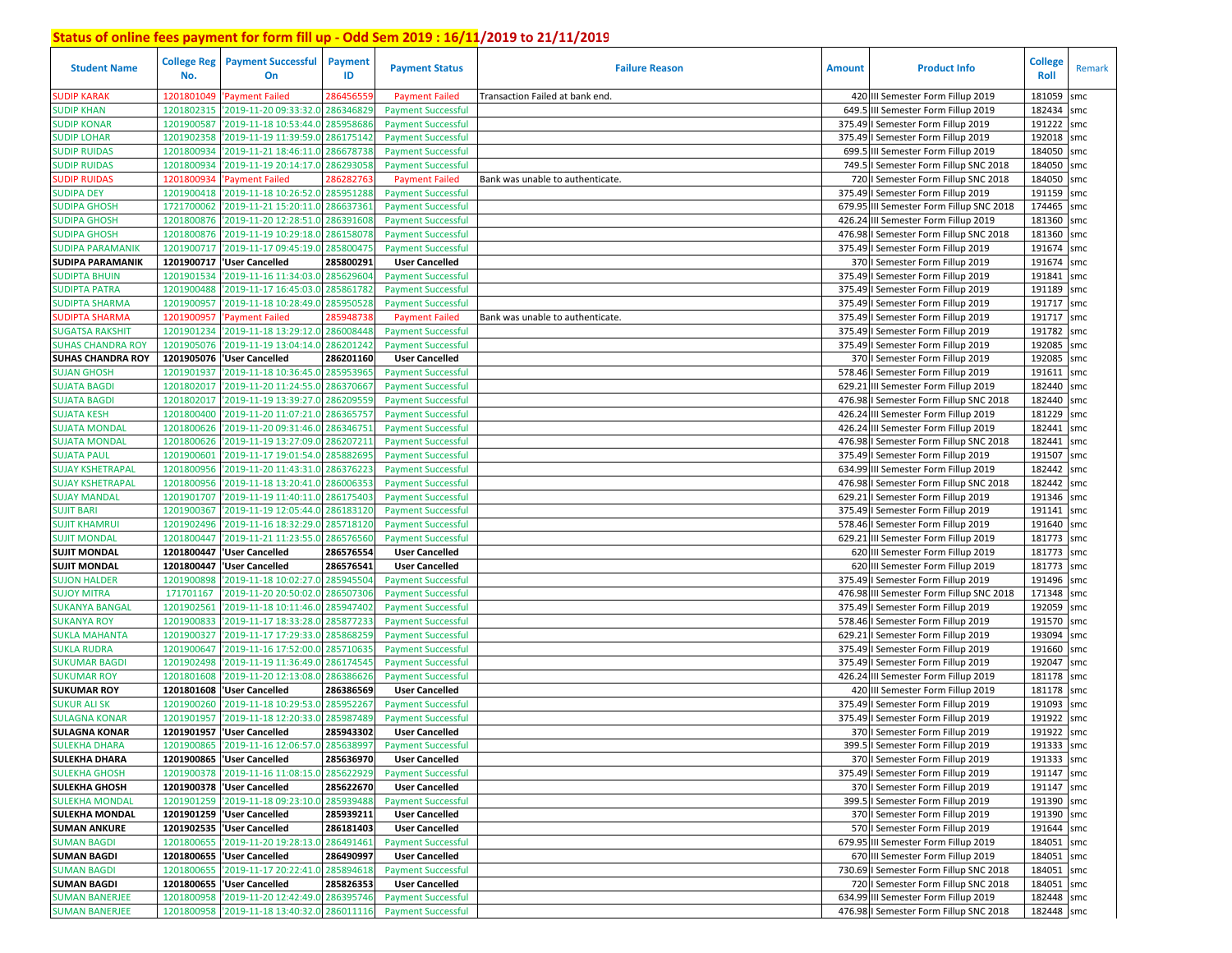| <b>Student Name</b>      | <b>College Reg</b><br>No. | <b>Payment Successful</b><br>On            | <b>Payment</b><br>ID | <b>Payment Status</b>     | <b>Failure Reason</b>            | <b>Amount</b> | <b>Product Info</b>                      | <b>College</b><br><b>Roll</b> | Remark |
|--------------------------|---------------------------|--------------------------------------------|----------------------|---------------------------|----------------------------------|---------------|------------------------------------------|-------------------------------|--------|
| SUDIP KARAK              | 1201801049                | 'Payment Failed                            | 28645655             | <b>Payment Failed</b>     | Transaction Failed at bank end.  |               | 420 III Semester Form Fillup 2019        | 181059                        | smc    |
| <b>SUDIP KHAN</b>        | 1201802315                | '2019-11-20 09:33:32.0                     | 286346829            | <b>Payment Successful</b> |                                  |               | 649.5 III Semester Form Fillup 2019      | 182434                        | smc    |
| SUDIP KONAR              | 1201900587                | '2019-11-18 10:53:44.0 28595868            |                      | <b>Payment Successful</b> |                                  |               | 375.49   Semester Form Fillup 2019       | 191222                        | smc    |
| <b>SUDIP LOHAR</b>       | 1201902358                | '2019-11-19 11:39:59.0                     | 286175142            | <b>Payment Successful</b> |                                  |               | 375.49   Semester Form Fillup 2019       | 192018                        | smc    |
| <b>SUDIP RUIDAS</b>      | 1201800934                | '2019-11-21 18:46:11.0                     | 286678738            | <b>Payment Successful</b> |                                  |               | 699.5 III Semester Form Fillup 2019      | 184050                        | smc    |
| <b>SUDIP RUIDAS</b>      | 1201800934                | '2019-11-19 20:14:17.0                     | 286293058            | <b>Payment Successful</b> |                                  |               | 749.5   Semester Form Fillup SNC 2018    | 184050                        | smc    |
| <b>SUDIP RUIDAS</b>      | 120180093                 | 'Payment Failed                            | 28628276             | <b>Payment Failed</b>     | Bank was unable to authenticate. |               | 720   Semester Form Fillup SNC 2018      | 184050                        | smc    |
| <b>SUDIPA DEY</b>        | 1201900418                | '2019-11-18 10:26:52.0                     | 285951288            | <b>Payment Successful</b> |                                  |               | 375.49   Semester Form Fillup 2019       | 191159 smc                    |        |
| SUDIPA GHOSH             | 1721700062                | '2019-11-21 15:20:11.0                     | 286637361            | <b>Payment Successful</b> |                                  |               | 679.95 III Semester Form Fillup SNC 2018 | 174465 smc                    |        |
| <b>SUDIPA GHOSH</b>      | 1201800876                | '2019-11-20 12:28:51.0                     | 286391608            | <b>Payment Successful</b> |                                  |               | 426.24 III Semester Form Fillup 2019     | 181360 smc                    |        |
| <b>SUDIPA GHOSH</b>      | 1201800876                | '2019-11-19 10:29:18.0 286158078           |                      | <b>Payment Successful</b> |                                  |               | 476.98   Semester Form Fillup SNC 2018   | 181360 smc                    |        |
| SUDIPA PARAMANIK         | 1201900717                | '2019-11-17 09:45:19.0                     | 285800475            | <b>Payment Successful</b> |                                  |               | 375.49   Semester Form Fillup 2019       | 191674 smc                    |        |
| <b>SUDIPA PARAMANIK</b>  | 1201900717                | <b>User Cancelled</b>                      | 285800291            | <b>User Cancelled</b>     |                                  |               | 370   Semester Form Fillup 2019          | 191674 smc                    |        |
| <b>SUDIPTA BHUIN</b>     | 1201901534                | '2019-11-16 11:34:03.0                     | 28562960             | <b>Payment Successful</b> |                                  |               | 375.49   Semester Form Fillup 2019       | 191841                        | smc    |
| SUDIPTA PATRA            | 1201900488                | '2019-11-17 16:45:03.0                     | 28586178             | <b>Payment Successful</b> |                                  |               | 375.49   Semester Form Fillup 2019       | 191189 smc                    |        |
| <b>SUDIPTA SHARMA</b>    | 1201900957                | '2019-11-18 10:28:49.0                     | 28595052             | <b>Payment Successful</b> |                                  |               | 375.49   Semester Form Fillup 2019       | 191717                        | smc    |
| <b>SUDIPTA SHARMA</b>    | 120190095                 | 'Payment Failed                            | 28594873             | <b>Payment Failed</b>     | Bank was unable to authenticate. |               | 375.49   Semester Form Fillup 2019       | 191717                        | smc    |
| <b>SUGATSA RAKSHIT</b>   | 1201901234                | '2019-11-18 13:29:12.0                     | 286008448            | <b>Payment Successful</b> |                                  |               | 375.49   Semester Form Fillup 2019       | 191782 smc                    |        |
| <b>SUHAS CHANDRA ROY</b> | 1201905076                | '2019-11-19 13:04:14.0                     | 286201242            | <b>Payment Successful</b> |                                  |               | 375.49   Semester Form Fillup 2019       | 192085                        | smc    |
| <b>SUHAS CHANDRA ROY</b> | 1201905076                | <b>User Cancelled</b>                      | 286201160            | <b>User Cancelled</b>     |                                  |               | 370   Semester Form Fillup 2019          | 192085                        | smc    |
| <b>SUJAN GHOSH</b>       | 1201901937                | '2019-11-18 10:36:45.0                     | 28595396             | <b>Payment Successful</b> |                                  |               | 578.46   Semester Form Fillup 2019       | 191611                        | smc    |
| <b>SUJATA BAGDI</b>      | 1201802017                | '2019-11-20 11:24:55.0                     | 28637066             | <b>Payment Successful</b> |                                  |               | 629.21 III Semester Form Fillup 2019     | 182440                        | smc    |
| <b>SUJATA BAGDI</b>      | 1201802017                | '2019-11-19 13:39:27.0                     | 28620955             | <b>Payment Successful</b> |                                  |               | 476.98   Semester Form Fillup SNC 2018   | 182440                        | smc    |
| <b>SUJATA KESH</b>       | 1201800400                | '2019-11-20 11:07:21.0                     | 28636575             | <b>Payment Successful</b> |                                  |               | 426.24 III Semester Form Fillup 2019     | 181229                        | smc    |
| SUJATA MONDAL            | 1201800626                | '2019-11-20 09:31:46.0                     | 286346751            | <b>Payment Successful</b> |                                  |               | 426.24 III Semester Form Fillup 2019     | 182441                        | smc    |
| SUJATA MONDAL            | 1201800626                | '2019-11-19 13:27:09.0                     | 286207211            | <b>Payment Successful</b> |                                  |               | 476.98 I Semester Form Fillup SNC 2018   | 182441                        | smc    |
| <b>SUJATA PAUL</b>       | 1201900601                | '2019-11-17 19:01:54.0                     | 285882695            | <b>Payment Successful</b> |                                  |               | 375.49   Semester Form Fillup 2019       | 191507 smc                    |        |
| SUJAY KSHETRAPAL         | 1201800956                | '2019-11-20 11:43:31.0 286376223           |                      | <b>Payment Successful</b> |                                  |               | 634.99 III Semester Form Fillup 2019     | 182442                        | smc    |
| <b>SUJAY KSHETRAPAL</b>  | 1201800956                | '2019-11-18 13:20:41.0                     | 286006353            | <b>Payment Successful</b> |                                  |               | 476.98   Semester Form Fillup SNC 2018   | 182442                        | smc    |
| <b>SUJAY MANDAL</b>      | 1201901707                | '2019-11-19 11:40:11.0                     | 286175403            | <b>Payment Successful</b> |                                  |               | 629.21   Semester Form Fillup 2019       | 191346 smc                    |        |
| <b>SUJIT BARI</b>        | 1201900367                | '2019-11-19 12:05:44.0 286183120           |                      | <b>Payment Successful</b> |                                  |               | 375.49   Semester Form Fillup 2019       | 191141                        | smc    |
| <b>SUJIT KHAMRUI</b>     | 1201902496                | '2019-11-16 18:32:29.0                     | 285718120            | <b>Payment Successful</b> |                                  |               | 578.46   Semester Form Fillup 2019       | 191640 smc                    |        |
| <b>SUJIT MONDAL</b>      | 1201800447                | '2019-11-21 11:23:55.0                     | 286576560            | <b>Payment Successful</b> |                                  |               | 629.21 III Semester Form Fillup 2019     | 181773                        | smc    |
| <b>SUJIT MONDAL</b>      | 1201800447                | <b>User Cancelled</b>                      | 286576554            | <b>User Cancelled</b>     |                                  |               | 620 III Semester Form Fillup 2019        | 181773 smc                    |        |
| <b>SUJIT MONDAL</b>      | 1201800447                | 'User Cancelled                            | 286576541            | <b>User Cancelled</b>     |                                  |               | 620 III Semester Form Fillup 2019        | 181773 smc                    |        |
| <b>SUJON HALDER</b>      | 1201900898                | '2019-11-18 10:02:27.0                     | 285945504            | <b>Payment Successful</b> |                                  |               | 375.49   Semester Form Fillup 2019       | 191496 smc                    |        |
| <b>SUJOY MITRA</b>       | 171701167                 | '2019-11-20 20:50:02.0                     | 286507306            | <b>Payment Successful</b> |                                  |               | 476.98 III Semester Form Fillup SNC 2018 | 171348 smc                    |        |
| SUKANYA BANGAL           | 1201902561                | '2019-11-18 10:11:46.0                     | 285947402            | <b>Payment Successful</b> |                                  |               | 375.49   Semester Form Fillup 2019       | 192059 smc                    |        |
| <b>SUKANYA ROY</b>       | 1201900833                | '2019-11-17 18:33:28.0                     | 285877233            | <b>Payment Successful</b> |                                  |               | 578.46   Semester Form Fillup 2019       | 191570 smc                    |        |
| <b>SUKLA MAHANTA</b>     | 1201900327                | '2019-11-17 17:29:33.0                     | 28586825             | <b>Payment Successful</b> |                                  |               | 629.21   Semester Form Fillup 2019       | 193094                        | smc    |
| <b>SUKLA RUDRA</b>       | 1201900647                | '2019-11-16 17:52:00.0                     | 28571063             | <b>Payment Successful</b> |                                  |               | 375.49   Semester Form Fillup 2019       | 191660                        | smc    |
| <b>SUKUMAR BAGDI</b>     | 1201902498                | '2019-11-19 11:36:49.0                     | 28617454             | <b>Payment Successful</b> |                                  |               | 375.49   Semester Form Fillup 2019       | 192047                        | smc    |
| <b>SUKUMAR ROY</b>       | 1201801608                | '2019-11-20 12:13:08.0                     | 286386626            | <b>Payment Successful</b> |                                  |               | 426.24 III Semester Form Fillup 2019     | 181178 smc                    |        |
| <b>SUKUMAR ROY</b>       | 1201801608                | <b>User Cancelled</b>                      | 286386569            | <b>User Cancelled</b>     |                                  |               | 420 III Semester Form Fillup 2019        | 181178 smc                    |        |
| <b>SUKUR ALI SK</b>      | 1201900260                | '2019-11-18 10:29:53.0                     | 285952267            | <b>Payment Successful</b> |                                  |               | 375.49   Semester Form Fillup 2019       | 191093                        | smc    |
| <b>SULAGNA KONAR</b>     | 1201901957                | '2019-11-18 12:20:33.0                     | 28598748             | <b>Payment Successful</b> |                                  |               | 375.49   Semester Form Fillup 2019       | 191922                        | smc    |
| <b>SULAGNA KONAR</b>     | 1201901957                | <b>User Cancelled</b>                      | 285943302            | <b>User Cancelled</b>     |                                  |               | 370   Semester Form Fillup 2019          | 191922                        | smc    |
| <b>SULEKHA DHARA</b>     | 1201900865                | '2019-11-16 12:06:57.0 285638997           |                      | <b>Payment Successful</b> |                                  |               | 399.5   Semester Form Fillup 2019        | 191333 smc                    |        |
| <b>SULEKHA DHARA</b>     |                           | 1201900865  'User Cancelled                | 285636970            | <b>User Cancelled</b>     |                                  |               | 370   Semester Form Fillup 2019          | 191333 smc                    |        |
| <b>SULEKHA GHOSH</b>     | 1201900378                | '2019-11-16 11:08:15.0                     | 285622929            | <b>Payment Successful</b> |                                  |               | 375.49   Semester Form Fillup 2019       | 191147 smc                    |        |
| <b>SULEKHA GHOSH</b>     |                           | 1201900378 'User Cancelled                 | 285622670            | <b>User Cancelled</b>     |                                  |               | 370   Semester Form Fillup 2019          | 191147 smc                    |        |
| <b>SULEKHA MONDAL</b>    |                           | 1201901259 2019-11-18 09:23:10.0 285939488 |                      | <b>Payment Successful</b> |                                  |               | 399.5   Semester Form Fillup 2019        | 191390 smc                    |        |
| <b>SULEKHA MONDAL</b>    |                           | 1201901259 User Cancelled                  | 285939211            | <b>User Cancelled</b>     |                                  |               | 370   Semester Form Fillup 2019          | 191390 smc                    |        |
| <b>SUMAN ANKURE</b>      |                           | 1201902535  'User Cancelled                | 286181403            | <b>User Cancelled</b>     |                                  |               | 570   Semester Form Fillup 2019          | 191644 smc                    |        |
| <b>SUMAN BAGDI</b>       |                           | 1201800655 2019-11-20 19:28:13.0 286491461 |                      | <b>Payment Successful</b> |                                  |               | 679.95 III Semester Form Fillup 2019     | 184051 smc                    |        |
| <b>SUMAN BAGDI</b>       |                           | 1201800655  'User Cancelled                | 286490997            | <b>User Cancelled</b>     |                                  |               | 670 III Semester Form Fillup 2019        | 184051 smc                    |        |
| <b>SUMAN BAGDI</b>       |                           | 1201800655 2019-11-17 20:22:41.0 285894618 |                      | <b>Payment Successful</b> |                                  |               | 730.69   Semester Form Fillup SNC 2018   | 184051 smc                    |        |
| <b>SUMAN BAGDI</b>       |                           | 1201800655 User Cancelled                  | 285826353            | <b>User Cancelled</b>     |                                  |               | 720   Semester Form Fillup SNC 2018      | 184051 smc                    |        |
| <b>SUMAN BANERJEE</b>    |                           | 1201800958 2019-11-20 12:42:49.0 286395746 |                      | <b>Payment Successful</b> |                                  |               | 634.99 III Semester Form Fillup 2019     | 182448 smc                    |        |
| <b>SUMAN BANERJEE</b>    |                           | 1201800958 2019-11-18 13:40:32.0 286011116 |                      | <b>Payment Successful</b> |                                  |               | 476.98   Semester Form Fillup SNC 2018   | 182448 smc                    |        |
|                          |                           |                                            |                      |                           |                                  |               |                                          |                               |        |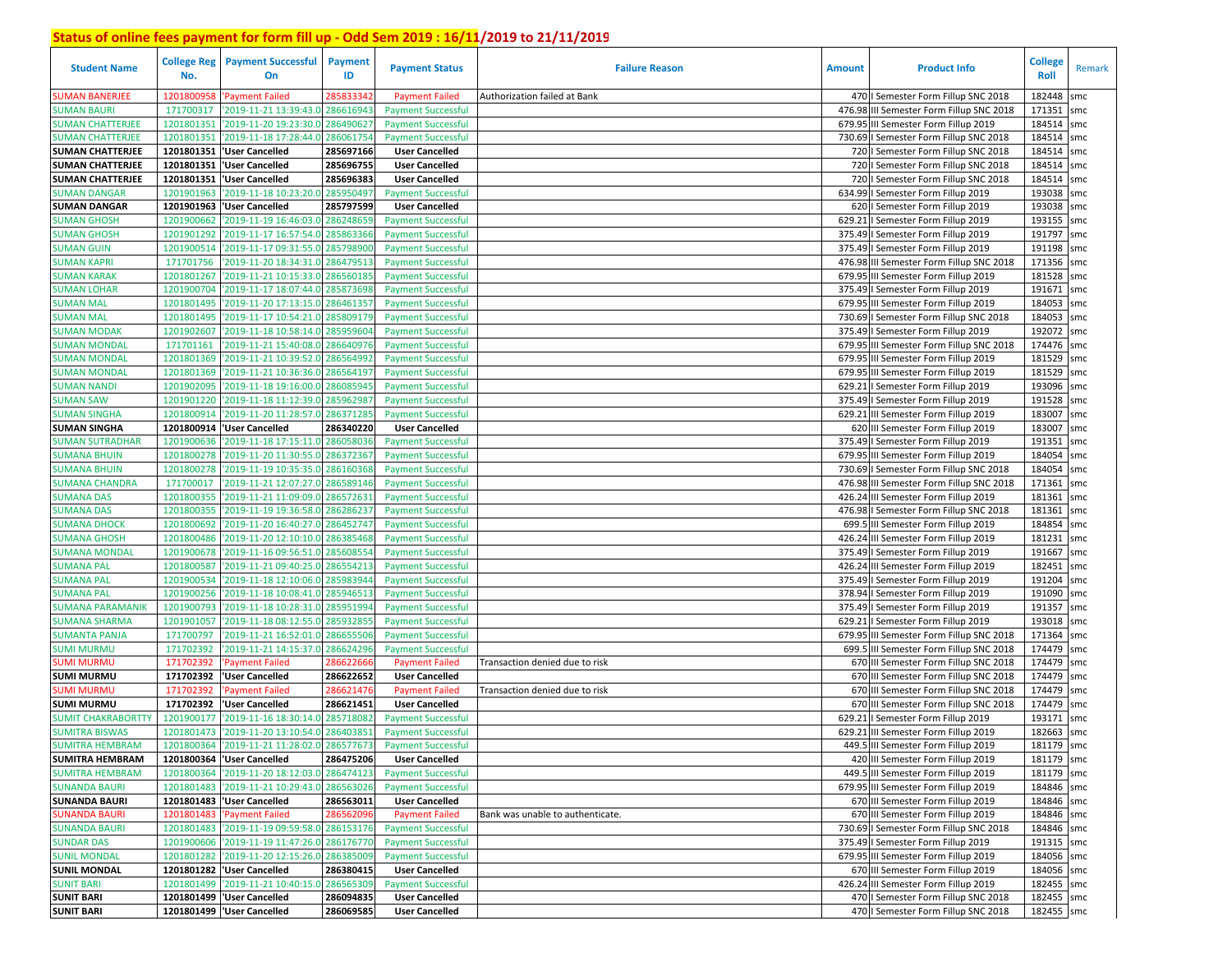| <b>Student Name</b>       | <b>College Reg</b><br>No. | <b>Payment Successful</b><br>On            | <b>Payment</b><br>ID | <b>Payment Status</b>     | <b>Failure Reason</b>            | <b>Amount</b> | <b>Product Info</b>                      | <b>College</b><br><b>Roll</b> | Remark |
|---------------------------|---------------------------|--------------------------------------------|----------------------|---------------------------|----------------------------------|---------------|------------------------------------------|-------------------------------|--------|
| <b>SUMAN BANERJEE</b>     | 1201800958                | <b>Payment Failed</b>                      | 285833342            | <b>Payment Failed</b>     | Authorization failed at Bank     |               | 470   Semester Form Fillup SNC 2018      | 182448                        | smc    |
| <b>SUMAN BAURI</b>        | 171700317                 | '2019-11-21 13:39:43.0                     | 286616943            | <b>Payment Successful</b> |                                  |               | 476.98 III Semester Form Fillup SNC 2018 | 171351                        | smc    |
| <b>SUMAN CHATTERJEE</b>   | 1201801351                | '2019-11-20 19:23:30.0                     | 286490627            | <b>Payment Successful</b> |                                  |               | 679.95 III Semester Form Fillup 2019     | 184514                        | smc    |
| <b>SUMAN CHATTERJEE</b>   | 1201801351                | 2019-11-18 17:28:44.0                      | 286061754            | <b>Payment Successful</b> |                                  |               | 730.69   Semester Form Fillup SNC 2018   | 184514                        | smc    |
| <b>SUMAN CHATTERJEE</b>   | 1201801351                | 'User Cancelled                            | 285697166            | <b>User Cancelled</b>     |                                  |               | 720   Semester Form Fillup SNC 2018      | 184514                        | smc    |
| <b>SUMAN CHATTERJEE</b>   |                           | 1201801351 'User Cancelled                 | 285696755            | <b>User Cancelled</b>     |                                  |               | 720   Semester Form Fillup SNC 2018      | 184514                        | smc    |
| <b>SUMAN CHATTERJEE</b>   |                           | 1201801351 User Cancelled                  | 285696383            | <b>User Cancelled</b>     |                                  |               | 720   Semester Form Fillup SNC 2018      | 184514                        | smc    |
| <b>SUMAN DANGAR</b>       | 1201901963                | '2019-11-18 10:23:20.0                     | 285950497            | <b>Payment Successful</b> |                                  |               | 634.99   Semester Form Fillup 2019       | 193038                        | smc    |
| <b>SUMAN DANGAR</b>       |                           | 1201901963 VJser Cancelled                 | 285797599            | <b>User Cancelled</b>     |                                  |               | 620   Semester Form Fillup 2019          | 193038 smc                    |        |
| <b>SUMAN GHOSH</b>        | 1201900662                | '2019-11-19 16:46:03.0                     | 286248659            | <b>Payment Successful</b> |                                  |               | 629.21   Semester Form Fillup 2019       | 193155 smc                    |        |
| <b>SUMAN GHOSH</b>        | 1201901292                | 2019-11-17 16:57:54.0                      | 28586336             | <b>Payment Successful</b> |                                  |               | 375.49   Semester Form Fillup 2019       | 191797 smc                    |        |
| <b>SUMAN GUIN</b>         | 1201900514                | 2019-11-17 09:31:55.0                      | 28579890             | <b>Payment Successful</b> |                                  |               | 375.49   Semester Form Fillup 2019       | 191198 smc                    |        |
| <b>SUMAN KAPRI</b>        | 171701756                 | 2019-11-20 18:34:31.0                      | 286479513            | <b>Payment Successful</b> |                                  |               | 476.98 III Semester Form Fillup SNC 2018 | 171356 smc                    |        |
| <b>SUMAN KARAK</b>        | 1201801267                | 2019-11-21 10:15:33.0                      | 28656018             | <b>Payment Successful</b> |                                  |               | 679.95 III Semester Form Fillup 2019     | 181528                        | smc    |
| <b>SUMAN LOHAR</b>        | 1201900704                | '2019-11-17 18:07:44.0                     | 28587369             | <b>Payment Successful</b> |                                  |               | 375.49   Semester Form Fillup 2019       | 191671                        | smc    |
| <b>SUMAN MAL</b>          | 1201801495                | 2019-11-20 17:13:15.0                      | 28646135             | <b>Payment Successful</b> |                                  |               | 679.95 III Semester Form Fillup 2019     | 184053                        | smc    |
| <b>SUMAN MAL</b>          | 1201801495                | 2019-11-17 10:54:21.0                      | 285809179            | <b>Payment Successful</b> |                                  |               | 730.69   Semester Form Fillup SNC 2018   | 184053 smc                    |        |
| <b>SUMAN MODAK</b>        | 1201902607                | 2019-11-18 10:58:14.                       | 28595960             | <b>Payment Successful</b> |                                  |               | 375.49   Semester Form Fillup 2019       | 192072 smc                    |        |
| <b>SUMAN MONDAL</b>       | 171701161                 | '2019-11-21 15:40:08.                      | 286640976            | <b>Payment Successful</b> |                                  |               | 679.95 III Semester Form Fillup SNC 2018 | 174476 smc                    |        |
| <b>SUMAN MONDAL</b>       | 1201801369                | 2019-11-21 10:39:52.0                      | 28656499             | <b>Payment Successful</b> |                                  |               | 679.95 III Semester Form Fillup 2019     | 181529                        | smc    |
| <b>SUMAN MONDAL</b>       | 1201801369                | '2019-11-21 10:36:36.0                     | 286564197            | <b>Payment Successful</b> |                                  |               | 679.95 III Semester Form Fillup 2019     | 181529 smc                    |        |
| <b>SUMAN NANDI</b>        | 1201902095                | 2019-11-18 19:16:00.0                      | 28608594             | <b>Payment Successful</b> |                                  |               | 629.21   Semester Form Fillup 2019       | 193096 smc                    |        |
| <b>SUMAN SAW</b>          | 1201901220                | '2019-11-18 11:12:39.0                     | 28596298             | <b>Payment Successful</b> |                                  |               | 375.49   Semester Form Fillup 2019       | 191528 smc                    |        |
| <b>SUMAN SINGHA</b>       | 1201800914                | 2019-11-20 11:28:57.0                      | 28637128             | <b>Payment Successful</b> |                                  |               | 629.21 III Semester Form Fillup 2019     | 183007                        | smc    |
| <b>SUMAN SINGHA</b>       | 1201800914                | 'User Cancelled                            | 286340220            | <b>User Cancelled</b>     |                                  |               | 620 III Semester Form Fillup 2019        | 183007                        | smc    |
| <b>SUMAN SUTRADHAR</b>    | 1201900636                | '2019-11-18 17:15:11.0                     | 286058036            | <b>Payment Successful</b> |                                  |               | 375.49   Semester Form Fillup 2019       | 191351                        | smc    |
| <b>SUMANA BHUIN</b>       | 1201800278                | '2019-11-20 11:30:55.0                     | 286372367            | <b>Payment Successful</b> |                                  |               | 679.95 III Semester Form Fillup 2019     | 184054                        | smc    |
| <b>SUMANA BHUIN</b>       | 1201800278                | '2019-11-19 10:35:35.0                     | 286160368            | <b>Payment Successful</b> |                                  |               | 730.69   Semester Form Fillup SNC 2018   | 184054                        | smc    |
| <b>SUMANA CHANDRA</b>     | 171700017                 | '2019-11-21 12:07:27.0                     | 286589146            | <b>Payment Successful</b> |                                  |               | 476.98 III Semester Form Fillup SNC 2018 | 171361                        | smc    |
| <b>SUMANA DAS</b>         | 1201800355                | 2019-11-21 11:09:09.0                      | 28657263             | <b>Payment Successful</b> |                                  |               | 426.24 III Semester Form Fillup 2019     | 181361                        | smc    |
| <b>SUMANA DAS</b>         | 1201800355                | 2019-11-19 19:36:58.0                      | 286286237            | <b>Payment Successful</b> |                                  |               | 476.98   Semester Form Fillup SNC 2018   | 181361                        | smc    |
| <b>SUMANA DHOCK</b>       | 1201800692                | '2019-11-20 16:40:27.0                     | 286452747            | <b>Payment Successful</b> |                                  |               | 699.5 III Semester Form Fillup 2019      | 184854                        | smc    |
| <b>SUMANA GHOSH</b>       | 1201800486                | '2019-11-20 12:10:10.0                     | 286385468            | <b>Payment Successful</b> |                                  |               | 426.24 III Semester Form Fillup 2019     | 181231                        | smc    |
| SUMANA MONDAL             | 1201900678                | '2019-11-16 09:56:51.0                     | 285608554            | <b>Payment Successful</b> |                                  |               | 375.49   Semester Form Fillup 2019       | 191667                        | smc    |
| <b>SUMANA PAL</b>         | 1201800587                | '2019-11-21 09:40:25.0                     | 286554213            | <b>Payment Successful</b> |                                  |               | 426.24 III Semester Form Fillup 2019     | 182451                        | smc    |
| SUMANA PAL                | 1201900534                | 2019-11-18 12:10:06.0                      | 285983944            | <b>Payment Successful</b> |                                  |               | 375.49   Semester Form Fillup 2019       | 191204 smc                    |        |
| <b>SUMANA PAL</b>         | 1201900256                | '2019-11-18 10:08:41.0                     | 285946513            | <b>Payment Successful</b> |                                  |               | 378.94   Semester Form Fillup 2019       | 191090                        | smc    |
| <b>SUMANA PARAMANIK</b>   | 1201900793                | '2019-11-18 10:28:31.0                     | 28595199             | <b>Payment Successful</b> |                                  |               | 375.49   Semester Form Fillup 2019       | 191357 smc                    |        |
| <b>SUMANA SHARMA</b>      | 1201901057                | '2019-11-18 08:12:55.0                     | 28593285             | <b>Payment Successful</b> |                                  |               | 629.21   Semester Form Fillup 2019       | 193018                        | smc    |
| <b>SUMANTA PANJA</b>      | 171700797                 | 2019-11-21 16:52:01.0                      | 28665550             | <b>Payment Successful</b> |                                  |               | 679.95 III Semester Form Fillup SNC 2018 | 171364                        | smc    |
| <b>SUMI MURMU</b>         | 171702392                 | 2019-11-21 14:15:37.0                      | 286624296            | <b>Payment Successful</b> |                                  |               | 699.5 III Semester Form Fillup SNC 2018  | 174479                        | smc    |
| <b>SUMI MURMU</b>         | 171702392                 | <b>Payment Failed</b>                      | 28662266             | <b>Payment Failed</b>     | Transaction denied due to risk   |               | 670 III Semester Form Fillup SNC 2018    | 174479                        | smc    |
| <b>SUMI MURMU</b>         | 171702392                 | User Cancelled                             | 286622652            | <b>User Cancelled</b>     |                                  |               | 670 III Semester Form Fillup SNC 2018    | 174479                        | smc    |
| SUMI MURMU                | 171702392                 | <b>Payment Failed</b>                      | 28662147             | <b>Payment Failed</b>     | Transaction denied due to risk   |               | 670 III Semester Form Fillup SNC 2018    | 174479 smc                    |        |
| <b>SUMI MURMU</b>         | 171702392                 | <b>User Cancelled</b>                      | 286621451            | <b>User Cancelled</b>     |                                  |               | 670 III Semester Form Fillup SNC 2018    | 174479                        | smc    |
| <b>SUMIT CHAKRABORTTY</b> | 1201900177                | '2019-11-16 18:30:14.0                     | 285718082            | <b>Payment Successful</b> |                                  |               | 629.21   Semester Form Fillup 2019       | 193171                        | smc    |
| <b>SUMITRA BISWAS</b>     | 1201801473                | '2019-11-20 13:10:54.0                     | 28640385             | <b>Payment Successful</b> |                                  |               | 629.21 III Semester Form Fillup 2019     | 182663                        | smc    |
| <b>SUMITRA HEMBRAM</b>    |                           | 1201800364 2019-11-21 11:28:02.0 286577673 |                      | <b>Payment Successful</b> |                                  |               | 449.5 III Semester Form Fillup 2019      | 181179 smc                    |        |
| <b>SUMITRA HEMBRAM</b>    |                           | 1201800364 User Cancelled                  | 286475206            | <b>User Cancelled</b>     |                                  |               | 420 III Semester Form Fillup 2019        | 181179 smc                    |        |
| <b>SUMITRA HEMBRAM</b>    |                           | 1201800364 2019-11-20 18:12:03.0           | 286474123            | <b>Payment Successful</b> |                                  |               | 449.5 III Semester Form Fillup 2019      | 181179 smc                    |        |
| <b>SUNANDA BAURI</b>      |                           | 1201801483 2019-11-21 10:29:43.0           | 286563026            | <b>Payment Successful</b> |                                  |               | 679.95 III Semester Form Fillup 2019     | 184846 smc                    |        |
| <b>SUNANDA BAURI</b>      |                           | 1201801483 User Cancelled                  | 286563011            | <b>User Cancelled</b>     |                                  |               | 670 III Semester Form Fillup 2019        | 184846 smc                    |        |
| <b>SUNANDA BAURI</b>      | 1201801483                | 'Payment Failed                            | 286562096            | <b>Payment Failed</b>     | Bank was unable to authenticate. |               | 670 III Semester Form Fillup 2019        | 184846 smc                    |        |
| <b>SUNANDA BAURI</b>      |                           | 1201801483 2019-11-19 09:59:58.0 286153176 |                      | <b>Payment Successful</b> |                                  |               | 730.69   Semester Form Fillup SNC 2018   | 184846 smc                    |        |
| <b>SUNDAR DAS</b>         |                           | 1201900606 2019-11-19 11:47:26.0           | 286176770            | <b>Payment Successful</b> |                                  |               | 375.49   Semester Form Fillup 2019       | 191315 smc                    |        |
| <b>SUNIL MONDAL</b>       |                           | 1201801282 2019-11-20 12:15:26.0           | 286385009            | <b>Payment Successful</b> |                                  |               | 679.95 III Semester Form Fillup 2019     | 184056 smc                    |        |
| <b>SUNIL MONDAL</b>       |                           | 1201801282 'User Cancelled                 | 286380415            | <b>User Cancelled</b>     |                                  |               | 670 III Semester Form Fillup 2019        | 184056 smc                    |        |
| <b>SUNIT BARI</b>         |                           | 1201801499 2019-11-21 10:40:15.0           | 286565309            | <b>Payment Successful</b> |                                  |               | 426.24 III Semester Form Fillup 2019     | 182455 smc                    |        |
| <b>SUNIT BARI</b>         |                           | 1201801499 'User Cancelled                 | 286094835            | <b>User Cancelled</b>     |                                  |               | 470   Semester Form Fillup SNC 2018      | 182455 smc                    |        |
| <b>SUNIT BARI</b>         |                           | 1201801499 User Cancelled                  | 286069585            | <b>User Cancelled</b>     |                                  |               | 470   Semester Form Fillup SNC 2018      | 182455 smc                    |        |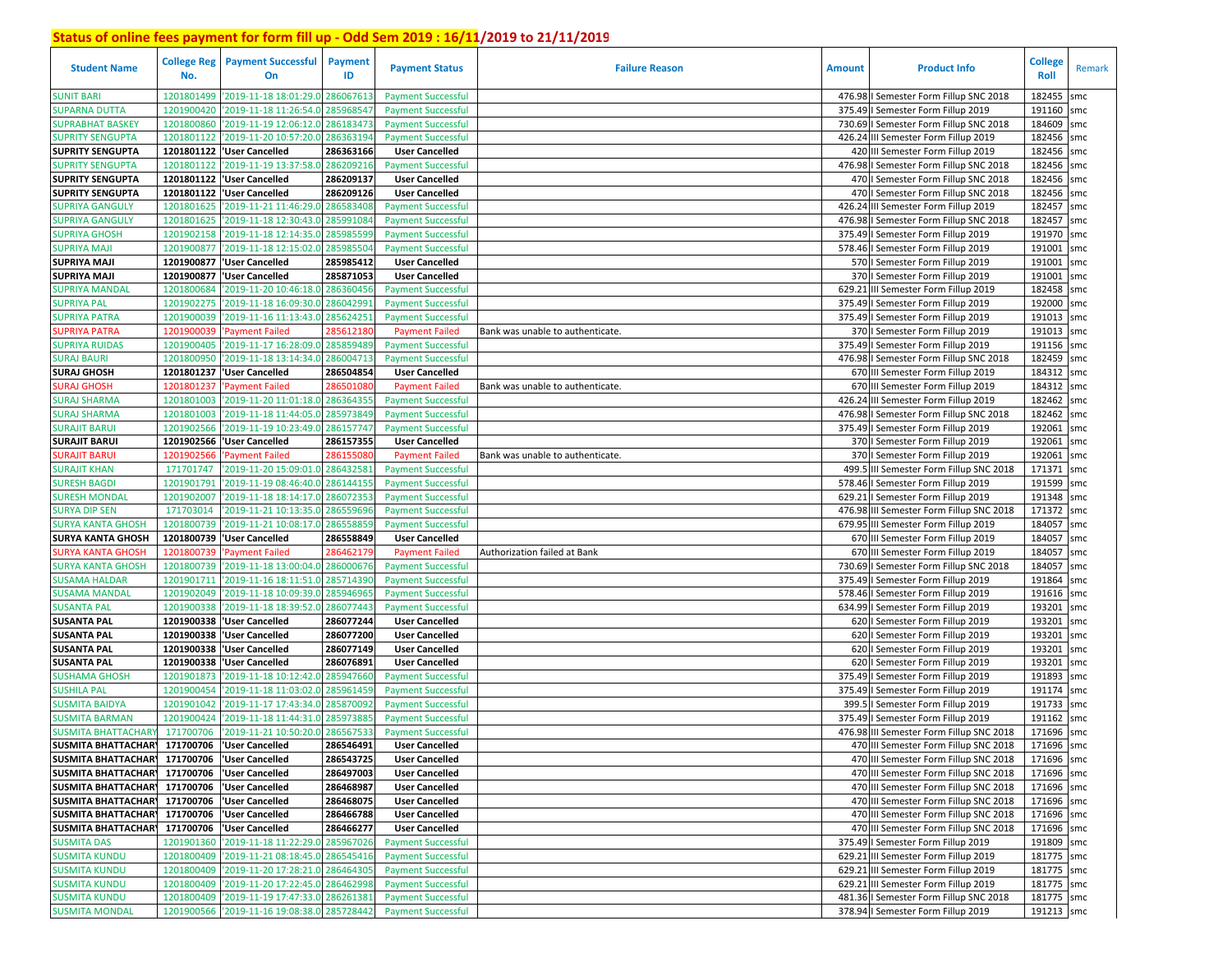| <b>Student Name</b>                          | <b>College Reg</b><br>No. | <b>Payment Successful</b><br>On            | Payment<br>ID | <b>Payment Status</b>     | <b>Failure Reason</b>            | <b>Amount</b> | <b>Product Info</b>                      | <b>College</b><br>Roll | Remark |
|----------------------------------------------|---------------------------|--------------------------------------------|---------------|---------------------------|----------------------------------|---------------|------------------------------------------|------------------------|--------|
| <b>SUNIT BARI</b>                            | 1201801499                | '2019-11-18 18:01:29.0 286067613           |               | <b>Payment Successful</b> |                                  |               | 476.98   Semester Form Fillup SNC 2018   | 182455                 | smc    |
| <b>SUPARNA DUTTA</b>                         | 1201900420                | '2019-11-18 11:26:54.0                     | 285968547     | <b>Payment Successful</b> |                                  |               | 375.49   Semester Form Fillup 2019       | 191160                 | smc    |
| <b>SUPRABHAT BASKEY</b>                      | 1201800860                | '2019-11-19 12:06:12.0 286183473           |               | <b>Payment Successful</b> |                                  |               | 730.69   Semester Form Fillup SNC 2018   | 184609 smc             |        |
| <b>SUPRITY SENGUPTA</b>                      | 1201801122                | '2019-11-20 10:57:20.0 286363194           |               | <b>Payment Successful</b> |                                  |               | 426.24 III Semester Form Fillup 2019     | 182456 smc             |        |
| <b>SUPRITY SENGUPTA</b>                      | 1201801122                | <b>User Cancelled</b>                      | 286363166     | <b>User Cancelled</b>     |                                  |               | 420 III Semester Form Fillup 2019        | 182456 smc             |        |
| <b>SUPRITY SENGUPTA</b>                      | 1201801122                | '2019-11-19 13:37:58.0 286209216           |               | <b>Payment Successful</b> |                                  |               | 476.98   Semester Form Fillup SNC 2018   | 182456 smc             |        |
| <b>SUPRITY SENGUPTA</b>                      |                           | 1201801122  'User Cancelled                | 286209137     | <b>User Cancelled</b>     |                                  |               | 470   Semester Form Fillup SNC 2018      | 182456 smc             |        |
| <b>SUPRITY SENGUPTA</b>                      |                           | 1201801122  'User Cancelled                | 286209126     | <b>User Cancelled</b>     |                                  |               | 470   Semester Form Fillup SNC 2018      | 182456 smc             |        |
| SUPRIYA GANGULY                              | 1201801625                | '2019-11-21 11:46:29.0                     | 286583408     | <b>Payment Successful</b> |                                  |               | 426.24 III Semester Form Fillup 2019     | 182457 smc             |        |
| <b>SUPRIYA GANGULY</b>                       | 1201801625                | '2019-11-18 12:30:43.0                     | 285991084     | <b>Payment Successful</b> |                                  |               | 476.98   Semester Form Fillup SNC 2018   | 182457                 | smc    |
| <b>SUPRIYA GHOSH</b>                         | 1201902158                | '2019-11-18 12:14:35.0                     | 28598559      | <b>Payment Successful</b> |                                  |               | 375.49   Semester Form Fillup 2019       | 191970 smc             |        |
| <b>SUPRIYA MAJI</b>                          | 1201900877                | '2019-11-18 12:15:02.0                     | 28598550      | <b>Payment Successful</b> |                                  |               | 578.46   Semester Form Fillup 2019       | 191001                 | smc    |
| SUPRIYA MAJI                                 | 1201900877                | <b>User Cancelled</b>                      | 285985412     | <b>User Cancelled</b>     |                                  |               | 570   Semester Form Fillup 2019          | 191001                 | smc    |
| <b>SUPRIYA MAJI</b>                          | 1201900877                | 'User Cancelled                            | 285871053     | <b>User Cancelled</b>     |                                  |               | 370   Semester Form Fillup 2019          | 191001                 | smc    |
| SUPRIYA MANDAL                               | 1201800684                | '2019-11-20 10:46:18.0 286360456           |               | <b>Payment Successful</b> |                                  |               | 629.21 III Semester Form Fillup 2019     | 182458 smc             |        |
| <b>SUPRIYA PAL</b>                           | 1201902275                | '2019-11-18 16:09:30.0                     | 28604299      | <b>Payment Successful</b> |                                  | 375.49        | I Semester Form Fillup 2019              | 192000 smc             |        |
| SUPRIYA PATRA                                | 1201900039                | '2019-11-16 11:13:43.0                     | 285624251     | <b>Payment Successful</b> |                                  |               | 375.49   Semester Form Fillup 2019       | 191013 smc             |        |
| <b>SUPRIYA PATRA</b>                         | 1201900039                | <b>Payment Failed</b>                      | 28561218      | <b>Payment Failed</b>     | Bank was unable to authenticate. |               | 370   Semester Form Fillup 2019          | 191013                 | smc    |
| SUPRIYA RUIDAS                               | 1201900405                | '2019-11-17 16:28:09.0                     | 28585948      | <b>Payment Successful</b> |                                  |               | 375.49   Semester Form Fillup 2019       | 191156 smc             |        |
| <b>SURAJ BAURI</b>                           | 1201800950                | '2019-11-18 13:14:34.0                     | 286004713     | <b>Payment Successful</b> |                                  |               | 476.98   Semester Form Fillup SNC 2018   | 182459                 | smc    |
| <b>SURAJ GHOSH</b>                           |                           | 1201801237 User Cancelled                  | 286504854     | <b>User Cancelled</b>     |                                  |               | 670 III Semester Form Fillup 2019        | 184312 smc             |        |
| <b>SURAJ GHOSH</b>                           | 1201801237                | 'Payment Failed                            | 28650108      | <b>Payment Failed</b>     | Bank was unable to authenticate. |               | 670 III Semester Form Fillup 2019        | 184312 smc             |        |
| <b>SURAJ SHARMA</b>                          | 1201801003                | '2019-11-20 11:01:18.0 28636435!           |               | <b>Payment Successful</b> |                                  |               | 426.24 III Semester Form Fillup 2019     | 182462 smc             |        |
| <b>SURAJ SHARMA</b>                          | 1201801003                | '2019-11-18 11:44:05.0                     | 28597384      | <b>Payment Successful</b> |                                  | 476.98        | I Semester Form Fillup SNC 2018          | 182462                 | smc    |
| <b>SURAJIT BARUI</b>                         | 1201902566                | '2019-11-19 10:23:49.0                     | 286157747     | <b>Payment Successful</b> |                                  |               | 375.49   Semester Form Fillup 2019       | 192061                 | smc    |
| <b>SURAJIT BARUI</b>                         | 1201902566                | 'User Cancelled                            | 286157355     | <b>User Cancelled</b>     |                                  |               | 370   Semester Form Fillup 2019          | 192061                 | smc    |
| <b>SURAJIT BARUI</b>                         | 1201902566                | 'Payment Failed                            | 286155080     | <b>Payment Failed</b>     | Bank was unable to authenticate. |               | 370   Semester Form Fillup 2019          | 192061                 | smc    |
| <b>SURAJIT KHAN</b>                          | 171701747                 | '2019-11-20 15:09:01.0 286432581           |               | <b>Payment Successful</b> |                                  |               | 499.5 III Semester Form Fillup SNC 2018  | 171371                 | smc    |
| <b>SURESH BAGDI</b>                          | 1201901791                | '2019-11-19 08:46:40.0 286144155           |               | <b>Payment Successful</b> |                                  |               | 578.46   Semester Form Fillup 2019       | 191599                 | smc    |
| <b>SURESH MONDAI</b>                         | 1201902007                | '2019-11-18 18:14:17.0                     | 28607235      | <b>Payment Successful</b> |                                  |               | 629.21   Semester Form Fillup 2019       | 191348 smc             |        |
| <b>SURYA DIP SEN</b>                         | 171703014                 | '2019-11-21 10:13:35.0                     | 286559696     | <b>Payment Successful</b> |                                  |               | 476.98 III Semester Form Fillup SNC 2018 | 171372 smc             |        |
| <b>SURYA KANTA GHOSH</b>                     | 1201800739                | '2019-11-21 10:08:17.0                     | 286558859     | <b>Payment Successful</b> |                                  |               | 679.95 III Semester Form Fillup 2019     | 184057                 | smc    |
| <b>SURYA KANTA GHOSH</b>                     |                           | 1201800739 User Cancelled                  | 286558849     | <b>User Cancelled</b>     |                                  |               | 670 III Semester Form Fillup 2019        | 184057                 | smc    |
| <b>SURYA KANTA GHOSH</b>                     | 1201800739                | 'Payment Failed                            | 286462179     | <b>Payment Failed</b>     | Authorization failed at Bank     |               | 670 III Semester Form Fillup 2019        | 184057 smc             |        |
| <b>SURYA KANTA GHOSH</b>                     | 1201800739                | '2019-11-18 13:00:04.0 286000676           |               | <b>Payment Successful</b> |                                  |               | 730.69   Semester Form Fillup SNC 2018   | 184057                 | smc    |
| SUSAMA HALDAR                                | 1201901711                | '2019-11-16 18:11:51.0                     | 28571439      | <b>Payment Successful</b> |                                  |               | 375.49   Semester Form Fillup 2019       | 191864 smc             |        |
| <b>SUSAMA MANDAL</b>                         | 1201902049                | '2019-11-18 10:09:39.0                     | 285946965     | <b>Payment Successful</b> |                                  |               | 578.46   Semester Form Fillup 2019       | 191616 smc             |        |
| <b>SUSANTA PAL</b>                           | 1201900338                | '2019-11-18 18:39:52.0                     | 286077443     | <b>Payment Successful</b> |                                  |               | 634.99   Semester Form Fillup 2019       | 193201 smc             |        |
| <b>SUSANTA PAL</b>                           | 1201900338                | <b>User Cancelled</b>                      | 286077244     | <b>User Cancelled</b>     |                                  |               | 620   Semester Form Fillup 2019          | 193201                 | smc    |
| <b>SUSANTA PAL</b>                           | 1201900338                | <b>User Cancelled</b>                      | 286077200     | <b>User Cancelled</b>     |                                  |               | 620   Semester Form Fillup 2019          | 193201                 | smc    |
| <b>SUSANTA PAL</b>                           | 1201900338                | 'User Cancelled                            | 286077149     | <b>User Cancelled</b>     |                                  |               | 620   Semester Form Fillup 2019          | 193201                 | smc    |
| <b>SUSANTA PAL</b>                           | 1201900338                | 'User Cancelled                            | 286076891     | <b>User Cancelled</b>     |                                  | 620           | I Semester Form Fillup 2019              | 193201                 | smc    |
| <b>SUSHAMA GHOSH</b>                         | 1201901873                | '2019-11-18 10:12:42.0                     | 28594766      | <b>Payment Successful</b> |                                  | 375.49        | I Semester Form Fillup 2019              | 191893                 | smc    |
| SUSHILA PAL                                  | 1201900454                | '2019-11-18 11:03:02.0                     | 28596145      | <b>Payment Successful</b> |                                  |               | 375.49   Semester Form Fillup 2019       | 191174 smc             |        |
| <b>SUSMITA BAIDYA</b>                        | 1201901042                | '2019-11-17 17:43:34.0                     | 28587009      | <b>Payment Successful</b> |                                  | 399.          | I Semester Form Fillup 2019              | 191733                 | smc    |
| <b>SUSMITA BARMAN</b>                        | 1201900424                | '2019-11-18 11:44:31.0 28597388            |               | <b>Payment Successful</b> |                                  |               | 375.49   Semester Form Fillup 2019       | 191162 smc             |        |
| <b>SUSMITA BHATTACHARY</b>                   | 171700706                 | '2019-11-21 10:50:20.0 286567533           |               | <b>Payment Successful</b> |                                  |               | 476.98 III Semester Form Fillup SNC 2018 | 171696 smc             |        |
| SUSMITA BHATTACHAR 171700706 User Cancelled  |                           |                                            | 286546491     | <b>User Cancelled</b>     |                                  |               | 470 III Semester Form Fillup SNC 2018    | 171696 smc             |        |
| SUSMITA BHATTACHAR1 171700706 VSer Cancelled |                           |                                            | 286543725     | <b>User Cancelled</b>     |                                  |               | 470 III Semester Form Fillup SNC 2018    | 171696 smc             |        |
| SUSMITA BHATTACHAR1 171700706 VSer Cancelled |                           |                                            | 286497003     | <b>User Cancelled</b>     |                                  |               | 470 III Semester Form Fillup SNC 2018    | 171696 smc             |        |
| <b>SUSMITA BHATTACHARY</b>                   |                           | 171700706 Vuser Cancelled                  | 286468987     | <b>User Cancelled</b>     |                                  |               | 470 III Semester Form Fillup SNC 2018    | 171696 smc             |        |
| <b>SUSMITA BHATTACHARY</b>                   |                           | 171700706 Vuser Cancelled                  | 286468075     | <b>User Cancelled</b>     |                                  |               | 470 III Semester Form Fillup SNC 2018    | 171696 smc             |        |
| <b>SUSMITA BHATTACHARY</b>                   |                           | 171700706 Vuser Cancelled                  | 286466788     | <b>User Cancelled</b>     |                                  |               | 470 III Semester Form Fillup SNC 2018    | 171696 smc             |        |
| <b>SUSMITA BHATTACHARY</b>                   |                           | 171700706 Vuser Cancelled                  | 286466277     | <b>User Cancelled</b>     |                                  |               | 470 III Semester Form Fillup SNC 2018    | 171696 smc             |        |
| <b>SUSMITA DAS</b>                           |                           | 1201901360 2019-11-18 11:22:29.0 285967026 |               | <b>Payment Successful</b> |                                  |               | 375.49   Semester Form Fillup 2019       | 191809 smc             |        |
| <b>SUSMITA KUNDU</b>                         |                           | 1201800409 2019-11-21 08:18:45.0 286545416 |               | <b>Payment Successful</b> |                                  |               | 629.21 III Semester Form Fillup 2019     | 181775 smc             |        |
| <b>SUSMITA KUNDU</b>                         |                           | 1201800409 2019-11-20 17:28:21.0 286464305 |               | <b>Payment Successful</b> |                                  |               | 629.21 III Semester Form Fillup 2019     | 181775 smc             |        |
| <b>SUSMITA KUNDU</b>                         |                           | 1201800409 2019-11-20 17:22:45.0 286462998 |               | <b>Payment Successful</b> |                                  |               | 629.21 III Semester Form Fillup 2019     | 181775 smc             |        |
| <b>SUSMITA KUNDU</b>                         |                           | 1201800409 2019-11-19 17:47:33.0 286261381 |               | <b>Payment Successful</b> |                                  |               | 481.36   Semester Form Fillup SNC 2018   | 181775 smc             |        |
| <b>SUSMITA MONDAL</b>                        |                           | 1201900566 2019-11-16 19:08:38.0 285728442 |               | <b>Payment Successful</b> |                                  |               | 378.94   Semester Form Fillup 2019       | 191213 smc             |        |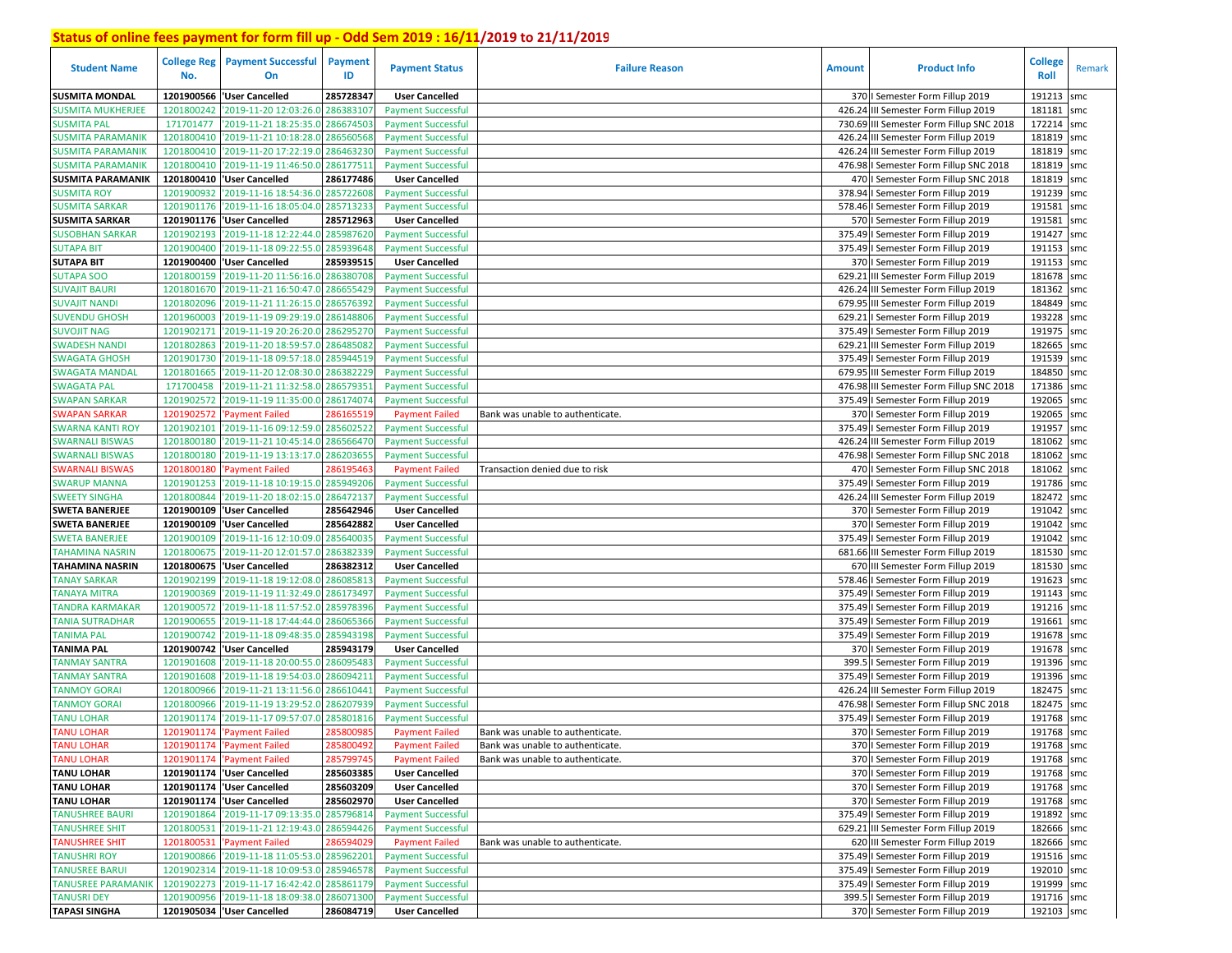| <b>Student Name</b>      | No.        | <b>College Reg   Payment Successful</b><br>On | Payment<br>ID | <b>Payment Status</b>     | <b>Failure Reason</b>            | <b>Amount</b> | <b>Product Info</b>                      | <b>College</b><br>Roll | Remark |
|--------------------------|------------|-----------------------------------------------|---------------|---------------------------|----------------------------------|---------------|------------------------------------------|------------------------|--------|
| <b>SUSMITA MONDAL</b>    | 1201900566 | <b>User Cancelled</b>                         | 285728347     | <b>User Cancelled</b>     |                                  |               | 370   Semester Form Fillup 2019          | 191213                 | smc    |
| <b>SUSMITA MUKHERJEE</b> | 1201800242 | '2019-11-20 12:03:26.0 286383107              |               | <b>Payment Successful</b> |                                  |               | 426.24 III Semester Form Fillup 2019     | 181181                 | smc    |
| SUSMITA PAL              | 171701477  | '2019-11-21 18:25:35.0 286674503              |               | <b>Payment Successful</b> |                                  |               | 730.69 III Semester Form Fillup SNC 2018 | 172214                 | smc    |
| <b>SUSMITA PARAMANIK</b> | 1201800410 | '2019-11-21 10:18:28.0 286560568              |               | <b>Payment Successful</b> |                                  |               | 426.24 III Semester Form Fillup 2019     | 181819 smc             |        |
| SUSMITA PARAMANIK        | 1201800410 | '2019-11-20 17:22:19.0 286463230              |               | <b>Payment Successful</b> |                                  |               | 426.24 III Semester Form Fillup 2019     | 181819 smc             |        |
| <b>SUSMITA PARAMANIK</b> |            | 1201800410 2019-11-19 11:46:50.0              | 286177511     | <b>Payment Successful</b> |                                  |               | 476.98   Semester Form Fillup SNC 2018   | 181819                 | smc    |
| <b>SUSMITA PARAMANIK</b> |            | 1201800410 User Cancelled                     | 286177486     | <b>User Cancelled</b>     |                                  |               | 470   Semester Form Fillup SNC 2018      | 181819 smc             |        |
| <b>SUSMITA ROY</b>       | 1201900932 | '2019-11-16 18:54:36.0 285722608              |               | <b>Payment Successful</b> |                                  |               | 378.94   Semester Form Fillup 2019       | 191239 smc             |        |
| SUSMITA SARKAR           |            | 1201901176 2019-11-16 18:05:04.0 285713233    |               | <b>Payment Successful</b> |                                  |               | 578.46   Semester Form Fillup 2019       | 191581 smc             |        |
| <b>SUSMITA SARKAR</b>    |            | 1201901176 User Cancelled                     | 285712963     | <b>User Cancelled</b>     |                                  |               | 570   Semester Form Fillup 2019          | 191581                 | smc    |
| <b>SUSOBHAN SARKAR</b>   | 1201902193 | '2019-11-18 12:22:44.0                        | 285987620     | <b>Payment Successful</b> |                                  |               | 375.49   Semester Form Fillup 2019       | 191427 smc             |        |
| <b>SUTAPA BIT</b>        | 1201900400 | '2019-11-18 09:22:55.0                        | 285939648     | <b>Payment Successful</b> |                                  |               | 375.49   Semester Form Fillup 2019       | 191153                 | smc    |
| <b>SUTAPA BIT</b>        |            | 1201900400 'User Cancelled                    | 285939515     | <b>User Cancelled</b>     |                                  |               | 370   Semester Form Fillup 2019          | 191153 smc             |        |
| <b>SUTAPA SOO</b>        | 1201800159 | '2019-11-20 11:56:16.0                        | 286380708     | <b>Payment Successful</b> |                                  |               | 629.21 III Semester Form Fillup 2019     | 181678 smc             |        |
| SUVAJIT BAURI            | 1201801670 | '2019-11-21 16:50:47.                         | 286655429     | <b>Payment Successful</b> |                                  |               | 426.24 III Semester Form Fillup 2019     | 181362 smc             |        |
| <b>SUVAJIT NANDI</b>     | 1201802096 | '2019-11-21 11:26:15.0                        | 286576392     | <b>Payment Successful</b> |                                  |               | 679.95 III Semester Form Fillup 2019     | 184849 smc             |        |
| SUVENDU GHOSH            | 1201960003 | '2019-11-19 09:29:19.0                        | 286148806     | <b>Payment Successful</b> |                                  |               | 629.21   Semester Form Fillup 2019       | 193228 smc             |        |
| <b>SUVOJIT NAG</b>       | 1201902171 | '2019-11-19 20:26:20.                         | 286295270     | <b>Payment Successful</b> |                                  |               | 375.49   Semester Form Fillup 2019       | 191975                 | smc    |
| <b>SWADESH NANDI</b>     | 1201802863 | '2019-11-20 18:59:57.                         | 286485082     | <b>Payment Successful</b> |                                  |               | 629.21 III Semester Form Fillup 2019     | 182665                 | smc    |
| <b>SWAGATA GHOSH</b>     | 1201901730 | '2019-11-18 09:57:18.0                        | 285944519     | <b>Payment Successful</b> |                                  |               | 375.49   Semester Form Fillup 2019       | 191539                 | smc    |
| <b>SWAGATA MANDAI</b>    | 1201801665 | '2019-11-20 12:08:30.0                        | 286382229     | <b>Payment Successful</b> |                                  |               | 679.95 III Semester Form Fillup 2019     | 184850 smc             |        |
| <b>SWAGATA PAL</b>       | 171700458  | '2019-11-21 11:32:58.0                        | 286579351     | <b>Payment Successful</b> |                                  |               | 476.98 III Semester Form Fillup SNC 2018 | 171386 smc             |        |
| <b>SWAPAN SARKAR</b>     | 1201902572 | '2019-11-19 11:35:00.0                        | 286174074     | <b>Payment Successful</b> |                                  |               | 375.49   Semester Form Fillup 2019       | 192065 smc             |        |
| SWAPAN SARKAR            | 1201902572 | <b>Payment Failed</b>                         | 28616551      | <b>Payment Failed</b>     | Bank was unable to authenticate. |               | 370   Semester Form Fillup 2019          | 192065                 | smc    |
| <b>SWARNA KANTI ROY</b>  | 1201902101 | '2019-11-16 09:12:59.0                        | 285602522     | <b>Payment Successful</b> |                                  |               | 375.49   Semester Form Fillup 2019       | 191957 smc             |        |
| <b>SWARNALI BISWAS</b>   | 1201800180 | '2019-11-21 10:45:14.0 286566470              |               | <b>Payment Successful</b> |                                  |               | 426.24 III Semester Form Fillup 2019     | 181062                 | smc    |
| <b>SWARNALI BISWAS</b>   | 1201800180 | '2019-11-19 13:13:17.0                        | 286203655     | <b>Payment Successful</b> |                                  |               | 476.98   Semester Form Fillup SNC 2018   | 181062                 | smc    |
| SWARNALI BISWAS          | 1201800180 | 'Payment Failed                               | 286195463     | <b>Payment Failed</b>     | Transaction denied due to risk   |               | 470   Semester Form Fillup SNC 2018      | 181062 smc             |        |
| <b>SWARUP MANNA</b>      | 1201901253 | '2019-11-18 10:19:15.0 285949206              |               | <b>Payment Successful</b> |                                  |               | 375.49   Semester Form Fillup 2019       | 191786 smc             |        |
| <b>SWEETY SINGHA</b>     | 1201800844 | '2019-11-20 18:02:15.0                        | 286472137     | <b>Payment Successful</b> |                                  |               | 426.24 III Semester Form Fillup 2019     | 182472 smc             |        |
| <b>SWETA BANERJEE</b>    |            | 1201900109  'User Cancelled                   | 285642946     | <b>User Cancelled</b>     |                                  |               | 370   Semester Form Fillup 2019          | 191042                 | smc    |
| <b>SWETA BANERJEE</b>    |            | 1201900109  'User Cancelled                   | 285642882     | <b>User Cancelled</b>     |                                  |               | 370   Semester Form Fillup 2019          | 191042                 | smc    |
| <b>SWETA BANERJEE</b>    | 1201900109 | '2019-11-16 12:10:09.0 285640035              |               | <b>Payment Successful</b> |                                  |               | 375.49   Semester Form Fillup 2019       | 191042                 | smc    |
| TAHAMINA NASRIN          |            | 1201800675 2019-11-20 12:01:57.0              | 286382339     | <b>Payment Successful</b> |                                  |               | 681.66 III Semester Form Fillup 2019     | 181530 smc             |        |
| <b>TAHAMINA NASRIN</b>   |            | 1201800675  'User Cancelled                   | 286382312     | <b>User Cancelled</b>     |                                  |               | 670 III Semester Form Fillup 2019        | 181530 smc             |        |
| <b>TANAY SARKAR</b>      | 1201902199 | '2019-11-18 19:12:08.0                        | 286085813     | <b>Payment Successful</b> |                                  |               | 578.46   Semester Form Fillup 2019       | 191623 smc             |        |
| TANAYA MITRA             | 1201900369 | '2019-11-19 11:32:49.0                        | 286173497     | <b>Payment Successful</b> |                                  |               | 375.49   Semester Form Fillup 2019       | 191143 smc             |        |
| <b>FANDRA KARMAKAR</b>   | 1201900572 | '2019-11-18 11:57:52.0                        | 285978396     | <b>Payment Successful</b> |                                  |               | 375.49   Semester Form Fillup 2019       | 191216 smc             |        |
| <b>TANIA SUTRADHAR</b>   | 1201900655 | '2019-11-18 17:44:44.0                        | 286065366     | <b>Payment Successful</b> |                                  |               | 375.49   Semester Form Fillup 2019       | 191661                 | smc    |
| <b><i>FANIMA PAL</i></b> | 1201900742 | '2019-11-18 09:48:35.0                        | 285943198     | <b>Payment Successful</b> |                                  |               | 375.49   Semester Form Fillup 2019       | 191678 smc             |        |
| <b>TANIMA PAL</b>        | 1201900742 | 'User Cancelled                               | 285943179     | <b>User Cancelled</b>     |                                  |               | 370   Semester Form Fillup 2019          | 191678 smc             |        |
| <b>FANMAY SANTRA</b>     | 1201901608 | '2019-11-18 20:00:55.0                        | 286095483     | <b>Payment Successful</b> |                                  |               | 399.5   Semester Form Fillup 2019        | 191396 smc             |        |
| <b>TANMAY SANTRA</b>     | 1201901608 | 2019-11-18 19:54:03.0                         | 286094211     | <b>Payment Successful</b> |                                  |               | 375.49   Semester Form Fillup 2019       | 191396                 | smc    |
| <b>TANMOY GORAI</b>      | 1201800966 | '2019-11-21 13:11:56.0                        | 286610441     | <b>Payment Successful</b> |                                  |               | 426.24 III Semester Form Fillup 2019     | 182475                 | smc    |
| <b>TANMOY GORAI</b>      | 1201800966 | '2019-11-19 13:29:52.0                        | 286207939     | <b>Payment Successful</b> |                                  |               | 476.98   Semester Form Fillup SNC 2018   | 182475                 | smc    |
| <b>TANU LOHAR</b>        | 1201901174 | '2019-11-17 09:57:07.0                        | 285801816     | <b>Payment Successful</b> |                                  |               | 375.49   Semester Form Fillup 2019       | 191768                 | smc    |
| <b>TANU LOHAR</b>        | 1201901174 | 'Payment Failed                               | 28580098      | <b>Payment Failed</b>     | Bank was unable to authenticate. |               | 370   Semester Form Fillup 2019          | 191768                 | smc    |
| <b>TANU LOHAR</b>        |            | 1201901174 'Payment Failed                    | 285800492     | <b>Payment Failed</b>     | Bank was unable to authenticate. |               | 370   Semester Form Fillup 2019          | 191768 smc             |        |
| <b>TANU LOHAR</b>        |            | 1201901174 'Payment Failed                    | 285799745     | <b>Payment Failed</b>     | Bank was unable to authenticate. |               | 370   Semester Form Fillup 2019          | 191768 smc             |        |
| <b>TANU LOHAR</b>        |            | 1201901174 'User Cancelled                    | 285603385     | <b>User Cancelled</b>     |                                  |               | 370   Semester Form Fillup 2019          | 191768 smc             |        |
| <b>TANU LOHAR</b>        |            | 1201901174   'User Cancelled                  | 285603209     | <b>User Cancelled</b>     |                                  |               | 370   Semester Form Fillup 2019          | 191768 smc             |        |
| <b>TANU LOHAR</b>        |            | 1201901174 'User Cancelled                    | 285602970     | <b>User Cancelled</b>     |                                  |               | 370   Semester Form Fillup 2019          | 191768 smc             |        |
| <b>TANUSHREE BAURI</b>   |            | 1201901864 2019-11-17 09:13:35.0 285796814    |               | <b>Payment Successful</b> |                                  |               | 375.49   Semester Form Fillup 2019       | 191892 smc             |        |
| <b>TANUSHREE SHIT</b>    |            | 1201800531 2019-11-21 12:19:43.0 286594426    |               | <b>Payment Successful</b> |                                  |               | 629.21 III Semester Form Fillup 2019     | 182666 smc             |        |
| <b>TANUSHREE SHIT</b>    |            | 1201800531 'Payment Failed                    | 286594029     | <b>Payment Failed</b>     | Bank was unable to authenticate. |               | 620 III Semester Form Fillup 2019        | 182666 smc             |        |
| <b>TANUSHRI ROY</b>      |            | 1201900866 2019-11-18 11:05:53.0 285962201    |               | <b>Payment Successful</b> |                                  |               | 375.49   Semester Form Fillup 2019       | 191516 smc             |        |
| <b>TANUSREE BARUI</b>    |            | 1201902314 2019-11-18 10:09:53.0 285946578    |               | <b>Payment Successful</b> |                                  |               | 375.49   Semester Form Fillup 2019       | 192010 smc             |        |
| TANUSREE PARAMANIK       |            | 1201902273 2019-11-17 16:42:42.0 285861179    |               | <b>Payment Successful</b> |                                  |               | 375.49   Semester Form Fillup 2019       | 191999 smc             |        |
| <b>TANUSRI DEY</b>       |            | 1201900956 2019-11-18 18:09:38.0 286071300    |               | <b>Payment Successful</b> |                                  |               | 399.5   Semester Form Fillup 2019        | 191716 smc             |        |
| <b>TAPASI SINGHA</b>     |            | 1201905034 'User Cancelled                    | 286084719     | <b>User Cancelled</b>     |                                  |               | 370   Semester Form Fillup 2019          | 192103 smc             |        |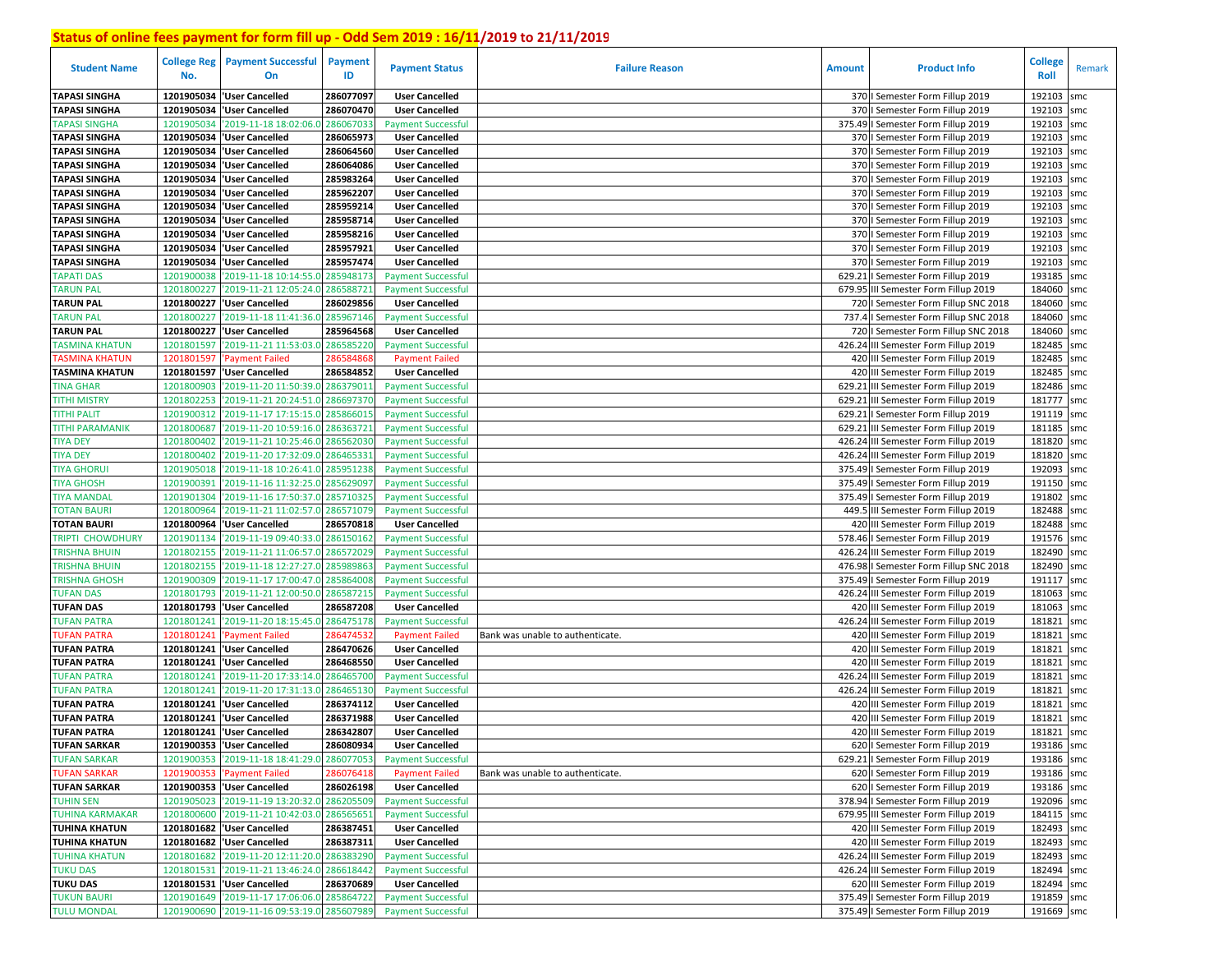| <b>Student Name</b>    | <b>College Reg</b><br>No. | <b>Payment Successful</b><br>On            | <b>Payment</b><br>ID | <b>Payment Status</b>     | <b>Failure Reason</b>            | <b>Amount</b> | <b>Product Info</b>                    | <b>College</b><br>Roll | Remark |
|------------------------|---------------------------|--------------------------------------------|----------------------|---------------------------|----------------------------------|---------------|----------------------------------------|------------------------|--------|
| <b>TAPASI SINGHA</b>   | 1201905034                | <b>User Cancelled</b>                      | 286077097            | <b>User Cancelled</b>     |                                  |               | 370   Semester Form Fillup 2019        | 192103                 | smc    |
| <b>TAPASI SINGHA</b>   | 1201905034                | 'User Cancelled                            | 286070470            | <b>User Cancelled</b>     |                                  |               | 370   Semester Form Fillup 2019        | 192103                 | smc    |
| <b>TAPASI SINGHA</b>   | 1201905034                | '2019-11-18 18:02:06.0                     | 286067033            | <b>Payment Successful</b> |                                  |               | 375.49   Semester Form Fillup 2019     | 192103                 | smc    |
| <b>TAPASI SINGHA</b>   | 1201905034                | 'User Cancelled                            | 286065973            | <b>User Cancelled</b>     |                                  |               | 370   Semester Form Fillup 2019        | 192103                 | smc    |
| <b>TAPASI SINGHA</b>   | 1201905034                | 'User Cancelled                            | 286064560            | <b>User Cancelled</b>     |                                  |               | 370   Semester Form Fillup 2019        | 192103                 | smc    |
| <b>TAPASI SINGHA</b>   | 1201905034                | 'User Cancelled                            | 286064086            | <b>User Cancelled</b>     |                                  |               | 370   Semester Form Fillup 2019        | 192103                 | smc    |
| <b>TAPASI SINGHA</b>   | 1201905034                | <b>User Cancelled</b>                      | 285983264            | <b>User Cancelled</b>     |                                  |               | 370   Semester Form Fillup 2019        | 192103                 | smc    |
| <b>TAPASI SINGHA</b>   |                           | 1201905034   User Cancelled                | 285962207            | <b>User Cancelled</b>     |                                  |               | 370   Semester Form Fillup 2019        | 192103                 | smc    |
| <b>TAPASI SINGHA</b>   |                           | 1201905034 User Cancelled                  | 285959214            | <b>User Cancelled</b>     |                                  |               | 370   Semester Form Fillup 2019        | 192103                 | smc    |
| <b>TAPASI SINGHA</b>   |                           | 1201905034 User Cancelled                  | 285958714            | <b>User Cancelled</b>     |                                  |               | 370   Semester Form Fillup 2019        | 192103                 | smc    |
| <b>TAPASI SINGHA</b>   |                           | 1201905034 User Cancelled                  | 285958216            | <b>User Cancelled</b>     |                                  |               | 370   Semester Form Fillup 2019        | 192103 smc             |        |
| <b>TAPASI SINGHA</b>   | 1201905034                | <b>User Cancelled</b>                      | 285957921            | <b>User Cancelled</b>     |                                  |               | 370   Semester Form Fillup 2019        | 192103                 | smc    |
| <b>TAPASI SINGHA</b>   |                           | 1201905034 User Cancelled                  | 285957474            | <b>User Cancelled</b>     |                                  |               | 370   Semester Form Fillup 2019        | 192103                 | smc    |
| <b>TAPATI DAS</b>      | 1201900038                | '2019-11-18 10:14:55.0                     | 285948173            | <b>Payment Successful</b> |                                  | 629.21        | I Semester Form Fillup 2019            | 193185                 | smc    |
| <b>TARUN PAL</b>       | 1201800227                | '2019-11-21 12:05:24.0                     | 286588721            | <b>Payment Successful</b> |                                  |               | 679.95 III Semester Form Fillup 2019   | 184060 smc             |        |
| <b>TARUN PAL</b>       | 1201800227                | 'User Cancelled                            | 286029856            | <b>User Cancelled</b>     |                                  |               | 720   Semester Form Fillup SNC 2018    | 184060 smc             |        |
| <b>TARUN PAL</b>       | 1201800227                | 2019-11-18 11:41:36.0                      | 285967146            | <b>Payment Successful</b> |                                  |               | 737.4   Semester Form Fillup SNC 2018  | 184060 smc             |        |
| <b>TARUN PAL</b>       | 1201800227                | 'User Cancelled                            | 285964568            | <b>User Cancelled</b>     |                                  |               | 720   Semester Form Fillup SNC 2018    | 184060                 | smc    |
| TASMINA KHATUN         | 1201801597                | '2019-11-21 11:53:03.0                     | 28658522             | <b>Payment Successful</b> |                                  |               | 426.24 III Semester Form Fillup 2019   | 182485                 | smc    |
| <b>TASMINA KHATUN</b>  | 1201801597                | <b>Payment Failed</b>                      | 28658486             | <b>Payment Failed</b>     |                                  |               | 420 III Semester Form Fillup 2019      | 182485                 | smc    |
| <b>TASMINA KHATUN</b>  |                           | 1201801597 User Cancelled                  | 286584852            | <b>User Cancelled</b>     |                                  |               | 420 III Semester Form Fillup 2019      | 182485 smc             |        |
| <b>TINA GHAR</b>       | 1201800903                | '2019-11-20 11:50:39.0                     | 286379011            | <b>Payment Successful</b> |                                  | 629.21        | III Semester Form Fillup 2019          | 182486 smc             |        |
| <b>TITHI MISTRY</b>    | 1201802253                | '2019-11-21 20:24:51.0                     | 28669737             | <b>Payment Successful</b> |                                  | 629.21        | III Semester Form Fillup 2019          | 181777 smc             |        |
| <b>TITHI PALIT</b>     | 1201900312                | '2019-11-17 17:15:15.0                     | 28586601             | <b>Payment Successful</b> |                                  | 629.2         | I Semester Form Fillup 2019            | 191119                 | smc    |
| <b>TITHI PARAMANIK</b> | 1201800687                | '2019-11-20 10:59:16.0                     | 286363721            | <b>Payment Successful</b> |                                  | 629.21        | III Semester Form Fillup 2019          | 181185 smc             |        |
| <b>TIYA DEY</b>        | 1201800402                | '2019-11-21 10:25:46.0                     | 28656203             | <b>Payment Successful</b> |                                  |               | 426.24 III Semester Form Fillup 2019   | 181820 smc             |        |
| <b>TIYA DEY</b>        | 1201800402                | '2019-11-20 17:32:09.0                     | 28646533             | <b>Payment Successful</b> |                                  |               | 426.24 III Semester Form Fillup 2019   | 181820 smc             |        |
| <b>TIYA GHORUI</b>     | 1201905018                | '2019-11-18 10:26:41.0 285951238           |                      | <b>Payment Successful</b> |                                  | 375.49        | I Semester Form Fillup 2019            | 192093                 | smc    |
| <b>TIYA GHOSH</b>      | 1201900391                | '2019-11-16 11:32:25.0 285629097           |                      | <b>Payment Successful</b> |                                  |               | 375.49   Semester Form Fillup 2019     | 191150 smc             |        |
| <b>TIYA MANDAL</b>     | 1201901304                | '2019-11-16 17:50:37.0                     | 28571032             | <b>Payment Successful</b> |                                  |               | 375.49   Semester Form Fillup 2019     | 191802                 | smc    |
| <b>TOTAN BAURI</b>     | 1201800964                | '2019-11-21 11:02:57.0                     | 286571079            | <b>Payment Successful</b> |                                  | 449.5         | III Semester Form Fillup 2019          | 182488                 | smc    |
| <b>TOTAN BAURI</b>     | 1201800964                | <b>User Cancelled</b>                      | 286570818            | <b>User Cancelled</b>     |                                  |               | 420 III Semester Form Fillup 2019      | 182488                 | smc    |
| TRIPTI CHOWDHURY       | 1201901134                | '2019-11-19 09:40:33.0 286150162           |                      | <b>Payment Successful</b> |                                  |               | 578.46   Semester Form Fillup 2019     | 191576 smc             |        |
| TRISHNA BHUIN          | 1201802155                | '2019-11-21 11:06:57.0                     | 286572029            | <b>Payment Successful</b> |                                  |               | 426.24 III Semester Form Fillup 2019   | 182490 smc             |        |
| <b>TRISHNA BHUIN</b>   | 1201802155                | '2019-11-18 12:27:27.0 285989863           |                      | <b>Payment Successful</b> |                                  |               | 476.98   Semester Form Fillup SNC 2018 | 182490 smc             |        |
| TRISHNA GHOSH          | 1201900309                | '2019-11-17 17:00:47.0                     | 28586400             | <b>Payment Successful</b> |                                  |               | 375.49   Semester Form Fillup 2019     | 191117 smc             |        |
| <b>TUFAN DAS</b>       | 1201801793                | '2019-11-21 12:00:50.0                     | 286587215            | <b>Payment Successful</b> |                                  |               | 426.24 III Semester Form Fillup 2019   | 181063                 | smc    |
| <b>TUFAN DAS</b>       |                           | 1201801793  'User Cancelled                | 286587208            | <b>User Cancelled</b>     |                                  |               | 420 III Semester Form Fillup 2019      | 181063 smc             |        |
| <b>TUFAN PATRA</b>     | 1201801241                | '2019-11-20 18:15:45.0                     | 286475178            | <b>Payment Successful</b> |                                  |               | 426.24 III Semester Form Fillup 2019   | 181821                 | smc    |
| <b>UFAN PATRA</b>      | 1201801241                | <b>Payment Failed</b>                      | 28647453             | <b>Payment Failed</b>     | Bank was unable to authenticate. |               | 420 III Semester Form Fillup 2019      | 181821                 | smc    |
| <b>TUFAN PATRA</b>     | 1201801241                | 'User Cancelled                            | 286470626            | <b>User Cancelled</b>     |                                  |               | 420 III Semester Form Fillup 2019      | 181821                 | smc    |
| <b>TUFAN PATRA</b>     | 1201801241                | 'User Cancelled                            | 286468550            | <b>User Cancelled</b>     |                                  |               | 420 III Semester Form Fillup 2019      | 181821                 | smc    |
| <b>TUFAN PATRA</b>     | 1201801241                | '2019-11-20 17:33:14.0                     | 28646570             | <b>Payment Successful</b> |                                  |               | 426.24 III Semester Form Fillup 2019   | 181821                 | smc    |
| <b>TUFAN PATRA</b>     | 1201801241                | '2019-11-20 17:31:13.0 28646513            |                      | <b>Payment Successful</b> |                                  |               | 426.24 III Semester Form Fillup 2019   | 181821                 | smc    |
| <b>TUFAN PATRA</b>     |                           | 1201801241   User Cancelled                | 286374112            | <b>User Cancelled</b>     |                                  |               | 420 III Semester Form Fillup 2019      | 181821                 | smc    |
| <b>TUFAN PATRA</b>     |                           | 1201801241 User Cancelled                  | 286371988            | <b>User Cancelled</b>     |                                  |               | 420 III Semester Form Fillup 2019      | 181821                 | smc    |
| <b>TUFAN PATRA</b>     |                           | 1201801241   User Cancelled                | 286342807            | <b>User Cancelled</b>     |                                  |               | 420 III Semester Form Fillup 2019      | 181821                 | smc    |
| <b>TUFAN SARKAR</b>    |                           | 1201900353 'User Cancelled                 | 286080934            | <b>User Cancelled</b>     |                                  |               | 620   Semester Form Fillup 2019        | 193186 smc             |        |
| <b>TUFAN SARKAR</b>    |                           | 1201900353 '2019-11-18 18:41:29.0          | 286077053            | <b>Payment Successful</b> |                                  |               | 629.21   Semester Form Fillup 2019     | 193186 smc             |        |
| <b>TUFAN SARKAR</b>    |                           | 1201900353 'Payment Failed                 | 286076418            | <b>Payment Failed</b>     | Bank was unable to authenticate. |               | 620   Semester Form Fillup 2019        | 193186 smc             |        |
| <b>TUFAN SARKAR</b>    |                           | 1201900353  'User Cancelled                | 286026198            | <b>User Cancelled</b>     |                                  |               | 620   Semester Form Fillup 2019        | 193186 smc             |        |
| <b>TUHIN SEN</b>       |                           | 1201905023 2019-11-19 13:20:32.0 286205509 |                      | <b>Payment Successful</b> |                                  |               | 378.94   Semester Form Fillup 2019     | 192096 smc             |        |
| <b>TUHINA KARMAKAR</b> |                           | 1201800600 2019-11-21 10:42:03.0 286565651 |                      | <b>Payment Successful</b> |                                  |               | 679.95 III Semester Form Fillup 2019   | 184115 smc             |        |
| <b>TUHINA KHATUN</b>   |                           | 1201801682 User Cancelled                  | 286387451            | <b>User Cancelled</b>     |                                  |               | 420 III Semester Form Fillup 2019      | 182493 smc             |        |
| <b>TUHINA KHATUN</b>   |                           | 1201801682 User Cancelled                  | 286387311            | <b>User Cancelled</b>     |                                  |               | 420 III Semester Form Fillup 2019      | 182493 smc             |        |
| <b>TUHINA KHATUN</b>   |                           | 1201801682 2019-11-20 12:11:20.0 286383290 |                      | <b>Payment Successful</b> |                                  |               | 426.24 III Semester Form Fillup 2019   | 182493 smc             |        |
| <b>TUKU DAS</b>        |                           | 1201801531 2019-11-21 13:46:24.0 286618442 |                      | <b>Payment Successful</b> |                                  |               | 426.24 III Semester Form Fillup 2019   | 182494 smc             |        |
| <b>TUKU DAS</b>        |                           | 1201801531 User Cancelled                  | 286370689            | <b>User Cancelled</b>     |                                  |               | 620 III Semester Form Fillup 2019      | 182494 smc             |        |
| <b>TUKUN BAURI</b>     |                           | 1201901649 2019-11-17 17:06:06.0 285864722 |                      | <b>Payment Successful</b> |                                  |               | 375.49   Semester Form Fillup 2019     | 191859 smc             |        |
| <b>TULU MONDAL</b>     |                           | 1201900690 2019-11-16 09:53:19.0 285607989 |                      | <b>Payment Successful</b> |                                  |               | 375.49   Semester Form Fillup 2019     | 191669 smc             |        |
|                        |                           |                                            |                      |                           |                                  |               |                                        |                        |        |